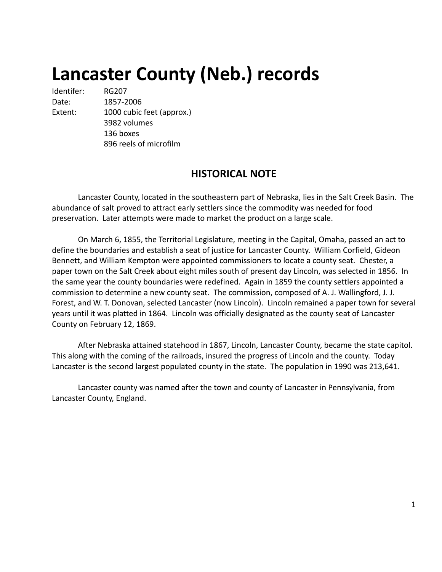# **Lancaster County (Neb.) records**

Identifer: RG207 Date: 1857-2006 Extent: 1000 cubic feet (approx.) 3982 volumes 136 boxes 896 reels of microfilm

# **HISTORICAL NOTE**

Lancaster County, located in the southeastern part of Nebraska, lies in the Salt Creek Basin. The abundance of salt proved to attract early settlers since the commodity was needed for food preservation. Later attempts were made to market the product on a large scale.

On March 6, 1855, the Territorial Legislature, meeting in the Capital, Omaha, passed an act to define the boundaries and establish a seat of justice for Lancaster County. William Corfield, Gideon Bennett, and William Kempton were appointed commissioners to locate a county seat. Chester, a paper town on the Salt Creek about eight miles south of present day Lincoln, was selected in 1856. In the same year the county boundaries were redefined. Again in 1859 the county settlers appointed a commission to determine a new county seat. The commission, composed of A. J. Wallingford, J. J. Forest, and W. T. Donovan, selected Lancaster (now Lincoln). Lincoln remained a paper town for several years until it was platted in 1864. Lincoln was officially designated as the county seat of Lancaster County on February 12, 1869.

After Nebraska attained statehood in 1867, Lincoln, Lancaster County, became the state capitol. This along with the coming of the railroads, insured the progress of Lincoln and the county. Today Lancaster is the second largest populated county in the state. The population in 1990 was 213,641.

Lancaster county was named after the town and county of Lancaster in Pennsylvania, from Lancaster County, England.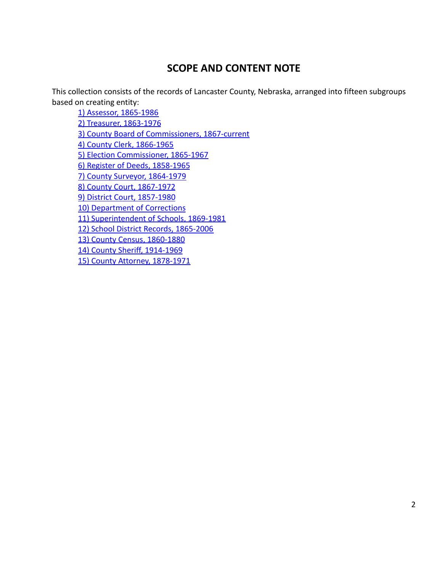# **SCOPE AND CONTENT NOTE**

This collection consists of the records of Lancaster County, Nebraska, arranged into fifteen subgroups based on creating entity:

[1\) Assessor, 1865-1986](#page-3-0) [2\) Treasurer, 1863-1976](#page-106-0) [3\) County Board of Commissioners, 1867-current](#page-113-0) [4\) County Clerk, 1866-1965](#page-125-0) [5\) Election Commissioner, 1865-1967](#page-167-0) [6\) Register of Deeds, 1858-1965](#page-170-0) [7\) County Surveyor, 1864-1979](#page-176-0) [8\) County Court, 1867-1972](#page-180-0) [9\) District Court, 1857-1980](#page-205-0) [10\) Department of Corrections](#page-247-0) [11\) Superintendent of Schools, 1869-1981](#page-248-0) [12\) School District Records, 1865-2006](#page-339-0) [13\) County Census, 1860-1880](#page-348-0) [14\) County Sheriff, 1914-1969](#page-351-0) [15\) County Attorney, 1878-1971](#page-352-0)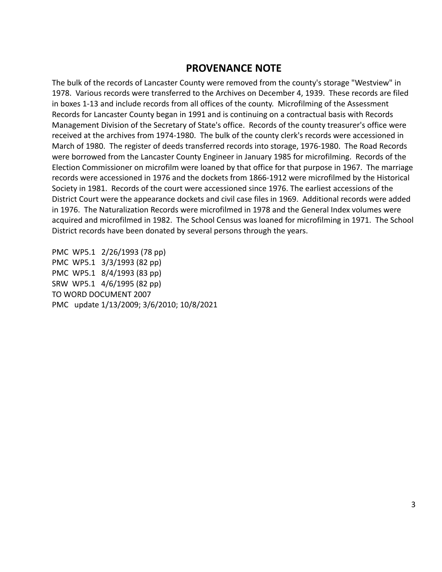# **PROVENANCE NOTE**

The bulk of the records of Lancaster County were removed from the county's storage "Westview" in 1978. Various records were transferred to the Archives on December 4, 1939. These records are filed in boxes 1-13 and include records from all offices of the county. Microfilming of the Assessment Records for Lancaster County began in 1991 and is continuing on a contractual basis with Records Management Division of the Secretary of State's office. Records of the county treasurer's office were received at the archives from 1974-1980. The bulk of the county clerk's records were accessioned in March of 1980. The register of deeds transferred records into storage, 1976-1980. The Road Records were borrowed from the Lancaster County Engineer in January 1985 for microfilming. Records of the Election Commissioner on microfilm were loaned by that office for that purpose in 1967. The marriage records were accessioned in 1976 and the dockets from 1866-1912 were microfilmed by the Historical Society in 1981. Records of the court were accessioned since 1976. The earliest accessions of the District Court were the appearance dockets and civil case files in 1969. Additional records were added in 1976. The Naturalization Records were microfilmed in 1978 and the General Index volumes were acquired and microfilmed in 1982. The School Census was loaned for microfilming in 1971. The School District records have been donated by several persons through the years.

PMC WP5.1 2/26/1993 (78 pp) PMC WP5.1 3/3/1993 (82 pp) PMC WP5.1 8/4/1993 (83 pp) SRW WP5.1 4/6/1995 (82 pp) TO WORD DOCUMENT 2007 PMC update 1/13/2009; 3/6/2010; 10/8/2021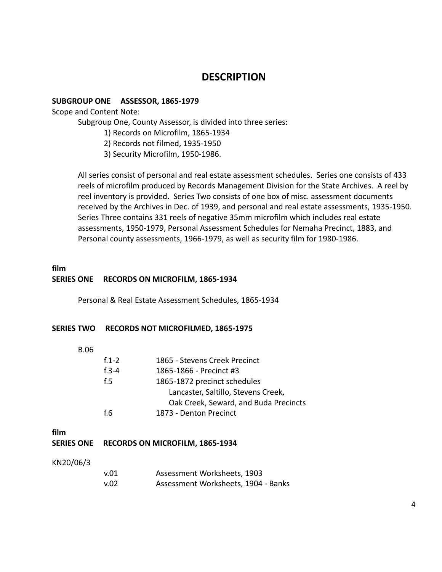## **DESCRIPTION**

#### <span id="page-3-0"></span>**SUBGROUP ONE ASSESSOR, 1865-1979**

Scope and Content Note:

Subgroup One, County Assessor, is divided into three series:

- 1) Records on Microfilm, 1865-1934
- 2) Records not filmed, 1935-1950
- 3) Security Microfilm, 1950-1986.

All series consist of personal and real estate assessment schedules. Series one consists of 433 reels of microfilm produced by Records Management Division for the State Archives. A reel by reel inventory is provided. Series Two consists of one box of misc. assessment documents received by the Archives in Dec. of 1939, and personal and real estate assessments, 1935-1950. Series Three contains 331 reels of negative 35mm microfilm which includes real estate assessments, 1950-1979, Personal Assessment Schedules for Nemaha Precinct, 1883, and Personal county assessments, 1966-1979, as well as security film for 1980-1986.

#### **film SERIES ONE RECORDS ON MICROFILM, 1865-1934**

Personal & Real Estate Assessment Schedules, 1865-1934

#### **SERIES TWO RECORDS NOT MICROFILMED, 1865-1975**

| ٧<br>۰.<br>×<br>۰.<br>× |
|-------------------------|
|-------------------------|

| $f.1 - 2$ | 1865 - Stevens Creek Precinct         |  |
|-----------|---------------------------------------|--|
| $f.3 - 4$ | 1865-1866 - Precinct #3               |  |
| f.5       | 1865-1872 precinct schedules          |  |
|           | Lancaster, Saltillo, Stevens Creek,   |  |
|           | Oak Creek, Seward, and Buda Precincts |  |
| f 6       | 1873 - Denton Precinct                |  |
|           |                                       |  |

#### **film**

#### **SERIES ONE RECORDS ON MICROFILM, 1865-1934**

#### KN20/06/3

| v.01 | Assessment Worksheets, 1903         |  |
|------|-------------------------------------|--|
| v.02 | Assessment Worksheets, 1904 - Banks |  |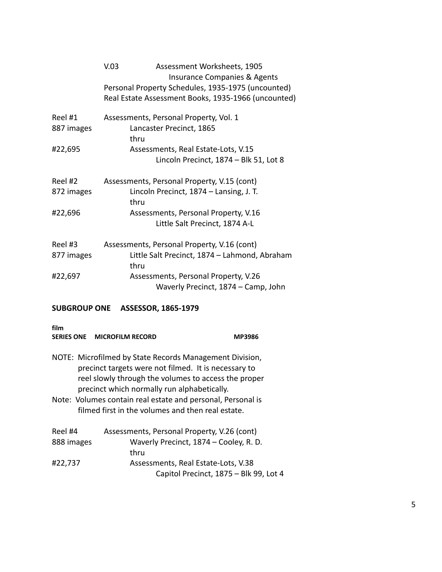|            | V.03 | Assessment Worksheets, 1905                         |
|------------|------|-----------------------------------------------------|
|            |      | Insurance Companies & Agents                        |
|            |      | Personal Property Schedules, 1935-1975 (uncounted)  |
|            |      | Real Estate Assessment Books, 1935-1966 (uncounted) |
| Reel #1    |      | Assessments, Personal Property, Vol. 1              |
| 887 images |      | Lancaster Precinct, 1865                            |
|            | thru |                                                     |
| #22,695    |      | Assessments, Real Estate-Lots, V.15                 |
|            |      | Lincoln Precinct, 1874 - Blk 51, Lot 8              |
| Reel #2    |      | Assessments, Personal Property, V.15 (cont)         |
| 872 images | thru | Lincoln Precinct, 1874 - Lansing, J. T.             |
| #22,696    |      | Assessments, Personal Property, V.16                |
|            |      | Little Salt Precinct, 1874 A-L                      |
| Reel #3    |      | Assessments, Personal Property, V.16 (cont)         |
| 877 images | thru | Little Salt Precinct, 1874 - Lahmond, Abraham       |
| #22,697    |      | Assessments, Personal Property, V.26                |
|            |      | Waverly Precinct, 1874 – Camp, John                 |

| film       | SERIES ONE MICROFILM RECORD                                                                                                                                                                                            | MP3986                                 |
|------------|------------------------------------------------------------------------------------------------------------------------------------------------------------------------------------------------------------------------|----------------------------------------|
|            | NOTE: Microfilmed by State Records Management Division,<br>precinct targets were not filmed. It is necessary to<br>reel slowly through the volumes to access the proper<br>precinct which normally run alphabetically. |                                        |
|            | Note: Volumes contain real estate and personal, Personal is<br>filmed first in the volumes and then real estate.                                                                                                       |                                        |
|            |                                                                                                                                                                                                                        |                                        |
| Reel #4    | Assessments, Personal Property, V.26 (cont)                                                                                                                                                                            |                                        |
| 888 images |                                                                                                                                                                                                                        | Waverly Precinct, 1874 - Cooley, R. D. |
|            | thru                                                                                                                                                                                                                   |                                        |
| #22,737    |                                                                                                                                                                                                                        | Assessments, Real Estate-Lots, V.38    |
|            |                                                                                                                                                                                                                        | Capitol Precinct, 1875 - Blk 99, Lot 4 |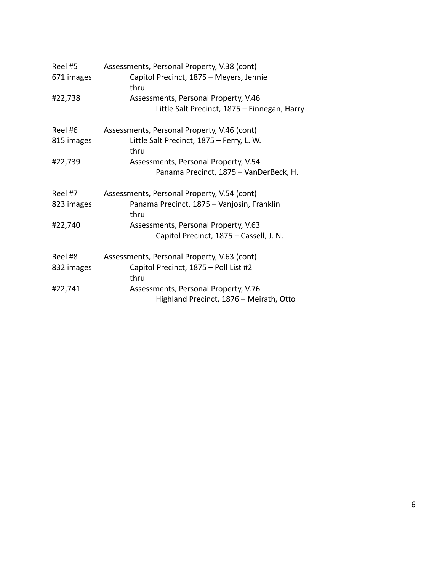| Reel #5    | Assessments, Personal Property, V.38 (cont)        |  |
|------------|----------------------------------------------------|--|
| 671 images | Capitol Precinct, 1875 - Meyers, Jennie<br>thru    |  |
| #22,738    | Assessments, Personal Property, V.46               |  |
|            | Little Salt Precinct, 1875 - Finnegan, Harry       |  |
| Reel #6    | Assessments, Personal Property, V.46 (cont)        |  |
| 815 images | Little Salt Precinct, 1875 - Ferry, L. W.<br>thru  |  |
| #22,739    | Assessments, Personal Property, V.54               |  |
|            | Panama Precinct, 1875 - VanDerBeck, H.             |  |
| Reel #7    | Assessments, Personal Property, V.54 (cont)        |  |
| 823 images | Panama Precinct, 1875 - Vanjosin, Franklin<br>thru |  |
| #22,740    | Assessments, Personal Property, V.63               |  |
|            | Capitol Precinct, 1875 - Cassell, J. N.            |  |
| Reel #8    | Assessments, Personal Property, V.63 (cont)        |  |
| 832 images | Capitol Precinct, 1875 - Poll List #2              |  |
|            | thru                                               |  |
| #22,741    | Assessments, Personal Property, V.76               |  |
|            | Highland Precinct, 1876 - Meirath, Otto            |  |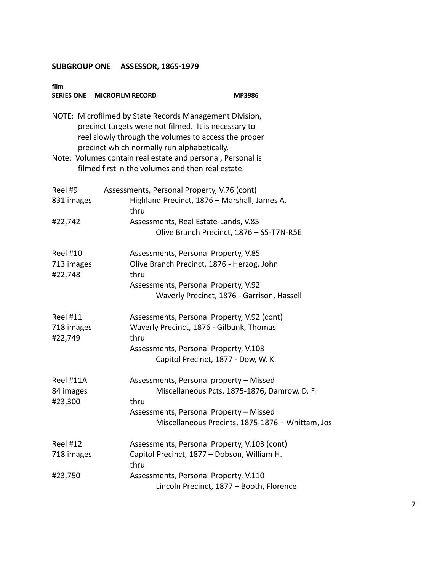| film<br><b>SERIES ONE MICROFILM RECORD</b> | MP3986                                                                                                                                                                                                                                                                                                                                     |
|--------------------------------------------|--------------------------------------------------------------------------------------------------------------------------------------------------------------------------------------------------------------------------------------------------------------------------------------------------------------------------------------------|
|                                            | NOTE: Microfilmed by State Records Management Division,<br>precinct targets were not filmed. It is necessary to<br>reel slowly through the volumes to access the proper<br>precinct which normally run alphabetically.<br>Note: Volumes contain real estate and personal, Personal is<br>filmed first in the volumes and then real estate. |
| Reel #9<br>831 images<br>#22,742           | Assessments, Personal Property, V.76 (cont)<br>Highland Precinct, 1876 - Marshall, James A.<br>thru<br>Assessments, Real Estate-Lands, V.85<br>Olive Branch Precinct, 1876 - S5-T7N-R5E                                                                                                                                                    |
| <b>Reel #10</b><br>713 images<br>#22,748   | Assessments, Personal Property, V.85<br>Olive Branch Precinct, 1876 - Herzog, John<br>thru<br>Assessments, Personal Property, V.92<br>Waverly Precinct, 1876 - Garrison, Hassell                                                                                                                                                           |
| <b>Reel #11</b><br>718 images<br>#22,749   | Assessments, Personal Property, V.92 (cont)<br>Waverly Precinct, 1876 - Gilbunk, Thomas<br>thru<br>Assessments, Personal Property, V.103<br>Capitol Precinct, 1877 - Dow, W. K.                                                                                                                                                            |
| Reel #11A<br>84 images<br>#23,300          | Assessments, Personal property - Missed<br>Miscellaneous Pcts, 1875-1876, Damrow, D. F.<br>thru<br>Assessments, Personal Property - Missed<br>Miscellaneous Precints, 1875-1876 - Whittam, Jos                                                                                                                                             |
| <b>Reel #12</b><br>718 images              | Assessments, Personal Property, V.103 (cont)<br>Capitol Precinct, 1877 - Dobson, William H.<br>thru                                                                                                                                                                                                                                        |
| #23,750                                    | Assessments, Personal Property, V.110<br>Lincoln Precinct, 1877 - Booth, Florence                                                                                                                                                                                                                                                          |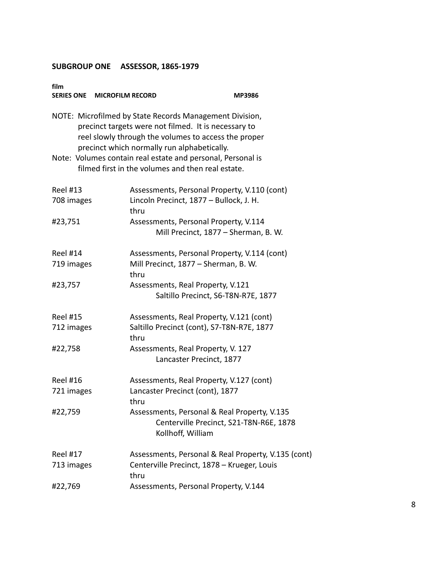| film<br>SERIES ONE MICROFILM RECORD                                                                                                                                                                                                                                                   |                                                                                                              | <b>MP3986</b> |
|---------------------------------------------------------------------------------------------------------------------------------------------------------------------------------------------------------------------------------------------------------------------------------------|--------------------------------------------------------------------------------------------------------------|---------------|
| NOTE: Microfilmed by State Records Management Division,<br>precinct targets were not filmed. It is necessary to<br>reel slowly through the volumes to access the proper<br>precinct which normally run alphabetically.<br>Note: Volumes contain real estate and personal, Personal is |                                                                                                              |               |
|                                                                                                                                                                                                                                                                                       | filmed first in the volumes and then real estate.                                                            |               |
| <b>Reel #13</b>                                                                                                                                                                                                                                                                       | Assessments, Personal Property, V.110 (cont)                                                                 |               |
| 708 images                                                                                                                                                                                                                                                                            | Lincoln Precinct, 1877 - Bullock, J. H.<br>thru                                                              |               |
| #23,751                                                                                                                                                                                                                                                                               | Assessments, Personal Property, V.114<br>Mill Precinct, 1877 - Sherman, B. W.                                |               |
| <b>Reel #14</b>                                                                                                                                                                                                                                                                       | Assessments, Personal Property, V.114 (cont)                                                                 |               |
| 719 images                                                                                                                                                                                                                                                                            | Mill Precinct, 1877 - Sherman, B. W.<br>thru                                                                 |               |
| #23,757                                                                                                                                                                                                                                                                               | Assessments, Real Property, V.121<br>Saltillo Precinct, S6-T8N-R7E, 1877                                     |               |
| <b>Reel #15</b>                                                                                                                                                                                                                                                                       | Assessments, Real Property, V.121 (cont)                                                                     |               |
| 712 images                                                                                                                                                                                                                                                                            | Saltillo Precinct (cont), S7-T8N-R7E, 1877<br>thru                                                           |               |
| #22,758                                                                                                                                                                                                                                                                               | Assessments, Real Property, V. 127<br>Lancaster Precinct, 1877                                               |               |
| <b>Reel #16</b>                                                                                                                                                                                                                                                                       | Assessments, Real Property, V.127 (cont)                                                                     |               |
| 721 images                                                                                                                                                                                                                                                                            | Lancaster Precinct (cont), 1877<br>thru                                                                      |               |
| #22,759                                                                                                                                                                                                                                                                               | Assessments, Personal & Real Property, V.135<br>Centerville Precinct, S21-T8N-R6E, 1878<br>Kollhoff, William |               |
| <b>Reel #17</b>                                                                                                                                                                                                                                                                       | Assessments, Personal & Real Property, V.135 (cont)                                                          |               |
| 713 images                                                                                                                                                                                                                                                                            | Centerville Precinct, 1878 - Krueger, Louis<br>thru                                                          |               |
| #22,769                                                                                                                                                                                                                                                                               | Assessments, Personal Property, V.144                                                                        |               |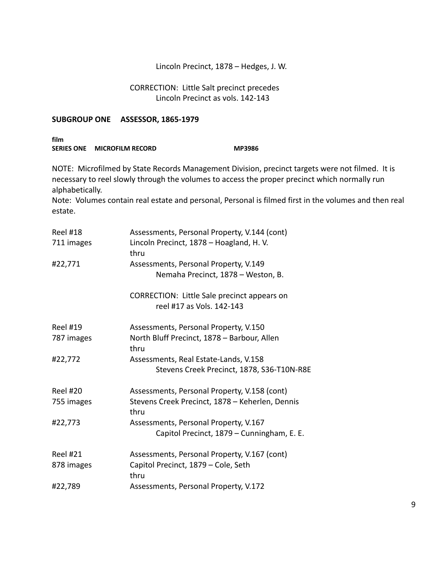#### Lincoln Precinct, 1878 – Hedges, J. W.

#### CORRECTION: Little Salt precinct precedes Lincoln Precinct as vols. 142-143

#### **SUBGROUP ONE ASSESSOR, 1865-1979**

| film              |                         |               |  |
|-------------------|-------------------------|---------------|--|
| <b>SERIES ONE</b> | <b>MICROFILM RECORD</b> | <b>MP3986</b> |  |

NOTE: Microfilmed by State Records Management Division, precinct targets were not filmed. It is necessary to reel slowly through the volumes to access the proper precinct which normally run alphabetically.

Note: Volumes contain real estate and personal, Personal is filmed first in the volumes and then real estate.

| <b>Reel #18</b><br>711 images | Assessments, Personal Property, V.144 (cont)<br>Lincoln Precinct, 1878 - Hoagland, H.V. |
|-------------------------------|-----------------------------------------------------------------------------------------|
| #22,771                       | thru<br>Assessments, Personal Property, V.149<br>Nemaha Precinct, 1878 - Weston, B.     |
|                               | CORRECTION: Little Sale precinct appears on<br>reel #17 as Vols. 142-143                |
| <b>Reel #19</b>               | Assessments, Personal Property, V.150                                                   |
| 787 images                    | North Bluff Precinct, 1878 - Barbour, Allen<br>thru                                     |
| #22,772                       | Assessments, Real Estate-Lands, V.158<br>Stevens Creek Precinct, 1878, S36-T10N-R8E     |
| <b>Reel #20</b>               | Assessments, Personal Property, V.158 (cont)                                            |
| 755 images                    | Stevens Creek Precinct, 1878 - Keherlen, Dennis<br>thru                                 |
| #22,773                       | Assessments, Personal Property, V.167                                                   |
|                               | Capitol Precinct, 1879 - Cunningham, E. E.                                              |
| <b>Reel #21</b>               | Assessments, Personal Property, V.167 (cont)                                            |
| 878 images                    | Capitol Precinct, 1879 - Cole, Seth<br>thru                                             |
| #22,789                       | Assessments, Personal Property, V.172                                                   |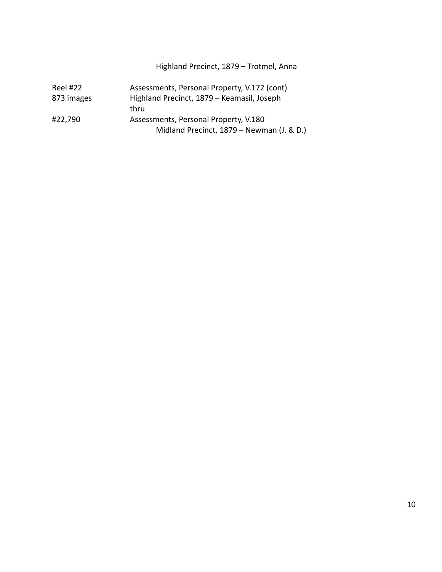## Highland Precinct, 1879 – Trotmel, Anna

| <b>Reel #22</b> | Assessments, Personal Property, V.172 (cont) |  |
|-----------------|----------------------------------------------|--|
| 873 images      | Highland Precinct, 1879 - Keamasil, Joseph   |  |
|                 | thru                                         |  |
| #22,790         | Assessments, Personal Property, V.180        |  |
|                 | Midland Precinct, 1879 – Newman (J. & D.)    |  |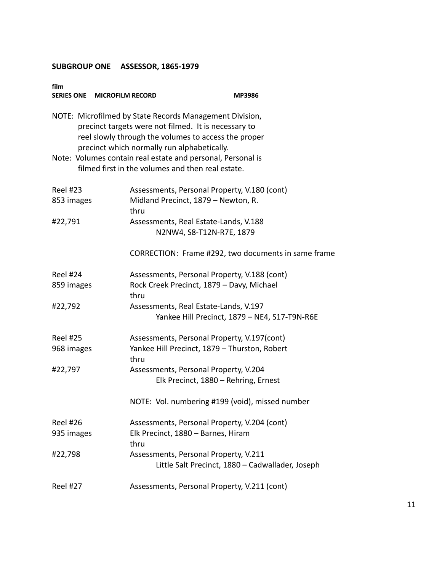| film<br>SERIES ONE MICROFILM RECORD |                                                                                                                                                                                                                        | <b>MP3986</b>                                       |
|-------------------------------------|------------------------------------------------------------------------------------------------------------------------------------------------------------------------------------------------------------------------|-----------------------------------------------------|
|                                     | NOTE: Microfilmed by State Records Management Division,<br>precinct targets were not filmed. It is necessary to<br>reel slowly through the volumes to access the proper<br>precinct which normally run alphabetically. |                                                     |
|                                     | Note: Volumes contain real estate and personal, Personal is<br>filmed first in the volumes and then real estate.                                                                                                       |                                                     |
| <b>Reel #23</b>                     | Assessments, Personal Property, V.180 (cont)                                                                                                                                                                           |                                                     |
| 853 images                          | Midland Precinct, 1879 - Newton, R.<br>thru                                                                                                                                                                            |                                                     |
| #22,791                             | Assessments, Real Estate-Lands, V.188<br>N2NW4, S8-T12N-R7E, 1879                                                                                                                                                      |                                                     |
|                                     |                                                                                                                                                                                                                        | CORRECTION: Frame #292, two documents in same frame |
| <b>Reel #24</b>                     | Assessments, Personal Property, V.188 (cont)                                                                                                                                                                           |                                                     |
| 859 images                          | Rock Creek Precinct, 1879 - Davy, Michael<br>thru                                                                                                                                                                      |                                                     |
| #22,792                             | Assessments, Real Estate-Lands, V.197                                                                                                                                                                                  |                                                     |
|                                     |                                                                                                                                                                                                                        | Yankee Hill Precinct, 1879 - NE4, S17-T9N-R6E       |
| <b>Reel #25</b>                     | Assessments, Personal Property, V.197(cont)                                                                                                                                                                            |                                                     |
| 968 images                          | Yankee Hill Precinct, 1879 - Thurston, Robert<br>thru                                                                                                                                                                  |                                                     |
| #22,797                             | Assessments, Personal Property, V.204                                                                                                                                                                                  |                                                     |
|                                     | Elk Precinct, 1880 - Rehring, Ernest                                                                                                                                                                                   |                                                     |
|                                     | NOTE: Vol. numbering #199 (void), missed number                                                                                                                                                                        |                                                     |
| <b>Reel #26</b>                     | Assessments, Personal Property, V.204 (cont)                                                                                                                                                                           |                                                     |
| 935 images                          | Elk Precinct, 1880 - Barnes, Hiram<br>thru                                                                                                                                                                             |                                                     |
| #22,798                             | Assessments, Personal Property, V.211                                                                                                                                                                                  |                                                     |
|                                     |                                                                                                                                                                                                                        | Little Salt Precinct, 1880 - Cadwallader, Joseph    |
| <b>Reel #27</b>                     | Assessments, Personal Property, V.211 (cont)                                                                                                                                                                           |                                                     |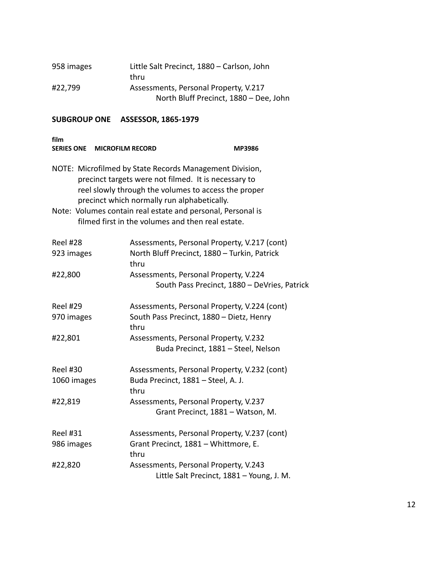| 958 images | Little Salt Precinct, 1880 - Carlson, John |
|------------|--------------------------------------------|
|            | thru                                       |
| #22,799    | Assessments, Personal Property, V.217      |
|            | North Bluff Precinct, 1880 - Dee, John     |

| film<br><b>SERIES ONE</b>      | <b>MICROFILM RECORD</b>                                                                                                                                                                                                                                                               | <b>MP3986</b>                                                                                |
|--------------------------------|---------------------------------------------------------------------------------------------------------------------------------------------------------------------------------------------------------------------------------------------------------------------------------------|----------------------------------------------------------------------------------------------|
|                                | NOTE: Microfilmed by State Records Management Division,<br>precinct targets were not filmed. It is necessary to<br>reel slowly through the volumes to access the proper<br>precinct which normally run alphabetically.<br>Note: Volumes contain real estate and personal, Personal is |                                                                                              |
|                                | filmed first in the volumes and then real estate.                                                                                                                                                                                                                                     |                                                                                              |
| Reel #28<br>923 images         | thru                                                                                                                                                                                                                                                                                  | Assessments, Personal Property, V.217 (cont)<br>North Bluff Precinct, 1880 - Turkin, Patrick |
| #22,800                        |                                                                                                                                                                                                                                                                                       | Assessments, Personal Property, V.224<br>South Pass Precinct, 1880 - DeVries, Patrick        |
| <b>Reel #29</b><br>970 images  | thru                                                                                                                                                                                                                                                                                  | Assessments, Personal Property, V.224 (cont)<br>South Pass Precinct, 1880 - Dietz, Henry     |
| #22,801                        |                                                                                                                                                                                                                                                                                       | Assessments, Personal Property, V.232<br>Buda Precinct, 1881 - Steel, Nelson                 |
| <b>Reel #30</b><br>1060 images | thru                                                                                                                                                                                                                                                                                  | Assessments, Personal Property, V.232 (cont)<br>Buda Precinct, 1881 - Steel, A. J.           |
| #22,819                        |                                                                                                                                                                                                                                                                                       | Assessments, Personal Property, V.237<br>Grant Precinct, 1881 - Watson, M.                   |
| <b>Reel #31</b><br>986 images  | thru                                                                                                                                                                                                                                                                                  | Assessments, Personal Property, V.237 (cont)<br>Grant Precinct, 1881 - Whittmore, E.         |
| #22,820                        |                                                                                                                                                                                                                                                                                       | Assessments, Personal Property, V.243<br>Little Salt Precinct, 1881 - Young, J. M.           |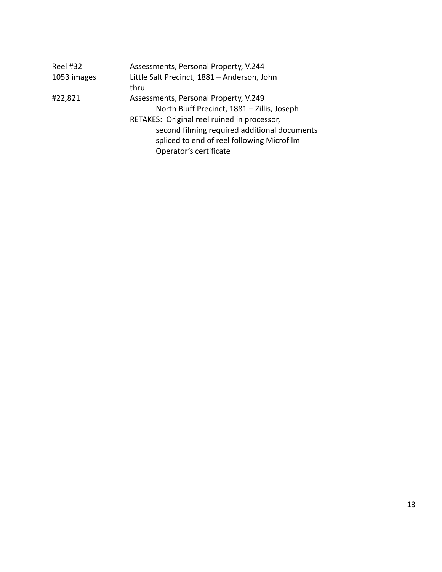| <b>Reel #32</b> | Assessments, Personal Property, V.244        |
|-----------------|----------------------------------------------|
| 1053 images     | Little Salt Precinct, 1881 - Anderson, John  |
|                 | thru                                         |
| #22,821         | Assessments, Personal Property, V.249        |
|                 | North Bluff Precinct, 1881 - Zillis, Joseph  |
|                 | RETAKES: Original reel ruined in processor,  |
|                 | second filming required additional documents |
|                 | spliced to end of reel following Microfilm   |
|                 | Operator's certificate                       |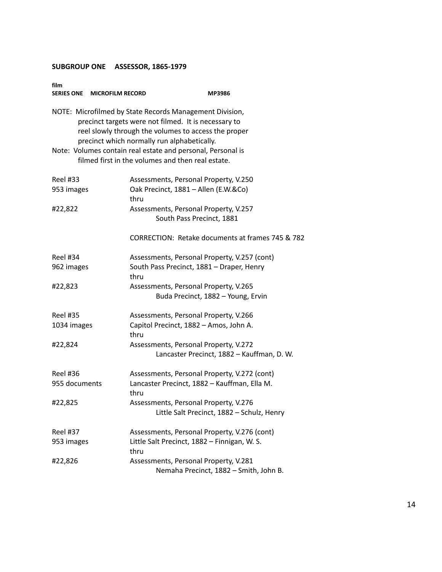| film<br><b>SERIES ONE</b><br><b>MICROFILM RECORD</b> | MP3986                                                                                                                                                                                                                                                                                |
|------------------------------------------------------|---------------------------------------------------------------------------------------------------------------------------------------------------------------------------------------------------------------------------------------------------------------------------------------|
|                                                      | NOTE: Microfilmed by State Records Management Division,<br>precinct targets were not filmed. It is necessary to<br>reel slowly through the volumes to access the proper<br>precinct which normally run alphabetically.<br>Note: Volumes contain real estate and personal, Personal is |
|                                                      | filmed first in the volumes and then real estate.                                                                                                                                                                                                                                     |
| <b>Reel #33</b><br>953 images                        | Assessments, Personal Property, V.250<br>Oak Precinct, 1881 - Allen (E.W.&Co)                                                                                                                                                                                                         |
|                                                      | thru                                                                                                                                                                                                                                                                                  |
| #22,822                                              | Assessments, Personal Property, V.257<br>South Pass Precinct, 1881                                                                                                                                                                                                                    |
|                                                      | CORRECTION: Retake documents at frames 745 & 782                                                                                                                                                                                                                                      |
| <b>Reel #34</b>                                      | Assessments, Personal Property, V.257 (cont)                                                                                                                                                                                                                                          |
| 962 images                                           | South Pass Precinct, 1881 - Draper, Henry<br>thru                                                                                                                                                                                                                                     |
| #22,823                                              | Assessments, Personal Property, V.265<br>Buda Precinct, 1882 - Young, Ervin                                                                                                                                                                                                           |
| <b>Reel #35</b>                                      | Assessments, Personal Property, V.266                                                                                                                                                                                                                                                 |
| 1034 images                                          | Capitol Precinct, 1882 - Amos, John A.<br>thru                                                                                                                                                                                                                                        |
| #22,824                                              | Assessments, Personal Property, V.272<br>Lancaster Precinct, 1882 - Kauffman, D. W.                                                                                                                                                                                                   |
| Reel #36                                             | Assessments, Personal Property, V.272 (cont)                                                                                                                                                                                                                                          |
| 955 documents                                        | Lancaster Precinct, 1882 - Kauffman, Ella M.<br>thru                                                                                                                                                                                                                                  |
| #22,825                                              | Assessments, Personal Property, V.276<br>Little Salt Precinct, 1882 - Schulz, Henry                                                                                                                                                                                                   |
| <b>Reel #37</b>                                      | Assessments, Personal Property, V.276 (cont)                                                                                                                                                                                                                                          |
| 953 images                                           | Little Salt Precinct, 1882 - Finnigan, W. S.<br>thru                                                                                                                                                                                                                                  |
| #22,826                                              | Assessments, Personal Property, V.281<br>Nemaha Precinct, 1882 - Smith, John B.                                                                                                                                                                                                       |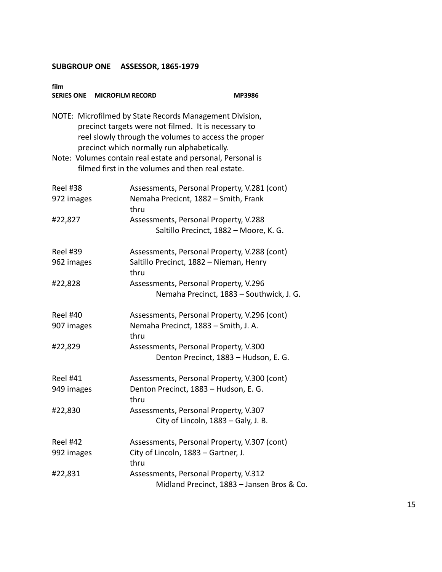| film<br>SERIES ONE MICROFILM RECORD | <b>MP3986</b>                                                                                                                                                                                                          |  |
|-------------------------------------|------------------------------------------------------------------------------------------------------------------------------------------------------------------------------------------------------------------------|--|
|                                     | NOTE: Microfilmed by State Records Management Division,<br>precinct targets were not filmed. It is necessary to<br>reel slowly through the volumes to access the proper<br>precinct which normally run alphabetically. |  |
|                                     | Note: Volumes contain real estate and personal, Personal is<br>filmed first in the volumes and then real estate.                                                                                                       |  |
| <b>Reel #38</b><br>972 images       | Assessments, Personal Property, V.281 (cont)<br>Nemaha Precicnt, 1882 - Smith, Frank<br>thru                                                                                                                           |  |
| #22,827                             | Assessments, Personal Property, V.288<br>Saltillo Precinct, 1882 - Moore, K. G.                                                                                                                                        |  |
| <b>Reel #39</b><br>962 images       | Assessments, Personal Property, V.288 (cont)<br>Saltillo Precinct, 1882 - Nieman, Henry<br>thru                                                                                                                        |  |
| #22,828                             | Assessments, Personal Property, V.296<br>Nemaha Precinct, 1883 - Southwick, J. G.                                                                                                                                      |  |
| <b>Reel #40</b><br>907 images       | Assessments, Personal Property, V.296 (cont)<br>Nemaha Precinct, 1883 - Smith, J. A.<br>thru                                                                                                                           |  |
| #22,829                             | Assessments, Personal Property, V.300<br>Denton Precinct, 1883 - Hudson, E. G.                                                                                                                                         |  |
| <b>Reel #41</b><br>949 images       | Assessments, Personal Property, V.300 (cont)<br>Denton Precinct, 1883 - Hudson, E. G.<br>thru                                                                                                                          |  |
| #22,830                             | Assessments, Personal Property, V.307<br>City of Lincoln, 1883 - Galy, J. B.                                                                                                                                           |  |
| <b>Reel #42</b><br>992 images       | Assessments, Personal Property, V.307 (cont)<br>City of Lincoln, 1883 - Gartner, J.<br>thru                                                                                                                            |  |
| #22,831                             | Assessments, Personal Property, V.312<br>Midland Precinct, 1883 - Jansen Bros & Co.                                                                                                                                    |  |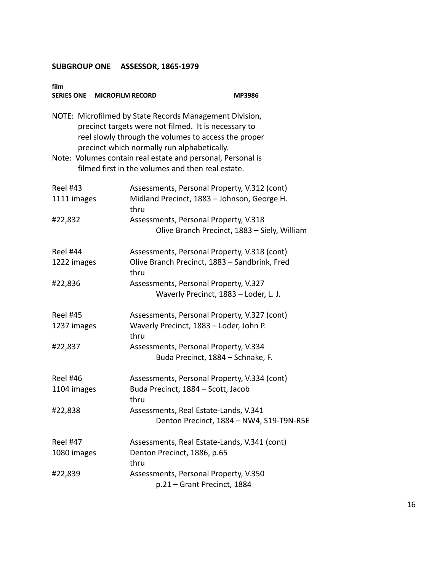| film<br>SERIES ONE MICROFILM RECORD | MP3986                                                                                                                                                                                                                                                                                                                                     |  |
|-------------------------------------|--------------------------------------------------------------------------------------------------------------------------------------------------------------------------------------------------------------------------------------------------------------------------------------------------------------------------------------------|--|
|                                     | NOTE: Microfilmed by State Records Management Division,<br>precinct targets were not filmed. It is necessary to<br>reel slowly through the volumes to access the proper<br>precinct which normally run alphabetically.<br>Note: Volumes contain real estate and personal, Personal is<br>filmed first in the volumes and then real estate. |  |
|                                     |                                                                                                                                                                                                                                                                                                                                            |  |
| <b>Reel #43</b><br>1111 images      | Assessments, Personal Property, V.312 (cont)<br>Midland Precinct, 1883 - Johnson, George H.<br>thru                                                                                                                                                                                                                                        |  |
| #22,832                             | Assessments, Personal Property, V.318<br>Olive Branch Precinct, 1883 - Siely, William                                                                                                                                                                                                                                                      |  |
| <b>Reel #44</b>                     | Assessments, Personal Property, V.318 (cont)                                                                                                                                                                                                                                                                                               |  |
| 1222 images                         | Olive Branch Precinct, 1883 - Sandbrink, Fred<br>thru                                                                                                                                                                                                                                                                                      |  |
| #22,836                             | Assessments, Personal Property, V.327<br>Waverly Precinct, 1883 - Loder, L. J.                                                                                                                                                                                                                                                             |  |
| <b>Reel #45</b>                     | Assessments, Personal Property, V.327 (cont)                                                                                                                                                                                                                                                                                               |  |
| 1237 images                         | Waverly Precinct, 1883 - Loder, John P.<br>thru                                                                                                                                                                                                                                                                                            |  |
| #22,837                             | Assessments, Personal Property, V.334                                                                                                                                                                                                                                                                                                      |  |
|                                     | Buda Precinct, 1884 - Schnake, F.                                                                                                                                                                                                                                                                                                          |  |
| <b>Reel #46</b>                     | Assessments, Personal Property, V.334 (cont)                                                                                                                                                                                                                                                                                               |  |
| 1104 images                         | Buda Precinct, 1884 - Scott, Jacob<br>thru                                                                                                                                                                                                                                                                                                 |  |
| #22,838                             | Assessments, Real Estate-Lands, V.341<br>Denton Precinct, 1884 - NW4, S19-T9N-R5E                                                                                                                                                                                                                                                          |  |
| <b>Reel #47</b>                     | Assessments, Real Estate-Lands, V.341 (cont)                                                                                                                                                                                                                                                                                               |  |
| 1080 images                         | Denton Precinct, 1886, p.65<br>thru                                                                                                                                                                                                                                                                                                        |  |
| #22,839                             | Assessments, Personal Property, V.350<br>p.21 - Grant Precinct, 1884                                                                                                                                                                                                                                                                       |  |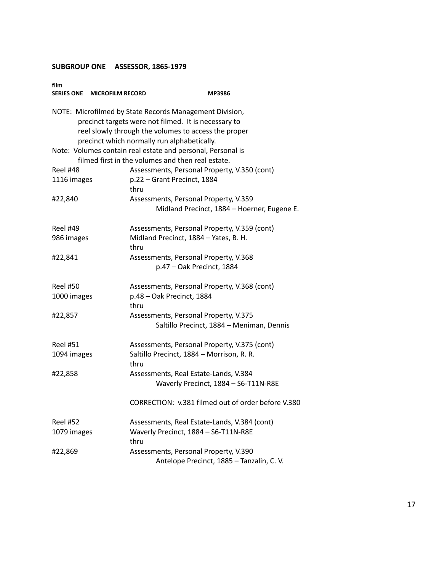| film<br>SERIES ONE MICROFILM RECORD | MP3986                                                                                                                                                                                                                 |
|-------------------------------------|------------------------------------------------------------------------------------------------------------------------------------------------------------------------------------------------------------------------|
|                                     | NOTE: Microfilmed by State Records Management Division,<br>precinct targets were not filmed. It is necessary to<br>reel slowly through the volumes to access the proper<br>precinct which normally run alphabetically. |
|                                     | Note: Volumes contain real estate and personal, Personal is<br>filmed first in the volumes and then real estate.                                                                                                       |
| Reel #48<br>1116 images             | Assessments, Personal Property, V.350 (cont)<br>p.22 - Grant Precinct, 1884<br>thru                                                                                                                                    |
| #22,840                             | Assessments, Personal Property, V.359<br>Midland Precinct, 1884 - Hoerner, Eugene E.                                                                                                                                   |
| <b>Reel #49</b><br>986 images       | Assessments, Personal Property, V.359 (cont)<br>Midland Precinct, 1884 - Yates, B. H.<br>thru                                                                                                                          |
| #22,841                             | Assessments, Personal Property, V.368<br>p.47 - Oak Precinct, 1884                                                                                                                                                     |
| <b>Reel #50</b>                     | Assessments, Personal Property, V.368 (cont)                                                                                                                                                                           |
| 1000 images                         | p.48 - Oak Precinct, 1884<br>thru                                                                                                                                                                                      |
| #22,857                             | Assessments, Personal Property, V.375<br>Saltillo Precinct, 1884 - Meniman, Dennis                                                                                                                                     |
| <b>Reel #51</b><br>1094 images      | Assessments, Personal Property, V.375 (cont)<br>Saltillo Precinct, 1884 - Morrison, R. R.<br>thru                                                                                                                      |
| #22,858                             | Assessments, Real Estate-Lands, V.384<br>Waverly Precinct, 1884 - S6-T11N-R8E                                                                                                                                          |
|                                     | CORRECTION: v.381 filmed out of order before V.380                                                                                                                                                                     |
| <b>Reel #52</b>                     | Assessments, Real Estate-Lands, V.384 (cont)                                                                                                                                                                           |
| 1079 images                         | Waverly Precinct, 1884 - S6-T11N-R8E<br>thru                                                                                                                                                                           |
| #22,869                             | Assessments, Personal Property, V.390<br>Antelope Precinct, 1885 - Tanzalin, C.V.                                                                                                                                      |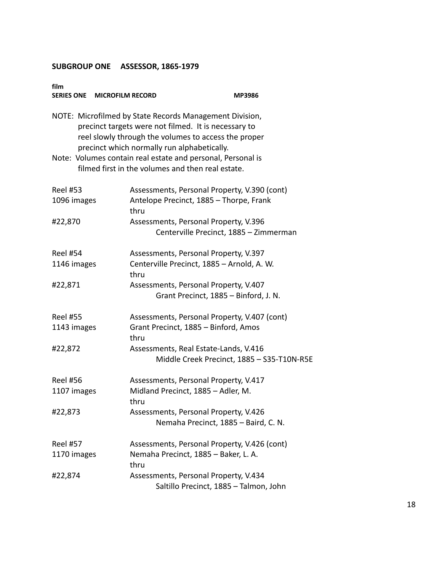| film<br>SERIES ONE MICROFILM RECORD                                                                                                                                                                                    |                                                                                                                  | MP3986                                     |  |
|------------------------------------------------------------------------------------------------------------------------------------------------------------------------------------------------------------------------|------------------------------------------------------------------------------------------------------------------|--------------------------------------------|--|
| NOTE: Microfilmed by State Records Management Division,<br>precinct targets were not filmed. It is necessary to<br>reel slowly through the volumes to access the proper<br>precinct which normally run alphabetically. |                                                                                                                  |                                            |  |
|                                                                                                                                                                                                                        | Note: Volumes contain real estate and personal, Personal is<br>filmed first in the volumes and then real estate. |                                            |  |
| <b>Reel #53</b><br>1096 images                                                                                                                                                                                         | Assessments, Personal Property, V.390 (cont)<br>Antelope Precinct, 1885 - Thorpe, Frank<br>thru                  |                                            |  |
| #22,870                                                                                                                                                                                                                | Assessments, Personal Property, V.396<br>Centerville Precinct, 1885 - Zimmerman                                  |                                            |  |
| <b>Reel #54</b><br>1146 images                                                                                                                                                                                         | Assessments, Personal Property, V.397<br>Centerville Precinct, 1885 - Arnold, A. W.<br>thru                      |                                            |  |
| #22,871                                                                                                                                                                                                                | Assessments, Personal Property, V.407<br>Grant Precinct, 1885 - Binford, J. N.                                   |                                            |  |
| <b>Reel #55</b><br>1143 images                                                                                                                                                                                         | Assessments, Personal Property, V.407 (cont)<br>Grant Precinct, 1885 - Binford, Amos<br>thru                     |                                            |  |
| #22,872                                                                                                                                                                                                                | Assessments, Real Estate-Lands, V.416                                                                            | Middle Creek Precinct, 1885 - S35-T10N-R5E |  |
| <b>Reel #56</b><br>1107 images                                                                                                                                                                                         | Assessments, Personal Property, V.417<br>Midland Precinct, 1885 - Adler, M.<br>thru                              |                                            |  |
| #22,873                                                                                                                                                                                                                | Assessments, Personal Property, V.426<br>Nemaha Precinct, 1885 - Baird, C. N.                                    |                                            |  |
| <b>Reel #57</b><br>1170 images                                                                                                                                                                                         | Assessments, Personal Property, V.426 (cont)<br>Nemaha Precinct, 1885 - Baker, L. A.<br>thru                     |                                            |  |
| #22,874                                                                                                                                                                                                                | Assessments, Personal Property, V.434<br>Saltillo Precinct, 1885 - Talmon, John                                  |                                            |  |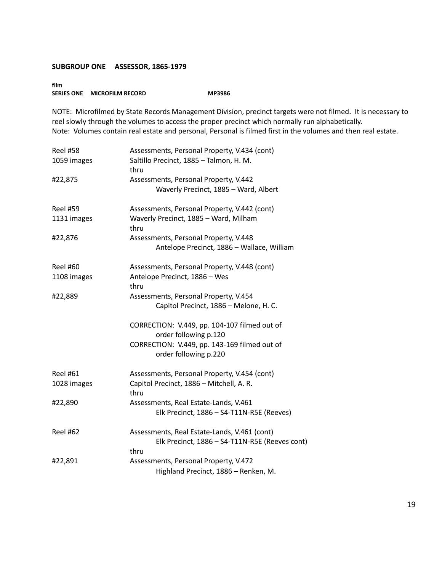**film SERIES ONE MICROFILM RECORD MP3986** 

NOTE: Microfilmed by State Records Management Division, precinct targets were not filmed. It is necessary to reel slowly through the volumes to access the proper precinct which normally run alphabetically. Note: Volumes contain real estate and personal, Personal is filmed first in the volumes and then real estate.

| <b>Reel #58</b><br>1059 images | Assessments, Personal Property, V.434 (cont)<br>Saltillo Precinct, 1885 - Talmon, H. M.                                                        |
|--------------------------------|------------------------------------------------------------------------------------------------------------------------------------------------|
| #22,875                        | thru<br>Assessments, Personal Property, V.442<br>Waverly Precinct, 1885 - Ward, Albert                                                         |
| <b>Reel #59</b><br>1131 images | Assessments, Personal Property, V.442 (cont)<br>Waverly Precinct, 1885 - Ward, Milham<br>thru                                                  |
| #22,876                        | Assessments, Personal Property, V.448<br>Antelope Precinct, 1886 - Wallace, William                                                            |
| <b>Reel #60</b><br>1108 images | Assessments, Personal Property, V.448 (cont)<br>Antelope Precinct, 1886 - Wes<br>thru                                                          |
| #22,889                        | Assessments, Personal Property, V.454<br>Capitol Precinct, 1886 - Melone, H. C.                                                                |
|                                | CORRECTION: V.449, pp. 104-107 filmed out of<br>order following p.120<br>CORRECTION: V.449, pp. 143-169 filmed out of<br>order following p.220 |
| <b>Reel #61</b><br>1028 images | Assessments, Personal Property, V.454 (cont)<br>Capitol Precinct, 1886 - Mitchell, A. R.<br>thru                                               |
| #22,890                        | Assessments, Real Estate-Lands, V.461<br>Elk Precinct, 1886 - S4-T11N-R5E (Reeves)                                                             |
| <b>Reel #62</b>                | Assessments, Real Estate-Lands, V.461 (cont)<br>Elk Precinct, 1886 - S4-T11N-R5E (Reeves cont)<br>thru                                         |
| #22,891                        | Assessments, Personal Property, V.472<br>Highland Precinct, 1886 - Renken, M.                                                                  |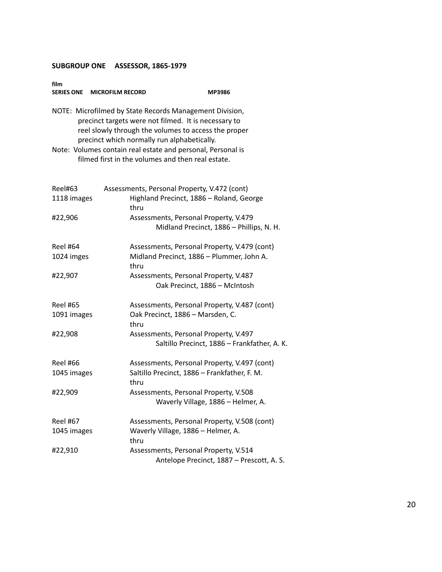| film            | SERIES ONE MICROFILM RECORD                 | MP3986                                                                                                                                                                  |
|-----------------|---------------------------------------------|-------------------------------------------------------------------------------------------------------------------------------------------------------------------------|
|                 | precinct which normally run alphabetically. | NOTE: Microfilmed by State Records Management Division,<br>precinct targets were not filmed. It is necessary to<br>reel slowly through the volumes to access the proper |
|                 |                                             | Note: Volumes contain real estate and personal, Personal is<br>filmed first in the volumes and then real estate.                                                        |
| Reel#63         |                                             | Assessments, Personal Property, V.472 (cont)                                                                                                                            |
| 1118 images     | thru                                        | Highland Precinct, 1886 - Roland, George                                                                                                                                |
| #22,906         |                                             | Assessments, Personal Property, V.479<br>Midland Precinct, 1886 - Phillips, N. H.                                                                                       |
| Reel #64        |                                             | Assessments, Personal Property, V.479 (cont)                                                                                                                            |
| 1024 imges      | thru                                        | Midland Precinct, 1886 - Plummer, John A.                                                                                                                               |
| #22,907         |                                             | Assessments, Personal Property, V.487<br>Oak Precinct, 1886 - McIntosh                                                                                                  |
| <b>Reel #65</b> |                                             | Assessments, Personal Property, V.487 (cont)                                                                                                                            |
| 1091 images     | thru                                        | Oak Precinct, 1886 - Marsden, C.                                                                                                                                        |
| #22,908         |                                             | Assessments, Personal Property, V.497<br>Saltillo Precinct, 1886 - Frankfather, A. K.                                                                                   |
| Reel #66        |                                             | Assessments, Personal Property, V.497 (cont)                                                                                                                            |
| 1045 images     | thru                                        | Saltillo Precinct, 1886 - Frankfather, F. M.                                                                                                                            |
| #22,909         |                                             | Assessments, Personal Property, V.508<br>Waverly Village, 1886 - Helmer, A.                                                                                             |
| <b>Reel #67</b> |                                             | Assessments, Personal Property, V.508 (cont)                                                                                                                            |
| 1045 images     | thru                                        | Waverly Village, 1886 - Helmer, A.                                                                                                                                      |
| #22,910         |                                             | Assessments, Personal Property, V.514<br>Antelope Precinct, 1887 - Prescott, A. S.                                                                                      |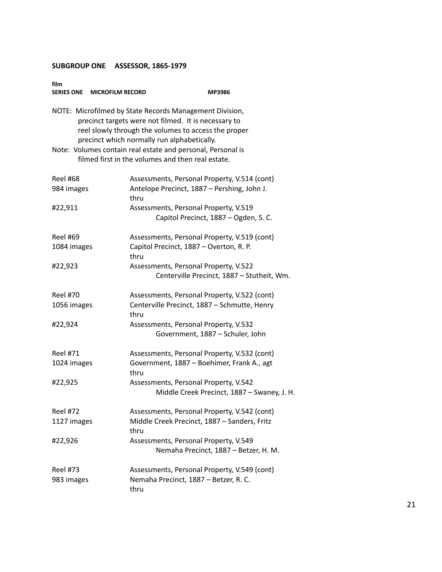| film<br>SERIES ONE MICROFILM RECORD | MP3986                                                                                                                                                                                                                 |
|-------------------------------------|------------------------------------------------------------------------------------------------------------------------------------------------------------------------------------------------------------------------|
|                                     | NOTE: Microfilmed by State Records Management Division,<br>precinct targets were not filmed. It is necessary to<br>reel slowly through the volumes to access the proper<br>precinct which normally run alphabetically. |
|                                     | Note: Volumes contain real estate and personal, Personal is<br>filmed first in the volumes and then real estate.                                                                                                       |
| <b>Reel #68</b>                     | Assessments, Personal Property, V.514 (cont)                                                                                                                                                                           |
| 984 images                          | Antelope Precinct, 1887 - Pershing, John J.<br>thru                                                                                                                                                                    |
| #22,911                             | Assessments, Personal Property, V.519                                                                                                                                                                                  |
|                                     | Capitol Precinct, 1887 - Ogden, S. C.                                                                                                                                                                                  |
| <b>Reel #69</b>                     | Assessments, Personal Property, V.519 (cont)                                                                                                                                                                           |
| 1084 images                         | Capitol Precinct, 1887 - Overton, R. P.<br>thru                                                                                                                                                                        |
| #22,923                             | Assessments, Personal Property, V.522                                                                                                                                                                                  |
|                                     | Centerville Precinct, 1887 - Stutheit, Wm.                                                                                                                                                                             |
| <b>Reel #70</b>                     | Assessments, Personal Property, V.522 (cont)                                                                                                                                                                           |
| 1056 images                         | Centerville Precinct, 1887 - Schmutte, Henry<br>thru                                                                                                                                                                   |
| #22,924                             | Assessments, Personal Property, V.532<br>Government, 1887 - Schuler, John                                                                                                                                              |
| <b>Reel #71</b>                     | Assessments, Personal Property, V.532 (cont)                                                                                                                                                                           |
| 1024 images                         | Government, 1887 - Boehimer, Frank A., agt<br>thru                                                                                                                                                                     |
| #22,925                             | Assessments, Personal Property, V.542                                                                                                                                                                                  |
|                                     | Middle Creek Precinct, 1887 - Swaney, J. H.                                                                                                                                                                            |
| <b>Reel #72</b>                     | Assessments, Personal Property, V.542 (cont)                                                                                                                                                                           |
| 1127 images                         | Middle Creek Precinct, 1887 - Sanders, Fritz<br>thru                                                                                                                                                                   |
| #22,926                             | Assessments, Personal Property, V.549                                                                                                                                                                                  |
|                                     | Nemaha Precinct, 1887 - Betzer, H. M.                                                                                                                                                                                  |
| <b>Reel #73</b>                     | Assessments, Personal Property, V.549 (cont)                                                                                                                                                                           |
| 983 images                          | Nemaha Precinct, 1887 - Betzer, R. C.<br>thru                                                                                                                                                                          |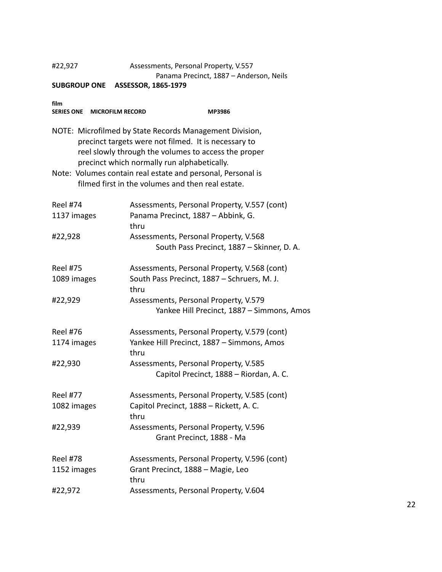#### #22,927 Assessments, Personal Property, V.557 Panama Precinct, 1887 – Anderson, Neils

| film<br>SERIES ONE MICROFILM RECORD | MP3986                                                                                                                                                                                                                                                                                                                                     |
|-------------------------------------|--------------------------------------------------------------------------------------------------------------------------------------------------------------------------------------------------------------------------------------------------------------------------------------------------------------------------------------------|
|                                     | NOTE: Microfilmed by State Records Management Division,<br>precinct targets were not filmed. It is necessary to<br>reel slowly through the volumes to access the proper<br>precinct which normally run alphabetically.<br>Note: Volumes contain real estate and personal, Personal is<br>filmed first in the volumes and then real estate. |
| <b>Reel #74</b>                     | Assessments, Personal Property, V.557 (cont)                                                                                                                                                                                                                                                                                               |
| 1137 images                         | Panama Precinct, 1887 - Abbink, G.<br>thru                                                                                                                                                                                                                                                                                                 |
| #22,928                             | Assessments, Personal Property, V.568                                                                                                                                                                                                                                                                                                      |
|                                     | South Pass Precinct, 1887 - Skinner, D. A.                                                                                                                                                                                                                                                                                                 |
| <b>Reel #75</b>                     | Assessments, Personal Property, V.568 (cont)                                                                                                                                                                                                                                                                                               |
| 1089 images                         | South Pass Precinct, 1887 - Schruers, M. J.<br>thru                                                                                                                                                                                                                                                                                        |
| #22,929                             | Assessments, Personal Property, V.579                                                                                                                                                                                                                                                                                                      |
|                                     | Yankee Hill Precinct, 1887 - Simmons, Amos                                                                                                                                                                                                                                                                                                 |
| <b>Reel #76</b>                     | Assessments, Personal Property, V.579 (cont)                                                                                                                                                                                                                                                                                               |
| 1174 images                         | Yankee Hill Precinct, 1887 - Simmons, Amos<br>thru                                                                                                                                                                                                                                                                                         |
| #22,930                             | Assessments, Personal Property, V.585                                                                                                                                                                                                                                                                                                      |
|                                     | Capitol Precinct, 1888 - Riordan, A. C.                                                                                                                                                                                                                                                                                                    |
| <b>Reel #77</b>                     | Assessments, Personal Property, V.585 (cont)                                                                                                                                                                                                                                                                                               |
| 1082 images                         | Capitol Precinct, 1888 - Rickett, A. C.<br>thru                                                                                                                                                                                                                                                                                            |
| #22,939                             | Assessments, Personal Property, V.596                                                                                                                                                                                                                                                                                                      |
|                                     | Grant Precinct, 1888 - Ma                                                                                                                                                                                                                                                                                                                  |
| <b>Reel #78</b>                     | Assessments, Personal Property, V.596 (cont)                                                                                                                                                                                                                                                                                               |
| 1152 images                         | Grant Precinct, 1888 - Magie, Leo                                                                                                                                                                                                                                                                                                          |
|                                     | thru                                                                                                                                                                                                                                                                                                                                       |
| #22,972                             | Assessments, Personal Property, V.604                                                                                                                                                                                                                                                                                                      |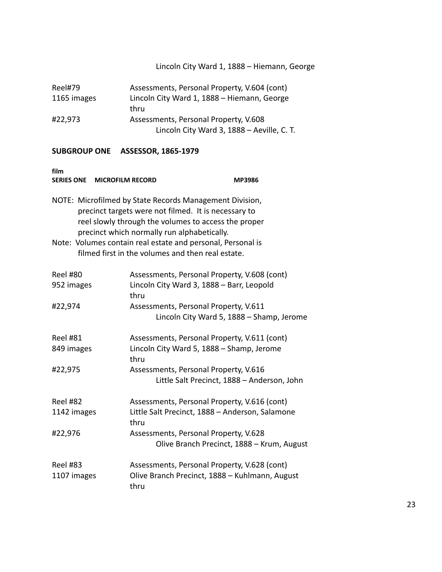## Lincoln City Ward 1, 1888 – Hiemann, George

| Reel#79     | Assessments, Personal Property, V.604 (cont) |
|-------------|----------------------------------------------|
| 1165 images | Lincoln City Ward 1, 1888 - Hiemann, George  |
|             | thru                                         |
| #22,973     | Assessments, Personal Property, V.608        |
|             | Lincoln City Ward 3, 1888 - Aeville, C. T.   |

| film<br>SERIES ONE MICROFILM RECORD                                                                                                                                                                                                                                                                                                        |                                                                                                        | <b>MP3986</b>                              |  |
|--------------------------------------------------------------------------------------------------------------------------------------------------------------------------------------------------------------------------------------------------------------------------------------------------------------------------------------------|--------------------------------------------------------------------------------------------------------|--------------------------------------------|--|
| NOTE: Microfilmed by State Records Management Division,<br>precinct targets were not filmed. It is necessary to<br>reel slowly through the volumes to access the proper<br>precinct which normally run alphabetically.<br>Note: Volumes contain real estate and personal, Personal is<br>filmed first in the volumes and then real estate. |                                                                                                        |                                            |  |
| <b>Reel #80</b>                                                                                                                                                                                                                                                                                                                            | Assessments, Personal Property, V.608 (cont)                                                           |                                            |  |
| 952 images                                                                                                                                                                                                                                                                                                                                 | Lincoln City Ward 3, 1888 - Barr, Leopold<br>thru                                                      |                                            |  |
| #22,974                                                                                                                                                                                                                                                                                                                                    | Assessments, Personal Property, V.611                                                                  | Lincoln City Ward 5, 1888 - Shamp, Jerome  |  |
| <b>Reel #81</b>                                                                                                                                                                                                                                                                                                                            | Assessments, Personal Property, V.611 (cont)                                                           |                                            |  |
| 849 images                                                                                                                                                                                                                                                                                                                                 | Lincoln City Ward 5, 1888 - Shamp, Jerome<br>thru                                                      |                                            |  |
| #22,975                                                                                                                                                                                                                                                                                                                                    | Assessments, Personal Property, V.616<br>Little Salt Precinct, 1888 - Anderson, John                   |                                            |  |
| <b>Reel #82</b>                                                                                                                                                                                                                                                                                                                            | Assessments, Personal Property, V.616 (cont)                                                           |                                            |  |
| 1142 images                                                                                                                                                                                                                                                                                                                                | Little Salt Precinct, 1888 - Anderson, Salamone<br>thru                                                |                                            |  |
| #22,976                                                                                                                                                                                                                                                                                                                                    | Assessments, Personal Property, V.628                                                                  | Olive Branch Precinct, 1888 - Krum, August |  |
| <b>Reel #83</b><br>1107 images                                                                                                                                                                                                                                                                                                             | Assessments, Personal Property, V.628 (cont)<br>Olive Branch Precinct, 1888 - Kuhlmann, August<br>thru |                                            |  |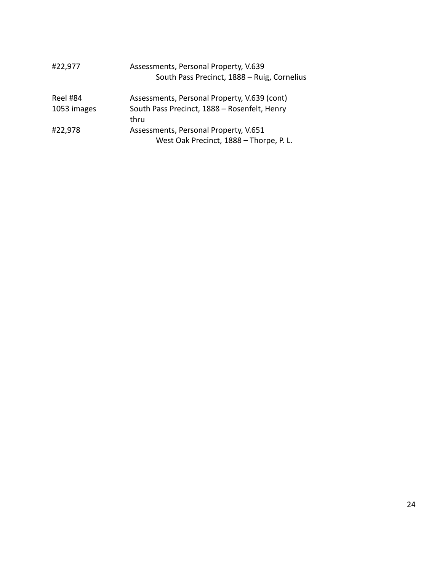| #22,977     | Assessments, Personal Property, V.639<br>South Pass Precinct, 1888 - Ruig, Cornelius |
|-------------|--------------------------------------------------------------------------------------|
| Reel #84    | Assessments, Personal Property, V.639 (cont)                                         |
| 1053 images | South Pass Precinct, 1888 - Rosenfelt, Henry<br>thru                                 |
| #22,978     | Assessments, Personal Property, V.651                                                |
|             | West Oak Precinct, 1888 - Thorpe, P. L.                                              |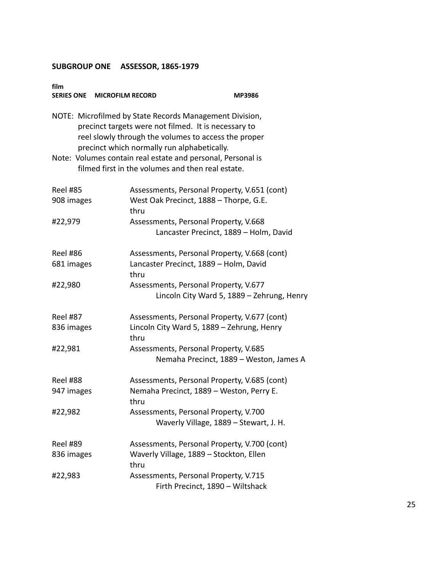| film<br>SERIES ONE MICROFILM RECORD                                                                                                                                                                                    |                                                                                                                  | <b>MP3986</b> |  |
|------------------------------------------------------------------------------------------------------------------------------------------------------------------------------------------------------------------------|------------------------------------------------------------------------------------------------------------------|---------------|--|
| NOTE: Microfilmed by State Records Management Division,<br>precinct targets were not filmed. It is necessary to<br>reel slowly through the volumes to access the proper<br>precinct which normally run alphabetically. |                                                                                                                  |               |  |
|                                                                                                                                                                                                                        | Note: Volumes contain real estate and personal, Personal is<br>filmed first in the volumes and then real estate. |               |  |
| <b>Reel #85</b><br>908 images                                                                                                                                                                                          | Assessments, Personal Property, V.651 (cont)<br>West Oak Precinct, 1888 - Thorpe, G.E.<br>thru                   |               |  |
| #22,979                                                                                                                                                                                                                | Assessments, Personal Property, V.668<br>Lancaster Precinct, 1889 - Holm, David                                  |               |  |
| <b>Reel #86</b><br>681 images                                                                                                                                                                                          | Assessments, Personal Property, V.668 (cont)<br>Lancaster Precinct, 1889 - Holm, David<br>thru                   |               |  |
| #22,980                                                                                                                                                                                                                | Assessments, Personal Property, V.677<br>Lincoln City Ward 5, 1889 - Zehrung, Henry                              |               |  |
| <b>Reel #87</b><br>836 images                                                                                                                                                                                          | Assessments, Personal Property, V.677 (cont)<br>Lincoln City Ward 5, 1889 - Zehrung, Henry<br>thru               |               |  |
| #22,981                                                                                                                                                                                                                | Assessments, Personal Property, V.685<br>Nemaha Precinct, 1889 - Weston, James A                                 |               |  |
| <b>Reel #88</b><br>947 images                                                                                                                                                                                          | Assessments, Personal Property, V.685 (cont)<br>Nemaha Precinct, 1889 - Weston, Perry E.<br>thru                 |               |  |
| #22,982                                                                                                                                                                                                                | Assessments, Personal Property, V.700<br>Waverly Village, 1889 - Stewart, J. H.                                  |               |  |
| <b>Reel #89</b><br>836 images                                                                                                                                                                                          | Assessments, Personal Property, V.700 (cont)<br>Waverly Village, 1889 - Stockton, Ellen<br>thru                  |               |  |
| #22,983                                                                                                                                                                                                                | Assessments, Personal Property, V.715<br>Firth Precinct, 1890 - Wiltshack                                        |               |  |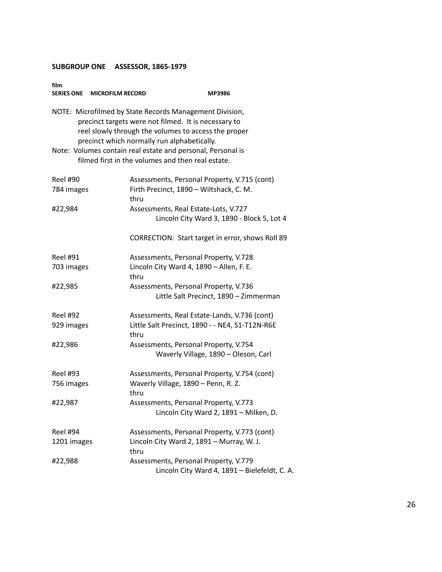| film<br>SERIES ONE MICROFILM RECORD | <b>MP3986</b>                                                                                                                                                                                                          |
|-------------------------------------|------------------------------------------------------------------------------------------------------------------------------------------------------------------------------------------------------------------------|
|                                     | NOTE: Microfilmed by State Records Management Division,<br>precinct targets were not filmed. It is necessary to<br>reel slowly through the volumes to access the proper<br>precinct which normally run alphabetically. |
|                                     | Note: Volumes contain real estate and personal, Personal is<br>filmed first in the volumes and then real estate.                                                                                                       |
| <b>Reel #90</b><br>784 images       | Assessments, Personal Property, V.715 (cont)<br>Firth Precinct, 1890 - Wiltshack, C. M.<br>thru                                                                                                                        |
| #22,984                             | Assessments, Real Estate-Lots, V.727<br>Lincoln City Ward 3, 1890 - Block 5, Lot 4                                                                                                                                     |
|                                     | CORRECTION: Start target in error, shows Roll 89                                                                                                                                                                       |
| <b>Reel #91</b><br>703 images       | Assessments, Personal Property, V.728<br>Lincoln City Ward 4, 1890 - Allen, F. E.<br>thru                                                                                                                              |
| #22,985                             | Assessments, Personal Property, V.736<br>Little Salt Precinct, 1890 - Zimmerman                                                                                                                                        |
| <b>Reel #92</b><br>929 images       | Assessments, Real Estate-Lands, V.736 (cont)<br>Little Salt Precinct, 1890 - - NE4, S1-T12N-R6E<br>thru                                                                                                                |
| #22,986                             | Assessments, Personal Property, V.754<br>Waverly Village, 1890 - Oleson, Carl                                                                                                                                          |
| <b>Reel #93</b><br>756 images       | Assessments, Personal Property, V.754 (cont)<br>Waverly Village, 1890 - Penn, R. Z.<br>thru                                                                                                                            |
| #22,987                             | Assessments, Personal Property, V.773<br>Lincoln City Ward 2, 1891 - Milken, D.                                                                                                                                        |
| Reel #94<br>1201 images             | Assessments, Personal Property, V.773 (cont)<br>Lincoln City Ward 2, 1891 - Murray, W. J.<br>thru                                                                                                                      |
| #22,988                             | Assessments, Personal Property, V.779<br>Lincoln City Ward 4, 1891 - Bielefeldt, C. A.                                                                                                                                 |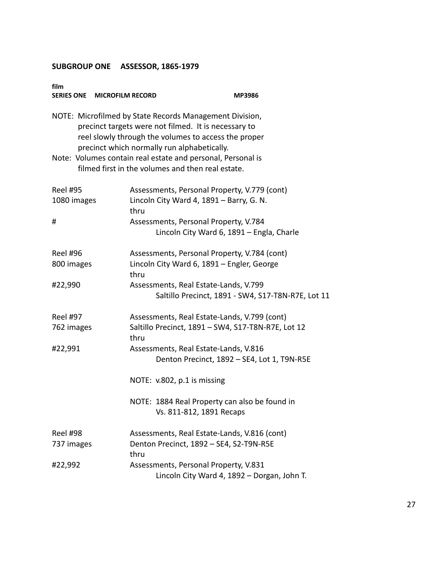| film<br><b>SERIES ONE</b> | <b>MICROFILM RECORD</b><br><b>MP3986</b>                                                                                                                                                                               |
|---------------------------|------------------------------------------------------------------------------------------------------------------------------------------------------------------------------------------------------------------------|
|                           | NOTE: Microfilmed by State Records Management Division,<br>precinct targets were not filmed. It is necessary to<br>reel slowly through the volumes to access the proper<br>precinct which normally run alphabetically. |
|                           | Note: Volumes contain real estate and personal, Personal is<br>filmed first in the volumes and then real estate.                                                                                                       |
| <b>Reel #95</b>           | Assessments, Personal Property, V.779 (cont)                                                                                                                                                                           |
| 1080 images               | Lincoln City Ward 4, 1891 - Barry, G. N.<br>thru                                                                                                                                                                       |
| #                         | Assessments, Personal Property, V.784                                                                                                                                                                                  |
|                           | Lincoln City Ward 6, 1891 - Engla, Charle                                                                                                                                                                              |
| <b>Reel #96</b>           | Assessments, Personal Property, V.784 (cont)                                                                                                                                                                           |
| 800 images                | Lincoln City Ward 6, 1891 - Engler, George<br>thru                                                                                                                                                                     |
| #22,990                   | Assessments, Real Estate-Lands, V.799                                                                                                                                                                                  |
|                           | Saltillo Precinct, 1891 - SW4, S17-T8N-R7E, Lot 11                                                                                                                                                                     |
| <b>Reel #97</b>           | Assessments, Real Estate-Lands, V.799 (cont)                                                                                                                                                                           |
| 762 images                | Saltillo Precinct, 1891 - SW4, S17-T8N-R7E, Lot 12<br>thru                                                                                                                                                             |
| #22,991                   | Assessments, Real Estate-Lands, V.816<br>Denton Precinct, 1892 - SE4, Lot 1, T9N-R5E                                                                                                                                   |
|                           | NOTE: v.802, p.1 is missing                                                                                                                                                                                            |
|                           | NOTE: 1884 Real Property can also be found in<br>Vs. 811-812, 1891 Recaps                                                                                                                                              |
| <b>Reel #98</b>           | Assessments, Real Estate-Lands, V.816 (cont)                                                                                                                                                                           |
| 737 images                | Denton Precinct, 1892 - SE4, S2-T9N-R5E<br>thru                                                                                                                                                                        |
| #22,992                   | Assessments, Personal Property, V.831                                                                                                                                                                                  |
|                           | Lincoln City Ward 4, 1892 - Dorgan, John T.                                                                                                                                                                            |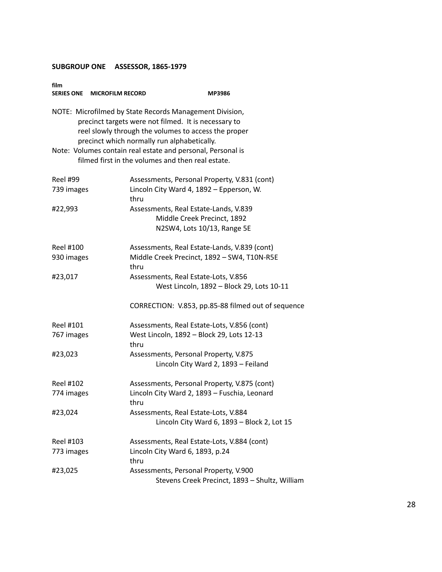| film<br>SERIES ONE MICROFILM RECORD | MP3986                                                                                                                                                                                                                 |
|-------------------------------------|------------------------------------------------------------------------------------------------------------------------------------------------------------------------------------------------------------------------|
|                                     | NOTE: Microfilmed by State Records Management Division,<br>precinct targets were not filmed. It is necessary to<br>reel slowly through the volumes to access the proper<br>precinct which normally run alphabetically. |
|                                     | Note: Volumes contain real estate and personal, Personal is<br>filmed first in the volumes and then real estate.                                                                                                       |
| <b>Reel #99</b>                     | Assessments, Personal Property, V.831 (cont)                                                                                                                                                                           |
| 739 images                          | Lincoln City Ward 4, 1892 - Epperson, W.<br>thru                                                                                                                                                                       |
| #22,993                             | Assessments, Real Estate-Lands, V.839                                                                                                                                                                                  |
|                                     | Middle Creek Precinct, 1892                                                                                                                                                                                            |
|                                     | N2SW4, Lots 10/13, Range 5E                                                                                                                                                                                            |
| Reel #100                           | Assessments, Real Estate-Lands, V.839 (cont)                                                                                                                                                                           |
| 930 images                          | Middle Creek Precinct, 1892 - SW4, T10N-R5E<br>thru                                                                                                                                                                    |
| #23,017                             | Assessments, Real Estate-Lots, V.856                                                                                                                                                                                   |
|                                     | West Lincoln, 1892 - Block 29, Lots 10-11                                                                                                                                                                              |
|                                     | CORRECTION: V.853, pp.85-88 filmed out of sequence                                                                                                                                                                     |
| Reel #101                           | Assessments, Real Estate-Lots, V.856 (cont)                                                                                                                                                                            |
| 767 images                          | West Lincoln, 1892 - Block 29, Lots 12-13<br>thru                                                                                                                                                                      |
| #23,023                             | Assessments, Personal Property, V.875<br>Lincoln City Ward 2, 1893 - Feiland                                                                                                                                           |
| <b>Reel #102</b>                    | Assessments, Personal Property, V.875 (cont)                                                                                                                                                                           |
| 774 images                          | Lincoln City Ward 2, 1893 - Fuschia, Leonard<br>thru                                                                                                                                                                   |
| #23,024                             | Assessments, Real Estate-Lots, V.884                                                                                                                                                                                   |
|                                     | Lincoln City Ward 6, 1893 - Block 2, Lot 15                                                                                                                                                                            |
| Reel #103                           | Assessments, Real Estate-Lots, V.884 (cont)                                                                                                                                                                            |
| 773 images                          | Lincoln City Ward 6, 1893, p.24<br>thru                                                                                                                                                                                |
| #23,025                             | Assessments, Personal Property, V.900<br>Stevens Creek Precinct, 1893 - Shultz, William                                                                                                                                |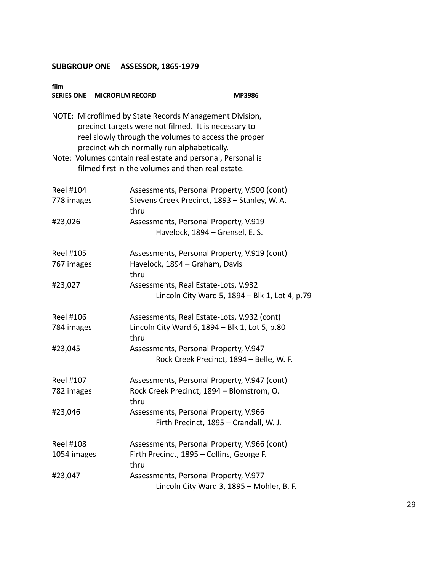| film<br>SERIES ONE MICROFILM RECORD                                                                                                                                                                                                                                                   |                                                                                                       | MP3986                                         |  |
|---------------------------------------------------------------------------------------------------------------------------------------------------------------------------------------------------------------------------------------------------------------------------------------|-------------------------------------------------------------------------------------------------------|------------------------------------------------|--|
| NOTE: Microfilmed by State Records Management Division,<br>precinct targets were not filmed. It is necessary to<br>reel slowly through the volumes to access the proper<br>precinct which normally run alphabetically.<br>Note: Volumes contain real estate and personal, Personal is |                                                                                                       |                                                |  |
|                                                                                                                                                                                                                                                                                       | filmed first in the volumes and then real estate.                                                     |                                                |  |
| <b>Reel #104</b><br>778 images                                                                                                                                                                                                                                                        | Assessments, Personal Property, V.900 (cont)<br>Stevens Creek Precinct, 1893 - Stanley, W. A.<br>thru |                                                |  |
| #23,026                                                                                                                                                                                                                                                                               | Assessments, Personal Property, V.919<br>Havelock, 1894 - Grensel, E. S.                              |                                                |  |
| Reel #105<br>767 images                                                                                                                                                                                                                                                               | Assessments, Personal Property, V.919 (cont)<br>Havelock, 1894 - Graham, Davis<br>thru                |                                                |  |
| #23,027                                                                                                                                                                                                                                                                               | Assessments, Real Estate-Lots, V.932                                                                  | Lincoln City Ward 5, 1894 - Blk 1, Lot 4, p.79 |  |
| Reel #106                                                                                                                                                                                                                                                                             | Assessments, Real Estate-Lots, V.932 (cont)                                                           |                                                |  |
| 784 images                                                                                                                                                                                                                                                                            | Lincoln City Ward 6, 1894 - Blk 1, Lot 5, p.80<br>thru                                                |                                                |  |
| #23,045                                                                                                                                                                                                                                                                               | Assessments, Personal Property, V.947<br>Rock Creek Precinct, 1894 - Belle, W. F.                     |                                                |  |
| Reel #107                                                                                                                                                                                                                                                                             | Assessments, Personal Property, V.947 (cont)                                                          |                                                |  |
| 782 images                                                                                                                                                                                                                                                                            | Rock Creek Precinct, 1894 - Blomstrom, O.<br>thru                                                     |                                                |  |
| #23,046                                                                                                                                                                                                                                                                               | Assessments, Personal Property, V.966<br>Firth Precinct, 1895 - Crandall, W. J.                       |                                                |  |
| Reel #108                                                                                                                                                                                                                                                                             | Assessments, Personal Property, V.966 (cont)                                                          |                                                |  |
| 1054 images                                                                                                                                                                                                                                                                           | Firth Precinct, 1895 - Collins, George F.<br>thru                                                     |                                                |  |
| #23,047                                                                                                                                                                                                                                                                               | Assessments, Personal Property, V.977<br>Lincoln City Ward 3, 1895 - Mohler, B. F.                    |                                                |  |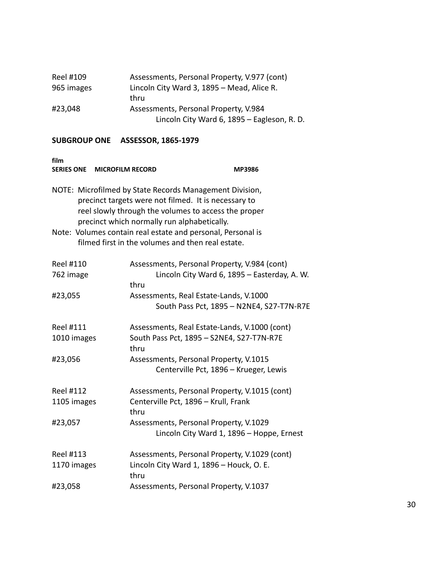| Reel #109  | Assessments, Personal Property, V.977 (cont) |
|------------|----------------------------------------------|
| 965 images | Lincoln City Ward 3, 1895 - Mead, Alice R.   |
|            | thru                                         |
| #23,048    | Assessments, Personal Property, V.984        |
|            | Lincoln City Ward 6, 1895 - Eagleson, R. D.  |

| film<br><b>SERIES ONE</b><br><b>MICROFILM RECORD</b>                                                                                                                                                                   |                                                                                                                  | MP3986                                       |  |
|------------------------------------------------------------------------------------------------------------------------------------------------------------------------------------------------------------------------|------------------------------------------------------------------------------------------------------------------|----------------------------------------------|--|
| NOTE: Microfilmed by State Records Management Division,<br>precinct targets were not filmed. It is necessary to<br>reel slowly through the volumes to access the proper<br>precinct which normally run alphabetically. |                                                                                                                  |                                              |  |
|                                                                                                                                                                                                                        | Note: Volumes contain real estate and personal, Personal is<br>filmed first in the volumes and then real estate. |                                              |  |
| <b>Reel #110</b>                                                                                                                                                                                                       | Assessments, Personal Property, V.984 (cont)                                                                     |                                              |  |
| 762 image                                                                                                                                                                                                              | thru                                                                                                             | Lincoln City Ward 6, 1895 - Easterday, A. W. |  |
| #23,055                                                                                                                                                                                                                | Assessments, Real Estate-Lands, V.1000                                                                           | South Pass Pct, 1895 - N2NE4, S27-T7N-R7E    |  |
| <b>Reel #111</b>                                                                                                                                                                                                       | Assessments, Real Estate-Lands, V.1000 (cont)                                                                    |                                              |  |
| 1010 images                                                                                                                                                                                                            | South Pass Pct, 1895 - S2NE4, S27-T7N-R7E<br>thru                                                                |                                              |  |
| #23,056                                                                                                                                                                                                                | Assessments, Personal Property, V.1015                                                                           |                                              |  |
|                                                                                                                                                                                                                        | Centerville Pct, 1896 - Krueger, Lewis                                                                           |                                              |  |
| <b>Reel #112</b>                                                                                                                                                                                                       | Assessments, Personal Property, V.1015 (cont)                                                                    |                                              |  |
| 1105 images                                                                                                                                                                                                            | Centerville Pct, 1896 - Krull, Frank<br>thru                                                                     |                                              |  |
| #23,057                                                                                                                                                                                                                | Assessments, Personal Property, V.1029<br>Lincoln City Ward 1, 1896 - Hoppe, Ernest                              |                                              |  |
| <b>Reel #113</b>                                                                                                                                                                                                       | Assessments, Personal Property, V.1029 (cont)                                                                    |                                              |  |
| 1170 images                                                                                                                                                                                                            | Lincoln City Ward 1, 1896 - Houck, O. E.<br>thru                                                                 |                                              |  |
| #23,058                                                                                                                                                                                                                | Assessments, Personal Property, V.1037                                                                           |                                              |  |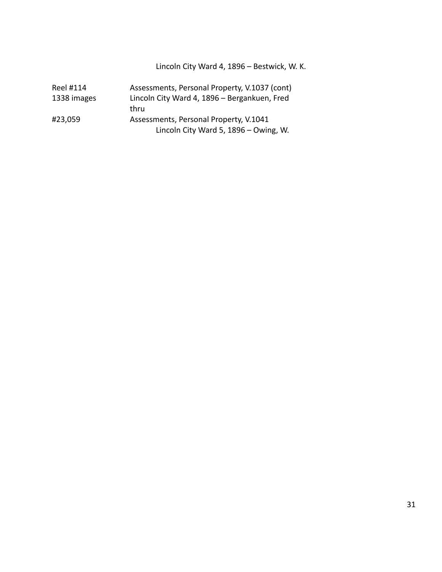Lincoln City Ward 4, 1896 – Bestwick, W. K.

| Reel #114   | Assessments, Personal Property, V.1037 (cont) |
|-------------|-----------------------------------------------|
| 1338 images | Lincoln City Ward 4, 1896 - Bergankuen, Fred  |
|             | thru                                          |
| #23,059     | Assessments, Personal Property, V.1041        |
|             | Lincoln City Ward 5, 1896 - Owing, W.         |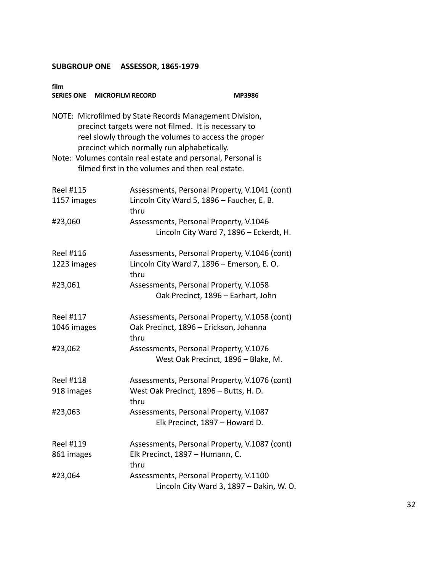| film<br>SERIES ONE MICROFILM RECORD |                                                                                                                                                                                                                                                                                                                                            | MP3986 |
|-------------------------------------|--------------------------------------------------------------------------------------------------------------------------------------------------------------------------------------------------------------------------------------------------------------------------------------------------------------------------------------------|--------|
|                                     | NOTE: Microfilmed by State Records Management Division,<br>precinct targets were not filmed. It is necessary to<br>reel slowly through the volumes to access the proper<br>precinct which normally run alphabetically.<br>Note: Volumes contain real estate and personal, Personal is<br>filmed first in the volumes and then real estate. |        |
| <b>Reel #115</b><br>1157 images     | Assessments, Personal Property, V.1041 (cont)<br>Lincoln City Ward 5, 1896 - Faucher, E. B.<br>thru                                                                                                                                                                                                                                        |        |
| #23,060                             | Assessments, Personal Property, V.1046<br>Lincoln City Ward 7, 1896 - Eckerdt, H.                                                                                                                                                                                                                                                          |        |
| Reel #116<br>1223 images            | Assessments, Personal Property, V.1046 (cont)<br>Lincoln City Ward 7, 1896 - Emerson, E. O.<br>thru                                                                                                                                                                                                                                        |        |
| #23,061                             | Assessments, Personal Property, V.1058<br>Oak Precinct, 1896 - Earhart, John                                                                                                                                                                                                                                                               |        |
| Reel #117<br>1046 images            | Assessments, Personal Property, V.1058 (cont)<br>Oak Precinct, 1896 - Erickson, Johanna<br>thru                                                                                                                                                                                                                                            |        |
| #23,062                             | Assessments, Personal Property, V.1076<br>West Oak Precinct, 1896 - Blake, M.                                                                                                                                                                                                                                                              |        |
| Reel #118<br>918 images             | Assessments, Personal Property, V.1076 (cont)<br>West Oak Precinct, 1896 - Butts, H. D.<br>thru                                                                                                                                                                                                                                            |        |
| #23,063                             | Assessments, Personal Property, V.1087<br>Elk Precinct, 1897 - Howard D.                                                                                                                                                                                                                                                                   |        |
| Reel #119<br>861 images             | Assessments, Personal Property, V.1087 (cont)<br>Elk Precinct, 1897 - Humann, C.<br>thru                                                                                                                                                                                                                                                   |        |
| #23,064                             | Assessments, Personal Property, V.1100<br>Lincoln City Ward 3, 1897 - Dakin, W. O.                                                                                                                                                                                                                                                         |        |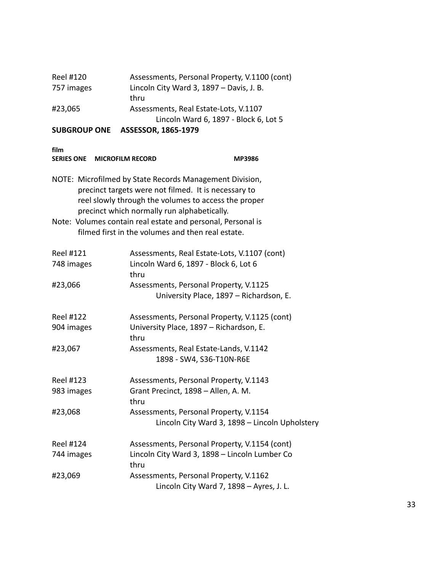|            | Lincoln Ward 6, 1897 - Block 6, Lot 5         |
|------------|-----------------------------------------------|
| #23,065    | Assessments, Real Estate-Lots, V.1107         |
|            | thru                                          |
| 757 images | Lincoln City Ward 3, 1897 - Davis, J. B.      |
| Reel #120  | Assessments, Personal Property, V.1100 (cont) |

| SERIES ONE MICROFILM RECORD    | <b>MP3986</b>                                                                                                                                                                                                          |  |
|--------------------------------|------------------------------------------------------------------------------------------------------------------------------------------------------------------------------------------------------------------------|--|
|                                | NOTE: Microfilmed by State Records Management Division,<br>precinct targets were not filmed. It is necessary to<br>reel slowly through the volumes to access the proper<br>precinct which normally run alphabetically. |  |
|                                | Note: Volumes contain real estate and personal, Personal is<br>filmed first in the volumes and then real estate.                                                                                                       |  |
| Reel #121<br>748 images        | Assessments, Real Estate-Lots, V.1107 (cont)<br>Lincoln Ward 6, 1897 - Block 6, Lot 6<br>thru                                                                                                                          |  |
| #23,066                        | Assessments, Personal Property, V.1125<br>University Place, 1897 - Richardson, E.                                                                                                                                      |  |
| <b>Reel #122</b><br>904 images | Assessments, Personal Property, V.1125 (cont)<br>University Place, 1897 - Richardson, E.<br>thru                                                                                                                       |  |
| #23,067                        | Assessments, Real Estate-Lands, V.1142<br>1898 - SW4, S36-T10N-R6E                                                                                                                                                     |  |
| Reel #123                      | Assessments, Personal Property, V.1143                                                                                                                                                                                 |  |
| 983 images                     | Grant Precinct, 1898 - Allen, A. M.<br>thru                                                                                                                                                                            |  |
| #23,068                        | Assessments, Personal Property, V.1154<br>Lincoln City Ward 3, 1898 - Lincoln Upholstery                                                                                                                               |  |
| <b>Reel #124</b>               | Assessments, Personal Property, V.1154 (cont)                                                                                                                                                                          |  |
| 744 images                     | Lincoln City Ward 3, 1898 - Lincoln Lumber Co<br>thru                                                                                                                                                                  |  |
| #23,069                        | Assessments, Personal Property, V.1162<br>Lincoln City Ward 7, 1898 - Ayres, J. L.                                                                                                                                     |  |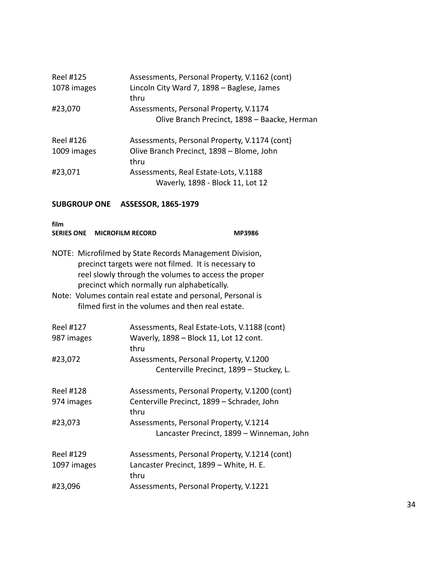| Reel #125<br>1078 images | Assessments, Personal Property, V.1162 (cont)<br>Lincoln City Ward 7, 1898 - Baglese, James<br>thru |
|--------------------------|-----------------------------------------------------------------------------------------------------|
| #23,070                  | Assessments, Personal Property, V.1174<br>Olive Branch Precinct, 1898 - Baacke, Herman              |
| Reel #126<br>1009 images | Assessments, Personal Property, V.1174 (cont)<br>Olive Branch Precinct, 1898 - Blome, John<br>thru  |
| #23,071                  | Assessments, Real Estate-Lots, V.1188<br>Waverly, 1898 - Block 11, Lot 12                           |

| film<br>SERIES ONE MICROFILM RECORD |                                                                                                                                                                                                                        | <b>MP3986</b>                                                                       |
|-------------------------------------|------------------------------------------------------------------------------------------------------------------------------------------------------------------------------------------------------------------------|-------------------------------------------------------------------------------------|
|                                     | NOTE: Microfilmed by State Records Management Division,<br>precinct targets were not filmed. It is necessary to<br>reel slowly through the volumes to access the proper<br>precinct which normally run alphabetically. |                                                                                     |
|                                     | Note: Volumes contain real estate and personal, Personal is<br>filmed first in the volumes and then real estate.                                                                                                       |                                                                                     |
| Reel #127                           |                                                                                                                                                                                                                        | Assessments, Real Estate-Lots, V.1188 (cont)                                        |
| 987 images                          | thru                                                                                                                                                                                                                   | Waverly, 1898 - Block 11, Lot 12 cont.                                              |
| #23,072                             |                                                                                                                                                                                                                        | Assessments, Personal Property, V.1200<br>Centerville Precinct, 1899 - Stuckey, L.  |
| Reel #128                           |                                                                                                                                                                                                                        | Assessments, Personal Property, V.1200 (cont)                                       |
| 974 images                          | thru                                                                                                                                                                                                                   | Centerville Precinct, 1899 - Schrader, John                                         |
| #23,073                             |                                                                                                                                                                                                                        | Assessments, Personal Property, V.1214<br>Lancaster Precinct, 1899 - Winneman, John |
| <b>Reel #129</b>                    |                                                                                                                                                                                                                        | Assessments, Personal Property, V.1214 (cont)                                       |
| 1097 images                         | thru                                                                                                                                                                                                                   | Lancaster Precinct, 1899 - White, H. E.                                             |
| #23,096                             |                                                                                                                                                                                                                        | Assessments, Personal Property, V.1221                                              |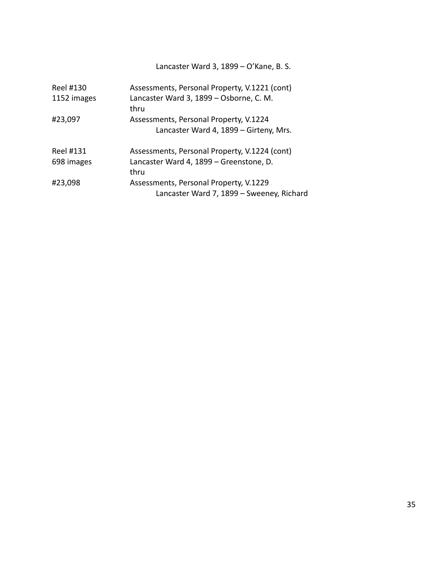Lancaster Ward 3, 1899 – O'Kane, B. S.

| Reel #130<br>1152 images | Assessments, Personal Property, V.1221 (cont)<br>Lancaster Ward 3, 1899 - Osborne, C. M. |
|--------------------------|------------------------------------------------------------------------------------------|
|                          | thru                                                                                     |
| #23,097                  | Assessments, Personal Property, V.1224                                                   |
|                          | Lancaster Ward 4, 1899 - Girteny, Mrs.                                                   |
| Reel #131                | Assessments, Personal Property, V.1224 (cont)                                            |
| 698 images               | Lancaster Ward 4, 1899 - Greenstone, D.                                                  |
|                          | thru                                                                                     |
| #23,098                  | Assessments, Personal Property, V.1229<br>Lancaster Ward 7, 1899 - Sweeney, Richard      |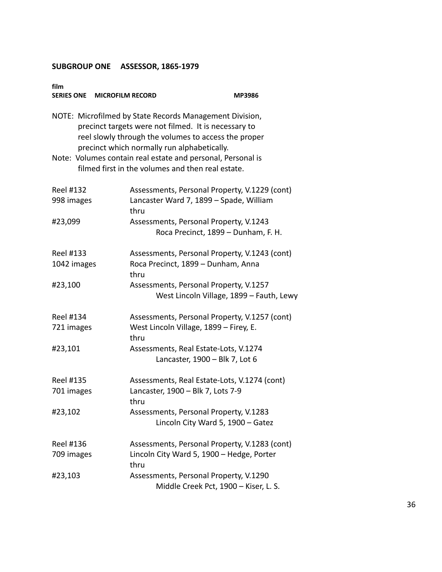| film<br>SERIES ONE MICROFILM RECORD                                                                                                                                                                                                                                                   | <b>MP3986</b>                                                                                      |  |  |  |
|---------------------------------------------------------------------------------------------------------------------------------------------------------------------------------------------------------------------------------------------------------------------------------------|----------------------------------------------------------------------------------------------------|--|--|--|
| NOTE: Microfilmed by State Records Management Division,<br>precinct targets were not filmed. It is necessary to<br>reel slowly through the volumes to access the proper<br>precinct which normally run alphabetically.<br>Note: Volumes contain real estate and personal, Personal is |                                                                                                    |  |  |  |
|                                                                                                                                                                                                                                                                                       | filmed first in the volumes and then real estate.                                                  |  |  |  |
| <b>Reel #132</b><br>998 images                                                                                                                                                                                                                                                        | Assessments, Personal Property, V.1229 (cont)<br>Lancaster Ward 7, 1899 - Spade, William<br>thru   |  |  |  |
| #23,099                                                                                                                                                                                                                                                                               | Assessments, Personal Property, V.1243<br>Roca Precinct, 1899 - Dunham, F. H.                      |  |  |  |
| Reel #133<br>1042 images                                                                                                                                                                                                                                                              | Assessments, Personal Property, V.1243 (cont)<br>Roca Precinct, 1899 - Dunham, Anna<br>thru        |  |  |  |
| #23,100                                                                                                                                                                                                                                                                               | Assessments, Personal Property, V.1257<br>West Lincoln Village, 1899 - Fauth, Lewy                 |  |  |  |
| Reel #134<br>721 images                                                                                                                                                                                                                                                               | Assessments, Personal Property, V.1257 (cont)<br>West Lincoln Village, 1899 - Firey, E.<br>thru    |  |  |  |
| #23,101                                                                                                                                                                                                                                                                               | Assessments, Real Estate-Lots, V.1274<br>Lancaster, 1900 - Blk 7, Lot 6                            |  |  |  |
| Reel #135<br>701 images                                                                                                                                                                                                                                                               | Assessments, Real Estate-Lots, V.1274 (cont)<br>Lancaster, 1900 - Blk 7, Lots 7-9<br>thru          |  |  |  |
| #23,102                                                                                                                                                                                                                                                                               | Assessments, Personal Property, V.1283<br>Lincoln City Ward 5, 1900 - Gatez                        |  |  |  |
| <b>Reel #136</b><br>709 images                                                                                                                                                                                                                                                        | Assessments, Personal Property, V.1283 (cont)<br>Lincoln City Ward 5, 1900 - Hedge, Porter<br>thru |  |  |  |
| #23,103                                                                                                                                                                                                                                                                               | Assessments, Personal Property, V.1290<br>Middle Creek Pct, 1900 - Kiser, L. S.                    |  |  |  |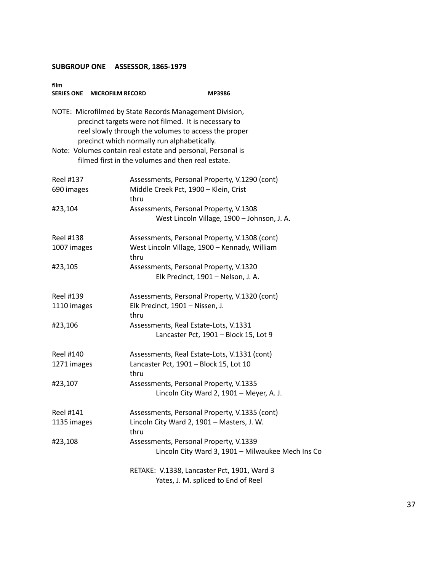| film             | SERIES ONE MICROFILM RECORD | <b>MP3986</b>                                                                                                                                                                                                          |
|------------------|-----------------------------|------------------------------------------------------------------------------------------------------------------------------------------------------------------------------------------------------------------------|
|                  |                             | NOTE: Microfilmed by State Records Management Division,<br>precinct targets were not filmed. It is necessary to<br>reel slowly through the volumes to access the proper<br>precinct which normally run alphabetically. |
|                  |                             | Note: Volumes contain real estate and personal, Personal is<br>filmed first in the volumes and then real estate.                                                                                                       |
| <b>Reel #137</b> |                             | Assessments, Personal Property, V.1290 (cont)                                                                                                                                                                          |
| 690 images       | thru                        | Middle Creek Pct, 1900 - Klein, Crist                                                                                                                                                                                  |
| #23,104          |                             | Assessments, Personal Property, V.1308                                                                                                                                                                                 |
|                  |                             | West Lincoln Village, 1900 - Johnson, J. A.                                                                                                                                                                            |
| <b>Reel #138</b> |                             | Assessments, Personal Property, V.1308 (cont)                                                                                                                                                                          |
| 1007 images      | thru                        | West Lincoln Village, 1900 - Kennady, William                                                                                                                                                                          |
| #23,105          |                             | Assessments, Personal Property, V.1320                                                                                                                                                                                 |
|                  |                             | Elk Precinct, 1901 - Nelson, J. A.                                                                                                                                                                                     |
| Reel #139        |                             | Assessments, Personal Property, V.1320 (cont)                                                                                                                                                                          |
| 1110 images      | thru                        | Elk Precinct, 1901 - Nissen, J.                                                                                                                                                                                        |
| #23,106          |                             | Assessments, Real Estate-Lots, V.1331                                                                                                                                                                                  |
|                  |                             | Lancaster Pct, 1901 - Block 15, Lot 9                                                                                                                                                                                  |
| Reel #140        |                             | Assessments, Real Estate-Lots, V.1331 (cont)                                                                                                                                                                           |
| 1271 images      | thru                        | Lancaster Pct, 1901 - Block 15, Lot 10                                                                                                                                                                                 |
| #23,107          |                             | Assessments, Personal Property, V.1335                                                                                                                                                                                 |
|                  |                             | Lincoln City Ward 2, 1901 - Meyer, A. J.                                                                                                                                                                               |
| <b>Reel #141</b> |                             | Assessments, Personal Property, V.1335 (cont)                                                                                                                                                                          |
| 1135 images      | thru                        | Lincoln City Ward 2, 1901 - Masters, J. W.                                                                                                                                                                             |
| #23,108          |                             | Assessments, Personal Property, V.1339                                                                                                                                                                                 |
|                  |                             | Lincoln City Ward 3, 1901 - Milwaukee Mech Ins Co                                                                                                                                                                      |
|                  |                             | RETAKE: V.1338, Lancaster Pct, 1901, Ward 3                                                                                                                                                                            |
|                  |                             | Yates, J. M. spliced to End of Reel                                                                                                                                                                                    |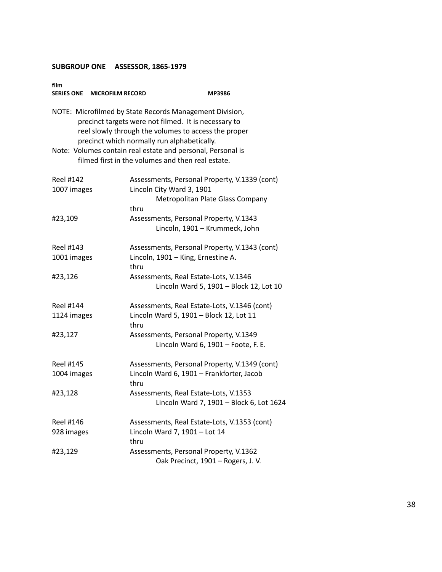| film             | SERIES ONE MICROFILM RECORD                 | MP3986                                                                                                                                                                  |
|------------------|---------------------------------------------|-------------------------------------------------------------------------------------------------------------------------------------------------------------------------|
|                  | precinct which normally run alphabetically. | NOTE: Microfilmed by State Records Management Division,<br>precinct targets were not filmed. It is necessary to<br>reel slowly through the volumes to access the proper |
|                  |                                             | Note: Volumes contain real estate and personal, Personal is<br>filmed first in the volumes and then real estate.                                                        |
| <b>Reel #142</b> |                                             | Assessments, Personal Property, V.1339 (cont)                                                                                                                           |
| 1007 images      |                                             | Lincoln City Ward 3, 1901                                                                                                                                               |
|                  |                                             | Metropolitan Plate Glass Company                                                                                                                                        |
| #23,109          | thru                                        | Assessments, Personal Property, V.1343<br>Lincoln, 1901 - Krummeck, John                                                                                                |
| <b>Reel #143</b> |                                             | Assessments, Personal Property, V.1343 (cont)                                                                                                                           |
| 1001 images      | thru                                        | Lincoln, 1901 - King, Ernestine A.                                                                                                                                      |
| #23,126          |                                             | Assessments, Real Estate-Lots, V.1346<br>Lincoln Ward 5, 1901 - Block 12, Lot 10                                                                                        |
| <b>Reel #144</b> |                                             | Assessments, Real Estate-Lots, V.1346 (cont)                                                                                                                            |
| 1124 images      | thru                                        | Lincoln Ward 5, 1901 - Block 12, Lot 11                                                                                                                                 |
| #23,127          |                                             | Assessments, Personal Property, V.1349<br>Lincoln Ward 6, 1901 - Foote, F. E.                                                                                           |
| <b>Reel #145</b> |                                             | Assessments, Personal Property, V.1349 (cont)                                                                                                                           |
| 1004 images      | thru                                        | Lincoln Ward 6, 1901 - Frankforter, Jacob                                                                                                                               |
| #23,128          |                                             | Assessments, Real Estate-Lots, V.1353<br>Lincoln Ward 7, 1901 - Block 6, Lot 1624                                                                                       |
| <b>Reel #146</b> |                                             | Assessments, Real Estate-Lots, V.1353 (cont)                                                                                                                            |
| 928 images       | thru                                        | Lincoln Ward 7, 1901 - Lot 14                                                                                                                                           |
| #23,129          |                                             | Assessments, Personal Property, V.1362<br>Oak Precinct, 1901 - Rogers, J. V.                                                                                            |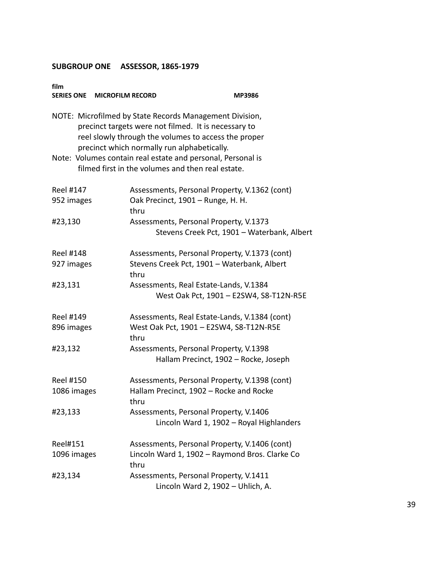| film<br>SERIES ONE MICROFILM RECORD |                                                                                                                                                                                                                        | <b>MP3986</b>                               |
|-------------------------------------|------------------------------------------------------------------------------------------------------------------------------------------------------------------------------------------------------------------------|---------------------------------------------|
|                                     | NOTE: Microfilmed by State Records Management Division,<br>precinct targets were not filmed. It is necessary to<br>reel slowly through the volumes to access the proper<br>precinct which normally run alphabetically. |                                             |
|                                     | Note: Volumes contain real estate and personal, Personal is<br>filmed first in the volumes and then real estate.                                                                                                       |                                             |
| <b>Reel #147</b><br>952 images      | Assessments, Personal Property, V.1362 (cont)<br>Oak Precinct, 1901 - Runge, H. H.<br>thru                                                                                                                             |                                             |
| #23,130                             | Assessments, Personal Property, V.1373                                                                                                                                                                                 | Stevens Creek Pct, 1901 - Waterbank, Albert |
| <b>Reel #148</b><br>927 images      | Assessments, Personal Property, V.1373 (cont)<br>Stevens Creek Pct, 1901 - Waterbank, Albert<br>thru                                                                                                                   |                                             |
| #23,131                             | Assessments, Real Estate-Lands, V.1384<br>West Oak Pct, 1901 - E2SW4, S8-T12N-R5E                                                                                                                                      |                                             |
| <b>Reel #149</b><br>896 images      | Assessments, Real Estate-Lands, V.1384 (cont)<br>West Oak Pct, 1901 - E2SW4, S8-T12N-R5E<br>thru                                                                                                                       |                                             |
| #23,132                             | Assessments, Personal Property, V.1398<br>Hallam Precinct, 1902 - Rocke, Joseph                                                                                                                                        |                                             |
| <b>Reel #150</b><br>1086 images     | Assessments, Personal Property, V.1398 (cont)<br>Hallam Precinct, 1902 - Rocke and Rocke<br>thru                                                                                                                       |                                             |
| #23,133                             | Assessments, Personal Property, V.1406<br>Lincoln Ward 1, 1902 - Royal Highlanders                                                                                                                                     |                                             |
| Reel#151<br>1096 images             | Assessments, Personal Property, V.1406 (cont)<br>Lincoln Ward 1, 1902 - Raymond Bros. Clarke Co<br>thru                                                                                                                |                                             |
| #23,134                             | Assessments, Personal Property, V.1411<br>Lincoln Ward 2, 1902 - Uhlich, A.                                                                                                                                            |                                             |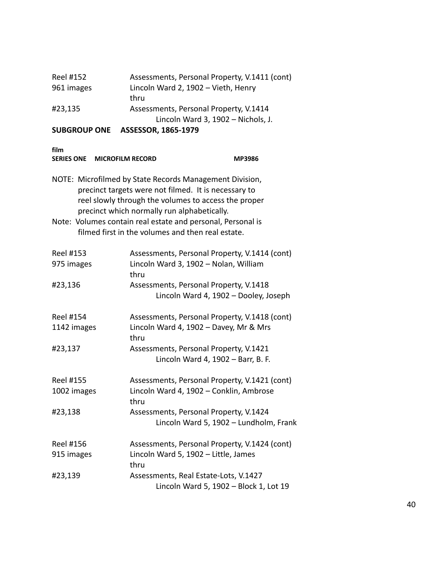| CURCRAUD ONE | $ACCFCCAD$ $AOCF$ $AADD$                      |
|--------------|-----------------------------------------------|
|              | Lincoln Ward 3, 1902 - Nichols, J.            |
| #23,135      | Assessments, Personal Property, V.1414        |
|              | thru                                          |
| 961 images   | Lincoln Ward 2, 1902 - Vieth, Henry           |
| Reel #152    | Assessments, Personal Property, V.1411 (cont) |

| <b>SERIES ONE</b><br><b>MICROFILM RECORD</b> |                                                                                                                                                                                                                        | <b>MP3986</b> |
|----------------------------------------------|------------------------------------------------------------------------------------------------------------------------------------------------------------------------------------------------------------------------|---------------|
|                                              | NOTE: Microfilmed by State Records Management Division,<br>precinct targets were not filmed. It is necessary to<br>reel slowly through the volumes to access the proper<br>precinct which normally run alphabetically. |               |
|                                              | Note: Volumes contain real estate and personal, Personal is<br>filmed first in the volumes and then real estate.                                                                                                       |               |
| <b>Reel #153</b><br>975 images               | Assessments, Personal Property, V.1414 (cont)<br>Lincoln Ward 3, 1902 - Nolan, William<br>thru                                                                                                                         |               |
| #23,136                                      | Assessments, Personal Property, V.1418<br>Lincoln Ward 4, 1902 - Dooley, Joseph                                                                                                                                        |               |
| <b>Reel #154</b><br>1142 images              | Assessments, Personal Property, V.1418 (cont)<br>Lincoln Ward 4, 1902 - Davey, Mr & Mrs<br>thru                                                                                                                        |               |
| #23,137                                      | Assessments, Personal Property, V.1421<br>Lincoln Ward 4, 1902 - Barr, B. F.                                                                                                                                           |               |
| <b>Reel #155</b><br>1002 images              | Assessments, Personal Property, V.1421 (cont)<br>Lincoln Ward 4, 1902 - Conklin, Ambrose<br>thru                                                                                                                       |               |
| #23,138                                      | Assessments, Personal Property, V.1424<br>Lincoln Ward 5, 1902 - Lundholm, Frank                                                                                                                                       |               |
| <b>Reel #156</b><br>915 images               | Assessments, Personal Property, V.1424 (cont)<br>Lincoln Ward 5, 1902 - Little, James<br>thru                                                                                                                          |               |
| #23,139                                      | Assessments, Real Estate-Lots, V.1427<br>Lincoln Ward 5, 1902 - Block 1, Lot 19                                                                                                                                        |               |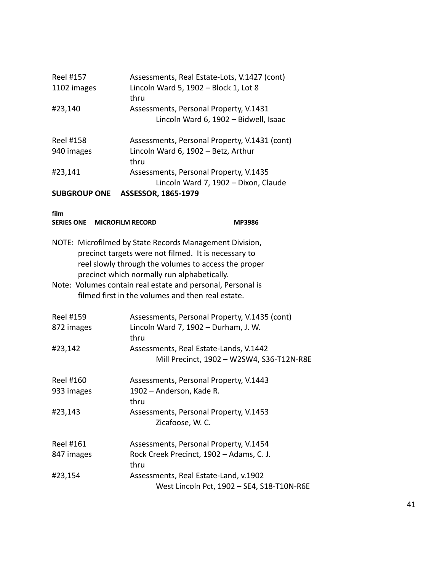| Reel #157<br>1102 images                             | Assessments, Real Estate-Lots, V.1427 (cont)<br>Lincoln Ward 5, 1902 - Block 1, Lot 8<br>thru                                                                           |
|------------------------------------------------------|-------------------------------------------------------------------------------------------------------------------------------------------------------------------------|
| #23,140                                              | Assessments, Personal Property, V.1431<br>Lincoln Ward 6, 1902 - Bidwell, Isaac                                                                                         |
| <b>Reel #158</b><br>940 images                       | Assessments, Personal Property, V.1431 (cont)<br>Lincoln Ward 6, 1902 - Betz, Arthur                                                                                    |
|                                                      | thru                                                                                                                                                                    |
| #23,141                                              | Assessments, Personal Property, V.1435<br>Lincoln Ward 7, 1902 - Dixon, Claude                                                                                          |
| <b>SUBGROUP ONE</b>                                  | ASSESSOR, 1865-1979                                                                                                                                                     |
| film<br><b>SERIES ONE</b><br><b>MICROFILM RECORD</b> | <b>MP3986</b>                                                                                                                                                           |
|                                                      |                                                                                                                                                                         |
|                                                      | NOTE: Microfilmed by State Records Management Division,<br>precinct targets were not filmed. It is necessary to<br>reel slowly through the volumes to access the proper |
|                                                      | precinct which normally run alphabetically.                                                                                                                             |
|                                                      | Note: Volumes contain real estate and personal, Personal is<br>filmed first in the volumes and then real estate.                                                        |
| Reel #159                                            | Assessments, Personal Property, V.1435 (cont)                                                                                                                           |
| 872 images                                           | Lincoln Ward 7, 1902 - Durham, J. W.<br>thru                                                                                                                            |
| #23,142                                              | Assessments, Real Estate-Lands, V.1442<br>Mill Precinct, 1902 - W2SW4, S36-T12N-R8E                                                                                     |
| <b>Reel #160</b>                                     | Assessments, Personal Property, V.1443                                                                                                                                  |
| 933 images                                           | 1902 - Anderson, Kade R.                                                                                                                                                |
| #23,143                                              | thru<br>Assessments, Personal Property, V.1453<br>Zicafoose, W. C.                                                                                                      |
| Reel #161                                            | Assessments, Personal Property, V.1454                                                                                                                                  |
| 847 images                                           | Rock Creek Precinct, 1902 - Adams, C. J.<br>thru                                                                                                                        |
| #23,154                                              | Assessments, Real Estate-Land, v.1902<br>West Lincoln Pct, 1902 - SE4, S18-T10N-R6E                                                                                     |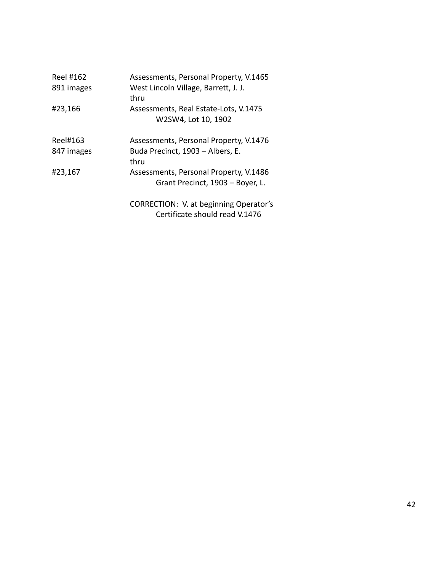| Reel #162<br>891 images | Assessments, Personal Property, V.1465<br>West Lincoln Village, Barrett, J. J.<br>thru |
|-------------------------|----------------------------------------------------------------------------------------|
| #23,166                 | Assessments, Real Estate-Lots, V.1475<br>W2SW4, Lot 10, 1902                           |
| Reel#163                | Assessments, Personal Property, V.1476                                                 |
| 847 images              | Buda Precinct, 1903 - Albers, E.<br>thru                                               |
| #23,167                 | Assessments, Personal Property, V.1486<br>Grant Precinct, 1903 - Boyer, L.             |
|                         | CORRECTION: V. at beginning Operator's<br>Certificate should read V.1476               |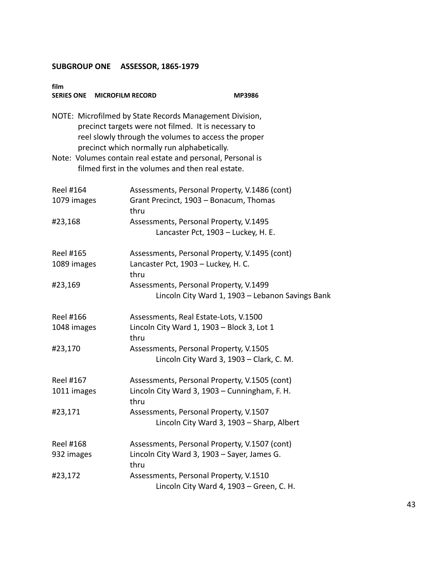| film<br>SERIES ONE MICROFILM RECORD | <b>MP3986</b>                                                                                                                                                                                                          |
|-------------------------------------|------------------------------------------------------------------------------------------------------------------------------------------------------------------------------------------------------------------------|
|                                     | NOTE: Microfilmed by State Records Management Division,<br>precinct targets were not filmed. It is necessary to<br>reel slowly through the volumes to access the proper<br>precinct which normally run alphabetically. |
|                                     | Note: Volumes contain real estate and personal, Personal is<br>filmed first in the volumes and then real estate.                                                                                                       |
| Reel #164<br>1079 images            | Assessments, Personal Property, V.1486 (cont)<br>Grant Precinct, 1903 - Bonacum, Thomas<br>thru                                                                                                                        |
| #23,168                             | Assessments, Personal Property, V.1495<br>Lancaster Pct, 1903 - Luckey, H. E.                                                                                                                                          |
| Reel #165<br>1089 images            | Assessments, Personal Property, V.1495 (cont)<br>Lancaster Pct, 1903 - Luckey, H. C.<br>thru                                                                                                                           |
| #23,169                             | Assessments, Personal Property, V.1499<br>Lincoln City Ward 1, 1903 - Lebanon Savings Bank                                                                                                                             |
| Reel #166<br>1048 images            | Assessments, Real Estate-Lots, V.1500<br>Lincoln City Ward 1, 1903 - Block 3, Lot 1<br>thru                                                                                                                            |
| #23,170                             | Assessments, Personal Property, V.1505<br>Lincoln City Ward 3, 1903 - Clark, C. M.                                                                                                                                     |
| Reel #167<br>1011 images            | Assessments, Personal Property, V.1505 (cont)<br>Lincoln City Ward 3, 1903 - Cunningham, F. H.<br>thru                                                                                                                 |
| #23,171                             | Assessments, Personal Property, V.1507<br>Lincoln City Ward 3, 1903 - Sharp, Albert                                                                                                                                    |
| Reel #168<br>932 images             | Assessments, Personal Property, V.1507 (cont)<br>Lincoln City Ward 3, 1903 - Sayer, James G.<br>thru                                                                                                                   |
| #23,172                             | Assessments, Personal Property, V.1510<br>Lincoln City Ward 4, 1903 - Green, C. H.                                                                                                                                     |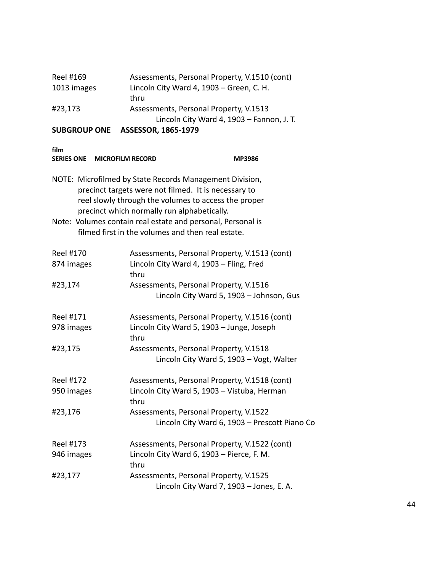|             | Lincoln City Ward 4, 1903 - Fannon, J. T.     |
|-------------|-----------------------------------------------|
| #23,173     | Assessments, Personal Property, V.1513        |
|             | thru                                          |
| 1013 images | Lincoln City Ward 4, 1903 - Green, C. H.      |
| Reel #169   | Assessments, Personal Property, V.1510 (cont) |

|--|

| SERIES ONE MICROFILM RECORD                                                                                                                                                                                                                                                           | <b>MP3986</b>                                                                                    |  |
|---------------------------------------------------------------------------------------------------------------------------------------------------------------------------------------------------------------------------------------------------------------------------------------|--------------------------------------------------------------------------------------------------|--|
| NOTE: Microfilmed by State Records Management Division,<br>precinct targets were not filmed. It is necessary to<br>reel slowly through the volumes to access the proper<br>precinct which normally run alphabetically.<br>Note: Volumes contain real estate and personal, Personal is |                                                                                                  |  |
|                                                                                                                                                                                                                                                                                       | filmed first in the volumes and then real estate.                                                |  |
| <b>Reel #170</b><br>874 images                                                                                                                                                                                                                                                        | Assessments, Personal Property, V.1513 (cont)<br>Lincoln City Ward 4, 1903 - Fling, Fred<br>thru |  |
| #23,174                                                                                                                                                                                                                                                                               | Assessments, Personal Property, V.1516<br>Lincoln City Ward 5, 1903 - Johnson, Gus               |  |
| Reel #171                                                                                                                                                                                                                                                                             | Assessments, Personal Property, V.1516 (cont)                                                    |  |
| 978 images                                                                                                                                                                                                                                                                            | Lincoln City Ward 5, 1903 - Junge, Joseph<br>thru                                                |  |
| #23,175                                                                                                                                                                                                                                                                               | Assessments, Personal Property, V.1518<br>Lincoln City Ward 5, 1903 - Vogt, Walter               |  |
| <b>Reel #172</b>                                                                                                                                                                                                                                                                      | Assessments, Personal Property, V.1518 (cont)                                                    |  |
| 950 images                                                                                                                                                                                                                                                                            | Lincoln City Ward 5, 1903 - Vistuba, Herman<br>thru                                              |  |
| #23,176                                                                                                                                                                                                                                                                               | Assessments, Personal Property, V.1522<br>Lincoln City Ward 6, 1903 - Prescott Piano Co          |  |
| <b>Reel #173</b>                                                                                                                                                                                                                                                                      | Assessments, Personal Property, V.1522 (cont)                                                    |  |
| 946 images                                                                                                                                                                                                                                                                            | Lincoln City Ward 6, 1903 - Pierce, F. M.<br>thru                                                |  |
| #23,177                                                                                                                                                                                                                                                                               | Assessments, Personal Property, V.1525<br>Lincoln City Ward 7, 1903 - Jones, E. A.               |  |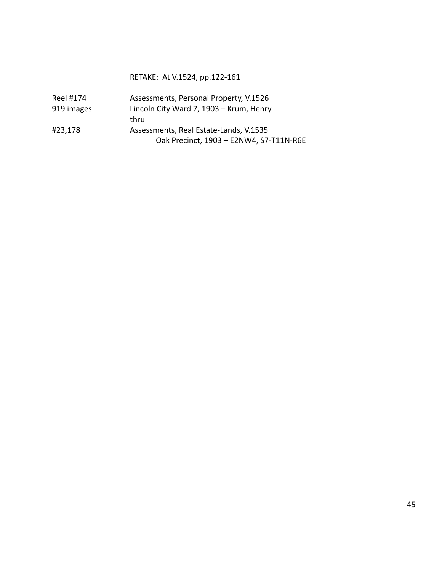#### RETAKE: At V.1524, pp.122-161

| Reel #174  | Assessments, Personal Property, V.1526  |
|------------|-----------------------------------------|
| 919 images | Lincoln City Ward 7, 1903 - Krum, Henry |
|            | thru                                    |
| #23,178    | Assessments, Real Estate-Lands, V.1535  |
|            | Oak Precinct, 1903 - E2NW4, S7-T11N-R6E |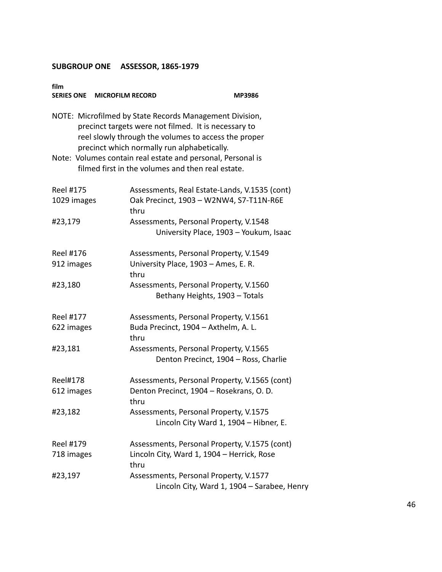| film<br>SERIES ONE MICROFILM RECORD |                                                                                                                                                                                                                        | MP3986 |
|-------------------------------------|------------------------------------------------------------------------------------------------------------------------------------------------------------------------------------------------------------------------|--------|
|                                     | NOTE: Microfilmed by State Records Management Division,<br>precinct targets were not filmed. It is necessary to<br>reel slowly through the volumes to access the proper<br>precinct which normally run alphabetically. |        |
|                                     | Note: Volumes contain real estate and personal, Personal is<br>filmed first in the volumes and then real estate.                                                                                                       |        |
| Reel #175<br>1029 images            | Assessments, Real Estate-Lands, V.1535 (cont)<br>Oak Precinct, 1903 - W2NW4, S7-T11N-R6E<br>thru                                                                                                                       |        |
| #23,179                             | Assessments, Personal Property, V.1548<br>University Place, 1903 - Youkum, Isaac                                                                                                                                       |        |
| Reel #176                           | Assessments, Personal Property, V.1549                                                                                                                                                                                 |        |
| 912 images                          | University Place, 1903 - Ames, E. R.<br>thru                                                                                                                                                                           |        |
| #23,180                             | Assessments, Personal Property, V.1560<br>Bethany Heights, 1903 - Totals                                                                                                                                               |        |
| <b>Reel #177</b>                    | Assessments, Personal Property, V.1561                                                                                                                                                                                 |        |
| 622 images                          | Buda Precinct, 1904 - Axthelm, A. L.<br>thru                                                                                                                                                                           |        |
| #23,181                             | Assessments, Personal Property, V.1565                                                                                                                                                                                 |        |
|                                     | Denton Precinct, 1904 - Ross, Charlie                                                                                                                                                                                  |        |
| <b>Reel#178</b>                     | Assessments, Personal Property, V.1565 (cont)                                                                                                                                                                          |        |
| 612 images                          | Denton Precinct, 1904 - Rosekrans, O. D.<br>thru                                                                                                                                                                       |        |
| #23,182                             | Assessments, Personal Property, V.1575<br>Lincoln City Ward 1, 1904 - Hibner, E.                                                                                                                                       |        |
| <b>Reel #179</b>                    | Assessments, Personal Property, V.1575 (cont)                                                                                                                                                                          |        |
| 718 images                          | Lincoln City, Ward 1, 1904 - Herrick, Rose<br>thru                                                                                                                                                                     |        |
| #23,197                             | Assessments, Personal Property, V.1577<br>Lincoln City, Ward 1, 1904 - Sarabee, Henry                                                                                                                                  |        |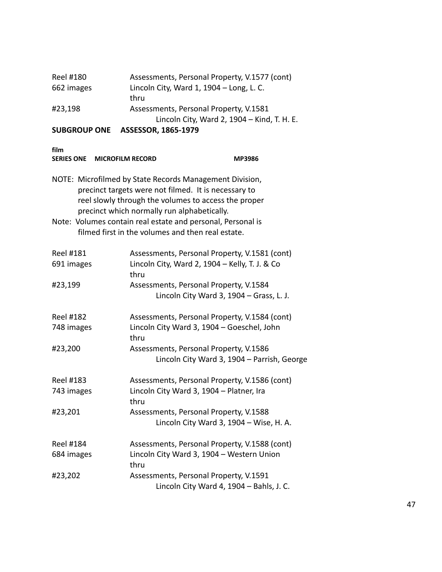|            | Lincoln City, Ward 2, 1904 - Kind, T. H. E.   |
|------------|-----------------------------------------------|
| #23,198    | Assessments, Personal Property, V.1581        |
|            | thru                                          |
| 662 images | Lincoln City, Ward 1, 1904 - Long, L. C.      |
| Reel #180  | Assessments, Personal Property, V.1577 (cont) |

| <b>SERIES ONE</b><br><b>MICROFILM RECORD</b>                                                                                                                                                                           | <b>MP3986</b>                                                                                                    |  |
|------------------------------------------------------------------------------------------------------------------------------------------------------------------------------------------------------------------------|------------------------------------------------------------------------------------------------------------------|--|
| NOTE: Microfilmed by State Records Management Division,<br>precinct targets were not filmed. It is necessary to<br>reel slowly through the volumes to access the proper<br>precinct which normally run alphabetically. |                                                                                                                  |  |
|                                                                                                                                                                                                                        | Note: Volumes contain real estate and personal, Personal is<br>filmed first in the volumes and then real estate. |  |
| <b>Reel #181</b>                                                                                                                                                                                                       | Assessments, Personal Property, V.1581 (cont)                                                                    |  |
| 691 images                                                                                                                                                                                                             | Lincoln City, Ward 2, 1904 - Kelly, T. J. & Co<br>thru                                                           |  |
| #23,199                                                                                                                                                                                                                | Assessments, Personal Property, V.1584                                                                           |  |
|                                                                                                                                                                                                                        | Lincoln City Ward 3, 1904 - Grass, L. J.                                                                         |  |
| <b>Reel #182</b>                                                                                                                                                                                                       | Assessments, Personal Property, V.1584 (cont)                                                                    |  |
| 748 images                                                                                                                                                                                                             | Lincoln City Ward 3, 1904 - Goeschel, John<br>thru                                                               |  |
| #23,200                                                                                                                                                                                                                | Assessments, Personal Property, V.1586                                                                           |  |
|                                                                                                                                                                                                                        | Lincoln City Ward 3, 1904 - Parrish, George                                                                      |  |
| <b>Reel #183</b>                                                                                                                                                                                                       | Assessments, Personal Property, V.1586 (cont)                                                                    |  |
| 743 images                                                                                                                                                                                                             | Lincoln City Ward 3, 1904 - Platner, Ira<br>thru                                                                 |  |
| #23,201                                                                                                                                                                                                                | Assessments, Personal Property, V.1588                                                                           |  |
|                                                                                                                                                                                                                        | Lincoln City Ward 3, 1904 - Wise, H. A.                                                                          |  |
| <b>Reel #184</b>                                                                                                                                                                                                       | Assessments, Personal Property, V.1588 (cont)                                                                    |  |
| 684 images                                                                                                                                                                                                             | Lincoln City Ward 3, 1904 - Western Union<br>thru                                                                |  |
| #23,202                                                                                                                                                                                                                | Assessments, Personal Property, V.1591                                                                           |  |
|                                                                                                                                                                                                                        | Lincoln City Ward 4, 1904 - Bahls, J. C.                                                                         |  |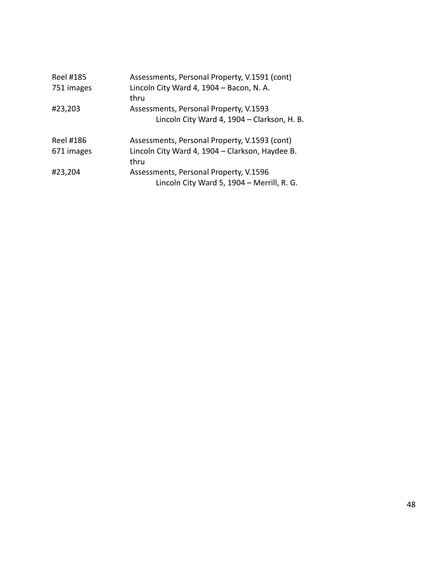| Reel #185<br>751 images | Assessments, Personal Property, V.1591 (cont)<br>Lincoln City Ward 4, 1904 - Bacon, N. A.<br>thru        |
|-------------------------|----------------------------------------------------------------------------------------------------------|
| #23,203                 | Assessments, Personal Property, V.1593<br>Lincoln City Ward 4, 1904 - Clarkson, H. B.                    |
| Reel #186<br>671 images | Assessments, Personal Property, V.1593 (cont)<br>Lincoln City Ward 4, 1904 - Clarkson, Haydee B.<br>thru |
| #23,204                 | Assessments, Personal Property, V.1596<br>Lincoln City Ward 5, 1904 - Merrill, R. G.                     |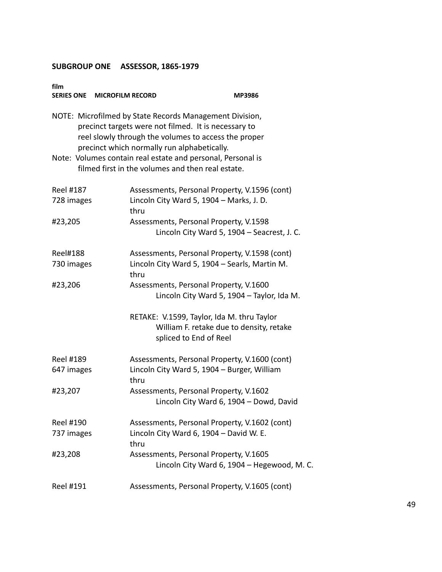| film<br>SERIES ONE MICROFILM RECORD |                                                                                                                                                                                                                        | MP3986                                      |
|-------------------------------------|------------------------------------------------------------------------------------------------------------------------------------------------------------------------------------------------------------------------|---------------------------------------------|
|                                     | NOTE: Microfilmed by State Records Management Division,<br>precinct targets were not filmed. It is necessary to<br>reel slowly through the volumes to access the proper<br>precinct which normally run alphabetically. |                                             |
|                                     | Note: Volumes contain real estate and personal, Personal is<br>filmed first in the volumes and then real estate.                                                                                                       |                                             |
| <b>Reel #187</b><br>728 images      | Assessments, Personal Property, V.1596 (cont)<br>Lincoln City Ward 5, 1904 - Marks, J. D.<br>thru                                                                                                                      |                                             |
| #23,205                             | Assessments, Personal Property, V.1598<br>Lincoln City Ward 5, 1904 - Seacrest, J. C.                                                                                                                                  |                                             |
| <b>Reel#188</b><br>730 images       | Assessments, Personal Property, V.1598 (cont)<br>Lincoln City Ward 5, 1904 - Searls, Martin M.<br>thru                                                                                                                 |                                             |
| #23,206                             | Assessments, Personal Property, V.1600<br>Lincoln City Ward 5, 1904 - Taylor, Ida M.                                                                                                                                   |                                             |
|                                     | RETAKE: V.1599, Taylor, Ida M. thru Taylor<br>William F. retake due to density, retake<br>spliced to End of Reel                                                                                                       |                                             |
| Reel #189<br>647 images             | Assessments, Personal Property, V.1600 (cont)<br>Lincoln City Ward 5, 1904 - Burger, William<br>thru                                                                                                                   |                                             |
| #23,207                             | Assessments, Personal Property, V.1602<br>Lincoln City Ward 6, 1904 - Dowd, David                                                                                                                                      |                                             |
| Reel #190<br>737 images             | Assessments, Personal Property, V.1602 (cont)<br>Lincoln City Ward 6, 1904 - David W. E.<br>thru                                                                                                                       |                                             |
| #23,208                             | Assessments, Personal Property, V.1605                                                                                                                                                                                 | Lincoln City Ward 6, 1904 - Hegewood, M. C. |
| Reel #191                           | Assessments, Personal Property, V.1605 (cont)                                                                                                                                                                          |                                             |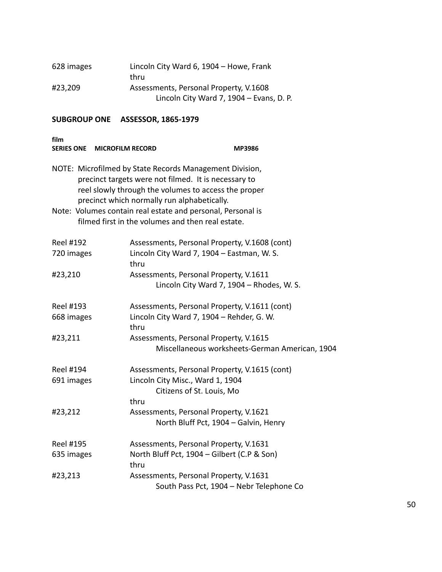| 628 images | Lincoln City Ward 6, 1904 - Howe, Frank  |
|------------|------------------------------------------|
|            | thru                                     |
| #23,209    | Assessments, Personal Property, V.1608   |
|            | Lincoln City Ward 7, 1904 - Evans, D. P. |

| film                           | SERIES ONE MICROFILM RECORD                                                                                                                                    | <b>MP3986</b>                                                                                                  |
|--------------------------------|----------------------------------------------------------------------------------------------------------------------------------------------------------------|----------------------------------------------------------------------------------------------------------------|
|                                | NOTE: Microfilmed by State Records Management Division,<br>precinct targets were not filmed. It is necessary to<br>precinct which normally run alphabetically. | reel slowly through the volumes to access the proper                                                           |
|                                | Note: Volumes contain real estate and personal, Personal is<br>filmed first in the volumes and then real estate.                                               |                                                                                                                |
| <b>Reel #192</b><br>720 images | thru                                                                                                                                                           | Assessments, Personal Property, V.1608 (cont)<br>Lincoln City Ward 7, 1904 - Eastman, W. S.                    |
| #23,210                        |                                                                                                                                                                | Assessments, Personal Property, V.1611<br>Lincoln City Ward 7, 1904 - Rhodes, W. S.                            |
| Reel #193<br>668 images        | thru                                                                                                                                                           | Assessments, Personal Property, V.1611 (cont)<br>Lincoln City Ward 7, 1904 - Rehder, G. W.                     |
| #23,211                        |                                                                                                                                                                | Assessments, Personal Property, V.1615<br>Miscellaneous worksheets-German American, 1904                       |
| <b>Reel #194</b><br>691 images | thru                                                                                                                                                           | Assessments, Personal Property, V.1615 (cont)<br>Lincoln City Misc., Ward 1, 1904<br>Citizens of St. Louis, Mo |
| #23,212                        |                                                                                                                                                                | Assessments, Personal Property, V.1621<br>North Bluff Pct, 1904 - Galvin, Henry                                |
| <b>Reel #195</b><br>635 images | thru                                                                                                                                                           | Assessments, Personal Property, V.1631<br>North Bluff Pct, 1904 - Gilbert (C.P & Son)                          |
| #23,213                        |                                                                                                                                                                | Assessments, Personal Property, V.1631<br>South Pass Pct, 1904 - Nebr Telephone Co                             |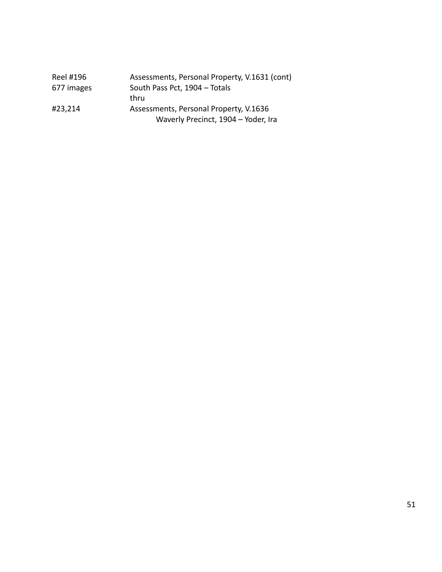| Reel #196  | Assessments, Personal Property, V.1631 (cont) |
|------------|-----------------------------------------------|
| 677 images | South Pass Pct, 1904 - Totals                 |
|            | thru                                          |
| #23,214    | Assessments, Personal Property, V.1636        |
|            | Waverly Precinct, 1904 - Yoder, Ira           |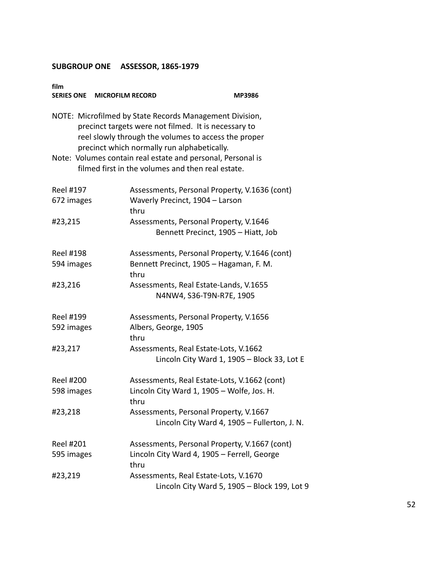| film<br>SERIES ONE MICROFILM RECORD                                                                                                                                                                                    |                                                                                                                  | MP3986 |  |
|------------------------------------------------------------------------------------------------------------------------------------------------------------------------------------------------------------------------|------------------------------------------------------------------------------------------------------------------|--------|--|
| NOTE: Microfilmed by State Records Management Division,<br>precinct targets were not filmed. It is necessary to<br>reel slowly through the volumes to access the proper<br>precinct which normally run alphabetically. |                                                                                                                  |        |  |
|                                                                                                                                                                                                                        | Note: Volumes contain real estate and personal, Personal is<br>filmed first in the volumes and then real estate. |        |  |
| Reel #197                                                                                                                                                                                                              | Assessments, Personal Property, V.1636 (cont)                                                                    |        |  |
| 672 images                                                                                                                                                                                                             | Waverly Precinct, 1904 - Larson<br>thru                                                                          |        |  |
| #23,215                                                                                                                                                                                                                | Assessments, Personal Property, V.1646<br>Bennett Precinct, 1905 - Hiatt, Job                                    |        |  |
| <b>Reel #198</b>                                                                                                                                                                                                       | Assessments, Personal Property, V.1646 (cont)                                                                    |        |  |
| 594 images                                                                                                                                                                                                             | Bennett Precinct, 1905 - Hagaman, F. M.<br>thru                                                                  |        |  |
| #23,216                                                                                                                                                                                                                | Assessments, Real Estate-Lands, V.1655<br>N4NW4, S36-T9N-R7E, 1905                                               |        |  |
| Reel #199                                                                                                                                                                                                              | Assessments, Personal Property, V.1656                                                                           |        |  |
| 592 images                                                                                                                                                                                                             | Albers, George, 1905<br>thru                                                                                     |        |  |
| #23,217                                                                                                                                                                                                                | Assessments, Real Estate-Lots, V.1662<br>Lincoln City Ward 1, 1905 - Block 33, Lot E                             |        |  |
| <b>Reel #200</b>                                                                                                                                                                                                       | Assessments, Real Estate-Lots, V.1662 (cont)                                                                     |        |  |
| 598 images                                                                                                                                                                                                             | Lincoln City Ward 1, 1905 - Wolfe, Jos. H.<br>thru                                                               |        |  |
| #23,218                                                                                                                                                                                                                | Assessments, Personal Property, V.1667<br>Lincoln City Ward 4, 1905 - Fullerton, J. N.                           |        |  |
| <b>Reel #201</b>                                                                                                                                                                                                       | Assessments, Personal Property, V.1667 (cont)                                                                    |        |  |
| 595 images                                                                                                                                                                                                             | Lincoln City Ward 4, 1905 - Ferrell, George<br>thru                                                              |        |  |
| #23,219                                                                                                                                                                                                                | Assessments, Real Estate-Lots, V.1670<br>Lincoln City Ward 5, 1905 - Block 199, Lot 9                            |        |  |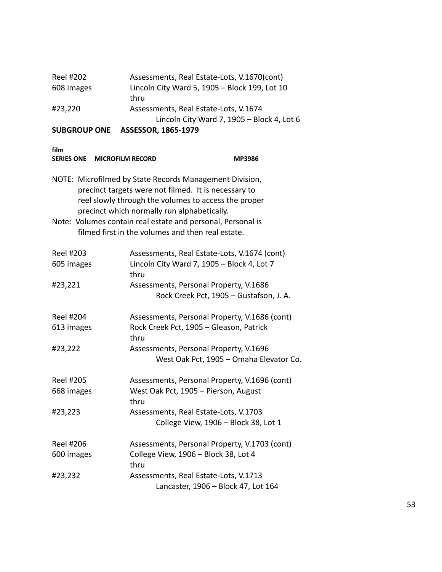| CURCRAUR ANE |                                               |
|--------------|-----------------------------------------------|
|              | Lincoln City Ward 7, 1905 - Block 4, Lot 6    |
| #23,220      | Assessments, Real Estate-Lots, V.1674         |
|              | thru                                          |
| 608 images   | Lincoln City Ward 5, 1905 - Block 199, Lot 10 |
| Reel #202    | Assessments, Real Estate-Lots, V.1670(cont)   |
|              |                                               |

| SERIES ONE MICROFILM RECORD    | <b>MP3986</b>                                                                                                                                                                                                          |
|--------------------------------|------------------------------------------------------------------------------------------------------------------------------------------------------------------------------------------------------------------------|
|                                | NOTE: Microfilmed by State Records Management Division,<br>precinct targets were not filmed. It is necessary to<br>reel slowly through the volumes to access the proper<br>precinct which normally run alphabetically. |
|                                | Note: Volumes contain real estate and personal, Personal is<br>filmed first in the volumes and then real estate.                                                                                                       |
| <b>Reel #203</b><br>605 images | Assessments, Real Estate-Lots, V.1674 (cont)<br>Lincoln City Ward 7, 1905 - Block 4, Lot 7<br>thru                                                                                                                     |
| #23,221                        | Assessments, Personal Property, V.1686<br>Rock Creek Pct, 1905 - Gustafson, J. A.                                                                                                                                      |
| <b>Reel #204</b><br>613 images | Assessments, Personal Property, V.1686 (cont)<br>Rock Creek Pct, 1905 - Gleason, Patrick<br>thru                                                                                                                       |
| #23,222                        | Assessments, Personal Property, V.1696<br>West Oak Pct, 1905 - Omaha Elevator Co.                                                                                                                                      |
| <b>Reel #205</b>               | Assessments, Personal Property, V.1696 (cont)                                                                                                                                                                          |
| 668 images                     | West Oak Pct, 1905 - Pierson, August<br>thru                                                                                                                                                                           |
| #23,223                        | Assessments, Real Estate-Lots, V.1703<br>College View, 1906 - Block 38, Lot 1                                                                                                                                          |
| <b>Reel #206</b>               | Assessments, Personal Property, V.1703 (cont)                                                                                                                                                                          |
| 600 images                     | College View, 1906 - Block 38, Lot 4<br>thru                                                                                                                                                                           |
| #23,232                        | Assessments, Real Estate-Lots, V.1713<br>Lancaster, 1906 - Block 47, Lot 164                                                                                                                                           |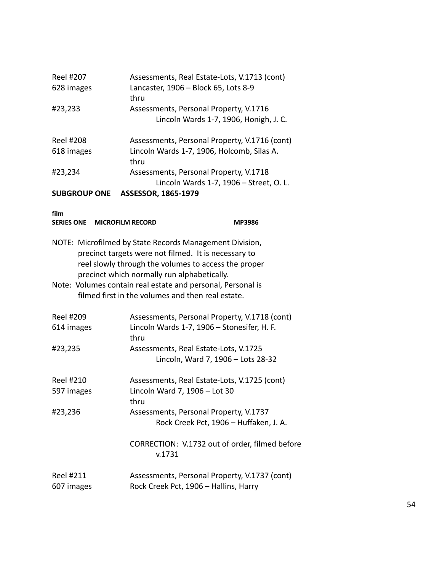| Reel #207<br>628 images                              | Assessments, Real Estate-Lots, V.1713 (cont)<br>Lancaster, 1906 - Block 65, Lots 8-9                            |
|------------------------------------------------------|-----------------------------------------------------------------------------------------------------------------|
|                                                      | thru                                                                                                            |
| #23,233                                              | Assessments, Personal Property, V.1716<br>Lincoln Wards 1-7, 1906, Honigh, J. C.                                |
| <b>Reel #208</b>                                     | Assessments, Personal Property, V.1716 (cont)                                                                   |
| 618 images                                           | Lincoln Wards 1-7, 1906, Holcomb, Silas A.<br>thru                                                              |
| #23,234                                              | Assessments, Personal Property, V.1718<br>Lincoln Wards 1-7, 1906 - Street, O. L.                               |
| <b>SUBGROUP ONE</b>                                  | ASSESSOR, 1865-1979                                                                                             |
| film<br><b>SERIES ONE</b><br><b>MICROFILM RECORD</b> | <b>MP3986</b>                                                                                                   |
|                                                      |                                                                                                                 |
|                                                      | NOTE: Microfilmed by State Records Management Division,<br>precinct targets were not filmed. It is necessary to |
|                                                      | reel slowly through the volumes to access the proper                                                            |
|                                                      | precinct which normally run alphabetically.                                                                     |
|                                                      | Note: Volumes contain real estate and personal, Personal is                                                     |
|                                                      | filmed first in the volumes and then real estate.                                                               |
| <b>Reel #209</b>                                     | Assessments, Personal Property, V.1718 (cont)                                                                   |
| 614 images                                           | Lincoln Wards 1-7, 1906 - Stonesifer, H. F.<br>thru                                                             |
| #23,235                                              | Assessments, Real Estate-Lots, V.1725                                                                           |
|                                                      | Lincoln, Ward 7, 1906 - Lots 28-32                                                                              |
| <b>Reel #210</b>                                     | Assessments, Real Estate-Lots, V.1725 (cont)                                                                    |
| 597 images                                           | Lincoln Ward 7, 1906 - Lot 30                                                                                   |
|                                                      | thru                                                                                                            |
| #23,236                                              | Assessments, Personal Property, V.1737                                                                          |
|                                                      | Rock Creek Pct, 1906 - Huffaken, J. A.                                                                          |
|                                                      | CORRECTION: V.1732 out of order, filmed before<br>v.1731                                                        |
| <b>Reel #211</b>                                     | Assessments, Personal Property, V.1737 (cont)                                                                   |
| 607 images                                           | Rock Creek Pct, 1906 - Hallins, Harry                                                                           |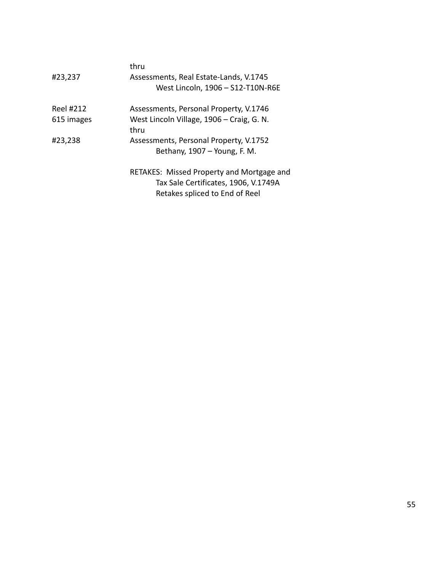|            | thru                                      |
|------------|-------------------------------------------|
| #23,237    | Assessments, Real Estate-Lands, V.1745    |
|            | West Lincoln, 1906 - S12-T10N-R6E         |
| Reel #212  | Assessments, Personal Property, V.1746    |
| 615 images | West Lincoln Village, 1906 – Craig, G. N. |
|            | thru                                      |
| #23,238    | Assessments, Personal Property, V.1752    |
|            | Bethany, 1907 - Young, F. M.              |
|            | RETAKES: Missed Property and Mortgage and |
|            | Tax Sale Certificates, 1906, V.1749A      |
|            | Retakes spliced to End of Reel            |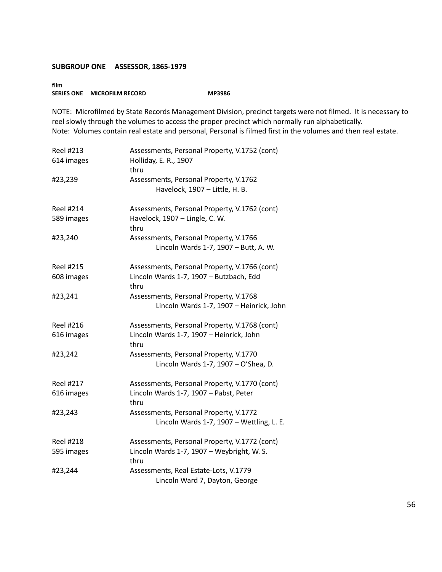**film SERIES ONE MICROFILM RECORD MP3986** 

NOTE: Microfilmed by State Records Management Division, precinct targets were not filmed. It is necessary to reel slowly through the volumes to access the proper precinct which normally run alphabetically. Note: Volumes contain real estate and personal, Personal is filmed first in the volumes and then real estate.

| <b>Reel #213</b><br>614 images | Assessments, Personal Property, V.1752 (cont)<br>Holliday, E. R., 1907<br>thru                   |
|--------------------------------|--------------------------------------------------------------------------------------------------|
| #23,239                        | Assessments, Personal Property, V.1762<br>Havelock, 1907 - Little, H. B.                         |
| <b>Reel #214</b><br>589 images | Assessments, Personal Property, V.1762 (cont)<br>Havelock, 1907 - Lingle, C. W.<br>thru          |
| #23,240                        | Assessments, Personal Property, V.1766<br>Lincoln Wards 1-7, 1907 - Butt, A. W.                  |
| <b>Reel #215</b><br>608 images | Assessments, Personal Property, V.1766 (cont)<br>Lincoln Wards 1-7, 1907 - Butzbach, Edd<br>thru |
| #23,241                        | Assessments, Personal Property, V.1768<br>Lincoln Wards 1-7, 1907 - Heinrick, John               |
| <b>Reel #216</b>               | Assessments, Personal Property, V.1768 (cont)                                                    |
| 616 images                     | Lincoln Wards 1-7, 1907 - Heinrick, John<br>thru                                                 |
| #23,242                        | Assessments, Personal Property, V.1770<br>Lincoln Wards 1-7, 1907 - O'Shea, D.                   |
| <b>Reel #217</b>               | Assessments, Personal Property, V.1770 (cont)                                                    |
| 616 images                     | Lincoln Wards 1-7, 1907 - Pabst, Peter<br>thru                                                   |
| #23,243                        | Assessments, Personal Property, V.1772<br>Lincoln Wards 1-7, 1907 - Wettling, L. E.              |
| <b>Reel #218</b>               | Assessments, Personal Property, V.1772 (cont)                                                    |
| 595 images                     | Lincoln Wards 1-7, 1907 - Weybright, W. S.<br>thru                                               |
| #23,244                        | Assessments, Real Estate-Lots, V.1779<br>Lincoln Ward 7, Dayton, George                          |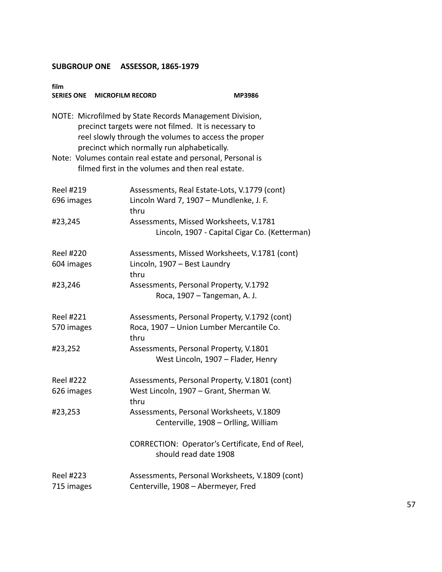| film<br>SERIES ONE MICROFILM RECORD |                                                                                                                                                                                                                        | MP3986                                        |
|-------------------------------------|------------------------------------------------------------------------------------------------------------------------------------------------------------------------------------------------------------------------|-----------------------------------------------|
|                                     | NOTE: Microfilmed by State Records Management Division,<br>precinct targets were not filmed. It is necessary to<br>reel slowly through the volumes to access the proper<br>precinct which normally run alphabetically. |                                               |
|                                     | Note: Volumes contain real estate and personal, Personal is<br>filmed first in the volumes and then real estate.                                                                                                       |                                               |
| <b>Reel #219</b><br>696 images      | Assessments, Real Estate-Lots, V.1779 (cont)<br>Lincoln Ward 7, 1907 - Mundlenke, J. F.<br>thru                                                                                                                        |                                               |
| #23,245                             | Assessments, Missed Worksheets, V.1781                                                                                                                                                                                 | Lincoln, 1907 - Capital Cigar Co. (Ketterman) |
| <b>Reel #220</b><br>604 images      | Assessments, Missed Worksheets, V.1781 (cont)<br>Lincoln, 1907 - Best Laundry<br>thru                                                                                                                                  |                                               |
| #23,246                             | Assessments, Personal Property, V.1792<br>Roca, 1907 - Tangeman, A. J.                                                                                                                                                 |                                               |
| <b>Reel #221</b><br>570 images      | Assessments, Personal Property, V.1792 (cont)<br>Roca, 1907 - Union Lumber Mercantile Co.<br>thru                                                                                                                      |                                               |
| #23,252                             | Assessments, Personal Property, V.1801<br>West Lincoln, 1907 - Flader, Henry                                                                                                                                           |                                               |
| <b>Reel #222</b><br>626 images      | Assessments, Personal Property, V.1801 (cont)<br>West Lincoln, 1907 - Grant, Sherman W.<br>thru                                                                                                                        |                                               |
| #23,253                             | Assessments, Personal Worksheets, V.1809<br>Centerville, 1908 - Orlling, William                                                                                                                                       |                                               |
|                                     | CORRECTION: Operator's Certificate, End of Reel,<br>should read date 1908                                                                                                                                              |                                               |
| <b>Reel #223</b><br>715 images      | Assessments, Personal Worksheets, V.1809 (cont)<br>Centerville, 1908 - Abermeyer, Fred                                                                                                                                 |                                               |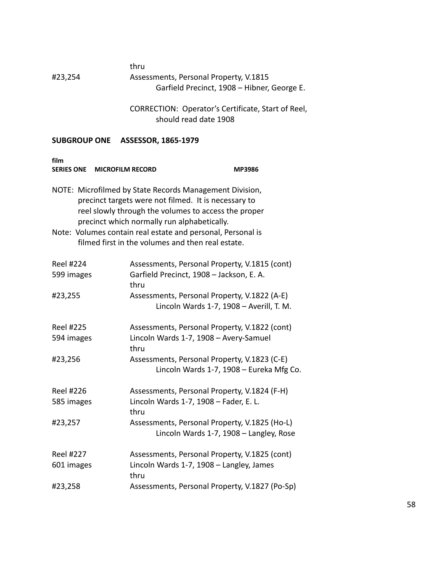#### thru #23,254 Assessments, Personal Property, V.1815 Garfield Precinct, 1908 – Hibner, George E.

CORRECTION: Operator's Certificate, Start of Reel, should read date 1908

| film<br><b>SERIES ONE</b><br><b>MICROFILM RECORD</b> |                                                                                                                                                                                                                                                                                                                                            | MP3986 |
|------------------------------------------------------|--------------------------------------------------------------------------------------------------------------------------------------------------------------------------------------------------------------------------------------------------------------------------------------------------------------------------------------------|--------|
|                                                      | NOTE: Microfilmed by State Records Management Division,<br>precinct targets were not filmed. It is necessary to<br>reel slowly through the volumes to access the proper<br>precinct which normally run alphabetically.<br>Note: Volumes contain real estate and personal, Personal is<br>filmed first in the volumes and then real estate. |        |
| <b>Reel #224</b>                                     | Assessments, Personal Property, V.1815 (cont)                                                                                                                                                                                                                                                                                              |        |
| 599 images                                           | Garfield Precinct, 1908 - Jackson, E. A.<br>thru                                                                                                                                                                                                                                                                                           |        |
| #23,255                                              | Assessments, Personal Property, V.1822 (A-E)<br>Lincoln Wards 1-7, 1908 - Averill, T. M.                                                                                                                                                                                                                                                   |        |
| <b>Reel #225</b>                                     | Assessments, Personal Property, V.1822 (cont)                                                                                                                                                                                                                                                                                              |        |
| 594 images                                           | Lincoln Wards 1-7, 1908 - Avery-Samuel<br>thru                                                                                                                                                                                                                                                                                             |        |
| #23,256                                              | Assessments, Personal Property, V.1823 (C-E)<br>Lincoln Wards 1-7, 1908 - Eureka Mfg Co.                                                                                                                                                                                                                                                   |        |
| <b>Reel #226</b>                                     | Assessments, Personal Property, V.1824 (F-H)                                                                                                                                                                                                                                                                                               |        |
| 585 images                                           | Lincoln Wards 1-7, 1908 - Fader, E. L.<br>thru                                                                                                                                                                                                                                                                                             |        |
| #23,257                                              | Assessments, Personal Property, V.1825 (Ho-L)<br>Lincoln Wards 1-7, 1908 - Langley, Rose                                                                                                                                                                                                                                                   |        |
| <b>Reel #227</b>                                     | Assessments, Personal Property, V.1825 (cont)                                                                                                                                                                                                                                                                                              |        |
| 601 images                                           | Lincoln Wards 1-7, 1908 - Langley, James<br>thru                                                                                                                                                                                                                                                                                           |        |
| #23,258                                              | Assessments, Personal Property, V.1827 (Po-Sp)                                                                                                                                                                                                                                                                                             |        |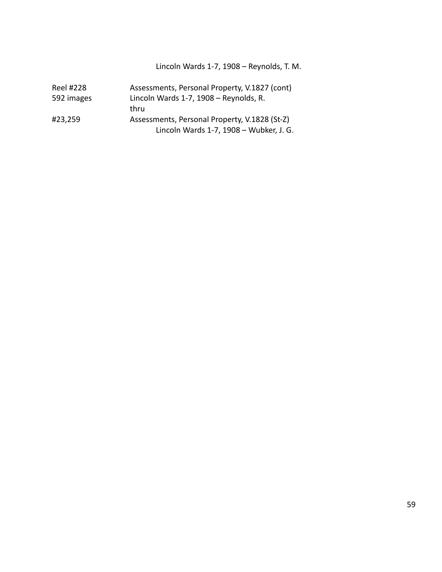Lincoln Wards 1-7, 1908 – Reynolds, T. M.

| Reel #228  | Assessments, Personal Property, V.1827 (cont) |
|------------|-----------------------------------------------|
| 592 images | Lincoln Wards 1-7, 1908 - Reynolds, R.        |
|            | thru                                          |
| #23,259    | Assessments, Personal Property, V.1828 (St-Z) |
|            | Lincoln Wards 1-7, 1908 - Wubker, J. G.       |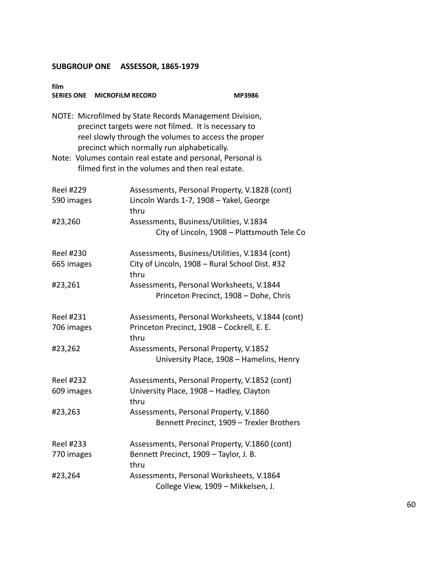| film<br>SERIES ONE MICROFILM RECORD | MP3986                                                                                                                                                                                                                 |
|-------------------------------------|------------------------------------------------------------------------------------------------------------------------------------------------------------------------------------------------------------------------|
|                                     | NOTE: Microfilmed by State Records Management Division,<br>precinct targets were not filmed. It is necessary to<br>reel slowly through the volumes to access the proper<br>precinct which normally run alphabetically. |
|                                     | Note: Volumes contain real estate and personal, Personal is<br>filmed first in the volumes and then real estate.                                                                                                       |
| <b>Reel #229</b><br>590 images      | Assessments, Personal Property, V.1828 (cont)<br>Lincoln Wards 1-7, 1908 - Yakel, George<br>thru                                                                                                                       |
| #23,260                             | Assessments, Business/Utilities, V.1834<br>City of Lincoln, 1908 - Plattsmouth Tele Co                                                                                                                                 |
| <b>Reel #230</b><br>665 images      | Assessments, Business/Utilities, V.1834 (cont)<br>City of Lincoln, 1908 - Rural School Dist. #32<br>thru                                                                                                               |
| #23,261                             | Assessments, Personal Worksheets, V.1844<br>Princeton Precinct, 1908 - Dohe, Chris                                                                                                                                     |
| Reel #231<br>706 images             | Assessments, Personal Worksheets, V.1844 (cont)<br>Princeton Precinct, 1908 - Cockrell, E. E.<br>thru                                                                                                                  |
| #23,262                             | Assessments, Personal Property, V.1852<br>University Place, 1908 - Hamelins, Henry                                                                                                                                     |
| <b>Reel #232</b><br>609 images      | Assessments, Personal Property, V.1852 (cont)<br>University Place, 1908 - Hadley, Clayton<br>thru                                                                                                                      |
| #23,263                             | Assessments, Personal Property, V.1860<br>Bennett Precinct, 1909 - Trexler Brothers                                                                                                                                    |
| <b>Reel #233</b><br>770 images      | Assessments, Personal Property, V.1860 (cont)<br>Bennett Precinct, 1909 - Taylor, J. B.<br>thru                                                                                                                        |
| #23,264                             | Assessments, Personal Worksheets, V.1864<br>College View, 1909 - Mikkelsen, J.                                                                                                                                         |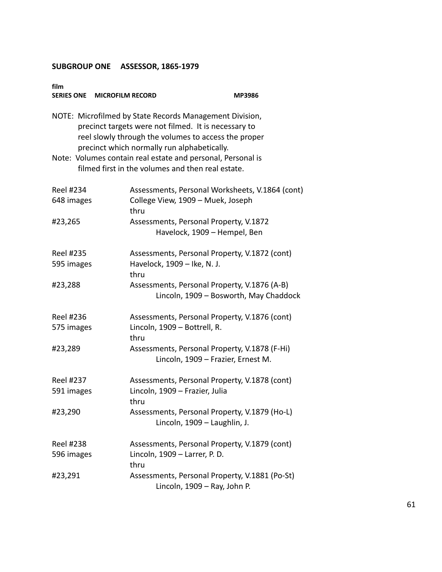| film<br>SERIES ONE MICROFILM RECORD |                                                                                                                                                                                                                                                                                       | MP3986                                                                                 |
|-------------------------------------|---------------------------------------------------------------------------------------------------------------------------------------------------------------------------------------------------------------------------------------------------------------------------------------|----------------------------------------------------------------------------------------|
|                                     | NOTE: Microfilmed by State Records Management Division,<br>precinct targets were not filmed. It is necessary to<br>reel slowly through the volumes to access the proper<br>precinct which normally run alphabetically.<br>Note: Volumes contain real estate and personal, Personal is |                                                                                        |
|                                     | filmed first in the volumes and then real estate.                                                                                                                                                                                                                                     |                                                                                        |
| Reel #234<br>648 images             | College View, 1909 - Muek, Joseph<br>thru                                                                                                                                                                                                                                             | Assessments, Personal Worksheets, V.1864 (cont)                                        |
| #23,265                             |                                                                                                                                                                                                                                                                                       | Assessments, Personal Property, V.1872<br>Havelock, 1909 - Hempel, Ben                 |
| <b>Reel #235</b><br>595 images      | Havelock, 1909 - Ike, N. J.<br>thru                                                                                                                                                                                                                                                   | Assessments, Personal Property, V.1872 (cont)                                          |
| #23,288                             |                                                                                                                                                                                                                                                                                       | Assessments, Personal Property, V.1876 (A-B)<br>Lincoln, 1909 - Bosworth, May Chaddock |
| <b>Reel #236</b><br>575 images      | Lincoln, 1909 - Bottrell, R.<br>thru                                                                                                                                                                                                                                                  | Assessments, Personal Property, V.1876 (cont)                                          |
| #23,289                             |                                                                                                                                                                                                                                                                                       | Assessments, Personal Property, V.1878 (F-Hi)<br>Lincoln, 1909 - Frazier, Ernest M.    |
| <b>Reel #237</b><br>591 images      | Lincoln, 1909 - Frazier, Julia<br>thru                                                                                                                                                                                                                                                | Assessments, Personal Property, V.1878 (cont)                                          |
| #23,290                             |                                                                                                                                                                                                                                                                                       | Assessments, Personal Property, V.1879 (Ho-L)<br>Lincoln, 1909 - Laughlin, J.          |
| <b>Reel #238</b><br>596 images      | Lincoln, 1909 - Larrer, P. D.<br>thru                                                                                                                                                                                                                                                 | Assessments, Personal Property, V.1879 (cont)                                          |
| #23,291                             |                                                                                                                                                                                                                                                                                       | Assessments, Personal Property, V.1881 (Po-St)<br>Lincoln, 1909 - Ray, John P.         |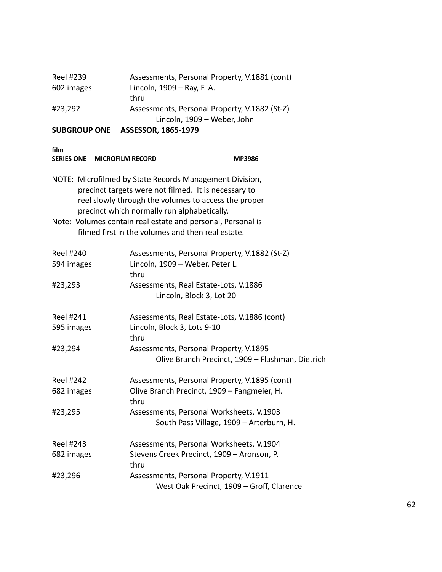|            | Lincoln, 1909 - Weber, John                           |
|------------|-------------------------------------------------------|
| #23,292    | thru<br>Assessments, Personal Property, V.1882 (St-Z) |
| 602 images | Lincoln, 1909 – Ray, F. A.                            |
| Reel #239  | Assessments, Personal Property, V.1881 (cont)         |

| TIIM<br><b>MICROFILM RECORD</b><br><b>SERIES ONE</b> |                                                                                                                                                                                                                        | <b>MP3986</b>                                    |
|------------------------------------------------------|------------------------------------------------------------------------------------------------------------------------------------------------------------------------------------------------------------------------|--------------------------------------------------|
|                                                      | NOTE: Microfilmed by State Records Management Division,<br>precinct targets were not filmed. It is necessary to<br>reel slowly through the volumes to access the proper<br>precinct which normally run alphabetically. |                                                  |
|                                                      | Note: Volumes contain real estate and personal, Personal is<br>filmed first in the volumes and then real estate.                                                                                                       |                                                  |
| <b>Reel #240</b><br>594 images                       | Assessments, Personal Property, V.1882 (St-Z)<br>Lincoln, 1909 - Weber, Peter L.<br>thru                                                                                                                               |                                                  |
| #23,293                                              | Assessments, Real Estate-Lots, V.1886<br>Lincoln, Block 3, Lot 20                                                                                                                                                      |                                                  |
| <b>Reel #241</b><br>595 images                       | Assessments, Real Estate-Lots, V.1886 (cont)<br>Lincoln, Block 3, Lots 9-10<br>thru                                                                                                                                    |                                                  |
| #23,294                                              | Assessments, Personal Property, V.1895                                                                                                                                                                                 | Olive Branch Precinct, 1909 - Flashman, Dietrich |
| <b>Reel #242</b>                                     | Assessments, Personal Property, V.1895 (cont)                                                                                                                                                                          |                                                  |
| 682 images                                           | Olive Branch Precinct, 1909 - Fangmeier, H.<br>thru                                                                                                                                                                    |                                                  |
| #23,295                                              | Assessments, Personal Worksheets, V.1903<br>South Pass Village, 1909 - Arterburn, H.                                                                                                                                   |                                                  |
| <b>Reel #243</b>                                     | Assessments, Personal Worksheets, V.1904                                                                                                                                                                               |                                                  |
| 682 images                                           | Stevens Creek Precinct, 1909 - Aronson, P.<br>thru                                                                                                                                                                     |                                                  |
| #23,296                                              | Assessments, Personal Property, V.1911<br>West Oak Precinct, 1909 - Groff, Clarence                                                                                                                                    |                                                  |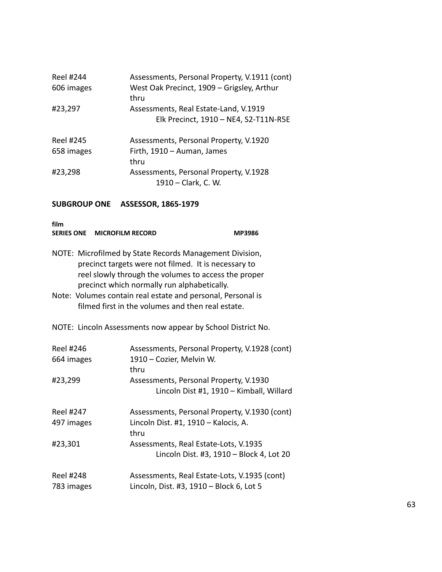| Reel #244<br>606 images        | Assessments, Personal Property, V.1911 (cont)<br>West Oak Precinct, 1909 - Grigsley, Arthur<br>thru |
|--------------------------------|-----------------------------------------------------------------------------------------------------|
| #23,297                        | Assessments, Real Estate-Land, V.1919<br>Elk Precinct, 1910 - NE4, S2-T11N-R5E                      |
| <b>Reel #245</b><br>658 images | Assessments, Personal Property, V.1920<br>Firth, 1910 - Auman, James<br>thru                        |
| #23,298                        | Assessments, Personal Property, V.1928<br>1910 – Clark, C. W.                                       |

| film | SERIES ONE MICROFILM RECORD                                                                                     | <b>MP3986</b> |
|------|-----------------------------------------------------------------------------------------------------------------|---------------|
|      | NOTE: Microfilmed by State Records Management Division,<br>precinct targets were not filmed. It is necessary to |               |
|      | reel slowly through the volumes to access the proper                                                            |               |
|      | precinct which normally run alphabetically.                                                                     |               |
|      | Note: Volumes contain real estate and personal, Personal is                                                     |               |
|      | filmed first in the volumes and then real estate.                                                               |               |

NOTE: Lincoln Assessments now appear by School District No.

| <b>Reel #246</b><br>664 images | Assessments, Personal Property, V.1928 (cont)<br>1910 - Cozier, Melvin W.<br>thru  |
|--------------------------------|------------------------------------------------------------------------------------|
| #23,299                        | Assessments, Personal Property, V.1930<br>Lincoln Dist #1, 1910 - Kimball, Willard |
| Reel #247                      | Assessments, Personal Property, V.1930 (cont)                                      |
| 497 images                     | Lincoln Dist. #1, 1910 - Kalocis, A.<br>thru                                       |
| #23,301                        | Assessments, Real Estate-Lots, V.1935                                              |
|                                | Lincoln Dist. #3, 1910 - Block 4, Lot 20                                           |
| <b>Reel #248</b>               | Assessments, Real Estate-Lots, V.1935 (cont)                                       |
| 783 images                     | Lincoln, Dist. #3, 1910 - Block 6, Lot 5                                           |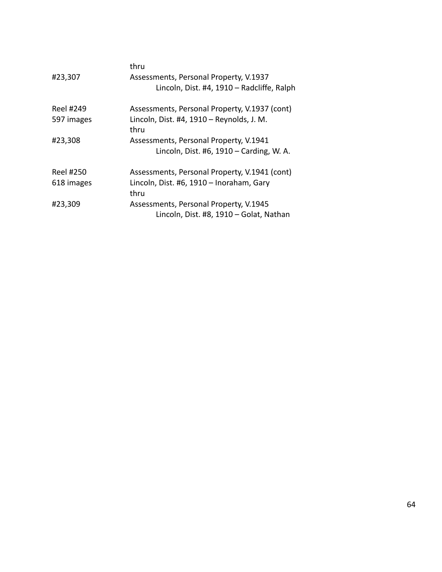| thru                                          |
|-----------------------------------------------|
| Assessments, Personal Property, V.1937        |
| Lincoln, Dist. #4, 1910 - Radcliffe, Ralph    |
| Assessments, Personal Property, V.1937 (cont) |
| Lincoln, Dist. #4, 1910 - Reynolds, J. M.     |
| thru                                          |
| Assessments, Personal Property, V.1941        |
| Lincoln, Dist. #6, $1910 -$ Carding, W. A.    |
| Assessments, Personal Property, V.1941 (cont) |
| Lincoln, Dist. #6, 1910 - Inoraham, Gary      |
| thru                                          |
| Assessments, Personal Property, V.1945        |
| Lincoln, Dist. #8, 1910 - Golat, Nathan       |
|                                               |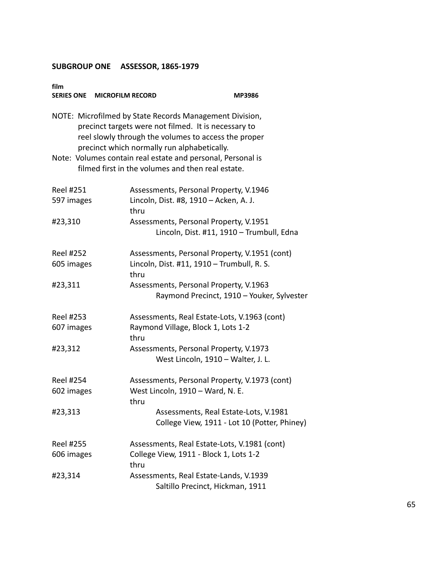| film<br>SERIES ONE MICROFILM RECORD | MP3986                                                                                                                                                                                                                 |
|-------------------------------------|------------------------------------------------------------------------------------------------------------------------------------------------------------------------------------------------------------------------|
|                                     | NOTE: Microfilmed by State Records Management Division,<br>precinct targets were not filmed. It is necessary to<br>reel slowly through the volumes to access the proper<br>precinct which normally run alphabetically. |
|                                     | Note: Volumes contain real estate and personal, Personal is<br>filmed first in the volumes and then real estate.                                                                                                       |
| <b>Reel #251</b>                    | Assessments, Personal Property, V.1946                                                                                                                                                                                 |
| 597 images                          | Lincoln, Dist. #8, 1910 - Acken, A. J.<br>thru                                                                                                                                                                         |
| #23,310                             | Assessments, Personal Property, V.1951                                                                                                                                                                                 |
|                                     | Lincoln, Dist. #11, 1910 - Trumbull, Edna                                                                                                                                                                              |
| <b>Reel #252</b>                    | Assessments, Personal Property, V.1951 (cont)                                                                                                                                                                          |
| 605 images                          | Lincoln, Dist. #11, 1910 - Trumbull, R. S.<br>thru                                                                                                                                                                     |
| #23,311                             | Assessments, Personal Property, V.1963                                                                                                                                                                                 |
|                                     | Raymond Precinct, 1910 - Youker, Sylvester                                                                                                                                                                             |
| Reel #253                           | Assessments, Real Estate-Lots, V.1963 (cont)                                                                                                                                                                           |
| 607 images                          | Raymond Village, Block 1, Lots 1-2<br>thru                                                                                                                                                                             |
| #23,312                             | Assessments, Personal Property, V.1973                                                                                                                                                                                 |
|                                     | West Lincoln, 1910 - Walter, J. L.                                                                                                                                                                                     |
| <b>Reel #254</b>                    | Assessments, Personal Property, V.1973 (cont)                                                                                                                                                                          |
| 602 images                          | West Lincoln, 1910 - Ward, N. E.                                                                                                                                                                                       |
|                                     | thru                                                                                                                                                                                                                   |
| #23,313                             | Assessments, Real Estate-Lots, V.1981<br>College View, 1911 - Lot 10 (Potter, Phiney)                                                                                                                                  |
| <b>Reel #255</b>                    | Assessments, Real Estate-Lots, V.1981 (cont)                                                                                                                                                                           |
| 606 images                          | College View, 1911 - Block 1, Lots 1-2<br>thru                                                                                                                                                                         |
| #23,314                             | Assessments, Real Estate-Lands, V.1939<br>Saltillo Precinct, Hickman, 1911                                                                                                                                             |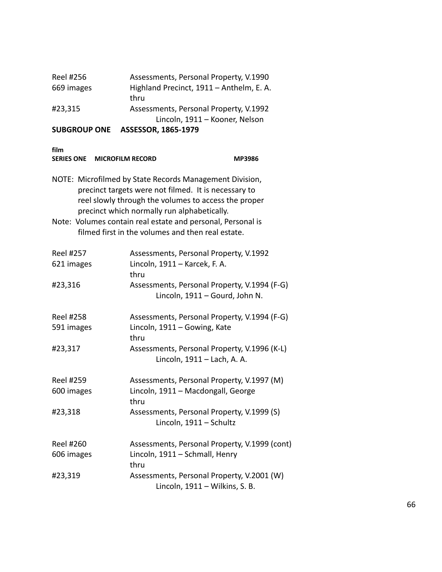| <b>SUBGROUP ONE</b> | Lincoln, 1911 - Kooner, Nelson<br>ASSESSOR, 1865-1979 |
|---------------------|-------------------------------------------------------|
| #23,315             | Assessments, Personal Property, V.1992                |
|                     | thru                                                  |
| 669 images          | Highland Precinct, 1911 - Anthelm, E. A.              |
| Reel #256           | Assessments, Personal Property, V.1990                |

**film**

| film<br>SERIES ONE MICROFILM RECORD |                                                                                                                                                                                                                        | <b>MP3986</b> |
|-------------------------------------|------------------------------------------------------------------------------------------------------------------------------------------------------------------------------------------------------------------------|---------------|
|                                     | NOTE: Microfilmed by State Records Management Division,<br>precinct targets were not filmed. It is necessary to<br>reel slowly through the volumes to access the proper<br>precinct which normally run alphabetically. |               |
|                                     | Note: Volumes contain real estate and personal, Personal is<br>filmed first in the volumes and then real estate.                                                                                                       |               |
| <b>Reel #257</b><br>621 images      | Assessments, Personal Property, V.1992<br>Lincoln, 1911 - Karcek, F. A.<br>thru                                                                                                                                        |               |
| #23,316                             | Assessments, Personal Property, V.1994 (F-G)<br>Lincoln, 1911 - Gourd, John N.                                                                                                                                         |               |
| <b>Reel #258</b><br>591 images      | Assessments, Personal Property, V.1994 (F-G)<br>Lincoln, 1911 - Gowing, Kate<br>thru                                                                                                                                   |               |
| #23,317                             | Assessments, Personal Property, V.1996 (K-L)<br>Lincoln, 1911 - Lach, A. A.                                                                                                                                            |               |
| <b>Reel #259</b>                    | Assessments, Personal Property, V.1997 (M)                                                                                                                                                                             |               |
| 600 images                          | Lincoln, 1911 - Macdongall, George<br>thru                                                                                                                                                                             |               |
| #23,318                             | Assessments, Personal Property, V.1999 (S)<br>Lincoln, 1911 - Schultz                                                                                                                                                  |               |
| <b>Reel #260</b>                    | Assessments, Personal Property, V.1999 (cont)                                                                                                                                                                          |               |
| 606 images                          | Lincoln, 1911 - Schmall, Henry<br>thru                                                                                                                                                                                 |               |
| #23,319                             | Assessments, Personal Property, V.2001 (W)<br>Lincoln, 1911 - Wilkins, S. B.                                                                                                                                           |               |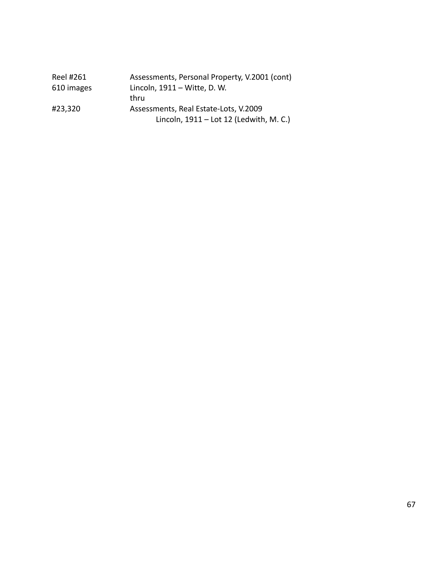| Reel #261  | Assessments, Personal Property, V.2001 (cont) |
|------------|-----------------------------------------------|
| 610 images | Lincoln, 1911 – Witte, D. W.                  |
|            | thru                                          |
| #23,320    | Assessments, Real Estate-Lots, V.2009         |
|            | Lincoln, 1911 - Lot 12 (Ledwith, M. C.)       |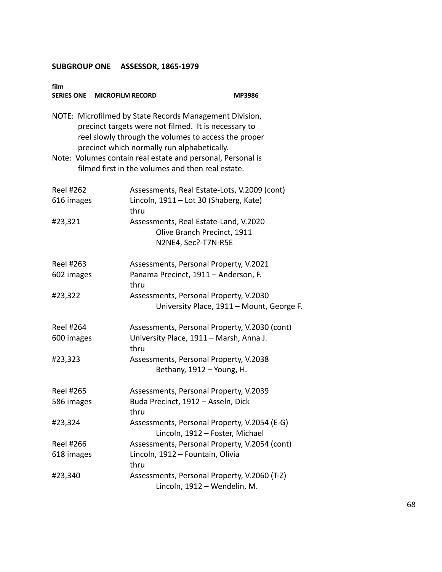| film<br>SERIES ONE MICROFILM RECORD | MP3986                                                                                                                                                                                                                 |
|-------------------------------------|------------------------------------------------------------------------------------------------------------------------------------------------------------------------------------------------------------------------|
|                                     | NOTE: Microfilmed by State Records Management Division,<br>precinct targets were not filmed. It is necessary to<br>reel slowly through the volumes to access the proper<br>precinct which normally run alphabetically. |
|                                     | Note: Volumes contain real estate and personal, Personal is<br>filmed first in the volumes and then real estate.                                                                                                       |
| <b>Reel #262</b>                    | Assessments, Real Estate-Lots, V.2009 (cont)                                                                                                                                                                           |
| 616 images                          | Lincoln, 1911 - Lot 30 (Shaberg, Kate)<br>thru                                                                                                                                                                         |
| #23,321                             | Assessments, Real Estate-Land, V.2020                                                                                                                                                                                  |
|                                     | Olive Branch Precinct, 1911                                                                                                                                                                                            |
|                                     | N2NE4, Sec?-T7N-R5E                                                                                                                                                                                                    |
| Reel #263                           | Assessments, Personal Property, V.2021                                                                                                                                                                                 |
| 602 images                          | Panama Precinct, 1911 - Anderson, F.<br>thru                                                                                                                                                                           |
| #23,322                             | Assessments, Personal Property, V.2030                                                                                                                                                                                 |
|                                     | University Place, 1911 - Mount, George F.                                                                                                                                                                              |
| <b>Reel #264</b>                    | Assessments, Personal Property, V.2030 (cont)                                                                                                                                                                          |
| 600 images                          | University Place, 1911 - Marsh, Anna J.<br>thru                                                                                                                                                                        |
| #23,323                             | Assessments, Personal Property, V.2038<br>Bethany, 1912 - Young, H.                                                                                                                                                    |
|                                     |                                                                                                                                                                                                                        |
| <b>Reel #265</b>                    | Assessments, Personal Property, V.2039                                                                                                                                                                                 |
| 586 images                          | Buda Precinct, 1912 - Asseln, Dick<br>thru                                                                                                                                                                             |
| #23,324                             | Assessments, Personal Property, V.2054 (E-G)<br>Lincoln, 1912 - Foster, Michael                                                                                                                                        |
| <b>Reel #266</b>                    | Assessments, Personal Property, V.2054 (cont)                                                                                                                                                                          |
| 618 images                          | Lincoln, 1912 - Fountain, Olivia<br>thru                                                                                                                                                                               |
| #23,340                             | Assessments, Personal Property, V.2060 (T-Z)<br>Lincoln, 1912 - Wendelin, M.                                                                                                                                           |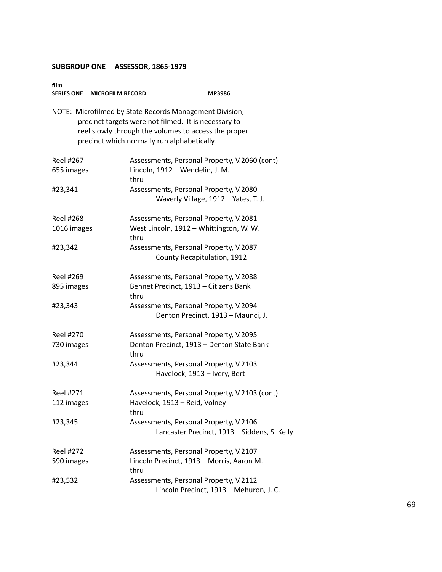| film<br>SERIES ONE MICROFILM RECORD | MP3986                                                                                                                                                                                                                 |
|-------------------------------------|------------------------------------------------------------------------------------------------------------------------------------------------------------------------------------------------------------------------|
|                                     | NOTE: Microfilmed by State Records Management Division,<br>precinct targets were not filmed. It is necessary to<br>reel slowly through the volumes to access the proper<br>precinct which normally run alphabetically. |
| <b>Reel #267</b>                    | Assessments, Personal Property, V.2060 (cont)                                                                                                                                                                          |
| 655 images                          | Lincoln, 1912 - Wendelin, J. M.<br>thru                                                                                                                                                                                |
| #23,341                             | Assessments, Personal Property, V.2080<br>Waverly Village, 1912 - Yates, T. J.                                                                                                                                         |
| <b>Reel #268</b>                    | Assessments, Personal Property, V.2081                                                                                                                                                                                 |
| 1016 images                         | West Lincoln, 1912 - Whittington, W. W.<br>thru                                                                                                                                                                        |
| #23,342                             | Assessments, Personal Property, V.2087<br>County Recapitulation, 1912                                                                                                                                                  |
| <b>Reel #269</b>                    | Assessments, Personal Property, V.2088                                                                                                                                                                                 |
| 895 images                          | Bennet Precinct, 1913 - Citizens Bank<br>thru                                                                                                                                                                          |
| #23,343                             | Assessments, Personal Property, V.2094<br>Denton Precinct, 1913 - Maunci, J.                                                                                                                                           |
| <b>Reel #270</b>                    | Assessments, Personal Property, V.2095                                                                                                                                                                                 |
| 730 images                          | Denton Precinct, 1913 - Denton State Bank<br>thru                                                                                                                                                                      |
| #23,344                             | Assessments, Personal Property, V.2103                                                                                                                                                                                 |
|                                     | Havelock, 1913 - Ivery, Bert                                                                                                                                                                                           |
| Reel #271                           | Assessments, Personal Property, V.2103 (cont)                                                                                                                                                                          |
| 112 images                          | Havelock, 1913 - Reid, Volney<br>thru                                                                                                                                                                                  |
| #23,345                             | Assessments, Personal Property, V.2106<br>Lancaster Precinct, 1913 - Siddens, S. Kelly                                                                                                                                 |
| Reel #272                           | Assessments, Personal Property, V.2107                                                                                                                                                                                 |
| 590 images                          | Lincoln Precinct, 1913 - Morris, Aaron M.<br>thru                                                                                                                                                                      |
| #23,532                             | Assessments, Personal Property, V.2112<br>Lincoln Precinct, 1913 - Mehuron, J. C.                                                                                                                                      |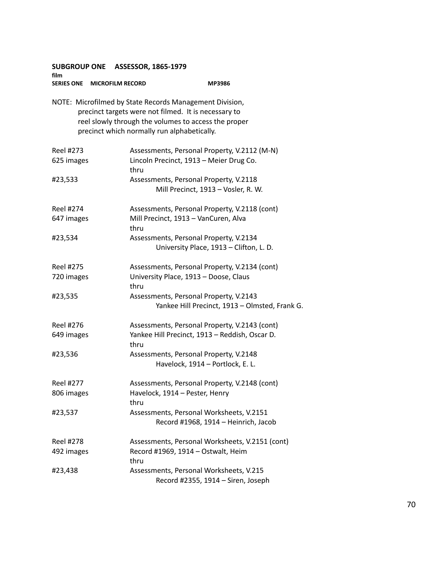**SUBGROUP ONE ASSESSOR, 1865-1979 film SERIES ONE MICROFILM RECORD MP3986**

NOTE: Microfilmed by State Records Management Division, precinct targets were not filmed. It is necessary to reel slowly through the volumes to access the proper precinct which normally run alphabetically.

| Reel #273        | Assessments, Personal Property, V.2112 (M-N)           |
|------------------|--------------------------------------------------------|
| 625 images       | Lincoln Precinct, 1913 - Meier Drug Co.<br>thru        |
| #23,533          | Assessments, Personal Property, V.2118                 |
|                  | Mill Precinct, 1913 - Vosler, R. W.                    |
| <b>Reel #274</b> | Assessments, Personal Property, V.2118 (cont)          |
| 647 images       | Mill Precinct, 1913 - VanCuren, Alva<br>thru           |
| #23,534          | Assessments, Personal Property, V.2134                 |
|                  | University Place, 1913 - Clifton, L. D.                |
| <b>Reel #275</b> | Assessments, Personal Property, V.2134 (cont)          |
| 720 images       | University Place, 1913 - Doose, Claus<br>thru          |
| #23,535          | Assessments, Personal Property, V.2143                 |
|                  | Yankee Hill Precinct, 1913 - Olmsted, Frank G.         |
| <b>Reel #276</b> | Assessments, Personal Property, V.2143 (cont)          |
| 649 images       | Yankee Hill Precinct, 1913 - Reddish, Oscar D.<br>thru |
| #23,536          | Assessments, Personal Property, V.2148                 |
|                  | Havelock, 1914 - Portlock, E. L.                       |
| <b>Reel #277</b> | Assessments, Personal Property, V.2148 (cont)          |
| 806 images       | Havelock, 1914 - Pester, Henry                         |
|                  | thru                                                   |
| #23,537          | Assessments, Personal Worksheets, V.2151               |
|                  | Record #1968, 1914 - Heinrich, Jacob                   |
| Reel #278        | Assessments, Personal Worksheets, V.2151 (cont)        |
| 492 images       | Record #1969, 1914 - Ostwalt, Heim<br>thru             |
| #23,438          | Assessments, Personal Worksheets, V.215                |
|                  | Record #2355, 1914 - Siren, Joseph                     |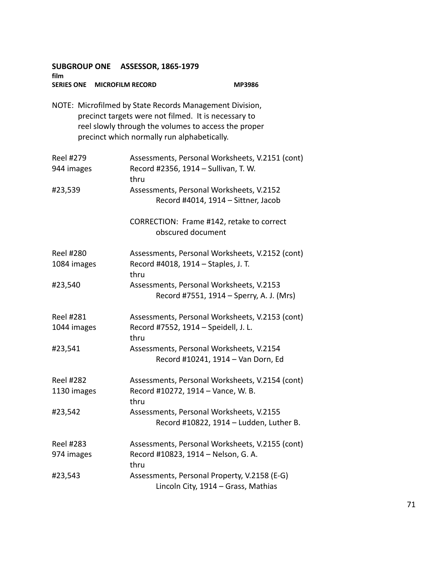**SUBGROUP ONE ASSESSOR, 1865-1979 film SERIES ONE MICROFILM RECORD MP3986** NOTE: Microfilmed by State Records Management Division, precinct targets were not filmed. It is necessary to reel slowly through the volumes to access the proper precinct which normally run alphabetically. Reel #279 Assessments, Personal Worksheets, V.2151 (cont) 944 images Record #2356, 1914 – Sullivan, T. W. thru #23,539 Assessments, Personal Worksheets, V.2152 Record #4014, 1914 – Sittner, Jacob CORRECTION: Frame #142, retake to correct obscured document Reel #280 Assessments, Personal Worksheets, V.2152 (cont) 1084 images Record #4018, 1914 – Staples, J. T. thru #23,540 Assessments, Personal Worksheets, V.2153 Record #7551, 1914 – Sperry, A. J. (Mrs) Reel #281 Assessments, Personal Worksheets, V.2153 (cont) 1044 images Record #7552, 1914 – Speidell, J. L. thru #23,541 Assessments, Personal Worksheets, V.2154 Record #10241, 1914 – Van Dorn, Ed Reel #282 Assessments, Personal Worksheets, V.2154 (cont) 1130 images Record #10272, 1914 – Vance, W. B. thru #23,542 Assessments, Personal Worksheets, V.2155 Record #10822, 1914 – Ludden, Luther B. Reel #283 Assessments, Personal Worksheets, V.2155 (cont) 974 images Record #10823, 1914 – Nelson, G. A. thru #23,543 Assessments, Personal Property, V.2158 (E-G) Lincoln City, 1914 – Grass, Mathias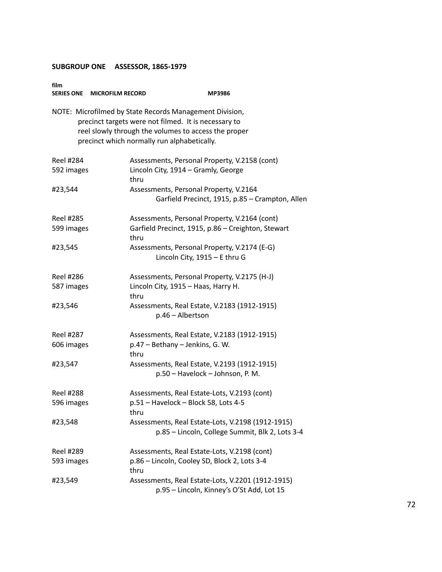| film<br>SERIES ONE MICROFILM RECORD                                                                                                                                                                                    | MP3986                                                                                               |
|------------------------------------------------------------------------------------------------------------------------------------------------------------------------------------------------------------------------|------------------------------------------------------------------------------------------------------|
| NOTE: Microfilmed by State Records Management Division,<br>precinct targets were not filmed. It is necessary to<br>reel slowly through the volumes to access the proper<br>precinct which normally run alphabetically. |                                                                                                      |
| <b>Reel #284</b>                                                                                                                                                                                                       | Assessments, Personal Property, V.2158 (cont)                                                        |
| 592 images                                                                                                                                                                                                             | Lincoln City, 1914 - Gramly, George<br>thru                                                          |
| #23,544                                                                                                                                                                                                                | Assessments, Personal Property, V.2164<br>Garfield Precinct, 1915, p.85 - Crampton, Allen            |
| <b>Reel #285</b>                                                                                                                                                                                                       | Assessments, Personal Property, V.2164 (cont)                                                        |
| 599 images                                                                                                                                                                                                             | Garfield Precinct, 1915, p.86 - Creighton, Stewart<br>thru                                           |
| #23,545                                                                                                                                                                                                                | Assessments, Personal Property, V.2174 (E-G)<br>Lincoln City, 1915 - E thru G                        |
| Reel #286                                                                                                                                                                                                              | Assessments, Personal Property, V.2175 (H-J)                                                         |
| 587 images                                                                                                                                                                                                             | Lincoln City, 1915 - Haas, Harry H.<br>thru                                                          |
| #23,546                                                                                                                                                                                                                | Assessments, Real Estate, V.2183 (1912-1915)<br>p.46 - Albertson                                     |
| <b>Reel #287</b>                                                                                                                                                                                                       | Assessments, Real Estate, V.2183 (1912-1915)                                                         |
| 606 images                                                                                                                                                                                                             | p.47 - Bethany - Jenkins, G. W.<br>thru                                                              |
| #23,547                                                                                                                                                                                                                | Assessments, Real Estate, V.2193 (1912-1915)<br>p.50 - Havelock - Johnson, P. M.                     |
| <b>Reel #288</b>                                                                                                                                                                                                       | Assessments, Real Estate-Lots, V.2193 (cont)                                                         |
| 596 images                                                                                                                                                                                                             | p.51 – Havelock – Block 58, Lots 4-5<br>thru                                                         |
| #23,548                                                                                                                                                                                                                | Assessments, Real Estate-Lots, V.2198 (1912-1915)<br>p.85 - Lincoln, College Summit, Blk 2, Lots 3-4 |
| <b>Reel #289</b>                                                                                                                                                                                                       | Assessments, Real Estate-Lots, V.2198 (cont)                                                         |
| 593 images                                                                                                                                                                                                             | p.86 - Lincoln, Cooley SD, Block 2, Lots 3-4<br>thru                                                 |
| #23,549                                                                                                                                                                                                                | Assessments, Real Estate-Lots, V.2201 (1912-1915)<br>p.95 - Lincoln, Kinney's O'St Add, Lot 15       |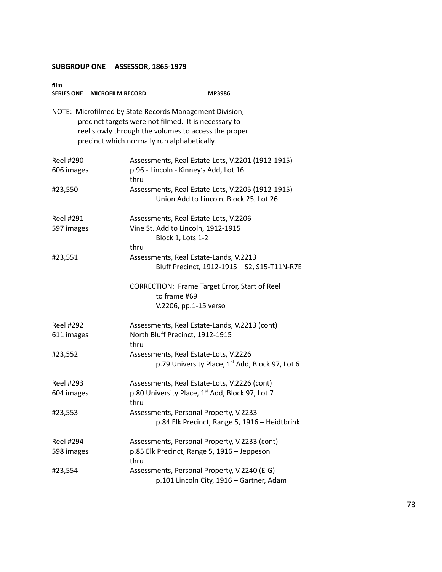| film<br><b>SERIES ONE</b> | <b>MICROFILM RECORD</b> | <b>MP3986</b>                                                                                                                                                                                                          |
|---------------------------|-------------------------|------------------------------------------------------------------------------------------------------------------------------------------------------------------------------------------------------------------------|
|                           |                         | NOTE: Microfilmed by State Records Management Division,<br>precinct targets were not filmed. It is necessary to<br>reel slowly through the volumes to access the proper<br>precinct which normally run alphabetically. |
| Reel #290                 |                         | Assessments, Real Estate-Lots, V.2201 (1912-1915)                                                                                                                                                                      |
| 606 images                | thru                    | p.96 - Lincoln - Kinney's Add, Lot 16                                                                                                                                                                                  |
| #23,550                   |                         | Assessments, Real Estate-Lots, V.2205 (1912-1915)<br>Union Add to Lincoln, Block 25, Lot 26                                                                                                                            |
| Reel #291                 |                         | Assessments, Real Estate-Lots, V.2206                                                                                                                                                                                  |
| 597 images                |                         | Vine St. Add to Lincoln, 1912-1915<br>Block 1, Lots 1-2                                                                                                                                                                |
|                           | thru                    |                                                                                                                                                                                                                        |
| #23,551                   |                         | Assessments, Real Estate-Lands, V.2213<br>Bluff Precinct, 1912-1915 - S2, S15-T11N-R7E                                                                                                                                 |
|                           |                         | CORRECTION: Frame Target Error, Start of Reel<br>to frame #69<br>V.2206, pp.1-15 verso                                                                                                                                 |
| Reel #292                 |                         | Assessments, Real Estate-Lands, V.2213 (cont)                                                                                                                                                                          |
| 611 images                | thru                    | North Bluff Precinct, 1912-1915                                                                                                                                                                                        |
| #23,552                   |                         | Assessments, Real Estate-Lots, V.2226<br>p.79 University Place, 1 <sup>st</sup> Add, Block 97, Lot 6                                                                                                                   |
| Reel #293                 |                         | Assessments, Real Estate-Lots, V.2226 (cont)                                                                                                                                                                           |
| 604 images                | thru                    | p.80 University Place, 1st Add, Block 97, Lot 7                                                                                                                                                                        |
| #23,553                   |                         | Assessments, Personal Property, V.2233<br>p.84 Elk Precinct, Range 5, 1916 - Heidtbrink                                                                                                                                |
| <b>Reel #294</b>          |                         | Assessments, Personal Property, V.2233 (cont)                                                                                                                                                                          |
| 598 images                | thru                    | p.85 Elk Precinct, Range 5, 1916 - Jeppeson                                                                                                                                                                            |
| #23,554                   |                         | Assessments, Personal Property, V.2240 (E-G)<br>p.101 Lincoln City, 1916 - Gartner, Adam                                                                                                                               |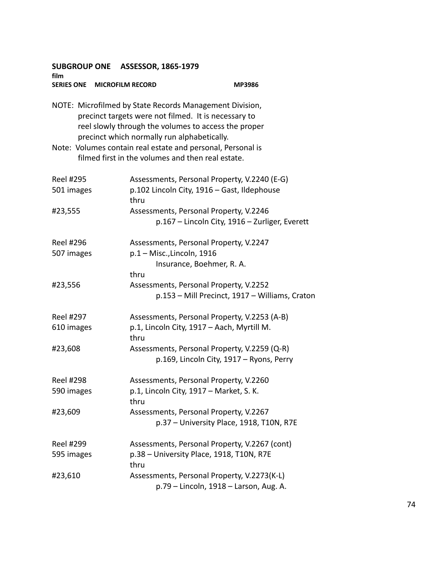| SUBGROUP ONE ASSESSOR, 1865-1979<br>film                                                                                                                                                                               |                                                                                                                  |                                                |  |  |
|------------------------------------------------------------------------------------------------------------------------------------------------------------------------------------------------------------------------|------------------------------------------------------------------------------------------------------------------|------------------------------------------------|--|--|
| SERIES ONE MICROFILM RECORD                                                                                                                                                                                            |                                                                                                                  | MP3986                                         |  |  |
| NOTE: Microfilmed by State Records Management Division,<br>precinct targets were not filmed. It is necessary to<br>reel slowly through the volumes to access the proper<br>precinct which normally run alphabetically. |                                                                                                                  |                                                |  |  |
|                                                                                                                                                                                                                        | Note: Volumes contain real estate and personal, Personal is<br>filmed first in the volumes and then real estate. |                                                |  |  |
| Reel #295<br>501 images                                                                                                                                                                                                | Assessments, Personal Property, V.2240 (E-G)<br>p.102 Lincoln City, 1916 - Gast, Ildephouse<br>thru              |                                                |  |  |
| #23,555                                                                                                                                                                                                                | Assessments, Personal Property, V.2246                                                                           | p.167 - Lincoln City, 1916 - Zurliger, Everett |  |  |
| <b>Reel #296</b><br>507 images                                                                                                                                                                                         | Assessments, Personal Property, V.2247<br>$p.1 -$ Misc., Lincoln, 1916<br>Insurance, Boehmer, R. A.<br>thru      |                                                |  |  |
| #23,556                                                                                                                                                                                                                | Assessments, Personal Property, V.2252                                                                           | p.153 - Mill Precinct, 1917 - Williams, Craton |  |  |
| <b>Reel #297</b><br>610 images                                                                                                                                                                                         | Assessments, Personal Property, V.2253 (A-B)<br>p.1, Lincoln City, 1917 - Aach, Myrtill M.<br>thru               |                                                |  |  |
| #23,608                                                                                                                                                                                                                | Assessments, Personal Property, V.2259 (Q-R)<br>p.169, Lincoln City, 1917 - Ryons, Perry                         |                                                |  |  |
| <b>Reel #298</b><br>590 images                                                                                                                                                                                         | Assessments, Personal Property, V.2260<br>p.1, Lincoln City, 1917 - Market, S. K.<br>thru                        |                                                |  |  |
| #23,609                                                                                                                                                                                                                | Assessments, Personal Property, V.2267<br>p.37 - University Place, 1918, T10N, R7E                               |                                                |  |  |
| <b>Reel #299</b><br>595 images                                                                                                                                                                                         | Assessments, Personal Property, V.2267 (cont)<br>p.38 - University Place, 1918, T10N, R7E<br>thru                |                                                |  |  |
| #23,610                                                                                                                                                                                                                | Assessments, Personal Property, V.2273(K-L)<br>p.79 - Lincoln, 1918 - Larson, Aug. A.                            |                                                |  |  |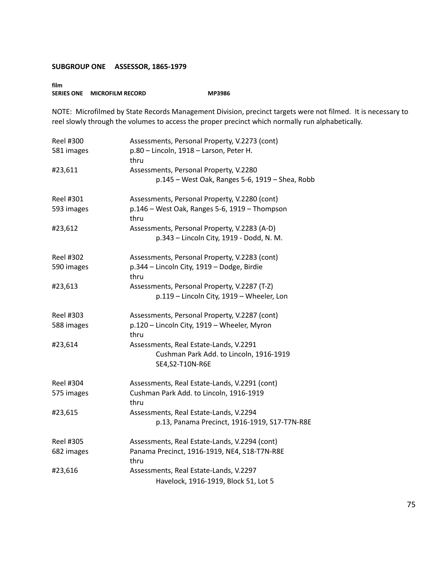#### **film SERIES ONE MICROFILM RECORD MP3986**

NOTE: Microfilmed by State Records Management Division, precinct targets were not filmed. It is necessary to reel slowly through the volumes to access the proper precinct which normally run alphabetically.

| Reel #300<br>581 images        | Assessments, Personal Property, V.2273 (cont)<br>p.80 - Lincoln, 1918 - Larson, Peter H.<br>thru       |
|--------------------------------|--------------------------------------------------------------------------------------------------------|
| #23,611                        | Assessments, Personal Property, V.2280<br>p.145 - West Oak, Ranges 5-6, 1919 - Shea, Robb              |
| <b>Reel #301</b><br>593 images | Assessments, Personal Property, V.2280 (cont)<br>p.146 - West Oak, Ranges 5-6, 1919 - Thompson<br>thru |
| #23,612                        | Assessments, Personal Property, V.2283 (A-D)<br>p.343 - Lincoln City, 1919 - Dodd, N. M.               |
| <b>Reel #302</b><br>590 images | Assessments, Personal Property, V.2283 (cont)<br>p.344 - Lincoln City, 1919 - Dodge, Birdie<br>thru    |
| #23,613                        | Assessments, Personal Property, V.2287 (T-Z)<br>p.119 - Lincoln City, 1919 - Wheeler, Lon              |
| Reel #303<br>588 images        | Assessments, Personal Property, V.2287 (cont)<br>p.120 - Lincoln City, 1919 - Wheeler, Myron<br>thru   |
| #23,614                        | Assessments, Real Estate-Lands, V.2291<br>Cushman Park Add. to Lincoln, 1916-1919<br>SE4, S2-T10N-R6E  |
| Reel #304<br>575 images        | Assessments, Real Estate-Lands, V.2291 (cont)<br>Cushman Park Add. to Lincoln, 1916-1919<br>thru       |
| #23,615                        | Assessments, Real Estate-Lands, V.2294<br>p.13, Panama Precinct, 1916-1919, S17-T7N-R8E                |
| <b>Reel #305</b><br>682 images | Assessments, Real Estate-Lands, V.2294 (cont)<br>Panama Precinct, 1916-1919, NE4, S18-T7N-R8E<br>thru  |
| #23,616                        | Assessments, Real Estate-Lands, V.2297<br>Havelock, 1916-1919, Block 51, Lot 5                         |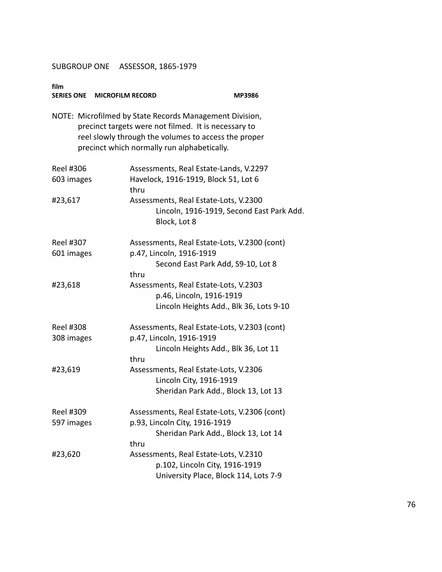| film                           | SERIES ONE MICROFILM RECORD                                                                                                                                                                                            | <b>MP3986</b>                                                                                                    |
|--------------------------------|------------------------------------------------------------------------------------------------------------------------------------------------------------------------------------------------------------------------|------------------------------------------------------------------------------------------------------------------|
|                                | NOTE: Microfilmed by State Records Management Division,<br>precinct targets were not filmed. It is necessary to<br>reel slowly through the volumes to access the proper<br>precinct which normally run alphabetically. |                                                                                                                  |
| <b>Reel #306</b><br>603 images | thru                                                                                                                                                                                                                   | Assessments, Real Estate-Lands, V.2297<br>Havelock, 1916-1919, Block 51, Lot 6                                   |
| #23,617                        | Block, Lot 8                                                                                                                                                                                                           | Assessments, Real Estate-Lots, V.2300<br>Lincoln, 1916-1919, Second East Park Add.                               |
| Reel #307<br>601 images        | p.47, Lincoln, 1916-1919<br>thru                                                                                                                                                                                       | Assessments, Real Estate-Lots, V.2300 (cont)<br>Second East Park Add, S9-10, Lot 8                               |
| #23,618                        |                                                                                                                                                                                                                        | Assessments, Real Estate-Lots, V.2303<br>p.46, Lincoln, 1916-1919<br>Lincoln Heights Add., Blk 36, Lots 9-10     |
| <b>Reel #308</b><br>308 images | p.47, Lincoln, 1916-1919<br>thru                                                                                                                                                                                       | Assessments, Real Estate-Lots, V.2303 (cont)<br>Lincoln Heights Add., Blk 36, Lot 11                             |
| #23,619                        |                                                                                                                                                                                                                        | Assessments, Real Estate-Lots, V.2306<br>Lincoln City, 1916-1919<br>Sheridan Park Add., Block 13, Lot 13         |
| Reel #309<br>597 images        | p.93, Lincoln City, 1916-1919<br>thru                                                                                                                                                                                  | Assessments, Real Estate-Lots, V.2306 (cont)<br>Sheridan Park Add., Block 13, Lot 14                             |
| #23,620                        |                                                                                                                                                                                                                        | Assessments, Real Estate-Lots, V.2310<br>p.102, Lincoln City, 1916-1919<br>University Place, Block 114, Lots 7-9 |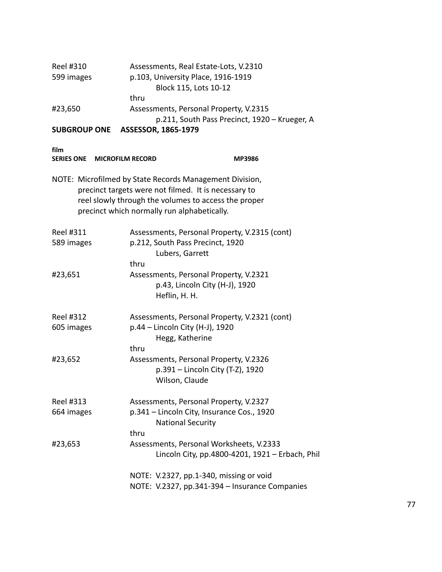| Reel #310<br>599 images                              | Assessments, Real Estate-Lots, V.2310<br>p.103, University Place, 1916-1919<br>Block 115, Lots 10-12<br>thru                                                                                                           |
|------------------------------------------------------|------------------------------------------------------------------------------------------------------------------------------------------------------------------------------------------------------------------------|
| #23,650                                              | Assessments, Personal Property, V.2315<br>p.211, South Pass Precinct, 1920 - Krueger, A                                                                                                                                |
| <b>SUBGROUP ONE</b>                                  | ASSESSOR, 1865-1979                                                                                                                                                                                                    |
| film<br><b>SERIES ONE</b><br><b>MICROFILM RECORD</b> | <b>MP3986</b>                                                                                                                                                                                                          |
|                                                      | NOTE: Microfilmed by State Records Management Division,<br>precinct targets were not filmed. It is necessary to<br>reel slowly through the volumes to access the proper<br>precinct which normally run alphabetically. |
| Reel #311<br>589 images                              | Assessments, Personal Property, V.2315 (cont)<br>p.212, South Pass Precinct, 1920<br>Lubers, Garrett<br>thru                                                                                                           |
| #23,651                                              | Assessments, Personal Property, V.2321<br>p.43, Lincoln City (H-J), 1920<br>Heflin, H. H.                                                                                                                              |
| Reel #312<br>605 images                              | Assessments, Personal Property, V.2321 (cont)<br>p.44 – Lincoln City (H-J), 1920<br>Hegg, Katherine<br>thru                                                                                                            |
| #23,652                                              | Assessments, Personal Property, V.2326<br>p.391 - Lincoln City (T-Z), 1920<br>Wilson, Claude                                                                                                                           |
| <b>Reel #313</b><br>664 images                       | Assessments, Personal Property, V.2327<br>p.341 - Lincoln City, Insurance Cos., 1920<br><b>National Security</b><br>thru                                                                                               |
| #23,653                                              | Assessments, Personal Worksheets, V.2333<br>Lincoln City, pp.4800-4201, 1921 - Erbach, Phil                                                                                                                            |

NOTE: V.2327, pp.1-340, missing or void NOTE: V.2327, pp.341-394 – Insurance Companies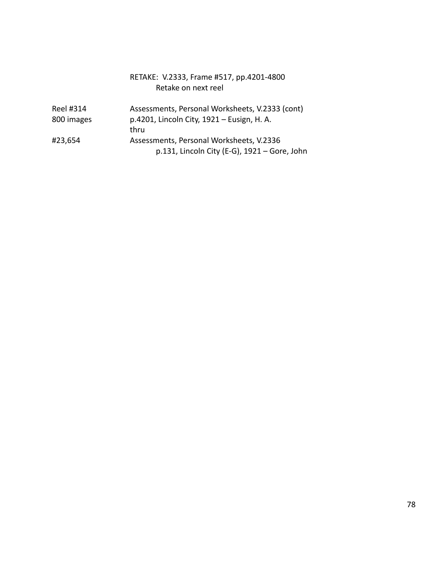| RETAKE: V.2333, Frame #517, pp.4201-4800 |
|------------------------------------------|
| Retake on next reel                      |

| Reel #314  | Assessments, Personal Worksheets, V.2333 (cont) |
|------------|-------------------------------------------------|
| 800 images | p.4201, Lincoln City, 1921 – Eusign, H. A.      |
|            | thru                                            |
| #23,654    | Assessments, Personal Worksheets, V.2336        |
|            | p.131, Lincoln City (E-G), $1921 -$ Gore, John  |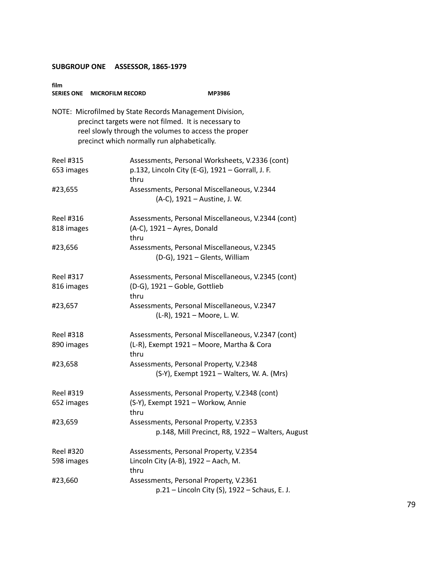| film<br>SERIES ONE MICROFILM RECORD | <b>MP3986</b>                                                                                                                                                                                                          |
|-------------------------------------|------------------------------------------------------------------------------------------------------------------------------------------------------------------------------------------------------------------------|
|                                     | NOTE: Microfilmed by State Records Management Division,<br>precinct targets were not filmed. It is necessary to<br>reel slowly through the volumes to access the proper<br>precinct which normally run alphabetically. |
| Reel #315                           | Assessments, Personal Worksheets, V.2336 (cont)                                                                                                                                                                        |
| 653 images                          | p.132, Lincoln City (E-G), 1921 - Gorrall, J. F.<br>thru                                                                                                                                                               |
| #23,655                             | Assessments, Personal Miscellaneous, V.2344<br>(A-C), 1921 – Austine, J. W.                                                                                                                                            |
| Reel #316                           | Assessments, Personal Miscellaneous, V.2344 (cont)                                                                                                                                                                     |
| 818 images                          | (A-C), 1921 - Ayres, Donald<br>thru                                                                                                                                                                                    |
| #23,656                             | Assessments, Personal Miscellaneous, V.2345<br>(D-G), 1921 - Glents, William                                                                                                                                           |
| <b>Reel #317</b>                    | Assessments, Personal Miscellaneous, V.2345 (cont)                                                                                                                                                                     |
| 816 images                          | (D-G), 1921 - Goble, Gottlieb<br>thru                                                                                                                                                                                  |
| #23,657                             | Assessments, Personal Miscellaneous, V.2347<br>(L-R), 1921 - Moore, L. W.                                                                                                                                              |
| <b>Reel #318</b>                    | Assessments, Personal Miscellaneous, V.2347 (cont)                                                                                                                                                                     |
| 890 images                          | (L-R), Exempt 1921 - Moore, Martha & Cora<br>thru                                                                                                                                                                      |
| #23,658                             | Assessments, Personal Property, V.2348                                                                                                                                                                                 |
|                                     | (S-Y), Exempt 1921 - Walters, W. A. (Mrs)                                                                                                                                                                              |
| <b>Reel #319</b>                    | Assessments, Personal Property, V.2348 (cont)                                                                                                                                                                          |
| 652 images                          | (S-Y), Exempt 1921 - Workow, Annie<br>thru                                                                                                                                                                             |
| #23,659                             | Assessments, Personal Property, V.2353<br>p.148, Mill Precinct, R8, 1922 - Walters, August                                                                                                                             |
| Reel #320                           | Assessments, Personal Property, V.2354                                                                                                                                                                                 |
| 598 images                          | Lincoln City (A-B), $1922 -$ Aach, M.<br>thru                                                                                                                                                                          |
| #23,660                             | Assessments, Personal Property, V.2361<br>p.21 - Lincoln City (S), 1922 - Schaus, E. J.                                                                                                                                |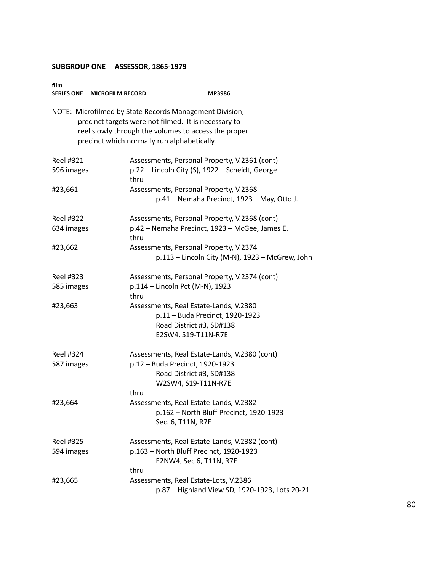| film             | SERIES ONE MICROFILM RECORD                 | <b>MP3986</b>                                                                                                                                                           |
|------------------|---------------------------------------------|-------------------------------------------------------------------------------------------------------------------------------------------------------------------------|
|                  | precinct which normally run alphabetically. | NOTE: Microfilmed by State Records Management Division,<br>precinct targets were not filmed. It is necessary to<br>reel slowly through the volumes to access the proper |
| <b>Reel #321</b> |                                             | Assessments, Personal Property, V.2361 (cont)                                                                                                                           |
| 596 images       | thru                                        | p.22 - Lincoln City (S), 1922 - Scheidt, George                                                                                                                         |
| #23,661          |                                             | Assessments, Personal Property, V.2368                                                                                                                                  |
|                  |                                             | p.41 - Nemaha Precinct, 1923 - May, Otto J.                                                                                                                             |
| Reel #322        |                                             | Assessments, Personal Property, V.2368 (cont)                                                                                                                           |
| 634 images       | thru                                        | p.42 - Nemaha Precinct, 1923 - McGee, James E.                                                                                                                          |
| #23,662          |                                             | Assessments, Personal Property, V.2374                                                                                                                                  |
|                  |                                             | p.113 - Lincoln City (M-N), 1923 - McGrew, John                                                                                                                         |
| <b>Reel #323</b> |                                             | Assessments, Personal Property, V.2374 (cont)                                                                                                                           |
| 585 images       | thru                                        | p.114 - Lincoln Pct (M-N), 1923                                                                                                                                         |
| #23,663          |                                             | Assessments, Real Estate-Lands, V.2380                                                                                                                                  |
|                  |                                             | p.11 - Buda Precinct, 1920-1923                                                                                                                                         |
|                  |                                             | Road District #3, SD#138                                                                                                                                                |
|                  |                                             | E2SW4, S19-T11N-R7E                                                                                                                                                     |
| Reel #324        |                                             | Assessments, Real Estate-Lands, V.2380 (cont)                                                                                                                           |
| 587 images       |                                             | p.12 - Buda Precinct, 1920-1923                                                                                                                                         |
|                  |                                             | Road District #3, SD#138                                                                                                                                                |
|                  |                                             | W2SW4, S19-T11N-R7E                                                                                                                                                     |
|                  | thru                                        |                                                                                                                                                                         |
| #23,664          |                                             | Assessments, Real Estate-Lands, V.2382<br>p.162 - North Bluff Precinct, 1920-1923                                                                                       |
|                  |                                             | Sec. 6, T11N, R7E                                                                                                                                                       |
| Reel #325        |                                             | Assessments, Real Estate-Lands, V.2382 (cont)                                                                                                                           |
| 594 images       |                                             | p.163 - North Bluff Precinct, 1920-1923                                                                                                                                 |
|                  |                                             | E2NW4, Sec 6, T11N, R7E                                                                                                                                                 |
|                  | thru                                        |                                                                                                                                                                         |
| #23,665          |                                             | Assessments, Real Estate-Lots, V.2386                                                                                                                                   |
|                  |                                             | p.87 - Highland View SD, 1920-1923, Lots 20-21                                                                                                                          |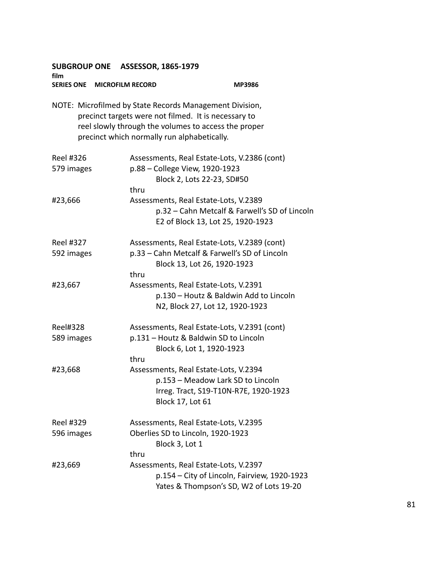| film                          | SUBGROUP ONE ASSESSOR, 1865-1979                                                                                                                                                                                       |                                                                                                                              |
|-------------------------------|------------------------------------------------------------------------------------------------------------------------------------------------------------------------------------------------------------------------|------------------------------------------------------------------------------------------------------------------------------|
| SERIES ONE MICROFILM RECORD   |                                                                                                                                                                                                                        | <b>MP3986</b>                                                                                                                |
|                               | NOTE: Microfilmed by State Records Management Division,<br>precinct targets were not filmed. It is necessary to<br>reel slowly through the volumes to access the proper<br>precinct which normally run alphabetically. |                                                                                                                              |
| Reel #326<br>579 images       | p.88 - College View, 1920-1923<br>thru                                                                                                                                                                                 | Assessments, Real Estate-Lots, V.2386 (cont)<br>Block 2, Lots 22-23, SD#50                                                   |
| #23,666                       | Assessments, Real Estate-Lots, V.2389                                                                                                                                                                                  | p.32 - Cahn Metcalf & Farwell's SD of Lincoln<br>E2 of Block 13, Lot 25, 1920-1923                                           |
| Reel #327<br>592 images       | thru                                                                                                                                                                                                                   | Assessments, Real Estate-Lots, V.2389 (cont)<br>p.33 - Cahn Metcalf & Farwell's SD of Lincoln<br>Block 13, Lot 26, 1920-1923 |
| #23,667                       | Assessments, Real Estate-Lots, V.2391                                                                                                                                                                                  | p.130 - Houtz & Baldwin Add to Lincoln<br>N2, Block 27, Lot 12, 1920-1923                                                    |
| <b>Reel#328</b><br>589 images | thru                                                                                                                                                                                                                   | Assessments, Real Estate-Lots, V.2391 (cont)<br>p.131 - Houtz & Baldwin SD to Lincoln<br>Block 6, Lot 1, 1920-1923           |
| #23,668                       | Assessments, Real Estate-Lots, V.2394<br><b>Block 17, Lot 61</b>                                                                                                                                                       | p.153 - Meadow Lark SD to Lincoln<br>Irreg. Tract, S19-T10N-R7E, 1920-1923                                                   |
| Reel #329<br>596 images       | Assessments, Real Estate-Lots, V.2395<br>Oberlies SD to Lincoln, 1920-1923<br>Block 3, Lot 1<br>thru                                                                                                                   |                                                                                                                              |
| #23,669                       | Assessments, Real Estate-Lots, V.2397                                                                                                                                                                                  | p.154 - City of Lincoln, Fairview, 1920-1923<br>Yates & Thompson's SD, W2 of Lots 19-20                                      |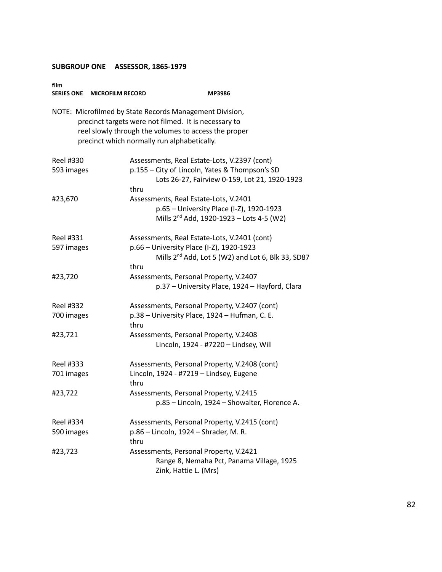| film                           | SERIES ONE MICROFILM RECORD                 | MP3986                                                                                                                                                                  |
|--------------------------------|---------------------------------------------|-------------------------------------------------------------------------------------------------------------------------------------------------------------------------|
|                                | precinct which normally run alphabetically. | NOTE: Microfilmed by State Records Management Division,<br>precinct targets were not filmed. It is necessary to<br>reel slowly through the volumes to access the proper |
| Reel #330<br>593 images        | thru                                        | Assessments, Real Estate-Lots, V.2397 (cont)<br>p.155 - City of Lincoln, Yates & Thompson's SD<br>Lots 26-27, Fairview 0-159, Lot 21, 1920-1923                         |
| #23,670                        |                                             | Assessments, Real Estate-Lots, V.2401<br>p.65 - University Place (I-Z), 1920-1923<br>Mills $2^{nd}$ Add, 1920-1923 – Lots 4-5 (W2)                                      |
| Reel #331<br>597 images        | thru                                        | Assessments, Real Estate-Lots, V.2401 (cont)<br>p.66 - University Place (I-Z), 1920-1923<br>Mills 2 <sup>nd</sup> Add, Lot 5 (W2) and Lot 6, Blk 33, SD87               |
| #23,720                        |                                             | Assessments, Personal Property, V.2407<br>p.37 - University Place, 1924 - Hayford, Clara                                                                                |
| <b>Reel #332</b><br>700 images | thru                                        | Assessments, Personal Property, V.2407 (cont)<br>p.38 - University Place, 1924 - Hufman, C. E.                                                                          |
| #23,721                        |                                             | Assessments, Personal Property, V.2408<br>Lincoln, 1924 - #7220 - Lindsey, Will                                                                                         |
| Reel #333<br>701 images        | thru                                        | Assessments, Personal Property, V.2408 (cont)<br>Lincoln, 1924 - #7219 - Lindsey, Eugene                                                                                |
| #23,722                        |                                             | Assessments, Personal Property, V.2415<br>p.85 - Lincoln, 1924 - Showalter, Florence A.                                                                                 |
| Reel #334<br>590 images        | thru                                        | Assessments, Personal Property, V.2415 (cont)<br>p.86 - Lincoln, 1924 - Shrader, M. R.                                                                                  |
| #23,723                        |                                             | Assessments, Personal Property, V.2421<br>Range 8, Nemaha Pct, Panama Village, 1925<br>Zink, Hattie L. (Mrs)                                                            |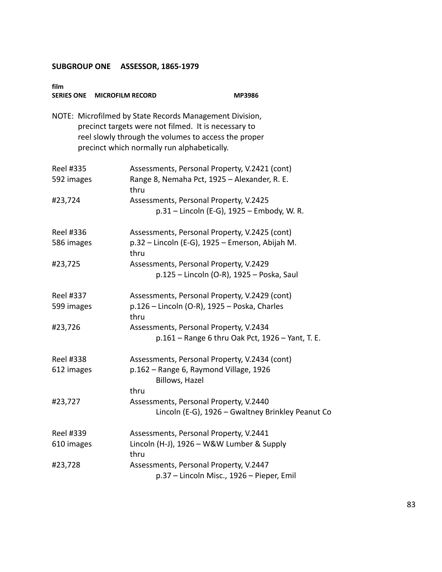| film             | SERIES ONE MICROFILM RECORD                 | MP3986                                                                                                                                                                  |
|------------------|---------------------------------------------|-------------------------------------------------------------------------------------------------------------------------------------------------------------------------|
|                  | precinct which normally run alphabetically. | NOTE: Microfilmed by State Records Management Division,<br>precinct targets were not filmed. It is necessary to<br>reel slowly through the volumes to access the proper |
| <b>Reel #335</b> |                                             | Assessments, Personal Property, V.2421 (cont)                                                                                                                           |
| 592 images       | thru                                        | Range 8, Nemaha Pct, 1925 - Alexander, R. E.                                                                                                                            |
| #23,724          |                                             | Assessments, Personal Property, V.2425                                                                                                                                  |
|                  |                                             | p.31 – Lincoln (E-G), 1925 – Embody, W. R.                                                                                                                              |
| Reel #336        |                                             | Assessments, Personal Property, V.2425 (cont)                                                                                                                           |
| 586 images       | thru                                        | p.32 - Lincoln (E-G), 1925 - Emerson, Abijah M.                                                                                                                         |
| #23,725          |                                             | Assessments, Personal Property, V.2429                                                                                                                                  |
|                  |                                             | p.125 - Lincoln (O-R), 1925 - Poska, Saul                                                                                                                               |
| Reel #337        |                                             | Assessments, Personal Property, V.2429 (cont)                                                                                                                           |
| 599 images       | thru                                        | p.126 - Lincoln (O-R), 1925 - Poska, Charles                                                                                                                            |
| #23,726          |                                             | Assessments, Personal Property, V.2434                                                                                                                                  |
|                  |                                             | p.161 - Range 6 thru Oak Pct, 1926 - Yant, T. E.                                                                                                                        |
| Reel #338        |                                             | Assessments, Personal Property, V.2434 (cont)                                                                                                                           |
| 612 images       |                                             | p.162 - Range 6, Raymond Village, 1926<br>Billows, Hazel                                                                                                                |
|                  | thru                                        |                                                                                                                                                                         |
| #23,727          |                                             | Assessments, Personal Property, V.2440                                                                                                                                  |
|                  |                                             | Lincoln (E-G), 1926 - Gwaltney Brinkley Peanut Co                                                                                                                       |
| Reel #339        |                                             | Assessments, Personal Property, V.2441                                                                                                                                  |
| 610 images       | thru                                        | Lincoln (H-J), 1926 - W&W Lumber & Supply                                                                                                                               |
| #23,728          |                                             | Assessments, Personal Property, V.2447                                                                                                                                  |
|                  |                                             | p.37 - Lincoln Misc., 1926 - Pieper, Emil                                                                                                                               |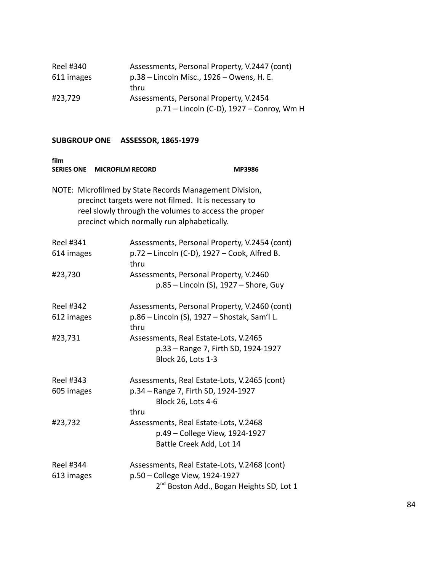| Reel #340  | Assessments, Personal Property, V.2447 (cont) |
|------------|-----------------------------------------------|
| 611 images | p.38 – Lincoln Misc., 1926 – Owens, H. E.     |
|            | thru                                          |
| #23,729    | Assessments, Personal Property, V.2454        |
|            | p.71 – Lincoln (C-D), 1927 – Conroy, Wm H     |

| film<br>SERIES ONE MICROFILM RECORD |                                                                                                                                                                                                                        | <b>MP3986</b> |
|-------------------------------------|------------------------------------------------------------------------------------------------------------------------------------------------------------------------------------------------------------------------|---------------|
|                                     | NOTE: Microfilmed by State Records Management Division,<br>precinct targets were not filmed. It is necessary to<br>reel slowly through the volumes to access the proper<br>precinct which normally run alphabetically. |               |
| Reel #341                           | Assessments, Personal Property, V.2454 (cont)                                                                                                                                                                          |               |
| 614 images                          | p.72 - Lincoln (C-D), 1927 - Cook, Alfred B.<br>thru                                                                                                                                                                   |               |
| #23,730                             | Assessments, Personal Property, V.2460                                                                                                                                                                                 |               |
|                                     | p.85 - Lincoln (S), 1927 - Shore, Guy                                                                                                                                                                                  |               |
| <b>Reel #342</b>                    | Assessments, Personal Property, V.2460 (cont)                                                                                                                                                                          |               |
| 612 images                          | p.86 – Lincoln (S), 1927 – Shostak, Sam'l L.<br>thru                                                                                                                                                                   |               |
| #23,731                             | Assessments, Real Estate-Lots, V.2465                                                                                                                                                                                  |               |
|                                     | p.33 - Range 7, Firth SD, 1924-1927                                                                                                                                                                                    |               |
|                                     | Block 26, Lots 1-3                                                                                                                                                                                                     |               |
| <b>Reel #343</b>                    | Assessments, Real Estate-Lots, V.2465 (cont)                                                                                                                                                                           |               |
| 605 images                          | p.34 - Range 7, Firth SD, 1924-1927                                                                                                                                                                                    |               |
|                                     | <b>Block 26, Lots 4-6</b>                                                                                                                                                                                              |               |
|                                     | thru                                                                                                                                                                                                                   |               |
| #23,732                             | Assessments, Real Estate-Lots, V.2468                                                                                                                                                                                  |               |
|                                     | p.49 – College View, 1924-1927<br>Battle Creek Add, Lot 14                                                                                                                                                             |               |
|                                     |                                                                                                                                                                                                                        |               |
| Reel #344                           | Assessments, Real Estate-Lots, V.2468 (cont)                                                                                                                                                                           |               |
| 613 images                          | p.50 - College View, 1924-1927                                                                                                                                                                                         |               |
|                                     | 2 <sup>nd</sup> Boston Add., Bogan Heights SD, Lot 1                                                                                                                                                                   |               |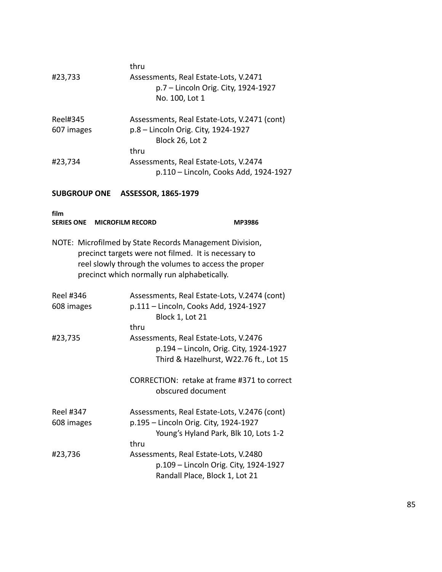|            | thru                                         |
|------------|----------------------------------------------|
| #23,733    | Assessments, Real Estate-Lots, V.2471        |
|            | p.7 - Lincoln Orig. City, 1924-1927          |
|            | No. 100, Lot 1                               |
| Reel#345   | Assessments, Real Estate-Lots, V.2471 (cont) |
| 607 images | p.8 - Lincoln Orig. City, 1924-1927          |
|            | Block 26, Lot 2                              |
|            | thru                                         |
| #23,734    | Assessments, Real Estate-Lots, V.2474        |
|            | p.110 - Lincoln, Cooks Add, 1924-1927        |
|            |                                              |

| film                           | SERIES ONE MICROFILM RECORD |                                                                                                                                                                                                                        | <b>MP3986</b> |
|--------------------------------|-----------------------------|------------------------------------------------------------------------------------------------------------------------------------------------------------------------------------------------------------------------|---------------|
|                                |                             | NOTE: Microfilmed by State Records Management Division,<br>precinct targets were not filmed. It is necessary to<br>reel slowly through the volumes to access the proper<br>precinct which normally run alphabetically. |               |
| Reel #346<br>608 images        |                             | Assessments, Real Estate-Lots, V.2474 (cont)<br>p.111 - Lincoln, Cooks Add, 1924-1927<br>Block 1, Lot 21                                                                                                               |               |
| #23,735                        |                             | thru<br>Assessments, Real Estate-Lots, V.2476<br>p.194 - Lincoln, Orig. City, 1924-1927<br>Third & Hazelhurst, W22.76 ft., Lot 15                                                                                      |               |
|                                |                             | CORRECTION: retake at frame #371 to correct<br>obscured document                                                                                                                                                       |               |
| <b>Reel #347</b><br>608 images |                             | Assessments, Real Estate-Lots, V.2476 (cont)<br>p.195 - Lincoln Orig. City, 1924-1927<br>Young's Hyland Park, Blk 10, Lots 1-2<br>thru                                                                                 |               |
| #23,736                        |                             | Assessments, Real Estate-Lots, V.2480<br>p.109 - Lincoln Orig. City, 1924-1927<br>Randall Place, Block 1, Lot 21                                                                                                       |               |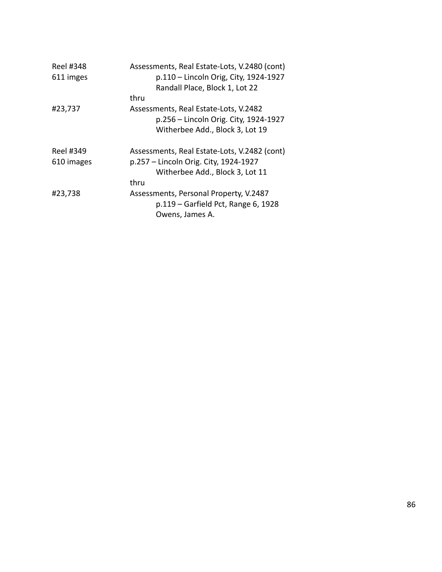| <b>Reel #348</b><br>611 imges | Assessments, Real Estate-Lots, V.2480 (cont)<br>p.110 - Lincoln Orig, City, 1924-1927<br>Randall Place, Block 1, Lot 22 |
|-------------------------------|-------------------------------------------------------------------------------------------------------------------------|
|                               | thru                                                                                                                    |
| #23,737                       | Assessments, Real Estate-Lots, V.2482                                                                                   |
|                               | p.256 – Lincoln Orig. City, 1924-1927                                                                                   |
|                               | Witherbee Add., Block 3, Lot 19                                                                                         |
| Reel #349                     | Assessments, Real Estate-Lots, V.2482 (cont)                                                                            |
| 610 images                    | p.257 – Lincoln Orig. City, 1924-1927                                                                                   |
|                               | Witherbee Add., Block 3, Lot 11                                                                                         |
|                               | thru                                                                                                                    |
| #23,738                       | Assessments, Personal Property, V.2487<br>p.119 – Garfield Pct, Range 6, 1928<br>Owens, James A.                        |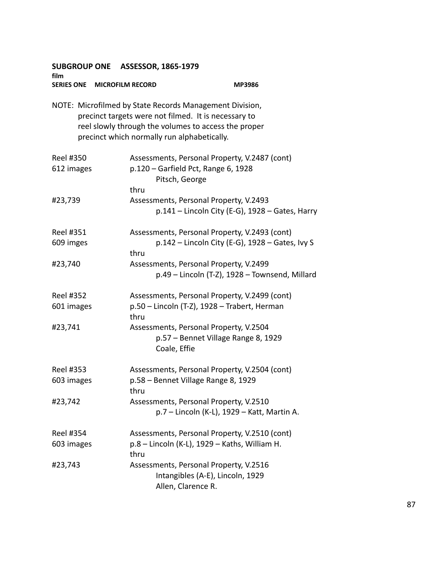| film                           | SUBGROUP ONE ASSESSOR, 1865-1979            |                                                                                                                                                                         |
|--------------------------------|---------------------------------------------|-------------------------------------------------------------------------------------------------------------------------------------------------------------------------|
|                                | SERIES ONE MICROFILM RECORD                 | <b>MP3986</b>                                                                                                                                                           |
|                                | precinct which normally run alphabetically. | NOTE: Microfilmed by State Records Management Division,<br>precinct targets were not filmed. It is necessary to<br>reel slowly through the volumes to access the proper |
| Reel #350<br>612 images        | thru                                        | Assessments, Personal Property, V.2487 (cont)<br>p.120 - Garfield Pct, Range 6, 1928<br>Pitsch, George                                                                  |
| #23,739                        |                                             | Assessments, Personal Property, V.2493<br>$p.141$ – Lincoln City (E-G), 1928 – Gates, Harry                                                                             |
| <b>Reel #351</b><br>609 imges  | thru                                        | Assessments, Personal Property, V.2493 (cont)<br>$p.142$ – Lincoln City (E-G), 1928 – Gates, Ivy S                                                                      |
| #23,740                        |                                             | Assessments, Personal Property, V.2499<br>p.49 - Lincoln (T-Z), 1928 - Townsend, Millard                                                                                |
| <b>Reel #352</b><br>601 images | thru                                        | Assessments, Personal Property, V.2499 (cont)<br>p.50 - Lincoln (T-Z), 1928 - Trabert, Herman                                                                           |
| #23,741                        |                                             | Assessments, Personal Property, V.2504<br>p.57 - Bennet Village Range 8, 1929<br>Coale, Effie                                                                           |
| <b>Reel #353</b><br>603 images | thru                                        | Assessments, Personal Property, V.2504 (cont)<br>p.58 - Bennet Village Range 8, 1929                                                                                    |
| #23,742                        |                                             | Assessments, Personal Property, V.2510<br>p.7 - Lincoln (K-L), 1929 - Katt, Martin A.                                                                                   |
| <b>Reel #354</b><br>603 images | thru                                        | Assessments, Personal Property, V.2510 (cont)<br>p.8 - Lincoln (K-L), 1929 - Kaths, William H.                                                                          |
| #23,743                        |                                             | Assessments, Personal Property, V.2516<br>Intangibles (A-E), Lincoln, 1929<br>Allen, Clarence R.                                                                        |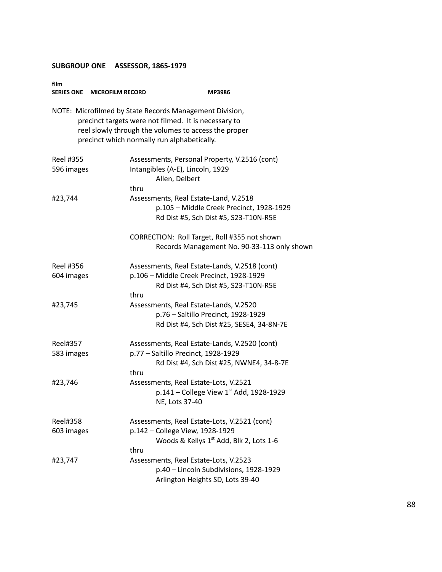| film<br>SERIES ONE MICROFILM RECORD |      | <b>MP3986</b>                                                                                                                                                                                                          |
|-------------------------------------|------|------------------------------------------------------------------------------------------------------------------------------------------------------------------------------------------------------------------------|
|                                     |      | NOTE: Microfilmed by State Records Management Division,<br>precinct targets were not filmed. It is necessary to<br>reel slowly through the volumes to access the proper<br>precinct which normally run alphabetically. |
| <b>Reel #355</b><br>596 images      |      | Assessments, Personal Property, V.2516 (cont)<br>Intangibles (A-E), Lincoln, 1929<br>Allen, Delbert                                                                                                                    |
| #23,744                             | thru | Assessments, Real Estate-Land, V.2518<br>p.105 - Middle Creek Precinct, 1928-1929<br>Rd Dist #5, Sch Dist #5, S23-T10N-R5E                                                                                             |
|                                     |      | CORRECTION: Roll Target, Roll #355 not shown<br>Records Management No. 90-33-113 only shown                                                                                                                            |
| Reel #356<br>604 images             | thru | Assessments, Real Estate-Lands, V.2518 (cont)<br>p.106 - Middle Creek Precinct, 1928-1929<br>Rd Dist #4, Sch Dist #5, S23-T10N-R5E                                                                                     |
| #23,745                             |      | Assessments, Real Estate-Lands, V.2520<br>p.76 - Saltillo Precinct, 1928-1929<br>Rd Dist #4, Sch Dist #25, SESE4, 34-8N-7E                                                                                             |
| Reel#357<br>583 images              | thru | Assessments, Real Estate-Lands, V.2520 (cont)<br>p.77 - Saltillo Precinct, 1928-1929<br>Rd Dist #4, Sch Dist #25, NWNE4, 34-8-7E                                                                                       |
| #23,746                             |      | Assessments, Real Estate-Lots, V.2521<br>p.141 – College View $1^{st}$ Add, 1928-1929<br>NE, Lots 37-40                                                                                                                |
| <b>Reel#358</b><br>603 images       | thru | Assessments, Real Estate-Lots, V.2521 (cont)<br>p.142 - College View, 1928-1929<br>Woods & Kellys 1 <sup>st</sup> Add, Blk 2, Lots 1-6                                                                                 |
| #23,747                             |      | Assessments, Real Estate-Lots, V.2523<br>p.40 - Lincoln Subdivisions, 1928-1929<br>Arlington Heights SD, Lots 39-40                                                                                                    |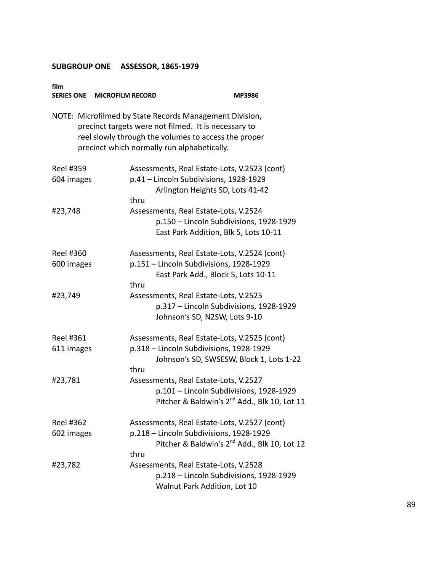| film                           | SERIES ONE MICROFILM RECORD | MP3986                                                                                                                                                                                                                 |
|--------------------------------|-----------------------------|------------------------------------------------------------------------------------------------------------------------------------------------------------------------------------------------------------------------|
|                                |                             | NOTE: Microfilmed by State Records Management Division,<br>precinct targets were not filmed. It is necessary to<br>reel slowly through the volumes to access the proper<br>precinct which normally run alphabetically. |
| <b>Reel #359</b><br>604 images | thru                        | Assessments, Real Estate-Lots, V.2523 (cont)<br>p.41 - Lincoln Subdivisions, 1928-1929<br>Arlington Heights SD, Lots 41-42                                                                                             |
| #23,748                        |                             | Assessments, Real Estate-Lots, V.2524<br>p.150 - Lincoln Subdivisions, 1928-1929<br>East Park Addition, Blk 5, Lots 10-11                                                                                              |
| Reel #360<br>600 images        | thru                        | Assessments, Real Estate-Lots, V.2524 (cont)<br>p.151 - Lincoln Subdivisions, 1928-1929<br>East Park Add., Block 5, Lots 10-11                                                                                         |
| #23,749                        |                             | Assessments, Real Estate-Lots, V.2525<br>p.317 - Lincoln Subdivisions, 1928-1929<br>Johnson's SD, N2SW, Lots 9-10                                                                                                      |
| Reel #361<br>611 images        | thru                        | Assessments, Real Estate-Lots, V.2525 (cont)<br>p.318 - Lincoln Subdivisions, 1928-1929<br>Johnson's SD, SWSESW, Block 1, Lots 1-22                                                                                    |
| #23,781                        |                             | Assessments, Real Estate-Lots, V.2527<br>p.101 - Lincoln Subdivisions, 1928-1929<br>Pitcher & Baldwin's 2 <sup>nd</sup> Add., Blk 10, Lot 11                                                                           |
| <b>Reel #362</b><br>602 images | thru                        | Assessments, Real Estate-Lots, V.2527 (cont)<br>p.218 - Lincoln Subdivisions, 1928-1929<br>Pitcher & Baldwin's 2 <sup>nd</sup> Add., Blk 10, Lot 12                                                                    |
| #23,782                        |                             | Assessments, Real Estate-Lots, V.2528<br>p.218 - Lincoln Subdivisions, 1928-1929<br>Walnut Park Addition, Lot 10                                                                                                       |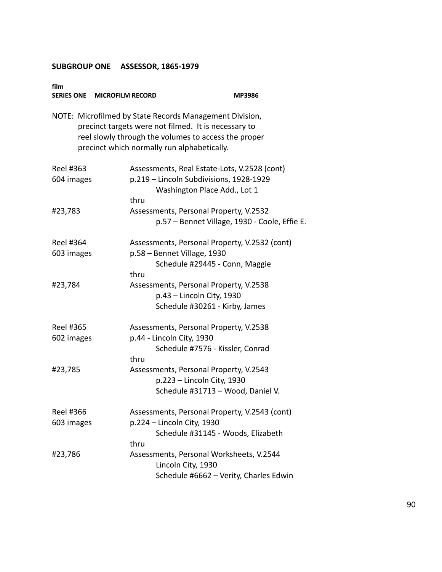| film                           | SERIES ONE MICROFILM RECORD                                                                                                                                                                                            | <b>MP3986</b>                                                                                                           |
|--------------------------------|------------------------------------------------------------------------------------------------------------------------------------------------------------------------------------------------------------------------|-------------------------------------------------------------------------------------------------------------------------|
|                                | NOTE: Microfilmed by State Records Management Division,<br>precinct targets were not filmed. It is necessary to<br>reel slowly through the volumes to access the proper<br>precinct which normally run alphabetically. |                                                                                                                         |
| Reel #363<br>604 images        | thru                                                                                                                                                                                                                   | Assessments, Real Estate-Lots, V.2528 (cont)<br>p.219 - Lincoln Subdivisions, 1928-1929<br>Washington Place Add., Lot 1 |
| #23,783                        |                                                                                                                                                                                                                        | Assessments, Personal Property, V.2532<br>p.57 – Bennet Village, 1930 - Coole, Effie E.                                 |
| <b>Reel #364</b><br>603 images | p.58 - Bennet Village, 1930<br>thru                                                                                                                                                                                    | Assessments, Personal Property, V.2532 (cont)<br>Schedule #29445 - Conn, Maggie                                         |
| #23,784                        |                                                                                                                                                                                                                        | Assessments, Personal Property, V.2538<br>p.43 - Lincoln City, 1930<br>Schedule #30261 - Kirby, James                   |
| Reel #365<br>602 images        | p.44 - Lincoln City, 1930<br>thru                                                                                                                                                                                      | Assessments, Personal Property, V.2538<br>Schedule #7576 - Kissler, Conrad                                              |
| #23,785                        |                                                                                                                                                                                                                        | Assessments, Personal Property, V.2543<br>p.223 - Lincoln City, 1930<br>Schedule #31713 - Wood, Daniel V.               |
| <b>Reel #366</b><br>603 images | p.224 - Lincoln City, 1930<br>thru                                                                                                                                                                                     | Assessments, Personal Property, V.2543 (cont)<br>Schedule #31145 - Woods, Elizabeth                                     |
| #23,786                        |                                                                                                                                                                                                                        | Assessments, Personal Worksheets, V.2544<br>Lincoln City, 1930<br>Schedule #6662 - Verity, Charles Edwin                |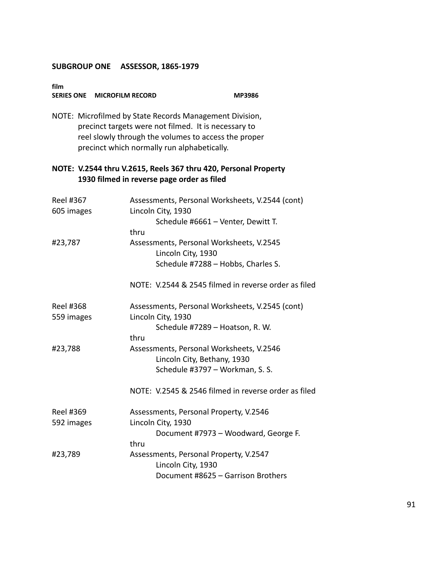| film<br>SERIES ONE MICROFILM RECORD                                                                                                                                                                                    |                                                                                                                     | <b>MP3986</b> |
|------------------------------------------------------------------------------------------------------------------------------------------------------------------------------------------------------------------------|---------------------------------------------------------------------------------------------------------------------|---------------|
| NOTE: Microfilmed by State Records Management Division,<br>precinct targets were not filmed. It is necessary to<br>reel slowly through the volumes to access the proper<br>precinct which normally run alphabetically. |                                                                                                                     |               |
| NOTE: V.2544 thru V.2615, Reels 367 thru 420, Personal Property<br>1930 filmed in reverse page order as filed                                                                                                          |                                                                                                                     |               |
| Reel #367<br>605 images                                                                                                                                                                                                | Assessments, Personal Worksheets, V.2544 (cont)<br>Lincoln City, 1930<br>Schedule #6661 - Venter, Dewitt T.<br>thru |               |
| #23,787                                                                                                                                                                                                                | Assessments, Personal Worksheets, V.2545<br>Lincoln City, 1930<br>Schedule #7288 - Hobbs, Charles S.                |               |
|                                                                                                                                                                                                                        | NOTE: V.2544 & 2545 filmed in reverse order as filed                                                                |               |
| Reel #368<br>559 images                                                                                                                                                                                                | Assessments, Personal Worksheets, V.2545 (cont)<br>Lincoln City, 1930<br>Schedule #7289 - Hoatson, R. W.<br>thru    |               |
| #23,788                                                                                                                                                                                                                | Assessments, Personal Worksheets, V.2546<br>Lincoln City, Bethany, 1930<br>Schedule #3797 - Workman, S. S.          |               |
|                                                                                                                                                                                                                        | NOTE: V.2545 & 2546 filmed in reverse order as filed                                                                |               |
| <b>Reel #369</b><br>592 images                                                                                                                                                                                         | Assessments, Personal Property, V.2546<br>Lincoln City, 1930<br>Document #7973 - Woodward, George F.<br>thru        |               |
| #23,789                                                                                                                                                                                                                | Assessments, Personal Property, V.2547<br>Lincoln City, 1930<br>Document #8625 - Garrison Brothers                  |               |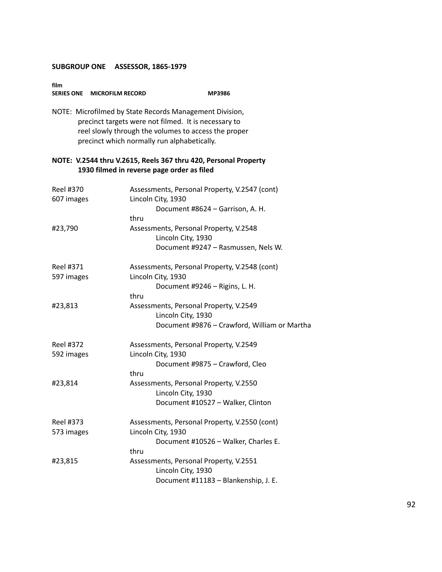| SERIES ONE MICROFILM RECORD    | <b>MP3986</b>                                                                                                                                                                                                          |
|--------------------------------|------------------------------------------------------------------------------------------------------------------------------------------------------------------------------------------------------------------------|
|                                | NOTE: Microfilmed by State Records Management Division,<br>precinct targets were not filmed. It is necessary to<br>reel slowly through the volumes to access the proper<br>precinct which normally run alphabetically. |
|                                | NOTE: V.2544 thru V.2615, Reels 367 thru 420, Personal Property<br>1930 filmed in reverse page order as filed                                                                                                          |
| <b>Reel #370</b><br>607 images | Assessments, Personal Property, V.2547 (cont)<br>Lincoln City, 1930<br>Document #8624 - Garrison, A. H.                                                                                                                |
| #23,790                        | thru<br>Assessments, Personal Property, V.2548<br>Lincoln City, 1930<br>Document #9247 - Rasmussen, Nels W.                                                                                                            |
| Reel #371<br>597 images        | Assessments, Personal Property, V.2548 (cont)<br>Lincoln City, 1930<br>Document #9246 - Rigins, L. H.<br>thru                                                                                                          |
| #23,813                        | Assessments, Personal Property, V.2549<br>Lincoln City, 1930<br>Document #9876 - Crawford, William or Martha                                                                                                           |
| <b>Reel #372</b><br>592 images | Assessments, Personal Property, V.2549<br>Lincoln City, 1930<br>Document #9875 - Crawford, Cleo<br>thru                                                                                                                |
| #23,814                        | Assessments, Personal Property, V.2550<br>Lincoln City, 1930<br>Document #10527 - Walker, Clinton                                                                                                                      |
| Reel #373<br>573 images        | Assessments, Personal Property, V.2550 (cont)<br>Lincoln City, 1930<br>Document #10526 - Walker, Charles E.<br>thru                                                                                                    |
| #23,815                        | Assessments, Personal Property, V.2551<br>Lincoln City, 1930<br>Document #11183 - Blankenship, J. E.                                                                                                                   |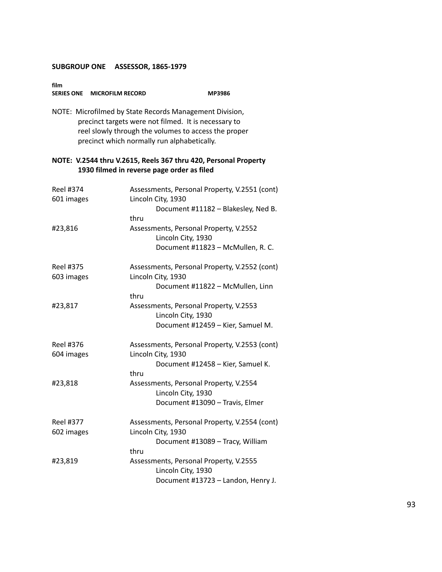**SERIES ONE MICROFILM RECORD MP3986**

| NOTE: Microfilmed by State Records Management Division,<br>precinct targets were not filmed. It is necessary to<br>reel slowly through the volumes to access the proper<br>precinct which normally run alphabetically. |                                                                                                                                               |  |
|------------------------------------------------------------------------------------------------------------------------------------------------------------------------------------------------------------------------|-----------------------------------------------------------------------------------------------------------------------------------------------|--|
|                                                                                                                                                                                                                        | NOTE: V.2544 thru V.2615, Reels 367 thru 420, Personal Property<br>1930 filmed in reverse page order as filed                                 |  |
| Reel #374<br>601 images                                                                                                                                                                                                | Assessments, Personal Property, V.2551 (cont)<br>Lincoln City, 1930                                                                           |  |
|                                                                                                                                                                                                                        | Document #11182 - Blakesley, Ned B.<br>thru                                                                                                   |  |
| #23,816                                                                                                                                                                                                                | Assessments, Personal Property, V.2552<br>Lincoln City, 1930<br>Document #11823 - McMullen, R. C.                                             |  |
| Reel #375<br>603 images                                                                                                                                                                                                | Assessments, Personal Property, V.2552 (cont)<br>Lincoln City, 1930                                                                           |  |
| #23,817                                                                                                                                                                                                                | Document #11822 - McMullen, Linn<br>thru<br>Assessments, Personal Property, V.2553<br>Lincoln City, 1930<br>Document #12459 - Kier, Samuel M. |  |
| Reel #376<br>604 images                                                                                                                                                                                                | Assessments, Personal Property, V.2553 (cont)<br>Lincoln City, 1930<br>Document #12458 - Kier, Samuel K.<br>thru                              |  |
| #23,818                                                                                                                                                                                                                | Assessments, Personal Property, V.2554<br>Lincoln City, 1930<br>Document #13090 - Travis, Elmer                                               |  |
| Reel #377                                                                                                                                                                                                              | Assessments, Personal Property, V.2554 (cont)                                                                                                 |  |
| 602 images                                                                                                                                                                                                             | Lincoln City, 1930<br>Document #13089 - Tracy, William<br>thru                                                                                |  |
| #23,819                                                                                                                                                                                                                | Assessments, Personal Property, V.2555<br>Lincoln City, 1930<br>Document #13723 - Landon, Henry J.                                            |  |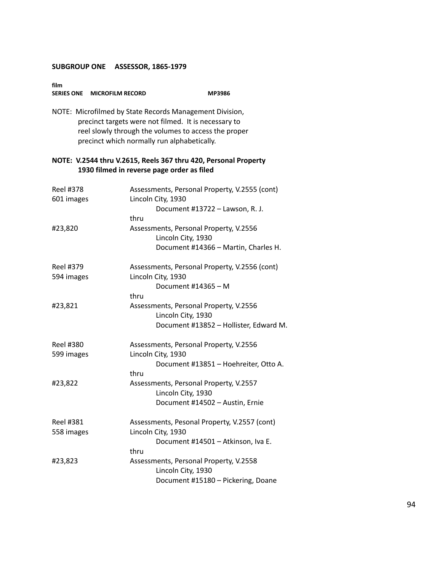**SERIES ONE MICROFILM RECORD MP3986**

|                                | NOTE: Microfilmed by State Records Management Division,<br>precinct targets were not filmed. It is necessary to<br>reel slowly through the volumes to access the proper<br>precinct which normally run alphabetically. |
|--------------------------------|------------------------------------------------------------------------------------------------------------------------------------------------------------------------------------------------------------------------|
|                                | NOTE: V.2544 thru V.2615, Reels 367 thru 420, Personal Property<br>1930 filmed in reverse page order as filed                                                                                                          |
| <b>Reel #378</b><br>601 images | Assessments, Personal Property, V.2555 (cont)<br>Lincoln City, 1930<br>Document #13722 - Lawson, R. J.                                                                                                                 |
| #23,820                        | thru<br>Assessments, Personal Property, V.2556<br>Lincoln City, 1930<br>Document #14366 - Martin, Charles H.                                                                                                           |
| Reel #379<br>594 images        | Assessments, Personal Property, V.2556 (cont)<br>Lincoln City, 1930<br>Document #14365 - M<br>thru                                                                                                                     |
| #23,821                        | Assessments, Personal Property, V.2556<br>Lincoln City, 1930<br>Document #13852 - Hollister, Edward M.                                                                                                                 |
| <b>Reel #380</b><br>599 images | Assessments, Personal Property, V.2556<br>Lincoln City, 1930<br>Document #13851 - Hoehreiter, Otto A.<br>thru                                                                                                          |
| #23,822                        | Assessments, Personal Property, V.2557<br>Lincoln City, 1930<br>Document #14502 - Austin, Ernie                                                                                                                        |
| Reel #381<br>558 images        | Assessments, Pesonal Property, V.2557 (cont)<br>Lincoln City, 1930<br>Document #14501 - Atkinson, Iva E.<br>thru                                                                                                       |
| #23,823                        | Assessments, Personal Property, V.2558<br>Lincoln City, 1930<br>Document #15180 - Pickering, Doane                                                                                                                     |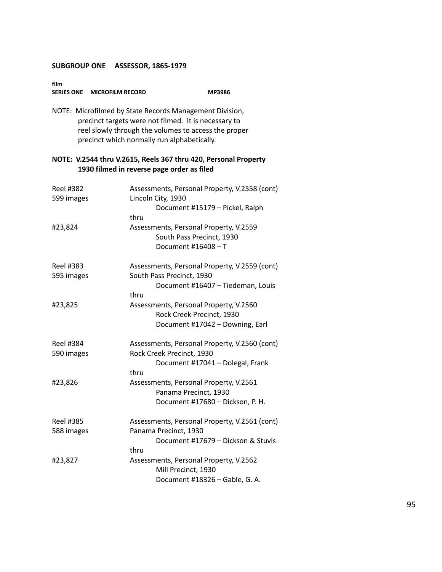**film SERIES ONE MICROFILM RECORD MP3986** 

NOTE: Microfilmed by State Records Management Division, precinct targets were not filmed. It is necessary to reel slowly through the volumes to access the proper precinct which normally run alphabetically.

| <b>Reel #382</b><br>599 images | Assessments, Personal Property, V.2558 (cont)<br>Lincoln City, 1930 |  |
|--------------------------------|---------------------------------------------------------------------|--|
|                                | Document #15179 - Pickel, Ralph                                     |  |
|                                | thru                                                                |  |
| #23,824                        | Assessments, Personal Property, V.2559                              |  |
|                                | South Pass Precinct, 1930                                           |  |
|                                | Document #16408 $-$ T                                               |  |
| Reel #383                      | Assessments, Personal Property, V.2559 (cont)                       |  |
| 595 images                     | South Pass Precinct, 1930                                           |  |
|                                | Document #16407 - Tiedeman, Louis                                   |  |
|                                | thru                                                                |  |
| #23,825                        | Assessments, Personal Property, V.2560                              |  |
|                                | Rock Creek Precinct, 1930                                           |  |
|                                | Document #17042 - Downing, Earl                                     |  |
| Reel #384                      | Assessments, Personal Property, V.2560 (cont)                       |  |
| 590 images                     | Rock Creek Precinct, 1930                                           |  |
|                                | Document #17041 - Dolegal, Frank                                    |  |
|                                | thru                                                                |  |
| #23,826                        | Assessments, Personal Property, V.2561<br>Panama Precinct, 1930     |  |
|                                | Document #17680 - Dickson, P. H.                                    |  |
| <b>Reel #385</b>               | Assessments, Personal Property, V.2561 (cont)                       |  |
| 588 images                     | Panama Precinct, 1930                                               |  |
|                                | Document #17679 - Dickson & Stuvis                                  |  |
|                                | thru                                                                |  |
| #23,827                        | Assessments, Personal Property, V.2562                              |  |
|                                | Mill Precinct, 1930                                                 |  |
|                                | Document #18326 - Gable, G. A.                                      |  |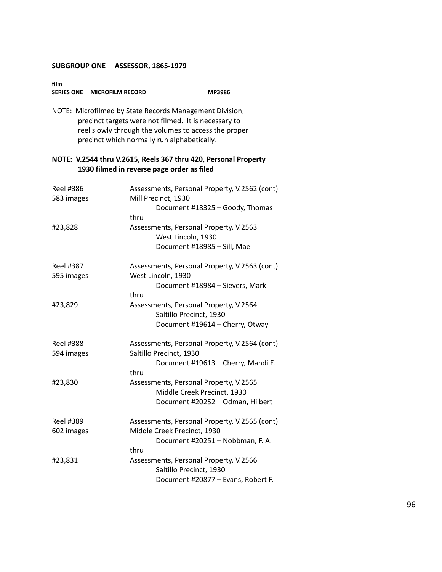**film SERIES ONE MICROFILM RECORD MP3986** 

NOTE: Microfilmed by State Records Management Division, precinct targets were not filmed. It is necessary to reel slowly through the volumes to access the proper precinct which normally run alphabetically.

| <b>Reel #386</b><br>583 images | Assessments, Personal Property, V.2562 (cont)<br>Mill Precinct, 1930                                      |
|--------------------------------|-----------------------------------------------------------------------------------------------------------|
|                                | Document #18325 - Goody, Thomas<br>thru                                                                   |
| #23,828                        | Assessments, Personal Property, V.2563<br>West Lincoln, 1930<br>Document #18985 - Sill, Mae               |
| <b>Reel #387</b><br>595 images | Assessments, Personal Property, V.2563 (cont)<br>West Lincoln, 1930                                       |
|                                | Document #18984 - Sievers, Mark<br>thru                                                                   |
| #23,829                        | Assessments, Personal Property, V.2564<br>Saltillo Precinct, 1930<br>Document #19614 - Cherry, Otway      |
| Reel #388<br>594 images        | Assessments, Personal Property, V.2564 (cont)<br>Saltillo Precinct, 1930                                  |
|                                | Document #19613 - Cherry, Mandi E.<br>thru                                                                |
| #23,830                        | Assessments, Personal Property, V.2565<br>Middle Creek Precinct, 1930<br>Document #20252 - Odman, Hilbert |
| <b>Reel #389</b><br>602 images | Assessments, Personal Property, V.2565 (cont)<br>Middle Creek Precinct, 1930                              |
|                                | Document #20251 - Nobbman, F. A.<br>thru                                                                  |
| #23,831                        | Assessments, Personal Property, V.2566<br>Saltillo Precinct, 1930<br>Document #20877 - Evans, Robert F.   |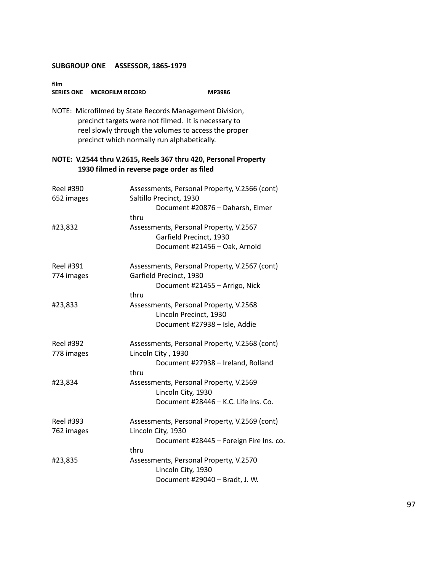**film SERIES ONE MICROFILM RECORD MP3986**

NOTE: Microfilmed by State Records Management Division, precinct targets were not filmed. It is necessary to reel slowly through the volumes to access the proper precinct which normally run alphabetically.

| <b>Reel #390</b><br>652 images | Assessments, Personal Property, V.2566 (cont)<br>Saltillo Precinct, 1930<br>Document #20876 - Daharsh, Elmer           |
|--------------------------------|------------------------------------------------------------------------------------------------------------------------|
| #23,832                        | thru<br>Assessments, Personal Property, V.2567<br>Garfield Precinct, 1930<br>Document #21456 - Oak, Arnold             |
| <b>Reel #391</b><br>774 images | Assessments, Personal Property, V.2567 (cont)<br>Garfield Precinct, 1930<br>Document #21455 - Arrigo, Nick<br>thru     |
| #23,833                        | Assessments, Personal Property, V.2568<br>Lincoln Precinct, 1930<br>Document #27938 - Isle, Addie                      |
| Reel #392<br>778 images        | Assessments, Personal Property, V.2568 (cont)<br>Lincoln City, 1930<br>Document #27938 - Ireland, Rolland<br>thru      |
| #23,834                        | Assessments, Personal Property, V.2569<br>Lincoln City, 1930<br>Document #28446 - K.C. Life Ins. Co.                   |
| Reel #393<br>762 images        | Assessments, Personal Property, V.2569 (cont)<br>Lincoln City, 1930<br>Document #28445 - Foreign Fire Ins. co.<br>thru |
| #23,835                        | Assessments, Personal Property, V.2570<br>Lincoln City, 1930<br>Document #29040 - Bradt, J. W.                         |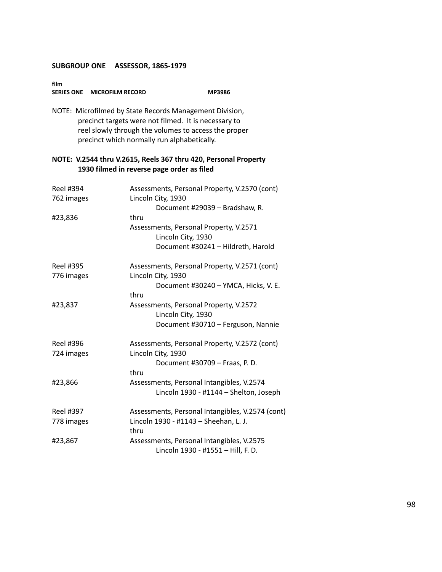**film SERIES ONE MICROFILM RECORD MP3986**

NOTE: Microfilmed by State Records Management Division, precinct targets were not filmed. It is necessary to reel slowly through the volumes to access the proper precinct which normally run alphabetically.

| Reel #394<br>762 images        | Assessments, Personal Property, V.2570 (cont)<br>Lincoln City, 1930                 |  |
|--------------------------------|-------------------------------------------------------------------------------------|--|
|                                | Document #29039 - Bradshaw, R.                                                      |  |
| #23,836                        | thru                                                                                |  |
|                                | Assessments, Personal Property, V.2571<br>Lincoln City, 1930                        |  |
|                                | Document #30241 - Hildreth, Harold                                                  |  |
| <b>Reel #395</b><br>776 images | Assessments, Personal Property, V.2571 (cont)<br>Lincoln City, 1930                 |  |
|                                | Document #30240 - YMCA, Hicks, V. E.<br>thru                                        |  |
| #23,837                        | Assessments, Personal Property, V.2572<br>Lincoln City, 1930                        |  |
|                                | Document #30710 - Ferguson, Nannie                                                  |  |
| Reel #396                      | Assessments, Personal Property, V.2572 (cont)                                       |  |
| 724 images                     | Lincoln City, 1930<br>Document #30709 - Fraas, P. D.<br>thru                        |  |
| #23,866                        | Assessments, Personal Intangibles, V.2574<br>Lincoln 1930 - #1144 - Shelton, Joseph |  |
| Reel #397                      | Assessments, Personal Intangibles, V.2574 (cont)                                    |  |
| 778 images                     | Lincoln 1930 - #1143 - Sheehan, L. J.<br>thru                                       |  |
| #23,867                        | Assessments, Personal Intangibles, V.2575<br>Lincoln 1930 - #1551 - Hill, F. D.     |  |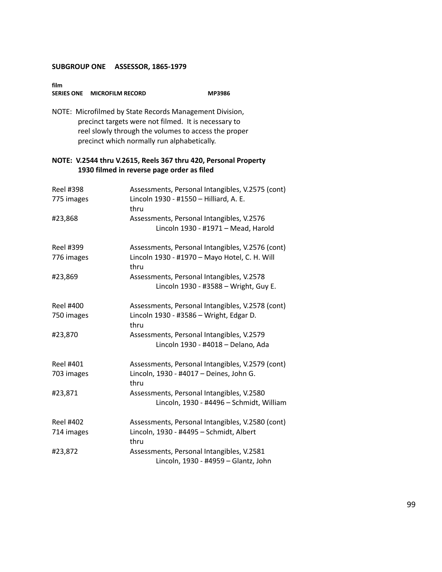| film              |                         |               |
|-------------------|-------------------------|---------------|
| <b>SERIES ONE</b> | <b>MICROFILM RECORD</b> | <b>MP3986</b> |

NOTE: Microfilmed by State Records Management Division, precinct targets were not filmed. It is necessary to reel slowly through the volumes to access the proper precinct which normally run alphabetically.

| <b>Reel #398</b><br>775 images | Assessments, Personal Intangibles, V.2575 (cont)<br>Lincoln 1930 - #1550 - Hilliard, A. E.<br>thru |
|--------------------------------|----------------------------------------------------------------------------------------------------|
| #23,868                        | Assessments, Personal Intangibles, V.2576<br>Lincoln 1930 - #1971 - Mead, Harold                   |
| <b>Reel #399</b>               | Assessments, Personal Intangibles, V.2576 (cont)                                                   |
| 776 images                     | Lincoln 1930 - #1970 - Mayo Hotel, C. H. Will<br>thru                                              |
| #23,869                        | Assessments, Personal Intangibles, V.2578<br>Lincoln 1930 - #3588 - Wright, Guy E.                 |
| <b>Reel #400</b>               | Assessments, Personal Intangibles, V.2578 (cont)                                                   |
| 750 images                     | Lincoln 1930 - #3586 - Wright, Edgar D.<br>thru                                                    |
| #23,870                        | Assessments, Personal Intangibles, V.2579<br>Lincoln 1930 - #4018 - Delano, Ada                    |
| Reel #401                      | Assessments, Personal Intangibles, V.2579 (cont)                                                   |
| 703 images                     | Lincoln, 1930 - #4017 - Deines, John G.<br>thru                                                    |
| #23,871                        | Assessments, Personal Intangibles, V.2580                                                          |
|                                | Lincoln, 1930 - #4496 - Schmidt, William                                                           |
| Reel #402                      | Assessments, Personal Intangibles, V.2580 (cont)                                                   |
| 714 images                     | Lincoln, 1930 - #4495 - Schmidt, Albert<br>thru                                                    |
| #23,872                        | Assessments, Personal Intangibles, V.2581<br>Lincoln, 1930 - #4959 - Glantz, John                  |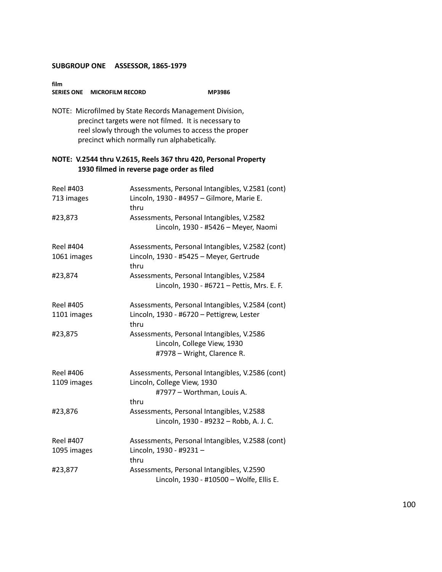**film SERIES ONE MICROFILM RECORD MP3986** 

NOTE: Microfilmed by State Records Management Division, precinct targets were not filmed. It is necessary to reel slowly through the volumes to access the proper precinct which normally run alphabetically.

| <b>Reel #403</b><br>713 images | Assessments, Personal Intangibles, V.2581 (cont)<br>Lincoln, 1930 - #4957 - Gilmore, Marie E.<br>thru |
|--------------------------------|-------------------------------------------------------------------------------------------------------|
| #23,873                        | Assessments, Personal Intangibles, V.2582<br>Lincoln, 1930 - #5426 - Meyer, Naomi                     |
| <b>Reel #404</b>               | Assessments, Personal Intangibles, V.2582 (cont)                                                      |
| 1061 images                    | Lincoln, 1930 - #5425 - Meyer, Gertrude<br>thru                                                       |
| #23,874                        | Assessments, Personal Intangibles, V.2584                                                             |
|                                | Lincoln, 1930 - #6721 - Pettis, Mrs. E. F.                                                            |
| Reel #405                      | Assessments, Personal Intangibles, V.2584 (cont)                                                      |
| 1101 images                    | Lincoln, 1930 - #6720 - Pettigrew, Lester<br>thru                                                     |
| #23,875                        | Assessments, Personal Intangibles, V.2586<br>Lincoln, College View, 1930                              |
|                                | #7978 - Wright, Clarence R.                                                                           |
| Reel #406                      | Assessments, Personal Intangibles, V.2586 (cont)                                                      |
| 1109 images                    | Lincoln, College View, 1930                                                                           |
|                                | #7977 - Worthman, Louis A.                                                                            |
|                                | thru                                                                                                  |
| #23,876                        | Assessments, Personal Intangibles, V.2588                                                             |
|                                | Lincoln, 1930 - #9232 - Robb, A. J. C.                                                                |
| <b>Reel #407</b>               | Assessments, Personal Intangibles, V.2588 (cont)                                                      |
| 1095 images                    | Lincoln, 1930 - #9231 -                                                                               |
|                                | thru                                                                                                  |
| #23,877                        | Assessments, Personal Intangibles, V.2590                                                             |
|                                | Lincoln, 1930 - #10500 - Wolfe, Ellis E.                                                              |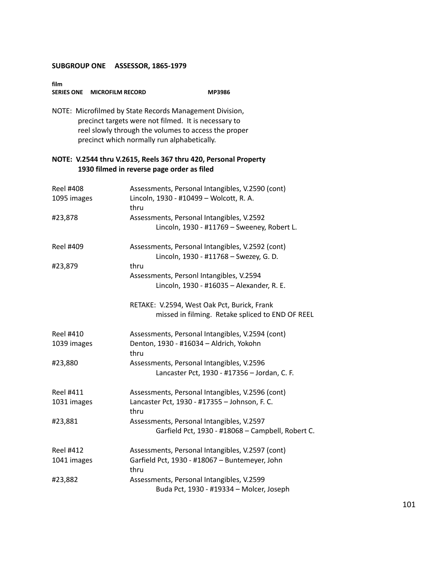**film SERIES ONE MICROFILM RECORD MP3986**

NOTE: Microfilmed by State Records Management Division, precinct targets were not filmed. It is necessary to reel slowly through the volumes to access the proper precinct which normally run alphabetically.

| <b>Reel #408</b><br>1095 images | Assessments, Personal Intangibles, V.2590 (cont)<br>Lincoln, 1930 - #10499 - Wolcott, R. A.<br>thru |
|---------------------------------|-----------------------------------------------------------------------------------------------------|
| #23,878                         | Assessments, Personal Intangibles, V.2592<br>Lincoln, 1930 - #11769 - Sweeney, Robert L.            |
| <b>Reel #409</b>                | Assessments, Personal Intangibles, V.2592 (cont)<br>Lincoln, 1930 - #11768 - Swezey, G. D.          |
| #23,879                         | thru                                                                                                |
|                                 | Assessments, Personl Intangibles, V.2594                                                            |
|                                 | Lincoln, 1930 - #16035 - Alexander, R. E.                                                           |
|                                 | RETAKE: V.2594, West Oak Pct, Burick, Frank                                                         |
|                                 | missed in filming. Retake spliced to END OF REEL                                                    |
| <b>Reel #410</b>                | Assessments, Personal Intangibles, V.2594 (cont)                                                    |
| 1039 images                     | Denton, 1930 - #16034 - Aldrich, Yokohn<br>thru                                                     |
| #23,880                         | Assessments, Personal Intangibles, V.2596                                                           |
|                                 | Lancaster Pct, 1930 - #17356 - Jordan, C. F.                                                        |
| Reel #411                       | Assessments, Personal Intangibles, V.2596 (cont)                                                    |
| 1031 images                     | Lancaster Pct, 1930 - #17355 - Johnson, F. C.<br>thru                                               |
| #23,881                         | Assessments, Personal Intangibles, V.2597                                                           |
|                                 | Garfield Pct, 1930 - #18068 - Campbell, Robert C.                                                   |
| <b>Reel #412</b>                | Assessments, Personal Intangibles, V.2597 (cont)                                                    |
| 1041 images                     | Garfield Pct, 1930 - #18067 - Buntemeyer, John<br>thru                                              |
| #23,882                         | Assessments, Personal Intangibles, V.2599                                                           |
|                                 | Buda Pct, 1930 - #19334 - Molcer, Joseph                                                            |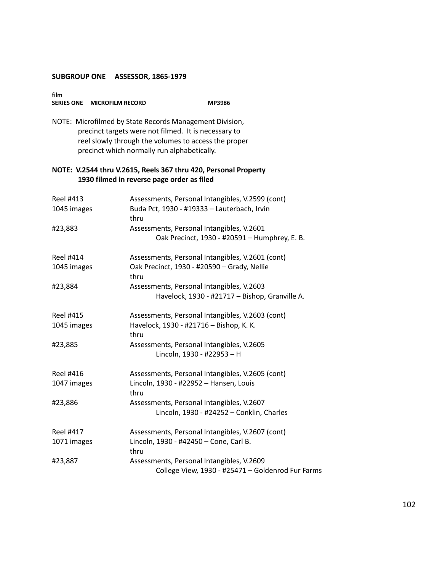| film              |                         |        |
|-------------------|-------------------------|--------|
| <b>SERIES ONE</b> | <b>MICROFILM RECORD</b> | MP3986 |

NOTE: Microfilmed by State Records Management Division, precinct targets were not filmed. It is necessary to reel slowly through the volumes to access the proper precinct which normally run alphabetically.

| Reel #413        | Assessments, Personal Intangibles, V.2599 (cont)    |
|------------------|-----------------------------------------------------|
| 1045 images      | Buda Pct, 1930 - #19333 - Lauterbach, Irvin<br>thru |
| #23,883          | Assessments, Personal Intangibles, V.2601           |
|                  | Oak Precinct, 1930 - #20591 - Humphrey, E. B.       |
| Reel #414        | Assessments, Personal Intangibles, V.2601 (cont)    |
| 1045 images      | Oak Precinct, 1930 - #20590 - Grady, Nellie<br>thru |
| #23,884          | Assessments, Personal Intangibles, V.2603           |
|                  | Havelock, 1930 - #21717 - Bishop, Granville A.      |
| <b>Reel #415</b> | Assessments, Personal Intangibles, V.2603 (cont)    |
| 1045 images      | Havelock, 1930 - #21716 - Bishop, K. K.<br>thru     |
| #23,885          | Assessments, Personal Intangibles, V.2605           |
|                  | Lincoln, 1930 - #22953 - H                          |
| Reel #416        | Assessments, Personal Intangibles, V.2605 (cont)    |
| 1047 images      | Lincoln, 1930 - #22952 - Hansen, Louis<br>thru      |
| #23,886          | Assessments, Personal Intangibles, V.2607           |
|                  | Lincoln, 1930 - #24252 - Conklin, Charles           |
| <b>Reel #417</b> | Assessments, Personal Intangibles, V.2607 (cont)    |
| 1071 images      | Lincoln, 1930 - #42450 - Cone, Carl B.              |
|                  | thru                                                |
| #23,887          | Assessments, Personal Intangibles, V.2609           |
|                  | College View, 1930 - #25471 - Goldenrod Fur Farms   |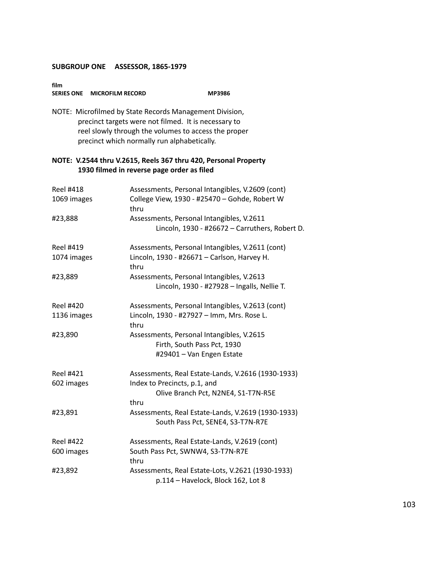**SERIES ONE MICROFILM RECORD MP3986**

|                                 | NOTE: Microfilmed by State Records Management Division,<br>precinct targets were not filmed. It is necessary to<br>reel slowly through the volumes to access the proper<br>precinct which normally run alphabetically. |
|---------------------------------|------------------------------------------------------------------------------------------------------------------------------------------------------------------------------------------------------------------------|
|                                 | NOTE: V.2544 thru V.2615, Reels 367 thru 420, Personal Property<br>1930 filmed in reverse page order as filed                                                                                                          |
| <b>Reel #418</b><br>1069 images | Assessments, Personal Intangibles, V.2609 (cont)<br>College View, 1930 - #25470 - Gohde, Robert W<br>thru                                                                                                              |
| #23,888                         | Assessments, Personal Intangibles, V.2611<br>Lincoln, 1930 - #26672 - Carruthers, Robert D.                                                                                                                            |
| Reel #419<br>1074 images        | Assessments, Personal Intangibles, V.2611 (cont)<br>Lincoln, 1930 - #26671 - Carlson, Harvey H.<br>thru                                                                                                                |
| #23,889                         | Assessments, Personal Intangibles, V.2613<br>Lincoln, 1930 - #27928 - Ingalls, Nellie T.                                                                                                                               |
| <b>Reel #420</b>                | Assessments, Personal Intangibles, V.2613 (cont)                                                                                                                                                                       |
| 1136 images                     | Lincoln, 1930 - #27927 - Imm, Mrs. Rose L.<br>thru                                                                                                                                                                     |
| #23,890                         | Assessments, Personal Intangibles, V.2615<br>Firth, South Pass Pct, 1930<br>#29401 - Van Engen Estate                                                                                                                  |
| Reel #421                       | Assessments, Real Estate-Lands, V.2616 (1930-1933)                                                                                                                                                                     |
| 602 images                      | Index to Precincts, p.1, and<br>Olive Branch Pct, N2NE4, S1-T7N-R5E                                                                                                                                                    |
| #23,891                         | thru<br>Assessments, Real Estate-Lands, V.2619 (1930-1933)<br>South Pass Pct, SENE4, S3-T7N-R7E                                                                                                                        |
| <b>Reel #422</b><br>600 images  | Assessments, Real Estate-Lands, V.2619 (cont)<br>South Pass Pct, SWNW4, S3-T7N-R7E<br>thru                                                                                                                             |
| #23,892                         | Assessments, Real Estate-Lots, V.2621 (1930-1933)<br>p.114 - Havelock, Block 162, Lot 8                                                                                                                                |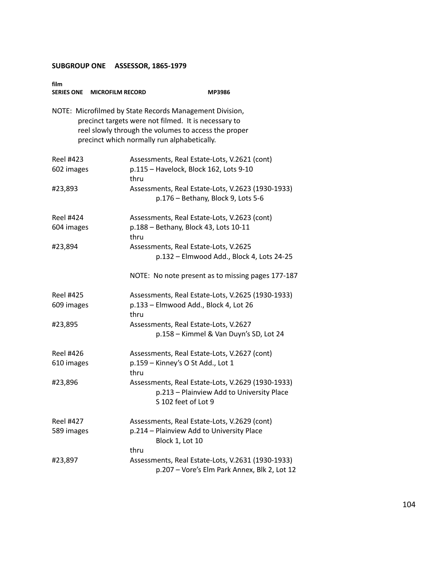| film<br><b>SERIES ONE</b>      | <b>MICROFILM RECORD</b>                                                                             | MP3986                                                                                                                |
|--------------------------------|-----------------------------------------------------------------------------------------------------|-----------------------------------------------------------------------------------------------------------------------|
|                                | precinct targets were not filmed. It is necessary to<br>precinct which normally run alphabetically. | NOTE: Microfilmed by State Records Management Division,<br>reel slowly through the volumes to access the proper       |
| <b>Reel #423</b><br>602 images | thru                                                                                                | Assessments, Real Estate-Lots, V.2621 (cont)<br>p.115 - Havelock, Block 162, Lots 9-10                                |
| #23,893                        |                                                                                                     | Assessments, Real Estate-Lots, V.2623 (1930-1933)<br>p.176 - Bethany, Block 9, Lots 5-6                               |
| Reel #424<br>604 images        | thru                                                                                                | Assessments, Real Estate-Lots, V.2623 (cont)<br>p.188 - Bethany, Block 43, Lots 10-11                                 |
| #23,894                        |                                                                                                     | Assessments, Real Estate-Lots, V.2625<br>p.132 - Elmwood Add., Block 4, Lots 24-25                                    |
|                                |                                                                                                     | NOTE: No note present as to missing pages 177-187                                                                     |
| Reel #425<br>609 images        | thru                                                                                                | Assessments, Real Estate-Lots, V.2625 (1930-1933)<br>p.133 - Elmwood Add., Block 4, Lot 26                            |
| #23,895                        |                                                                                                     | Assessments, Real Estate-Lots, V.2627<br>p.158 - Kimmel & Van Duyn's SD, Lot 24                                       |
| <b>Reel #426</b><br>610 images | thru                                                                                                | Assessments, Real Estate-Lots, V.2627 (cont)<br>p.159 - Kinney's O St Add., Lot 1                                     |
| #23,896                        |                                                                                                     | Assessments, Real Estate-Lots, V.2629 (1930-1933)<br>p.213 - Plainview Add to University Place<br>S 102 feet of Lot 9 |
| Reel #427<br>589 images        | thru                                                                                                | Assessments, Real Estate-Lots, V.2629 (cont)<br>p.214 - Plainview Add to University Place<br>Block 1, Lot 10          |
| #23,897                        |                                                                                                     | Assessments, Real Estate-Lots, V.2631 (1930-1933)<br>p.207 - Vore's Elm Park Annex, Blk 2, Lot 12                     |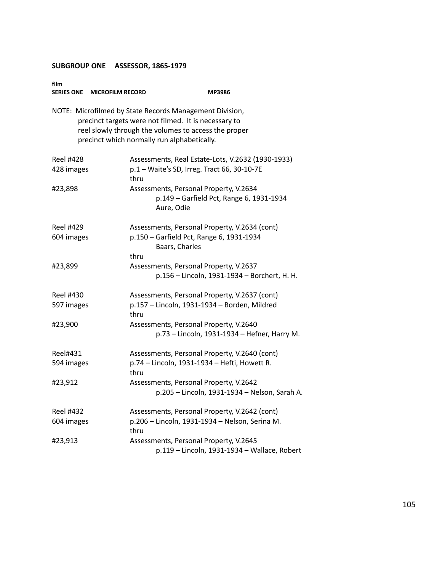| film<br><b>SERIES ONE</b> | <b>MICROFILM RECORD</b>                     | <b>MP3986</b>                                                                                                                                                           |
|---------------------------|---------------------------------------------|-------------------------------------------------------------------------------------------------------------------------------------------------------------------------|
|                           | precinct which normally run alphabetically. | NOTE: Microfilmed by State Records Management Division,<br>precinct targets were not filmed. It is necessary to<br>reel slowly through the volumes to access the proper |
| Reel #428                 |                                             | Assessments, Real Estate-Lots, V.2632 (1930-1933)                                                                                                                       |
| 428 images                | thru                                        | p.1 - Waite's SD, Irreg. Tract 66, 30-10-7E                                                                                                                             |
| #23,898                   |                                             | Assessments, Personal Property, V.2634<br>p.149 - Garfield Pct, Range 6, 1931-1934<br>Aure, Odie                                                                        |
| Reel #429                 |                                             | Assessments, Personal Property, V.2634 (cont)                                                                                                                           |
| 604 images                |                                             | p.150 - Garfield Pct, Range 6, 1931-1934<br>Baars, Charles                                                                                                              |
|                           | thru                                        | Assessments, Personal Property, V.2637                                                                                                                                  |
| #23,899                   |                                             | p.156 - Lincoln, 1931-1934 - Borchert, H. H.                                                                                                                            |
| Reel #430                 |                                             | Assessments, Personal Property, V.2637 (cont)                                                                                                                           |
| 597 images                | thru                                        | p.157 - Lincoln, 1931-1934 - Borden, Mildred                                                                                                                            |
| #23,900                   |                                             | Assessments, Personal Property, V.2640                                                                                                                                  |
|                           |                                             | p.73 - Lincoln, 1931-1934 - Hefner, Harry M.                                                                                                                            |
| Reel#431                  |                                             | Assessments, Personal Property, V.2640 (cont)                                                                                                                           |
| 594 images                | thru                                        | p.74 - Lincoln, 1931-1934 - Hefti, Howett R.                                                                                                                            |
| #23,912                   |                                             | Assessments, Personal Property, V.2642                                                                                                                                  |
|                           |                                             | p.205 - Lincoln, 1931-1934 - Nelson, Sarah A.                                                                                                                           |
| <b>Reel #432</b>          |                                             | Assessments, Personal Property, V.2642 (cont)                                                                                                                           |
| 604 images                | thru                                        | p.206 - Lincoln, 1931-1934 - Nelson, Serina M.                                                                                                                          |
| #23,913                   |                                             | Assessments, Personal Property, V.2645                                                                                                                                  |
|                           |                                             | p.119 - Lincoln, 1931-1934 - Wallace, Robert                                                                                                                            |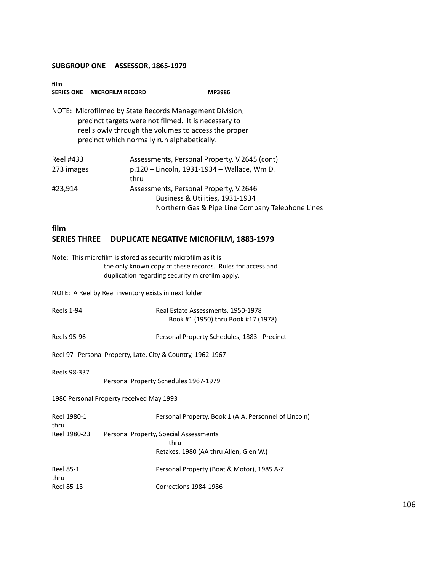| film<br>SERIES ONE MICROFILM RECORD |                                             | <b>MP3986</b>                                                                                                                                                           |  |
|-------------------------------------|---------------------------------------------|-------------------------------------------------------------------------------------------------------------------------------------------------------------------------|--|
|                                     | precinct which normally run alphabetically. | NOTE: Microfilmed by State Records Management Division,<br>precinct targets were not filmed. It is necessary to<br>reel slowly through the volumes to access the proper |  |
| Reel #433                           |                                             | Assessments, Personal Property, V.2645 (cont)                                                                                                                           |  |
| 273 images                          |                                             | p.120 - Lincoln, 1931-1934 - Wallace, Wm D.                                                                                                                             |  |
|                                     | thru                                        |                                                                                                                                                                         |  |
| #23,914                             |                                             | Assessments, Personal Property, V.2646                                                                                                                                  |  |
|                                     |                                             | Business & Utilities, 1931-1934                                                                                                                                         |  |
|                                     |                                             | Northern Gas & Pipe Line Company Telephone Lines                                                                                                                        |  |

# **film SERIES THREE DUPLICATE NEGATIVE MICROFILM, 1883-1979**

|                          | Note: This microfilm is stored as security microfilm as it is<br>the only known copy of these records. Rules for access and<br>duplication regarding security microfilm apply. |
|--------------------------|--------------------------------------------------------------------------------------------------------------------------------------------------------------------------------|
|                          | NOTE: A Reel by Reel inventory exists in next folder                                                                                                                           |
| <b>Reels 1-94</b>        | Real Estate Assessments, 1950-1978<br>Book #1 (1950) thru Book #17 (1978)                                                                                                      |
| <b>Reels 95-96</b>       | Personal Property Schedules, 1883 - Precinct                                                                                                                                   |
|                          | Reel 97 Personal Property, Late, City & Country, 1962-1967                                                                                                                     |
| Reels 98-337             | Personal Property Schedules 1967-1979                                                                                                                                          |
|                          | 1980 Personal Property received May 1993                                                                                                                                       |
| Reel 1980-1<br>thru      | Personal Property, Book 1 (A.A. Personnel of Lincoln)                                                                                                                          |
| Reel 1980-23             | Personal Property, Special Assessments<br>thru<br>Retakes, 1980 (AA thru Allen, Glen W.)                                                                                       |
| <b>Reel 85-1</b><br>thru | Personal Property (Boat & Motor), 1985 A-Z                                                                                                                                     |
| Reel 85-13               | Corrections 1984-1986                                                                                                                                                          |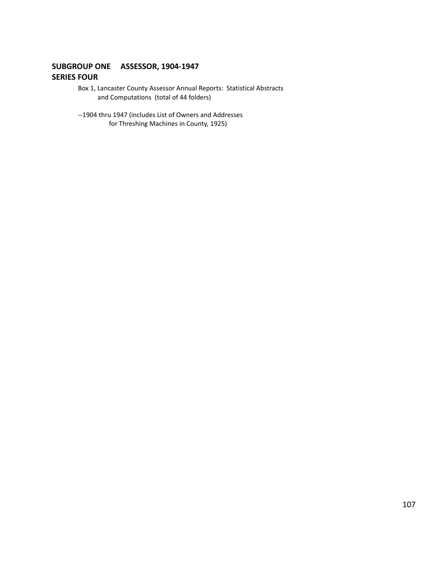### **SUBGROUP ONE ASSESSOR, 1904-1947 SERIES FOUR**

- Box 1, Lancaster County Assessor Annual Reports: Statistical Abstracts and Computations (total of 44 folders)
- --1904 thru 1947 (includes List of Owners and Addresses for Threshing Machines in County, 1925)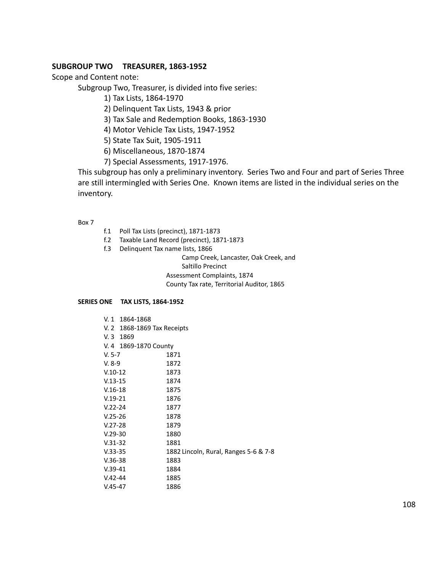#### **SUBGROUP TWO TREASURER, 1863-1952**

Scope and Content note:

Subgroup Two, Treasurer, is divided into five series:

1) Tax Lists, 1864-1970

2) Delinquent Tax Lists, 1943 & prior

3) Tax Sale and Redemption Books, 1863-1930

4) Motor Vehicle Tax Lists, 1947-1952

5) State Tax Suit, 1905-1911

6) Miscellaneous, 1870-1874

7) Special Assessments, 1917-1976.

This subgroup has only a preliminary inventory. Series Two and Four and part of Series Three are still intermingled with Series One. Known items are listed in the individual series on the inventory.

Box 7

- f.1 Poll Tax Lists (precinct), 1871-1873
- f.2 Taxable Land Record (precinct), 1871-1873
- f.3 Delinquent Tax name lists, 1866

Camp Creek, Lancaster, Oak Creek, and Saltillo Precinct Assessment Complaints, 1874 County Tax rate, Territorial Auditor, 1865

#### **SERIES ONE TAX LISTS, 1864-1952**

| V.1<br>1864-1868            |                                       |
|-----------------------------|---------------------------------------|
| V. 2 1868-1869 Tax Receipts |                                       |
| $V.3$ 1869                  |                                       |
| V. 4 1869-1870 County       |                                       |
| $V. 5-7$                    | 1871                                  |
| $V. 8-9$                    | 1872                                  |
| $V.10-12$                   | 1873                                  |
| $V.13-15$                   | 1874                                  |
| $V.16-18$                   | 1875                                  |
| $V.19-21$                   | 1876                                  |
| $V.22 - 24$                 | 1877                                  |
| $V.25-26$                   | 1878                                  |
| $V.27-28$                   | 1879                                  |
| $V.29-30$                   | 1880                                  |
| $V.31-32$                   | 1881                                  |
| $V.33-35$                   | 1882 Lincoln, Rural, Ranges 5-6 & 7-8 |
| $V.36-38$                   | 1883                                  |
| $V.39-41$                   | 1884                                  |
| $V.42 - 44$                 | 1885                                  |
| $V.45 - 47$                 | 1886                                  |
|                             |                                       |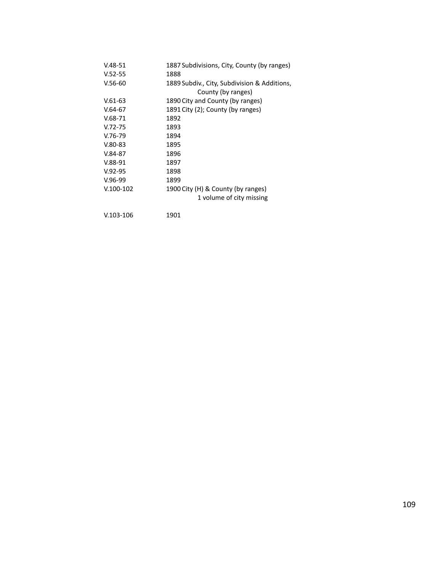| $V.48 - 51$ | 1887 Subdivisions, City, County (by ranges)  |
|-------------|----------------------------------------------|
| $V.52 - 55$ | 1888                                         |
| $V.56-60$   | 1889 Subdiv., City, Subdivision & Additions, |
|             | County (by ranges)                           |
| $V.61-63$   | 1890 City and County (by ranges)             |
| $V.64-67$   | 1891 City (2); County (by ranges)            |
| $V.68-71$   | 1892                                         |
| $V.72 - 75$ | 1893                                         |
| $V.76-79$   | 1894                                         |
| $V.80-83$   | 1895                                         |
| $V.84-87$   | 1896                                         |
| $V.88-91$   | 1897                                         |
| $V.92-95$   | 1898                                         |
| $V.96-99$   | 1899                                         |
| $V.100-102$ | 1900 City (H) & County (by ranges)           |
|             | 1 volume of city missing                     |
| $V.103-106$ | 1901                                         |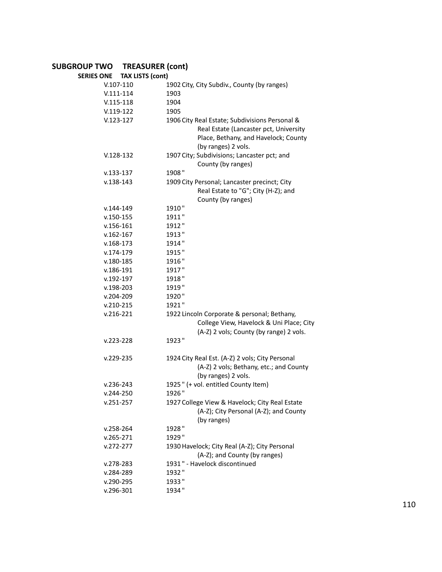# **SUBGROUP TWO TREASURER (cont)**

| <b>TAX LISTS (cont)</b><br><b>SERIES ONE</b> |                                                  |
|----------------------------------------------|--------------------------------------------------|
| $V.107-110$                                  | 1902 City, City Subdiv., County (by ranges)      |
| $V.111 - 114$                                | 1903                                             |
| $V.115-118$                                  | 1904                                             |
| $V.119-122$                                  | 1905                                             |
| $V.123-127$                                  | 1906 City Real Estate; Subdivisions Personal &   |
|                                              | Real Estate (Lancaster pct, University           |
|                                              | Place, Bethany, and Havelock; County             |
|                                              | (by ranges) 2 vols.                              |
| $V.128-132$                                  | 1907 City; Subdivisions; Lancaster pct; and      |
|                                              | County (by ranges)                               |
| $v.133 - 137$                                | 1908"                                            |
| $v.138 - 143$                                | 1909 City Personal; Lancaster precinct; City     |
|                                              | Real Estate to "G"; City (H-Z); and              |
|                                              | County (by ranges)                               |
| $v.144 - 149$                                | 1910"                                            |
| $v.150 - 155$                                | 1911"                                            |
| $v.156 - 161$                                | 1912"                                            |
| $v.162 - 167$                                | 1913"                                            |
| $v.168 - 173$                                | 1914"                                            |
| $v.174 - 179$                                | 1915"                                            |
| $v.180 - 185$                                | 1916"                                            |
| $v.186 - 191$                                | 1917"                                            |
| $v.192 - 197$                                | 1918"                                            |
|                                              | 1919"                                            |
| $v.198 - 203$                                | 1920"                                            |
| $v.204 - 209$<br>$v.210 - 215$               | 1921"                                            |
| $v.216 - 221$                                | 1922 Lincoln Corporate & personal; Bethany,      |
|                                              | College View, Havelock & Uni Place; City         |
|                                              |                                                  |
| $v.223 - 228$                                | (A-Z) 2 vols; County (by range) 2 vols.<br>1923" |
|                                              |                                                  |
| $v.229 - 235$                                | 1924 City Real Est. (A-Z) 2 vols; City Personal  |
|                                              | (A-Z) 2 vols; Bethany, etc.; and County          |
|                                              | (by ranges) 2 vols.                              |
| $v.236 - 243$                                | 1925" (+ vol. entitled County Item)              |
| $v.244 - 250$                                | 1926"                                            |
| $v.251 - 257$                                | 1927 College View & Havelock; City Real Estate   |
|                                              | (A-Z); City Personal (A-Z); and County           |
|                                              | (by ranges)                                      |
| $v.258 - 264$                                | 1928"                                            |
| $v.265 - 271$                                | 1929"                                            |
| $v.272 - 277$                                | 1930 Havelock; City Real (A-Z); City Personal    |
|                                              | (A-Z); and County (by ranges)                    |
| $v.278 - 283$                                | 1931" - Havelock discontinued                    |
| v.284-289                                    | 1932"                                            |
| v.290-295                                    | 1933"                                            |
| v.296-301                                    | 1934"                                            |
|                                              |                                                  |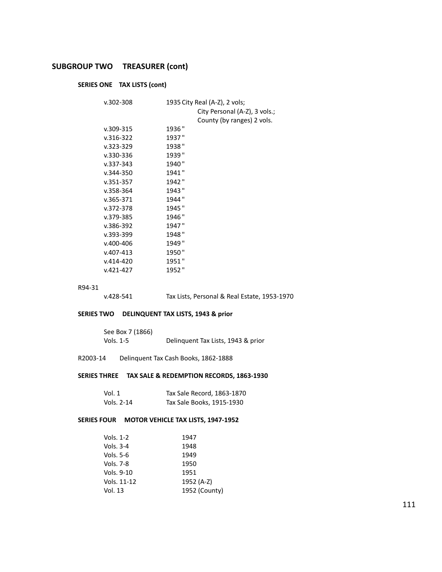# **SUBGROUP TWO TREASURER (cont)**

# **SERIES ONE TAX LISTS (cont)**

| $v.302 - 308$ | 1935 City Real (A-Z), 2 vols; |
|---------------|-------------------------------|
|               | City Personal (A-Z), 3 vols.; |
|               | County (by ranges) 2 vols.    |
| $v.309 - 315$ | 1936 "                        |
| $v.316 - 322$ | 1937"                         |
| $v.323 - 329$ | 1938"                         |
| $v.330 - 336$ | 1939"                         |
| $v.337 - 343$ | 1940"                         |
| $v.344 - 350$ | 1941"                         |
| $v.351 - 357$ | 1942 "                        |
| $v.358 - 364$ | 1943"                         |
| $v.365 - 371$ | 1944 "                        |
| v.372-378     | 1945"                         |
| v.379-385     | 1946"                         |
| $v.386 - 392$ | 1947"                         |
| $v.393 - 399$ | 1948 "                        |
| $v.400 - 406$ | 1949"                         |
| $v.407 - 413$ | 1950"                         |
| $v.414 - 420$ | 1951"                         |
| $v.421 - 427$ | 1952"                         |

#### R94-31

v.428-541 Tax Lists, Personal & Real Estate, 1953-1970

## **SERIES TWO DELINQUENT TAX LISTS, 1943 & prior**

| See Box 7 (1866) |                                    |
|------------------|------------------------------------|
| Vols. 1-5        | Delinquent Tax Lists, 1943 & prior |

#### R2003-14 Delinquent Tax Cash Books, 1862-1888

#### **SERIES THREE TAX SALE & REDEMPTION RECORDS, 1863-1930**

| Vol. 1     | Tax Sale Record, 1863-1870 |
|------------|----------------------------|
| Vols. 2-14 | Tax Sale Books, 1915-1930  |

#### **SERIES FOUR MOTOR VEHICLE TAX LISTS, 1947-1952**

| Vols. 1-2   | 1947          |
|-------------|---------------|
| Vols. 3-4   | 1948          |
| Vols. 5-6   | 1949          |
| Vols. 7-8   | 1950          |
| Vols. 9-10  | 1951          |
| Vols. 11-12 | 1952 (A-Z)    |
| Vol. 13     | 1952 (County) |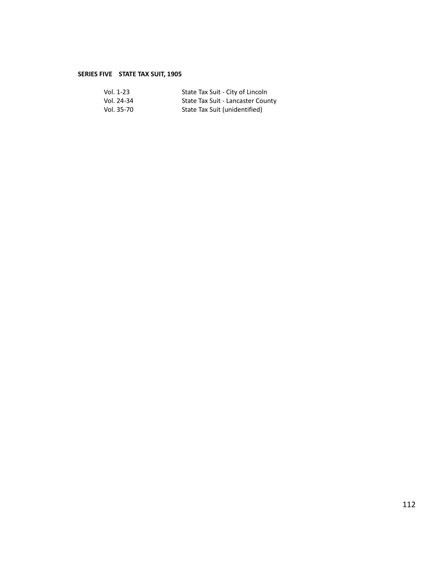# **SERIES FIVE STATE TAX SUIT, 1905**

| Vol. 1-23  | State Tax Suit - City of Lincoln  |
|------------|-----------------------------------|
| Vol. 24-34 | State Tax Suit - Lancaster County |
| Vol. 35-70 | State Tax Suit (unidentified)     |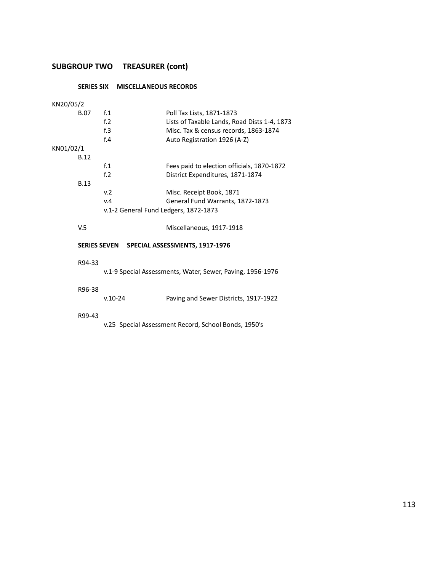# **SUBGROUP TWO TREASURER (cont)**

# **SERIES SIX MISCELLANEOUS RECORDS**

| KN20/05/2 |             |                                       |                                                            |
|-----------|-------------|---------------------------------------|------------------------------------------------------------|
|           | B.07        | f <sub>1</sub>                        | Poll Tax Lists, 1871-1873                                  |
|           |             | f <sub>12</sub>                       | Lists of Taxable Lands, Road Dists 1-4, 1873               |
|           |             | f <sub>0</sub> 3                      | Misc. Tax & census records, 1863-1874                      |
|           |             | f.4                                   | Auto Registration 1926 (A-Z)                               |
| KN01/02/1 |             |                                       |                                                            |
|           | <b>B.12</b> |                                       |                                                            |
|           |             | f <sub>1</sub>                        | Fees paid to election officials, 1870-1872                 |
|           |             | f <sub>2</sub>                        | District Expenditures, 1871-1874                           |
|           | <b>B.13</b> |                                       |                                                            |
|           |             | v.2                                   | Misc. Receipt Book, 1871                                   |
|           |             | v.4                                   | General Fund Warrants, 1872-1873                           |
|           |             | v.1-2 General Fund Ledgers, 1872-1873 |                                                            |
|           |             |                                       |                                                            |
|           | V.5         |                                       | Miscellaneous, 1917-1918                                   |
|           |             |                                       |                                                            |
|           |             |                                       | SERIES SEVEN SPECIAL ASSESSMENTS, 1917-1976                |
|           |             |                                       |                                                            |
|           | R94-33      |                                       |                                                            |
|           |             |                                       | v.1-9 Special Assessments, Water, Sewer, Paving, 1956-1976 |
|           |             |                                       |                                                            |
|           | R96-38      |                                       |                                                            |
|           |             | $v.10-24$                             | Paving and Sewer Districts, 1917-1922                      |
|           |             |                                       |                                                            |
|           | R99-43      |                                       |                                                            |
|           |             |                                       |                                                            |

v.25 Special Assessment Record, School Bonds, 1950's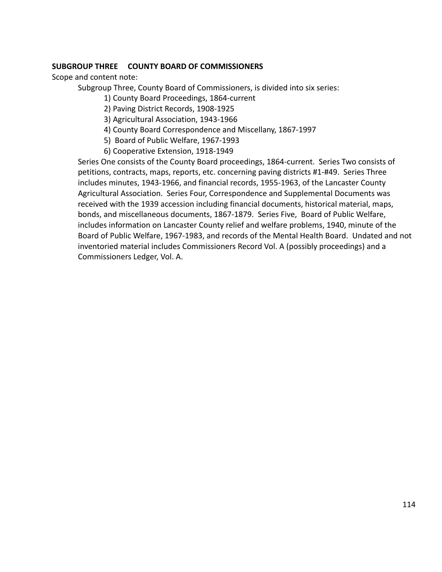Scope and content note:

Subgroup Three, County Board of Commissioners, is divided into six series:

1) County Board Proceedings, 1864-current

2) Paving District Records, 1908-1925

3) Agricultural Association, 1943-1966

- 4) County Board Correspondence and Miscellany, 1867-1997
- 5) Board of Public Welfare, 1967-1993
- 6) Cooperative Extension, 1918-1949

Series One consists of the County Board proceedings, 1864-current. Series Two consists of petitions, contracts, maps, reports, etc. concerning paving districts #1-#49. Series Three includes minutes, 1943-1966, and financial records, 1955-1963, of the Lancaster County Agricultural Association. Series Four, Correspondence and Supplemental Documents was received with the 1939 accession including financial documents, historical material, maps, bonds, and miscellaneous documents, 1867-1879. Series Five, Board of Public Welfare, includes information on Lancaster County relief and welfare problems, 1940, minute of the Board of Public Welfare, 1967-1983, and records of the Mental Health Board. Undated and not inventoried material includes Commissioners Record Vol. A (possibly proceedings) and a Commissioners Ledger, Vol. A.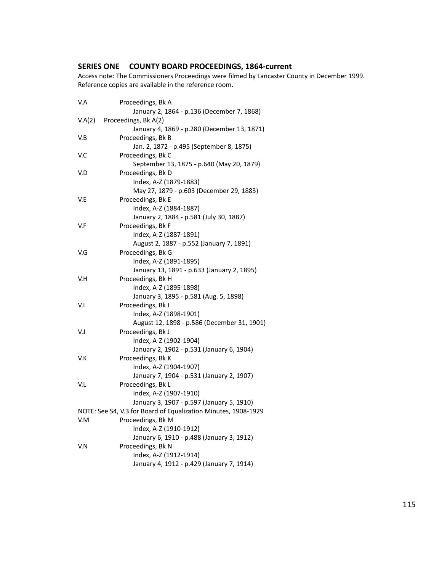# **SERIES ONE COUNTY BOARD PROCEEDINGS, 1864-current**

Access note: The Commissioners Proceedings were filmed by Lancaster County in December 1999. Reference copies are available in the reference room.

| V.A | Proceedings, Bk A                                              |
|-----|----------------------------------------------------------------|
|     | January 2, 1864 - p.136 (December 7, 1868)                     |
|     | V.A(2) Proceedings, Bk A(2)                                    |
|     | January 4, 1869 - p.280 (December 13, 1871)                    |
| V.B | Proceedings, Bk B                                              |
|     | Jan. 2, 1872 - p.495 (September 8, 1875)                       |
| V.C | Proceedings, Bk C                                              |
|     | September 13, 1875 - p.640 (May 20, 1879)                      |
| V.D | Proceedings, Bk D                                              |
|     | Index, A-Z (1879-1883)                                         |
|     | May 27, 1879 - p.603 (December 29, 1883)                       |
| V.E | Proceedings, Bk E                                              |
|     | Index, A-Z (1884-1887)                                         |
|     | January 2, 1884 - p.581 (July 30, 1887)                        |
| V.F | Proceedings, Bk F                                              |
|     | Index, A-Z (1887-1891)                                         |
|     | August 2, 1887 - p.552 (January 7, 1891)                       |
| V.G | Proceedings, Bk G                                              |
|     | Index, A-Z (1891-1895)                                         |
|     | January 13, 1891 - p.633 (January 2, 1895)                     |
| V.H | Proceedings, Bk H                                              |
|     | Index, A-Z (1895-1898)                                         |
|     | January 3, 1895 - p.581 (Aug. 5, 1898)                         |
| V.I | Proceedings, Bk I                                              |
|     | Index, A-Z (1898-1901)                                         |
|     | August 12, 1898 - p.586 (December 31, 1901)                    |
| V.J | Proceedings, Bk J                                              |
|     | Index, A-Z (1902-1904)                                         |
|     | January 2, 1902 - p.531 (January 6, 1904)                      |
| V.K | Proceedings, Bk K                                              |
|     | Index, A-Z (1904-1907)                                         |
|     | January 7, 1904 - p.531 (January 2, 1907)                      |
| V.L | Proceedings, Bk L                                              |
|     | Index, A-Z (1907-1910)                                         |
|     | January 3, 1907 - p.597 (January 5, 1910)                      |
|     | NOTE: See S4, V.3 for Board of Equalization Minutes, 1908-1929 |
| V.M | Proceedings, Bk M                                              |
|     | Index, A-Z (1910-1912)                                         |
|     | January 6, 1910 - p.488 (January 3, 1912)                      |
| V.N | Proceedings, Bk N                                              |
|     | Index, A-Z (1912-1914)                                         |
|     | January 4, 1912 - p.429 (January 7, 1914)                      |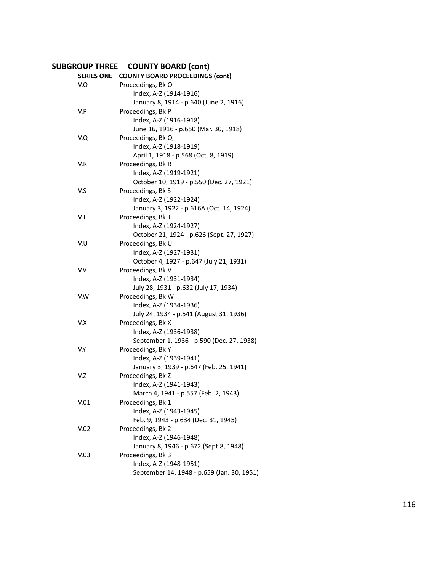# **SUBGROUP THREE COUNTY BOARD (cont)**

| <b>SERIES ONE</b> | <b>COUNTY BOARD PROCEEDINGS (cont)</b>     |
|-------------------|--------------------------------------------|
| V.O               | Proceedings, Bk O                          |
|                   | Index, A-Z (1914-1916)                     |
|                   | January 8, 1914 - p.640 (June 2, 1916)     |
| V.P               | Proceedings, Bk P                          |
|                   | Index, A-Z (1916-1918)                     |
|                   | June 16, 1916 - p.650 (Mar. 30, 1918)      |
| V.Q               | Proceedings, Bk Q                          |
|                   | Index, A-Z (1918-1919)                     |
|                   | April 1, 1918 - p.568 (Oct. 8, 1919)       |
| V.R               | Proceedings, Bk R                          |
|                   | Index, A-Z (1919-1921)                     |
|                   | October 10, 1919 - p.550 (Dec. 27, 1921)   |
| V.S               | Proceedings, Bk S                          |
|                   | Index, A-Z (1922-1924)                     |
|                   | January 3, 1922 - p.616A (Oct. 14, 1924)   |
| V.T               | Proceedings, Bk T                          |
|                   | Index, A-Z (1924-1927)                     |
|                   | October 21, 1924 - p.626 (Sept. 27, 1927)  |
| V.U               | Proceedings, Bk U                          |
|                   | Index, A-Z (1927-1931)                     |
|                   | October 4, 1927 - p.647 (July 21, 1931)    |
| V.V               | Proceedings, Bk V                          |
|                   | Index, A-Z (1931-1934)                     |
|                   | July 28, 1931 - p.632 (July 17, 1934)      |
| V.W               | Proceedings, Bk W                          |
|                   | Index, A-Z (1934-1936)                     |
|                   | July 24, 1934 - p.541 (August 31, 1936)    |
| V.X               | Proceedings, Bk X                          |
|                   | Index, A-Z (1936-1938)                     |
|                   | September 1, 1936 - p.590 (Dec. 27, 1938)  |
| V.Y               | Proceedings, Bk Y                          |
|                   | Index, A-Z (1939-1941)                     |
|                   | January 3, 1939 - p.647 (Feb. 25, 1941)    |
| V.Z               | Proceedings, Bk Z                          |
|                   | Index, A-Z (1941-1943)                     |
|                   | March 4, 1941 - p.557 (Feb. 2, 1943)       |
| V.01              | Proceedings, Bk 1                          |
|                   | Index, A-Z (1943-1945)                     |
|                   | Feb. 9, 1943 - p.634 (Dec. 31, 1945)       |
| V.02              | Proceedings, Bk 2                          |
|                   | Index, A-Z (1946-1948)                     |
|                   | January 8, 1946 - p.672 (Sept.8, 1948)     |
| V.03              | Proceedings, Bk 3                          |
|                   | Index, A-Z (1948-1951)                     |
|                   | September 14, 1948 - p.659 (Jan. 30, 1951) |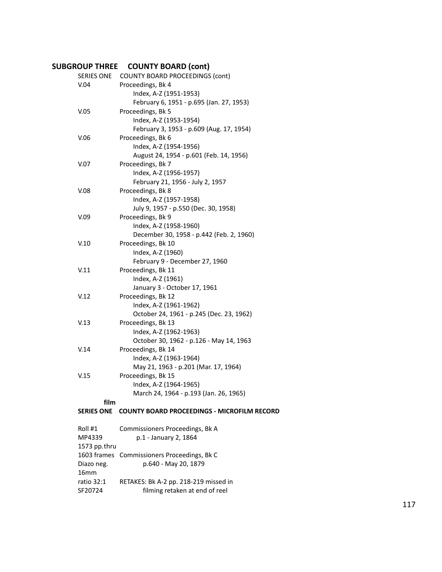# **SUBGROUP THREE COUNTY BOARD (cont)**

| <b>SERIES ONE</b> | <b>COUNTY BOARD PROCEEDINGS (cont)</b>             |
|-------------------|----------------------------------------------------|
| V.04              | Proceedings, Bk 4                                  |
|                   | Index, A-Z (1951-1953)                             |
|                   | February 6, 1951 - p.695 (Jan. 27, 1953)           |
| V.05              | Proceedings, Bk 5                                  |
|                   | Index, A-Z (1953-1954)                             |
|                   | February 3, 1953 - p.609 (Aug. 17, 1954)           |
| V.06              | Proceedings, Bk 6                                  |
|                   | Index, A-Z (1954-1956)                             |
|                   | August 24, 1954 - p.601 (Feb. 14, 1956)            |
| V.07              | Proceedings, Bk 7                                  |
|                   | Index, A-Z (1956-1957)                             |
|                   | February 21, 1956 - July 2, 1957                   |
| V.08              | Proceedings, Bk 8                                  |
|                   | Index, A-Z (1957-1958)                             |
|                   | July 9, 1957 - p.550 (Dec. 30, 1958)               |
| V.09              | Proceedings, Bk 9                                  |
|                   | Index, A-Z (1958-1960)                             |
|                   | December 30, 1958 - p.442 (Feb. 2, 1960)           |
| V.10              | Proceedings, Bk 10                                 |
|                   | Index, A-Z (1960)                                  |
|                   | February 9 - December 27, 1960                     |
| V.11              | Proceedings, Bk 11                                 |
|                   | Index, A-Z (1961)                                  |
|                   | January 3 - October 17, 1961                       |
| V.12              | Proceedings, Bk 12                                 |
|                   | Index, A-Z (1961-1962)                             |
|                   | October 24, 1961 - p.245 (Dec. 23, 1962)           |
| V.13              | Proceedings, Bk 13                                 |
|                   | Index, A-Z (1962-1963)                             |
|                   | October 30, 1962 - p.126 - May 14, 1963            |
| V.14              | Proceedings, Bk 14                                 |
|                   | Index, A-Z (1963-1964)                             |
|                   | May 21, 1963 - p.201 (Mar. 17, 1964)               |
| V.15              | Proceedings, Bk 15                                 |
|                   | Index, A-Z (1964-1965)                             |
|                   | March 24, 1964 - p.193 (Jan. 26, 1965)             |
| film              |                                                    |
| <b>SERIES ONE</b> | <b>COUNTY BOARD PROCEEDINGS - MICROFILM RECORD</b> |
| Roll #1           | Commissioners Proceedings, Bk A                    |
| MP4339            | p.1 - January 2, 1864                              |
| 1573 pp.thru      |                                                    |
| 1603 frames       | Commissioners Proceedings, Bk C                    |
| Diazo neg.        | p.640 - May 20, 1879                               |
| 16 <sub>mm</sub>  |                                                    |
| ratio 32:1        | RETAKES: Bk A-2 pp. 218-219 missed in              |
|                   |                                                    |

SF20724 filming retaken at end of reel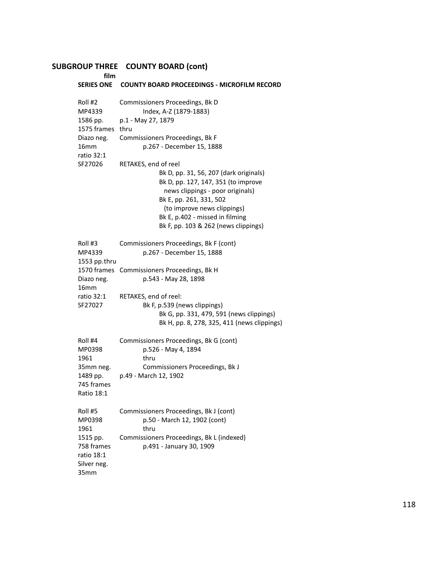#### **SUBGROUP THREE COUNTY BOARD (cont)**

**film SERIES ONE COUNTY BOARD PROCEEDINGS - MICROFILM RECORD** Roll #2 Commissioners Proceedings, Bk D MP4339 Index, A-Z (1879-1883) 1586 pp. p.1 - May 27, 1879 1575 frames thru Diazo neg. Commissioners Proceedings, Bk F 16mm p.267 - December 15, 1888 ratio 32:1 SF27026 RETAKES, end of reel Bk D, pp. 31, 56, 207 (dark originals) Bk D, pp. 127, 147, 351 (to improve news clippings - poor originals) Bk E, pp. 261, 331, 502 (to improve news clippings) Bk E, p.402 - missed in filming Bk F, pp. 103 & 262 (news clippings) Roll #3 Commissioners Proceedings, Bk F (cont) MP4339 p.267 - December 15, 1888 1553 pp.thru 1570 frames Commissioners Proceedings, Bk H Diazo neg. p.543 - May 28, 1898 16mm ratio 32:1 RETAKES, end of reel: SF27027 Bk F, p.539 (news clippings) Bk G, pp. 331, 479, 591 (news clippings) Bk H, pp. 8, 278, 325, 411 (news clippings) Roll #4 Commissioners Proceedings, Bk G (cont) MP0398 p.526 - May 4, 1894 1961 thru 35mm neg. Commissioners Proceedings, Bk J 1489 pp. p.49 - March 12, 1902 745 frames Ratio 18:1 Roll #5 Commissioners Proceedings, Bk J (cont) MP0398 p.50 - March 12, 1902 (cont) 1961 thru 1515 pp. Commissioners Proceedings, Bk L (indexed) 758 frames p.491 - January 30, 1909 ratio 18:1 Silver neg. 35mm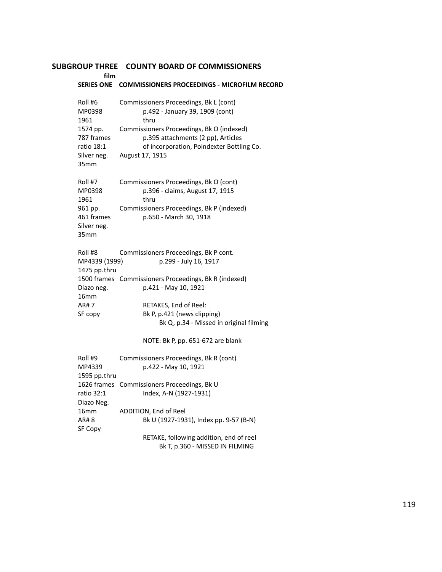| film                                                     |                                                                                                                              |
|----------------------------------------------------------|------------------------------------------------------------------------------------------------------------------------------|
| <b>SERIES ONE</b>                                        | <b>COMMISSIONERS PROCEEDINGS - MICROFILM RECORD</b>                                                                          |
| Roll #6<br>MP0398<br>1961                                | Commissioners Proceedings, Bk L (cont)<br>p.492 - January 39, 1909 (cont)<br>thru                                            |
| 1574 pp.<br>787 frames<br>ratio 18:1                     | Commissioners Proceedings, Bk O (indexed)<br>p.395 attachments (2 pp), Articles<br>of incorporation, Poindexter Bottling Co. |
| Silver neg.<br>35 <sub>mm</sub>                          | August 17, 1915                                                                                                              |
| Roll #7<br>MP0398<br>1961                                | Commissioners Proceedings, Bk O (cont)<br>p.396 - claims, August 17, 1915<br>thru                                            |
| 961 pp.<br>461 frames<br>Silver neg.<br>35 <sub>mm</sub> | Commissioners Proceedings, Bk P (indexed)<br>p.650 - March 30, 1918                                                          |
| Roll #8<br>MP4339 (1999)<br>1475 pp.thru                 | Commissioners Proceedings, Bk P cont.<br>p.299 - July 16, 1917                                                               |
| Diazo neg.<br>16 <sub>mm</sub>                           | 1500 frames Commissioners Proceedings, Bk R (indexed)<br>p.421 - May 10, 1921                                                |
| AR#7<br>SF copy                                          | RETAKES, End of Reel:<br>Bk P, p.421 (news clipping)<br>Bk Q, p.34 - Missed in original filming                              |
|                                                          | NOTE: Bk P, pp. 651-672 are blank                                                                                            |
| Roll #9<br>MP4339<br>1595 pp.thru                        | Commissioners Proceedings, Bk R (cont)<br>p.422 - May 10, 1921                                                               |
| 1626 frames<br>ratio 32:1<br>Diazo Neg.                  | Commissioners Proceedings, Bk U<br>Index, A-N (1927-1931)                                                                    |
| 16 <sub>mm</sub><br>AR# 8<br>SF Copy                     | ADDITION, End of Reel<br>Bk U (1927-1931), Index pp. 9-57 (B-N)                                                              |
|                                                          |                                                                                                                              |

RETAKE, following addition, end of reel Bk T, p.360 - MISSED IN FILMING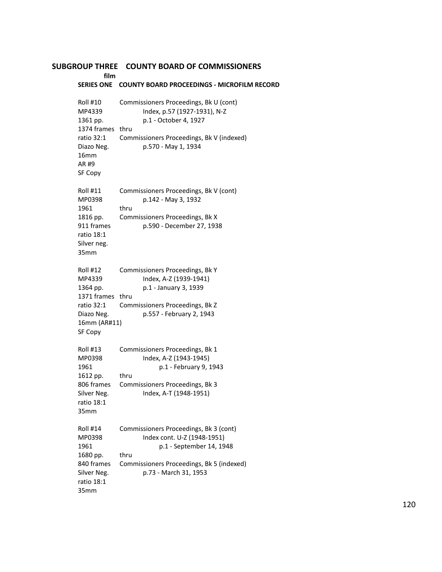# **SUBGROUP THREE COUNTY BOARD OF COMMISSIONERS film SERIES ONE COUNTY BOARD PROCEEDINGS - MICROFILM RECORD** Roll #10 Commissioners Proceedings, Bk U (cont) MP4339 Index, p.57 (1927-1931), N-Z 1361 pp. p.1 - October 4, 1927 1374 frames thru ratio 32:1 Commissioners Proceedings, Bk V (indexed) Diazo Neg. p.570 - May 1, 1934 16mm AR #9 SF Copy Roll #11 Commissioners Proceedings, Bk V (cont) MP0398 p.142 - May 3, 1932 1961 thru 1816 pp. Commissioners Proceedings, Bk X 911 frames p.590 - December 27, 1938 ratio 18:1 Silver neg. 35mm Roll #12 Commissioners Proceedings, Bk Y MP4339 Index, A-Z (1939-1941) 1364 pp. p.1 - January 3, 1939 1371 frames thru ratio 32:1 Commissioners Proceedings, Bk Z Diazo Neg. p.557 - February 2, 1943 16mm (AR#11) SF Copy Roll #13 Commissioners Proceedings, Bk 1 MP0398 Index, A-Z (1943-1945) 1961 p.1 - February 9, 1943 1612 pp. thru 806 frames Commissioners Proceedings, Bk 3 Silver Neg. 1ndex, A-T (1948-1951) ratio 18:1 35mm Roll #14 Commissioners Proceedings, Bk 3 (cont) MP0398 Index cont. U-Z (1948-1951) 1961 p.1 - September 14, 1948 1680 pp. thru 840 frames Commissioners Proceedings, Bk 5 (indexed) Silver Neg. p.73 - March 31, 1953 ratio 18:1 35mm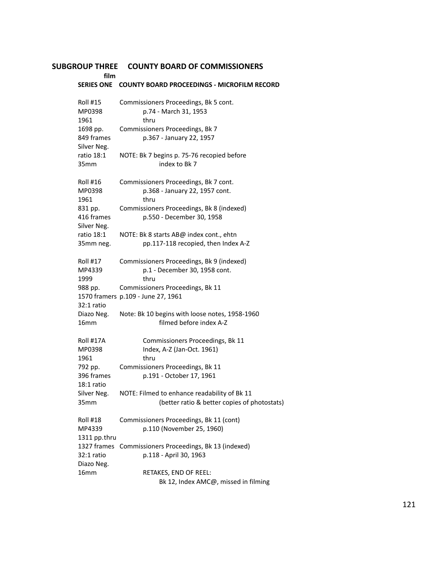Roll #15 Commissioners Proceedings, Bk 5 cont.

**film**

# **SERIES ONE COUNTY BOARD PROCEEDINGS - MICROFILM RECORD**

| MP0398           | p.74 - March 31, 1953                          |  |  |
|------------------|------------------------------------------------|--|--|
| 1961             | thru                                           |  |  |
| 1698 pp.         | Commissioners Proceedings, Bk 7                |  |  |
| 849 frames       | p.367 - January 22, 1957                       |  |  |
| Silver Neg.      |                                                |  |  |
| ratio 18:1       | NOTE: Bk 7 begins p. 75-76 recopied before     |  |  |
| 35 <sub>mm</sub> | index to Bk 7                                  |  |  |
|                  |                                                |  |  |
| Roll #16         | Commissioners Proceedings, Bk 7 cont.          |  |  |
| MP0398           | p.368 - January 22, 1957 cont.                 |  |  |
| 1961             | thru                                           |  |  |
| 831 pp.          | Commissioners Proceedings, Bk 8 (indexed)      |  |  |
| 416 frames       | p.550 - December 30, 1958                      |  |  |
| Silver Neg.      |                                                |  |  |
| ratio 18:1       | NOTE: Bk 8 starts AB@ index cont., ehtn        |  |  |
| 35mm neg.        | pp.117-118 recopied, then Index A-Z            |  |  |
|                  |                                                |  |  |
| Roll #17         | Commissioners Proceedings, Bk 9 (indexed)      |  |  |
| MP4339           | p.1 - December 30, 1958 cont.                  |  |  |
| 1999             | thru                                           |  |  |
| 988 pp.          | Commissioners Proceedings, Bk 11               |  |  |
|                  | 1570 framers p.109 - June 27, 1961             |  |  |
| 32:1 ratio       |                                                |  |  |
| Diazo Neg.       | Note: Bk 10 begins with loose notes, 1958-1960 |  |  |
| 16mm             | filmed before index A-Z                        |  |  |
| Roll #17A        | Commissioners Proceedings, Bk 11               |  |  |
| MP0398           | Index, A-Z (Jan-Oct. 1961)                     |  |  |
| 1961             | thru                                           |  |  |
| 792 pp.          | Commissioners Proceedings, Bk 11               |  |  |
| 396 frames       | p.191 - October 17, 1961                       |  |  |
| 18:1 ratio       |                                                |  |  |
| Silver Neg.      | NOTE: Filmed to enhance readability of Bk 11   |  |  |
| 35mm             | (better ratio & better copies of photostats)   |  |  |
|                  |                                                |  |  |
| Roll #18         | Commissioners Proceedings, Bk 11 (cont)        |  |  |
| MP4339           | p.110 (November 25, 1960)                      |  |  |
| 1311 pp.thru     |                                                |  |  |
| 1327 frames      | Commissioners Proceedings, Bk 13 (indexed)     |  |  |
| 32:1 ratio       | p.118 - April 30, 1963                         |  |  |
| Diazo Neg.       |                                                |  |  |
| 16 <sub>mm</sub> | RETAKES, END OF REEL:                          |  |  |
|                  | Bk 12, Index AMC@, missed in filming           |  |  |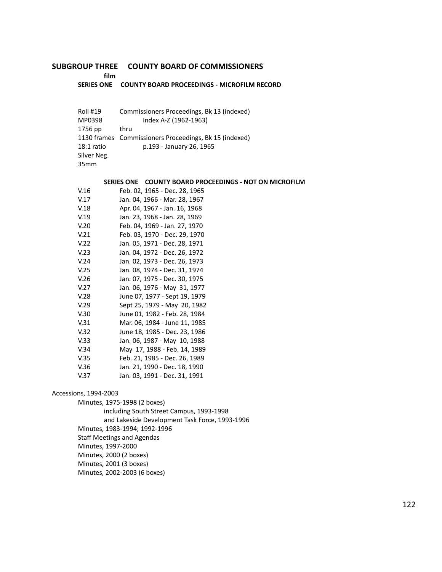**film**

#### **SERIES ONE COUNTY BOARD PROCEEDINGS - MICROFILM RECORD**

| Roll #19<br>MP0398 | Commissioners Proceedings, Bk 13 (indexed)<br>Index A-Z (1962-1963) |
|--------------------|---------------------------------------------------------------------|
| 1756 pp            | thru                                                                |
|                    | 1130 frames Commissioners Proceedings, Bk 15 (indexed)              |
| $18:1$ ratio       | p.193 - January 26, 1965                                            |
| Silver Neg.        |                                                                     |
| 35 <sub>mm</sub>   |                                                                     |

#### **SERIES ONE COUNTY BOARD PROCEEDINGS - NOT ON MICROFILM**

| V.16 | Feb. 02, 1965 - Dec. 28, 1965 |
|------|-------------------------------|
| V.17 | Jan. 04, 1966 - Mar. 28, 1967 |
| V.18 | Apr. 04, 1967 - Jan. 16, 1968 |
| V.19 | Jan. 23, 1968 - Jan. 28, 1969 |
| V.20 | Feb. 04, 1969 - Jan. 27, 1970 |
| V.21 | Feb. 03, 1970 - Dec. 29, 1970 |
| V.22 | Jan. 05, 1971 - Dec. 28, 1971 |
| V.23 | Jan. 04, 1972 - Dec. 26, 1972 |
| V.24 | Jan. 02, 1973 - Dec. 26, 1973 |
| V.25 | Jan. 08, 1974 - Dec. 31, 1974 |
| V.26 | Jan. 07, 1975 - Dec. 30, 1975 |
| V.27 | Jan. 06, 1976 - May 31, 1977  |
| V.28 | June 07, 1977 - Sept 19, 1979 |
| V.29 | Sept 25, 1979 - May 20, 1982  |
| V.30 | June 01, 1982 - Feb. 28, 1984 |
| V.31 | Mar. 06, 1984 - June 11, 1985 |
| V.32 | June 18, 1985 - Dec. 23, 1986 |
| V.33 | Jan. 06, 1987 - May 10, 1988  |
| V.34 | May 17, 1988 - Feb. 14, 1989  |
| V.35 | Feb. 21, 1985 - Dec. 26, 1989 |
| V.36 | Jan. 21, 1990 - Dec. 18, 1990 |
| V.37 | Jan. 03, 1991 - Dec. 31, 1991 |
|      |                               |

## Accessions, 1994-2003

Minutes, 1975-1998 (2 boxes)

including South Street Campus, 1993-1998

and Lakeside Development Task Force, 1993-1996

Minutes, 1983-1994; 1992-1996

Staff Meetings and Agendas

Minutes, 1997-2000

Minutes, 2000 (2 boxes)

Minutes, 2001 (3 boxes)

Minutes, 2002-2003 (6 boxes)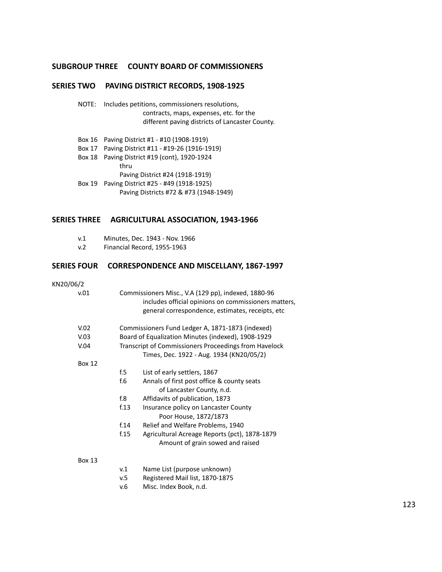# **SERIES TWO PAVING DISTRICT RECORDS, 1908-1925**

- NOTE: Includes petitions, commissioners resolutions, contracts, maps, expenses, etc. for the different paving districts of Lancaster County.
- Box 16 Paving District #1 #10 (1908-1919)
- Box 17 Paving District #11 #19-26 (1916-1919)
- Box 18 Paving District #19 (cont), 1920-1924 thru

Paving District #24 (1918-1919)

Box 19 Paving District #25 - #49 (1918-1925) Paving Districts #72 & #73 (1948-1949)

# **SERIES THREE AGRICULTURAL ASSOCIATION, 1943-1966**

- v.1 Minutes, Dec. 1943 Nov. 1966
- v.2 Financial Record, 1955-1963

# **SERIES FOUR CORRESPONDENCE AND MISCELLANY, 1867-1997**

#### KN20/06/2

| v.01          |                                                                                                   | Commissioners Misc., V.A (129 pp), indexed, 1880-96<br>includes official opinions on commissioners matters,<br>general correspondence, estimates, receipts, etc |  |
|---------------|---------------------------------------------------------------------------------------------------|-----------------------------------------------------------------------------------------------------------------------------------------------------------------|--|
| V.02          |                                                                                                   | Commissioners Fund Ledger A, 1871-1873 (indexed)                                                                                                                |  |
| V.03          | Board of Equalization Minutes (indexed), 1908-1929                                                |                                                                                                                                                                 |  |
| V.04          | Transcript of Commissioners Proceedings from Havelock<br>Times, Dec. 1922 - Aug. 1934 (KN20/05/2) |                                                                                                                                                                 |  |
| <b>Box 12</b> |                                                                                                   |                                                                                                                                                                 |  |
|               | f.5                                                                                               | List of early settlers, 1867                                                                                                                                    |  |
|               | f.6                                                                                               | Annals of first post office & county seats<br>of Lancaster County, n.d.                                                                                         |  |
|               | f.8                                                                                               | Affidavits of publication, 1873                                                                                                                                 |  |
|               | f.13                                                                                              | Insurance policy on Lancaster County<br>Poor House, 1872/1873                                                                                                   |  |
|               | f.14                                                                                              | Relief and Welfare Problems, 1940                                                                                                                               |  |
|               | f.15                                                                                              | Agricultural Acreage Reports (pct), 1878-1879<br>Amount of grain sowed and raised                                                                               |  |
| <b>Box 13</b> |                                                                                                   |                                                                                                                                                                 |  |

- v.1 Name List (purpose unknown)
- v.5 Registered Mail list, 1870-1875
- v.6 Misc. Index Book, n.d.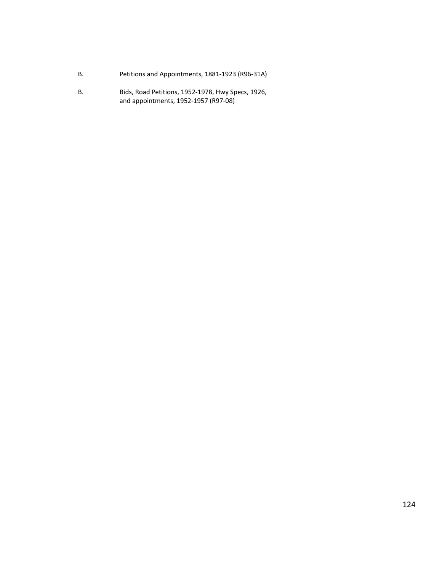- B. Petitions and Appointments, 1881-1923 (R96-31A)
- B. Bids, Road Petitions, 1952-1978, Hwy Specs, 1926, and appointments, 1952-1957 (R97-08)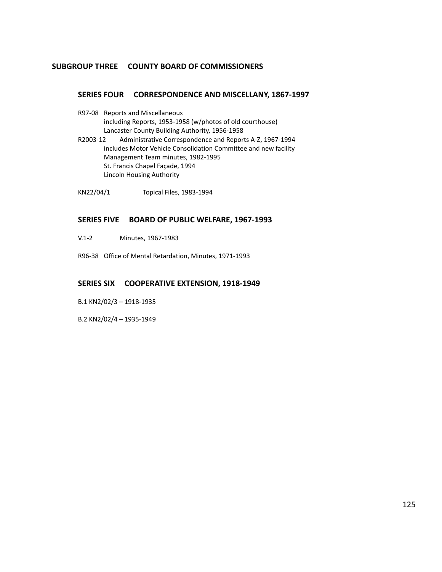# **SERIES FOUR CORRESPONDENCE AND MISCELLANY, 1867-1997**

- R97-08 Reports and Miscellaneous including Reports, 1953-1958 (w/photos of old courthouse) Lancaster County Building Authority, 1956-1958
- R2003-12 Administrative Correspondence and Reports A-Z, 1967-1994 includes Motor Vehicle Consolidation Committee and new facility Management Team minutes, 1982-1995 St. Francis Chapel Façade, 1994 Lincoln Housing Authority
- KN22/04/1 Topical Files, 1983-1994

## **SERIES FIVE BOARD OF PUBLIC WELFARE, 1967-1993**

- V.1-2 Minutes, 1967-1983
- R96-38 Office of Mental Retardation, Minutes, 1971-1993

## **SERIES SIX COOPERATIVE EXTENSION, 1918-1949**

- B.1 KN2/02/3 1918-1935
- B.2 KN2/02/4 1935-1949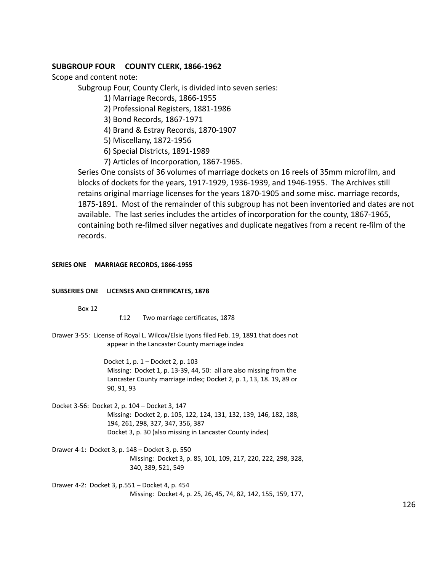# **SUBGROUP FOUR COUNTY CLERK, 1866-1962**

Scope and content note:

Subgroup Four, County Clerk, is divided into seven series:

1) Marriage Records, 1866-1955

2) Professional Registers, 1881-1986

3) Bond Records, 1867-1971

4) Brand & Estray Records, 1870-1907

5) Miscellany, 1872-1956

6) Special Districts, 1891-1989

7) Articles of Incorporation, 1867-1965.

Series One consists of 36 volumes of marriage dockets on 16 reels of 35mm microfilm, and blocks of dockets for the years, 1917-1929, 1936-1939, and 1946-1955. The Archives still retains original marriage licenses for the years 1870-1905 and some misc. marriage records, 1875-1891. Most of the remainder of this subgroup has not been inventoried and dates are not available. The last series includes the articles of incorporation for the county, 1867-1965, containing both re-filmed silver negatives and duplicate negatives from a recent re-film of the records.

## **SERIES ONE MARRIAGE RECORDS, 1866-1955**

#### **SUBSERIES ONE LICENSES AND CERTIFICATES, 1878**

Box 12

f.12 Two marriage certificates, 1878

Drawer 3-55: License of Royal L. Wilcox/Elsie Lyons filed Feb. 19, 1891 that does not appear in the Lancaster County marriage index

> Docket 1, p. 1 – Docket 2, p. 103 Missing: Docket 1, p. 13-39, 44, 50: all are also missing from the Lancaster County marriage index; Docket 2, p. 1, 13, 18. 19, 89 or 90, 91, 93

- Docket 3-56: Docket 2, p. 104 Docket 3, 147 Missing: Docket 2, p. 105, 122, 124, 131, 132, 139, 146, 182, 188, 194, 261, 298, 327, 347, 356, 387 Docket 3, p. 30 (also missing in Lancaster County index)
- Drawer 4-1: Docket 3, p. 148 Docket 3, p. 550 Missing: Docket 3, p. 85, 101, 109, 217, 220, 222, 298, 328, 340, 389, 521, 549

Drawer 4-2: Docket 3, p.551 – Docket 4, p. 454 Missing: Docket 4, p. 25, 26, 45, 74, 82, 142, 155, 159, 177,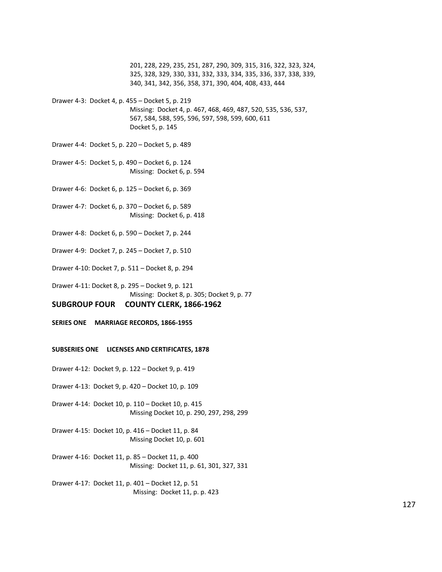201, 228, 229, 235, 251, 287, 290, 309, 315, 316, 322, 323, 324, 325, 328, 329, 330, 331, 332, 333, 334, 335, 336, 337, 338, 339, 340, 341, 342, 356, 358, 371, 390, 404, 408, 433, 444

Drawer 4-3: Docket 4, p. 455 – Docket 5, p. 219

Missing: Docket 4, p. 467, 468, 469, 487, 520, 535, 536, 537, 567, 584, 588, 595, 596, 597, 598, 599, 600, 611 Docket 5, p. 145

Drawer 4-4: Docket 5, p. 220 – Docket 5, p. 489

Drawer 4-5: Docket 5, p. 490 – Docket 6, p. 124 Missing: Docket 6, p. 594

Drawer 4-6: Docket 6, p. 125 – Docket 6, p. 369

Drawer 4-7: Docket 6, p. 370 – Docket 6, p. 589 Missing: Docket 6, p. 418

Drawer 4-8: Docket 6, p. 590 – Docket 7, p. 244

Drawer 4-9: Docket 7, p. 245 – Docket 7, p. 510

Drawer 4-10: Docket 7, p. 511 – Docket 8, p. 294

Drawer 4-11: Docket 8, p. 295 – Docket 9, p. 121 Missing: Docket 8, p. 305; Docket 9, p. 77

## **SUBGROUP FOUR COUNTY CLERK, 1866-1962**

**SERIES ONE MARRIAGE RECORDS, 1866-1955**

#### **SUBSERIES ONE LICENSES AND CERTIFICATES, 1878**

Drawer 4-12: Docket 9, p. 122 – Docket 9, p. 419

Drawer 4-13: Docket 9, p. 420 – Docket 10, p. 109

Drawer 4-14: Docket 10, p. 110 – Docket 10, p. 415 Missing Docket 10, p. 290, 297, 298, 299

Drawer 4-15: Docket 10, p. 416 – Docket 11, p. 84 Missing Docket 10, p. 601

Drawer 4-16: Docket 11, p. 85 – Docket 11, p. 400 Missing: Docket 11, p. 61, 301, 327, 331

Drawer 4-17: Docket 11, p. 401 – Docket 12, p. 51 Missing: Docket 11, p. p. 423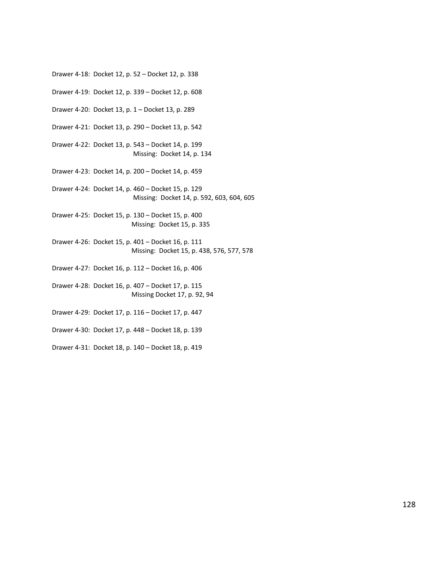Drawer 4-19: Docket 12, p. 339 – Docket 12, p. 608 Drawer 4-20: Docket 13, p. 1 – Docket 13, p. 289 Drawer 4-21: Docket 13, p. 290 – Docket 13, p. 542 Drawer 4-22: Docket 13, p. 543 – Docket 14, p. 199 Missing: Docket 14, p. 134 Drawer 4-23: Docket 14, p. 200 – Docket 14, p. 459 Drawer 4-24: Docket 14, p. 460 – Docket 15, p. 129 Missing: Docket 14, p. 592, 603, 604, 605 Drawer 4-25: Docket 15, p. 130 – Docket 15, p. 400 Missing: Docket 15, p. 335 Drawer 4-26: Docket 15, p. 401 – Docket 16, p. 111 Missing: Docket 15, p. 438, 576, 577, 578 Drawer 4-27: Docket 16, p. 112 – Docket 16, p. 406 Drawer 4-28: Docket 16, p. 407 – Docket 17, p. 115

Drawer 4-18: Docket 12, p. 52 – Docket 12, p. 338

- Missing Docket 17, p. 92, 94
- Drawer 4-29: Docket 17, p. 116 Docket 17, p. 447
- Drawer 4-30: Docket 17, p. 448 Docket 18, p. 139
- Drawer 4-31: Docket 18, p. 140 Docket 18, p. 419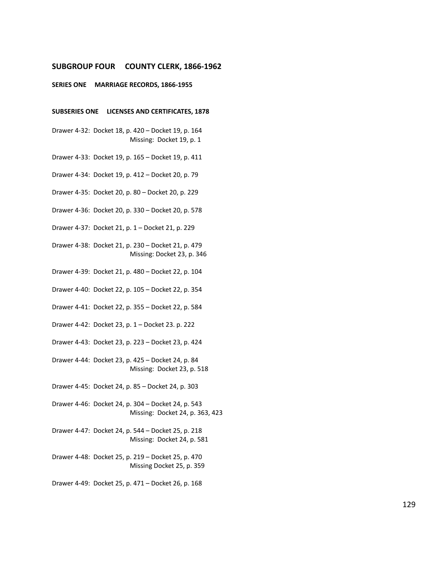#### **SUBGROUP FOUR COUNTY CLERK, 1866-1962**

#### **SERIES ONE MARRIAGE RECORDS, 1866-1955**

#### **SUBSERIES ONE LICENSES AND CERTIFICATES, 1878**

Drawer 4-32: Docket 18, p. 420 – Docket 19, p. 164 Missing: Docket 19, p. 1

Drawer 4-33: Docket 19, p. 165 – Docket 19, p. 411

Drawer 4-34: Docket 19, p. 412 – Docket 20, p. 79

Drawer 4-35: Docket 20, p. 80 – Docket 20, p. 229

Drawer 4-36: Docket 20, p. 330 – Docket 20, p. 578

Drawer 4-37: Docket 21, p. 1 – Docket 21, p. 229

Drawer 4-38: Docket 21, p. 230 – Docket 21, p. 479 Missing: Docket 23, p. 346

Drawer 4-39: Docket 21, p. 480 – Docket 22, p. 104

Drawer 4-40: Docket 22, p. 105 – Docket 22, p. 354

Drawer 4-41: Docket 22, p. 355 – Docket 22, p. 584

Drawer 4-42: Docket 23, p. 1 – Docket 23. p. 222

Drawer 4-43: Docket 23, p. 223 – Docket 23, p. 424

Drawer 4-44: Docket 23, p. 425 – Docket 24, p. 84 Missing: Docket 23, p. 518

Drawer 4-45: Docket 24, p. 85 – Docket 24, p. 303

Drawer 4-46: Docket 24, p. 304 – Docket 24, p. 543 Missing: Docket 24, p. 363, 423

Drawer 4-47: Docket 24, p. 544 – Docket 25, p. 218 Missing: Docket 24, p. 581

Drawer 4-48: Docket 25, p. 219 – Docket 25, p. 470 Missing Docket 25, p. 359

Drawer 4-49: Docket 25, p. 471 – Docket 26, p. 168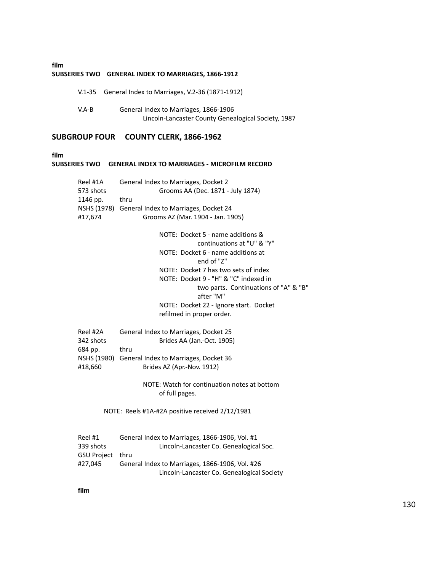## **film SUBSERIES TWO GENERAL INDEX TO MARRIAGES, 1866-1912**

|       | V.1-35 General Index to Marriages, V.2-36 (1871-1912)                                        |
|-------|----------------------------------------------------------------------------------------------|
| V.A-B | General Index to Marriages, 1866-1906<br>Lincoln-Lancaster County Genealogical Society, 1987 |

# **SUBGROUP FOUR COUNTY CLERK, 1866-1962**

**film**

| TIIM | SUBSERIES TWO                              | <b>GENERAL INDEX TO MARRIAGES - MICROFILM RECORD</b>                                                                                |
|------|--------------------------------------------|-------------------------------------------------------------------------------------------------------------------------------------|
|      | Reel #1A<br>573 shots<br>1146 pp.          | General Index to Marriages, Docket 2<br>Grooms AA (Dec. 1871 - July 1874)<br>thru                                                   |
|      | #17,674                                    | NSHS (1978) General Index to Marriages, Docket 24<br>Grooms AZ (Mar. 1904 - Jan. 1905)                                              |
|      |                                            | NOTE: Docket 5 - name additions &<br>continuations at "U" & "Y"                                                                     |
|      |                                            | NOTE: Docket 6 - name additions at<br>end of "Z"                                                                                    |
|      |                                            | NOTE: Docket 7 has two sets of index<br>NOTE: Docket 9 - "H" & "C" indexed in<br>two parts. Continuations of "A" & "B"<br>after "M" |
|      |                                            | NOTE: Docket 22 - Ignore start. Docket<br>refilmed in proper order.                                                                 |
|      | Reel #2A<br>342 shots<br>684 pp.           | General Index to Marriages, Docket 25<br>Brides AA (Jan.-Oct. 1905)<br>thru                                                         |
|      | NSHS (1980)<br>#18,660                     | General Index to Marriages, Docket 36<br>Brides AZ (Apr.-Nov. 1912)                                                                 |
|      |                                            | NOTE: Watch for continuation notes at bottom<br>of full pages.                                                                      |
|      |                                            | NOTE: Reels #1A-#2A positive received 2/12/1981                                                                                     |
|      | Reel #1<br>339 shots<br><b>GSU Project</b> | General Index to Marriages, 1866-1906, Vol. #1<br>Lincoln-Lancaster Co. Genealogical Soc.<br>thru                                   |

#27,045 General Index to Marriages, 1866-1906, Vol. #26

Lincoln-Lancaster Co. Genealogical Society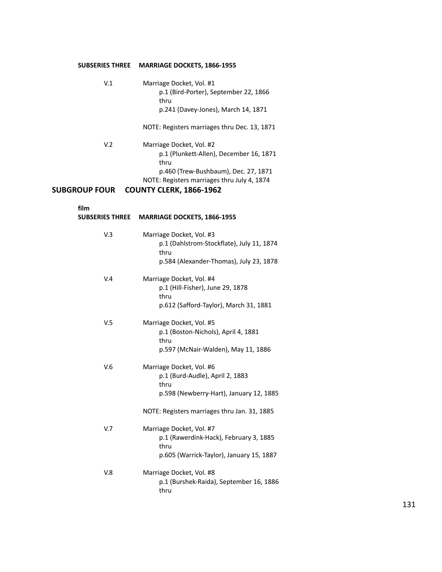# **SUBSERIES THREE MARRIAGE DOCKETS, 1866-1955**

| V <sub>1</sub>       | Marriage Docket, Vol. #1<br>p.1 (Bird-Porter), September 22, 1866<br>thru<br>p.241 (Davey-Jones), March 14, 1871    |
|----------------------|---------------------------------------------------------------------------------------------------------------------|
|                      | NOTE: Registers marriages thru Dec. 13, 1871                                                                        |
| V <sub>2</sub>       | Marriage Docket, Vol. #2<br>p.1 (Plunkett-Allen), December 16, 1871<br>thru<br>p.460 (Trew-Bushbaum), Dec. 27, 1871 |
| <b>SUBGROUP FOUR</b> | NOTE: Registers marriages thru July 4, 1874<br><b>COUNTY CLERK, 1866-1962</b>                                       |

**film**

| <b>SUBSERIES THREE</b> | MARRIAGE DOCKETS, 1866-1955                                                                                                                                    |
|------------------------|----------------------------------------------------------------------------------------------------------------------------------------------------------------|
| V.3                    | Marriage Docket, Vol. #3<br>p.1 (Dahlstrom-Stockflate), July 11, 1874<br>thru<br>p.584 (Alexander-Thomas), July 23, 1878                                       |
| V.4                    | Marriage Docket, Vol. #4<br>p.1 (Hill-Fisher), June 29, 1878<br>thru<br>p.612 (Safford-Taylor), March 31, 1881                                                 |
| V <sub>5</sub>         | Marriage Docket, Vol. #5<br>p.1 (Boston-Nichols), April 4, 1881<br>thru<br>p.597 (McNair-Walden), May 11, 1886                                                 |
| V.6                    | Marriage Docket, Vol. #6<br>p.1 (Burd-Audle), April 2, 1883<br>thru<br>p.598 (Newberry-Hart), January 12, 1885<br>NOTE: Registers marriages thru Jan. 31, 1885 |
| V.7                    | Marriage Docket, Vol. #7<br>p.1 (Rawerdink-Hack), February 3, 1885<br>thru                                                                                     |
| V.8                    | p.605 (Warrick-Taylor), January 15, 1887<br>Marriage Docket, Vol. #8                                                                                           |
|                        | p.1 (Burshek-Raida), September 16, 1886<br>thru                                                                                                                |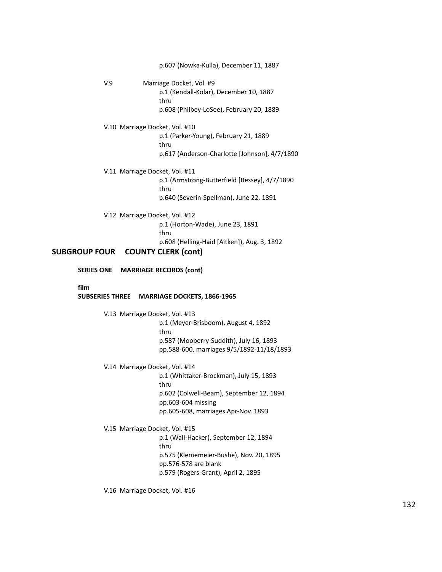p.607 (Nowka-Kulla), December 11, 1887 V.9 Marriage Docket, Vol. #9 p.1 (Kendall-Kolar), December 10, 1887 thru p.608 (Philbey-LoSee), February 20, 1889 V.10 Marriage Docket, Vol. #10 p.1 (Parker-Young), February 21, 1889 thru p.617 (Anderson-Charlotte [Johnson], 4/7/1890 V.11 Marriage Docket, Vol. #11 p.1 (Armstrong-Butterfield [Bessey], 4/7/1890 thru p.640 (Severin-Spellman), June 22, 1891 V.12 Marriage Docket, Vol. #12 p.1 (Horton-Wade), June 23, 1891 thru p.608 (Helling-Haid [Aitken]), Aug. 3, 1892 **SUBGROUP FOUR COUNTY CLERK (cont) SERIES ONE MARRIAGE RECORDS (cont) film SUBSERIES THREE MARRIAGE DOCKETS, 1866-1965** V.13 Marriage Docket, Vol. #13 p.1 (Meyer-Brisboom), August 4, 1892 thru p.587 (Mooberry-Suddith), July 16, 1893 pp.588-600, marriages 9/5/1892-11/18/1893 V.14 Marriage Docket, Vol. #14 p.1 (Whittaker-Brockman), July 15, 1893 thru p.602 (Colwell-Beam), September 12, 1894 pp.603-604 missing pp.605-608, marriages Apr-Nov. 1893 V.15 Marriage Docket, Vol. #15 p.1 (Wall-Hacker), September 12, 1894 thru p.575 (Klememeier-Bushe), Nov. 20, 1895 pp.576-578 are blank p.579 (Rogers-Grant), April 2, 1895

V.16 Marriage Docket, Vol. #16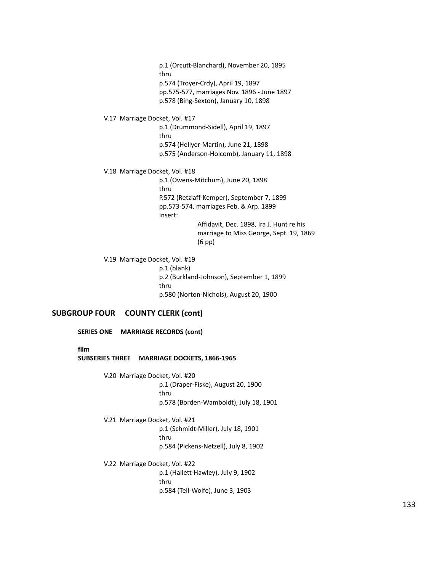p.1 (Orcutt-Blanchard), November 20, 1895 thru p.574 (Troyer-Crdy), April 19, 1897 pp.575-577, marriages Nov. 1896 - June 1897 p.578 (Bing-Sexton), January 10, 1898

#### V.17 Marriage Docket, Vol. #17

p.1 (Drummond-Sidell), April 19, 1897 thru p.574 (Hellyer-Martin), June 21, 1898 p.575 (Anderson-Holcomb), January 11, 1898

#### V.18 Marriage Docket, Vol. #18

p.1 (Owens-Mitchum), June 20, 1898 thru P.572 (Retzlaff-Kemper), September 7, 1899 pp.573-574, marriages Feb. & Arp. 1899 Insert: Affidavit, Dec. 1898, Ira J. Hunt re his marriage to Miss George, Sept. 19, 1869

(6 pp)

V.19 Marriage Docket, Vol. #19

p.1 (blank) p.2 (Burkland-Johnson), September 1, 1899 thru p.580 (Norton-Nichols), August 20, 1900

# **SUBGROUP FOUR COUNTY CLERK (cont)**

**SERIES ONE MARRIAGE RECORDS (cont)**

#### **film**

#### **SUBSERIES THREE MARRIAGE DOCKETS, 1866-1965**

V.20 Marriage Docket, Vol. #20 p.1 (Draper-Fiske), August 20, 1900 thru p.578 (Borden-Wamboldt), July 18, 1901

V.21 Marriage Docket, Vol. #21 p.1 (Schmidt-Miller), July 18, 1901

thru p.584 (Pickens-Netzell), July 8, 1902

V.22 Marriage Docket, Vol. #22

p.1 (Hallett-Hawley), July 9, 1902 thru p.584 (Teil-Wolfe), June 3, 1903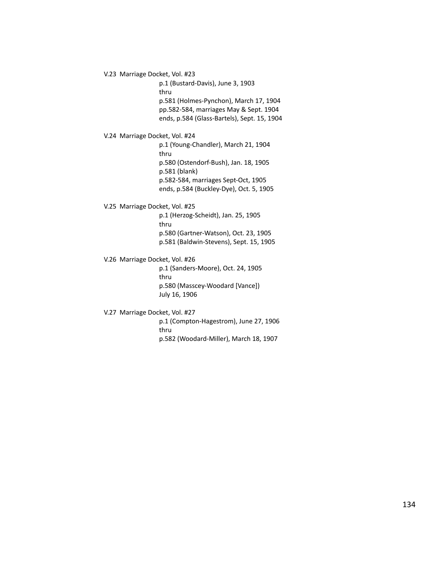V.23 Marriage Docket, Vol. #23

p.1 (Bustard-Davis), June 3, 1903 thru p.581 (Holmes-Pynchon), March 17, 1904 pp.582-584, marriages May & Sept. 1904 ends, p.584 (Glass-Bartels), Sept. 15, 1904

V.24 Marriage Docket, Vol. #24

p.1 (Young-Chandler), March 21, 1904 thru p.580 (Ostendorf-Bush), Jan. 18, 1905 p.581 (blank) p.582-584, marriages Sept-Oct, 1905 ends, p.584 (Buckley-Dye), Oct. 5, 1905

#### V.25 Marriage Docket, Vol. #25

p.1 (Herzog-Scheidt), Jan. 25, 1905 thru p.580 (Gartner-Watson), Oct. 23, 1905 p.581 (Baldwin-Stevens), Sept. 15, 1905

#### V.26 Marriage Docket, Vol. #26

p.1 (Sanders-Moore), Oct. 24, 1905 thru p.580 (Masscey-Woodard [Vance]) July 16, 1906

#### V.27 Marriage Docket, Vol. #27

p.1 (Compton-Hagestrom), June 27, 1906 thru p.582 (Woodard-Miller), March 18, 1907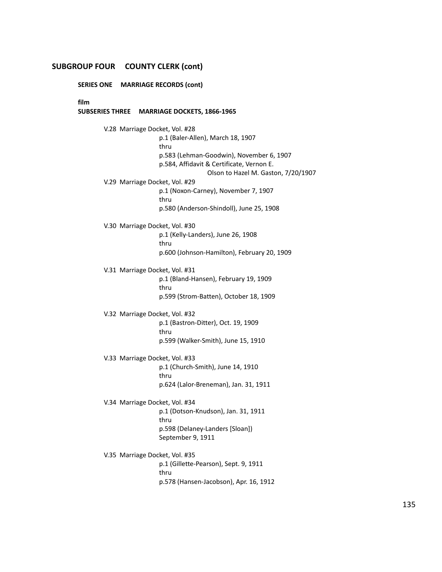# **SUBGROUP FOUR COUNTY CLERK (cont)**

**SERIES ONE MARRIAGE RECORDS (cont)**

**film**

#### **SUBSERIES THREE MARRIAGE DOCKETS, 1866-1965**

V.28 Marriage Docket, Vol. #28 p.1 (Baler-Allen), March 18, 1907 thru p.583 (Lehman-Goodwin), November 6, 1907 p.584, Affidavit & Certificate, Vernon E. Olson to Hazel M. Gaston, 7/20/1907 V.29 Marriage Docket, Vol. #29 p.1 (Noxon-Carney), November 7, 1907 thru p.580 (Anderson-Shindoll), June 25, 1908 V.30 Marriage Docket, Vol. #30 p.1 (Kelly-Landers), June 26, 1908 thru p.600 (Johnson-Hamilton), February 20, 1909 V.31 Marriage Docket, Vol. #31 p.1 (Bland-Hansen), February 19, 1909 thru p.599 (Strom-Batten), October 18, 1909 V.32 Marriage Docket, Vol. #32 p.1 (Bastron-Ditter), Oct. 19, 1909 thru p.599 (Walker-Smith), June 15, 1910 V.33 Marriage Docket, Vol. #33 p.1 (Church-Smith), June 14, 1910 thru p.624 (Lalor-Breneman), Jan. 31, 1911 V.34 Marriage Docket, Vol. #34 p.1 (Dotson-Knudson), Jan. 31, 1911 thru p.598 (Delaney-Landers [Sloan]) September 9, 1911 V.35 Marriage Docket, Vol. #35 p.1 (Gillette-Pearson), Sept. 9, 1911 thru

p.578 (Hansen-Jacobson), Apr. 16, 1912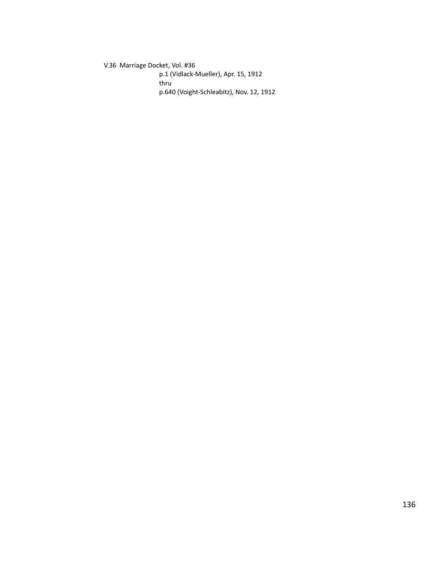V.36 Marriage Docket, Vol. #36 p.1 (Vidlack-Mueller), Apr. 15, 1912 thru p.640 (Voight-Schleabitz), Nov. 12, 1912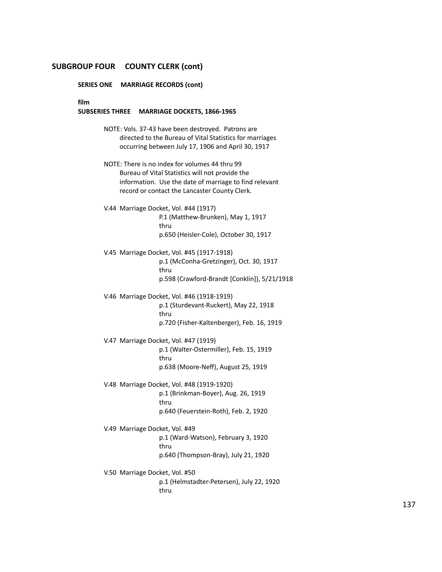#### **SUBGROUP FOUR COUNTY CLERK (cont)**

**SERIES ONE MARRIAGE RECORDS (cont)**

**film**

#### **SUBSERIES THREE MARRIAGE DOCKETS, 1866-1965**

NOTE: Vols. 37-43 have been destroyed. Patrons are directed to the Bureau of Vital Statistics for marriages occurring between July 17, 1906 and April 30, 1917

- NOTE: There is no index for volumes 44 thru 99 Bureau of Vital Statistics will not provide the information. Use the date of marriage to find relevant record or contact the Lancaster County Clerk.
- V.44 Marriage Docket, Vol. #44 (1917) P.1 (Matthew-Brunken), May 1, 1917 thru p.650 (Heisler-Cole), October 30, 1917
- V.45 Marriage Docket, Vol. #45 (1917-1918) p.1 (McConha-Gretzinger), Oct. 30, 1917 thru p.598 (Crawford-Brandt [Conklin]), 5/21/1918
- V.46 Marriage Docket, Vol. #46 (1918-1919) p.1 (Sturdevant-Ruckert), May 22, 1918 thru p.720 (Fisher-Kaltenberger), Feb. 16, 1919
- V.47 Marriage Docket, Vol. #47 (1919) p.1 (Walter-Ostermiller), Feb. 15, 1919 thru p.638 (Moore-Neff), August 25, 1919
- V.48 Marriage Docket, Vol. #48 (1919-1920) p.1 (Brinkman-Boyer), Aug. 26, 1919 thru p.640 (Feuerstein-Roth), Feb. 2, 1920
- V.49 Marriage Docket, Vol. #49 p.1 (Ward-Watson), February 3, 1920 thru p.640 (Thompson-Bray), July 21, 1920
- V.50 Marriage Docket, Vol. #50 p.1 (Helmstadter-Petersen), July 22, 1920 thru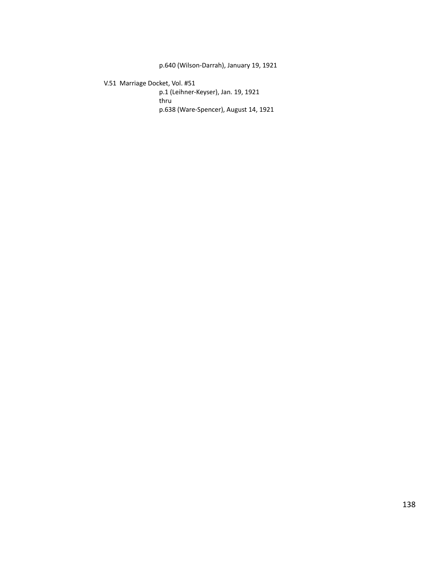p.640 (Wilson-Darrah), January 19, 1921

# V.51 Marriage Docket, Vol. #51

p.1 (Leihner-Keyser), Jan. 19, 1921 thru p.638 (Ware-Spencer), August 14, 1921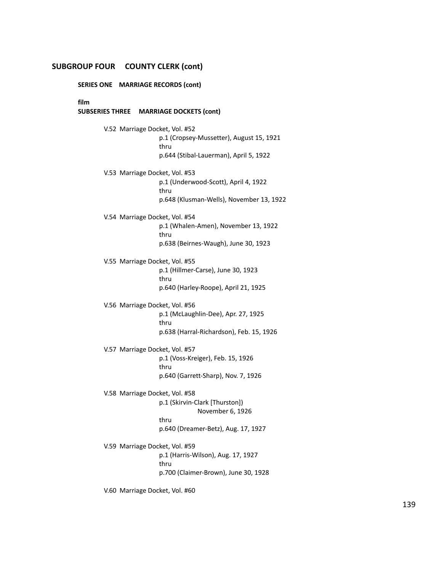#### **SUBGROUP FOUR COUNTY CLERK (cont)**

**SERIES ONE MARRIAGE RECORDS (cont)**

**film**

#### **SUBSERIES THREE MARRIAGE DOCKETS (cont)**

V.52 Marriage Docket, Vol. #52 p.1 (Cropsey-Mussetter), August 15, 1921 thru p.644 (Stibal-Lauerman), April 5, 1922 V.53 Marriage Docket, Vol. #53 p.1 (Underwood-Scott), April 4, 1922 thru p.648 (Klusman-Wells), November 13, 1922 V.54 Marriage Docket, Vol. #54 p.1 (Whalen-Amen), November 13, 1922 thru p.638 (Beirnes-Waugh), June 30, 1923 V.55 Marriage Docket, Vol. #55 p.1 (Hillmer-Carse), June 30, 1923 thru p.640 (Harley-Roope), April 21, 1925 V.56 Marriage Docket, Vol. #56 p.1 (McLaughlin-Dee), Apr. 27, 1925 thru p.638 (Harral-Richardson), Feb. 15, 1926 V.57 Marriage Docket, Vol. #57 p.1 (Voss-Kreiger), Feb. 15, 1926 thru p.640 (Garrett-Sharp), Nov. 7, 1926 V.58 Marriage Docket, Vol. #58 p.1 (Skirvin-Clark [Thurston]) November 6, 1926 thru p.640 (Dreamer-Betz), Aug. 17, 1927 V.59 Marriage Docket, Vol. #59 p.1 (Harris-Wilson), Aug. 17, 1927 thru p.700 (Claimer-Brown), June 30, 1928

V.60 Marriage Docket, Vol. #60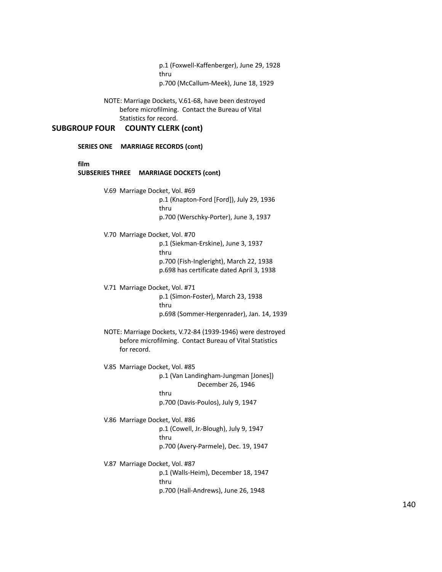p.1 (Foxwell-Kaffenberger), June 29, 1928 thru p.700 (McCallum-Meek), June 18, 1929

NOTE: Marriage Dockets, V.61-68, have been destroyed before microfilming. Contact the Bureau of Vital Statistics for record.

# **SUBGROUP FOUR COUNTY CLERK (cont)**

|                                |                                | SERIES ONE MARRIAGE RECORDS (cont)                                                                                                  |
|--------------------------------|--------------------------------|-------------------------------------------------------------------------------------------------------------------------------------|
| film<br><b>SUBSERIES THREE</b> |                                | <b>MARRIAGE DOCKETS (cont)</b>                                                                                                      |
|                                | V.69 Marriage Docket, Vol. #69 | p.1 (Knapton-Ford [Ford]), July 29, 1936<br>thru<br>p.700 (Werschky-Porter), June 3, 1937                                           |
|                                | V.70 Marriage Docket, Vol. #70 | p.1 (Siekman-Erskine), June 3, 1937<br>thru<br>p.700 (Fish-Ingleright), March 22, 1938<br>p.698 has certificate dated April 3, 1938 |
|                                | V.71 Marriage Docket, Vol. #71 | p.1 (Simon-Foster), March 23, 1938<br>thru<br>p.698 (Sommer-Hergenrader), Jan. 14, 1939                                             |
|                                | for record.                    | NOTE: Marriage Dockets, V.72-84 (1939-1946) were destroyed<br>before microfilming. Contact Bureau of Vital Statistics               |
|                                | V.85 Marriage Docket, Vol. #85 | p.1 (Van Landingham-Jungman [Jones])<br>December 26, 1946<br>thru<br>p.700 (Davis-Poulos), July 9, 1947                             |
|                                | V.86 Marriage Docket, Vol. #86 | p.1 (Cowell, Jr.-Blough), July 9, 1947<br>thru<br>p.700 (Avery-Parmele), Dec. 19, 1947                                              |
|                                | V.87 Marriage Docket, Vol. #87 | p.1 (Walls-Heim), December 18, 1947<br>thru<br>p.700 (Hall-Andrews), June 26, 1948                                                  |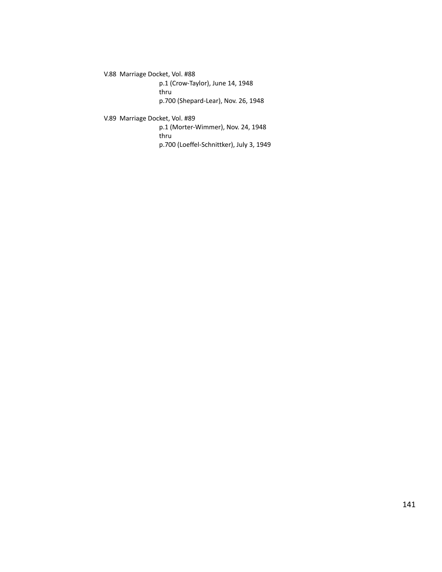V.88 Marriage Docket, Vol. #88

p.1 (Crow-Taylor), June 14, 1948 thru p.700 (Shepard-Lear), Nov. 26, 1948

# V.89 Marriage Docket, Vol. #89

p.1 (Morter-Wimmer), Nov. 24, 1948 thru p.700 (Loeffel-Schnittker), July 3, 1949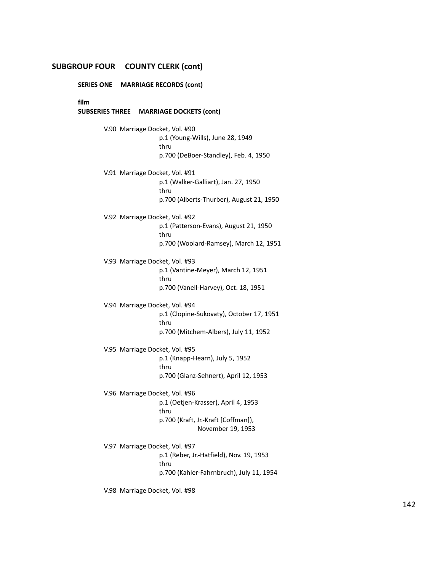# **SUBGROUP FOUR COUNTY CLERK (cont)**

**SERIES ONE MARRIAGE RECORDS (cont)**

**film**

#### **SUBSERIES THREE MARRIAGE DOCKETS (cont)**

V.90 Marriage Docket, Vol. #90 p.1 (Young-Wills), June 28, 1949 thru p.700 (DeBoer-Standley), Feb. 4, 1950 V.91 Marriage Docket, Vol. #91 p.1 (Walker-Galliart), Jan. 27, 1950 thru p.700 (Alberts-Thurber), August 21, 1950 V.92 Marriage Docket, Vol. #92 p.1 (Patterson-Evans), August 21, 1950 thru p.700 (Woolard-Ramsey), March 12, 1951 V.93 Marriage Docket, Vol. #93 p.1 (Vantine-Meyer), March 12, 1951 thru p.700 (Vanell-Harvey), Oct. 18, 1951 V.94 Marriage Docket, Vol. #94 p.1 (Clopine-Sukovaty), October 17, 1951 thru p.700 (Mitchem-Albers), July 11, 1952 V.95 Marriage Docket, Vol. #95 p.1 (Knapp-Hearn), July 5, 1952 thru p.700 (Glanz-Sehnert), April 12, 1953 V.96 Marriage Docket, Vol. #96 p.1 (Oetjen-Krasser), April 4, 1953 thru p.700 (Kraft, Jr.-Kraft [Coffman]), November 19, 1953 V.97 Marriage Docket, Vol. #97 p.1 (Reber, Jr.-Hatfield), Nov. 19, 1953 thru p.700 (Kahler-Fahrnbruch), July 11, 1954

V.98 Marriage Docket, Vol. #98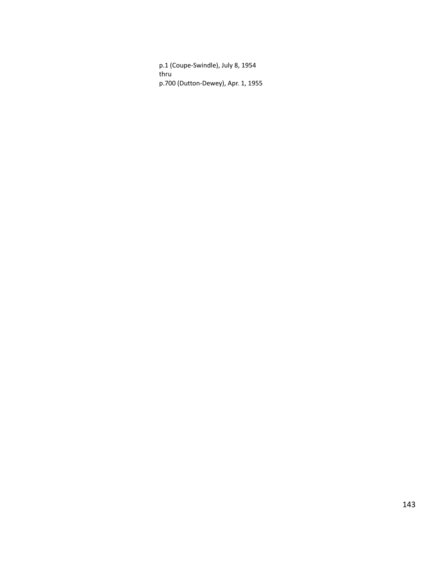p.1 (Coupe-Swindle), July 8, 1954 thru p.700 (Dutton-Dewey), Apr. 1, 1955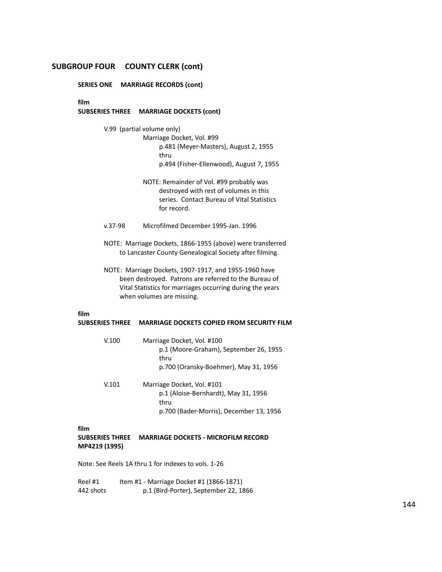# **SUBGROUP FOUR COUNTY CLERK (cont)**

**SERIES ONE MARRIAGE RECORDS (cont)**

**film**

#### **SUBSERIES THREE MARRIAGE DOCKETS (cont)**

V.99 (partial volume only)

Marriage Docket, Vol. #99 p.481 (Meyer-Masters), August 2, 1955 thru p.494 (Fisher-Ellenwood), August 7, 1955

- NOTE: Remainder of Vol. #99 probably was destroyed with rest of volumes in this series. Contact Bureau of Vital Statistics for record.
- v.37-98 Microfilmed December 1995-Jan. 1996
- NOTE: Marriage Dockets, 1866-1955 (above) were transferred to Lancaster County Genealogical Society after filming.
- NOTE: Marriage Dockets, 1907-1917, and 1955-1960 have been destroyed. Patrons are referred to the Bureau of Vital Statistics for marriages occurring during the years when volumes are missing.

# **film**

# **SUBSERIES THREE MARRIAGE DOCKETS COPIED FROM SECURITY FILM**

| V.100 | Marriage Docket, Vol. #100             |
|-------|----------------------------------------|
|       | p.1 (Moore-Graham), September 26, 1955 |
|       | thru                                   |
|       | p.700 (Oransky-Boehmer), May 31, 1956  |
|       |                                        |

V.101 Marriage Docket, Vol. #101 p.1 (Aloise-Bernhardt), May 31, 1956 thru p.700 (Bader-Morris), December 13, 1956

#### **film**

## **SUBSERIES THREE MARRIAGE DOCKETS - MICROFILM RECORD MP4219 (1995)**

Note: See Reels 1A thru 1 for indexes to vols. 1-26

Reel #1 Item #1 - Marriage Docket #1 (1866-1871) 442 shots p.1 (Bird-Porter), September 22, 1866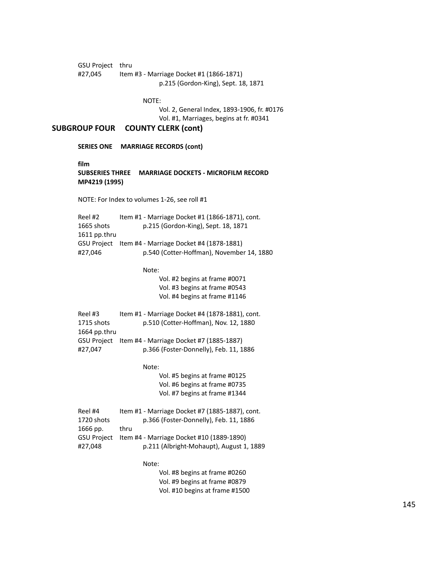GSU Project thru #27,045 Item #3 - Marriage Docket #1 (1866-1871) p.215 (Gordon-King), Sept. 18, 1871

NOTE:

Vol. 2, General Index, 1893-1906, fr. #0176 Vol. #1, Marriages, begins at fr. #0341

### **SUBGROUP FOUR COUNTY CLERK (cont)**

**SERIES ONE MARRIAGE RECORDS (cont)**

**film**

### **SUBSERIES THREE MARRIAGE DOCKETS - MICROFILM RECORD MP4219 (1995)**

NOTE: For Index to volumes 1-26, see roll #1

Reel #2 Item #1 - Marriage Docket #1 (1866-1871), cont. 1665 shots p.215 (Gordon-King), Sept. 18, 1871 1611 pp.thru GSU Project Item #4 - Marriage Docket #4 (1878-1881) #27,046 p.540 (Cotter-Hoffman), November 14, 1880

Note:

Vol. #2 begins at frame #0071 Vol. #3 begins at frame #0543 Vol. #4 begins at frame #1146

| Reel #3      | Item #1 - Marriage Docket #4 (1878-1881), cont. |
|--------------|-------------------------------------------------|
| 1715 shots   | p.510 (Cotter-Hoffman), Nov. 12, 1880           |
| 1664 pp.thru |                                                 |
| GSU Proiect  | Item #4 - Marriage Docket #7 (1885-1887)        |
| #27.047      | p.366 (Foster-Donnelly), Feb. 11, 1886          |

Note:

Vol. #5 begins at frame #0125 Vol. #6 begins at frame #0735 Vol. #7 begins at frame #1344

| Reel #4            | Item #1 - Marriage Docket #7 (1885-1887), cont. |
|--------------------|-------------------------------------------------|
| 1720 shots         | p.366 (Foster-Donnelly), Feb. 11, 1886          |
| 1666 pp.           | thru                                            |
| <b>GSU Project</b> | Item #4 - Marriage Docket #10 (1889-1890)       |
| #27.048            | p.211 (Albright-Mohaupt), August 1, 1889        |
|                    |                                                 |

Note:

Vol. #8 begins at frame #0260 Vol. #9 begins at frame #0879 Vol. #10 begins at frame #1500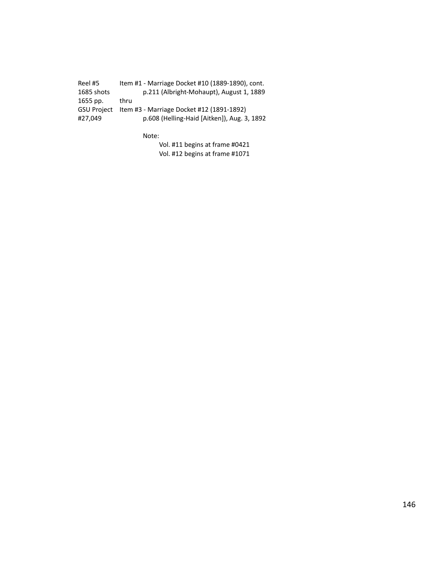Reel #5 Item #1 - Marriage Docket #10 (1889-1890), cont.<br>1685 shots p.211 (Albright-Mohaupt), August 1, 1889 p.211 (Albright-Mohaupt), August 1, 1889 1655 pp. thru GSU Project Item #3 - Marriage Docket #12 (1891-1892) #27,049 p.608 (Helling-Haid [Aitken]), Aug. 3, 1892

Note:

Vol. #11 begins at frame #0421 Vol. #12 begins at frame #1071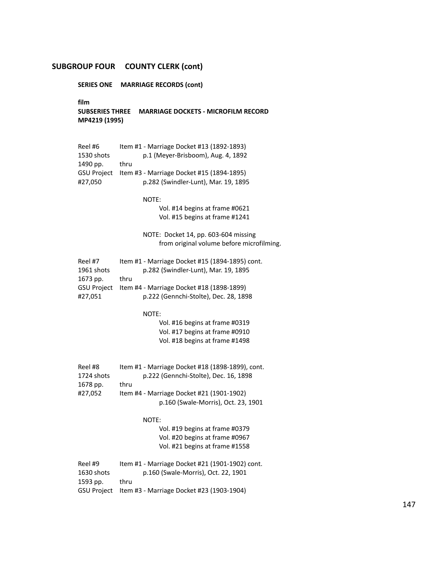**SERIES ONE MARRIAGE RECORDS (cont)**

**film**

**SUBSERIES THREE MARRIAGE DOCKETS - MICROFILM RECORD MP4219 (1995)**

| Reel #6            | Item #1 - Marriage Docket #13 (1892-1893) |
|--------------------|-------------------------------------------|
| 1530 shots         | p.1 (Meyer-Brisboom), Aug. 4, 1892        |
| 1490 pp.           | thru                                      |
| <b>GSU Project</b> | Item #3 - Marriage Docket #15 (1894-1895) |
| #27.050            | p.282 (Swindler-Lunt), Mar. 19, 1895      |

NOTE:

Vol. #14 begins at frame #0621 Vol. #15 begins at frame #1241

NOTE: Docket 14, pp. 603-604 missing from original volume before microfilming.

| Reel #7            | Item #1 - Marriage Docket #15 (1894-1895) cont. |
|--------------------|-------------------------------------------------|
| 1961 shots         | p.282 (Swindler-Lunt), Mar. 19, 1895            |
| 1673 pp.           | thru                                            |
| <b>GSU Project</b> | Item #4 - Marriage Docket #18 (1898-1899)       |
| #27.051            | p.222 (Gennchi-Stolte), Dec. 28, 1898           |

NOTE:

Vol. #16 begins at frame #0319 Vol. #17 begins at frame #0910 Vol. #18 begins at frame #1498

| Reel #8    | Item #1 - Marriage Docket #18 (1898-1899), cont. |
|------------|--------------------------------------------------|
| 1724 shots | p.222 (Gennchi-Stolte), Dec. 16, 1898            |
| 1678 pp.   | thru                                             |
| #27.052    | Item #4 - Marriage Docket #21 (1901-1902)        |
|            | p.160 (Swale-Morris), Oct. 23, 1901              |

NOTE:

Vol. #19 begins at frame #0379 Vol. #20 begins at frame #0967 Vol. #21 begins at frame #1558

| Reel #9    | Item #1 - Marriage Docket #21 (1901-1902) cont.       |
|------------|-------------------------------------------------------|
| 1630 shots | p.160 (Swale-Morris), Oct. 22, 1901                   |
| 1593 pp.   | thru                                                  |
|            | GSU Project Item #3 - Marriage Docket #23 (1903-1904) |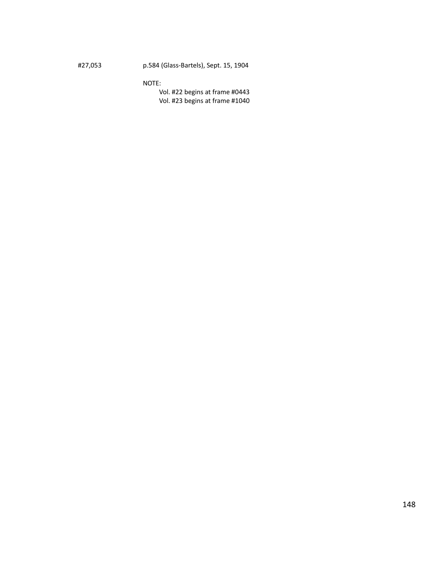# #27,053 p.584 (Glass-Bartels), Sept. 15, 1904

### NOTE:

Vol. #22 begins at frame #0443 Vol. #23 begins at frame #1040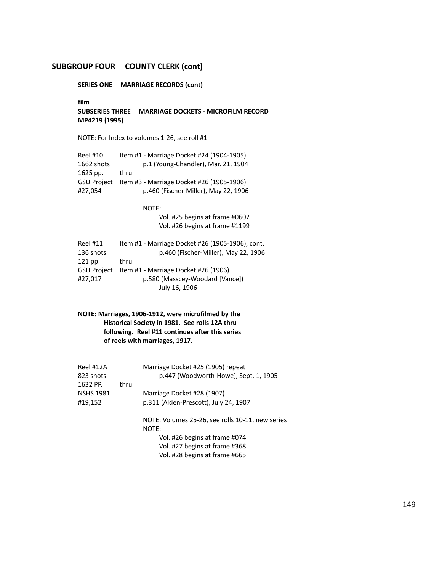**SERIES ONE MARRIAGE RECORDS (cont)**

**film**

**SUBSERIES THREE MARRIAGE DOCKETS - MICROFILM RECORD MP4219 (1995)**

NOTE: For Index to volumes 1-26, see roll #1

| <b>Reel #10</b>    | Item #1 - Marriage Docket #24 (1904-1905) |
|--------------------|-------------------------------------------|
| 1662 shots         | p.1 (Young-Chandler), Mar. 21, 1904       |
| $1625$ pp.         | thru                                      |
| <b>GSU Project</b> | Item #3 - Marriage Docket #26 (1905-1906) |
| #27.054            | p.460 (Fischer-Miller), May 22, 1906      |

NOTE:

Vol. #25 begins at frame #0607 Vol. #26 begins at frame #1199

| Item #1 - Marriage Docket #26 (1905-1906), cont. |
|--------------------------------------------------|
| p.460 (Fischer-Miller), May 22, 1906             |
| thru                                             |
| Item #1 - Marriage Docket #26 (1906)             |
| p.580 (Masscey-Woodard [Vance])                  |
| July 16, 1906                                    |
|                                                  |

# **NOTE: Marriages, 1906-1912, were microfilmed by the Historical Society in 1981. See rolls 12A thru following. Reel #11 continues after this series of reels with marriages, 1917.**

| Marriage Docket #25 (1905) repeat<br>p.447 (Woodworth-Howe), Sept. 1, 1905 |
|----------------------------------------------------------------------------|
|                                                                            |
| Marriage Docket #28 (1907)                                                 |
| p.311 (Alden-Prescott), July 24, 1907                                      |
| NOTE: Volumes 25-26, see rolls 10-11, new series<br>NOTE:                  |
| Vol. #26 begins at frame #074                                              |
| Vol. #27 begins at frame #368                                              |
| Vol. #28 begins at frame #665                                              |
|                                                                            |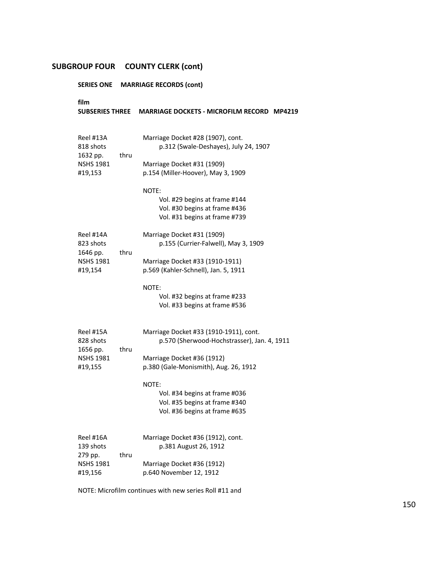# **SERIES ONE MARRIAGE RECORDS (cont)**

| film<br><b>SUBSERIES THREE</b>                                    |      | <b>MARRIAGE DOCKETS - MICROFILM RECORD MP4219</b>                                                        |
|-------------------------------------------------------------------|------|----------------------------------------------------------------------------------------------------------|
| Reel #13A<br>818 shots<br>1632 pp.                                | thru | Marriage Docket #28 (1907), cont.<br>p.312 (Swale-Deshayes), July 24, 1907                               |
| <b>NSHS 1981</b><br>#19,153                                       |      | Marriage Docket #31 (1909)<br>p.154 (Miller-Hoover), May 3, 1909                                         |
|                                                                   |      | NOTE:<br>Vol. #29 begins at frame #144<br>Vol. #30 begins at frame #436<br>Vol. #31 begins at frame #739 |
| Reel #14A<br>823 shots<br>1646 pp.<br><b>NSHS 1981</b><br>#19,154 | thru | Marriage Docket #31 (1909)<br>p.155 (Currier-Falwell), May 3, 1909                                       |
|                                                                   |      | Marriage Docket #33 (1910-1911)<br>p.569 (Kahler-Schnell), Jan. 5, 1911                                  |
|                                                                   |      | NOTE:<br>Vol. #32 begins at frame #233<br>Vol. #33 begins at frame #536                                  |
| Reel #15A<br>828 shots<br>1656 pp.<br><b>NSHS 1981</b><br>#19,155 | thru | Marriage Docket #33 (1910-1911), cont.<br>p.570 (Sherwood-Hochstrasser), Jan. 4, 1911                    |
|                                                                   |      | Marriage Docket #36 (1912)<br>p.380 (Gale-Monismith), Aug. 26, 1912                                      |
|                                                                   |      | NOTE:<br>Vol. #34 begins at frame #036<br>Vol. #35 begins at frame #340<br>Vol. #36 begins at frame #635 |
| Reel #16A<br>139 shots                                            |      | Marriage Docket #36 (1912), cont.<br>p.381 August 26, 1912                                               |
| 279 pp.<br><b>NSHS 1981</b><br>#19,156                            | thru | Marriage Docket #36 (1912)<br>p.640 November 12, 1912                                                    |

NOTE: Microfilm continues with new series Roll #11 and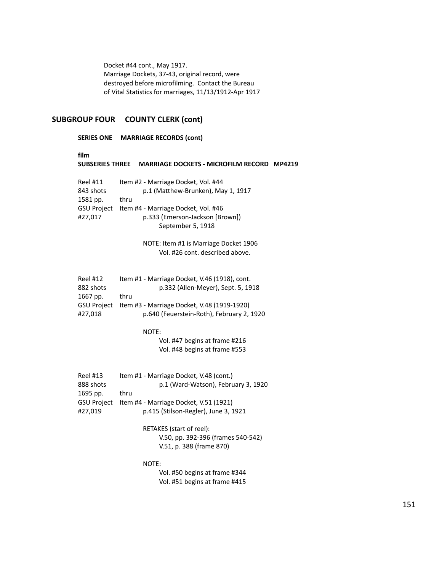Docket #44 cont., May 1917. Marriage Dockets, 37-43, original record, were destroyed before microfilming. Contact the Bureau of Vital Statistics for marriages, 11/13/1912-Apr 1917

# **SUBGROUP FOUR COUNTY CLERK (cont)**

#### **SERIES ONE MARRIAGE RECORDS (cont)**

**film**

#### **SUBSERIES THREE MARRIAGE DOCKETS - MICROFILM RECORD MP4219**

| <b>Reel #11</b>    | Item #2 - Marriage Docket, Vol. #44 |
|--------------------|-------------------------------------|
| 843 shots          | p.1 (Matthew-Brunken), May 1, 1917  |
| 1581 pp.           | thru                                |
| <b>GSU Project</b> | Item #4 - Marriage Docket, Vol. #46 |
| #27.017            | p.333 (Emerson-Jackson [Brown])     |
|                    | September 5, 1918                   |

NOTE: Item #1 is Marriage Docket 1906 Vol. #26 cont. described above.

| <b>Reel #12</b>    | Item #1 - Marriage Docket, V.46 (1918), cont. |
|--------------------|-----------------------------------------------|
| 882 shots          | p.332 (Allen-Meyer), Sept. 5, 1918            |
| 1667 pp.           | thru                                          |
| <b>GSU Project</b> | Item #3 - Marriage Docket, V.48 (1919-1920)   |
| #27.018            | p.640 (Feuerstein-Roth), February 2, 1920     |

NOTE:

Vol. #47 begins at frame #216 Vol. #48 begins at frame #553

| <b>Reel #13</b> | Item #1 - Marriage Docket, V.48 (cont.)            |
|-----------------|----------------------------------------------------|
| 888 shots       | p.1 (Ward-Watson), February 3, 1920                |
| 1695 pp.        | thru                                               |
|                 | GSU Project Item #4 - Marriage Docket, V.51 (1921) |
| #27.019         | p.415 (Stilson-Regler), June 3, 1921               |

RETAKES (start of reel): V.50, pp. 392-396 (frames 540-542) V.51, p. 388 (frame 870)

NOTE:

Vol. #50 begins at frame #344 Vol. #51 begins at frame #415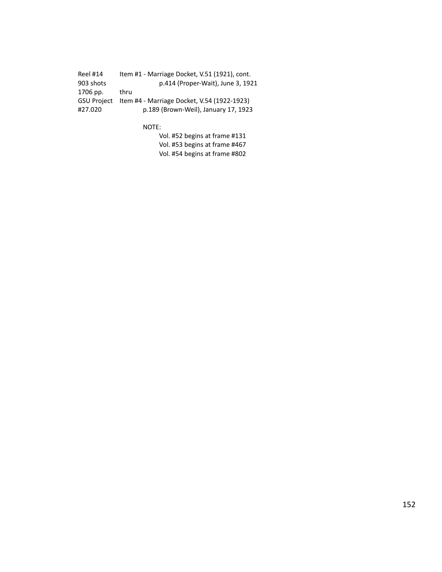Reel #14 Item #1 - Marriage Docket, V.51 (1921), cont. 903 shots p.414 (Proper-Wait), June 3, 1921 1706 pp. thru GSU Project Item #4 - Marriage Docket, V.54 (1922-1923) #27.020 p.189 (Brown-Weil), January 17, 1923

NOTE:

Vol. #52 begins at frame #131 Vol. #53 begins at frame #467 Vol. #54 begins at frame #802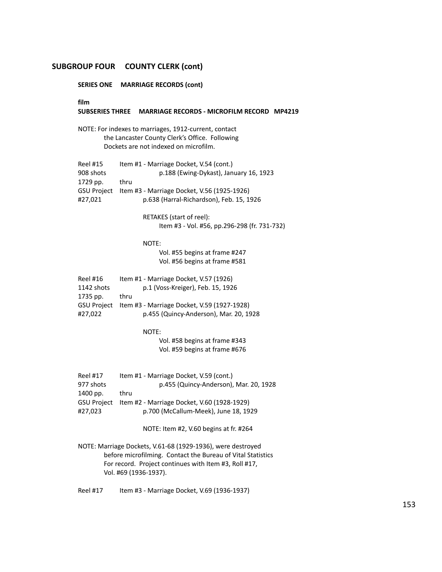**SERIES ONE MARRIAGE RECORDS (cont)**

**film SUBSERIES THREE MARRIAGE RECORDS - MICROFILM RECORD MP4219** NOTE: For indexes to marriages, 1912-current, contact the Lancaster County Clerk's Office. Following Dockets are not indexed on microfilm. Reel #15 Item #1 - Marriage Docket, V.54 (cont.) 908 shots p.188 (Ewing-Dykast), January 16, 1923 1729 pp. thru GSU Project Item #3 - Marriage Docket, V.56 (1925-1926) #27,021 p.638 (Harral-Richardson), Feb. 15, 1926 RETAKES (start of reel): Item #3 - Vol. #56, pp.296-298 (fr. 731-732) NOTE: Vol. #55 begins at frame #247 Vol. #56 begins at frame #581 Reel #16 Item #1 - Marriage Docket, V.57 (1926) 1142 shots p.1 (Voss-Kreiger), Feb. 15, 1926 1735 pp. thru GSU Project Item #3 - Marriage Docket, V.59 (1927-1928) #27,022 p.455 (Quincy-Anderson), Mar. 20, 1928 NOTE: Vol. #58 begins at frame #343 Vol. #59 begins at frame #676 Reel #17 Item #1 - Marriage Docket, V.59 (cont.) 977 shots p.455 (Quincy-Anderson), Mar. 20, 1928 1400 pp. thru GSU Project Item #2 - Marriage Docket, V.60 (1928-1929) #27,023 p.700 (McCallum-Meek), June 18, 1929 NOTE: Item #2, V.60 begins at fr. #264

NOTE: Marriage Dockets, V.61-68 (1929-1936), were destroyed before microfilming. Contact the Bureau of Vital Statistics For record. Project continues with Item #3, Roll #17, Vol. #69 (1936-1937).

Reel #17 Item #3 - Marriage Docket, V.69 (1936-1937)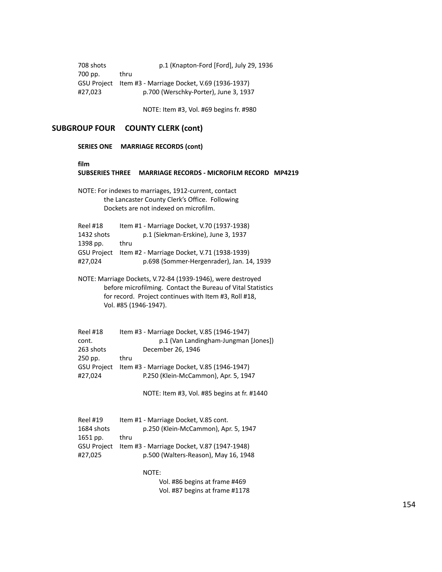708 shots p.1 (Knapton-Ford [Ford], July 29, 1936 700 pp. thru GSU Project Item #3 - Marriage Docket, V.69 (1936-1937) #27,023 p.700 (Werschky-Porter), June 3, 1937

NOTE: Item #3, Vol. #69 begins fr. #980

#### **SUBGROUP FOUR COUNTY CLERK (cont)**

#### **SERIES ONE MARRIAGE RECORDS (cont)**

#### **film**

# **SUBSERIES THREE MARRIAGE RECORDS - MICROFILM RECORD MP4219** NOTE: For indexes to marriages, 1912-current, contact the Lancaster County Clerk's Office. Following Dockets are not indexed on microfilm. Reel #18 Item #1 - Marriage Docket, V.70 (1937-1938) 1432 shots p.1 (Siekman-Erskine), June 3, 1937 1398 pp. thru GSU Project Item #2 - Marriage Docket, V.71 (1938-1939) #27,024 p.698 (Sommer-Hergenrader), Jan. 14, 1939 NOTE: Marriage Dockets, V.72-84 (1939-1946), were destroyed before microfilming. Contact the Bureau of Vital Statistics for record. Project continues with Item #3, Roll #18, Vol. #85 (1946-1947). Reel #18 Item #3 - Marriage Docket, V.85 (1946-1947) cont. p.1 (Van Landingham-Jungman [Jones]) 263 shots December 26, 1946 250 pp. thru GSU Project Item #3 - Marriage Docket, V.85 (1946-1947) #27,024 P.250 (Klein-McCammon), Apr. 5, 1947 NOTE: Item #3, Vol. #85 begins at fr. #1440 Reel #19 Item #1 - Marriage Docket, V.85 cont.

| 1684 shots         | p.250 (Klein-McCammon), Apr. 5, 1947        |
|--------------------|---------------------------------------------|
| 1651 pp.           | thru                                        |
| <b>GSU Project</b> | Item #3 - Marriage Docket, V.87 (1947-1948) |
| #27.025            | p.500 (Walters-Reason), May 16, 1948        |
|                    |                                             |

NOTE:

Vol. #86 begins at frame #469 Vol. #87 begins at frame #1178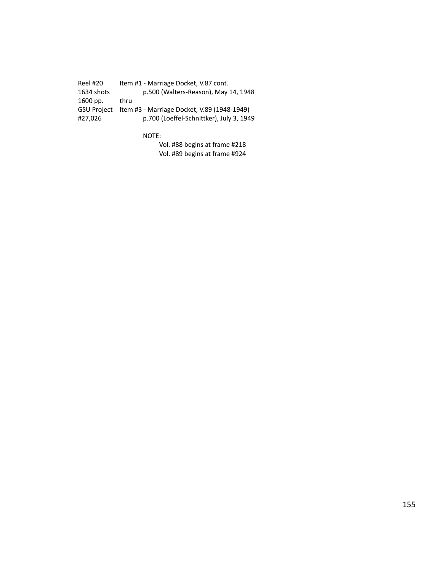Reel #20 Item #1 - Marriage Docket, V.87 cont.<br>1634 shots p.500 (Walters-Reason), May p.500 (Walters-Reason), May 14, 1948 1600 pp. thru GSU Project Item #3 - Marriage Docket, V.89 (1948-1949) #27,026 p.700 (Loeffel-Schnittker), July 3, 1949

NOTE:

Vol. #88 begins at frame #218 Vol. #89 begins at frame #924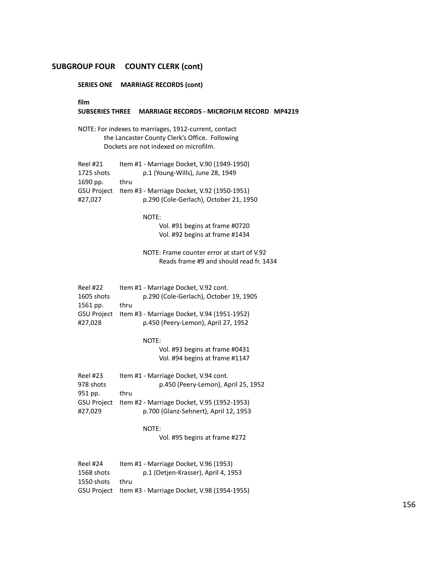**SERIES ONE MARRIAGE RECORDS (cont)**

**film**

#### **SUBSERIES THREE MARRIAGE RECORDS - MICROFILM RECORD MP4219**

NOTE: For indexes to marriages, 1912-current, contact the Lancaster County Clerk's Office. Following Dockets are not indexed on microfilm.

| Reel #21           | Item #1 - Marriage Docket, V.90 (1949-1950) |
|--------------------|---------------------------------------------|
| 1725 shots         | p.1 (Young-Wills), June 28, 1949            |
| 1690 pp.           | thru                                        |
| <b>GSU Project</b> | Item #3 - Marriage Docket, V.92 (1950-1951) |
| #27.027            | p.290 (Cole-Gerlach), October 21, 1950      |
|                    |                                             |

NOTE:

Vol. #91 begins at frame #0720 Vol. #92 begins at frame #1434

NOTE: Frame counter error at start of V.92 Reads frame #9 and should read fr. 1434

| Reel #22           | Item #1 - Marriage Docket, V.92 cont.       |
|--------------------|---------------------------------------------|
| 1605 shots         | p.290 (Cole-Gerlach), October 19, 1905      |
| 1561 pp.           | thru                                        |
| <b>GSU Project</b> | Item #3 - Marriage Docket, V.94 (1951-1952) |
| #27.028            | p.450 (Peery-Lemon), April 27, 1952         |

NOTE:

Vol. #93 begins at frame #0431 Vol. #94 begins at frame #1147

| Reel #23    | Item #1 - Marriage Docket, V.94 cont.       |
|-------------|---------------------------------------------|
| 978 shots   | p.450 (Peery-Lemon), April 25, 1952         |
| 951 pp.     | thru                                        |
| GSU Proiect | Item #2 - Marriage Docket, V.95 (1952-1953) |
| #27.029     | p.700 (Glanz-Sehnert), April 12, 1953       |

NOTE:

Vol. #95 begins at frame #272

| Reel #24   | Item #1 - Marriage Docket, V.96 (1953)                  |
|------------|---------------------------------------------------------|
| 1568 shots | p.1 (Oetjen-Krasser), April 4, 1953                     |
| 1550 shots | thru                                                    |
|            | GSU Project Item #3 - Marriage Docket, V.98 (1954-1955) |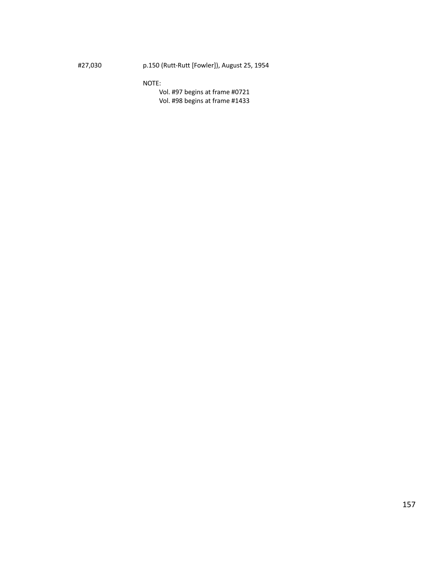#27,030 p.150 (Rutt-Rutt [Fowler]), August 25, 1954

NOTE:

Vol. #97 begins at frame #0721 Vol. #98 begins at frame #1433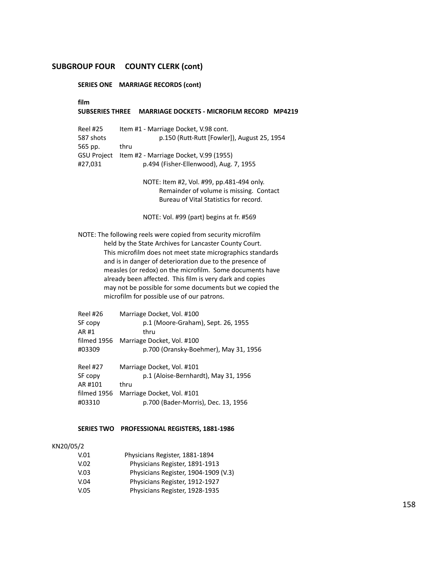**SERIES ONE MARRIAGE RECORDS (cont)**

**film**

### **SUBSERIES THREE MARRIAGE DOCKETS - MICROFILM RECORD MP4219**

| Reel #25           | Item #1 - Marriage Docket, V.98 cont.       |
|--------------------|---------------------------------------------|
| 587 shots          | p.150 (Rutt-Rutt [Fowler]), August 25, 1954 |
| 565 pp.            | thru                                        |
| <b>GSU Project</b> | Item #2 - Marriage Docket, V.99 (1955)      |
| #27.031            | p.494 (Fisher-Ellenwood), Aug. 7, 1955      |
|                    |                                             |

NOTE: Item #2, Vol. #99, pp.481-494 only. Remainder of volume is missing. Contact Bureau of Vital Statistics for record.

NOTE: Vol. #99 (part) begins at fr. #569

NOTE: The following reels were copied from security microfilm held by the State Archives for Lancaster County Court. This microfilm does not meet state micrographics standards and is in danger of deterioration due to the presence of measles (or redox) on the microfilm. Some documents have already been affected. This film is very dark and copies may not be possible for some documents but we copied the microfilm for possible use of our patrons.

| <b>Reel #26</b><br>SF copy | Marriage Docket, Vol. #100<br>p.1 (Moore-Graham), Sept. 26, 1955 |
|----------------------------|------------------------------------------------------------------|
| AR #1                      | thru                                                             |
| filmed 1956                | Marriage Docket, Vol. #100                                       |
| #03309                     | p.700 (Oransky-Boehmer), May 31, 1956                            |
| <b>Reel #27</b>            | Marriage Docket, Vol. #101                                       |
| SF copy                    | p.1 (Aloise-Bernhardt), May 31, 1956                             |
| AR #101                    | thru                                                             |
| filmed 1956                | Marriage Docket, Vol. #101                                       |
| #03310                     | p.700 (Bader-Morris), Dec. 13, 1956                              |

### **SERIES TWO PROFESSIONAL REGISTERS, 1881-1986**

#### KN20/05/2

| V.01 | Physicians Register, 1881-1894       |
|------|--------------------------------------|
| V.02 | Physicians Register, 1891-1913       |
| V.03 | Physicians Register, 1904-1909 (V.3) |
| V.04 | Physicians Register, 1912-1927       |
| V.05 | Physicians Register, 1928-1935       |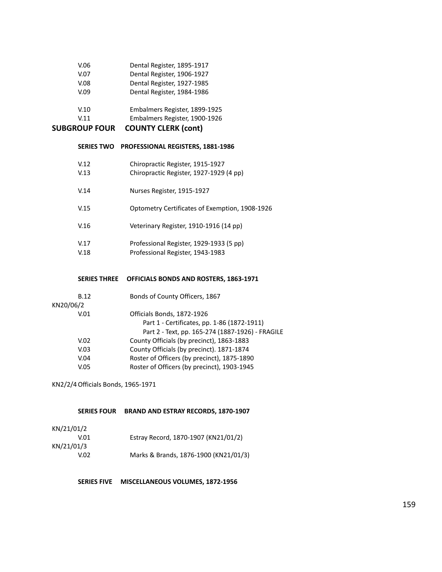| V.06 | Dental Register, 1895-1917    |
|------|-------------------------------|
| V.07 | Dental Register, 1906-1927    |
| V.08 | Dental Register, 1927-1985    |
| V.09 | Dental Register, 1984-1986    |
|      |                               |
| V.10 | Embalmers Register, 1899-1925 |

| V.11 | Embalmers Register, 1900-1926 |  |
|------|-------------------------------|--|
|      |                               |  |

#### **SERIES TWO PROFESSIONAL REGISTERS, 1881-1986**

| V.12 | Chiropractic Register, 1915-1927               |
|------|------------------------------------------------|
| V.13 | Chiropractic Register, 1927-1929 (4 pp)        |
| V.14 | Nurses Register, 1915-1927                     |
| V.15 | Optometry Certificates of Exemption, 1908-1926 |
| V.16 | Veterinary Register, 1910-1916 (14 pp)         |
| V.17 | Professional Register, 1929-1933 (5 pp)        |

V.18 Professional Register, 1943-1983

### **SERIES THREE OFFICIALS BONDS AND ROSTERS, 1863-1971**

| <b>B.12</b> | Bonds of County Officers, 1867                   |
|-------------|--------------------------------------------------|
| KN20/06/2   |                                                  |
| V.01        | Officials Bonds, 1872-1926                       |
|             | Part 1 - Certificates, pp. 1-86 (1872-1911)      |
|             | Part 2 - Text, pp. 165-274 (1887-1926) - FRAGILE |
| V.02        | County Officials (by precinct), 1863-1883        |
| V.03        | County Officials (by precinct). 1871-1874        |
| V.04        | Roster of Officers (by precinct), 1875-1890      |
| V.05        | Roster of Officers (by precinct), 1903-1945      |
|             |                                                  |

KN2/2/4Officials Bonds, 1965-1971

# **SERIES FOUR BRAND AND ESTRAY RECORDS, 1870-1907**

| KN/21/01/2 |                                       |
|------------|---------------------------------------|
| V.01       | Estray Record, 1870-1907 (KN21/01/2)  |
| KN/21/01/3 |                                       |
| V.O2       | Marks & Brands, 1876-1900 (KN21/01/3) |

**SERIES FIVE MISCELLANEOUS VOLUMES, 1872-1956**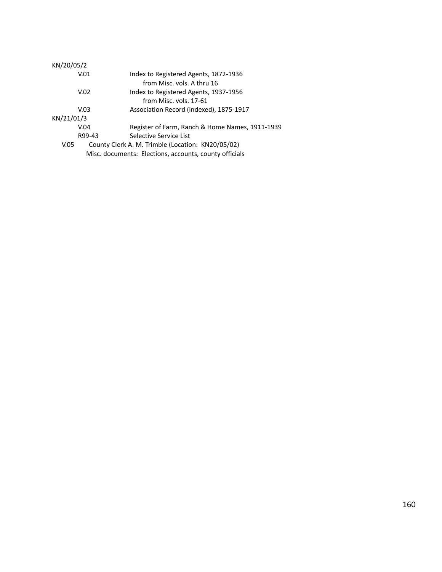| KN/20/05/2 |                                                        |
|------------|--------------------------------------------------------|
| V.01       | Index to Registered Agents, 1872-1936                  |
|            | from Misc. vols. A thru 16                             |
| V.02       | Index to Registered Agents, 1937-1956                  |
|            | from Misc. vols. 17-61                                 |
| V.03       | Association Record (indexed), 1875-1917                |
| KN/21/01/3 |                                                        |
| V.04       | Register of Farm, Ranch & Home Names, 1911-1939        |
| R99-43     | Selective Service List                                 |
| V.05       | County Clerk A. M. Trimble (Location: KN20/05/02)      |
|            | Misc. documents: Elections, accounts, county officials |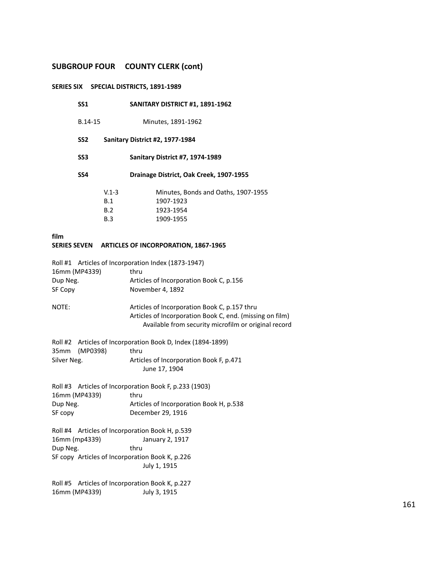#### **SERIES SIX SPECIAL DISTRICTS, 1891-1989**

- B.14-15 Minutes, 1891-1962
- **SS2 Sanitary District #2, 1977-1984**
- **SS3 Sanitary District #7, 1974-1989**
- **SS4 Drainage District, Oak Creek, 1907-1955**

| $V1-3$     | Minutes, Bonds and Oaths, 1907-1955 |
|------------|-------------------------------------|
| <b>B.1</b> | 1907-1923                           |
| B.2        | 1923-1954                           |
| <b>B.3</b> | 1909-1955                           |

**film**

### **SERIES SEVEN ARTICLES OF INCORPORATION, 1867-1965**

|                                                 | Roll #1 Articles of Incorporation Index (1873-1947)      |  |  |
|-------------------------------------------------|----------------------------------------------------------|--|--|
| 16mm (MP4339)                                   | thru                                                     |  |  |
| Dup Neg.                                        | Articles of Incorporation Book C, p.156                  |  |  |
| SF Copy                                         | November 4, 1892                                         |  |  |
|                                                 |                                                          |  |  |
| NOTE:                                           | Articles of Incorporation Book C, p.157 thru             |  |  |
|                                                 | Articles of Incorporation Book C, end. (missing on film) |  |  |
|                                                 | Available from security microfilm or original record     |  |  |
| Roll #2                                         | Articles of Incorporation Book D, Index (1894-1899)      |  |  |
| (MP0398)                                        | thru                                                     |  |  |
| 35 <sub>mm</sub>                                |                                                          |  |  |
| Silver Neg.                                     | Articles of Incorporation Book F, p.471                  |  |  |
|                                                 | June 17, 1904                                            |  |  |
|                                                 | Roll #3 Articles of Incorporation Book F, p.233 (1903)   |  |  |
| 16mm (MP4339)                                   | thru                                                     |  |  |
| Dup Neg.                                        | Articles of Incorporation Book H, p.538                  |  |  |
| SF copy                                         | December 29, 1916                                        |  |  |
|                                                 |                                                          |  |  |
| Roll #4 Articles of Incorporation Book H, p.539 |                                                          |  |  |
| 16mm (mp4339)                                   | January 2, 1917                                          |  |  |
| Dup Neg.                                        | thru                                                     |  |  |
| SF copy Articles of Incorporation Book K, p.226 |                                                          |  |  |
|                                                 | July 1, 1915                                             |  |  |
|                                                 |                                                          |  |  |
| Roll #5                                         | Articles of Incorporation Book K, p.227                  |  |  |

16mm (MP4339) July 3, 1915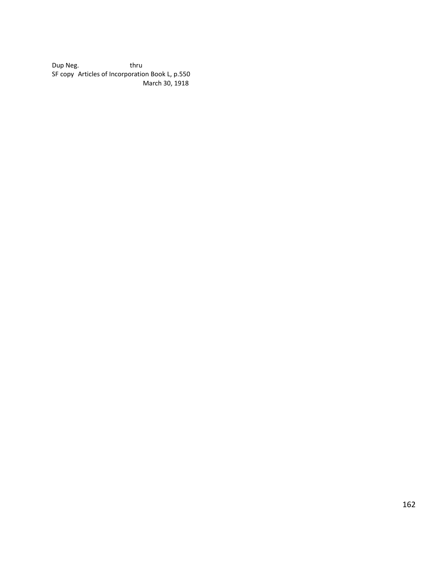Dup Neg. thru SF copy Articles of Incorporation Book L, p.550 March 30, 1918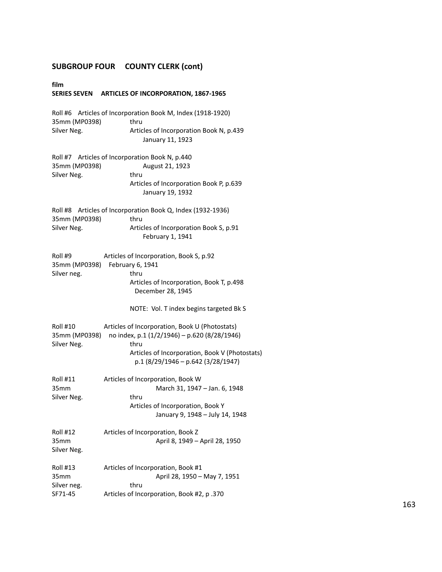**film SERIES SEVEN ARTICLES OF INCORPORATION, 1867-1965** Roll #6 Articles of Incorporation Book M, Index (1918-1920) 35mm (MP0398) thru Silver Neg. **Articles of Incorporation Book N, p.439** January 11, 1923 Roll #7 Articles of Incorporation Book N, p.440 35mm (MP0398) August 21, 1923 Silver Neg. thru Articles of Incorporation Book P, p.639 January 19, 1932 Roll #8 Articles of Incorporation Book Q, Index (1932-1936) 35mm (MP0398) thru Silver Neg. **Articles of Incorporation Book S**, p.91 February 1, 1941 Roll #9 Articles of Incorporation, Book S, p.92 35mm (MP0398) February 6, 1941 Silver neg. thru Articles of Incorporation, Book T, p.498 December 28, 1945 NOTE: Vol. T index begins targeted Bk S Roll #10 Articles of Incorporation, Book U (Photostats) 35mm (MP0398) no index, p.1 (1/2/1946) – p.620 (8/28/1946) Silver Neg. thru Articles of Incorporation, Book V (Photostats) p.1 (8/29/1946 – p.642 (3/28/1947) Roll #11 Articles of Incorporation, Book W 35mm March 31, 1947 – Jan. 6, 1948 Silver Neg. thru Articles of Incorporation, Book Y January 9, 1948 – July 14, 1948 Roll #12 Articles of Incorporation, Book Z 35mm April 8, 1949 – April 28, 1950 Silver Neg. Roll #13 Articles of Incorporation, Book #1 35mm April 28, 1950 – May 7, 1951 Silver neg. thru SF71-45 Articles of Incorporation, Book #2, p .370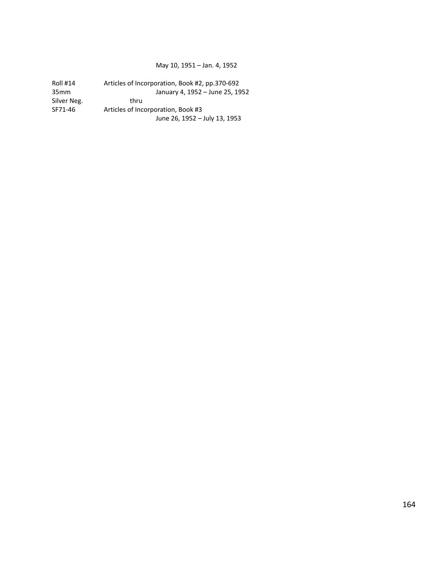### May 10, 1951 – Jan. 4, 1952

| <b>Roll #14</b>  | Articles of Incorporation, Book #2, pp.370-692 |
|------------------|------------------------------------------------|
| 35 <sub>mm</sub> | January 4, 1952 - June 25, 1952                |
| Silver Neg.      | thru                                           |
| SF71-46          | Articles of Incorporation, Book #3             |
|                  | June 26, 1952 - July 13, 1953                  |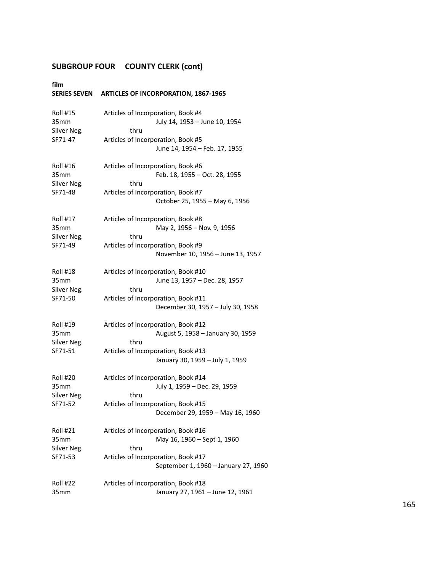# **film**

# **SERIES SEVEN ARTICLES OF INCORPORATION, 1867-1965**

| <b>Roll #15</b>  | Articles of Incorporation, Book #4   |
|------------------|--------------------------------------|
| 35mm             | July 14, 1953 - June 10, 1954        |
| Silver Neg.      | thru                                 |
| SF71-47          | Articles of Incorporation, Book #5   |
|                  | June 14, 1954 - Feb. 17, 1955        |
| Roll #16         | Articles of Incorporation, Book #6   |
| 35 <sub>mm</sub> | Feb. 18, 1955 - Oct. 28, 1955        |
| Silver Neg.      | thru                                 |
| SF71-48          | Articles of Incorporation, Book #7   |
|                  | October 25, 1955 - May 6, 1956       |
| <b>Roll #17</b>  | Articles of Incorporation, Book #8   |
| 35 <sub>mm</sub> | May 2, 1956 - Nov. 9, 1956           |
| Silver Neg.      | thru                                 |
| SF71-49          | Articles of Incorporation, Book #9   |
|                  | November 10, 1956 - June 13, 1957    |
| <b>Roll #18</b>  | Articles of Incorporation, Book #10  |
| 35 <sub>mm</sub> | June 13, 1957 - Dec. 28, 1957        |
| Silver Neg.      | thru                                 |
| SF71-50          | Articles of Incorporation, Book #11  |
|                  | December 30, 1957 - July 30, 1958    |
| <b>Roll #19</b>  | Articles of Incorporation, Book #12  |
| 35mm             | August 5, 1958 - January 30, 1959    |
| Silver Neg.      | thru                                 |
| SF71-51          | Articles of Incorporation, Book #13  |
|                  | January 30, 1959 - July 1, 1959      |
| Roll #20         | Articles of Incorporation, Book #14  |
| 35mm             | July 1, 1959 - Dec. 29, 1959         |
| Silver Neg.      | thru                                 |
| SF71-52          | Articles of Incorporation, Book #15  |
|                  | December 29, 1959 - May 16, 1960     |
| Roll #21         | Articles of Incorporation, Book #16  |
| 35mm             | May 16, 1960 - Sept 1, 1960          |
| Silver Neg.      | thru                                 |
| SF71-53          | Articles of Incorporation, Book #17  |
|                  | September 1, 1960 - January 27, 1960 |
| <b>Roll #22</b>  | Articles of Incorporation, Book #18  |
| 35mm             | January 27, 1961 - June 12, 1961     |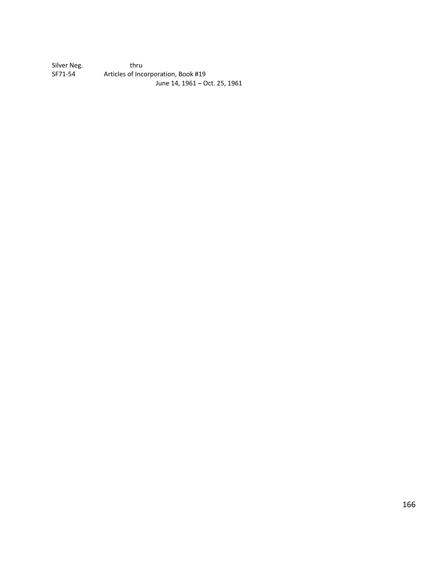Silver Neg. thru<br>SF71-54 Articles of Inco Articles of Incorporation, Book #19 June 14, 1961 – Oct. 25, 1961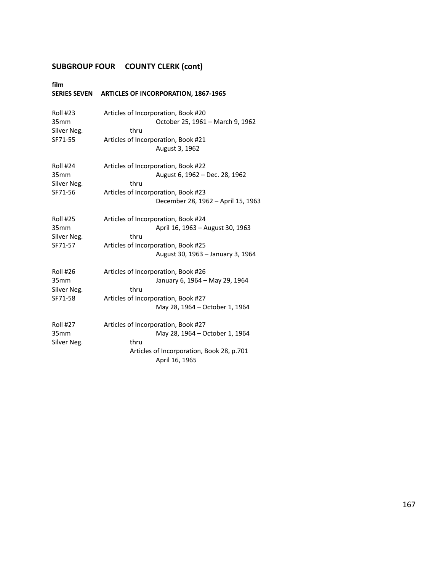# **film**

# **SERIES SEVEN ARTICLES OF INCORPORATION, 1867-1965**

| <b>Roll #23</b><br>35 <sub>mm</sub><br>Silver Neg.<br>SF71-55 | Articles of Incorporation, Book #20<br>October 25, 1961 - March 9, 1962<br>thru<br>Articles of Incorporation, Book #21<br>August 3, 1962                    |
|---------------------------------------------------------------|-------------------------------------------------------------------------------------------------------------------------------------------------------------|
| <b>Roll #24</b><br>35 <sub>mm</sub><br>Silver Neg.<br>SF71-56 | Articles of Incorporation, Book #22<br>August 6, 1962 - Dec. 28, 1962<br>thru<br>Articles of Incorporation, Book #23<br>December 28, 1962 - April 15, 1963  |
| <b>Roll #25</b><br>35 <sub>mm</sub><br>Silver Neg.<br>SF71-57 | Articles of Incorporation, Book #24<br>April 16, 1963 - August 30, 1963<br>thru<br>Articles of Incorporation, Book #25<br>August 30, 1963 - January 3, 1964 |
| <b>Roll #26</b><br>35mm<br>Silver Neg.<br>SF71-58             | Articles of Incorporation, Book #26<br>January 6, 1964 - May 29, 1964<br>thru<br>Articles of Incorporation, Book #27<br>May 28, 1964 – October 1, 1964      |
| <b>Roll #27</b><br>35mm<br>Silver Neg.                        | Articles of Incorporation, Book #27<br>May 28, 1964 – October 1, 1964<br>thru<br>Articles of Incorporation, Book 28, p.701<br>April 16, 1965                |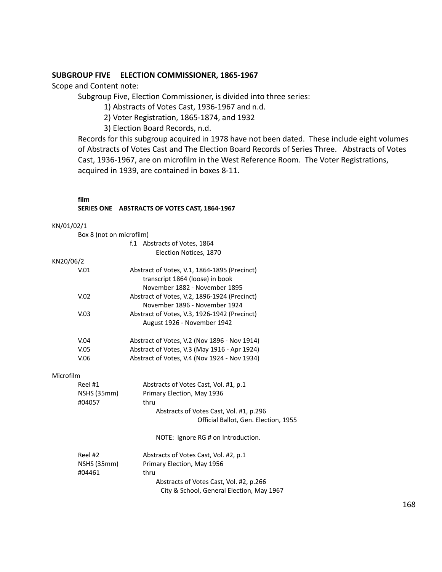# **SUBGROUP FIVE ELECTION COMMISSIONER, 1865-1967**

Scope and Content note:

Subgroup Five, Election Commissioner, is divided into three series:

1) Abstracts of Votes Cast, 1936-1967 and n.d.

2) Voter Registration, 1865-1874, and 1932

3) Election Board Records, n.d.

Records for this subgroup acquired in 1978 have not been dated. These include eight volumes of Abstracts of Votes Cast and The Election Board Records of Series Three. Abstracts of Votes Cast, 1936-1967, are on microfilm in the West Reference Room. The Voter Registrations, acquired in 1939, are contained in boxes 8-11.

#### **film**

### **SERIES ONE ABSTRACTS OF VOTES CAST, 1864-1967**

#### KN/01/02/1

|           | Box 8 (not on microfilm)                             |                                              |  |
|-----------|------------------------------------------------------|----------------------------------------------|--|
|           |                                                      | f.1 Abstracts of Votes, 1864                 |  |
|           |                                                      | Election Notices, 1870                       |  |
| KN20/06/2 |                                                      |                                              |  |
|           | V.01<br>Abstract of Votes, V.1, 1864-1895 (Precinct) |                                              |  |
|           |                                                      | transcript 1864 (loose) in book              |  |
|           |                                                      | November 1882 - November 1895                |  |
|           | V.02                                                 | Abstract of Votes, V.2, 1896-1924 (Precinct) |  |
|           |                                                      | November 1896 - November 1924                |  |
|           | V.03                                                 | Abstract of Votes, V.3, 1926-1942 (Precinct) |  |
|           |                                                      | August 1926 - November 1942                  |  |
|           | V.04                                                 | Abstract of Votes, V.2 (Nov 1896 - Nov 1914) |  |
|           | V.05                                                 | Abstract of Votes, V.3 (May 1916 - Apr 1924) |  |
|           | V.06                                                 | Abstract of Votes, V.4 (Nov 1924 - Nov 1934) |  |
| Microfilm |                                                      |                                              |  |
|           | Reel #1                                              | Abstracts of Votes Cast, Vol. #1, p.1        |  |
|           | NSHS (35mm)                                          | Primary Election, May 1936                   |  |
|           | #04057                                               | thru                                         |  |
|           |                                                      | Abstracts of Votes Cast, Vol. #1, p.296      |  |
|           |                                                      | Official Ballot, Gen. Election, 1955         |  |
|           |                                                      | NOTE: Ignore RG # on Introduction.           |  |
|           | Reel #2                                              | Abstracts of Votes Cast, Vol. #2, p.1        |  |
|           | NSHS (35mm)                                          | Primary Election, May 1956                   |  |
|           | #04461                                               | thru                                         |  |
|           |                                                      | Abstracts of Votes Cast, Vol. #2, p.266      |  |
|           |                                                      | City & School, General Election, May 1967    |  |
|           |                                                      |                                              |  |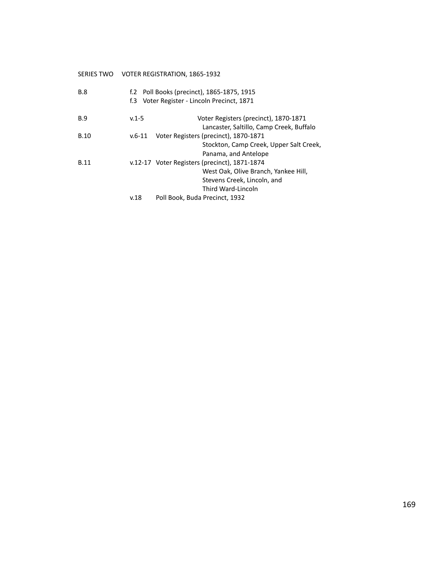# SERIES TWO VOTER REGISTRATION, 1865-1932

| <b>B.8</b>  |           | f.2 Poll Books (precinct), 1865-1875, 1915<br>f.3 Voter Register - Lincoln Precinct, 1871 |
|-------------|-----------|-------------------------------------------------------------------------------------------|
| <b>B.9</b>  | $v.1 - 5$ | Voter Registers (precinct), 1870-1871                                                     |
|             |           | Lancaster, Saltillo, Camp Creek, Buffalo                                                  |
| <b>B.10</b> | $v.6-11$  | Voter Registers (precinct), 1870-1871                                                     |
|             |           | Stockton, Camp Creek, Upper Salt Creek,                                                   |
|             |           | Panama, and Antelope                                                                      |
| <b>B.11</b> |           | v.12-17 Voter Registers (precinct), 1871-1874                                             |
|             |           | West Oak, Olive Branch, Yankee Hill,                                                      |
|             |           | Stevens Creek, Lincoln, and                                                               |
|             |           | Third Ward-Lincoln                                                                        |
|             | v.18      | Poll Book, Buda Precinct, 1932                                                            |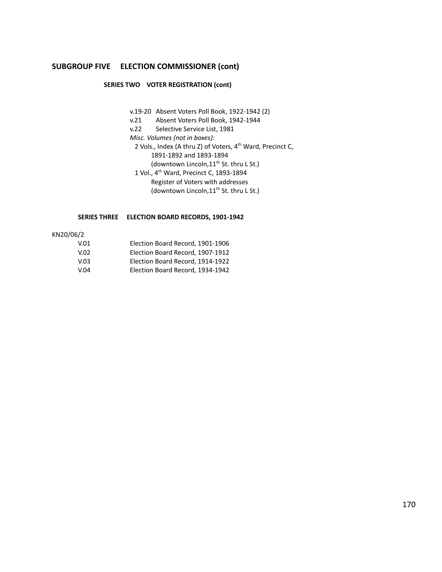### **SUBGROUP FIVE ELECTION COMMISSIONER (cont)**

### **SERIES TWO VOTER REGISTRATION (cont)**

- v.19-20 Absent Voters Poll Book, 1922-1942 (2)
- v.21 Absent Voters Poll Book, 1942-1944
- v.22 Selective Service List, 1981
- *Misc. Volumes (not in boxes):*
- 2 Vols., Index (A thru Z) of Voters, 4<sup>th</sup> Ward, Precinct C, 1891-1892 and 1893-1894 (downtown Lincoln,11<sup>th</sup> St. thru L St.)
	-
- 1 Vol., 4<sup>th</sup> Ward, Precinct C, 1893-1894 Register of Voters with addresses
	- (downtown Lincoln,11<sup>th</sup> St. thru L St.)

#### **SERIES THREE ELECTION BOARD RECORDS, 1901-1942**

### KN20/06/2

- V.01 Election Board Record, 1901-1906 V.02 Election Board Record, 1907-1912 V.03 Election Board Record, 1914-1922
- V.04 Election Board Record, 1934-1942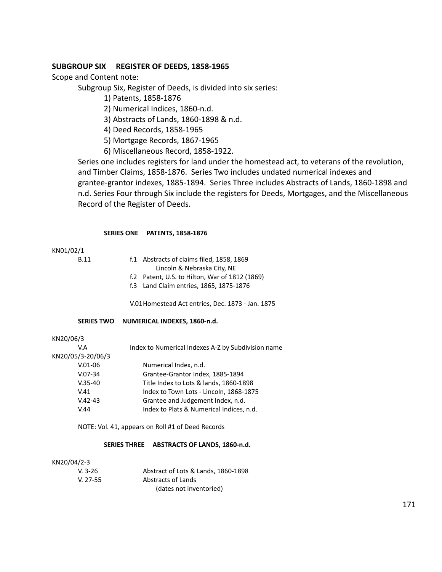# **SUBGROUP SIX REGISTER OF DEEDS, 1858-1965**

Scope and Content note:

Subgroup Six, Register of Deeds, is divided into six series:

- 1) Patents, 1858-1876
- 2) Numerical Indices, 1860-n.d.
- 3) Abstracts of Lands, 1860-1898 & n.d.
- 4) Deed Records, 1858-1965
- 5) Mortgage Records, 1867-1965
- 6) Miscellaneous Record, 1858-1922.

Series one includes registers for land under the homestead act, to veterans of the revolution, and Timber Claims, 1858-1876. Series Two includes undated numerical indexes and grantee-grantor indexes, 1885-1894. Series Three includes Abstracts of Lands, 1860-1898 and n.d. Series Four through Six include the registers for Deeds, Mortgages, and the Miscellaneous Record of the Register of Deeds.

#### **SERIES ONE PATENTS, 1858-1876**

### KN01/02/1

- B.11 f.1 Abstracts of claims filed, 1858, 1869
	- Lincoln & Nebraska City, NE
	- f.2 Patent, U.S. to Hilton, War of 1812 (1869)
	- f.3 Land Claim entries, 1865, 1875-1876

V.01Homestead Act entries, Dec. 1873 - Jan. 1875

### **SERIES TWO NUMERICAL INDEXES, 1860-n.d.**

KN20/06/3

| V.A               | Index to Numerical Indexes A-Z by Subdivision name |
|-------------------|----------------------------------------------------|
| KN20/05/3-20/06/3 |                                                    |
| $V.01-06$         | Numerical Index, n.d.                              |
| $V.07-34$         | Grantee-Grantor Index, 1885-1894                   |
| $V.35-40$         | Title Index to Lots & lands, 1860-1898             |
| V.41              | Index to Town Lots - Lincoln, 1868-1875            |
| $V.42 - 43$       | Grantee and Judgement Index, n.d.                  |
| V.44              | Index to Plats & Numerical Indices, n.d.           |

NOTE: Vol. 41, appears on Roll #1 of Deed Records

### **SERIES THREE ABSTRACTS OF LANDS, 1860-n.d.**

#### KN20/04/2-3

| $V. 3-26$  | Abstract of Lots & Lands, 1860-1898 |
|------------|-------------------------------------|
| $V. 27-55$ | Abstracts of Lands                  |
|            | (dates not inventoried)             |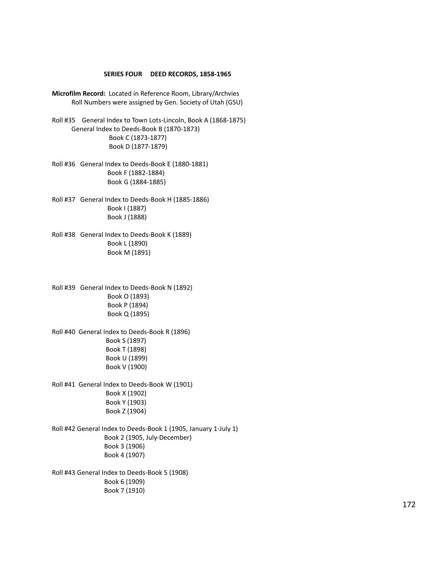#### **SERIES FOUR DEED RECORDS, 1858-1965**

- **Microfilm Record:** Located in Reference Room, Library/Archvies Roll Numbers were assigned by Gen. Society of Utah (GSU)
- Roll #35 General Index to Town Lots-Lincoln, Book A (1868-1875) General Index to Deeds-Book B (1870-1873) Book C (1873-1877) Book D (1877-1879)
- Roll #36 General Index to Deeds-Book E (1880-1881) Book F (1882-1884) Book G (1884-1885)
- Roll #37 General Index to Deeds-Book H (1885-1886) Book I (1887) Book J (1888)
- Roll #38 General Index to Deeds-Book K (1889) Book L (1890) Book M (1891)

Roll #39 General Index to Deeds-Book N (1892) Book O (1893) Book P (1894) Book Q (1895)

Roll #40 General Index to Deeds-Book R (1896) Book S (1897) Book T (1898) Book U (1899) Book V (1900)

Roll #41 General Index to Deeds-Book W (1901) Book X (1902) Book Y (1903) Book Z (1904)

Roll #42 General Index to Deeds-Book 1 (1905, January 1-July 1) Book 2 (1905, July-December) Book 3 (1906) Book 4 (1907)

Roll #43 General Index to Deeds-Book 5 (1908) Book 6 (1909) Book 7 (1910)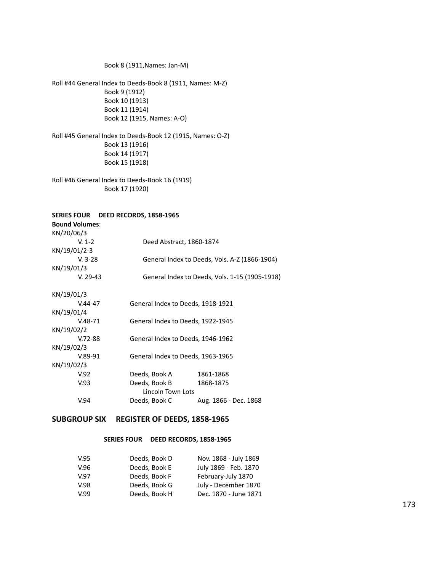Book 8 (1911,Names: Jan-M)

Roll #44 General Index to Deeds-Book 8 (1911, Names: M-Z) Book 9 (1912) Book 10 (1913) Book 11 (1914) Book 12 (1915, Names: A-O)

Roll #45 General Index to Deeds-Book 12 (1915, Names: O-Z) Book 13 (1916) Book 14 (1917) Book 15 (1918)

Roll #46 General Index to Deeds-Book 16 (1919) Book 17 (1920)

### **SERIES FOUR DEED RECORDS, 1858-1965**

| <b>Bound Volumes:</b> |                                   |                                                |
|-----------------------|-----------------------------------|------------------------------------------------|
| KN/20/06/3            |                                   |                                                |
| $V. 1-2$              | Deed Abstract, 1860-1874          |                                                |
| KN/19/01/2-3          |                                   |                                                |
| $V. 3-28$             |                                   | General Index to Deeds, Vols. A-Z (1866-1904)  |
| KN/19/01/3            |                                   |                                                |
| $V. 29-43$            |                                   | General Index to Deeds, Vols. 1-15 (1905-1918) |
| KN/19/01/3            |                                   |                                                |
| $V.44 - 47$           | General Index to Deeds, 1918-1921 |                                                |
| KN/19/01/4            |                                   |                                                |
| V.48-71               | General Index to Deeds, 1922-1945 |                                                |
| KN/19/02/2            |                                   |                                                |
| $V.72-88$             | General Index to Deeds, 1946-1962 |                                                |
| KN/19/02/3            |                                   |                                                |
| $V.89-91$             | General Index to Deeds, 1963-1965 |                                                |
| KN/19/02/3            |                                   |                                                |
| V.92                  | Deeds, Book A                     | 1861-1868                                      |
| V.93                  | Deeds, Book B                     | 1868-1875                                      |
|                       | Lincoln Town Lots                 |                                                |
| V.94                  | Deeds, Book C                     | Aug. 1866 - Dec. 1868                          |
|                       |                                   |                                                |

## **SUBGROUP SIX REGISTER OF DEEDS, 1858-1965**

#### **SERIES FOUR DEED RECORDS, 1858-1965**

| V.95 | Deeds, Book D | Nov. 1868 - July 1869 |
|------|---------------|-----------------------|
| V.96 | Deeds, Book E | July 1869 - Feb. 1870 |
| V.97 | Deeds, Book F | February-July 1870    |
| V.98 | Deeds, Book G | July - December 1870  |
| V.99 | Deeds, Book H | Dec. 1870 - June 1871 |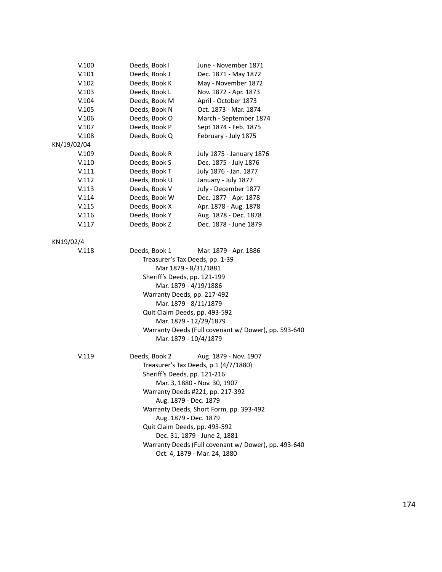| V.100       | Deeds, Book I                | June - November 1871                                 |
|-------------|------------------------------|------------------------------------------------------|
| V.101       | Deeds, Book J                | Dec. 1871 - May 1872                                 |
| V.102       | Deeds, Book K                | May - November 1872                                  |
| V.103       | Deeds, Book L                | Nov. 1872 - Apr. 1873                                |
| V.104       | Deeds, Book M                | April - October 1873                                 |
| V.105       | Deeds, Book N                | Oct. 1873 - Mar. 1874                                |
| V.106       | Deeds, Book O                | March - September 1874                               |
| V.107       | Deeds, Book P                | Sept 1874 - Feb. 1875                                |
| V.108       | Deeds, Book Q                | February - July 1875                                 |
| KN/19/02/04 |                              |                                                      |
| V.109       | Deeds, Book R                | July 1875 - January 1876                             |
| V.110       | Deeds, Book S                | Dec. 1875 - July 1876                                |
| V.111       | Deeds, Book T                | July 1876 - Jan. 1877                                |
| V.112       | Deeds, Book U                | January - July 1877                                  |
| V.113       | Deeds, Book V                | July - December 1877                                 |
| V.114       | Deeds, Book W                | Dec. 1877 - Apr. 1878                                |
| V.115       | Deeds, Book X                | Apr. 1878 - Aug. 1878                                |
| V.116       | Deeds, Book Y                | Aug. 1878 - Dec. 1878                                |
| V.117       | Deeds, Book Z                | Dec. 1878 - June 1879                                |
|             |                              |                                                      |
| KN19/02/4   |                              |                                                      |
| V.118       | Deeds, Book 1                | Mar. 1879 - Apr. 1886                                |
|             |                              | Treasurer's Tax Deeds, pp. 1-39                      |
|             |                              | Mar 1879 - 8/31/1881                                 |
|             | Sheriff's Deeds, pp. 121-199 |                                                      |
|             |                              | Mar. 1879 - 4/19/1886                                |
|             |                              | Warranty Deeds, pp. 217-492                          |
|             |                              | Mar. 1879 - 8/11/1879                                |
|             |                              | Quit Claim Deeds, pp. 493-592                        |
|             |                              | Mar. 1879 - 12/29/1879                               |
|             |                              | Warranty Deeds (Full covenant w/ Dower), pp. 593-640 |
|             |                              | Mar. 1879 - 10/4/1879                                |
|             |                              |                                                      |
| V.119       | Deeds, Book 2                | Aug. 1879 - Nov. 1907                                |
|             |                              | Treasurer's Tax Deeds, p.1 (4/7/1880)                |
|             | Sheriff's Deeds, pp. 121-216 |                                                      |
|             |                              | Mar. 3, 1880 - Nov. 30, 1907                         |
|             |                              | Warranty Deeds #221, pp. 217-392                     |
|             |                              | Aug. 1879 - Dec. 1879                                |
|             |                              | Warranty Deeds, Short Form, pp. 393-492              |
|             |                              | Aug. 1879 - Dec. 1879                                |
|             |                              | Quit Claim Deeds, pp. 493-592                        |
|             |                              | Dec. 31, 1879 - June 2, 1881                         |
|             |                              |                                                      |
|             |                              | Warranty Deeds (Full covenant w/ Dower), pp. 493-640 |
|             |                              | Oct. 4, 1879 - Mar. 24, 1880                         |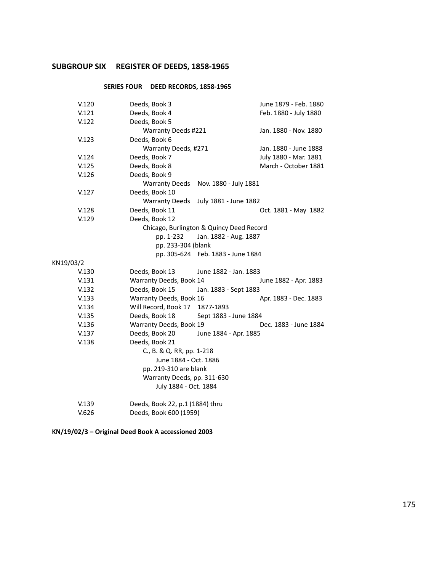# **SUBGROUP SIX REGISTER OF DEEDS, 1858-1965**

# **SERIES FOUR DEED RECORDS, 1858-1965**

| Deeds, Book 4<br>Feb. 1880 - July 1880                    |  |
|-----------------------------------------------------------|--|
|                                                           |  |
| Warranty Deeds #221<br>Jan. 1880 - Nov. 1880              |  |
|                                                           |  |
| Warranty Deeds, #271<br>Jan. 1880 - June 1888             |  |
| July 1880 - Mar. 1881                                     |  |
| March - October 1881                                      |  |
|                                                           |  |
| <b>Warranty Deeds</b><br>Nov. 1880 - July 1881            |  |
|                                                           |  |
| <b>Warranty Deeds</b><br>July 1881 - June 1882            |  |
| Oct. 1881 - May 1882                                      |  |
|                                                           |  |
| Chicago, Burlington & Quincy Deed Record                  |  |
| Jan. 1882 - Aug. 1887                                     |  |
| pp. 233-304 (blank                                        |  |
| pp. 305-624 Feb. 1883 - June 1884                         |  |
|                                                           |  |
| June 1882 - Jan. 1883                                     |  |
| Warranty Deeds, Book 14<br>June 1882 - Apr. 1883          |  |
| Jan. 1883 - Sept 1883                                     |  |
| Warranty Deeds, Book 16<br>Apr. 1883 - Dec. 1883          |  |
| Will Record, Book 17<br>1877-1893                         |  |
| Sept 1883 - June 1884                                     |  |
| Warranty Deeds, Book 19<br>Dec. 1883 - June 1884          |  |
| June 1884 - Apr. 1885                                     |  |
|                                                           |  |
| C., B. & Q. RR, pp. 1-218                                 |  |
| June 1884 - Oct. 1886                                     |  |
| pp. 219-310 are blank                                     |  |
| Warranty Deeds, pp. 311-630                               |  |
|                                                           |  |
| July 1884 - Oct. 1884                                     |  |
| Deeds, Book 22, p.1 (1884) thru<br>Deeds, Book 600 (1959) |  |
|                                                           |  |

**KN/19/02/3 – Original Deed Book A accessioned 2003**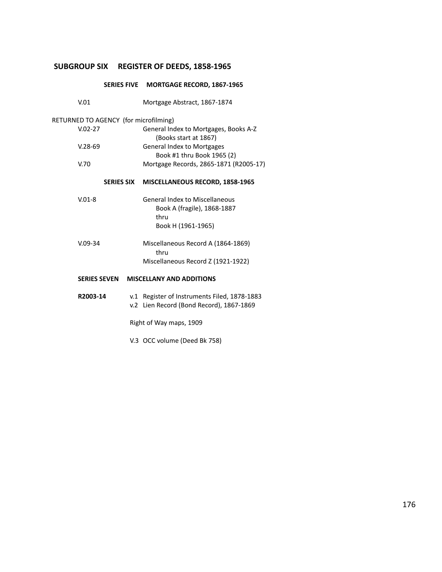# **SUBGROUP SIX REGISTER OF DEEDS, 1858-1965**

|                                       |                   | SERIES FIVE MORTGAGE RECORD, 1867-1965                                                             |
|---------------------------------------|-------------------|----------------------------------------------------------------------------------------------------|
| V.01                                  |                   | Mortgage Abstract, 1867-1874                                                                       |
| RETURNED TO AGENCY (for microfilming) |                   |                                                                                                    |
| $V.02 - 27$                           |                   | General Index to Mortgages, Books A-Z<br>(Books start at 1867)                                     |
| $V.28-69$                             |                   | <b>General Index to Mortgages</b><br>Book #1 thru Book 1965 (2)                                    |
| V.70                                  |                   | Mortgage Records, 2865-1871 (R2005-17)                                                             |
|                                       | <b>SERIES SIX</b> | MISCELLANEOUS RECORD, 1858-1965                                                                    |
| $V.01-8$                              |                   | <b>General Index to Miscellaneous</b><br>Book A (fragile), 1868-1887<br>thru<br>Book H (1961-1965) |
| $V.09-34$                             |                   | Miscellaneous Record A (1864-1869)<br>thru                                                         |
|                                       |                   | Miscellaneous Record Z (1921-1922)                                                                 |
| <b>SERIES SEVEN</b>                   |                   | <b>MISCELLANY AND ADDITIONS</b>                                                                    |
| R2003-14                              |                   | v.1 Register of Instruments Filed, 1878-1883<br>v.2 Lien Record (Bond Record), 1867-1869           |
|                                       |                   | Right of Way maps, 1909                                                                            |

V.3 OCC volume (Deed Bk 758)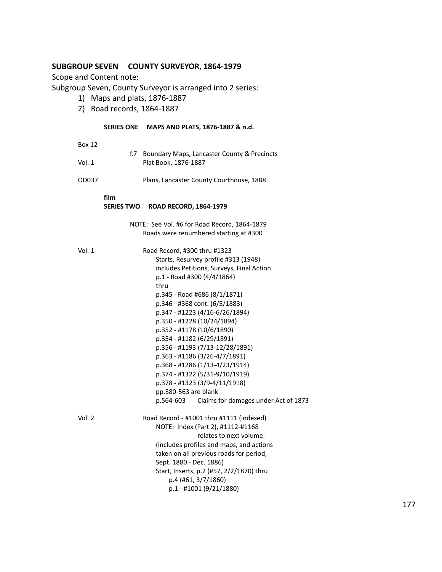# **SUBGROUP SEVEN COUNTY SURVEYOR, 1864-1979**

Scope and Content note:

Subgroup Seven, County Surveyor is arranged into 2 series:

- 1) Maps and plats, 1876-1887
- 2) Road records, 1864-1887

### **SERIES ONE MAPS AND PLATS, 1876-1887 & n.d.**

Box 12

|        | f.7 Boundary Maps, Lancaster County & Precincts |
|--------|-------------------------------------------------|
| Vol. 1 | Plat Book, 1876-1887                            |

OD037 Plans, Lancaster County Courthouse, 1888

**film**

# **SERIES TWO ROAD RECORD, 1864-1979**

| NOTE: See Vol. #6 for Road Record, 1864-1879 |  |  |  |
|----------------------------------------------|--|--|--|
| Roads were renumbered starting at #300       |  |  |  |

| Vol. 1 | Road Record, #300 thru #1323                   |  |  |  |  |
|--------|------------------------------------------------|--|--|--|--|
|        | Starts, Resurvey profile #313 (1948)           |  |  |  |  |
|        | includes Petitions, Surveys, Final Action      |  |  |  |  |
|        | p.1 - Road #300 (4/4/1864)                     |  |  |  |  |
|        | thru                                           |  |  |  |  |
|        | p.345 - Road #686 (8/1/1871)                   |  |  |  |  |
|        | p.346 - #368 cont. (6/5/1883)                  |  |  |  |  |
|        | p.347 - #1223 (4/16-6/26/1894)                 |  |  |  |  |
|        | p.350 - #1228 (10/24/1894)                     |  |  |  |  |
|        | p.352 - #1178 (10/6/1890)                      |  |  |  |  |
|        | p.354 - #1182 (6/29/1891)                      |  |  |  |  |
|        | p.356 - #1193 (7/13-12/28/1891)                |  |  |  |  |
|        | p.363 - #1186 (3/26-4/7/1891)                  |  |  |  |  |
|        | p.368 - #1286 (1/13-4/23/1914)                 |  |  |  |  |
|        | p.374 - #1322 (5/31-9/10/1919)                 |  |  |  |  |
|        | p.378 - #1323 (3/9-4/11/1918)                  |  |  |  |  |
|        | pp.380-563 are blank                           |  |  |  |  |
|        | p.564-603 Claims for damages under Act of 1873 |  |  |  |  |
| Vol. 2 | Road Record - #1001 thru #1111 (indexed)       |  |  |  |  |
|        | NOTE: Index (Part 2), #1112-#1168              |  |  |  |  |
|        | relates to next volume.                        |  |  |  |  |
|        | (includes profiles and maps, and actions       |  |  |  |  |
|        | taken on all previous roads for period,        |  |  |  |  |
|        | Sept. 1880 - Dec. 1886)                        |  |  |  |  |
|        | Start, Inserts, p.2 (#57, 2/2/1870) thru       |  |  |  |  |
|        | p.4 (#61, 3/7/1860)                            |  |  |  |  |
|        | p.1 - #1001 (9/21/1880)                        |  |  |  |  |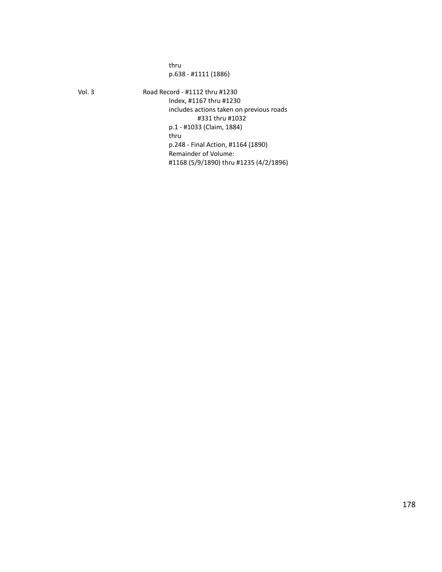thru p.638 - #1111 (1886)

Vol. 3 Road Record - #1112 thru #1230 Index, #1167 thru #1230 includes actions taken on previous roads #331 thru #1032 p.1 - #1033 (Claim, 1884) thru p.248 - Final Action, #1164 (1890) Remainder of Volume: #1168 (5/9/1890) thru #1235 (4/2/1896)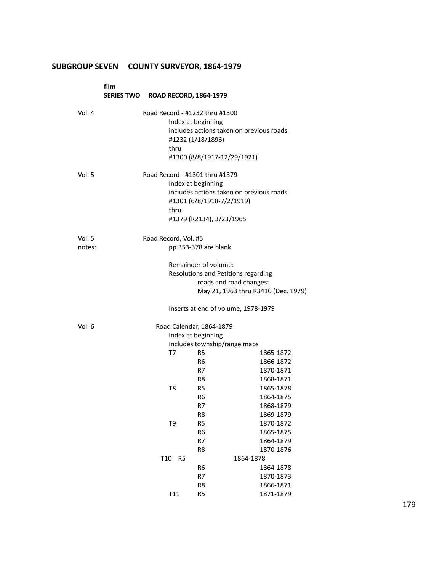# **SUBGROUP SEVEN COUNTY SURVEYOR, 1864-1979**

|                  | film<br>SERIES TWO ROAD RECORD, 1864-1979 |                      |                |                                                                                                               |                                                  |
|------------------|-------------------------------------------|----------------------|----------------|---------------------------------------------------------------------------------------------------------------|--------------------------------------------------|
| Vol. 4           |                                           |                      | thru           | Road Record - #1232 thru #1300<br>Index at beginning<br>#1232 (1/18/1896)<br>#1300 (8/8/1917-12/29/1921)      | includes actions taken on previous roads         |
| Vol. 5           |                                           |                      | thru           | Road Record - #1301 thru #1379<br>Index at beginning<br>#1301 (6/8/1918-7/2/1919)<br>#1379 (R2134), 3/23/1965 | includes actions taken on previous roads         |
| Vol. 5<br>notes: |                                           | Road Record, Vol. #5 |                | pp.353-378 are blank                                                                                          |                                                  |
|                  |                                           |                      |                | Remainder of volume:<br>Resolutions and Petitions regarding<br>roads and road changes:                        | May 21, 1963 thru R3410 (Dec. 1979)              |
|                  |                                           |                      |                | Inserts at end of volume, 1978-1979                                                                           |                                                  |
| Vol. 6           |                                           |                      |                | Road Calendar, 1864-1879<br>Index at beginning<br>Includes township/range maps                                |                                                  |
|                  |                                           |                      | T7             | R5<br>R6<br>R7<br>R8                                                                                          | 1865-1872<br>1866-1872<br>1870-1871<br>1868-1871 |
|                  |                                           |                      | T8             | R5<br>R <sub>6</sub><br>R7<br>R8                                                                              | 1865-1878<br>1864-1875<br>1868-1879<br>1869-1879 |
|                  |                                           |                      | T9             | R <sub>5</sub><br>R <sub>6</sub><br>R7<br>R8                                                                  | 1870-1872<br>1865-1875<br>1864-1879              |
|                  |                                           | T <sub>10</sub>      | R <sub>5</sub> |                                                                                                               | 1870-1876<br>1864-1878                           |
|                  |                                           |                      |                | R6                                                                                                            | 1864-1878                                        |
|                  |                                           |                      |                | R7                                                                                                            | 1870-1873                                        |
|                  |                                           |                      |                | R8                                                                                                            | 1866-1871                                        |
|                  |                                           |                      | T11            | R <sub>5</sub>                                                                                                | 1871-1879                                        |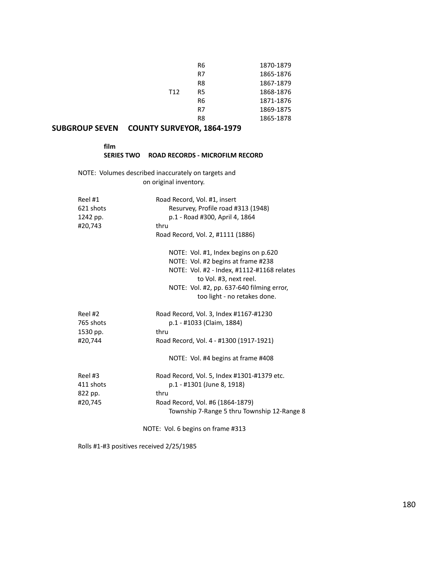|                 | R6 | 1870-1879 |
|-----------------|----|-----------|
|                 | R7 | 1865-1876 |
|                 | R8 | 1867-1879 |
| T <sub>12</sub> | R5 | 1868-1876 |
|                 | R6 | 1871-1876 |
|                 | R7 | 1869-1875 |
|                 | R8 | 1865-1878 |

# **SUBGROUP SEVEN COUNTY SURVEYOR, 1864-1979**

| film              |                                 |
|-------------------|---------------------------------|
| <b>SERIES TWO</b> | ROAD RECORDS - MICROFILM RECORD |

NOTE: Volumes described inaccurately on targets and on original inventory.

| Reel #1<br>621 shots<br>1242 pp. | Road Record, Vol. #1, insert<br>Resurvey, Profile road #313 (1948)<br>p.1 - Road #300, April 4, 1864 |
|----------------------------------|------------------------------------------------------------------------------------------------------|
| #20,743                          | thru                                                                                                 |
|                                  | Road Record, Vol. 2, #1111 (1886)                                                                    |
|                                  | NOTE: Vol. #1, Index begins on p.620                                                                 |
|                                  | NOTE: Vol. #2 begins at frame #238                                                                   |
|                                  | NOTE: Vol. #2 - Index, #1112-#1168 relates<br>to Vol. #3, next reel.                                 |
|                                  | NOTE: Vol. #2, pp. 637-640 filming error,<br>too light - no retakes done.                            |
| Reel #2                          | Road Record, Vol. 3, Index #1167-#1230                                                               |
| 765 shots                        | p.1 - #1033 (Claim, 1884)                                                                            |
| 1530 pp.                         | thru                                                                                                 |
| #20,744                          | Road Record, Vol. 4 - #1300 (1917-1921)                                                              |
|                                  | NOTE: Vol. #4 begins at frame #408                                                                   |
| Reel #3                          | Road Record, Vol. 5, Index #1301-#1379 etc.                                                          |
| 411 shots                        | p.1 - #1301 (June 8, 1918)                                                                           |
| 822 pp.                          | thru                                                                                                 |
| #20,745                          | Road Record, Vol. #6 (1864-1879)<br>Township 7-Range 5 thru Township 12-Range 8                      |

NOTE: Vol. 6 begins on frame #313

Rolls #1-#3 positives received 2/25/1985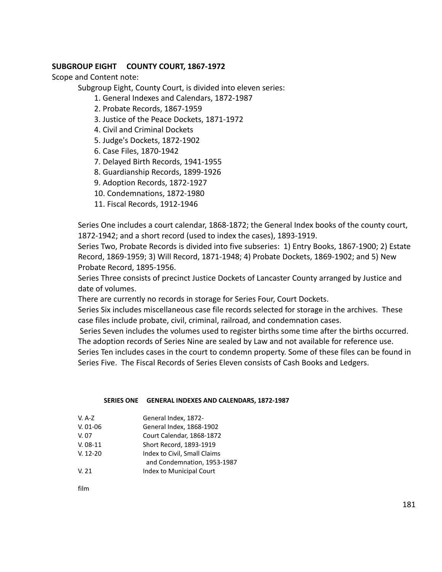# **SUBGROUP EIGHT COUNTY COURT, 1867-1972**

Scope and Content note:

Subgroup Eight, County Court, is divided into eleven series:

- 1. General Indexes and Calendars, 1872-1987
- 2. Probate Records, 1867-1959
- 3. Justice of the Peace Dockets, 1871-1972
- 4. Civil and Criminal Dockets
- 5. Judge's Dockets, 1872-1902
- 6. Case Files, 1870-1942
- 7. Delayed Birth Records, 1941-1955
- 8. Guardianship Records, 1899-1926
- 9. Adoption Records, 1872-1927
- 10. Condemnations, 1872-1980
- 11. Fiscal Records, 1912-1946

Series One includes a court calendar, 1868-1872; the General Index books of the county court, 1872-1942; and a short record (used to index the cases), 1893-1919.

Series Two, Probate Records is divided into five subseries: 1) Entry Books, 1867-1900; 2) Estate Record, 1869-1959; 3) Will Record, 1871-1948; 4) Probate Dockets, 1869-1902; and 5) New Probate Record, 1895-1956.

Series Three consists of precinct Justice Dockets of Lancaster County arranged by Justice and date of volumes.

There are currently no records in storage for Series Four, Court Dockets.

Series Six includes miscellaneous case file records selected for storage in the archives. These case files include probate, civil, criminal, railroad, and condemnation cases.

Series Seven includes the volumes used to register births some time after the births occurred. The adoption records of Series Nine are sealed by Law and not available for reference use.

Series Ten includes cases in the court to condemn property. Some of these files can be found in Series Five. The Fiscal Records of Series Eleven consists of Cash Books and Ledgers.

#### **SERIES ONE GENERAL INDEXES AND CALENDARS, 1872-1987**

| V. A-Z     | General Index, 1872-         |
|------------|------------------------------|
| $V. 01-06$ | General Index, 1868-1902     |
| V. 07      | Court Calendar, 1868-1872    |
| $V. 08-11$ | Short Record, 1893-1919      |
| $V. 12-20$ | Index to Civil, Small Claims |
|            | and Condomnation, 1052, 1097 |

- and Condemnation, 1953-1987
- V. 21 Index to Municipal Court

film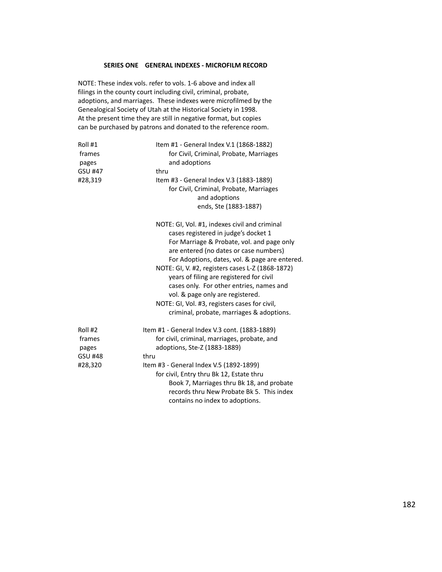#### **SERIES ONE GENERAL INDEXES - MICROFILM RECORD**

NOTE: These index vols. refer to vols. 1-6 above and index all filings in the county court including civil, criminal, probate, adoptions, and marriages. These indexes were microfilmed by the Genealogical Society of Utah at the Historical Society in 1998. At the present time they are still in negative format, but copies can be purchased by patrons and donated to the reference room.

| Roll #1<br>frames<br>pages<br>GSU #47<br>#28,319        | Item #1 - General Index V.1 (1868-1882)<br>for Civil, Criminal, Probate, Marriages<br>and adoptions<br>thru<br>Item #3 - General Index V.3 (1883-1889)<br>for Civil, Criminal, Probate, Marriages<br>and adoptions<br>ends, Ste (1883-1887)                                                                                                                                                                                                                                                                   |
|---------------------------------------------------------|---------------------------------------------------------------------------------------------------------------------------------------------------------------------------------------------------------------------------------------------------------------------------------------------------------------------------------------------------------------------------------------------------------------------------------------------------------------------------------------------------------------|
|                                                         | NOTE: GI, Vol. #1, indexes civil and criminal<br>cases registered in judge's docket 1<br>For Marriage & Probate, vol. and page only<br>are entered (no dates or case numbers)<br>For Adoptions, dates, vol. & page are entered.<br>NOTE: GI, V. #2, registers cases L-Z (1868-1872)<br>years of filing are registered for civil<br>cases only. For other entries, names and<br>vol. & page only are registered.<br>NOTE: GI, Vol. #3, registers cases for civil,<br>criminal, probate, marriages & adoptions. |
| Roll #2<br>frames<br>pages<br><b>GSU #48</b><br>#28,320 | Item #1 - General Index V.3 cont. (1883-1889)<br>for civil, criminal, marriages, probate, and<br>adoptions, Ste-Z (1883-1889)<br>thru<br>Item #3 - General Index V.5 (1892-1899)<br>for civil, Entry thru Bk 12, Estate thru<br>Book 7, Marriages thru Bk 18, and probate<br>records thru New Probate Bk 5. This index<br>contains no index to adoptions.                                                                                                                                                     |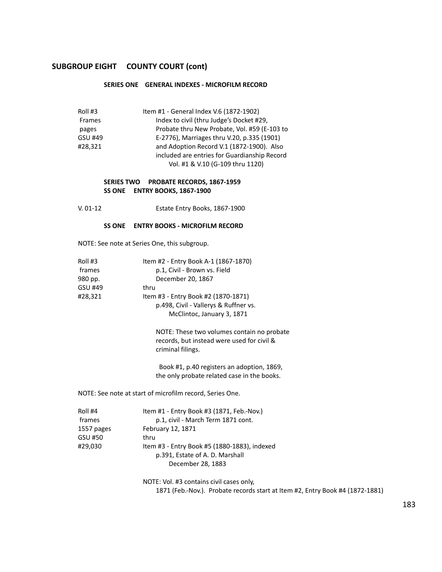#### **SERIES ONE GENERAL INDEXES - MICROFILM RECORD**

| Roll #3 | Item #1 - General Index V.6 (1872-1902)      |
|---------|----------------------------------------------|
| Frames  | Index to civil (thru Judge's Docket #29,     |
| pages   | Probate thru New Probate, Vol. #59 (E-103 to |
| GSU #49 | E-2776), Marriages thru V.20, p.335 (1901)   |
| #28,321 | and Adoption Record V.1 (1872-1900). Also    |
|         | included are entries for Guardianship Record |
|         | Vol. #1 & V.10 (G-109 thru 1120)             |

#### **SERIES TWO PROBATE RECORDS, 1867-1959 SS ONE ENTRY BOOKS, 1867-1900**

V. 01-12 Estate Entry Books, 1867-1900

#### **SS ONE ENTRY BOOKS - MICROFILM RECORD**

NOTE: See note at Series One, this subgroup.

| Roll #3 | Item #2 - Entry Book A-1 (1867-1870)  |
|---------|---------------------------------------|
| frames  | p.1, Civil - Brown vs. Field          |
| 980 pp. | December 20, 1867                     |
| GSU #49 | thru                                  |
| #28.321 | Item #3 - Entry Book #2 (1870-1871)   |
|         | p.498, Civil - Vallerys & Ruffner vs. |
|         | McClintoc, January 3, 1871            |
|         |                                       |

NOTE: These two volumes contain no probate records, but instead were used for civil & criminal filings.

Book #1, p.40 registers an adoption, 1869, the only probate related case in the books.

NOTE: See note at start of microfilm record, Series One.

| Roll #4    | Item #1 - Entry Book #3 (1871, Feb.-Nov.)    |
|------------|----------------------------------------------|
| frames     | p.1, civil - March Term 1871 cont.           |
| 1557 pages | February 12, 1871                            |
| GSU #50    | thru                                         |
| #29.030    | Item #3 - Entry Book #5 (1880-1883), indexed |
|            | p.391, Estate of A. D. Marshall              |
|            | December 28, 1883                            |
|            |                                              |

NOTE: Vol. #3 contains civil cases only, 1871 (Feb.-Nov.). Probate records start at Item #2, Entry Book #4 (1872-1881)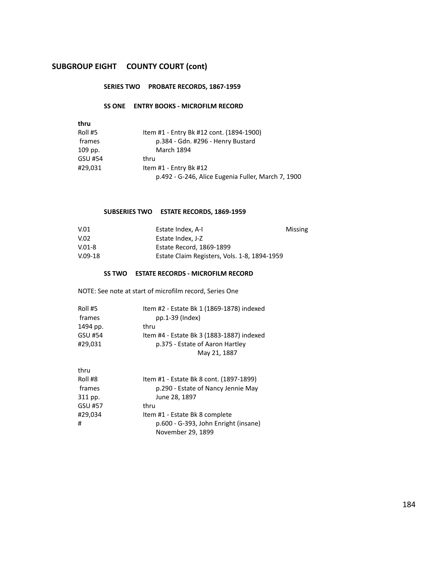#### **SERIES TWO PROBATE RECORDS, 1867-1959**

#### **SS ONE ENTRY BOOKS - MICROFILM RECORD**

| thru    |                                                    |
|---------|----------------------------------------------------|
| Roll #5 | Item #1 - Entry Bk #12 cont. (1894-1900)           |
| frames  | p.384 - Gdn. #296 - Henry Bustard                  |
| 109 pp. | <b>March 1894</b>                                  |
| GSU #54 | thru                                               |
| #29,031 | Item #1 - Entry Bk #12                             |
|         | p.492 - G-246, Alice Eugenia Fuller, March 7, 1900 |

# **SUBSERIES TWO ESTATE RECORDS, 1869-1959**

| V.01       | Estate Index, A-I                            | Missing |
|------------|----------------------------------------------|---------|
| V.02       | Estate Index. J-Z                            |         |
| $V.01 - 8$ | Estate Record, 1869-1899                     |         |
| $V.09-18$  | Estate Claim Registers, Vols. 1-8, 1894-1959 |         |

#### **SS TWO ESTATE RECORDS - MICROFILM RECORD**

NOTE: See note at start of microfilm record, Series One

| Roll #5        | Item #2 - Estate Bk 1 (1869-1878) indexed |
|----------------|-------------------------------------------|
| frames         | pp.1-39 (Index)                           |
| 1494 pp.       | thru                                      |
| <b>GSU #54</b> | Item #4 - Estate Bk 3 (1883-1887) indexed |
| #29.031        | p.375 - Estate of Aaron Hartley           |
|                | May 21, 1887                              |

| thru    |                                         |
|---------|-----------------------------------------|
| Roll #8 | Item #1 - Estate Bk 8 cont. (1897-1899) |
| frames  | p.290 - Estate of Nancy Jennie May      |
| 311 pp. | June 28, 1897                           |
| GSU #57 | thru                                    |
| #29,034 | Item #1 - Estate Bk 8 complete          |
| #       | p.600 - G-393, John Enright (insane)    |
|         | November 29, 1899                       |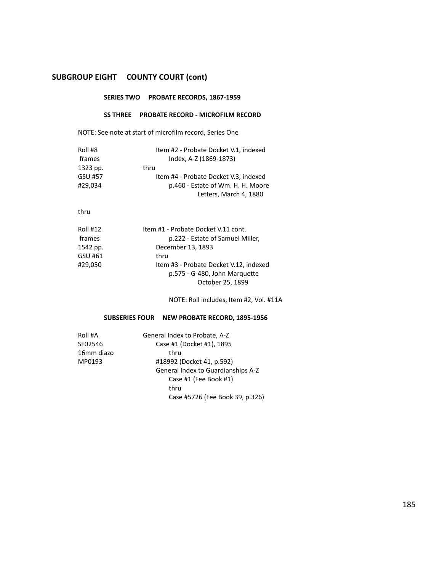# **SERIES TWO PROBATE RECORDS, 1867-1959**

#### **SS THREE PROBATE RECORD - MICROFILM RECORD**

NOTE: See note at start of microfilm record, Series One

| Roll #8  | Item #2 - Probate Docket V.1, indexed |
|----------|---------------------------------------|
| frames   | Index, A-Z (1869-1873)                |
| 1323 pp. | thru                                  |
| GSU #57  | Item #4 - Probate Docket V.3, indexed |
| #29.034  | p.460 - Estate of Wm. H. H. Moore     |
|          | Letters, March 4, 1880                |

#### thru

| Item #3 - Probate Docket V.12, indexed |
|----------------------------------------|
|                                        |
|                                        |
|                                        |

NOTE: Roll includes, Item #2, Vol. #11A

# **SUBSERIES FOUR NEW PROBATE RECORD, 1895-1956**

| Roll #A    | General Index to Probate, A-Z      |  |  |
|------------|------------------------------------|--|--|
| SF02546    | Case #1 (Docket #1), 1895          |  |  |
| 16mm diazo | thru                               |  |  |
| MP0193     | #18992 (Docket 41, p.592)          |  |  |
|            | General Index to Guardianships A-Z |  |  |
|            | Case #1 (Fee Book #1)              |  |  |
|            | thru                               |  |  |
|            | Case #5726 (Fee Book 39, p.326)    |  |  |
|            |                                    |  |  |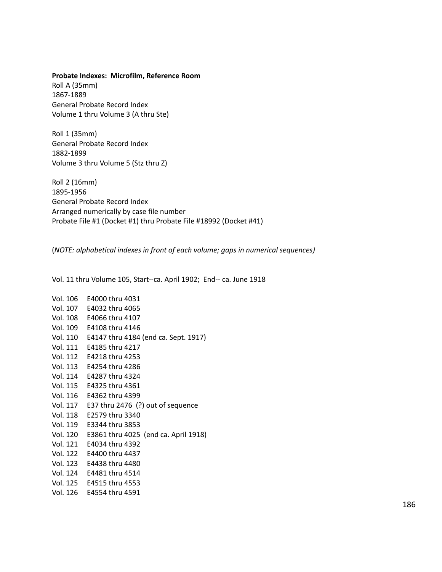#### **Probate Indexes: Microfilm, Reference Room**

Roll A (35mm) 1867-1889 General Probate Record Index Volume 1 thru Volume 3 (A thru Ste)

Roll 1 (35mm) General Probate Record Index 1882-1899 Volume 3 thru Volume 5 (Stz thru Z)

Roll 2 (16mm) 1895-1956 General Probate Record Index Arranged numerically by case file number Probate File #1 (Docket #1) thru Probate File #18992 (Docket #41)

(*NOTE: alphabetical indexes in front of each volume; gaps in numerical sequences)*

Vol. 11 thru Volume 105, Start--ca. April 1902; End-- ca. June 1918

| Vol. 106 | E4000 thru 4031                               |
|----------|-----------------------------------------------|
| Vol. 107 | E4032 thru 4065                               |
| Vol. 108 | E4066 thru 4107                               |
| Vol. 109 | E4108 thru 4146                               |
|          | Vol. 110 E4147 thru 4184 (end ca. Sept. 1917) |
| Vol. 111 | E4185 thru 4217                               |
|          | Vol. 112 E4218 thru 4253                      |
|          | Vol. 113 E4254 thru 4286                      |
| Vol. 114 | E4287 thru 4324                               |
|          | Vol. 115 E4325 thru 4361                      |
|          | Vol. 116 E4362 thru 4399                      |
| Vol. 117 | E37 thru $2476$ (?) out of sequence           |
| Vol. 118 | E2579 thru 3340                               |
| Vol. 119 | E3344 thru 3853                               |
| Vol. 120 | E3861 thru 4025 (end ca. April 1918)          |
| Vol. 121 | E4034 thru 4392                               |
|          | Vol. 122 E4400 thru 4437                      |
|          | Vol. 123 E4438 thru 4480                      |
|          | Vol. 124 E4481 thru 4514                      |
| Vol. 125 | E4515 thru 4553                               |
| Vol. 126 | E4554 thru 4591                               |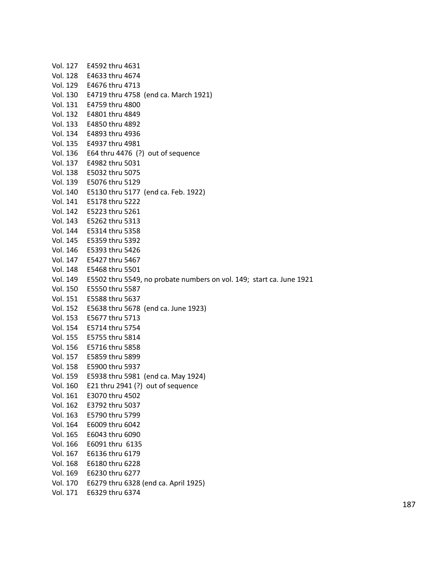| Vol. 127 | E4592 thru 4631                                                      |
|----------|----------------------------------------------------------------------|
| Vol. 128 | E4633 thru 4674                                                      |
| Vol. 129 | E4676 thru 4713                                                      |
| Vol. 130 | E4719 thru 4758 (end ca. March 1921)                                 |
| Vol. 131 | E4759 thru 4800                                                      |
|          | Vol. 132 E4801 thru 4849                                             |
| Vol. 133 | E4850 thru 4892                                                      |
| Vol. 134 | E4893 thru 4936                                                      |
| Vol. 135 | E4937 thru 4981                                                      |
| Vol. 136 | E64 thru 4476 $(?)$ out of sequence                                  |
| Vol. 137 | E4982 thru 5031                                                      |
| Vol. 138 | E5032 thru 5075                                                      |
| Vol. 139 | E5076 thru 5129                                                      |
| Vol. 140 | E5130 thru 5177 (end ca. Feb. 1922)                                  |
| Vol. 141 | E5178 thru 5222                                                      |
| Vol. 142 | E5223 thru 5261                                                      |
| Vol. 143 | E5262 thru 5313                                                      |
| Vol. 144 | E5314 thru 5358                                                      |
| Vol. 145 | E5359 thru 5392                                                      |
| Vol. 146 | E5393 thru 5426                                                      |
| Vol. 147 | E5427 thru 5467                                                      |
| Vol. 148 | E5468 thru 5501                                                      |
| Vol. 149 | E5502 thru 5549, no probate numbers on vol. 149; start ca. June 1921 |
| Vol. 150 | E5550 thru 5587                                                      |
| Vol. 151 | E5588 thru 5637                                                      |
| Vol. 152 | E5638 thru 5678 (end ca. June 1923)                                  |
| Vol. 153 | E5677 thru 5713                                                      |
| Vol. 154 | E5714 thru 5754                                                      |
| Vol. 155 | E5755 thru 5814                                                      |
| Vol. 156 | E5716 thru 5858                                                      |
| Vol. 157 | E5859 thru 5899                                                      |
| Vol. 158 | E5900 thru 5937                                                      |
| Vol. 159 | E5938 thru 5981 (end ca. May 1924)                                   |
| Vol. 160 | E21 thru $2941$ (?) out of sequence                                  |
| Vol. 161 | E3070 thru 4502                                                      |
| Vol. 162 | E3792 thru 5037                                                      |
| Vol. 163 | E5790 thru 5799                                                      |
| Vol. 164 | E6009 thru 6042                                                      |
| Vol. 165 | E6043 thru 6090                                                      |
| Vol. 166 | E6091 thru 6135                                                      |
| Vol. 167 | E6136 thru 6179                                                      |
| Vol. 168 | E6180 thru 6228                                                      |
| Vol. 169 | E6230 thru 6277                                                      |
| Vol. 170 | E6279 thru 6328 (end ca. April 1925)                                 |
| Vol. 171 | E6329 thru 6374                                                      |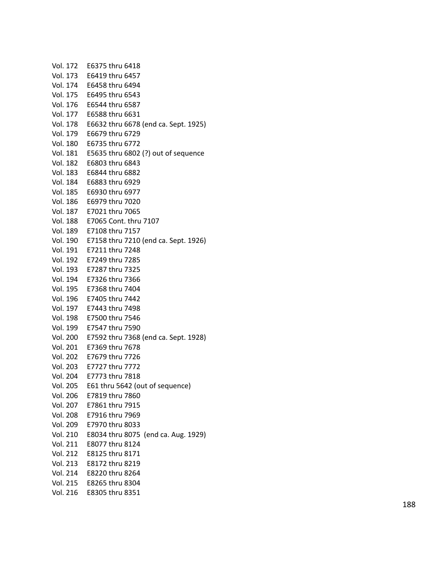| Vol. 172 | E6375 thru 6418                               |
|----------|-----------------------------------------------|
| Vol. 173 | E6419 thru 6457                               |
| Vol. 174 | E6458 thru 6494                               |
| Vol. 175 | E6495 thru 6543                               |
| Vol. 176 | E6544 thru 6587                               |
| Vol. 177 | E6588 thru 6631                               |
| Vol. 178 | E6632 thru 6678 (end ca. Sept. 1925)          |
| Vol. 179 | E6679 thru 6729                               |
| Vol. 180 | E6735 thru 6772                               |
| Vol. 181 | E5635 thru 6802 (?) out of sequence           |
| Vol. 182 | E6803 thru 6843                               |
| Vol. 183 | E6844 thru 6882                               |
| Vol. 184 | E6883 thru 6929                               |
| Vol. 185 | E6930 thru 6977                               |
| Vol. 186 | E6979 thru 7020                               |
| Vol. 187 | E7021 thru 7065                               |
| Vol. 188 | E7065 Cont. thru 7107                         |
| Vol. 189 | E7108 thru 7157                               |
|          | Vol. 190 E7158 thru 7210 (end ca. Sept. 1926) |
| Vol. 191 | E7211 thru 7248                               |
| Vol. 192 | E7249 thru 7285                               |
| Vol. 193 | E7287 thru 7325                               |
|          | Vol. 194 E7326 thru 7366                      |
|          | Vol. 195    E7368 thru 7404                   |
| Vol. 196 | E7405 thru 7442                               |
| Vol. 197 | E7443 thru 7498                               |
| Vol. 198 | E7500 thru 7546                               |
| Vol. 199 | E7547 thru 7590                               |
| Vol. 200 | E7592 thru 7368 (end ca. Sept. 1928)          |
| Vol. 201 | E7369 thru 7678                               |
| Vol. 202 | E7679 thru 7726                               |
| Vol. 203 | E7727 thru 7772                               |
|          | Vol. 204 E7773 thru 7818                      |
|          | Vol. 205 E61 thru 5642 (out of sequence)      |
|          | Vol. 206 E7819 thru 7860                      |
|          | Vol. 207 E7861 thru 7915                      |
|          | Vol. 208 E7916 thru 7969                      |
| Vol. 209 | E7970 thru 8033                               |
| Vol. 210 | E8034 thru 8075 (end ca. Aug. 1929)           |
| Vol. 211 | E8077 thru 8124                               |
| Vol. 212 | E8125 thru 8171                               |
| Vol. 213 | E8172 thru 8219                               |
| Vol. 214 | E8220 thru 8264                               |
|          | Vol. 215 E8265 thru 8304                      |
| Vol. 216 | E8305 thru 8351                               |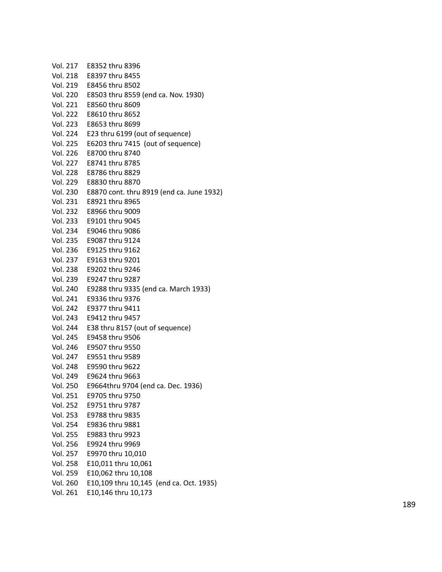| Vol. 217 | E8352 thru 8396                           |
|----------|-------------------------------------------|
| Vol. 218 | E8397 thru 8455                           |
| Vol. 219 | E8456 thru 8502                           |
| Vol. 220 | E8503 thru 8559 (end ca. Nov. 1930)       |
| Vol. 221 | E8560 thru 8609                           |
| Vol. 222 | E8610 thru 8652                           |
| Vol. 223 | E8653 thru 8699                           |
| Vol. 224 | E23 thru 6199 (out of sequence)           |
| Vol. 225 | E6203 thru 7415 (out of sequence)         |
| Vol. 226 | E8700 thru 8740                           |
| Vol. 227 | E8741 thru 8785                           |
| Vol. 228 | E8786 thru 8829                           |
| Vol. 229 | E8830 thru 8870                           |
| Vol. 230 | E8870 cont. thru 8919 (end ca. June 1932) |
| Vol. 231 | E8921 thru 8965                           |
| Vol. 232 | E8966 thru 9009                           |
| Vol. 233 | E9101 thru 9045                           |
| Vol. 234 | E9046 thru 9086                           |
| Vol. 235 | E9087 thru 9124                           |
| Vol. 236 | E9125 thru 9162                           |
| Vol. 237 | E9163 thru 9201                           |
| Vol. 238 | E9202 thru 9246                           |
| Vol. 239 | E9247 thru 9287                           |
| Vol. 240 | E9288 thru 9335 (end ca. March 1933)      |
| Vol. 241 | E9336 thru 9376                           |
| Vol. 242 | E9377 thru 9411                           |
| Vol. 243 | E9412 thru 9457                           |
| Vol. 244 | E38 thru 8157 (out of sequence)           |
| Vol. 245 | E9458 thru 9506                           |
| Vol. 246 | E9507 thru 9550                           |
| Vol. 247 | E9551 thru 9589                           |
| Vol. 248 | E9590 thru 9622                           |
|          | Vol. 249    E9624 thru  9663              |
| Vol. 250 | E9664thru 9704 (end ca. Dec. 1936)        |
| Vol. 251 | E9705 thru 9750                           |
| Vol. 252 | E9751 thru 9787                           |
| Vol. 253 | E9788 thru 9835                           |
| Vol. 254 | E9836 thru 9881                           |
| Vol. 255 | E9883 thru 9923                           |
| Vol. 256 | E9924 thru 9969                           |
| Vol. 257 | E9970 thru 10,010                         |
| Vol. 258 | E10,011 thru 10,061                       |
| Vol. 259 | E10,062 thru 10,108                       |
| Vol. 260 | E10,109 thru 10,145 (end ca. Oct. 1935)   |
| Vol. 261 | E10,146 thru 10,173                       |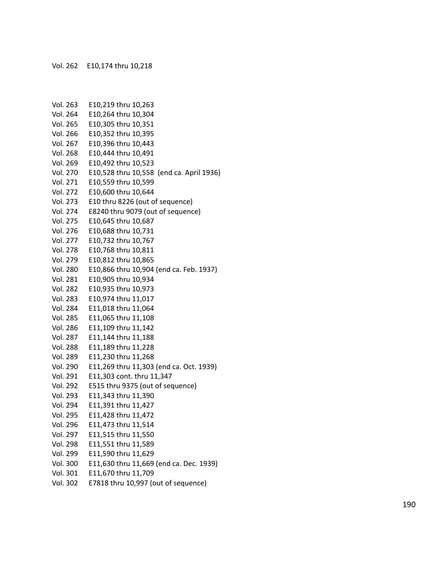| Vol. 263        | E10,219 thru 10,263                      |
|-----------------|------------------------------------------|
| Vol. 264        | E10,264 thru 10,304                      |
| Vol. 265        | E10,305 thru 10,351                      |
| Vol. 266        | E10,352 thru 10,395                      |
| Vol. 267        | E10,396 thru 10,443                      |
| Vol. 268        | E10,444 thru 10,491                      |
| Vol. 269        | E10,492 thru 10,523                      |
| Vol. 270        | E10,528 thru 10,558 (end ca. April 1936) |
| Vol. 271        | E10,559 thru 10,599                      |
| Vol. 272        | E10,600 thru 10,644                      |
| Vol. 273        | E10 thru 8226 (out of sequence)          |
| Vol. 274        | E8240 thru 9079 (out of sequence)        |
| Vol. 275        | E10,645 thru 10,687                      |
| Vol. 276        | E10,688 thru 10,731                      |
| Vol. 277        | E10,732 thru 10,767                      |
| <b>Vol. 278</b> | E10,768 thru 10,811                      |
| Vol. 279        | E10,812 thru 10,865                      |
| Vol. 280        | E10,866 thru 10,904 (end ca. Feb. 1937)  |
| Vol. 281        | E10,905 thru 10,934                      |
| <b>Vol. 282</b> | E10,935 thru 10,973                      |
| Vol. 283        | E10,974 thru 11,017                      |
| Vol. 284        | E11,018 thru 11,064                      |
| Vol. 285        | E11,065 thru 11,108                      |
| Vol. 286        | E11,109 thru 11,142                      |
| Vol. 287        | E11,144 thru 11,188                      |
| Vol. 288        | E11,189 thru 11,228                      |
| Vol. 289        | E11,230 thru 11,268                      |
| Vol. 290        | E11,269 thru 11,303 (end ca. Oct. 1939)  |
| Vol. 291        | E11,303 cont. thru 11,347                |
| Vol. 292        | E515 thru 9375 (out of sequence)         |
| Vol. 293        | E11,343 thru 11,390                      |
| Vol. 294        | E11,391 thru 11,427                      |
| Vol. 295        | E11,428 thru 11,472                      |
| Vol. 296        | E11,473 thru 11,514                      |
| Vol. 297        | E11,515 thru 11,550                      |
| Vol. 298        | E11,551 thru 11,589                      |
| Vol. 299        | E11,590 thru 11,629                      |
| Vol. 300        | E11,630 thru 11,669 (end ca. Dec. 1939)  |
| Vol. 301        | E11,670 thru 11,709                      |
| Vol. 302        | E7818 thru 10,997 (out of sequence)      |
|                 |                                          |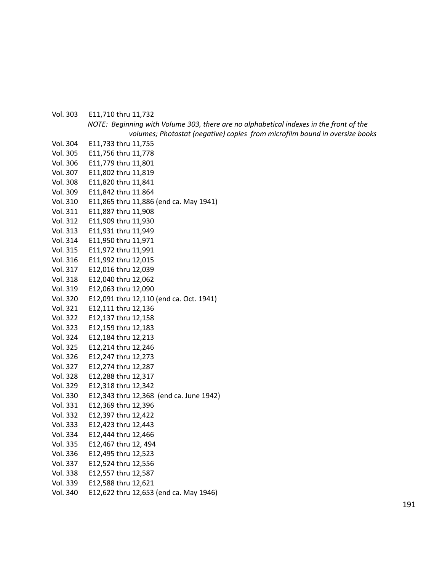Vol. 303 E11,710 thru 11,732 *NOTE: Beginning with Volume 303, there are no alphabetical indexes in the front of the volumes; Photostat (negative) copies from microfilm bound in oversize books* Vol. 304 E11,733 thru 11,755 Vol. 305 E11,756 thru 11,778 Vol. 306 E11,779 thru 11,801 Vol. 307 E11,802 thru 11,819 Vol. 308 E11,820 thru 11,841 Vol. 309 E11,842 thru 11.864 Vol. 310 E11,865 thru 11,886 (end ca. May 1941) Vol. 311 E11,887 thru 11,908 Vol. 312 E11,909 thru 11,930 Vol. 313 E11,931 thru 11,949 Vol. 314 E11,950 thru 11,971 Vol. 315 E11,972 thru 11,991 Vol. 316 E11,992 thru 12,015 Vol. 317 E12,016 thru 12,039 Vol. 318 E12,040 thru 12,062 Vol. 319 E12,063 thru 12,090 Vol. 320 E12,091 thru 12,110 (end ca. Oct. 1941) Vol. 321 E12,111 thru 12,136 Vol. 322 E12,137 thru 12,158 Vol. 323 E12,159 thru 12,183 Vol. 324 E12,184 thru 12,213 Vol. 325 E12,214 thru 12,246 Vol. 326 E12,247 thru 12,273 Vol. 327 E12,274 thru 12,287 Vol. 328 E12,288 thru 12,317 Vol. 329 E12,318 thru 12,342 Vol. 330 E12,343 thru 12,368 (end ca. June 1942) Vol. 331 E12,369 thru 12,396 Vol. 332 E12,397 thru 12,422 Vol. 333 E12,423 thru 12,443 Vol. 334 E12,444 thru 12,466 Vol. 335 E12,467 thru 12, 494 Vol. 336 E12,495 thru 12,523 Vol. 337 E12,524 thru 12,556 Vol. 338 E12,557 thru 12,587 Vol. 339 E12,588 thru 12,621 Vol. 340 E12,622 thru 12,653 (end ca. May 1946)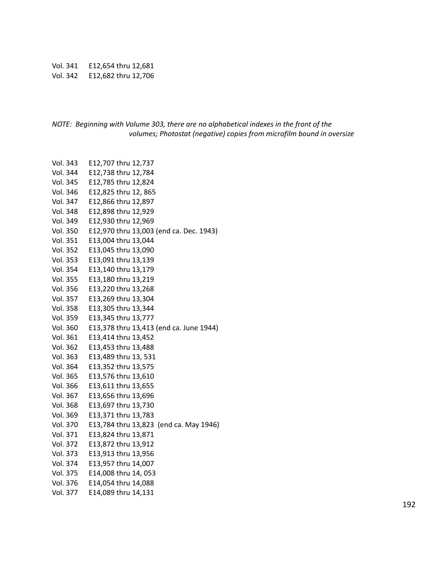Vol. 341 E12,654 thru 12,681 Vol. 342 E12,682 thru 12,706

*NOTE: Beginning with Volume 303, there are no alphabetical indexes in the front of the volumes; Photostat (negative) copies from microfilm bound in oversize*

| Vol. 343        | E12,707 thru 12,737                     |
|-----------------|-----------------------------------------|
| Vol. 344        | E12,738 thru 12,784                     |
| Vol. 345        | E12,785 thru 12,824                     |
| Vol. 346        | E12,825 thru 12, 865                    |
| Vol. 347        | E12,866 thru 12,897                     |
| <b>Vol. 348</b> | E12,898 thru 12,929                     |
| Vol. 349        | E12,930 thru 12,969                     |
| Vol. 350        | E12,970 thru 13,003 (end ca. Dec. 1943) |
| Vol. 351        | E13,004 thru 13,044                     |
| Vol. 352        | E13,045 thru 13,090                     |
| Vol. 353        | E13,091 thru 13,139                     |
| Vol. 354        | E13,140 thru 13,179                     |
| Vol. 355        | E13,180 thru 13,219                     |
| Vol. 356        | E13,220 thru 13,268                     |
| Vol. 357        | E13,269 thru 13,304                     |
| <b>Vol. 358</b> | E13,305 thru 13,344                     |
| Vol. 359        | E13,345 thru 13,777                     |
| Vol. 360        | E13,378 thru 13,413 (end ca. June 1944) |
| Vol. 361        | E13,414 thru 13,452                     |
| Vol. 362        | E13,453 thru 13,488                     |
| Vol. 363        | E13,489 thru 13, 531                    |
| Vol. 364        | E13,352 thru 13,575                     |
| Vol. 365        | E13,576 thru 13,610                     |
| Vol. 366        | E13,611 thru 13,655                     |
| Vol. 367        | E13,656 thru 13,696                     |
| <b>Vol. 368</b> | E13,697 thru 13,730                     |
| Vol. 369        | E13,371 thru 13,783                     |
| Vol. 370        | E13,784 thru 13,823 (end ca. May 1946)  |
| Vol. 371        | E13,824 thru 13,871                     |
| Vol. 372        | E13,872 thru 13,912                     |
| Vol. 373        | E13,913 thru 13,956                     |
| Vol. 374        | E13,957 thru 14,007                     |
| Vol. 375        | E14,008 thru 14, 053                    |
| Vol. 376        | E14,054 thru 14,088                     |
| Vol. 377        | E14,089 thru 14,131                     |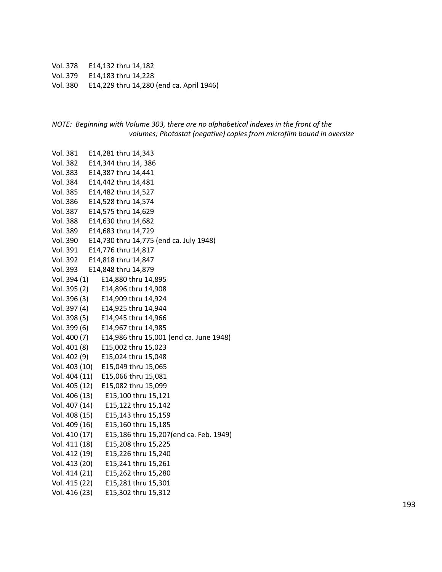Vol. 378 E14,132 thru 14,182

Vol. 379 E14,183 thru 14,228

Vol. 380 E14,229 thru 14,280 (end ca. April 1946)

```
NOTE: Beginning with Volume 303, there are no alphabetical indexes in the front of the
           volumes; Photostat (negative) copies from microfilm bound in oversize
```
Vol. 381 E14,281 thru 14,343 Vol. 382 E14,344 thru 14, 386 Vol. 383 E14,387 thru 14,441 Vol. 384 E14,442 thru 14,481 Vol. 385 E14,482 thru 14,527 Vol. 386 E14,528 thru 14,574 Vol. 387 E14,575 thru 14,629 Vol. 388 E14,630 thru 14,682 Vol. 389 E14,683 thru 14,729 Vol. 390 E14,730 thru 14,775 (end ca. July 1948) Vol. 391 E14,776 thru 14,817 Vol. 392 E14,818 thru 14,847 Vol. 393 E14,848 thru 14,879 Vol. 394 (1) E14,880 thru 14,895 Vol. 395 (2) E14,896 thru 14,908 Vol. 396 (3) E14,909 thru 14,924 Vol. 397 (4) E14,925 thru 14,944 Vol. 398 (5) E14,945 thru 14,966 Vol. 399 (6) E14,967 thru 14,985 Vol. 400 (7) E14,986 thru 15,001 (end ca. June 1948) Vol. 401 (8) E15,002 thru 15,023 Vol. 402 (9) E15,024 thru 15,048 Vol. 403 (10) E15,049 thru 15,065 Vol. 404 (11) E15,066 thru 15,081 Vol. 405 (12) E15,082 thru 15,099 Vol. 406 (13) E15,100 thru 15,121 Vol. 407 (14) E15,122 thru 15,142 Vol. 408 (15) E15,143 thru 15,159 Vol. 409 (16) E15,160 thru 15,185 Vol. 410 (17) E15,186 thru 15,207(end ca. Feb. 1949) Vol. 411 (18) E15,208 thru 15,225 Vol. 412 (19) E15,226 thru 15,240 Vol. 413 (20) E15,241 thru 15,261 Vol. 414 (21) E15,262 thru 15,280 Vol. 415 (22) E15,281 thru 15,301 Vol. 416 (23) E15,302 thru 15,312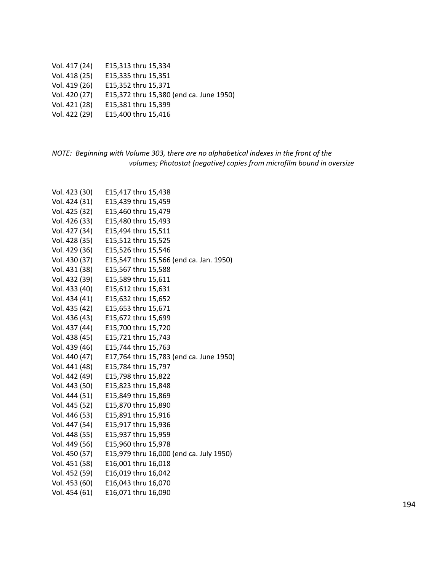- Vol. 417 (24) E15,313 thru 15,334
- Vol. 418 (25) E15,335 thru 15,351
- Vol. 419 (26) E15,352 thru 15,371
- Vol. 420 (27) E15,372 thru 15,380 (end ca. June 1950)
- Vol. 421 (28) E15,381 thru 15,399
- Vol. 422 (29) E15,400 thru 15,416

# *NOTE: Beginning with Volume 303, there are no alphabetical indexes in the front of the volumes; Photostat (negative) copies from microfilm bound in oversize*

| Vol. 423 (30) | E15,417 thru 15,438                     |
|---------------|-----------------------------------------|
| Vol. 424 (31) | E15,439 thru 15,459                     |
| Vol. 425 (32) | E15,460 thru 15,479                     |
| Vol. 426 (33) | E15,480 thru 15,493                     |
| Vol. 427 (34) | E15,494 thru 15,511                     |
| Vol. 428 (35) | E15,512 thru 15,525                     |
| Vol. 429 (36) | E15,526 thru 15,546                     |
| Vol. 430 (37) | E15,547 thru 15,566 (end ca. Jan. 1950) |
| Vol. 431 (38) | E15,567 thru 15,588                     |
| Vol. 432 (39) | E15,589 thru 15,611                     |
| Vol. 433 (40) | E15,612 thru 15,631                     |
| Vol. 434 (41) | E15,632 thru 15,652                     |
| Vol. 435 (42) | E15,653 thru 15,671                     |
| Vol. 436 (43) | E15,672 thru 15,699                     |
| Vol. 437 (44) | E15,700 thru 15,720                     |
| Vol. 438 (45) | E15,721 thru 15,743                     |
| Vol. 439 (46) | E15,744 thru 15,763                     |
| Vol. 440 (47) | E17,764 thru 15,783 (end ca. June 1950) |
| Vol. 441 (48) | E15,784 thru 15,797                     |
| Vol. 442 (49) | E15,798 thru 15,822                     |
| Vol. 443 (50) | E15,823 thru 15,848                     |
| Vol. 444 (51) | E15,849 thru 15,869                     |
| Vol. 445 (52) | E15,870 thru 15,890                     |
| Vol. 446 (53) | E15,891 thru 15,916                     |
| Vol. 447 (54) | E15,917 thru 15,936                     |
| Vol. 448 (55) | E15,937 thru 15,959                     |
| Vol. 449 (56) | E15,960 thru 15,978                     |
| Vol. 450 (57) | E15,979 thru 16,000 (end ca. July 1950) |
| Vol. 451 (58) | E16,001 thru 16,018                     |
| Vol. 452 (59) | E16,019 thru 16,042                     |
| Vol. 453 (60) | E16,043 thru 16,070                     |
| Vol. 454 (61) | E16,071 thru 16,090                     |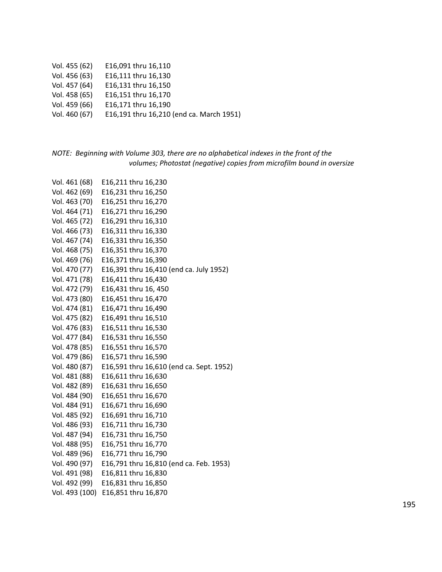|  | Vol. 455 (62) | E16,091 thru 16,110 |
|--|---------------|---------------------|
|--|---------------|---------------------|

- Vol. 456 (63) E16,111 thru 16,130
- Vol. 457 (64) E16,131 thru 16,150
- Vol. 458 (65) E16,151 thru 16,170
- Vol. 459 (66) E16,171 thru 16,190
- Vol. 460 (67) E16,191 thru 16,210 (end ca. March 1951)

# *NOTE: Beginning with Volume 303, there are no alphabetical indexes in the front of the volumes; Photostat (negative) copies from microfilm bound in oversize*

| Vol. 461 (68)  | E16,211 thru 16,230                      |
|----------------|------------------------------------------|
| Vol. 462 (69)  | E16,231 thru 16,250                      |
| Vol. 463 (70)  | E16,251 thru 16,270                      |
| Vol. 464 (71)  | E16,271 thru 16,290                      |
| Vol. 465 (72)  | E16,291 thru 16,310                      |
| Vol. 466 (73)  | E16,311 thru 16,330                      |
| Vol. 467 (74)  | E16,331 thru 16,350                      |
| Vol. 468 (75)  | E16,351 thru 16,370                      |
| Vol. 469 (76)  | E16,371 thru 16,390                      |
| Vol. 470 (77)  | E16,391 thru 16,410 (end ca. July 1952)  |
| Vol. 471 (78)  | E16,411 thru 16,430                      |
| Vol. 472 (79)  | E16,431 thru 16, 450                     |
| Vol. 473 (80)  | E16,451 thru 16,470                      |
| Vol. 474 (81)  | E16,471 thru 16,490                      |
| Vol. 475 (82)  | E16,491 thru 16,510                      |
| Vol. 476 (83)  | E16,511 thru 16,530                      |
| Vol. 477 (84)  | E16,531 thru 16,550                      |
| Vol. 478 (85)  | E16,551 thru 16,570                      |
| Vol. 479 (86)  | E16,571 thru 16,590                      |
| Vol. 480 (87)  | E16,591 thru 16,610 (end ca. Sept. 1952) |
| Vol. 481 (88)  | E16,611 thru 16,630                      |
| Vol. 482 (89)  | E16,631 thru 16,650                      |
| Vol. 484 (90)  | E16,651 thru 16,670                      |
| Vol. 484 (91)  | E16,671 thru 16,690                      |
| Vol. 485 (92)  | E16,691 thru 16,710                      |
| Vol. 486 (93)  | E16,711 thru 16,730                      |
| Vol. 487 (94)  | E16,731 thru 16,750                      |
| Vol. 488 (95)  | E16,751 thru 16,770                      |
| Vol. 489 (96)  | E16,771 thru 16,790                      |
| Vol. 490 (97)  | E16,791 thru 16,810 (end ca. Feb. 1953)  |
| Vol. 491 (98)  | E16,811 thru 16,830                      |
| Vol. 492 (99)  | E16,831 thru 16,850                      |
| Vol. 493 (100) | E16,851 thru 16,870                      |
|                |                                          |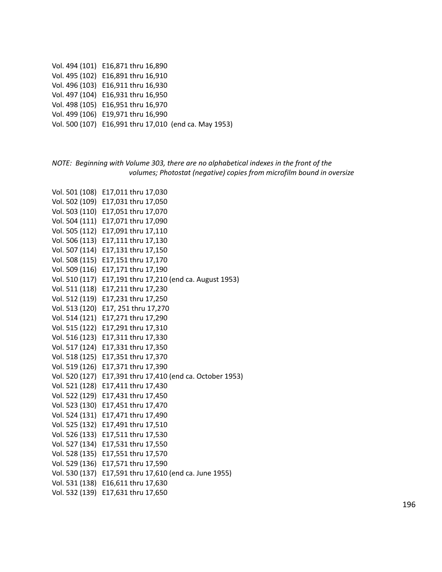Vol. 494 (101) E16,871 thru 16,890 Vol. 495 (102) E16,891 thru 16,910 Vol. 496 (103) E16,911 thru 16,930 Vol. 497 (104) E16,931 thru 16,950 Vol. 498 (105) E16,951 thru 16,970 Vol. 499 (106) E19,971 thru 16,990 Vol. 500 (107) E16,991 thru 17,010 (end ca. May 1953)

# *NOTE: Beginning with Volume 303, there are no alphabetical indexes in the front of the volumes; Photostat (negative) copies from microfilm bound in oversize*

Vol. 501 (108) E17,011 thru 17,030 Vol. 502 (109) E17,031 thru 17,050 Vol. 503 (110) E17,051 thru 17,070 Vol. 504 (111) E17,071 thru 17,090 Vol. 505 (112) E17,091 thru 17,110 Vol. 506 (113) E17,111 thru 17,130 Vol. 507 (114) E17,131 thru 17,150 Vol. 508 (115) E17,151 thru 17,170 Vol. 509 (116) E17,171 thru 17,190 Vol. 510 (117) E17,191 thru 17,210 (end ca. August 1953) Vol. 511 (118) E17,211 thru 17,230 Vol. 512 (119) E17,231 thru 17,250 Vol. 513 (120) E17, 251 thru 17,270 Vol. 514 (121) E17,271 thru 17,290 Vol. 515 (122) E17,291 thru 17,310 Vol. 516 (123) E17,311 thru 17,330 Vol. 517 (124) E17,331 thru 17,350 Vol. 518 (125) E17,351 thru 17,370 Vol. 519 (126) E17,371 thru 17,390 Vol. 520 (127) E17,391 thru 17,410 (end ca. October 1953) Vol. 521 (128) E17,411 thru 17,430 Vol. 522 (129) E17,431 thru 17,450 Vol. 523 (130) E17,451 thru 17,470 Vol. 524 (131) E17,471 thru 17,490 Vol. 525 (132) E17,491 thru 17,510 Vol. 526 (133) E17,511 thru 17,530 Vol. 527 (134) E17,531 thru 17,550 Vol. 528 (135) E17,551 thru 17,570 Vol. 529 (136) E17,571 thru 17,590 Vol. 530 (137) E17,591 thru 17,610 (end ca. June 1955) Vol. 531 (138) E16,611 thru 17,630 Vol. 532 (139) E17,631 thru 17,650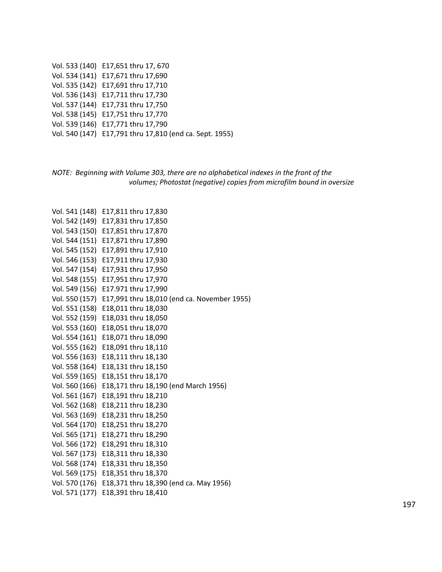| Vol. 533 (140) E17,651 thru 17, 670                     |
|---------------------------------------------------------|
| Vol. 534 (141) E17,671 thru 17,690                      |
| Vol. 535 (142) E17,691 thru 17,710                      |
| Vol. 536 (143) E17,711 thru 17,730                      |
| Vol. 537 (144) E17,731 thru 17,750                      |
| Vol. 538 (145) E17,751 thru 17,770                      |
| Vol. 539 (146) E17,771 thru 17,790                      |
| Vol. 540 (147) E17,791 thru 17,810 (end ca. Sept. 1955) |

*NOTE: Beginning with Volume 303, there are no alphabetical indexes in the front of the volumes; Photostat (negative) copies from microfilm bound in oversize*

Vol. 541 (148) E17,811 thru 17,830 Vol. 542 (149) E17,831 thru 17,850 Vol. 543 (150) E17,851 thru 17,870 Vol. 544 (151) E17,871 thru 17,890 Vol. 545 (152) E17,891 thru 17,910 Vol. 546 (153) E17,911 thru 17,930 Vol. 547 (154) E17,931 thru 17,950 Vol. 548 (155) E17,951 thru 17,970 Vol. 549 (156) E17.971 thru 17,990 Vol. 550 (157) E17,991 thru 18,010 (end ca. November 1955) Vol. 551 (158) E18,011 thru 18,030 Vol. 552 (159) E18,031 thru 18,050 Vol. 553 (160) E18,051 thru 18,070 Vol. 554 (161) E18,071 thru 18,090 Vol. 555 (162) E18,091 thru 18,110 Vol. 556 (163) E18,111 thru 18,130 Vol. 558 (164) E18,131 thru 18,150 Vol. 559 (165) E18,151 thru 18,170 Vol. 560 (166) E18,171 thru 18,190 (end March 1956) Vol. 561 (167) E18,191 thru 18,210 Vol. 562 (168) E18,211 thru 18,230 Vol. 563 (169) E18,231 thru 18,250 Vol. 564 (170) E18,251 thru 18,270 Vol. 565 (171) E18,271 thru 18,290 Vol. 566 (172) E18,291 thru 18,310 Vol. 567 (173) E18,311 thru 18,330 Vol. 568 (174) E18,331 thru 18,350 Vol. 569 (175) E18,351 thru 18,370 Vol. 570 (176) E18,371 thru 18,390 (end ca. May 1956) Vol. 571 (177) E18,391 thru 18,410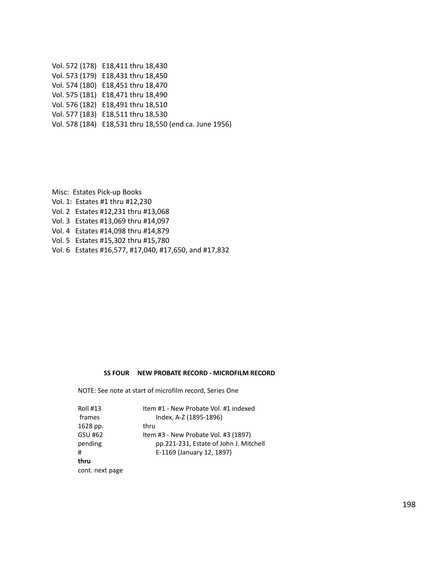Vol. 572 (178) E18,411 thru 18,430 Vol. 573 (179) E18,431 thru 18,450 Vol. 574 (180) E18,451 thru 18,470 Vol. 575 (181) E18,471 thru 18,490 Vol. 576 (182) E18,491 thru 18,510 Vol. 577 (183) E18,511 thru 18,530 Vol. 578 (184) E18,531 thru 18,550 (end ca. June 1956)

Misc: Estates Pick-up Books

- Vol. 1: Estates #1 thru #12,230
- Vol. 2 Estates #12,231 thru #13,068
- Vol. 3 Estates #13,069 thru #14,097
- Vol. 4 Estates #14,098 thru #14,879
- Vol. 5 Estates #15,302 thru #15,780
- Vol. 6 Estates #16,577, #17,040, #17,650, and #17,832

#### **SS FOUR NEW PROBATE RECORD - MICROFILM RECORD**

NOTE: See note at start of microfilm record, Series One

| <b>Roll #13</b> | Item #1 - New Probate Vol. #1 indexed  |
|-----------------|----------------------------------------|
| frames          | Index, A-Z (1895-1896)                 |
| 1628 pp.        | thru                                   |
| GSU #62         | Item #3 - New Probate Vol. #3 (1897)   |
| pending         | pp.221-231, Estate of John J. Mitchell |
| #               | E-1169 (January 12, 1897)              |
| thru            |                                        |
| cont. next page |                                        |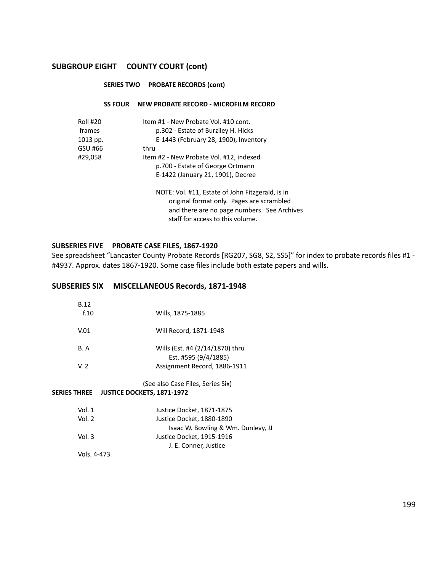#### **SERIES TWO PROBATE RECORDS (cont)**

#### **SS FOUR NEW PROBATE RECORD - MICROFILM RECORD**

| <b>Roll #20</b> | Item #1 - New Probate Vol. #10 cont.                                                          |
|-----------------|-----------------------------------------------------------------------------------------------|
| frames          | p.302 - Estate of Burziley H. Hicks                                                           |
| 1013 pp.        | E-1443 (February 28, 1900), Inventory                                                         |
| GSU #66         | thru                                                                                          |
| #29,058         | Item #2 - New Probate Vol. #12, indexed                                                       |
|                 | p.700 - Estate of George Ortmann                                                              |
|                 | E-1422 (January 21, 1901), Decree                                                             |
|                 | NOTE: Vol. #11, Estate of John Fitzgerald, is in<br>original format only. Pages are scrambled |

original format only. Pages are scrambled and there are no page numbers. See Archives staff for access to this volume.

# **SUBSERIES FIVE PROBATE CASE FILES, 1867-1920**

See spreadsheet "Lancaster County Probate Records [RG207, SG8, S2, SS5]" for index to probate records files #1 - #4937. Approx. dates 1867-1920. Some case files include both estate papers and wills.

# **SUBSERIES SIX MISCELLANEOUS Records, 1871-1948**

| <b>B.12</b><br>f <sub>0</sub> | Wills, 1875-1885                                                       |
|-------------------------------|------------------------------------------------------------------------|
| V.01                          | Will Record, 1871-1948                                                 |
| B.A                           | Wills (Est. #4 (2/14/1870) thru<br>Est. #595 (9/4/1885)                |
| V <sub>2</sub>                | Assignment Record, 1886-1911                                           |
| <b>SERIES THREE</b>           | (See also Case Files, Series Six)<br><b>JUSTICE DOCKETS, 1871-1972</b> |
| Vol. $1$                      | Justice Docket, 1871-1875                                              |
| Vol. 2                        | Justice Docket, 1880-1890                                              |

| Vol. $2$ | Justice Docket, 1880-1890          |
|----------|------------------------------------|
|          | Isaac W. Bowling & Wm. Dunlevy, JJ |
| Vol. 3   | Justice Docket, 1915-1916          |
|          | J. E. Conner. Justice              |
|          |                                    |

Vols. 4-473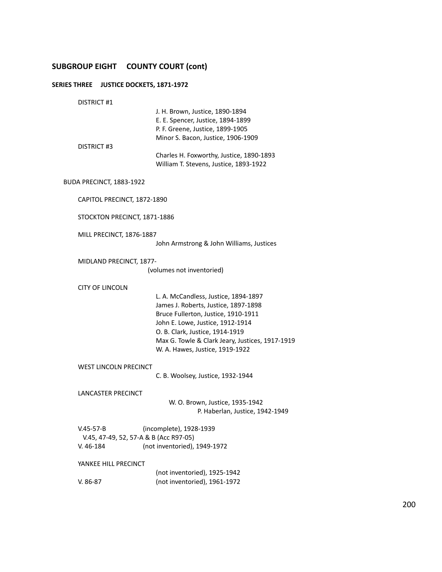# **SERIES THREE JUSTICE DOCKETS, 1871-1972**

DISTRICT #1

|                                                           | J. H. Brown, Justice, 1890-1894<br>E. E. Spencer, Justice, 1894-1899<br>P. F. Greene, Justice, 1899-1905 |
|-----------------------------------------------------------|----------------------------------------------------------------------------------------------------------|
| DISTRICT #3                                               | Minor S. Bacon, Justice, 1906-1909<br>Charles H. Foxworthy, Justice, 1890-1893                           |
|                                                           | William T. Stevens, Justice, 1893-1922                                                                   |
| BUDA PRECINCT, 1883-1922                                  |                                                                                                          |
| CAPITOL PRECINCT, 1872-1890                               |                                                                                                          |
| STOCKTON PRECINCT, 1871-1886                              |                                                                                                          |
| MILL PRECINCT, 1876-1887                                  | John Armstrong & John Williams, Justices                                                                 |
| MIDLAND PRECINCT, 1877-                                   | (volumes not inventoried)                                                                                |
| <b>CITY OF LINCOLN</b>                                    | L. A. McCandless, Justice, 1894-1897                                                                     |
|                                                           | James J. Roberts, Justice, 1897-1898                                                                     |
|                                                           | Bruce Fullerton, Justice, 1910-1911<br>John E. Lowe, Justice, 1912-1914                                  |
|                                                           | O. B. Clark, Justice, 1914-1919                                                                          |
|                                                           | Max G. Towle & Clark Jeary, Justices, 1917-1919<br>W. A. Hawes, Justice, 1919-1922                       |
| WEST LINCOLN PRECINCT                                     | C. B. Woolsey, Justice, 1932-1944                                                                        |
|                                                           |                                                                                                          |
| LANCASTER PRECINCT                                        | W. O. Brown, Justice, 1935-1942                                                                          |
|                                                           | P. Haberlan, Justice, 1942-1949                                                                          |
| $V.45 - 57 - B$<br>V.45, 47-49, 52, 57-A & B (Acc R97-05) | (incomplete), 1928-1939                                                                                  |
| $V. 46-184$                                               | (not inventoried), 1949-1972                                                                             |
| YANKEE HILL PRECINCT                                      |                                                                                                          |

(not inventoried), 1925-1942 V. 86-87 (not inventoried), 1961-1972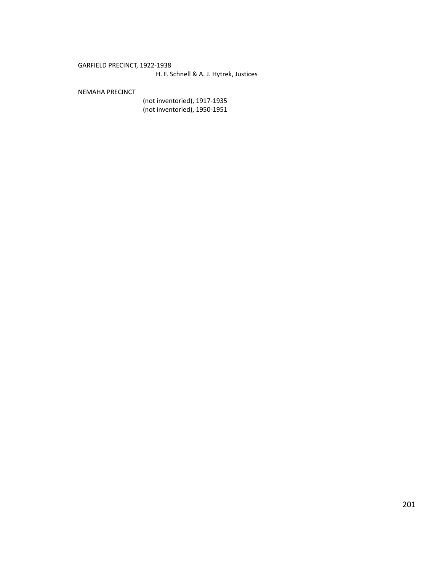# GARFIELD PRECINCT, 1922-1938

# H. F. Schnell & A. J. Hytrek, Justices

#### NEMAHA PRECINCT

(not inventoried), 1917-1935 (not inventoried), 1950-1951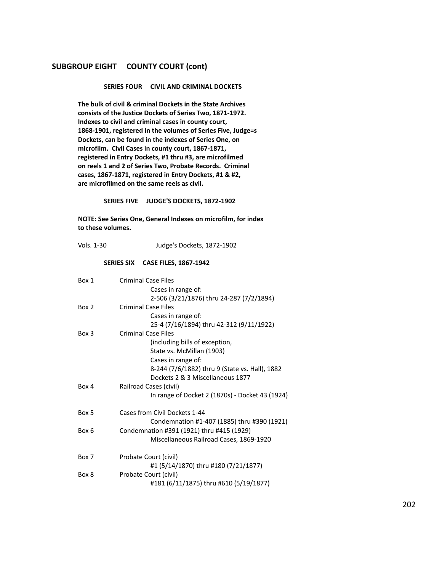#### **SERIES FOUR CIVIL AND CRIMINAL DOCKETS**

**The bulk of civil & criminal Dockets in the State Archives consists of the Justice Dockets of Series Two, 1871-1972. Indexes to civil and criminal cases in county court, 1868-1901, registered in the volumes of Series Five, Judge=s Dockets, can be found in the indexes of Series One, on microfilm. Civil Cases in county court, 1867-1871, registered in Entry Dockets, #1 thru #3, are microfilmed on reels 1 and 2 of Series Two, Probate Records. Criminal cases, 1867-1871, registered in Entry Dockets, #1 & #2, are microfilmed on the same reels as civil.**

**SERIES FIVE JUDGE'S DOCKETS, 1872-1902**

**NOTE: See Series One, General Indexes on microfilm, for index to these volumes.**

| Vols. 1-30 | Judge's Dockets, 1872-1902                      |
|------------|-------------------------------------------------|
|            | SERIES SIX CASE FILES, 1867-1942                |
| Box 1      | <b>Criminal Case Files</b>                      |
|            | Cases in range of:                              |
|            | 2-506 (3/21/1876) thru 24-287 (7/2/1894)        |
| Box 2      | <b>Criminal Case Files</b>                      |
|            | Cases in range of:                              |
|            | 25-4 (7/16/1894) thru 42-312 (9/11/1922)        |
| Box 3      | <b>Criminal Case Files</b>                      |
|            | (including bills of exception,                  |
|            | State vs. McMillan (1903)                       |
|            | Cases in range of:                              |
|            | 8-244 (7/6/1882) thru 9 (State vs. Hall), 1882  |
|            | Dockets 2 & 3 Miscellaneous 1877                |
| Box 4      | Railroad Cases (civil)                          |
|            | In range of Docket 2 (1870s) - Docket 43 (1924) |
| Box 5      | Cases from Civil Dockets 1-44                   |
|            | Condemnation #1-407 (1885) thru #390 (1921)     |
| Box 6      | Condemnation #391 (1921) thru #415 (1929)       |
|            | Miscellaneous Railroad Cases, 1869-1920         |
| Box 7      | Probate Court (civil)                           |
|            | #1 (5/14/1870) thru #180 (7/21/1877)            |
| Box 8      | Probate Court (civil)                           |
|            | #181 (6/11/1875) thru #610 (5/19/1877)          |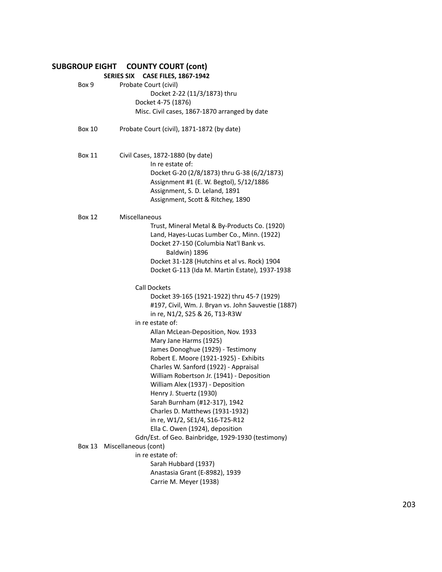|               | SERIES SIX CASE FILES, 1867-1942                    |
|---------------|-----------------------------------------------------|
| Box 9         | Probate Court (civil)                               |
|               | Docket 2-22 (11/3/1873) thru                        |
|               | Docket 4-75 (1876)                                  |
|               | Misc. Civil cases, 1867-1870 arranged by date       |
|               |                                                     |
| <b>Box 10</b> | Probate Court (civil), 1871-1872 (by date)          |
| <b>Box 11</b> | Civil Cases, 1872-1880 (by date)                    |
|               | In re estate of:                                    |
|               | Docket G-20 (2/8/1873) thru G-38 (6/2/1873)         |
|               | Assignment #1 (E. W. Begtol), 5/12/1886             |
|               | Assignment, S. D. Leland, 1891                      |
|               | Assignment, Scott & Ritchey, 1890                   |
| <b>Box 12</b> | Miscellaneous                                       |
|               | Trust, Mineral Metal & By-Products Co. (1920)       |
|               | Land, Hayes-Lucas Lumber Co., Minn. (1922)          |
|               | Docket 27-150 (Columbia Nat'l Bank vs.              |
|               | Baldwin) 1896                                       |
|               | Docket 31-128 (Hutchins et al vs. Rock) 1904        |
|               | Docket G-113 (Ida M. Martin Estate), 1937-1938      |
|               |                                                     |
|               | <b>Call Dockets</b>                                 |
|               | Docket 39-165 (1921-1922) thru 45-7 (1929)          |
|               | #197, Civil, Wm. J. Bryan vs. John Sauvestie (1887) |
|               | in re, N1/2, S25 & 26, T13-R3W                      |
|               | in re estate of:                                    |
|               | Allan McLean-Deposition, Nov. 1933                  |
|               | Mary Jane Harms (1925)                              |
|               | James Donoghue (1929) - Testimony                   |
|               | Robert E. Moore (1921-1925) - Exhibits              |
|               | Charles W. Sanford (1922) - Appraisal               |
|               | William Robertson Jr. (1941) - Deposition           |
|               | William Alex (1937) - Deposition                    |
|               |                                                     |
|               | Henry J. Stuertz (1930)                             |
|               | Sarah Burnham (#12-317), 1942                       |
|               | Charles D. Matthews (1931-1932)                     |
|               | in re, W1/2, SE1/4, S16-T25-R12                     |
|               | Ella C. Owen (1924), deposition                     |
|               | Gdn/Est. of Geo. Bainbridge, 1929-1930 (testimony)  |
| Box 13        | Miscellaneous (cont)                                |
|               | in re estate of:                                    |
|               | Sarah Hubbard (1937)                                |
|               | Anastasia Grant (E-8982), 1939                      |
|               | Carrie M. Meyer (1938)                              |
|               |                                                     |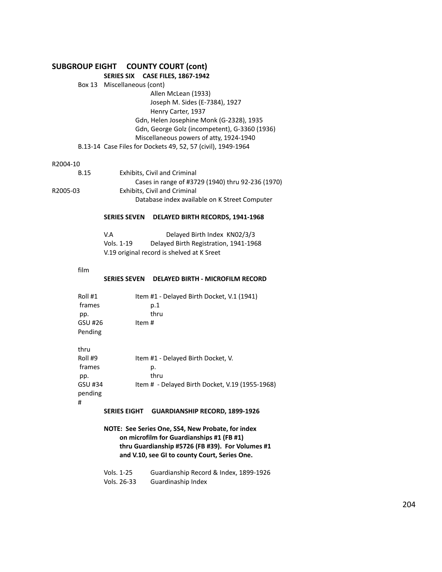# **SERIES SIX CASE FILES, 1867-1942**

| Box 13 Miscellaneous (cont)                                  |
|--------------------------------------------------------------|
| Allen McLean (1933)                                          |
| Joseph M. Sides (E-7384), 1927                               |
| Henry Carter, 1937                                           |
| Gdn, Helen Josephine Monk (G-2328), 1935                     |
| Gdn, George Golz (incompetent), G-3360 (1936)                |
| Miscellaneous powers of atty, 1924-1940                      |
| B.13-14 Case Files for Dockets 49, 52, 57 (civil), 1949-1964 |

#### R2004-10

| <b>B.15</b> | <b>Exhibits. Civil and Criminal</b>               |
|-------------|---------------------------------------------------|
|             | Cases in range of #3729 (1940) thru 92-236 (1970) |
| R2005-03    | Exhibits, Civil and Criminal                      |
|             | Database index available on K Street Computer     |
|             |                                                   |

#### **SERIES SEVEN DELAYED BIRTH RECORDS, 1941-1968**

| V.A        | Delayed Birth Index KN02/3/3               |
|------------|--------------------------------------------|
| Vols. 1-19 | Delayed Birth Registration, 1941-1968      |
|            | V.19 original record is shelved at K Sreet |

film

#

#### **SERIES SEVEN DELAYED BIRTH - MICROFILM RECORD**

| Roll #1<br>frames<br>pp.                               | Item #1 - Delayed Birth Docket, V.1 (1941)<br>p.1<br>thru                                           |
|--------------------------------------------------------|-----------------------------------------------------------------------------------------------------|
| GSU #26<br>Pending                                     | Item #                                                                                              |
| thru<br>Roll #9<br>frames<br>pp.<br>GSU #34<br>pending | Item #1 - Delayed Birth Docket, V.<br>р.<br>thru<br>Item # - Delayed Birth Docket, V.19 (1955-1968) |

#### **SERIES EIGHT GUARDIANSHIP RECORD, 1899-1926**

**NOTE: See Series One, SS4, New Probate, for index on microfilm for Guardianships #1 (FB #1) thru Guardianship #5726 (FB #39). For Volumes #1 and V.10, see GI to county Court, Series One.**

| Vols. 1-25  | Guardianship Record & Index, 1899-1926 |
|-------------|----------------------------------------|
| Vols. 26-33 | Guardinaship Index                     |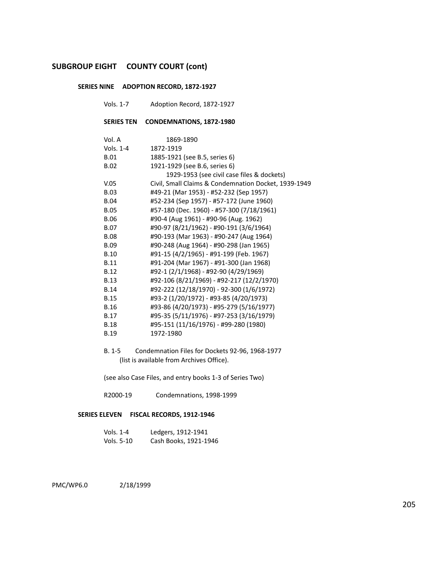#### **SERIES NINE ADOPTION RECORD, 1872-1927**

Vols. 1-7 Adoption Record, 1872-1927

## **SERIES TEN CONDEMNATIONS, 1872-1980**

| Vol. A      | 1869-1890                                            |
|-------------|------------------------------------------------------|
| Vols. 1-4   | 1872-1919                                            |
| <b>B.01</b> | 1885-1921 (see B.5, series 6)                        |
| <b>B.02</b> | 1921-1929 (see B.6, series 6)                        |
|             | 1929-1953 (see civil case files & dockets)           |
| V.05        | Civil, Small Claims & Condemnation Docket, 1939-1949 |
| <b>B.03</b> | #49-21 (Mar 1953) - #52-232 (Sep 1957)               |
| <b>B.04</b> | #52-234 (Sep 1957) - #57-172 (June 1960)             |
| <b>B.05</b> | #57-180 (Dec. 1960) - #57-300 (7/18/1961)            |
| <b>B.06</b> | #90-4 (Aug 1961) - #90-96 (Aug. 1962)                |
| <b>B.07</b> | #90-97 (8/21/1962) - #90-191 (3/6/1964)              |
| <b>B.08</b> | #90-193 (Mar 1963) - #90-247 (Aug 1964)              |
| <b>B.09</b> | #90-248 (Aug 1964) - #90-298 (Jan 1965)              |
| <b>B.10</b> | #91-15 (4/2/1965) - #91-199 (Feb. 1967)              |
| <b>B.11</b> | #91-204 (Mar 1967) - #91-300 (Jan 1968)              |
| <b>B.12</b> | #92-1 (2/1/1968) - #92-90 (4/29/1969)                |
| <b>B.13</b> | #92-106 (8/21/1969) - #92-217 (12/2/1970)            |
| <b>B.14</b> | #92-222 (12/18/1970) - 92-300 (1/6/1972)             |
| <b>B.15</b> | #93-2 (1/20/1972) - #93-85 (4/20/1973)               |
| <b>B.16</b> | #93-86 (4/20/1973) - #95-279 (5/16/1977)             |
| <b>B.17</b> | #95-35 (5/11/1976) - #97-253 (3/16/1979)             |
| <b>B.18</b> | #95-151 (11/16/1976) - #99-280 (1980)                |
| <b>B.19</b> | 1972-1980                                            |

B. 1-5 Condemnation Files for Dockets 92-96, 1968-1977 (list is available from Archives Office).

(see also Case Files, and entry books 1-3 of Series Two)

R2000-19 Condemnations, 1998-1999

#### **SERIES ELEVEN FISCAL RECORDS, 1912-1946**

| Vols. $1-4$ | Ledgers, 1912-1941    |
|-------------|-----------------------|
| Vols. 5-10  | Cash Books, 1921-1946 |

PMC/WP6.0 2/18/1999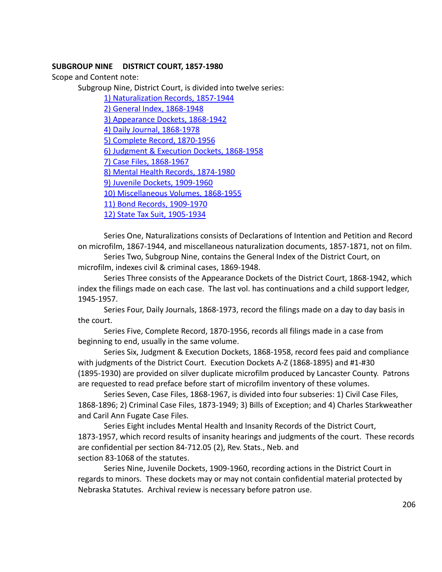# **SUBGROUP NINE DISTRICT COURT, 1857-1980**

Scope and Content note:

Subgroup Nine, District Court, is divided into twelve series:

[1\) Naturalization Records, 1857-1944](#page-206-0)

[2\) General Index, 1868-1948](#page-215-0)

[3\) Appearance Dockets, 1868-1942](#page-223-0)

[4\) Daily Journal, 1868-1978](#page-223-1)

[5\) Complete Record, 1870-1956](#page-223-2)

[6\) Judgment & Execution Dockets, 1868-1958](#page-223-3)

[7\) Case Files, 1868-1967](#page-233-0)

[8\) Mental Health Records, 1874-1980](#page-244-0)

[9\) Juvenile Dockets, 1909-1960](#page-244-1)

[10\) Miscellaneous Volumes, 1868-1955](#page-244-2)

[11\) Bond Records, 1909-1970](#page-245-0)

[12\) State Tax Suit, 1905-1934](#page-245-1)

Series One, Naturalizations consists of Declarations of Intention and Petition and Record on microfilm, 1867-1944, and miscellaneous naturalization documents, 1857-1871, not on film.

Series Two, Subgroup Nine, contains the General Index of the District Court, on microfilm, indexes civil & criminal cases, 1869-1948.

Series Three consists of the Appearance Dockets of the District Court, 1868-1942, which index the filings made on each case. The last vol. has continuations and a child support ledger, 1945-1957.

Series Four, Daily Journals, 1868-1973, record the filings made on a day to day basis in the court.

Series Five, Complete Record, 1870-1956, records all filings made in a case from beginning to end, usually in the same volume.

Series Six, Judgment & Execution Dockets, 1868-1958, record fees paid and compliance with judgments of the District Court. Execution Dockets A-Z (1868-1895) and #1-#30 (1895-1930) are provided on silver duplicate microfilm produced by Lancaster County. Patrons are requested to read preface before start of microfilm inventory of these volumes.

Series Seven, Case Files, 1868-1967, is divided into four subseries: 1) Civil Case Files, 1868-1896; 2) Criminal Case Files, 1873-1949; 3) Bills of Exception; and 4) Charles Starkweather and Caril Ann Fugate Case Files.

Series Eight includes Mental Health and Insanity Records of the District Court, 1873-1957, which record results of insanity hearings and judgments of the court. These records are confidential per section 84-712.05 (2), Rev. Stats., Neb. and section 83-1068 of the statutes.

Series Nine, Juvenile Dockets, 1909-1960, recording actions in the District Court in regards to minors. These dockets may or may not contain confidential material protected by Nebraska Statutes. Archival review is necessary before patron use.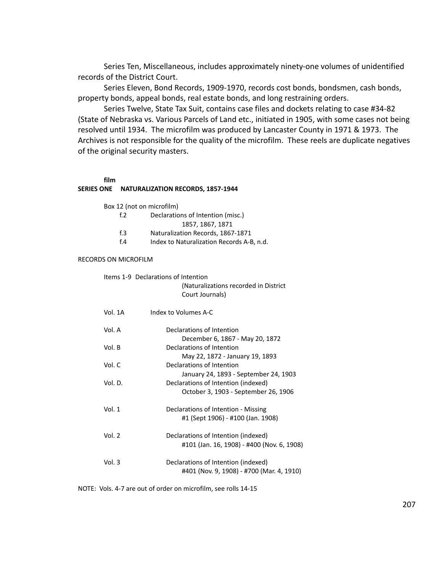Series Ten, Miscellaneous, includes approximately ninety-one volumes of unidentified records of the District Court.

Series Eleven, Bond Records, 1909-1970, records cost bonds, bondsmen, cash bonds, property bonds, appeal bonds, real estate bonds, and long restraining orders.

Series Twelve, State Tax Suit, contains case files and dockets relating to case #34-82 (State of Nebraska vs. Various Parcels of Land etc., initiated in 1905, with some cases not being resolved until 1934. The microfilm was produced by Lancaster County in 1971 & 1973. The Archives is not responsible for the quality of the microfilm. These reels are duplicate negatives of the original security masters.

#### **film**

#### <span id="page-206-0"></span>**SERIES ONE NATURALIZATION RECORDS, 1857-1944**

Box 12 (not on microfilm)

- f.2 Declarations of Intention (misc.)
	- 1857, 1867, 1871
- f.3 Naturalization Records, 1867-1871
- f.4 Index to Naturalization Records A-B, n.d.

#### RECORDS ON MICROFILM

|          | Items 1-9 Declarations of Intention<br>(Naturalizations recorded in District<br>Court Journals)                      |
|----------|----------------------------------------------------------------------------------------------------------------------|
| Vol. 1A  | Index to Volumes A-C                                                                                                 |
| Vol. A   | Declarations of Intention<br>December 6, 1867 - May 20, 1872                                                         |
| Vol. B   | Declarations of Intention<br>May 22, 1872 - January 19, 1893                                                         |
| Vol. C   | Declarations of Intention                                                                                            |
| Vol. D.  | January 24, 1893 - September 24, 1903<br>Declarations of Intention (indexed)<br>October 3, 1903 - September 26, 1906 |
| Vol. $1$ | Declarations of Intention - Missing<br>#1 (Sept 1906) - #100 (Jan. 1908)                                             |
| Vol. $2$ | Declarations of Intention (indexed)<br>#101 (Jan. 16, 1908) - #400 (Nov. 6, 1908)                                    |
| Vol. 3   | Declarations of Intention (indexed)<br>#401 (Nov. 9, 1908) - #700 (Mar. 4, 1910)                                     |

NOTE: Vols. 4-7 are out of order on microfilm, see rolls 14-15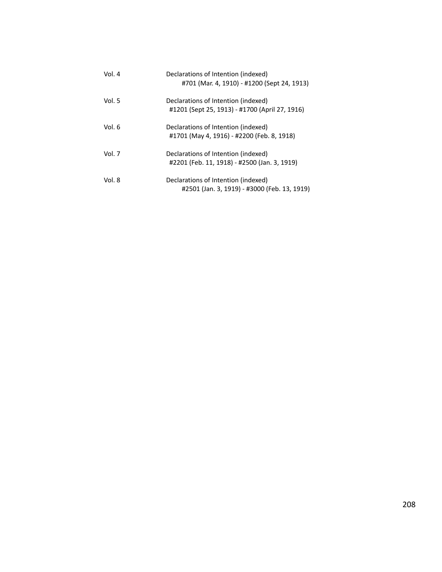| Vol. 4 | Declarations of Intention (indexed)<br>#701 (Mar. 4, 1910) - #1200 (Sept 24, 1913)    |
|--------|---------------------------------------------------------------------------------------|
| Vol. 5 | Declarations of Intention (indexed)<br>#1201 (Sept 25, 1913) - #1700 (April 27, 1916) |
| Vol. 6 | Declarations of Intention (indexed)<br>#1701 (May 4, 1916) - #2200 (Feb. 8, 1918)     |
| Vol. 7 | Declarations of Intention (indexed)<br>#2201 (Feb. 11, 1918) - #2500 (Jan. 3, 1919)   |
| Vol. 8 | Declarations of Intention (indexed)<br>#2501 (Jan. 3, 1919) - #3000 (Feb. 13, 1919)   |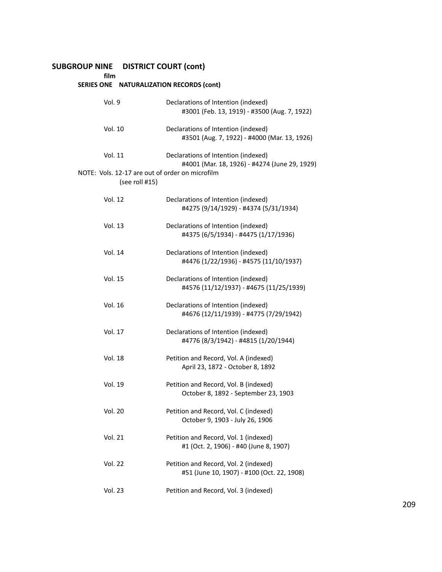# **SUBGROUP NINE DISTRICT COURT (cont)**

**film**

|  | SERIES ONE NATURALIZATION RECORDS (cont) |
|--|------------------------------------------|
|--|------------------------------------------|

| Vol. 9                                                            | Declarations of Intention (indexed)<br>#3001 (Feb. 13, 1919) - #3500 (Aug. 7, 1922)  |
|-------------------------------------------------------------------|--------------------------------------------------------------------------------------|
| Vol. 10                                                           | Declarations of Intention (indexed)<br>#3501 (Aug. 7, 1922) - #4000 (Mar. 13, 1926)  |
| Vol. 11                                                           | Declarations of Intention (indexed)<br>#4001 (Mar. 18, 1926) - #4274 (June 29, 1929) |
| NOTE: Vols. 12-17 are out of order on microfilm<br>(see roll #15) |                                                                                      |
| Vol. 12                                                           | Declarations of Intention (indexed)<br>#4275 (9/14/1929) - #4374 (5/31/1934)         |
| Vol. 13                                                           | Declarations of Intention (indexed)<br>#4375 (6/5/1934) - #4475 (1/17/1936)          |
| Vol. 14                                                           | Declarations of Intention (indexed)<br>#4476 (1/22/1936) - #4575 (11/10/1937)        |
| Vol. 15                                                           | Declarations of Intention (indexed)<br>#4576 (11/12/1937) - #4675 (11/25/1939)       |
| Vol. 16                                                           | Declarations of Intention (indexed)<br>#4676 (12/11/1939) - #4775 (7/29/1942)        |
| Vol. 17                                                           | Declarations of Intention (indexed)<br>#4776 (8/3/1942) - #4815 (1/20/1944)          |
| <b>Vol. 18</b>                                                    | Petition and Record, Vol. A (indexed)<br>April 23, 1872 - October 8, 1892            |
| <b>Vol. 19</b>                                                    | Petition and Record, Vol. B (indexed)<br>October 8, 1892 - September 23, 1903        |
| <b>Vol. 20</b>                                                    | Petition and Record, Vol. C (indexed)<br>October 9, 1903 - July 26, 1906             |
| <b>Vol. 21</b>                                                    | Petition and Record, Vol. 1 (indexed)<br>#1 (Oct. 2, 1906) - #40 (June 8, 1907)      |
| <b>Vol. 22</b>                                                    | Petition and Record, Vol. 2 (indexed)<br>#51 (June 10, 1907) - #100 (Oct. 22, 1908)  |
| <b>Vol. 23</b>                                                    | Petition and Record, Vol. 3 (indexed)                                                |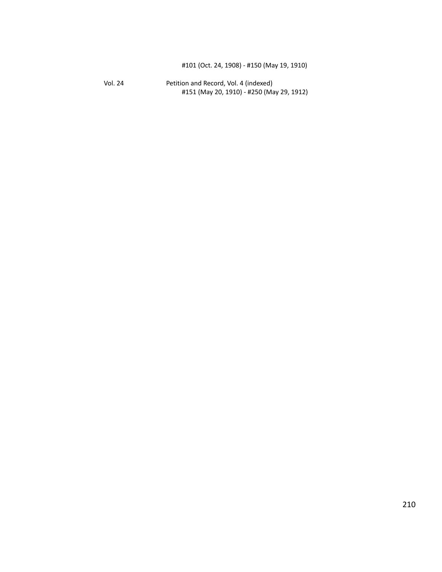Vol. 24 Petition and Record, Vol. 4 (indexed) #151 (May 20, 1910) - #250 (May 29, 1912)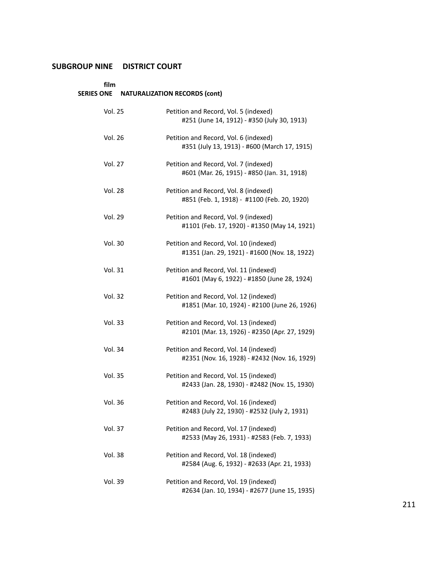# **SUBGROUP NINE DISTRICT COURT**

# **film**

# **SERIES ONE NATURALIZATION RECORDS (cont)**

| <b>Vol. 25</b> | Petition and Record, Vol. 5 (indexed)<br>#251 (June 14, 1912) - #350 (July 30, 1913)    |
|----------------|-----------------------------------------------------------------------------------------|
| <b>Vol. 26</b> | Petition and Record, Vol. 6 (indexed)<br>#351 (July 13, 1913) - #600 (March 17, 1915)   |
| Vol. 27        | Petition and Record, Vol. 7 (indexed)<br>#601 (Mar. 26, 1915) - #850 (Jan. 31, 1918)    |
| Vol. 28        | Petition and Record, Vol. 8 (indexed)<br>#851 (Feb. 1, 1918) - #1100 (Feb. 20, 1920)    |
| Vol. 29        | Petition and Record, Vol. 9 (indexed)<br>#1101 (Feb. 17, 1920) - #1350 (May 14, 1921)   |
| <b>Vol. 30</b> | Petition and Record, Vol. 10 (indexed)<br>#1351 (Jan. 29, 1921) - #1600 (Nov. 18, 1922) |
| Vol. 31        | Petition and Record, Vol. 11 (indexed)<br>#1601 (May 6, 1922) - #1850 (June 28, 1924)   |
| <b>Vol. 32</b> | Petition and Record, Vol. 12 (indexed)<br>#1851 (Mar. 10, 1924) - #2100 (June 26, 1926) |
| <b>Vol. 33</b> | Petition and Record, Vol. 13 (indexed)<br>#2101 (Mar. 13, 1926) - #2350 (Apr. 27, 1929) |
| Vol. 34        | Petition and Record, Vol. 14 (indexed)<br>#2351 (Nov. 16, 1928) - #2432 (Nov. 16, 1929) |
| <b>Vol. 35</b> | Petition and Record, Vol. 15 (indexed)<br>#2433 (Jan. 28, 1930) - #2482 (Nov. 15, 1930) |
| <b>Vol. 36</b> | Petition and Record, Vol. 16 (indexed)<br>#2483 (July 22, 1930) - #2532 (July 2, 1931)  |
| <b>Vol. 37</b> | Petition and Record, Vol. 17 (indexed)<br>#2533 (May 26, 1931) - #2583 (Feb. 7, 1933)   |
| <b>Vol. 38</b> | Petition and Record, Vol. 18 (indexed)<br>#2584 (Aug. 6, 1932) - #2633 (Apr. 21, 1933)  |
| Vol. 39        | Petition and Record, Vol. 19 (indexed)<br>#2634 (Jan. 10, 1934) - #2677 (June 15, 1935) |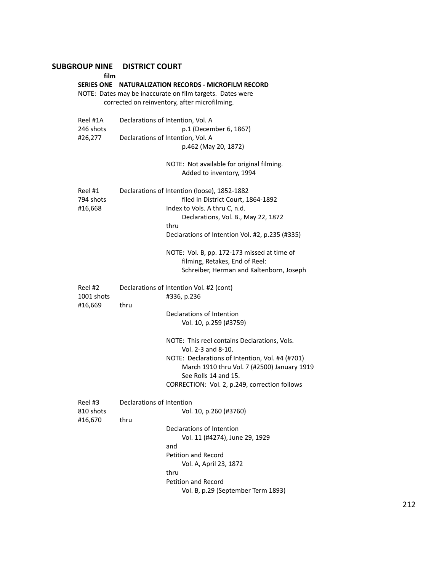# **SUBGROUP NINE DISTRICT COURT film SERIES ONE NATURALIZATION RECORDS - MICROFILM RECORD** NOTE: Dates may be inaccurate on film targets. Dates were corrected on reinventory, after microfilming. Reel #1A Declarations of Intention, Vol. A 246 shots p.1 (December 6, 1867) #26,277 Declarations of Intention, Vol. A p.462 (May 20, 1872) NOTE: Not available for original filming. Added to inventory, 1994 Reel #1 Declarations of Intention (loose), 1852-1882 794 shots filed in District Court, 1864-1892 #16,668 Index to Vols. A thru C, n.d. Declarations, Vol. B., May 22, 1872 thru Declarations of Intention Vol. #2, p.235 (#335) NOTE: Vol. B, pp. 172-173 missed at time of filming, Retakes, End of Reel: Schreiber, Herman and Kaltenborn, Joseph Reel #2 Declarations of Intention Vol. #2 (cont) 1001 shots #336, p.236 #16,669 thru Declarations of Intention Vol. 10, p.259 (#3759) NOTE: This reel contains Declarations, Vols. Vol. 2-3 and 8-10. NOTE: Declarations of Intention, Vol. #4 (#701) March 1910 thru Vol. 7 (#2500) January 1919 See Rolls 14 and 15. CORRECTION: Vol. 2, p.249, correction follows Reel #3 Declarations of Intention<br>810 shots Vol. Vol. 10, p.260 (#3760) #16,670 thru Declarations of Intention Vol. 11 (#4274), June 29, 1929 and Petition and Record Vol. A, April 23, 1872 thru

Petition and Record

Vol. B, p.29 (September Term 1893)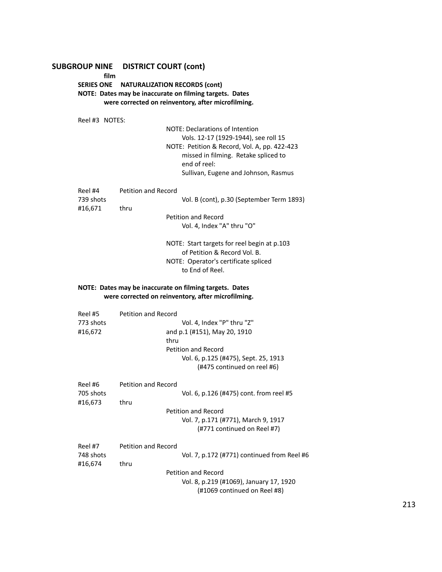# **SUBGROUP NINE DISTRICT COURT (cont)**

**film**

# **SERIES ONE NATURALIZATION RECORDS (cont) NOTE: Dates may be inaccurate on filming targets. Dates were corrected on reinventory, after microfilming.**

Reel #3 NOTES: NOTE: Declarations of Intention Vols. 12-17 (1929-1944), see roll 15 NOTE: Petition & Record, Vol. A, pp. 422-423 missed in filming. Retake spliced to end of reel: Sullivan, Eugene and Johnson, Rasmus Reel #4 Petition and Record

| 739 shots |      | Vol. B (cont), p.30 (September Term 1893) |
|-----------|------|-------------------------------------------|
| #16.671   | thru |                                           |
|           |      | Petition and Record                       |
|           |      | Vol. 4. Index "A" thru "O"                |
|           |      |                                           |

NOTE: Start targets for reel begin at p.103 of Petition & Record Vol. B. NOTE: Operator's certificate spliced to End of Reel.

#### **NOTE: Dates may be inaccurate on filming targets. Dates were corrected on reinventory, after microfilming.**

| Reel #5   | Petition and Record                         |  |
|-----------|---------------------------------------------|--|
| 773 shots | Vol. 4, Index "P" thru "Z"                  |  |
| #16,672   | and p.1 (#151), May 20, 1910                |  |
|           | thru                                        |  |
|           | Petition and Record                         |  |
|           | Vol. 6, p.125 (#475), Sept. 25, 1913        |  |
|           | (#475 continued on reel #6)                 |  |
| Reel #6   | Petition and Record                         |  |
| 705 shots | Vol. 6, p.126 (#475) cont. from reel #5     |  |
| #16,673   | thru                                        |  |
|           | Petition and Record                         |  |
|           | Vol. 7, p.171 (#771), March 9, 1917         |  |
|           | (#771 continued on Reel #7)                 |  |
| Reel #7   | <b>Petition and Record</b>                  |  |
| 748 shots | Vol. 7, p.172 (#771) continued from Reel #6 |  |
| #16,674   | thru                                        |  |
|           | Petition and Record                         |  |
|           | Vol. 8, p.219 (#1069), January 17, 1920     |  |
|           | (#1069 continued on Reel #8)                |  |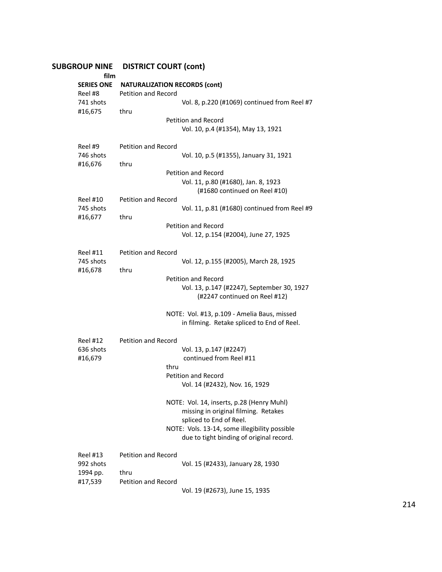| <b>SUBGROUP NINE</b><br>film | <b>DISTRICT COURT (cont)</b>                                                              |
|------------------------------|-------------------------------------------------------------------------------------------|
| <b>SERIES ONE</b><br>Reel #8 | <b>NATURALIZATION RECORDS (cont)</b><br><b>Petition and Record</b>                        |
| 741 shots<br>#16,675         | Vol. 8, p.220 (#1069) continued from Reel #7<br>thru                                      |
|                              | <b>Petition and Record</b><br>Vol. 10, p.4 (#1354), May 13, 1921                          |
| Reel #9<br>746 shots         | <b>Petition and Record</b><br>Vol. 10, p.5 (#1355), January 31, 1921                      |
| #16,676                      | thru                                                                                      |
|                              | <b>Petition and Record</b>                                                                |
|                              | Vol. 11, p.80 (#1680), Jan. 8, 1923<br>(#1680 continued on Reel #10)                      |
| <b>Reel #10</b>              | Petition and Record                                                                       |
| 745 shots<br>#16,677         | Vol. 11, p.81 (#1680) continued from Reel #9<br>thru                                      |
|                              | Petition and Record                                                                       |
|                              | Vol. 12, p.154 (#2004), June 27, 1925                                                     |
| <b>Reel #11</b>              | <b>Petition and Record</b>                                                                |
| 745 shots                    | Vol. 12, p.155 (#2005), March 28, 1925                                                    |
| #16,678                      | thru                                                                                      |
|                              | Petition and Record                                                                       |
|                              | Vol. 13, p.147 (#2247), September 30, 1927<br>(#2247 continued on Reel #12)               |
|                              | NOTE: Vol. #13, p.109 - Amelia Baus, missed<br>in filming. Retake spliced to End of Reel. |
| <b>Reel #12</b>              | Petition and Record                                                                       |
| 636 shots                    | Vol. 13, p.147 (#2247)                                                                    |
| #16,679                      | continued from Reel #11                                                                   |
|                              | thru                                                                                      |
|                              | <b>Petition and Record</b>                                                                |
|                              | Vol. 14 (#2432), Nov. 16, 1929                                                            |
|                              | NOTE: Vol. 14, inserts, p.28 (Henry Muhl)                                                 |
|                              | missing in original filming. Retakes                                                      |
|                              | spliced to End of Reel.                                                                   |
|                              | NOTE: Vols. 13-14, some illegibility possible<br>due to tight binding of original record. |
| <b>Reel #13</b>              | <b>Petition and Record</b>                                                                |
| 992 shots                    | Vol. 15 (#2433), January 28, 1930                                                         |
| 1994 pp.                     | thru                                                                                      |
| #17,539                      | Petition and Record                                                                       |
|                              | Vol. 19 (#2673), June 15, 1935                                                            |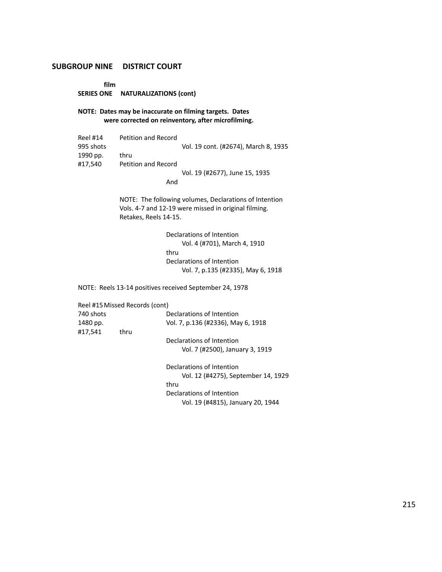### **SUBGROUP NINE DISTRICT COURT**

**film**

**SERIES ONE NATURALIZATIONS (cont)**

**NOTE: Dates may be inaccurate on filming targets. Dates were corrected on reinventory, after microfilming.**

| Reel #14  | Petition and Record |                                      |
|-----------|---------------------|--------------------------------------|
| 995 shots |                     | Vol. 19 cont. (#2674), March 8, 1935 |
| 1990 pp.  | thru                |                                      |
| #17.540   | Petition and Record |                                      |
|           |                     | Vol. 19 (#2677), June 15, 1935       |
|           | And                 |                                      |

NOTE: The following volumes, Declarations of Intention Vols. 4-7 and 12-19 were missed in original filming. Retakes, Reels 14-15.

> Declarations of Intention Vol. 4 (#701), March 4, 1910 thru Declarations of Intention Vol. 7, p.135 (#2335), May 6, 1918

NOTE: Reels 13-14 positives received September 24, 1978

|           | Reel #15 Missed Records (cont) |                                     |
|-----------|--------------------------------|-------------------------------------|
| 740 shots |                                | Declarations of Intention           |
| 1480 pp.  |                                | Vol. 7, p.136 (#2336), May 6, 1918  |
| #17,541   | thru                           |                                     |
|           |                                | Declarations of Intention           |
|           |                                | Vol. 7 (#2500), January 3, 1919     |
|           |                                | Declarations of Intention           |
|           |                                | Vol. 12 (#4275), September 14, 1929 |
|           |                                | thru                                |
|           |                                | Declarations of Intention           |
|           |                                | Vol. 19 (#4815), January 20, 1944   |
|           |                                |                                     |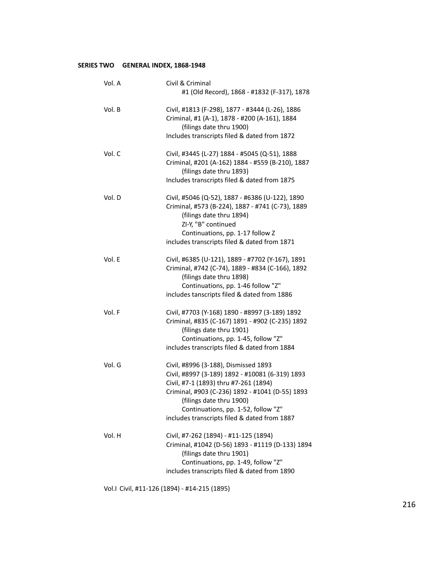# <span id="page-215-0"></span>**SERIES TWO GENERAL INDEX, 1868-1948**

| Vol. A | Civil & Criminal<br>#1 (Old Record), 1868 - #1832 (F-317), 1878                                                                                                                                                                                                                                        |
|--------|--------------------------------------------------------------------------------------------------------------------------------------------------------------------------------------------------------------------------------------------------------------------------------------------------------|
| Vol. B | Civil, #1813 (F-298), 1877 - #3444 (L-26), 1886<br>Criminal, #1 (A-1), 1878 - #200 (A-161), 1884<br>(filings date thru 1900)<br>Includes transcripts filed & dated from 1872                                                                                                                           |
| Vol. C | Civil, #3445 (L-27) 1884 - #5045 (Q-51), 1888<br>Criminal, #201 (A-162) 1884 - #559 (B-210), 1887<br>(filings date thru 1893)<br>Includes transcripts filed & dated from 1875                                                                                                                          |
| Vol. D | Civil, #5046 (Q-52), 1887 - #6386 (U-122), 1890<br>Criminal, #573 (B-224), 1887 - #741 (C-73), 1889<br>(filings date thru 1894)<br>ZI-Y, "B" continued<br>Continuations, pp. 1-17 follow Z<br>includes transcripts filed & dated from 1871                                                             |
| Vol. E | Civil, #6385 (U-121), 1889 - #7702 (Y-167), 1891<br>Criminal, #742 (C-74), 1889 - #834 (C-166), 1892<br>(filings date thru 1898)<br>Continuations, pp. 1-46 follow "Z"<br>includes tanscripts filed & dated from 1886                                                                                  |
| Vol. F | Civil, #7703 (Y-168) 1890 - #8997 (3-189) 1892<br>Criminal, #835 (C-167) 1891 - #902 (C-235) 1892<br>(filings date thru 1901)<br>Continuations, pp. 1-45, follow "Z"<br>includes transcripts filed & dated from 1884                                                                                   |
| Vol. G | Civil, #8996 (3-188), Dismissed 1893<br>Civil, #8997 (3-189) 1892 - #10081 (6-319) 1893<br>Civil, #7-1 (1893) thru #7-261 (1894)<br>Criminal, #903 (C-236) 1892 - #1041 (D-55) 1893<br>(filings date thru 1900)<br>Continuations, pp. 1-52, follow "Z"<br>includes transcripts filed & dated from 1887 |
| Vol. H | Civil, #7-262 (1894) - #11-125 (1894)<br>Criminal, #1042 (D-56) 1893 - #1119 (D-133) 1894<br>(filings date thru 1901)<br>Continuations, pp. 1-49, follow "Z"<br>includes transcripts filed & dated from 1890                                                                                           |

Vol.I Civil, #11-126 (1894) - #14-215 (1895)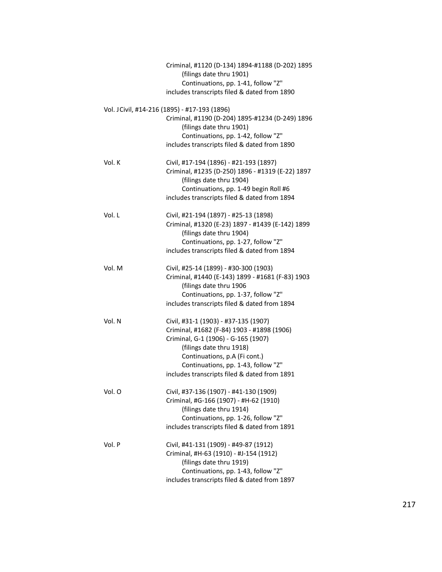|        | Criminal, #1120 (D-134) 1894-#1188 (D-202) 1895<br>(filings date thru 1901)<br>Continuations, pp. 1-41, follow "Z"                                                                                                                                                            |
|--------|-------------------------------------------------------------------------------------------------------------------------------------------------------------------------------------------------------------------------------------------------------------------------------|
|        | includes transcripts filed & dated from 1890                                                                                                                                                                                                                                  |
|        | Vol. J Civil, #14-216 (1895) - #17-193 (1896)                                                                                                                                                                                                                                 |
|        | Criminal, #1190 (D-204) 1895-#1234 (D-249) 1896<br>(filings date thru 1901)                                                                                                                                                                                                   |
|        | Continuations, pp. 1-42, follow "Z"<br>includes transcripts filed & dated from 1890                                                                                                                                                                                           |
| Vol. K | Civil, #17-194 (1896) - #21-193 (1897)<br>Criminal, #1235 (D-250) 1896 - #1319 (E-22) 1897<br>(filings date thru 1904)<br>Continuations, pp. 1-49 begin Roll #6                                                                                                               |
|        | includes transcripts filed & dated from 1894                                                                                                                                                                                                                                  |
| Vol. L | Civil, #21-194 (1897) - #25-13 (1898)<br>Criminal, #1320 (E-23) 1897 - #1439 (E-142) 1899<br>(filings date thru 1904)<br>Continuations, pp. 1-27, follow "Z"                                                                                                                  |
|        | includes transcripts filed & dated from 1894                                                                                                                                                                                                                                  |
| Vol. M | Civil, #25-14 (1899) - #30-300 (1903)<br>Criminal, #1440 (E-143) 1899 - #1681 (F-83) 1903<br>(filings date thru 1906<br>Continuations, pp. 1-37, follow "Z"                                                                                                                   |
|        | includes transcripts filed & dated from 1894                                                                                                                                                                                                                                  |
| Vol. N | Civil, #31-1 (1903) - #37-135 (1907)<br>Criminal, #1682 (F-84) 1903 - #1898 (1906)<br>Criminal, G-1 (1906) - G-165 (1907)<br>(filings date thru 1918)<br>Continuations, p.A (Fi cont.)<br>Continuations, pp. 1-43, follow "Z"<br>includes transcripts filed & dated from 1891 |
| Vol. O | Civil, #37-136 (1907) - #41-130 (1909)<br>Criminal, #G-166 (1907) - #H-62 (1910)<br>(filings date thru 1914)<br>Continuations, pp. 1-26, follow "Z"<br>includes transcripts filed & dated from 1891                                                                           |
| Vol. P | Civil, #41-131 (1909) - #49-87 (1912)<br>Criminal, #H-63 (1910) - #J-154 (1912)<br>(filings date thru 1919)<br>Continuations, pp. 1-43, follow "Z"<br>includes transcripts filed & dated from 1897                                                                            |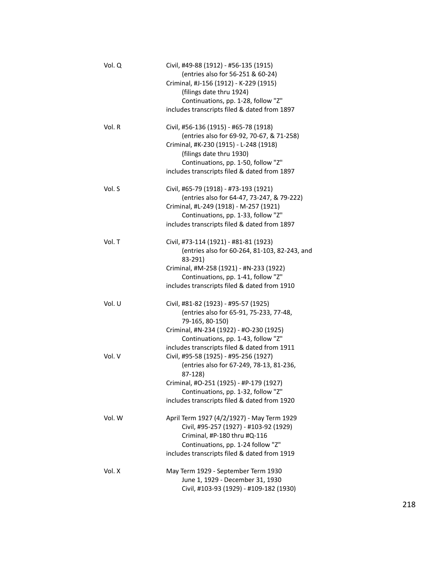| Vol. Q | Civil, #49-88 (1912) - #56-135 (1915)<br>(entries also for 56-251 & 60-24)<br>Criminal, #J-156 (1912) - K-229 (1915)<br>(filings date thru 1924) |
|--------|--------------------------------------------------------------------------------------------------------------------------------------------------|
|        | Continuations, pp. 1-28, follow "Z"                                                                                                              |
|        | includes transcripts filed & dated from 1897                                                                                                     |
| Vol. R | Civil, #56-136 (1915) - #65-78 (1918)                                                                                                            |
|        | (entries also for 69-92, 70-67, & 71-258)<br>Criminal, #K-230 (1915) - L-248 (1918)                                                              |
|        | (filings date thru 1930)                                                                                                                         |
|        | Continuations, pp. 1-50, follow "Z"                                                                                                              |
|        | includes transcripts filed & dated from 1897                                                                                                     |
| Vol. S | Civil, #65-79 (1918) - #73-193 (1921)                                                                                                            |
|        | (entries also for 64-47, 73-247, & 79-222)                                                                                                       |
|        | Criminal, #L-249 (1918) - M-257 (1921)<br>Continuations, pp. 1-33, follow "Z"                                                                    |
|        | includes transcripts filed & dated from 1897                                                                                                     |
|        |                                                                                                                                                  |
| Vol. T | Civil, #73-114 (1921) - #81-81 (1923)                                                                                                            |
|        | (entries also for 60-264, 81-103, 82-243, and<br>83-291)                                                                                         |
|        | Criminal, #M-258 (1921) - #N-233 (1922)                                                                                                          |
|        | Continuations, pp. 1-41, follow "Z"                                                                                                              |
|        | includes transcripts filed & dated from 1910                                                                                                     |
| Vol. U | Civil, #81-82 (1923) - #95-57 (1925)                                                                                                             |
|        | (entries also for 65-91, 75-233, 77-48,<br>79-165, 80-150)                                                                                       |
|        | Criminal, #N-234 (1922) - #O-230 (1925)                                                                                                          |
|        | Continuations, pp. 1-43, follow "Z"                                                                                                              |
|        | includes transcripts filed & dated from 1911                                                                                                     |
| Vol. V | Civil, #95-58 (1925) - #95-256 (1927)                                                                                                            |
|        | (entries also for 67-249, 78-13, 81-236,<br>87-128)                                                                                              |
|        | Criminal, #O-251 (1925) - #P-179 (1927)                                                                                                          |
|        | Continuations, pp. 1-32, follow "Z"                                                                                                              |
|        | includes transcripts filed & dated from 1920                                                                                                     |
| Vol. W | April Term 1927 (4/2/1927) - May Term 1929                                                                                                       |
|        | Civil, #95-257 (1927) - #103-92 (1929)                                                                                                           |
|        | Criminal, #P-180 thru #Q-116                                                                                                                     |
|        | Continuations, pp. 1-24 follow "Z"                                                                                                               |
|        | includes transcripts filed & dated from 1919                                                                                                     |
| Vol. X | May Term 1929 - September Term 1930                                                                                                              |
|        | June 1, 1929 - December 31, 1930                                                                                                                 |
|        | Civil, #103-93 (1929) - #109-182 (1930)                                                                                                          |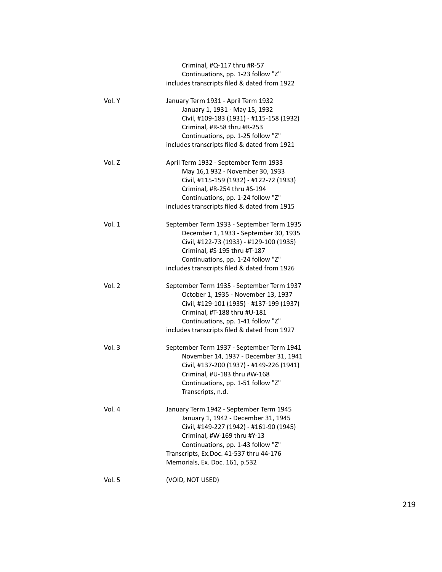|          | Criminal, #Q-117 thru #R-57<br>Continuations, pp. 1-23 follow "Z"<br>includes transcripts filed & dated from 1922                                                                                                                                                           |
|----------|-----------------------------------------------------------------------------------------------------------------------------------------------------------------------------------------------------------------------------------------------------------------------------|
| Vol. Y   | January Term 1931 - April Term 1932<br>January 1, 1931 - May 15, 1932<br>Civil, #109-183 (1931) - #115-158 (1932)<br>Criminal, #R-58 thru #R-253<br>Continuations, pp. 1-25 follow "Z"<br>includes transcripts filed & dated from 1921                                      |
| Vol. Z   | April Term 1932 - September Term 1933<br>May 16,1 932 - November 30, 1933<br>Civil, #115-159 (1932) - #122-72 (1933)<br>Criminal, #R-254 thru #S-194<br>Continuations, pp. 1-24 follow "Z"<br>includes transcripts filed & dated from 1915                                  |
| Vol. $1$ | September Term 1933 - September Term 1935<br>December 1, 1933 - September 30, 1935<br>Civil, #122-73 (1933) - #129-100 (1935)<br>Criminal, #S-195 thru #T-187<br>Continuations, pp. 1-24 follow "Z"<br>includes transcripts filed & dated from 1926                         |
| Vol. 2   | September Term 1935 - September Term 1937<br>October 1, 1935 - November 13, 1937<br>Civil, #129-101 (1935) - #137-199 (1937)<br>Criminal, #T-188 thru #U-181<br>Continuations, pp. 1-41 follow "Z"<br>includes transcripts filed & dated from 1927                          |
| Vol. 3   | September Term 1937 - September Term 1941<br>November 14, 1937 - December 31, 1941<br>Civil, #137-200 (1937) - #149-226 (1941)<br>Criminal, #U-183 thru #W-168<br>Continuations, pp. 1-51 follow "Z"<br>Transcripts, n.d.                                                   |
| Vol. 4   | January Term 1942 - September Term 1945<br>January 1, 1942 - December 31, 1945<br>Civil, #149-227 (1942) - #161-90 (1945)<br>Criminal, #W-169 thru #Y-13<br>Continuations, pp. 1-43 follow "Z"<br>Transcripts, Ex.Doc. 41-537 thru 44-176<br>Memorials, Ex. Doc. 161, p.532 |
| Vol. 5   | (VOID, NOT USED)                                                                                                                                                                                                                                                            |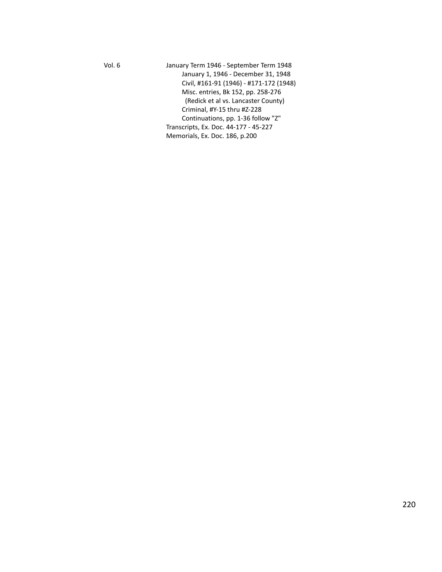Vol. 6 January Term 1946 - September Term 1948 January 1, 1946 - December 31, 1948 Civil, #161-91 (1946) - #171-172 (1948) Misc. entries, Bk 152, pp. 258-276 (Redick et al vs. Lancaster County) Criminal, #Y-15 thru #Z-228 Continuations, pp. 1-36 follow "Z" Transcripts, Ex. Doc. 44-177 - 45-227 Memorials, Ex. Doc. 186, p.200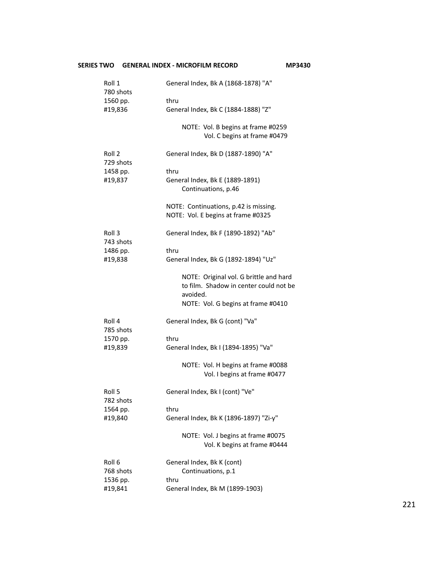# **SERIES TWO GENERAL INDEX - MICROFILM RECORD MP3430** Roll 1 General Index, Bk A (1868-1878) "A" 780 shots 1560 pp. thru #19,836 General Index, Bk C (1884-1888) "Z" NOTE: Vol. B begins at frame #0259 Vol. C begins at frame #0479 Roll 2 General Index, Bk D (1887-1890) "A" 729 shots 1458 pp. thru #19,837 General Index, Bk E (1889-1891) Continuations, p.46 NOTE: Continuations, p.42 is missing. NOTE: Vol. E begins at frame #0325 Roll 3 General Index, Bk F (1890-1892) "Ab" 743 shots 1486 pp. thru #19,838 General Index, Bk G (1892-1894) "Uz" NOTE: Original vol. G brittle and hard to film. Shadow in center could not be avoided. NOTE: Vol. G begins at frame #0410 Roll 4 General Index, Bk G (cont) "Va" 785 shots 1570 pp. thru #19,839 General Index, Bk I (1894-1895) "Va" NOTE: Vol. H begins at frame #0088 Vol. I begins at frame #0477 Roll 5 General Index, Bk I (cont) "Ve" 782 shots 1564 pp. thru #19,840 General Index, Bk K (1896-1897) "Zi-y" NOTE: Vol. J begins at frame #0075 Vol. K begins at frame #0444 Roll 6 General Index, Bk K (cont) 768 shots Continuations, p.1 1536 pp. thru #19,841 General Index, Bk M (1899-1903)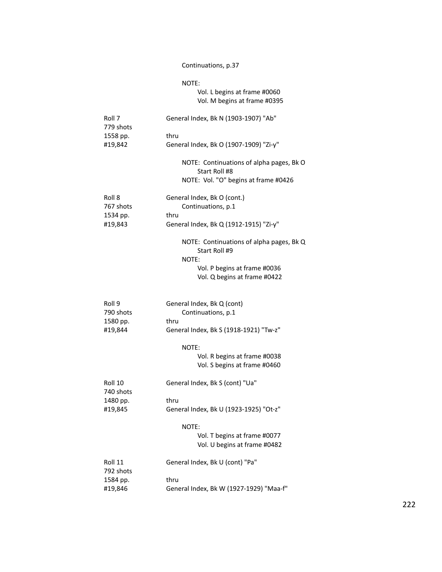## Continuations, p.37

|                                            | NOTE:<br>Vol. L begins at frame #0060<br>Vol. M begins at frame #0395                                                              |
|--------------------------------------------|------------------------------------------------------------------------------------------------------------------------------------|
| Roll 7<br>779 shots<br>1558 pp.<br>#19,842 | General Index, Bk N (1903-1907) "Ab"                                                                                               |
|                                            | thru<br>General Index, Bk O (1907-1909) "Zi-y"                                                                                     |
|                                            | NOTE: Continuations of alpha pages, Bk O<br>Start Roll #8<br>NOTE: Vol. "O" begins at frame #0426                                  |
| Roll 8<br>767 shots                        | General Index, Bk O (cont.)<br>Continuations, p.1                                                                                  |
| 1534 pp.<br>#19,843                        | thru<br>General Index, Bk Q (1912-1915) "Zi-y"                                                                                     |
|                                            | NOTE: Continuations of alpha pages, Bk Q<br>Start Roll #9<br>NOTE:<br>Vol. P begins at frame #0036<br>Vol. Q begins at frame #0422 |
| Roll 9<br>790 shots<br>1580 pp.            | General Index, Bk Q (cont)<br>Continuations, p.1<br>thru                                                                           |
| #19,844                                    | General Index, Bk S (1918-1921) "Tw-z"                                                                                             |
|                                            | NOTE:<br>Vol. R begins at frame #0038<br>Vol. S begins at frame #0460                                                              |
| Roll 10                                    | General Index, Bk S (cont) "Ua"                                                                                                    |
| 740 shots<br>1480 pp.                      | thru                                                                                                                               |
| #19,845                                    | General Index, Bk U (1923-1925) "Ot-z"                                                                                             |
|                                            | NOTE:<br>Vol. T begins at frame #0077<br>Vol. U begins at frame #0482                                                              |
| Roll 11<br>792 shots                       | General Index, Bk U (cont) "Pa"                                                                                                    |
| 1584 pp.                                   | thru                                                                                                                               |
| #19,846                                    | General Index, Bk W (1927-1929) "Maa-f"                                                                                            |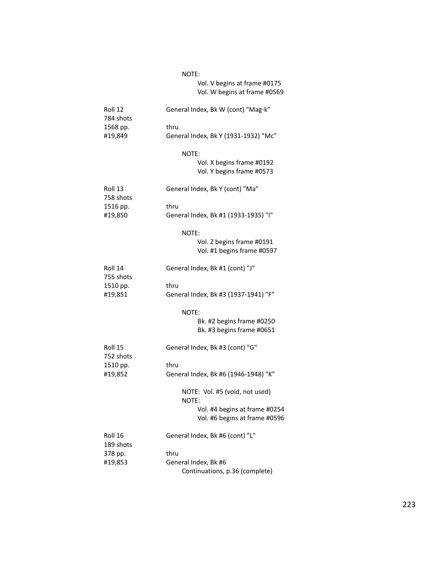#### N O T

# E:<br>Vol. V begins at frame #0175 Vol. W begins at frame #0569

| Roll 12<br>784 shots  | General Index, Bk W (cont) "Mag-k"<br>thru              |  |  |
|-----------------------|---------------------------------------------------------|--|--|
| 1568 pp.              |                                                         |  |  |
| #19,849               | General Index, Bk Y (1931-1932) "Mc"                    |  |  |
|                       | NOTE:                                                   |  |  |
|                       | Vol. X begins frame #0192<br>Vol. Y begins frame #0573  |  |  |
| Roll 13<br>758 shots  | General Index, Bk Y (cont) "Ma"                         |  |  |
| 1516 pp.              | thru                                                    |  |  |
| #19,850               | General Index, Bk #1 (1933-1935) "I"                    |  |  |
|                       | NOTE:                                                   |  |  |
|                       | Vol. Z begins frame #0191<br>Vol. #1 begins frame #0597 |  |  |
| Roll 14               | General Index, Bk #1 (cont) "J"                         |  |  |
| 755 shots<br>1510 pp. | thru                                                    |  |  |
| #19,851               | General Index, Bk #3 (1937-1941) "F"                    |  |  |
|                       | NOTE:                                                   |  |  |
|                       | Bk. #2 begins frame #0250<br>Bk. #3 begins frame #0651  |  |  |
| Roll 15<br>752 shots  | General Index, Bk #3 (cont) "G"                         |  |  |
| 1510 pp.              | thru                                                    |  |  |
| #19,852               | General Index, Bk #6 (1946-1948) "K"                    |  |  |
|                       | NOTE: Vol. #5 (void, not used)<br>NOTE:                 |  |  |
|                       | Vol. #4 begins at frame #0254                           |  |  |
|                       | Vol. #6 begins at frame #0596                           |  |  |
| Roll 16<br>189 shots  | General Index, Bk #6 (cont) "L"                         |  |  |
| 378 pp.               | thru                                                    |  |  |
| #19,853               | General Index, Bk #6                                    |  |  |
|                       | Continuations, p.36 (complete)                          |  |  |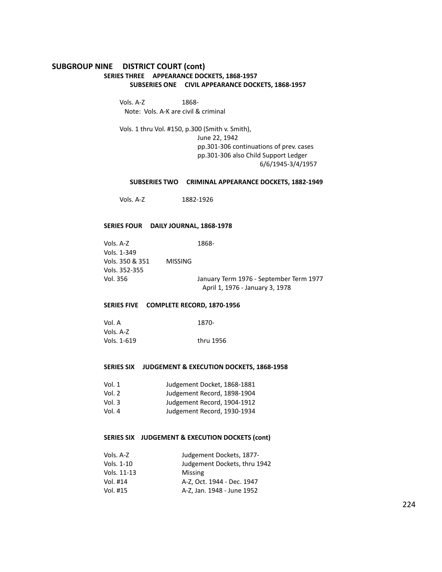## **SUBGROUP NINE DISTRICT COURT (cont) SERIES THREE APPEARANCE DOCKETS, 1868-1957 SUBSERIES ONE CIVIL APPEARANCE DOCKETS, 1868-1957**

Vols. A-Z 1868- Note: Vols. A-K are civil & criminal

Vols. 1 thru Vol. #150, p.300 (Smith v. Smith), June 22, 1942 pp.301-306 continuations of prev. cases pp.301-306 also Child Support Ledger 6/6/1945-3/4/1957

## **SUBSERIES TWO CRIMINAL APPEARANCE DOCKETS, 1882-1949**

Vols. A-Z 1882-1926

#### **SERIES FOUR DAILY JOURNAL, 1868-1978**

| Vols. A-Z       |                | 1868-                                   |
|-----------------|----------------|-----------------------------------------|
| Vols. 1-349     |                |                                         |
| Vols. 350 & 351 | <b>MISSING</b> |                                         |
| Vols. 352-355   |                |                                         |
| Vol. 356        |                | January Term 1976 - September Term 1977 |
|                 |                | April 1, 1976 - January 3, 1978         |

## **SERIES FIVE COMPLETE RECORD, 1870-1956**

| Vol. A      | 1870-     |
|-------------|-----------|
| Vols. A-Z   |           |
| Vols. 1-619 | thru 1956 |

### **SERIES SIX JUDGEMENT & EXECUTION DOCKETS, 1868-1958**

| Vol. $1$ | Judgement Docket, 1868-1881 |
|----------|-----------------------------|
| Vol. 2   | Judgement Record, 1898-1904 |
| Vol. $3$ | Judgement Record, 1904-1912 |
| Vol. 4   | Judgement Record, 1930-1934 |

## **SERIES SIX JUDGEMENT & EXECUTION DOCKETS (cont)**

| Judgement Dockets, 1877-     |
|------------------------------|
| Judgement Dockets, thru 1942 |
| <b>Missing</b>               |
| A-Z. Oct. 1944 - Dec. 1947   |
| A-Z, Jan. 1948 - June 1952   |
|                              |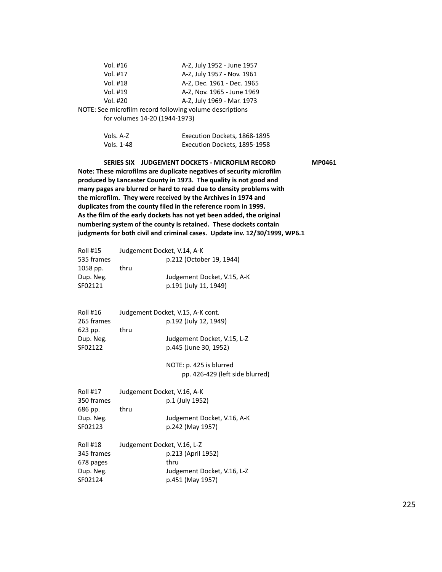| Vol. #16                      | A-Z, July 1952 - June 1957                               |
|-------------------------------|----------------------------------------------------------|
| Vol. #17                      | A-Z, July 1957 - Nov. 1961                               |
| Vol. #18                      | A-Z, Dec. 1961 - Dec. 1965                               |
| Vol. #19                      | A-Z, Nov. 1965 - June 1969                               |
| Vol. #20                      | A-Z, July 1969 - Mar. 1973                               |
|                               | NOTE: See microfilm record following volume descriptions |
| for volumes 14-20 (1944-1973) |                                                          |
|                               |                                                          |
| $Vole$ $A-7$                  | Everution Dockets, 1868-1895                             |

| Vols. A-Z  | Execution Dockets, 1868-1895 |
|------------|------------------------------|
| Vols. 1-48 | Execution Dockets, 1895-1958 |

# **SERIES SIX JUDGEMENT DOCKETS - MICROFILM RECORD MP0461**

**Note: These microfilms are duplicate negatives of security microfilm produced by Lancaster County in 1973. The quality is not good and many pages are blurred or hard to read due to density problems with the microfilm. They were received by the Archives in 1974 and duplicates from the county filed in the reference room in 1999. As the film of the early dockets has not yet been added, the original numbering system of the county is retained. These dockets contain judgments for both civil and criminal cases. Update inv. 12/30/1999, WP6.1**

| <b>Roll #15</b> | Judgement Docket, V.14, A-K |                             |
|-----------------|-----------------------------|-----------------------------|
| 535 frames      |                             | p.212 (October 19, 1944)    |
| 1058 pp.        | thru                        |                             |
| Dup. Neg.       |                             | Judgement Docket, V.15, A-K |
| SF02121         |                             | p.191 (July 11, 1949)       |
|                 |                             |                             |

| Roll #16   | Judgement Docket, V.15, A-K cont. |  |
|------------|-----------------------------------|--|
| 265 frames | p.192 (July 12, 1949)             |  |
| 623 pp.    | thru                              |  |
| Dup. Neg.  | Judgement Docket, V.15, L-Z       |  |
| SF02122    | p.445 (June 30, 1952)             |  |
|            |                                   |  |

NOTE: p. 425 is blurred pp. 426-429 (left side blurred)

| <b>Roll #17</b> | Judgement Docket, V.16, A-K |
|-----------------|-----------------------------|
| 350 frames      | p.1 (July 1952)             |
| 686 pp.         | thru                        |
| Dup. Neg.       | Judgement Docket, V.16, A-K |
| SF02123         | p.242 (May 1957)            |
| <b>Roll #18</b> | Judgement Docket, V.16, L-Z |
| 345 frames      | p.213 (April 1952)          |
| 678 pages       | thru                        |
| Dup. Neg.       | Judgement Docket, V.16, L-Z |
| SF02124         |                             |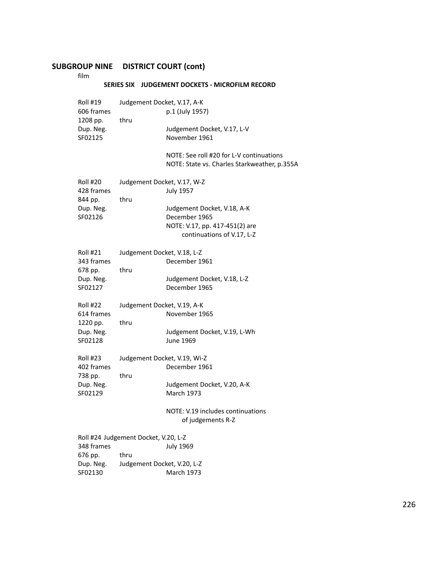# **SUBGROUP NINE DISTRICT COURT (cont)**

film

## **SERIES SIX JUDGEMENT DOCKETS - MICROFILM RECORD**

| <b>Roll #19</b><br>606 frames<br>1208 pp.<br>Dup. Neg.<br>SF02125 | Judgement Docket, V.17, A-K<br>thru                                         | p.1 (July 1957)<br>Judgement Docket, V.17, L-V<br>November 1961<br>NOTE: See roll #20 for L-V continuations<br>NOTE: State vs. Charles Starkweather, p.355A |
|-------------------------------------------------------------------|-----------------------------------------------------------------------------|-------------------------------------------------------------------------------------------------------------------------------------------------------------|
| <b>Roll #20</b><br>428 frames<br>844 pp.<br>Dup. Neg.<br>SF02126  | Judgement Docket, V.17, W-Z<br>thru                                         | <b>July 1957</b><br>Judgement Docket, V.18, A-K<br>December 1965<br>NOTE: V.17, pp. 417-451(2) are<br>continuations of V.17, L-Z                            |
| <b>Roll #21</b><br>343 frames<br>678 pp.<br>Dup. Neg.<br>SF02127  | Judgement Docket, V.18, L-Z<br>thru                                         | December 1961<br>Judgement Docket, V.18, L-Z<br>December 1965                                                                                               |
| Roll #22<br>614 frames<br>1220 pp.<br>Dup. Neg.<br>SF02128        | Judgement Docket, V.19, A-K<br>thru                                         | November 1965<br>Judgement Docket, V.19, L-Wh<br>June 1969                                                                                                  |
| Roll #23<br>402 frames<br>738 pp.<br>Dup. Neg.<br>SF02129         | Judgement Docket, V.19, Wi-Z<br>thru                                        | December 1961<br>Judgement Docket, V.20, A-K<br><b>March 1973</b><br>NOTE: V.19 includes continuations<br>of judgements R-Z                                 |
| 348 frames<br>676 pp.<br>Dup. Neg.<br>SF02130                     | Roll #24 Judgement Docket, V.20, L-Z<br>thru<br>Judgement Docket, V.20, L-Z | July 1969<br>March 1973                                                                                                                                     |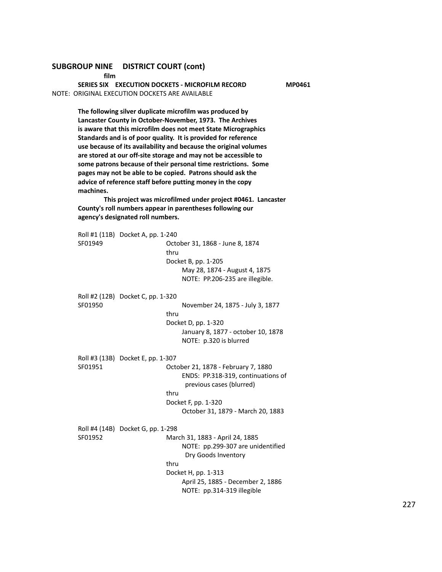## **SUBGROUP NINE DISTRICT COURT (cont)**

**film**

**SERIES SIX EXECUTION DOCKETS - MICROFILM RECORD MP0461** NOTE: ORIGINAL EXECUTION DOCKETS ARE AVAILABLE

**The following silver duplicate microfilm was produced by Lancaster County in October-November, 1973. The Archives is aware that this microfilm does not meet State Micrographics Standards and is of poor quality. It is provided for reference use because of its availability and because the original volumes are stored at our off-site storage and may not be accessible to some patrons because of their personal time restrictions. Some pages may not be able to be copied. Patrons should ask the advice of reference staff before putting money in the copy machines.**

**This project was microfilmed under project #0461. Lancaster County's roll numbers appear in parentheses following our agency's designated roll numbers.**

Roll #1 (11B) Docket A, pp. 1-240 SF01949 October 31, 1868 - June 8, 1874 thru Docket B, pp. 1-205 May 28, 1874 - August 4, 1875 NOTE: PP.206-235 are illegible. Roll #2 (12B) Docket C, pp. 1-320 SF01950 November 24, 1875 - July 3, 1877 thru Docket D, pp. 1-320 January 8, 1877 - october 10, 1878 NOTE: p.320 is blurred Roll #3 (13B) Docket E, pp. 1-307 SF01951 October 21, 1878 - February 7, 1880 ENDS: PP.318-319, continuations of previous cases (blurred) thru Docket F, pp. 1-320 October 31, 1879 - March 20, 1883 Roll #4 (14B) Docket G, pp. 1-298 SF01952 March 31, 1883 - April 24, 1885 NOTE: pp.299-307 are unidentified Dry Goods Inventory thru Docket H, pp. 1-313 April 25, 1885 - December 2, 1886 NOTE: pp.314-319 illegible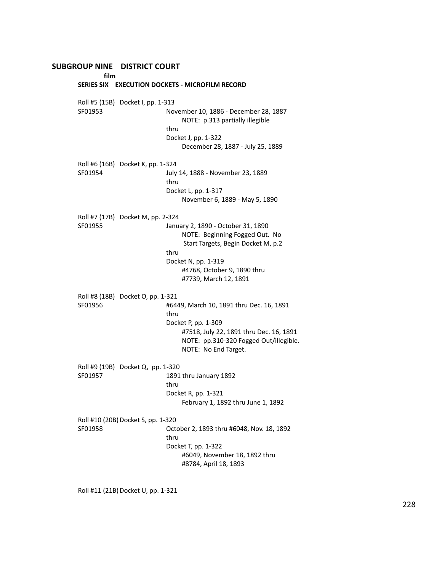**film**

**SERIES SIX EXECUTION DOCKETS - MICROFILM RECORD** Roll #5 (15B) Docket I, pp. 1-313 SF01953 November 10, 1886 - December 28, 1887 NOTE: p.313 partially illegible thru Docket J, pp. 1-322 December 28, 1887 - July 25, 1889 Roll #6 (16B) Docket K, pp. 1-324 SF01954 July 14, 1888 - November 23, 1889 thru Docket L, pp. 1-317 November 6, 1889 - May 5, 1890 Roll #7 (17B) Docket M, pp. 2-324 SF01955 January 2, 1890 - October 31, 1890 NOTE: Beginning Fogged Out. No Start Targets, Begin Docket M, p.2 thru Docket N, pp. 1-319 #4768, October 9, 1890 thru #7739, March 12, 1891 Roll #8 (18B) Docket O, pp. 1-321 SF01956 #6449, March 10, 1891 thru Dec. 16, 1891 thru Docket P, pp. 1-309 #7518, July 22, 1891 thru Dec. 16, 1891 NOTE: pp.310-320 Fogged Out/illegible. NOTE: No End Target. Roll #9 (19B) Docket Q, pp. 1-320 SF01957 1891 thru January 1892 thru Docket R, pp. 1-321 February 1, 1892 thru June 1, 1892 Roll #10 (20B) Docket S, pp. 1-320 SF01958 October 2, 1893 thru #6048, Nov. 18, 1892 thru Docket T, pp. 1-322 #6049, November 18, 1892 thru #8784, April 18, 1893

Roll #11 (21B) Docket U, pp. 1-321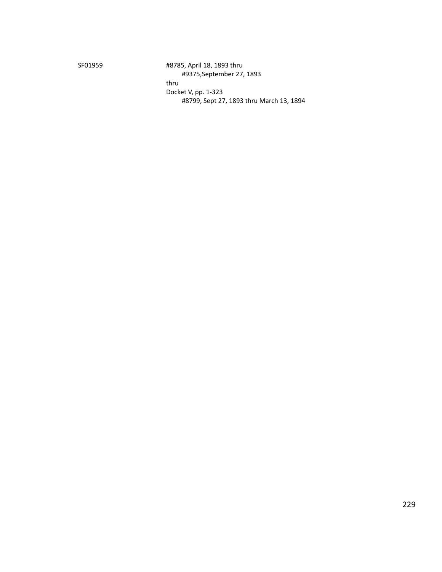SF01959 #8785, April 18, 1893 thru #9375,September 27, 1893 thru Docket V, pp. 1-323 #8799, Sept 27, 1893 thru March 13, 1894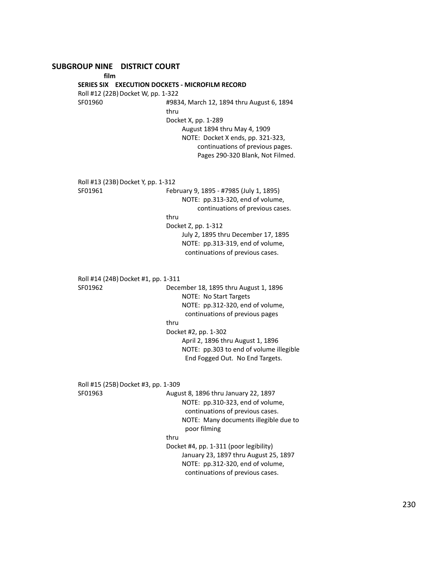**film SERIES SIX EXECUTION DOCKETS - MICROFILM RECORD** Roll #12 (22B) Docket W, pp. 1-322 SF01960 #9834, March 12, 1894 thru August 6, 1894 thru Docket X, pp. 1-289 August 1894 thru May 4, 1909 NOTE: Docket X ends, pp. 321-323, continuations of previous pages. Pages 290-320 Blank, Not Filmed. Roll #13 (23B) Docket Y, pp. 1-312 SF01961 February 9, 1895 - #7985 (July 1, 1895) NOTE: pp.313-320, end of volume, continuations of previous cases. thru Docket Z, pp. 1-312 July 2, 1895 thru December 17, 1895 NOTE: pp.313-319, end of volume, continuations of previous cases. Roll #14 (24B) Docket #1, pp. 1-311 SF01962 December 18, 1895 thru August 1, 1896 NOTE: No Start Targets NOTE: pp.312-320, end of volume, continuations of previous pages thru Docket #2, pp. 1-302 April 2, 1896 thru August 1, 1896 NOTE: pp.303 to end of volume illegible End Fogged Out. No End Targets. Roll #15 (25B) Docket #3, pp. 1-309 SF01963 August 8, 1896 thru January 22, 1897 NOTE: pp.310-323, end of volume, continuations of previous cases. NOTE: Many documents illegible due to poor filming thru Docket #4, pp. 1-311 (poor legibility) January 23, 1897 thru August 25, 1897 NOTE: pp.312-320, end of volume, continuations of previous cases.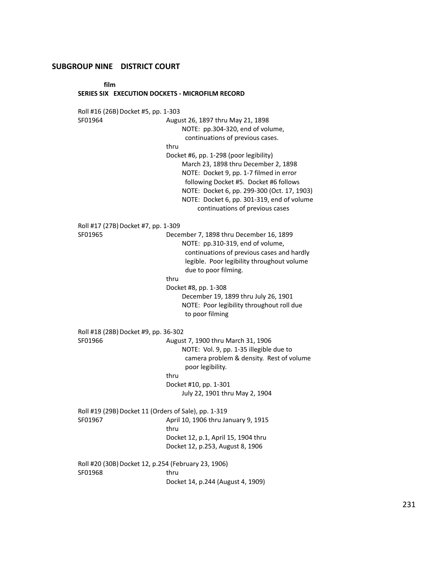## **film**

#### **SERIES SIX EXECUTION DOCKETS - MICROFILM RECORD**

Roll #16 (26B) Docket #5, pp. 1-303 SF01964 August 26, 1897 thru May 21, 1898 NOTE: pp.304-320, end of volume, continuations of previous cases. thru Docket #6, pp. 1-298 (poor legibility) March 23, 1898 thru December 2, 1898 NOTE: Docket 9, pp. 1-7 filmed in error following Docket #5. Docket #6 follows NOTE: Docket 6, pp. 299-300 (Oct. 17, 1903) NOTE: Docket 6, pp. 301-319, end of volume continuations of previous cases Roll #17 (27B) Docket #7, pp. 1-309 SF01965 December 7, 1898 thru December 16, 1899 NOTE: pp.310-319, end of volume, continuations of previous cases and hardly legible. Poor legibility throughout volume due to poor filming. thru Docket #8, pp. 1-308 December 19, 1899 thru July 26, 1901 NOTE: Poor legibility throughout roll due to poor filming Roll #18 (28B) Docket #9, pp. 36-302 SF01966 August 7, 1900 thru March 31, 1906 NOTE: Vol. 9, pp. 1-35 illegible due to camera problem & density. Rest of volume poor legibility. thru Docket #10, pp. 1-301 July 22, 1901 thru May 2, 1904 Roll #19 (29B) Docket 11 (Orders of Sale), pp. 1-319 SF01967 April 10, 1906 thru January 9, 1915 thru Docket 12, p.1, April 15, 1904 thru Docket 12, p.253, August 8, 1906 Roll #20 (30B) Docket 12, p.254 (February 23, 1906) SF01968 thru Docket 14, p.244 (August 4, 1909)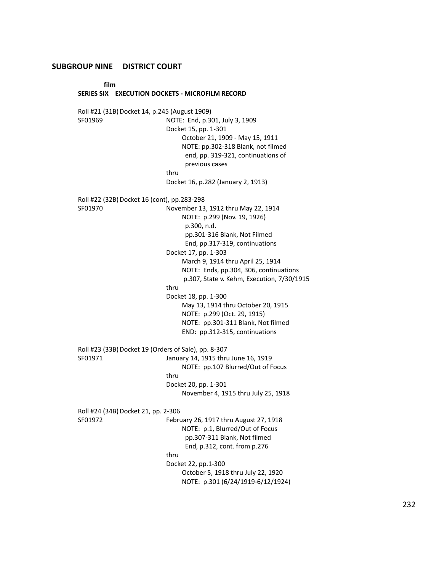**film**

#### **SERIES SIX EXECUTION DOCKETS - MICROFILM RECORD**

Roll #21 (31B) Docket 14, p.245 (August 1909) SF01969 NOTE: End, p.301, July 3, 1909 Docket 15, pp. 1-301 October 21, 1909 - May 15, 1911 NOTE: pp.302-318 Blank, not filmed end, pp. 319-321, continuations of previous cases thru Docket 16, p.282 (January 2, 1913) Roll #22 (32B) Docket 16 (cont), pp.283-298 SF01970 November 13, 1912 thru May 22, 1914 NOTE: p.299 (Nov. 19, 1926) p.300, n.d. pp.301-316 Blank, Not Filmed End, pp.317-319, continuations Docket 17, pp. 1-303 March 9, 1914 thru April 25, 1914 NOTE: Ends, pp.304, 306, continuations p.307, State v. Kehm, Execution, 7/30/1915 thru Docket 18, pp. 1-300 May 13, 1914 thru October 20, 1915 NOTE: p.299 (Oct. 29, 1915) NOTE: pp.301-311 Blank, Not filmed END: pp.312-315, continuations Roll #23 (33B) Docket 19 (Orders of Sale), pp. 8-307 SF01971 January 14, 1915 thru June 16, 1919 NOTE: pp.107 Blurred/Out of Focus thru Docket 20, pp. 1-301 November 4, 1915 thru July 25, 1918 Roll #24 (34B) Docket 21, pp. 2-306 SF01972 February 26, 1917 thru August 27, 1918 NOTE: p.1, Blurred/Out of Focus pp.307-311 Blank, Not filmed End, p.312, cont. from p.276 thru Docket 22, pp.1-300 October 5, 1918 thru July 22, 1920 NOTE: p.301 (6/24/1919-6/12/1924)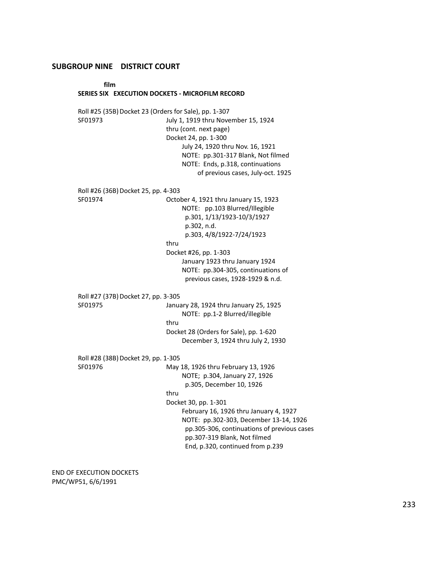**film**

#### **SERIES SIX EXECUTION DOCKETS - MICROFILM RECORD**

Roll #25 (35B) Docket 23 (Orders for Sale), pp. 1-307 SF01973 July 1, 1919 thru November 15, 1924 thru (cont. next page) Docket 24, pp. 1-300 July 24, 1920 thru Nov. 16, 1921 NOTE: pp.301-317 Blank, Not filmed NOTE: Ends, p.318, continuations of previous cases, July-oct. 1925 Roll #26 (36B) Docket 25, pp. 4-303 SF01974 October 4, 1921 thru January 15, 1923 NOTE: pp.103 Blurred/Illegible p.301, 1/13/1923-10/3/1927 p.302, n.d. p.303, 4/8/1922-7/24/1923 thru Docket #26, pp. 1-303 January 1923 thru January 1924 NOTE: pp.304-305, continuations of previous cases, 1928-1929 & n.d. Roll #27 (37B) Docket 27, pp. 3-305 SF01975 January 28, 1924 thru January 25, 1925 NOTE: pp.1-2 Blurred/illegible thru Docket 28 (Orders for Sale), pp. 1-620 December 3, 1924 thru July 2, 1930 Roll #28 (38B) Docket 29, pp. 1-305 SF01976 May 18, 1926 thru February 13, 1926 NOTE; p.304, January 27, 1926 p.305, December 10, 1926 thru Docket 30, pp. 1-301 February 16, 1926 thru January 4, 1927 NOTE: pp.302-303, December 13-14, 1926 pp.305-306, continuations of previous cases pp.307-319 Blank, Not filmed End, p.320, continued from p.239

END OF EXECUTION DOCKETS PMC/WP51, 6/6/1991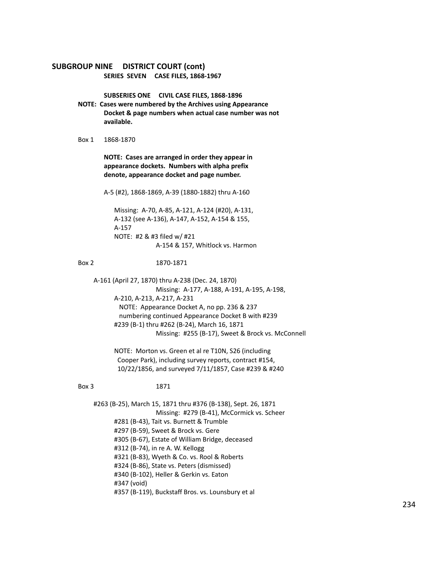## **SUBGROUP NINE DISTRICT COURT (cont) SERIES SEVEN CASE FILES, 1868-1967**

**SUBSERIES ONE CIVIL CASE FILES, 1868-1896**

- **NOTE: Cases were numbered by the Archives using Appearance Docket & page numbers when actual case number was not available.**
- Box 1 1868-1870

**NOTE: Cases are arranged in order they appear in appearance dockets. Numbers with alpha prefix denote, appearance docket and page number.**

A-5 (#2), 1868-1869, A-39 (1880-1882) thru A-160

Missing: A-70, A-85, A-121, A-124 (#20), A-131, A-132 (see A-136), A-147, A-152, A-154 & 155, A-157 NOTE: #2 & #3 filed w/ #21 A-154 & 157, Whitlock vs. Harmon

#### Box 2 1870-1871

A-161 (April 27, 1870) thru A-238 (Dec. 24, 1870) Missing: A-177, A-188, A-191, A-195, A-198, A-210, A-213, A-217, A-231 NOTE: Appearance Docket A, no pp. 236 & 237 numbering continued Appearance Docket B with #239 #239 (B-1) thru #262 (B-24), March 16, 1871 Missing: #255 (B-17), Sweet & Brock vs. McConnell

> NOTE: Morton vs. Green et al re T10N, S26 (including Cooper Park), including survey reports, contract #154, 10/22/1856, and surveyed 7/11/1857, Case #239 & #240

#### Box 3 1871

#263 (B-25), March 15, 1871 thru #376 (B-138), Sept. 26, 1871 Missing: #279 (B-41), McCormick vs. Scheer #281 (B-43), Tait vs. Burnett & Trumble #297 (B-59), Sweet & Brock vs. Gere #305 (B-67), Estate of William Bridge, deceased #312 (B-74), in re A. W. Kellogg #321 (B-83), Wyeth & Co. vs. Rool & Roberts #324 (B-86), State vs. Peters (dismissed) #340 (B-102), Heller & Gerkin vs. Eaton #347 (void) #357 (B-119), Buckstaff Bros. vs. Lounsbury et al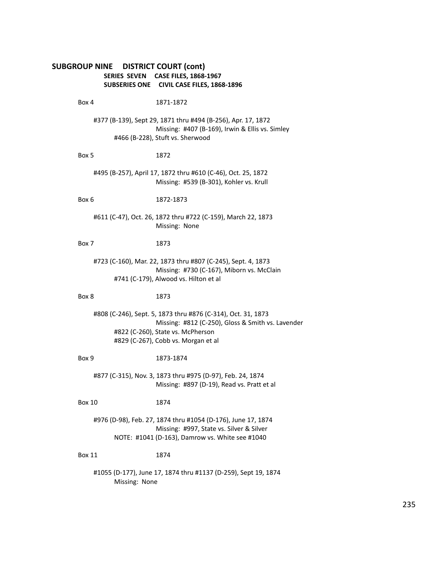## **SUBGROUP NINE DISTRICT COURT (cont) SERIES SEVEN CASE FILES, 1868-1967 SUBSERIES ONE CIVIL CASE FILES, 1868-1896**

Box 4 1871-1872 #377 (B-139), Sept 29, 1871 thru #494 (B-256), Apr. 17, 1872 Missing: #407 (B-169), Irwin & Ellis vs. Simley #466 (B-228), Stuft vs. Sherwood Box 5 1872 #495 (B-257), April 17, 1872 thru #610 (C-46), Oct. 25, 1872 Missing: #539 (B-301), Kohler vs. Krull Box 6 1872-1873 #611 (C-47), Oct. 26, 1872 thru #722 (C-159), March 22, 1873 Missing: None Box 7 1873 #723 (C-160), Mar. 22, 1873 thru #807 (C-245), Sept. 4, 1873 Missing: #730 (C-167), Miborn vs. McClain #741 (C-179), Alwood vs. Hilton et al Box 8 1873 #808 (C-246), Sept. 5, 1873 thru #876 (C-314), Oct. 31, 1873 Missing: #812 (C-250), Gloss & Smith vs. Lavender #822 (C-260), State vs. McPherson #829 (C-267), Cobb vs. Morgan et al Box 9 1873-1874 #877 (C-315), Nov. 3, 1873 thru #975 (D-97), Feb. 24, 1874 Missing: #897 (D-19), Read vs. Pratt et al Box 10 1874 #976 (D-98), Feb. 27, 1874 thru #1054 (D-176), June 17, 1874 Missing: #997, State vs. Silver & Silver NOTE: #1041 (D-163), Damrow vs. White see #1040 Box 11 1874

#1055 (D-177), June 17, 1874 thru #1137 (D-259), Sept 19, 1874 Missing: None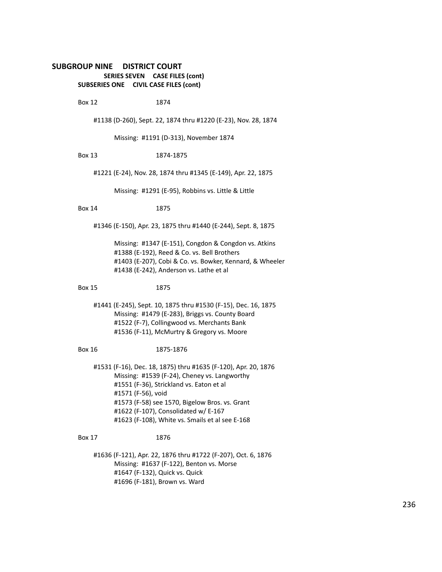## **SUBGROUP NINE DISTRICT COURT SERIES SEVEN CASE FILES (cont) SUBSERIES ONE CIVIL CASE FILES (cont)**

Box 12 1874

#1138 (D-260), Sept. 22, 1874 thru #1220 (E-23), Nov. 28, 1874

Missing: #1191 (D-313), November 1874

#### Box 13 1874-1875

#1221 (E-24), Nov. 28, 1874 thru #1345 (E-149), Apr. 22, 1875

Missing: #1291 (E-95), Robbins vs. Little & Little

## Box 14 1875

#1346 (E-150), Apr. 23, 1875 thru #1440 (E-244), Sept. 8, 1875

Missing: #1347 (E-151), Congdon & Congdon vs. Atkins #1388 (E-192), Reed & Co. vs. Bell Brothers #1403 (E-207), Cobi & Co. vs. Bowker, Kennard, & Wheeler #1438 (E-242), Anderson vs. Lathe et al

#### Box 15 1875

#1441 (E-245), Sept. 10, 1875 thru #1530 (F-15), Dec. 16, 1875 Missing: #1479 (E-283), Briggs vs. County Board #1522 (F-7), Collingwood vs. Merchants Bank #1536 (F-11), McMurtry & Gregory vs. Moore

#### Box 16 1875-1876

#1531 (F-16), Dec. 18, 1875) thru #1635 (F-120), Apr. 20, 1876 Missing: #1539 (F-24), Cheney vs. Langworthy #1551 (F-36), Strickland vs. Eaton et al #1571 (F-56), void #1573 (F-58) see 1570, Bigelow Bros. vs. Grant #1622 (F-107), Consolidated w/ E-167 #1623 (F-108), White vs. Smails et al see E-168

## Box 17 1876

#1636 (F-121), Apr. 22, 1876 thru #1722 (F-207), Oct. 6, 1876 Missing: #1637 (F-122), Benton vs. Morse #1647 (F-132), Quick vs. Quick #1696 (F-181), Brown vs. Ward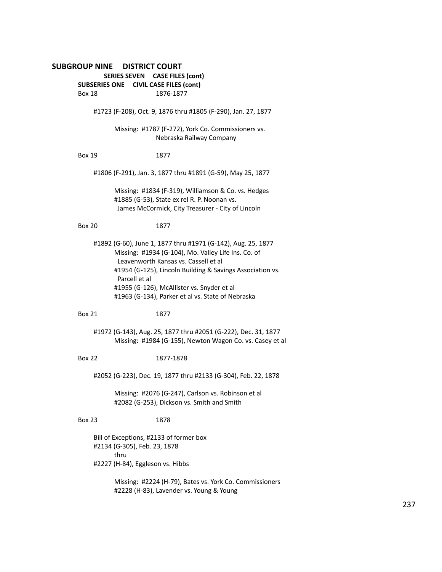# **SUBGROUP NINE DISTRICT COURT SERIES SEVEN CASE FILES (cont) SUBSERIES ONE CIVIL CASE FILES (cont)** Box 18 1876-1877 #1723 (F-208), Oct. 9, 1876 thru #1805 (F-290), Jan. 27, 1877 Missing: #1787 (F-272), York Co. Commissioners vs. Nebraska Railway Company Box 19 1877 #1806 (F-291), Jan. 3, 1877 thru #1891 (G-59), May 25, 1877 Missing: #1834 (F-319), Williamson & Co. vs. Hedges #1885 (G-53), State ex rel R. P. Noonan vs. James McCormick, City Treasurer - City of Lincoln Box 20 1877 #1892 (G-60), June 1, 1877 thru #1971 (G-142), Aug. 25, 1877 Missing: #1934 (G-104), Mo. Valley Life Ins. Co. of Leavenworth Kansas vs. Cassell et al #1954 (G-125), Lincoln Building & Savings Association vs. Parcell et al #1955 (G-126), McAllister vs. Snyder et al #1963 (G-134), Parker et al vs. State of Nebraska Box 21 1877 #1972 (G-143), Aug. 25, 1877 thru #2051 (G-222), Dec. 31, 1877 Missing: #1984 (G-155), Newton Wagon Co. vs. Casey et al Box 22 1877-1878 #2052 (G-223), Dec. 19, 1877 thru #2133 (G-304), Feb. 22, 1878 Missing: #2076 (G-247), Carlson vs. Robinson et al #2082 (G-253), Dickson vs. Smith and Smith Box 23 1878 Bill of Exceptions, #2133 of former box #2134 (G-305), Feb. 23, 1878 thru #2227 (H-84), Eggleson vs. Hibbs

Missing: #2224 (H-79), Bates vs. York Co. Commissioners #2228 (H-83), Lavender vs. Young & Young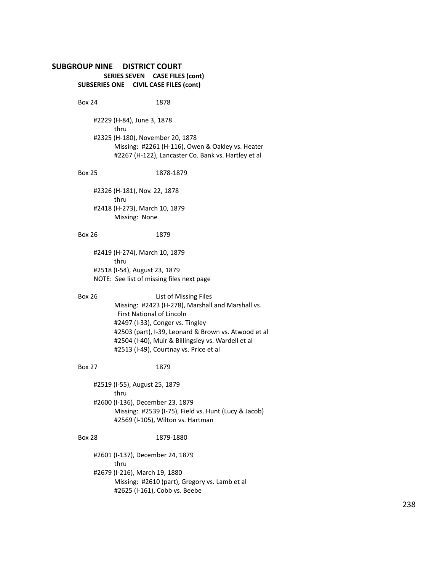## **SUBGROUP NINE DISTRICT COURT SERIES SEVEN CASE FILES (cont) SUBSERIES ONE CIVIL CASE FILES (cont)**

Box 24 1878

#2229 (H-84), June 3, 1878 thru #2325 (H-180), November 20, 1878 Missing: #2261 (H-116), Owen & Oakley vs. Heater #2267 (H-122), Lancaster Co. Bank vs. Hartley et al

#### Box 25 1878-1879

#2326 (H-181), Nov. 22, 1878 thru #2418 (H-273), March 10, 1879 Missing: None

## Box 26 1879

#2419 (H-274), March 10, 1879 thru #2518 (I-54), August 23, 1879 NOTE: See list of missing files next page

Box 26 List of Missing Files Missing: #2423 (H-278), Marshall and Marshall vs. First National of Lincoln #2497 (I-33), Conger vs. Tingley #2503 (part), I-39, Leonard & Brown vs. Atwood et al #2504 (I-40), Muir & Billingsley vs. Wardell et al #2513 (I-49), Courtnay vs. Price et al

#### Box 27 1879

#2519 (I-55), August 25, 1879 thru #2600 (I-136), December 23, 1879 Missing: #2539 (I-75), Field vs. Hunt (Lucy & Jacob) #2569 (I-105), Wilton vs. Hartman

## Box 28 1879-1880

#2601 (I-137), December 24, 1879 thru #2679 (I-216), March 19, 1880 Missing: #2610 (part), Gregory vs. Lamb et al #2625 (I-161), Cobb vs. Beebe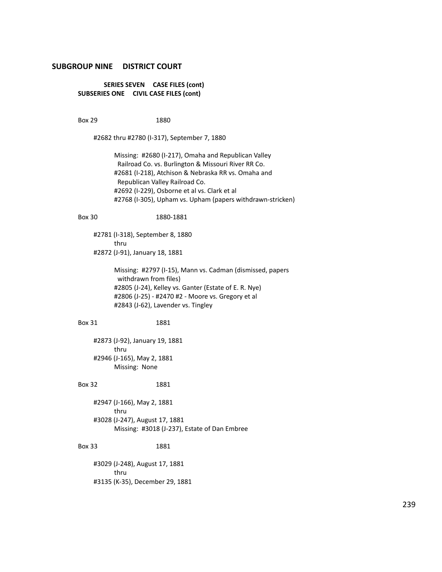**SERIES SEVEN CASE FILES (cont) SUBSERIES ONE CIVIL CASE FILES (cont)**

Box 29 1880

#2682 thru #2780 (I-317), September 7, 1880

Missing: #2680 (I-217), Omaha and Republican Valley Railroad Co. vs. Burlington & Missouri River RR Co. #2681 (I-218), Atchison & Nebraska RR vs. Omaha and Republican Valley Railroad Co. #2692 (I-229), Osborne et al vs. Clark et al #2768 (I-305), Upham vs. Upham (papers withdrawn-stricken)

#### Box 30 1880-1881

#2781 (I-318), September 8, 1880 thru #2872 (J-91), January 18, 1881

> Missing: #2797 (I-15), Mann vs. Cadman (dismissed, papers withdrawn from files) #2805 (J-24), Kelley vs. Ganter (Estate of E. R. Nye) #2806 (J-25) - #2470 #2 - Moore vs. Gregory et al #2843 (J-62), Lavender vs. Tingley

#### Box 31 1881

#2873 (J-92), January 19, 1881 thru #2946 (J-165), May 2, 1881 Missing: None

#### Box 32 1881

#2947 (J-166), May 2, 1881 thru #3028 (J-247), August 17, 1881 Missing: #3018 (J-237), Estate of Dan Embree

#### Box 33 1881

#3029 (J-248), August 17, 1881 thru #3135 (K-35), December 29, 1881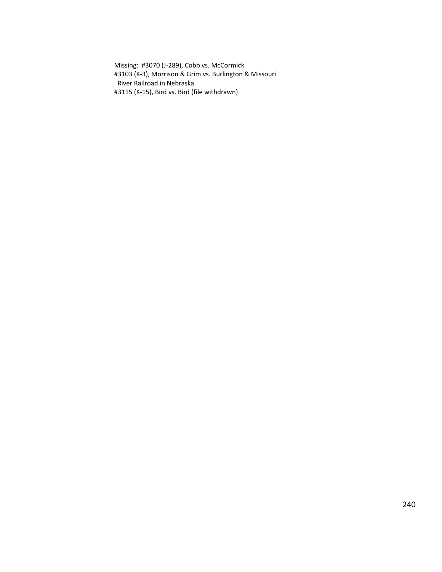Missing: #3070 (J-289), Cobb vs. McCormick #3103 (K-3), Morrison & Grim vs. Burlington & Missouri River Railroad in Nebraska #3115 (K-15), Bird vs. Bird (file withdrawn)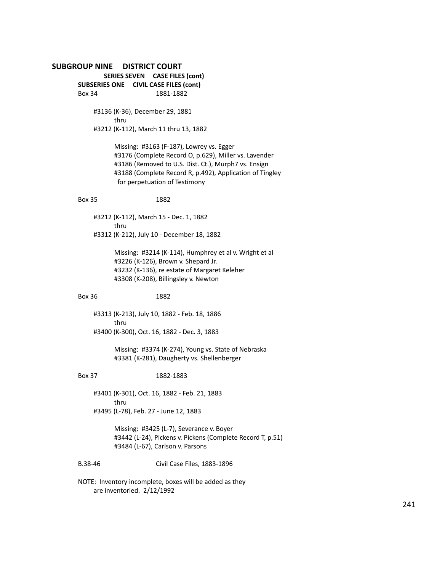# **SUBGROUP NINE DISTRICT COURT SERIES SEVEN CASE FILES (cont) SUBSERIES ONE CIVIL CASE FILES (cont)** Box 34 1881-1882 #3136 (K-36), December 29, 1881 thru #3212 (K-112), March 11 thru 13, 1882 Missing: #3163 (F-187), Lowrey vs. Egger #3176 (Complete Record O, p.629), Miller vs. Lavender #3186 (Removed to U.S. Dist. Ct.), Murph7 vs. Ensign #3188 (Complete Record R, p.492), Application of Tingley for perpetuation of Testimony Box 35 1882 #3212 (K-112), March 15 - Dec. 1, 1882 thru #3312 (K-212), July 10 - December 18, 1882 Missing: #3214 (K-114), Humphrey et al v. Wright et al #3226 (K-126), Brown v. Shepard Jr. #3232 (K-136), re estate of Margaret Keleher #3308 (K-208), Billingsley v. Newton Box 36 1882 #3313 (K-213), July 10, 1882 - Feb. 18, 1886 thru #3400 (K-300), Oct. 16, 1882 - Dec. 3, 1883 Missing: #3374 (K-274), Young vs. State of Nebraska #3381 (K-281), Daugherty vs. Shellenberger Box 37 1882-1883 #3401 (K-301), Oct. 16, 1882 - Feb. 21, 1883 thru #3495 (L-78), Feb. 27 - June 12, 1883 Missing: #3425 (L-7), Severance v. Boyer #3442 (L-24), Pickens v. Pickens (Complete Record T, p.51) #3484 (L-67), Carlson v. Parsons B.38-46 Civil Case Files, 1883-1896 NOTE: Inventory incomplete, boxes will be added as they

are inventoried. 2/12/1992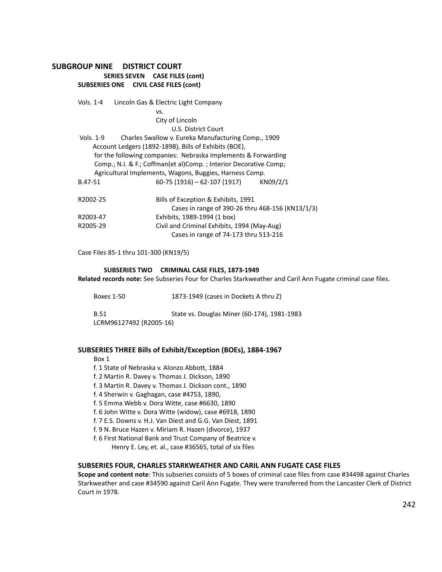## **SUBGROUP NINE DISTRICT COURT SERIES SEVEN CASE FILES (cont) SUBSERIES ONE CIVIL CASE FILES (cont)**

|                                                         | Vols. 1-4 | Lincoln Gas & Electric Light Company                             |  |
|---------------------------------------------------------|-----------|------------------------------------------------------------------|--|
|                                                         |           | VS.                                                              |  |
|                                                         |           | City of Lincoln                                                  |  |
|                                                         |           | U.S. District Court                                              |  |
| Vols. 1-9                                               |           | Charles Swallow v. Eureka Manufacturing Comp., 1909              |  |
|                                                         |           | Account Ledgers (1892-1898), Bills of Exhibits (BOE),            |  |
|                                                         |           | for the following companies: Nebraska Implements & Forwarding    |  |
|                                                         |           | Comp.; N.I. & F.; Coffman(et al)Comp.; Interior Decorative Comp; |  |
|                                                         |           | Agricultural Implements, Wagons, Buggies, Harness Comp.          |  |
| B.47-51                                                 |           | $60-75(1916) - 62-107(1917)$ KN09/2/1                            |  |
| R2002-25                                                |           | Bills of Exception & Exhibits, 1991                              |  |
|                                                         |           | Cases in range of 390-26 thru 468-156 (KN13/1/3)                 |  |
| R2003-47                                                |           | Exhibits, 1989-1994 (1 box)                                      |  |
| Civil and Criminal Exhibits, 1994 (May-Aug)<br>R2005-29 |           |                                                                  |  |
|                                                         |           | Cases in range of 74-173 thru 513-216                            |  |

Case Files 85-1 thru 101-300 (KN19/5)

#### **SUBSERIES TWO CRIMINAL CASE FILES, 1873-1949**

**Related records note:** See Subseries Four for Charles Starkweather and Caril Ann Fugate criminal case files.

Boxes 1-50 1873-1949 (cases in Dockets A thru Z)

B.51 State vs. Douglas Miner (60-174), 1981-1983 LCRM96127492 (R2005-16)

### **SUBSERIES THREE Bills of Exhibit/Exception (BOEs), 1884-1967**

Box 1

- f. 1 State of Nebraska v. Alonzo Abbott, 1884
- f. 2 Martin R. Davey v. Thomas J. Dickson, 1890
- f. 3 Martin R. Davey v. Thomas J. Dickson cont., 1890
- f. 4 Sherwin v. Gaghagan, case #4753, 1890,
- f. 5 Emma Webb v. Dora Witte, case #6630, 1890
- f. 6 John Witte v. Dora Witte (widow), case #6918, 1890
- f. 7 E.S. Downs v. H.J. Van Diest and G.G. Van Diest, 1891
- f. 9 N. Bruce Hazen v. Miriam R. Hazen (divorce), 1937
- f. 6 First National Bank and Trust Company of Beatrice v. Henry E. Ley, et. al., case #36565, total of six files

#### **SUBSERIES FOUR, CHARLES STARKWEATHER AND CARIL ANN FUGATE CASE FILES**

**Scope and content note**: This subseries consists of 5 boxes of criminal case files from case #34498 against Charles Starkweather and case #34590 against Caril Ann Fugate. They were transferred from the Lancaster Clerk of District Court in 1978.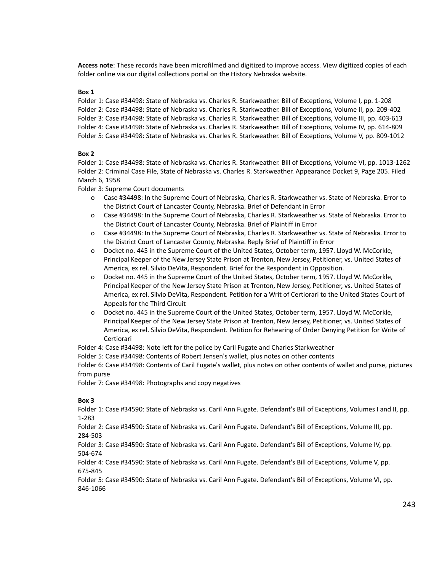**Access note**: These records have been microfilmed and digitized to improve access. View digitized copies of each folder online via our digital collections portal on the History Nebraska website.

#### **Box 1**

Folder 1: Case #34498: State of Nebraska vs. Charles R. Starkweather. Bill of Exceptions, Volume I, pp. 1-208 Folder 2: Case #34498: State of Nebraska vs. Charles R. Starkweather. Bill of Exceptions, Volume II, pp. 209-402 Folder 3: Case #34498: State of Nebraska vs. Charles R. Starkweather. Bill of Exceptions, Volume III, pp. 403-613 Folder 4: Case #34498: State of Nebraska vs. Charles R. Starkweather. Bill of Exceptions, Volume IV, pp. 614-809 Folder 5: Case #34498: State of Nebraska vs. Charles R. Starkweather. Bill of Exceptions, Volume V, pp. 809-1012

#### **Box 2**

Folder 1: Case #34498: State of Nebraska vs. Charles R. Starkweather. Bill of Exceptions, Volume VI, pp. 1013-1262 Folder 2: Criminal Case File, State of Nebraska vs. Charles R. Starkweather. Appearance Docket 9, Page 205. Filed March 6, 1958

Folder 3: Supreme Court documents

- o Case #34498: In the Supreme Court of Nebraska, Charles R. Starkweather vs. State of Nebraska. Error to the District Court of Lancaster County, Nebraska. Brief of Defendant in Error
- o Case #34498: In the Supreme Court of Nebraska, Charles R. Starkweather vs. State of Nebraska. Error to the District Court of Lancaster County, Nebraska. Brief of Plaintiff in Error
- o Case #34498: In the Supreme Court of Nebraska, Charles R. Starkweather vs. State of Nebraska. Error to the District Court of Lancaster County, Nebraska. Reply Brief of Plaintiff in Error
- o Docket no. 445 in the Supreme Court of the United States, October term, 1957. Lloyd W. McCorkle, Principal Keeper of the New Jersey State Prison at Trenton, New Jersey, Petitioner, vs. United States of America, ex rel. Silvio DeVita, Respondent. Brief for the Respondent in Opposition.
- o Docket no. 445 in the Supreme Court of the United States, October term, 1957. Lloyd W. McCorkle, Principal Keeper of the New Jersey State Prison at Trenton, New Jersey, Petitioner, vs. United States of America, ex rel. Silvio DeVita, Respondent. Petition for a Writ of Certiorari to the United States Court of Appeals for the Third Circuit
- o Docket no. 445 in the Supreme Court of the United States, October term, 1957. Lloyd W. McCorkle, Principal Keeper of the New Jersey State Prison at Trenton, New Jersey, Petitioner, vs. United States of America, ex rel. Silvio DeVita, Respondent. Petition for Rehearing of Order Denying Petition for Write of Certiorari

Folder 4: Case #34498: Note left for the police by Caril Fugate and Charles Starkweather

Folder 5: Case #34498: Contents of Robert Jensen's wallet, plus notes on other contents

Folder 6: Case #34498: Contents of Caril Fugate's wallet, plus notes on other contents of wallet and purse, pictures from purse

Folder 7: Case #34498: Photographs and copy negatives

#### **Box 3**

Folder 1: Case #34590: State of Nebraska vs. Caril Ann Fugate. Defendant's Bill of Exceptions, Volumes I and II, pp. 1-283

Folder 2: Case #34590: State of Nebraska vs. Caril Ann Fugate. Defendant's Bill of Exceptions, Volume III, pp. 284-503

Folder 3: Case #34590: State of Nebraska vs. Caril Ann Fugate. Defendant's Bill of Exceptions, Volume IV, pp. 504-674

Folder 4: Case #34590: State of Nebraska vs. Caril Ann Fugate. Defendant's Bill of Exceptions, Volume V, pp. 675-845

Folder 5: Case #34590: State of Nebraska vs. Caril Ann Fugate. Defendant's Bill of Exceptions, Volume VI, pp. 846-1066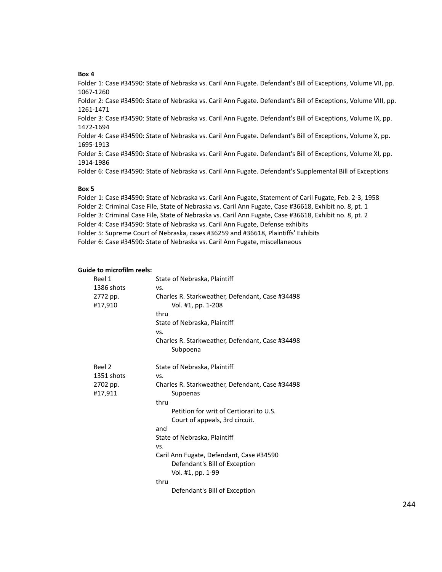#### **Box 4**

Folder 1: Case #34590: State of Nebraska vs. Caril Ann Fugate. Defendant's Bill of Exceptions, Volume VII, pp. 1067-1260

Folder 2: Case #34590: State of Nebraska vs. Caril Ann Fugate. Defendant's Bill of Exceptions, Volume VIII, pp. 1261-1471

Folder 3: Case #34590: State of Nebraska vs. Caril Ann Fugate. Defendant's Bill of Exceptions, Volume IX, pp. 1472-1694

Folder 4: Case #34590: State of Nebraska vs. Caril Ann Fugate. Defendant's Bill of Exceptions, Volume X, pp. 1695-1913

Folder 5: Case #34590: State of Nebraska vs. Caril Ann Fugate. Defendant's Bill of Exceptions, Volume XI, pp. 1914-1986

Folder 6: Case #34590: State of Nebraska vs. Caril Ann Fugate. Defendant's Supplemental Bill of Exceptions

#### **Box 5**

Folder 1: Case #34590: State of Nebraska vs. Caril Ann Fugate, Statement of Caril Fugate, Feb. 2-3, 1958 Folder 2: Criminal Case File, State of Nebraska vs. Caril Ann Fugate, Case #36618, Exhibit no. 8, pt. 1

Folder 3: Criminal Case File, State of Nebraska vs. Caril Ann Fugate, Case #36618, Exhibit no. 8, pt. 2

Folder 4: Case #34590: State of Nebraska vs. Caril Ann Fugate, Defense exhibits

Folder 5: Supreme Court of Nebraska, cases #36259 and #36618, Plaintiffs' Exhibits

Folder 6: Case #34590: State of Nebraska vs. Caril Ann Fugate, miscellaneous

# **Guide to microfilm reels:**

| Reel 1<br>1386 shots | State of Nebraska, Plaintiff<br>VS.                                       |
|----------------------|---------------------------------------------------------------------------|
| 2772 pp.<br>#17,910  | Charles R. Starkweather, Defendant, Case #34498<br>Vol. #1, pp. 1-208     |
|                      | thru                                                                      |
|                      | State of Nebraska, Plaintiff                                              |
|                      | VS.                                                                       |
|                      | Charles R. Starkweather, Defendant, Case #34498                           |
|                      | Subpoena                                                                  |
| Reel 2               | State of Nebraska, Plaintiff                                              |
| 1351 shots           | VS.                                                                       |
| 2702 pp.<br>#17,911  | Charles R. Starkweather, Defendant, Case #34498<br>Supoenas               |
|                      | thru                                                                      |
|                      | Petition for writ of Certiorari to U.S.                                   |
|                      | Court of appeals, 3rd circuit.                                            |
|                      | and                                                                       |
|                      | State of Nebraska, Plaintiff                                              |
|                      | VS.                                                                       |
|                      | Caril Ann Fugate, Defendant, Case #34590<br>Defendant's Bill of Exception |
|                      | Vol. #1, pp. 1-99                                                         |
|                      | thru                                                                      |
|                      | Defendant's Bill of Exception                                             |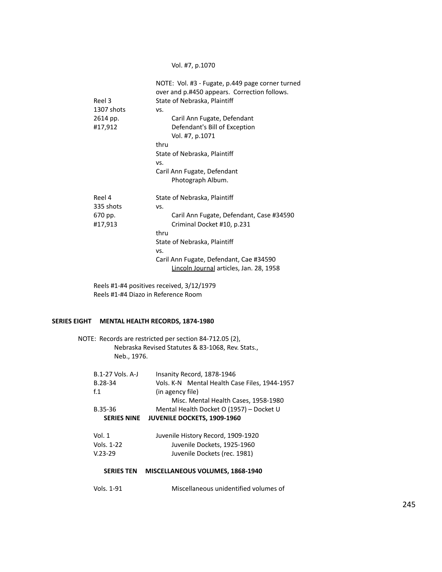## Vol. #7, p.1070

| Reel 3<br>1307 shots | NOTE: Vol. #3 - Fugate, p.449 page corner turned<br>over and p.#450 appears. Correction follows.<br>State of Nebraska, Plaintiff<br>VS. |
|----------------------|-----------------------------------------------------------------------------------------------------------------------------------------|
| 2614 pp.             | Caril Ann Fugate, Defendant                                                                                                             |
| #17,912              | Defendant's Bill of Exception                                                                                                           |
|                      | Vol. #7, p.1071                                                                                                                         |
|                      | thru                                                                                                                                    |
|                      | State of Nebraska, Plaintiff                                                                                                            |
|                      | VS.                                                                                                                                     |
|                      | Caril Ann Fugate, Defendant                                                                                                             |
|                      | Photograph Album.                                                                                                                       |
| Reel 4               | State of Nebraska, Plaintiff                                                                                                            |
| 335 shots            | VS.                                                                                                                                     |
| 670 pp.              | Caril Ann Fugate, Defendant, Case #34590                                                                                                |
| #17,913              | Criminal Docket #10, p.231                                                                                                              |
|                      | thru                                                                                                                                    |
|                      | State of Nebraska, Plaintiff                                                                                                            |
|                      | VS.                                                                                                                                     |
|                      | Caril Ann Fugate, Defendant, Cae #34590                                                                                                 |
|                      | Lincoln Journal articles, Jan. 28, 1958                                                                                                 |
|                      |                                                                                                                                         |

Reels #1-#4 positives received, 3/12/1979 Reels #1-#4 Diazo in Reference Room

## **SERIES EIGHT MENTAL HEALTH RECORDS, 1874-1980**

NOTE: Records are restricted per section 84-712.05 (2), Nebraska Revised Statutes & 83-1068, Rev. Stats., Neb., 1976.

| B.1-27 Vols. A-J   | Insanity Record, 1878-1946                    |
|--------------------|-----------------------------------------------|
| B.28-34            | Vols. K-N Mental Health Case Files, 1944-1957 |
| f <sub>1</sub>     | (in agency file)                              |
|                    | Misc. Mental Health Cases, 1958-1980          |
| B.35-36            | Mental Health Docket O (1957) - Docket U      |
| <b>SERIES NINE</b> | <b>JUVENILE DOCKETS, 1909-1960</b>            |
| Vol. 1             | Juvenile History Record, 1909-1920            |
| Vols. 1-22         | Juvenile Dockets, 1925-1960                   |
| $V.23-29$          | Juvenile Dockets (rec. 1981)                  |
|                    |                                               |
|                    |                                               |

## **SERIES TEN MISCELLANEOUS VOLUMES, 1868-1940**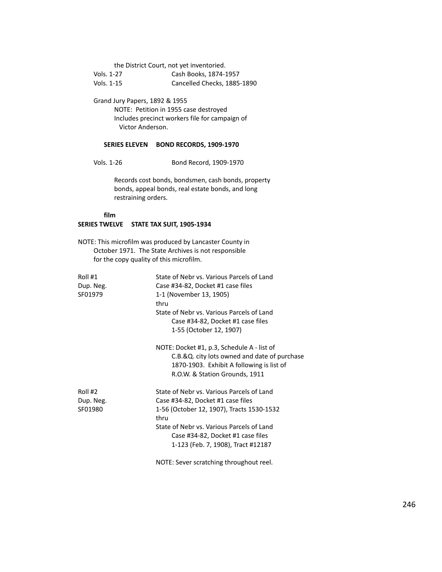the District Court, not yet inventoried. Vols. 1-27 Cash Books, 1874-1957 Vols. 1-15 Cancelled Checks, 1885-1890

Grand Jury Papers, 1892 & 1955 NOTE: Petition in 1955 case destroyed Includes precinct workers file for campaign of Victor Anderson.

### **SERIES ELEVEN BOND RECORDS, 1909-1970**

Vols. 1-26 Bond Record, 1909-1970

Records cost bonds, bondsmen, cash bonds, property bonds, appeal bonds, real estate bonds, and long restraining orders.

#### **film**

## **SERIES TWELVE STATE TAX SUIT, 1905-1934**

NOTE: This microfilm was produced by Lancaster County in October 1971. The State Archives is not responsible for the copy quality of this microfilm.

| Roll #1                                        | State of Nebr vs. Various Parcels of Land    |
|------------------------------------------------|----------------------------------------------|
| Dup. Neg.<br>Case #34-82, Docket #1 case files |                                              |
| SF01979                                        | 1-1 (November 13, 1905)                      |
|                                                | thru                                         |
|                                                | State of Nebr vs. Various Parcels of Land    |
|                                                | Case #34-82, Docket #1 case files            |
|                                                | 1-55 (October 12, 1907)                      |
|                                                | NOTE: Docket #1, p.3, Schedule A - list of   |
|                                                | C.B.&Q. city lots owned and date of purchase |
|                                                | 1870-1903. Exhibit A following is list of    |
|                                                | R.O.W. & Station Grounds, 1911               |
| Roll #2                                        | State of Nebr vs. Various Parcels of Land    |
| Dup. Neg.                                      | Case #34-82, Docket #1 case files            |
| SF01980                                        | 1-56 (October 12, 1907), Tracts 1530-1532    |
|                                                | thru                                         |
|                                                | State of Nebr vs. Various Parcels of Land    |
|                                                | Case #34-82, Docket #1 case files            |
|                                                | 1-123 (Feb. 7, 1908), Tract #12187           |
|                                                |                                              |

NOTE: Sever scratching throughout reel.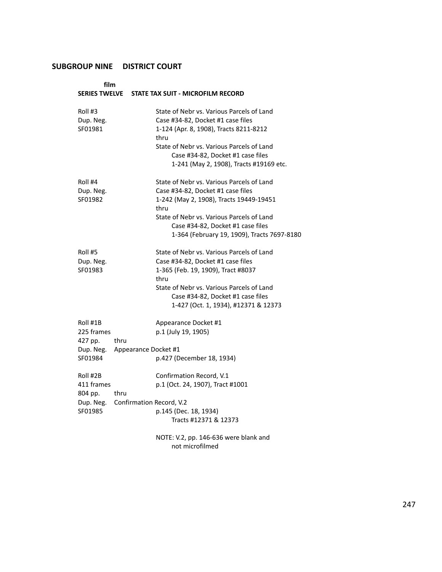| film                                                      |                                            | SERIES TWELVE STATE TAX SUIT - MICROFILM RECORD                                                                                                                                                                                                                    |
|-----------------------------------------------------------|--------------------------------------------|--------------------------------------------------------------------------------------------------------------------------------------------------------------------------------------------------------------------------------------------------------------------|
| Roll #3<br>Dup. Neg.<br>SF01981                           |                                            | State of Nebr vs. Various Parcels of Land<br>Case #34-82, Docket #1 case files<br>1-124 (Apr. 8, 1908), Tracts 8211-8212<br>thru<br>State of Nebr vs. Various Parcels of Land<br>Case #34-82, Docket #1 case files<br>1-241 (May 2, 1908), Tracts #19169 etc.      |
| Roll #4<br>Dup. Neg.<br>SF01982                           |                                            | State of Nebr vs. Various Parcels of Land<br>Case #34-82, Docket #1 case files<br>1-242 (May 2, 1908), Tracts 19449-19451<br>thru<br>State of Nebr vs. Various Parcels of Land<br>Case #34-82, Docket #1 case files<br>1-364 (February 19, 1909), Tracts 7697-8180 |
| Roll #5<br>Dup. Neg.<br>SF01983                           |                                            | State of Nebr vs. Various Parcels of Land<br>Case #34-82, Docket #1 case files<br>1-365 (Feb. 19, 1909), Tract #8037<br>thru<br>State of Nebr vs. Various Parcels of Land<br>Case #34-82, Docket #1 case files<br>1-427 (Oct. 1, 1934), #12371 & 12373             |
| Roll #1B<br>225 frames<br>427 pp.<br>Dup. Neg.<br>SF01984 | thru<br>Appearance Docket #1               | Appearance Docket #1<br>p.1 (July 19, 1905)<br>p.427 (December 18, 1934)                                                                                                                                                                                           |
| Roll #2B<br>411 frames<br>804 pp.<br>SF01985              | thru<br>Dup. Neg. Confirmation Record, V.2 | Confirmation Record, V.1<br>p.1 (Oct. 24, 1907), Tract #1001<br>p.145 (Dec. 18, 1934)<br>Tracts #12371 & 12373                                                                                                                                                     |
|                                                           |                                            | NOTE: V.2, pp. 146-636 were blank and                                                                                                                                                                                                                              |

not microfilmed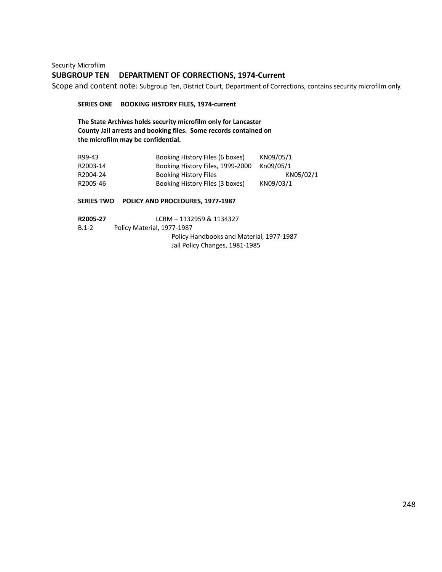Security Microfilm **SUBGROUP TEN DEPARTMENT OF CORRECTIONS, 1974-Current**

Scope and content note: Subgroup Ten, District Court, Department of Corrections, contains security microfilm only.

**SERIES ONE BOOKING HISTORY FILES, 1974-current**

**The State Archives holds security microfilm only for Lancaster County Jail arrests and booking files. Some records contained on the microfilm may be confidential.**

| R99-43   | Booking History Files (6 boxes)  | KN09/05/1 |
|----------|----------------------------------|-----------|
| R2003-14 | Booking History Files, 1999-2000 | Kn09/05/1 |
| R2004-24 | <b>Booking History Files</b>     | KN05/02/1 |
| R2005-46 | Booking History Files (3 boxes)  | KN09/03/1 |

## **SERIES TWO POLICY AND PROCEDURES, 1977-1987**

| R2005-27  | LCRM - 1132959 & 1134327                 |  |
|-----------|------------------------------------------|--|
| $B.1 - 2$ | Policy Material, 1977-1987               |  |
|           | Policy Handbooks and Material, 1977-1987 |  |
|           | Jail Policy Changes, 1981-1985           |  |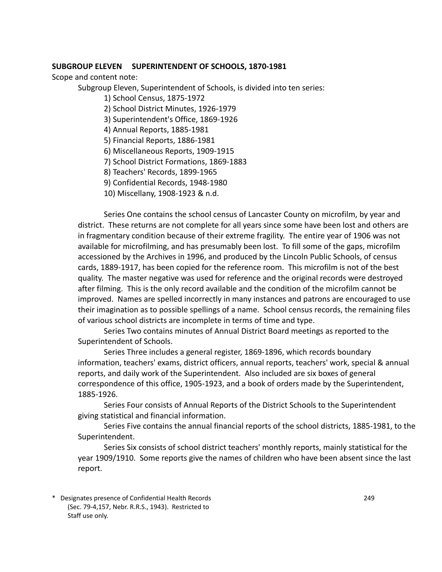## **SUBGROUP ELEVEN SUPERINTENDENT OF SCHOOLS, 1870-1981**

Scope and content note:

Subgroup Eleven, Superintendent of Schools, is divided into ten series:

- 1) School Census, 1875-1972
- 2) School District Minutes, 1926-1979
- 3) Superintendent's Office, 1869-1926
- 4) Annual Reports, 1885-1981
- 5) Financial Reports, 1886-1981
- 6) Miscellaneous Reports, 1909-1915
- 7) School District Formations, 1869-1883
- 8) Teachers' Records, 1899-1965
- 9) Confidential Records, 1948-1980
- 10) Miscellany, 1908-1923 & n.d.

Series One contains the school census of Lancaster County on microfilm, by year and district. These returns are not complete for all years since some have been lost and others are in fragmentary condition because of their extreme fragility. The entire year of 1906 was not available for microfilming, and has presumably been lost. To fill some of the gaps, microfilm accessioned by the Archives in 1996, and produced by the Lincoln Public Schools, of census cards, 1889-1917, has been copied for the reference room. This microfilm is not of the best quality. The master negative was used for reference and the original records were destroyed after filming. This is the only record available and the condition of the microfilm cannot be improved. Names are spelled incorrectly in many instances and patrons are encouraged to use their imagination as to possible spellings of a name. School census records, the remaining files of various school districts are incomplete in terms of time and type.

Series Two contains minutes of Annual District Board meetings as reported to the Superintendent of Schools.

Series Three includes a general register, 1869-1896, which records boundary information, teachers' exams, district officers, annual reports, teachers' work, special & annual reports, and daily work of the Superintendent. Also included are six boxes of general correspondence of this office, 1905-1923, and a book of orders made by the Superintendent, 1885-1926.

Series Four consists of Annual Reports of the District Schools to the Superintendent giving statistical and financial information.

Series Five contains the annual financial reports of the school districts, 1885-1981, to the Superintendent.

Series Six consists of school district teachers' monthly reports, mainly statistical for the year 1909/1910. Some reports give the names of children who have been absent since the last report.

\* Designates presence of Confidential Health Records 249 (Sec. 79-4,157, Nebr. R.R.S., 1943). Restricted to Staff use only.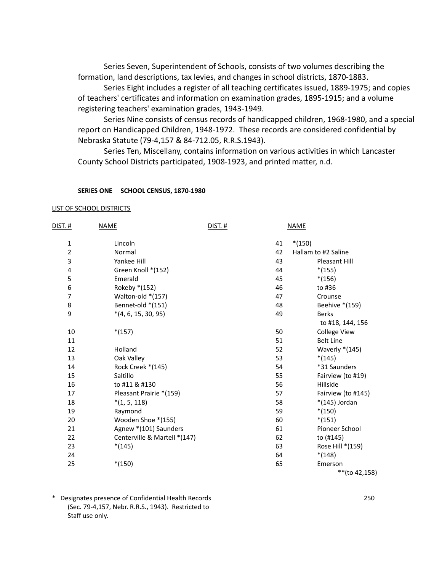Series Seven, Superintendent of Schools, consists of two volumes describing the formation, land descriptions, tax levies, and changes in school districts, 1870-1883.

Series Eight includes a register of all teaching certificates issued, 1889-1975; and copies of teachers' certificates and information on examination grades, 1895-1915; and a volume registering teachers' examination grades, 1943-1949.

Series Nine consists of census records of handicapped children, 1968-1980, and a special report on Handicapped Children, 1948-1972. These records are considered confidential by Nebraska Statute (79-4,157 & 84-712.05, R.R.S.1943).

Series Ten, Miscellany, contains information on various activities in which Lancaster County School Districts participated, 1908-1923, and printed matter, n.d.

## **SERIES ONE SCHOOL CENSUS, 1870-1980**

#### LIST OF SCHOOL DISTRICTS

| <u>dist. #</u>          | <b>NAME</b>                  | <b>DIST. #</b> |    | <b>NAME</b>         |
|-------------------------|------------------------------|----------------|----|---------------------|
| $\mathbf 1$             | Lincoln                      |                | 41 | $*(150)$            |
| $\overline{2}$          | Normal                       |                | 42 | Hallam to #2 Saline |
| 3                       | Yankee Hill                  |                | 43 | Pleasant Hill       |
| $\overline{\mathbf{4}}$ | Green Knoll *(152)           |                | 44 | $*(155)$            |
| 5                       | Emerald                      |                | 45 | $*(156)$            |
| 6                       | Rokeby *(152)                |                | 46 | to #36              |
| $\overline{7}$          | Walton-old *(157)            |                | 47 | Crounse             |
| 8                       | Bennet-old *(151)            |                | 48 | Beehive *(159)      |
| 9                       | $*(4, 6, 15, 30, 95)$        |                | 49 | <b>Berks</b>        |
|                         |                              |                |    | to #18, 144, 156    |
| 10                      | $*(157)$                     |                | 50 | <b>College View</b> |
| 11                      |                              |                | 51 | <b>Belt Line</b>    |
| 12                      | Holland                      |                | 52 | Waverly *(145)      |
| 13                      | Oak Valley                   |                | 53 | $*(145)$            |
| 14                      | Rock Creek *(145)            |                | 54 | *31 Saunders        |
| 15                      | Saltillo                     |                | 55 | Fairview (to #19)   |
| 16                      | to #11 & #130                |                | 56 | Hillside            |
| 17                      | Pleasant Prairie *(159)      |                | 57 | Fairview (to #145)  |
| 18                      | $*(1, 5, 118)$               |                | 58 | *(145) Jordan       |
| 19                      | Raymond                      |                | 59 | $*(150)$            |
| 20                      | Wooden Shoe *(155)           |                | 60 | $*(151)$            |
| 21                      | Agnew *(101) Saunders        |                | 61 | Pioneer School      |
| 22                      | Centerville & Martell *(147) |                | 62 | to (#145)           |
| 23                      | $*(145)$                     |                | 63 | Rose Hill *(159)    |
| 24                      |                              |                | 64 | $*(148)$            |
| 25                      | $*(150)$                     |                | 65 | Emerson             |
|                         |                              |                |    | **(to 42,158)       |

\* Designates presence of Confidential Health Records 250 (Sec. 79-4,157, Nebr. R.R.S., 1943). Restricted to Staff use only.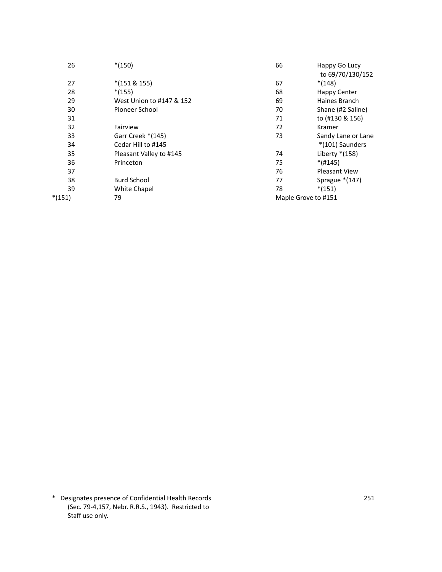| 26       | $*(150)$                 | 66 | Happy Go Lucy        |
|----------|--------------------------|----|----------------------|
|          |                          |    | to 69/70/130/152     |
| 27       | $*(151 \& 155)$          | 67 | $*(148)$             |
| 28       | $*(155)$                 | 68 | <b>Happy Center</b>  |
| 29       | West Union to #147 & 152 | 69 | Haines Branch        |
| 30       | Pioneer School           | 70 | Shane (#2 Saline)    |
| 31       |                          | 71 | to (#130 & 156)      |
| 32       | Fairview                 | 72 | Kramer               |
| 33       | Garr Creek *(145)        | 73 | Sandy Lane or Lane   |
| 34       | Cedar Hill to #145       |    | *(101) Saunders      |
| 35       | Pleasant Valley to #145  | 74 | Liberty $*(158)$     |
| 36       | Princeton                | 75 | $*(#145)$            |
| 37       |                          | 76 | <b>Pleasant View</b> |
| 38       | <b>Burd School</b>       | 77 | Sprague $*(147)$     |
| 39       | White Chapel             | 78 | $*(151)$             |
| $*(151)$ | 79                       |    | Maple Grove to #151  |
|          |                          |    |                      |

\* Designates presence of Confidential Health Records 251 (Sec. 79-4,157, Nebr. R.R.S., 1943). Restricted to Staff use only.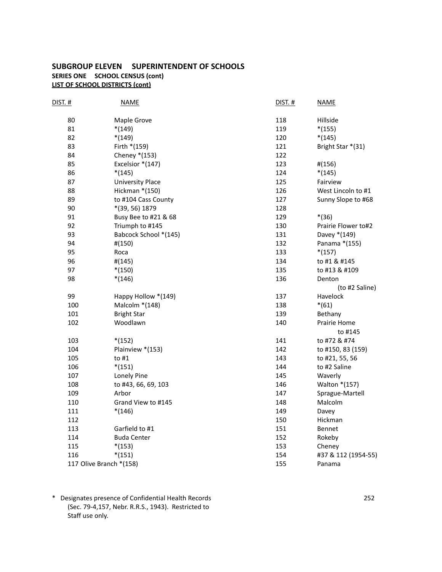## **SUBGROUP ELEVEN SUPERINTENDENT OF SCHOOLS SERIES ONE SCHOOL CENSUS (cont) LIST OF SCHOOL DISTRICTS (cont)**

| <b>DIST. #</b>          | <b>NAME</b>           | <b>DIST. #</b> | <b>NAME</b>         |
|-------------------------|-----------------------|----------------|---------------------|
| 80                      | Maple Grove           | 118            | Hillside            |
| 81                      | $*(149)$              | 119            | $*(155)$            |
| 82                      | $*(149)$              | 120            | $*(145)$            |
| 83                      | Firth *(159)          | 121            | Bright Star *(31)   |
| 84                      | Cheney *(153)         | 122            |                     |
| 85                      | Excelsior *(147)      | 123            | #(156)              |
| 86                      | $*(145)$              | 124            | $*(145)$            |
| 87                      | University Place      | 125            | Fairview            |
| 88                      | Hickman *(150)        | 126            | West Lincoln to #1  |
| 89                      | to #104 Cass County   | 127            | Sunny Slope to #68  |
| 90                      | *(39, 56) 1879        | 128            |                     |
| 91                      | Busy Bee to #21 & 68  | 129            | $*(36)$             |
| 92                      | Triumph to #145       | 130            | Prairie Flower to#2 |
| 93                      | Babcock School *(145) | 131            | Davey *(149)        |
| 94                      | #(150)                | 132            | Panama *(155)       |
| 95                      | Roca                  | 133            | $*(157)$            |
| 96                      | #(145)                | 134            | to #1 & #145        |
| 97                      | $*(150)$              | 135            | to #13 & #109       |
| 98                      | $*(146)$              | 136            | Denton              |
|                         |                       |                | (to #2 Saline)      |
| 99                      | Happy Hollow *(149)   | 137            | Havelock            |
| 100                     | Malcolm *(148)        | 138            | $*(61)$             |
| 101                     | <b>Bright Star</b>    | 139            | Bethany             |
| 102                     | Woodlawn              | 140            | Prairie Home        |
|                         |                       |                | to #145             |
| 103                     | $*(152)$              | 141            | to #72 & #74        |
| 104                     | Plainview *(153)      | 142            | to #150, 83 (159)   |
| 105                     | to $#1$               | 143            | to #21, 55, 56      |
| 106                     | $*(151)$              | 144            | to #2 Saline        |
| 107                     | Lonely Pine           | 145            | Waverly             |
| 108                     | to #43, 66, 69, 103   | 146            | Walton *(157)       |
| 109                     | Arbor                 | 147            | Sprague-Martell     |
| 110                     | Grand View to #145    | 148            | Malcolm             |
| 111                     | $*(146)$              | 149            | Davey               |
| 112                     |                       | 150            | Hickman             |
| 113                     | Garfield to #1        | 151            | Bennet              |
| 114                     | <b>Buda Center</b>    | 152            | Rokeby              |
| 115                     | $*(153)$              | 153            | Cheney              |
| 116                     | $*(151)$              | 154            | #37 & 112 (1954-55) |
| 117 Olive Branch *(158) |                       | 155            | Panama              |

\* Designates presence of Confidential Health Records 252 (Sec. 79-4,157, Nebr. R.R.S., 1943). Restricted to Staff use only.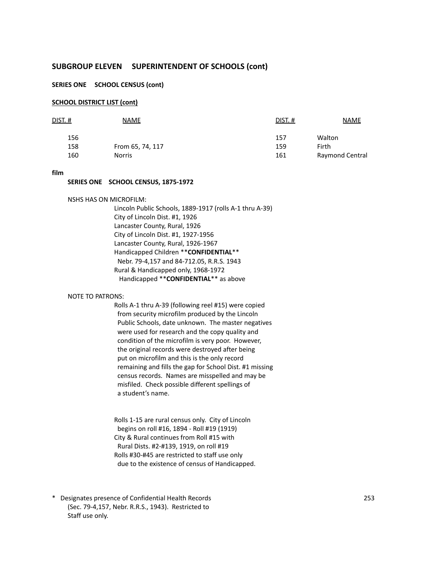#### **SERIES ONE SCHOOL CENSUS (cont)**

#### **SCHOOL DISTRICT LIST (cont)**

| dist. # | NAME             | DIST.# | <b>NAME</b>     |
|---------|------------------|--------|-----------------|
| 156     |                  | 157    | Walton          |
| 158     | From 65, 74, 117 | 159    | Firth           |
| 160     | <b>Norris</b>    | 161    | Raymond Central |

#### **film**

#### **SERIES ONE SCHOOL CENSUS, 1875-1972**

#### NSHS HAS ON MICROFILM:

Lincoln Public Schools, 1889-1917 (rolls A-1 thru A-39) City of Lincoln Dist. #1, 1926 Lancaster County, Rural, 1926 City of Lincoln Dist. #1, 1927-1956 Lancaster County, Rural, 1926-1967 Handicapped Children \*\***CONFIDENTIAL**\*\* Nebr. 79-4,157 and 84-712.05, R.R.S. 1943 Rural & Handicapped only, 1968-1972 Handicapped \*\***CONFIDENTIAL**\*\* as above

#### NOTE TO PATRONS:

Rolls A-1 thru A-39 (following reel #15) were copied from security microfilm produced by the Lincoln Public Schools, date unknown. The master negatives were used for research and the copy quality and condition of the microfilm is very poor. However, the original records were destroyed after being put on microfilm and this is the only record remaining and fills the gap for School Dist. #1 missing census records. Names are misspelled and may be misfiled. Check possible different spellings of a student's name.

Rolls 1-15 are rural census only. City of Lincoln begins on roll #16, 1894 - Roll #19 (1919) City & Rural continues from Roll #15 with Rural Dists. #2-#139, 1919, on roll #19 Rolls #30-#45 are restricted to staff use only due to the existence of census of Handicapped.

\* Designates presence of Confidential Health Records 253 (Sec. 79-4,157, Nebr. R.R.S., 1943). Restricted to Staff use only.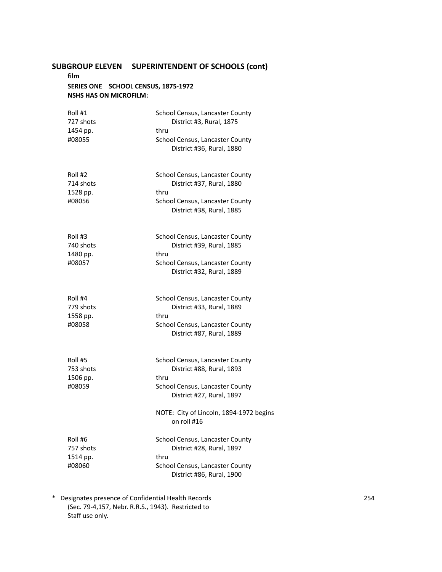### **film SERIES ONE SCHOOL CENSUS, 1875-1972 NSHS HAS ON MICROFILM:**

| Roll #1<br>727 shots<br>1454 pp.           | School Census, Lancaster County<br>District #3, Rural, 1875<br>thru                                                                  |
|--------------------------------------------|--------------------------------------------------------------------------------------------------------------------------------------|
| #08055                                     | School Census, Lancaster County<br>District #36, Rural, 1880                                                                         |
| Roll #2<br>714 shots                       | School Census, Lancaster County<br>District #37, Rural, 1880                                                                         |
| 1528 pp.                                   | thru                                                                                                                                 |
| #08056                                     | School Census, Lancaster County<br>District #38, Rural, 1885                                                                         |
| Roll #3                                    | School Census, Lancaster County<br>District #39, Rural, 1885                                                                         |
| 740 shots<br>1480 pp.                      | thru                                                                                                                                 |
| #08057                                     | School Census, Lancaster County<br>District #32, Rural, 1889                                                                         |
| Roll #4<br>779 shots<br>1558 pp.<br>#08058 | School Census, Lancaster County<br>District #33, Rural, 1889<br>thru<br>School Census, Lancaster County<br>District #87, Rural, 1889 |
| Roll #5<br>753 shots                       | School Census, Lancaster County<br>District #88, Rural, 1893                                                                         |
| 1506 pp.                                   | thru                                                                                                                                 |
| #08059                                     | School Census, Lancaster County<br>District #27, Rural, 1897                                                                         |
|                                            | NOTE: City of Lincoln, 1894-1972 begins<br>on roll #16                                                                               |
| Roll #6<br>757 shots                       | School Census, Lancaster County<br>District #28, Rural, 1897                                                                         |
| 1514 pp.<br>#08060                         | thru<br>School Census, Lancaster County<br>District #86, Rural, 1900                                                                 |

\* Designates presence of Confidential Health Records 254 (Sec. 79-4,157, Nebr. R.R.S., 1943). Restricted to Staff use only.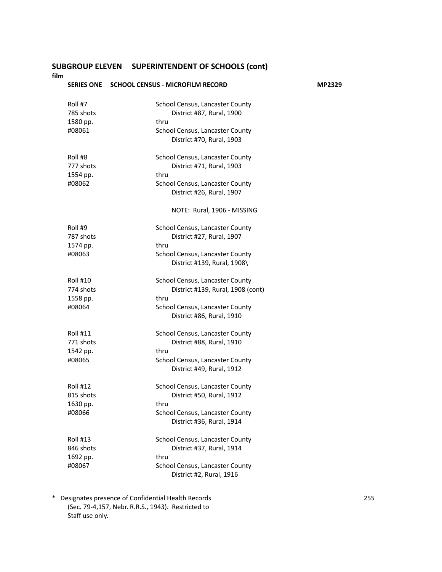**film**

# **SERIES ONE SCHOOL CENSUS - MICROFILM RECORD MP2329** Roll #7 School Census, Lancaster County 785 shots **District #87, Rural, 1900**<br>1580 pp. **1580** for thru

| 1580 pp.<br>#08061                                 | thru<br>School Census, Lancaster County<br>District #70, Rural, 1903                                                                         |
|----------------------------------------------------|----------------------------------------------------------------------------------------------------------------------------------------------|
| Roll #8<br>777 shots<br>1554 pp.<br>#08062         | School Census, Lancaster County<br>District #71, Rural, 1903<br>thru<br>School Census, Lancaster County<br>District #26, Rural, 1907         |
|                                                    | NOTE: Rural, 1906 - MISSING                                                                                                                  |
| Roll #9<br>787 shots<br>1574 pp.<br>#08063         | School Census, Lancaster County<br>District #27, Rural, 1907<br>thru<br>School Census, Lancaster County<br>District #139, Rural, 1908\       |
| <b>Roll #10</b><br>774 shots<br>1558 pp.<br>#08064 | School Census, Lancaster County<br>District #139, Rural, 1908 (cont)<br>thru<br>School Census, Lancaster County<br>District #86, Rural, 1910 |
| <b>Roll #11</b><br>771 shots<br>1542 pp.<br>#08065 | School Census, Lancaster County<br>District #88, Rural, 1910<br>thru<br>School Census, Lancaster County<br>District #49, Rural, 1912         |
| Roll #12<br>815 shots<br>1630 pp.<br>#08066        | School Census, Lancaster County<br>District #50, Rural, 1912<br>thru<br>School Census, Lancaster County<br>District #36, Rural, 1914         |
| <b>Roll #13</b>                                    | School Census, Lancaster County                                                                                                              |

| Roll #13  | School Census, Lancaster County |
|-----------|---------------------------------|
| 846 shots | District #37, Rural, 1914       |
| 1692 pp.  | thru                            |
| #08067    | School Census, Lancaster County |
|           | District #2, Rural, 1916        |

\* Designates presence of Confidential Health Records 255 (Sec. 79-4,157, Nebr. R.R.S., 1943). Restricted to Staff use only.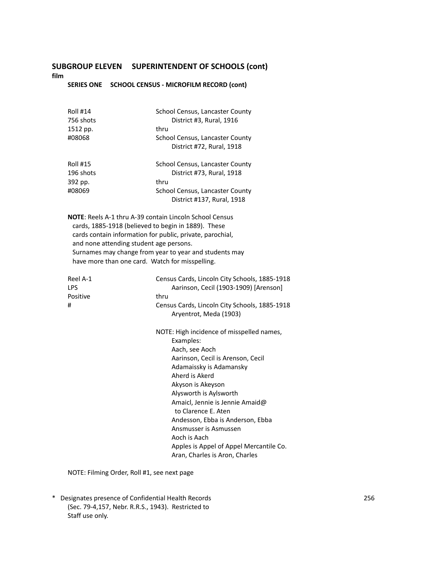**film**

### **SERIES ONE SCHOOL CENSUS - MICROFILM RECORD (cont)**

| <b>Roll #14</b>                                                | School Census, Lancaster County                                           |
|----------------------------------------------------------------|---------------------------------------------------------------------------|
| 756 shots                                                      | District #3, Rural, 1916                                                  |
| 1512 pp.                                                       | thru                                                                      |
| #08068                                                         | School Census, Lancaster County                                           |
|                                                                | District #72, Rural, 1918                                                 |
| <b>Roll #15</b>                                                | School Census, Lancaster County                                           |
| 196 shots                                                      | District #73, Rural, 1918                                                 |
| 392 pp.                                                        | thru                                                                      |
| #08069                                                         | School Census, Lancaster County                                           |
|                                                                | District #137, Rural, 1918                                                |
| <b>NOTE:</b> Reels A-1 thru A-39 contain Lincoln School Census |                                                                           |
| cards, 1885-1918 (believed to begin in 1889). These            |                                                                           |
|                                                                | cards contain information for public, private, parochial,                 |
| and none attending student age persons.                        |                                                                           |
|                                                                | Surnames may change from year to year and students may                    |
| have more than one card. Watch for misspelling.                |                                                                           |
| Reel A-1                                                       | Census Cards, Lincoln City Schools, 1885-1918                             |
| LPS                                                            | Aarinson, Cecil (1903-1909) [Arenson]                                     |
| Positive                                                       | thru                                                                      |
| #                                                              | Census Cards, Lincoln City Schools, 1885-1918                             |
|                                                                | Aryentrot, Meda (1903)                                                    |
|                                                                | NOTE: High incidence of misspelled names,<br>Examples:                    |
|                                                                | Aach, see Aoch                                                            |
|                                                                | Aarinson, Cecil is Arenson, Cecil                                         |
|                                                                | Adamaissky is Adamansky                                                   |
|                                                                | Aherd is Akerd                                                            |
|                                                                | Akyson is Akeyson                                                         |
|                                                                | Alysworth is Aylsworth                                                    |
|                                                                | Amaicl, Jennie is Jennie Amaid@                                           |
|                                                                | to Clarence E. Aten                                                       |
|                                                                | Andesson, Ebba is Anderson, Ebba                                          |
|                                                                | Ansmusser is Asmussen                                                     |
|                                                                | Aoch is Aach                                                              |
|                                                                | Apples is Appel of Appel Mercantile Co.<br>Aran, Charles is Aron, Charles |

NOTE: Filming Order, Roll #1, see next page

\* Designates presence of Confidential Health Records 256 (Sec. 79-4,157, Nebr. R.R.S., 1943). Restricted to Staff use only.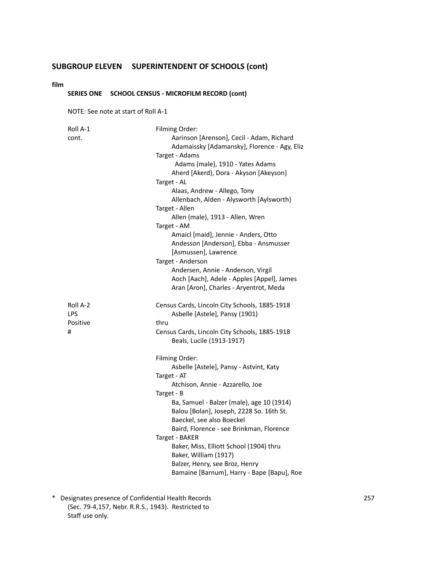#### **film**

### **SERIES ONE SCHOOL CENSUS - MICROFILM RECORD (cont)**

NOTE: See note at start of Roll A-1

| Roll A-1   | Filming Order:                                |
|------------|-----------------------------------------------|
| cont.      | Aarinson [Arenson], Cecil - Adam, Richard     |
|            | Adamaissky [Adamansky], Florence - Agy, Eliz  |
|            | Target - Adams                                |
|            | Adams (male), 1910 - Yates Adams              |
|            | Aherd [Akerd), Dora - Akyson [Akeyson]        |
|            | Target - AL                                   |
|            | Alaas, Andrew - Allego, Tony                  |
|            | Allenbach, Alden - Alysworth [Aylsworth]      |
|            | Target - Allen                                |
|            | Allen (male), 1913 - Allen, Wren              |
|            | Target - AM                                   |
|            | Amaicl [maid], Jennie - Anders, Otto          |
|            | Andesson [Anderson], Ebba - Ansmusser         |
|            | [Asmussen], Lawrence                          |
|            | Target - Anderson                             |
|            | Andersen, Annie - Anderson, Virgil            |
|            | Aoch [Aach], Adele - Apples [Appel], James    |
|            | Aran [Aron], Charles - Aryentrot, Meda        |
|            |                                               |
| Roll A-2   | Census Cards, Lincoln City Schools, 1885-1918 |
| <b>LPS</b> | Asbelle [Astele], Pansy (1901)                |
| Positive   | thru                                          |
| #          | Census Cards, Lincoln City Schools, 1885-1918 |
|            | Beals, Lucile (1913-1917)                     |
|            |                                               |
|            | Filming Order:                                |
|            | Asbelle [Astele], Pansy - Astvint, Katy       |
|            | Target - AT                                   |
|            | Atchison, Annie - Azzarello, Joe              |
|            | Target - B                                    |
|            | Ba, Samuel - Balzer (male), age 10 (1914)     |
|            | Balou [Bolan], Joseph, 2228 So. 16th St.      |
|            | Baeckel, see also Boeckel                     |
|            | Baird, Florence - see Brinkman, Florence      |
|            | Target - BAKER                                |
|            | Baker, Miss, Elliott School (1904) thru       |
|            |                                               |
|            | Baker, William (1917)                         |
|            | Balzer, Henry, see Broz, Henry                |
|            | Bamaine [Barnum], Harry - Bape [Bapu], Roe    |

\* Designates presence of Confidential Health Records 257 (Sec. 79-4,157, Nebr. R.R.S., 1943). Restricted to Staff use only.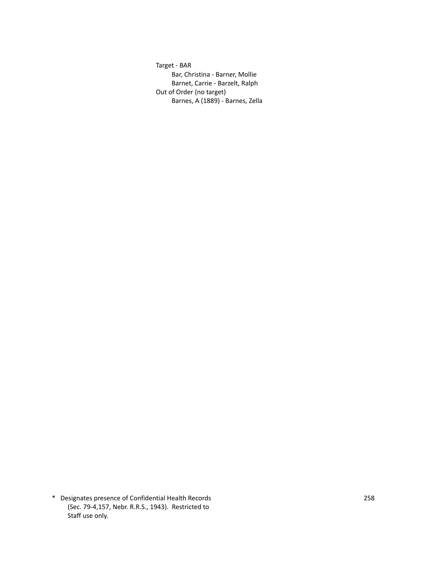Target - BAR Bar, Christina - Barner, Mollie Barnet, Carrie - Barzelt, Ralph Out of Order (no target) Barnes, A (1889) - Barnes, Zella

\* Designates presence of Confidential Health Records 258 (Sec. 79-4,157, Nebr. R.R.S., 1943). Restricted to Staff use only.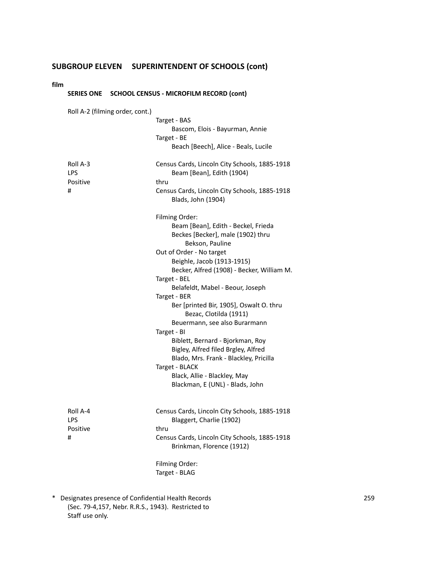#### **film**

| <b>SERIES ONE</b>                       |                                 | <b>SCHOOL CENSUS - MICROFILM RECORD (cont)</b>                                                                                                                                                                                                                                                                                                                                                                                                                                                                                                                                                                           |
|-----------------------------------------|---------------------------------|--------------------------------------------------------------------------------------------------------------------------------------------------------------------------------------------------------------------------------------------------------------------------------------------------------------------------------------------------------------------------------------------------------------------------------------------------------------------------------------------------------------------------------------------------------------------------------------------------------------------------|
|                                         | Roll A-2 (filming order, cont.) | Target - BAS<br>Bascom, Elois - Bayurman, Annie<br>Target - BE<br>Beach [Beech], Alice - Beals, Lucile                                                                                                                                                                                                                                                                                                                                                                                                                                                                                                                   |
| Roll A-3<br>LPS<br>Positive<br>#        |                                 | Census Cards, Lincoln City Schools, 1885-1918<br>Beam [Bean], Edith (1904)<br>thru<br>Census Cards, Lincoln City Schools, 1885-1918<br>Blads, John (1904)                                                                                                                                                                                                                                                                                                                                                                                                                                                                |
|                                         |                                 | Filming Order:<br>Beam [Bean], Edith - Beckel, Frieda<br>Beckes [Becker], male (1902) thru<br>Bekson, Pauline<br>Out of Order - No target<br>Beighle, Jacob (1913-1915)<br>Becker, Alfred (1908) - Becker, William M.<br>Target - BEL<br>Belafeldt, Mabel - Beour, Joseph<br>Target - BER<br>Ber [printed Bir, 1905], Oswalt O. thru<br>Bezac, Clotilda (1911)<br>Beuermann, see also Burarmann<br>Target - BI<br>Biblett, Bernard - Bjorkman, Roy<br>Bigley, Alfred filed Brgley, Alfred<br>Blado, Mrs. Frank - Blackley, Pricilla<br>Target - BLACK<br>Black, Allie - Blackley, May<br>Blackman, E (UNL) - Blads, John |
| Roll A-4<br><b>LPS</b><br>Positive<br># |                                 | Census Cards, Lincoln City Schools, 1885-1918<br>Blaggert, Charlie (1902)<br>thru<br>Census Cards, Lincoln City Schools, 1885-1918<br>Brinkman, Florence (1912)                                                                                                                                                                                                                                                                                                                                                                                                                                                          |

Filming Order: Target - BLAG

\* Designates presence of Confidential Health Records 259 (Sec. 79-4,157, Nebr. R.R.S., 1943). Restricted to Staff use only.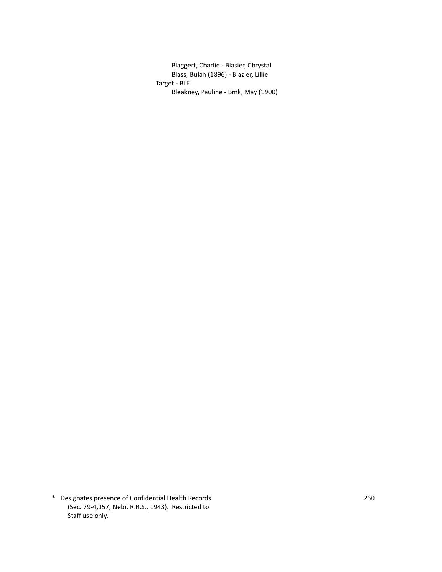Blaggert, Charlie - Blasier, Chrystal Blass, Bulah (1896) - Blazier, Lillie Target - BLE Bleakney, Pauline - Bmk, May (1900)

\* Designates presence of Confidential Health Records 260 (Sec. 79-4,157, Nebr. R.R.S., 1943). Restricted to Staff use only.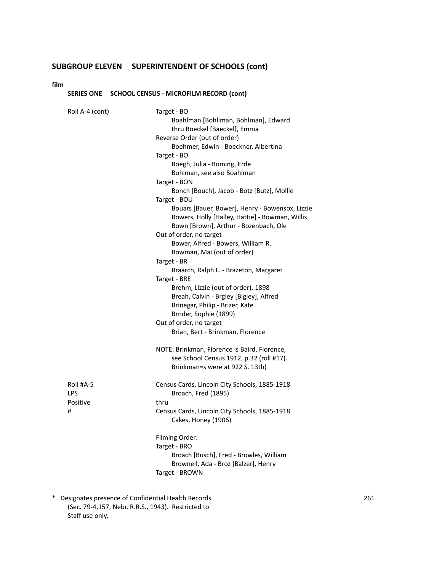**film**

### **SERIES ONE SCHOOL CENSUS - MICROFILM RECORD (cont)**

| Roll A-4 (cont)                    | Target - BO<br>Boahlman [Bohllman, Bohlman], Edward<br>thru Boeckel [Baeckel], Emma<br>Reverse Order (out of order)<br>Boehmer, Edwin - Boeckner, Albertina<br>Target - BO<br>Boegh, Julia - Boming, Erde<br>Bohlman, see also Boahlman<br>Target - BON<br>Bonch [Bouch], Jacob - Botz [Butz], Mollie<br>Target - BOU<br>Bouars [Bauer, Bower], Henry - Bowensox, Lizzie<br>Bowers, Holly [Halley, Hattie] - Bowman, Willis<br>Bown [Brown], Arthur - Bozenbach, Ole<br>Out of order, no target<br>Bower, Alfred - Bowers, William R.<br>Bowman, Mai (out of order)<br>Target - BR<br>Braarch, Ralph L. - Brazeton, Margaret<br>Target - BRE<br>Brehm, Lizzie (out of order), 1898<br>Breah, Calvin - Brgley [Bigley], Alfred<br>Brinegar, Philip - Brizer, Kate<br>Brnder, Sophie (1899)<br>Out of order, no target<br>Brian, Bert - Brinkman, Florence |
|------------------------------------|----------------------------------------------------------------------------------------------------------------------------------------------------------------------------------------------------------------------------------------------------------------------------------------------------------------------------------------------------------------------------------------------------------------------------------------------------------------------------------------------------------------------------------------------------------------------------------------------------------------------------------------------------------------------------------------------------------------------------------------------------------------------------------------------------------------------------------------------------------|
|                                    | NOTE: Brinkman, Florence is Baird, Florence,<br>see School Census 1912, p.32 (roll #17).<br>Brinkman=s were at 922 S. 13th)                                                                                                                                                                                                                                                                                                                                                                                                                                                                                                                                                                                                                                                                                                                              |
| Roll #A-5<br>LPS.<br>Positive<br># | Census Cards, Lincoln City Schools, 1885-1918<br>Broach, Fred (1895)<br>thru<br>Census Cards, Lincoln City Schools, 1885-1918<br>Cakes, Honey (1906)<br>Filming Order:<br>Target - BRO<br>Broach [Busch], Fred - Browles, William<br>Brownell, Ada - Broz [Balzer], Henry<br>Target - BROWN                                                                                                                                                                                                                                                                                                                                                                                                                                                                                                                                                              |
|                                    |                                                                                                                                                                                                                                                                                                                                                                                                                                                                                                                                                                                                                                                                                                                                                                                                                                                          |

\* Designates presence of Confidential Health Records 261 (Sec. 79-4,157, Nebr. R.R.S., 1943). Restricted to Staff use only.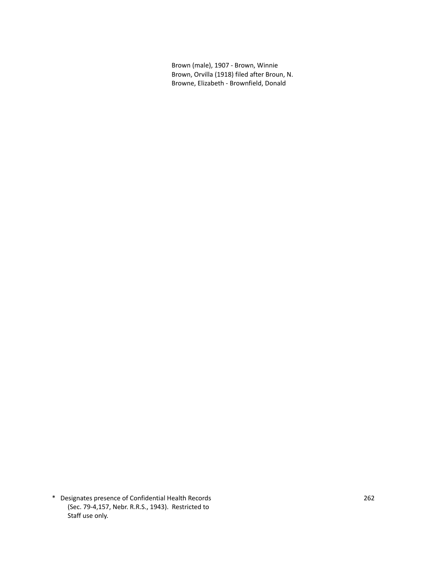Brown (male), 1907 - Brown, Winnie Brown, Orvilla (1918) filed after Broun, N. Browne, Elizabeth - Brownfield, Donald

\* Designates presence of Confidential Health Records 262 (Sec. 79-4,157, Nebr. R.R.S., 1943). Restricted to Staff use only.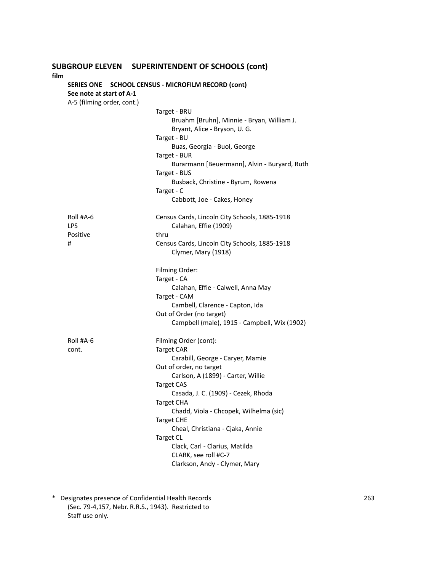### **SUBGROUP ELEVEN SUPERINTENDENT OF SCHOOLS (cont) film SERIES ONE SCHOOL CENSUS - MICROFILM RECORD (cont) See note at start of A-1** A-5 (filming order, cont.) Target - BRU Bruahm [Bruhn], Minnie - Bryan, William J. Bryant, Alice - Bryson, U. G. Target - BU Buas, Georgia - Buol, George Target - BUR Burarmann [Beuermann], Alvin - Buryard, Ruth Target - BUS Busback, Christine - Byrum, Rowena Target - C Cabbott, Joe - Cakes, Honey Roll #A-6 Census Cards, Lincoln City Schools, 1885-1918 LPS Calahan, Effie (1909) Positive thru # Census Cards, Lincoln City Schools, 1885-1918 Clymer, Mary (1918) Filming Order: Target - CA Calahan, Effie - Calwell, Anna May Target - CAM Cambell, Clarence - Capton, Ida Out of Order (no target) Campbell (male), 1915 - Campbell, Wix (1902) Roll #A-6 Filming Order (cont): cont. Target CAR Carabill, George - Caryer, Mamie Out of order, no target Carlson, A (1899) - Carter, Willie Target CAS Casada, J. C. (1909) - Cezek, Rhoda Target CHA Chadd, Viola - Chcopek, Wilhelma (sic) Target CHE Cheal, Christiana - Cjaka, Annie

Target CL

Clack, Carl - Clarius, Matilda

Clarkson, Andy - Clymer, Mary

CLARK, see roll #C-7

\* Designates presence of Confidential Health Records 263 (Sec. 79-4,157, Nebr. R.R.S., 1943). Restricted to Staff use only.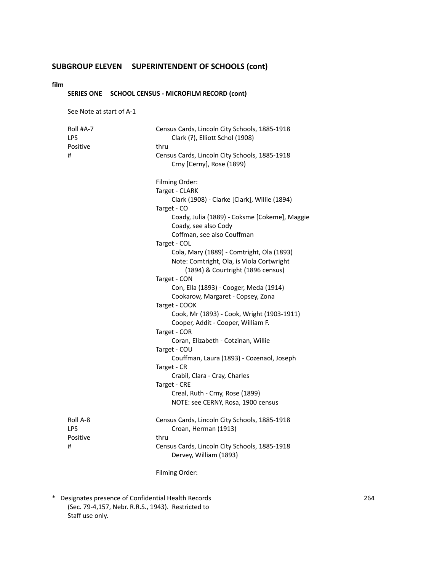#### **film**

### **SERIES ONE SCHOOL CENSUS - MICROFILM RECORD (cont)**

See Note at start of A-1

| Roll #A-7<br>LPS | Census Cards, Lincoln City Schools, 1885-1918<br>Clark (?), Elliott Schol (1908) |
|------------------|----------------------------------------------------------------------------------|
| Positive         | thru                                                                             |
| #                | Census Cards, Lincoln City Schools, 1885-1918<br>Crny [Cerny], Rose (1899)       |
|                  | Filming Order:                                                                   |
|                  | Target - CLARK                                                                   |
|                  | Clark (1908) - Clarke [Clark], Willie (1894)                                     |
|                  | Target - CO                                                                      |
|                  | Coady, Julia (1889) - Coksme [Cokeme], Maggie<br>Coady, see also Cody            |
|                  | Coffman, see also Couffman                                                       |
|                  | Target - COL                                                                     |
|                  | Cola, Mary (1889) - Comtright, Ola (1893)                                        |
|                  | Note: Comtright, Ola, is Viola Cortwright                                        |
|                  | (1894) & Courtright (1896 census)                                                |
|                  | Target - CON                                                                     |
|                  | Con, Ella (1893) - Cooger, Meda (1914)                                           |
|                  | Cookarow, Margaret - Copsey, Zona                                                |
|                  | Target - COOK                                                                    |
|                  | Cook, Mr (1893) - Cook, Wright (1903-1911)                                       |
|                  | Cooper, Addit - Cooper, William F.                                               |
|                  | Target - COR<br>Coran, Elizabeth - Cotzinan, Willie                              |
|                  | Target - COU                                                                     |
|                  | Couffman, Laura (1893) - Cozenaol, Joseph                                        |
|                  | Target - CR                                                                      |
|                  | Crabil, Clara - Cray, Charles                                                    |
|                  | Target - CRE                                                                     |
|                  | Creal, Ruth - Crny, Rose (1899)                                                  |
|                  | NOTE: see CERNY, Rosa, 1900 census                                               |
| Roll A-8         | Census Cards, Lincoln City Schools, 1885-1918                                    |
| <b>LPS</b>       | Croan, Herman (1913)                                                             |
| Positive         | thru                                                                             |
| #                | Census Cards, Lincoln City Schools, 1885-1918<br>Dervey, William (1893)          |
|                  | Filming Order:                                                                   |
|                  |                                                                                  |

<sup>\*</sup> Designates presence of Confidential Health Records 264 (Sec. 79-4,157, Nebr. R.R.S., 1943). Restricted to Staff use only.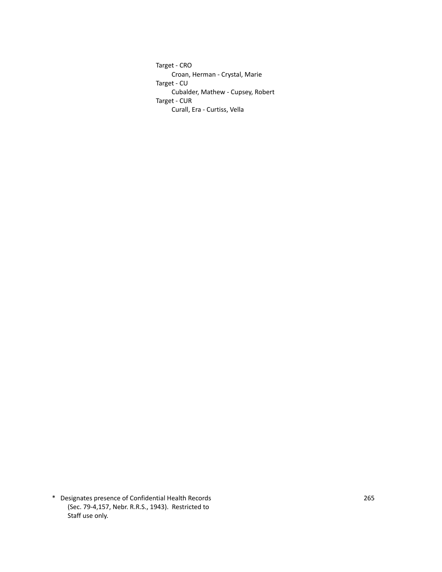Target - CRO Croan, Herman - Crystal, Marie Target - CU Cubalder, Mathew - Cupsey, Robert Target - CUR Curall, Era - Curtiss, Vella

\* Designates presence of Confidential Health Records 265 (Sec. 79-4,157, Nebr. R.R.S., 1943). Restricted to Staff use only.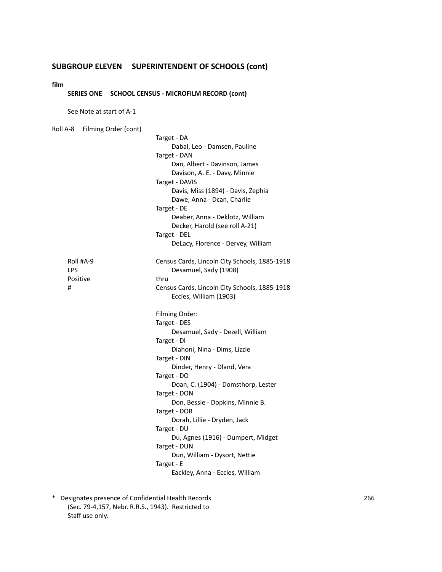#### **film**

#### **SERIES ONE SCHOOL CENSUS - MICROFILM RECORD (cont)**

See Note at start of A-1

Roll A-8 Filming Order (cont) Target - DA Dabal, Leo - Damsen, Pauline Target - DAN Dan, Albert - Davinson, James Davison, A. E. - Davy, Minnie Target - DAVIS Davis, Miss (1894) - Davis, Zephia Dawe, Anna - Dcan, Charlie Target - DE Deaber, Anna - Deklotz, William Decker, Harold (see roll A-21) Target - DEL DeLacy, Florence - Dervey, William Roll #A-9 Census Cards, Lincoln City Schools, 1885-1918 LPS Desamuel, Sady (1908) Positive thru # Census Cards, Lincoln City Schools, 1885-1918 Eccles, William (1903) Filming Order: Target - DES Desamuel, Sady - Dezell, William Target - DI Diahoni, Nina - Dims, Lizzie Target - DIN Dinder, Henry - Dland, Vera Target - DO Doan, C. (1904) - Domsthorp, Lester Target - DON Don, Bessie - Dopkins, Minnie B. Target - DOR Dorah, Lillie - Dryden, Jack Target - DU Du, Agnes (1916) - Dumpert, Midget Target - DUN Dun, William - Dysort, Nettie Target - E Eackley, Anna - Eccles, William

\* Designates presence of Confidential Health Records 266 (Sec. 79-4,157, Nebr. R.R.S., 1943). Restricted to Staff use only.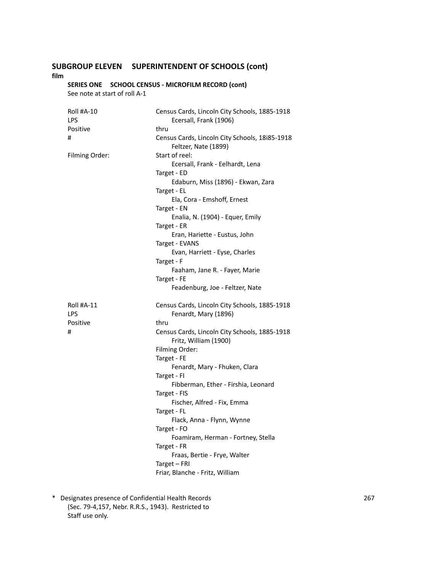**film**

### **SERIES ONE SCHOOL CENSUS - MICROFILM RECORD (cont)**

See note at start of roll A-1

| <b>Roll #A-10</b><br>LPS | Census Cards, Lincoln City Schools, 1885-1918<br>Ecersall, Frank (1906) |
|--------------------------|-------------------------------------------------------------------------|
| Positive                 | thru                                                                    |
| #                        | Census Cards, Lincoln City Schools, 18i85-1918<br>Feltzer, Nate (1899)  |
| Filming Order:           | Start of reel:                                                          |
|                          | Ecersall, Frank - Eelhardt, Lena                                        |
|                          | Target - ED                                                             |
|                          | Edaburn, Miss (1896) - Ekwan, Zara                                      |
|                          | Target - EL                                                             |
|                          | Ela, Cora - Emshoff, Ernest                                             |
|                          | Target - EN                                                             |
|                          | Enalia, N. (1904) - Equer, Emily                                        |
|                          | Target - ER                                                             |
|                          | Eran, Hariette - Eustus, John                                           |
|                          | Target - EVANS                                                          |
|                          | Evan, Harriett - Eyse, Charles                                          |
|                          | Target - F                                                              |
|                          | Faaham, Jane R. - Fayer, Marie                                          |
|                          | Target - FE                                                             |
|                          | Feadenburg, Joe - Feltzer, Nate                                         |
| <b>Roll #A-11</b>        | Census Cards, Lincoln City Schools, 1885-1918                           |
| LPS                      |                                                                         |
|                          | Fenardt, Mary (1896)                                                    |
| Positive                 | thru                                                                    |
| #                        | Census Cards, Lincoln City Schools, 1885-1918<br>Fritz, William (1900)  |
|                          | Filming Order:                                                          |
|                          | Target - FE                                                             |
|                          | Fenardt, Mary - Fhuken, Clara                                           |
|                          | Target - FI                                                             |
|                          | Fibberman, Ether - Firshia, Leonard                                     |
|                          | Target - FIS                                                            |
|                          | Fischer, Alfred - Fix, Emma                                             |
|                          | Target - FL                                                             |
|                          | Flack, Anna - Flynn, Wynne                                              |
|                          | Target - FO                                                             |
|                          | Foamiram, Herman - Fortney, Stella                                      |
|                          | Target - FR                                                             |
|                          | Fraas, Bertie - Frye, Walter                                            |
|                          | Target - FRI                                                            |

\* Designates presence of Confidential Health Records 267 (Sec. 79-4,157, Nebr. R.R.S., 1943). Restricted to Staff use only.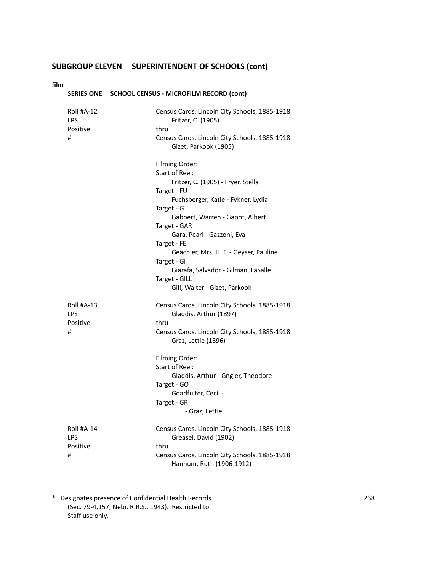#### **film**

|                                           | SERIES ONE SCHOOL CENSUS - MICROFILM RECORD (cont)                                                                           |
|-------------------------------------------|------------------------------------------------------------------------------------------------------------------------------|
| Roll #A-12<br><b>LPS</b><br>Positive<br># | Census Cards, Lincoln City Schools, 1885-1918<br>Fritzer, C. (1905)<br>thru<br>Census Cards, Lincoln City Schools, 1885-1918 |
|                                           | Gizet, Parkook (1905)<br>Filming Order:                                                                                      |
|                                           | Start of Reel:<br>Fritzer, C. (1905) - Fryer, Stella                                                                         |
|                                           | Target - FU<br>Fuchsberger, Katie - Fykner, Lydia                                                                            |
|                                           | Target - G<br>Gabbert, Warren - Gapot, Albert                                                                                |
|                                           | Target - GAR<br>Gara, Pearl - Gazzoni, Eva                                                                                   |
|                                           | Target - FE<br>Geachler, Mrs. H. F. - Geyser, Pauline                                                                        |
|                                           | Target - GI<br>Giarafa, Salvador - Gilman, LaSalle                                                                           |
|                                           | Target - GILL<br>Gill, Walter - Gizet, Parkook                                                                               |
| <b>Roll #A-13</b><br>LPS                  | Census Cards, Lincoln City Schools, 1885-1918<br>Gladdis, Arthur (1897)                                                      |
| Positive<br>#                             | thru<br>Census Cards, Lincoln City Schools, 1885-1918<br>Graz, Lettie (1896)                                                 |
|                                           | Filming Order:<br><b>Start of Reel:</b>                                                                                      |
|                                           | Gladdis, Arthur - Gngler, Theodore<br>Target - GO                                                                            |
|                                           | Goadfulter, Cecil -<br>Target - GR<br>- Graz, Lettie                                                                         |
| <b>Roll #A-14</b><br>LPS                  | Census Cards, Lincoln City Schools, 1885-1918<br>Greasel, David (1902)                                                       |
| Positive<br>#                             | thru<br>Census Cards, Lincoln City Schools, 1885-1918<br>Hannum, Ruth (1906-1912)                                            |

\* Designates presence of Confidential Health Records 268 (Sec. 79-4,157, Nebr. R.R.S., 1943). Restricted to Staff use only.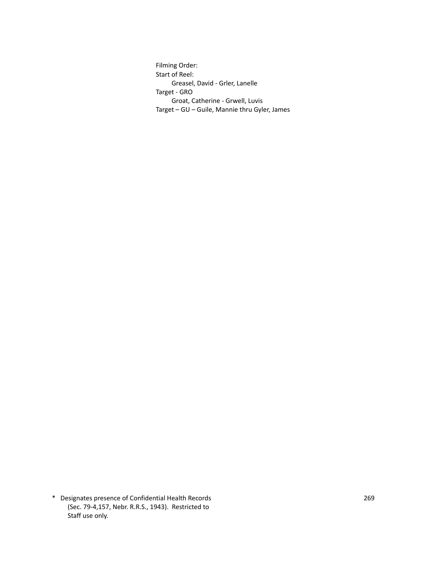Filming Order: Start of Reel: Greasel, David - Grler, Lanelle Target - GRO Groat, Catherine - Grwell, Luvis Target – GU – Guile, Mannie thru Gyler, James

\* Designates presence of Confidential Health Records 269 (Sec. 79-4,157, Nebr. R.R.S., 1943). Restricted to Staff use only.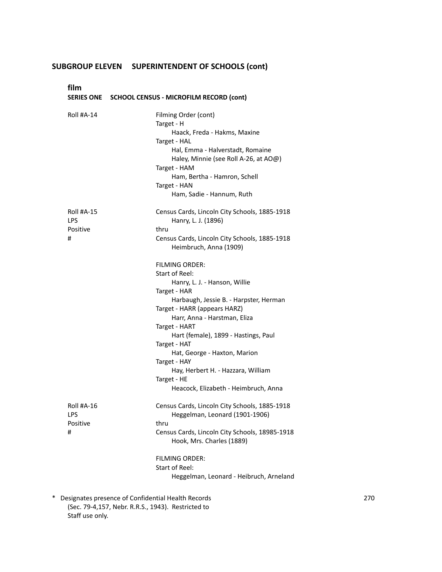**film**

| <b>SERIES ONE</b>                         | <b>SCHOOL CENSUS - MICROFILM RECORD (cont)</b>                                                                                                                                                                                                                                                                                                                                                                                                                                                                                                                                             |
|-------------------------------------------|--------------------------------------------------------------------------------------------------------------------------------------------------------------------------------------------------------------------------------------------------------------------------------------------------------------------------------------------------------------------------------------------------------------------------------------------------------------------------------------------------------------------------------------------------------------------------------------------|
| <b>Roll #A-14</b>                         | Filming Order (cont)<br>Target - H<br>Haack, Freda - Hakms, Maxine<br>Target - HAL<br>Hal, Emma - Halverstadt, Romaine<br>Haley, Minnie (see Roll A-26, at AO@)<br>Target - HAM<br>Ham, Bertha - Hamron, Schell<br>Target - HAN<br>Ham, Sadie - Hannum, Ruth                                                                                                                                                                                                                                                                                                                               |
| Roll #A-15<br>LPS<br>Positive<br>#        | Census Cards, Lincoln City Schools, 1885-1918<br>Hanry, L. J. (1896)<br>thru<br>Census Cards, Lincoln City Schools, 1885-1918<br>Heimbruch, Anna (1909)<br><b>FILMING ORDER:</b><br><b>Start of Reel:</b><br>Hanry, L. J. - Hanson, Willie<br>Target - HAR<br>Harbaugh, Jessie B. - Harpster, Herman<br>Target - HARR (appears HARZ)<br>Harr, Anna - Harstman, Eliza<br>Target - HART<br>Hart (female), 1899 - Hastings, Paul<br>Target - HAT<br>Hat, George - Haxton, Marion<br>Target - HAY<br>Hay, Herbert H. - Hazzara, William<br>Target - HE<br>Heacock, Elizabeth - Heimbruch, Anna |
| Roll #A-16<br><b>LPS</b><br>Positive<br># | Census Cards, Lincoln City Schools, 1885-1918<br>Heggelman, Leonard (1901-1906)<br>thru<br>Census Cards, Lincoln City Schools, 18985-1918<br>Hook, Mrs. Charles (1889)<br><b>FILMING ORDER:</b><br>Start of Reel:<br>Heggelman, Leonard - Heibruch, Arneland                                                                                                                                                                                                                                                                                                                               |

\* Designates presence of Confidential Health Records 270 (Sec. 79-4,157, Nebr. R.R.S., 1943). Restricted to Staff use only.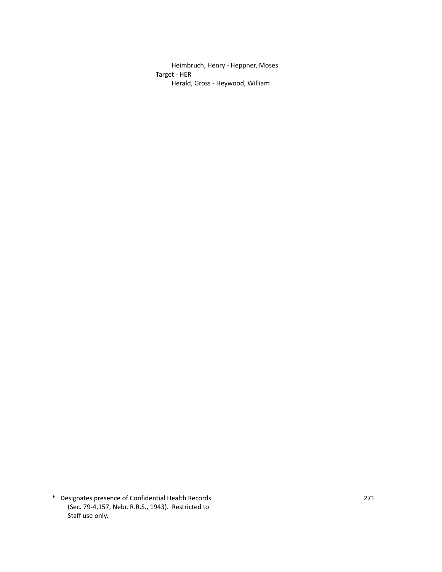Heimbruch, Henry - Heppner, Moses Target - HER Herald, Gross - Heywood, William

\* Designates presence of Confidential Health Records 271 (Sec. 79-4,157, Nebr. R.R.S., 1943). Restricted to Staff use only.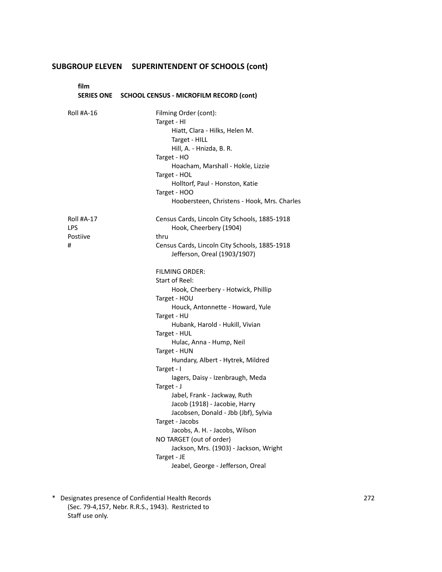**film SERIES ONE SCHOOL CENSUS - MICROFILM RECORD (cont)** Roll #A-16 Filming Order (cont): Target - HI Hiatt, Clara - Hilks, Helen M. Target - HILL Hill, A. - Hnizda, B. R. Target - HO Hoacham, Marshall - Hokle, Lizzie Target - HOL Holltorf, Paul - Honston, Katie Target - HOO Hoobersteen, Christens - Hook, Mrs. Charles Roll #A-17 Census Cards, Lincoln City Schools, 1885-1918 LPS **Hook, Cheerbery (1904)** Postiive thru # Census Cards, Lincoln City Schools, 1885-1918 Jefferson, Oreal (1903/1907) FILMING ORDER: Start of Reel: Hook, Cheerbery - Hotwick, Phillip Target - HOU Houck, Antonnette - Howard, Yule Target - HU Hubank, Harold - Hukill, Vivian Target - HUL Hulac, Anna - Hump, Neil Target - HUN Hundary, Albert - Hytrek, Mildred Target - I Iagers, Daisy - Izenbraugh, Meda Target - J Jabel, Frank - Jackway, Ruth Jacob (1918) - Jacobie, Harry Jacobsen, Donald - Jbb (Jbf), Sylvia Target - Jacobs Jacobs, A. H. - Jacobs, Wilson NO TARGET (out of order) Jackson, Mrs. (1903) - Jackson, Wright Target - JE Jeabel, George - Jefferson, Oreal

\* Designates presence of Confidential Health Records 272 (Sec. 79-4,157, Nebr. R.R.S., 1943). Restricted to Staff use only.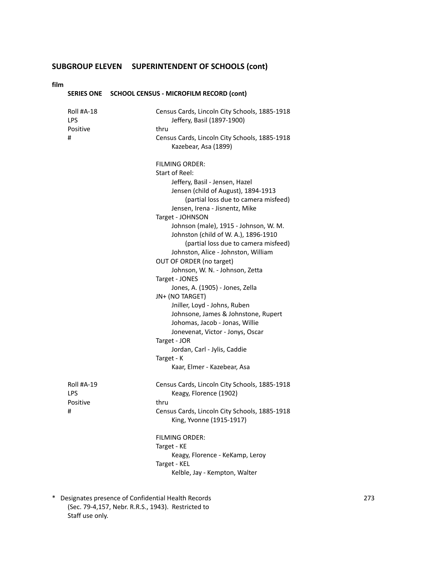#### **film**

|                                           | SERIES ONE SCHOOL CENSUS - MICROFILM RECORD (cont)                                                                                                                                                                                                                                                                                                                                                                                                                                                                                                                                                                                                                                                                                                              |
|-------------------------------------------|-----------------------------------------------------------------------------------------------------------------------------------------------------------------------------------------------------------------------------------------------------------------------------------------------------------------------------------------------------------------------------------------------------------------------------------------------------------------------------------------------------------------------------------------------------------------------------------------------------------------------------------------------------------------------------------------------------------------------------------------------------------------|
| <b>Roll #A-18</b><br>LPS<br>Positive<br># | Census Cards, Lincoln City Schools, 1885-1918<br>Jeffery, Basil (1897-1900)<br>thru<br>Census Cards, Lincoln City Schools, 1885-1918<br>Kazebear, Asa (1899)                                                                                                                                                                                                                                                                                                                                                                                                                                                                                                                                                                                                    |
|                                           | <b>FILMING ORDER:</b><br>Start of Reel:<br>Jeffery, Basil - Jensen, Hazel<br>Jensen (child of August), 1894-1913<br>(partial loss due to camera misfeed)<br>Jensen, Irena - Jisnentz, Mike<br>Target - JOHNSON<br>Johnson (male), 1915 - Johnson, W. M.<br>Johnston (child of W. A.), 1896-1910<br>(partial loss due to camera misfeed)<br>Johnston, Alice - Johnston, William<br>OUT OF ORDER (no target)<br>Johnson, W. N. - Johnson, Zetta<br>Target - JONES<br>Jones, A. (1905) - Jones, Zella<br>JN+ (NO TARGET)<br>Jniller, Loyd - Johns, Ruben<br>Johnsone, James & Johnstone, Rupert<br>Johomas, Jacob - Jonas, Willie<br>Jonevenat, Victor - Jonys, Oscar<br>Target - JOR<br>Jordan, Carl - Jylis, Caddie<br>Target - K<br>Kaar, Elmer - Kazebear, Asa |
| Roll #A-19<br>LPS<br>Positive<br>#        | Census Cards, Lincoln City Schools, 1885-1918<br>Keagy, Florence (1902)<br>thru<br>Census Cards, Lincoln City Schools, 1885-1918<br>King, Yvonne (1915-1917)<br><b>FILMING ORDER:</b><br>Target - KE<br>Keagy, Florence - KeKamp, Leroy<br>Target - KEL<br>Kelble, Jay - Kempton, Walter                                                                                                                                                                                                                                                                                                                                                                                                                                                                        |

\* Designates presence of Confidential Health Records 273 (Sec. 79-4,157, Nebr. R.R.S., 1943). Restricted to Staff use only.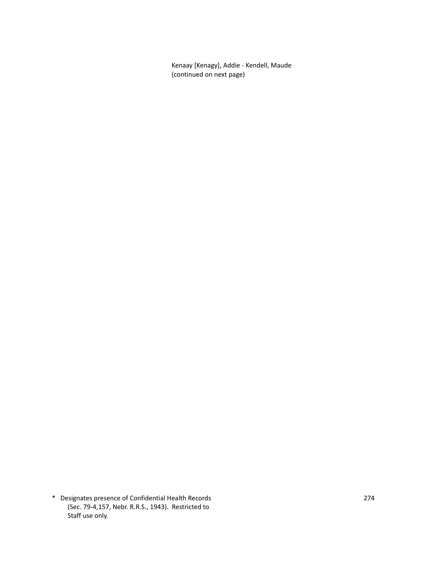Kenaay [Kenagy], Addie - Kendell, Maude (continued on next page)

\* Designates presence of Confidential Health Records 274 (Sec. 79-4,157, Nebr. R.R.S., 1943). Restricted to Staff use only.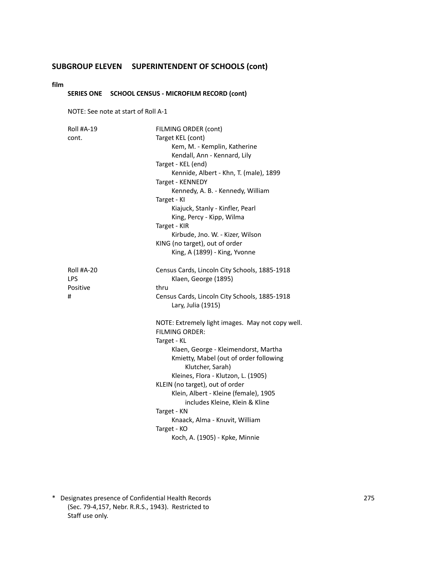#### **film**

### **SERIES ONE SCHOOL CENSUS - MICROFILM RECORD (cont)**

NOTE: See note at start of Roll A-1

| <b>Roll #A-19</b><br>cont.         | FILMING ORDER (cont)<br>Target KEL (cont)<br>Kem, M. - Kemplin, Katherine<br>Kendall, Ann - Kennard, Lily<br>Target - KEL (end)<br>Kennide, Albert - Khn, T. (male), 1899<br>Target - KENNEDY<br>Kennedy, A. B. - Kennedy, William<br>Target - KI<br>Kiajuck, Stanly - Kinfler, Pearl<br>King, Percy - Kipp, Wilma<br>Target - KIR<br>Kirbude, Jno. W. - Kizer, Wilson<br>KING (no target), out of order<br>King, A (1899) - King, Yvonne             |
|------------------------------------|-------------------------------------------------------------------------------------------------------------------------------------------------------------------------------------------------------------------------------------------------------------------------------------------------------------------------------------------------------------------------------------------------------------------------------------------------------|
| Roll #A-20<br>LPS<br>Positive<br># | Census Cards, Lincoln City Schools, 1885-1918<br>Klaen, George (1895)<br>thru<br>Census Cards, Lincoln City Schools, 1885-1918<br>Lary, Julia (1915)                                                                                                                                                                                                                                                                                                  |
|                                    | NOTE: Extremely light images. May not copy well.<br><b>FILMING ORDER:</b><br>Target - KL<br>Klaen, George - Kleimendorst, Martha<br>Kmietty, Mabel (out of order following<br>Klutcher, Sarah)<br>Kleines, Flora - Klutzon, L. (1905)<br>KLEIN (no target), out of order<br>Klein, Albert - Kleine (female), 1905<br>includes Kleine, Klein & Kline<br>Target - KN<br>Knaack, Alma - Knuvit, William<br>Target - KO<br>Koch, A. (1905) - Kpke, Minnie |

\* Designates presence of Confidential Health Records 275 (Sec. 79-4,157, Nebr. R.R.S., 1943). Restricted to Staff use only.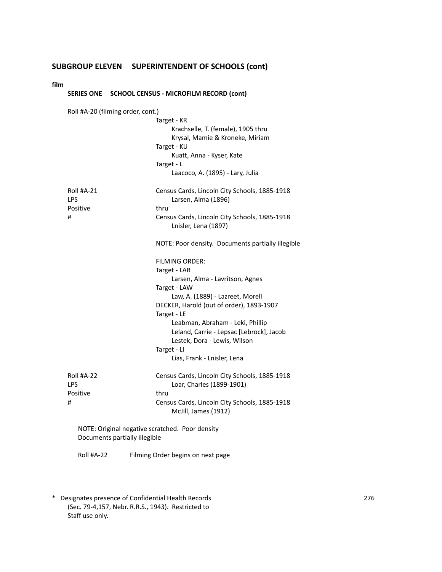#### **film**

### **SERIES ONE SCHOOL CENSUS - MICROFILM RECORD (cont)**

| Roll #A-20 (filming order, cont.)               |                                                                       |
|-------------------------------------------------|-----------------------------------------------------------------------|
|                                                 | Target - KR                                                           |
|                                                 | Krachselle, T. (female), 1905 thru                                    |
|                                                 | Krysal, Mamie & Kroneke, Miriam                                       |
|                                                 | Target - KU                                                           |
|                                                 | Kuatt, Anna - Kyser, Kate                                             |
|                                                 | Target - L                                                            |
|                                                 | Laacoco, A. (1895) - Lary, Julia                                      |
| <b>Roll #A-21</b><br><b>LPS</b>                 | Census Cards, Lincoln City Schools, 1885-1918<br>Larsen, Alma (1896)  |
| Positive                                        | thru                                                                  |
| #                                               | Census Cards, Lincoln City Schools, 1885-1918<br>Lnisler, Lena (1897) |
|                                                 | NOTE: Poor density. Documents partially illegible                     |
|                                                 | <b>FILMING ORDER:</b>                                                 |
|                                                 | Target - LAR                                                          |
|                                                 | Larsen, Alma - Lavritson, Agnes                                       |
|                                                 | Target - LAW                                                          |
|                                                 | Law, A. (1889) - Lazreet, Morell                                      |
|                                                 | DECKER, Harold (out of order), 1893-1907                              |
|                                                 | Target - LE<br>Leabman, Abraham - Leki, Phillip                       |
|                                                 | Leland, Carrie - Lepsac [Lebrock], Jacob                              |
|                                                 | Lestek, Dora - Lewis, Wilson                                          |
|                                                 | Target - LI                                                           |
|                                                 | Lias, Frank - Lnisler, Lena                                           |
| <b>Roll #A-22</b>                               | Census Cards, Lincoln City Schools, 1885-1918                         |
| <b>LPS</b>                                      | Loar, Charles (1899-1901)                                             |
| Positive                                        | thru                                                                  |
| #                                               | Census Cards, Lincoln City Schools, 1885-1918<br>McJill, James (1912) |
| NOTE: Original negative scratched. Poor density |                                                                       |
| and the contract of the contract of             |                                                                       |

Documents partially illegible

Roll #A-22 Filming Order begins on next page

\* Designates presence of Confidential Health Records 276 (Sec. 79-4,157, Nebr. R.R.S., 1943). Restricted to Staff use only.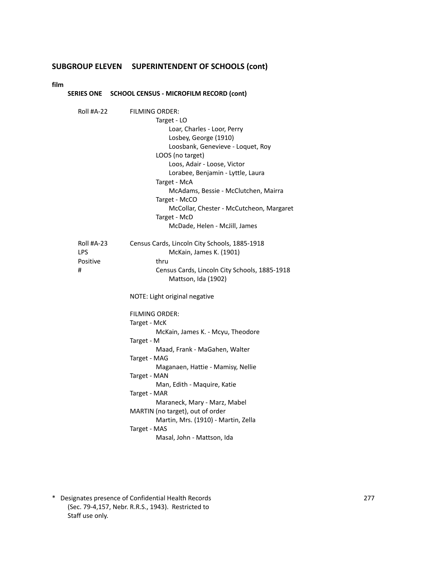**film**

|                                    | SERIES ONE SCHOOL CENSUS - MICROFILM RECORD (cont)                                                                                                                                                                                                                                                                                                                                              |
|------------------------------------|-------------------------------------------------------------------------------------------------------------------------------------------------------------------------------------------------------------------------------------------------------------------------------------------------------------------------------------------------------------------------------------------------|
| Roll #A-22                         | <b>FILMING ORDER:</b><br>Target - LO<br>Loar, Charles - Loor, Perry<br>Losbey, George (1910)<br>Loosbank, Genevieve - Loquet, Roy<br>LOOS (no target)<br>Loos, Adair - Loose, Victor<br>Lorabee, Benjamin - Lyttle, Laura<br>Target - McA<br>McAdams, Bessie - McClutchen, Mairra<br>Target - McCO<br>McCollar, Chester - McCutcheon, Margaret<br>Target - McD<br>McDade, Helen - McJill, James |
| Roll #A-23<br>LPS<br>Positive<br># | Census Cards, Lincoln City Schools, 1885-1918<br>McKain, James K. (1901)<br>thru<br>Census Cards, Lincoln City Schools, 1885-1918<br>Mattson, Ida (1902)<br>NOTE: Light original negative                                                                                                                                                                                                       |
|                                    | FILMING ORDER:<br>Target - McK<br>McKain, James K. - Mcyu, Theodore<br>Target - M<br>Maad, Frank - MaGahen, Walter<br>Target - MAG<br>Maganaen, Hattie - Mamisy, Nellie<br>Target - MAN<br>Man, Edith - Maquire, Katie<br>Target - MAR<br>Maraneck, Mary - Marz, Mabel<br>MARTIN (no target), out of order<br>Martin, Mrs. (1910) - Martin, Zella<br>Target - MAS<br>Masal, John - Mattson, Ida |

\* Designates presence of Confidential Health Records 277 (Sec. 79-4,157, Nebr. R.R.S., 1943). Restricted to Staff use only.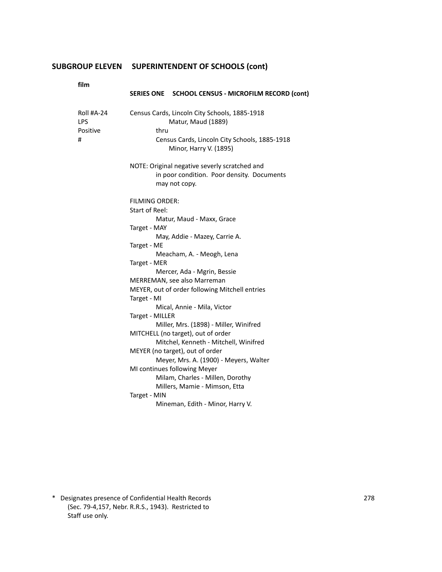| film                               |                                                                                                                                                                                                                                                                                                                                                                    |
|------------------------------------|--------------------------------------------------------------------------------------------------------------------------------------------------------------------------------------------------------------------------------------------------------------------------------------------------------------------------------------------------------------------|
|                                    | SERIES ONE SCHOOL CENSUS - MICROFILM RECORD (cont)                                                                                                                                                                                                                                                                                                                 |
| Roll #A-24<br>LPS<br>Positive<br># | Census Cards, Lincoln City Schools, 1885-1918<br>Matur, Maud (1889)<br>thru<br>Census Cards, Lincoln City Schools, 1885-1918<br>Minor, Harry V. (1895)                                                                                                                                                                                                             |
|                                    | NOTE: Original negative severly scratched and<br>in poor condition. Poor density. Documents<br>may not copy.                                                                                                                                                                                                                                                       |
|                                    | <b>FILMING ORDER:</b><br>Start of Reel:<br>Matur, Maud - Maxx, Grace<br>Target - MAY<br>May, Addie - Mazey, Carrie A.<br>Target - ME<br>Meacham, A. - Meogh, Lena<br>Target - MER<br>Mercer, Ada - Mgrin, Bessie<br>MERREMAN, see also Marreman<br>MEYER, out of order following Mitchell entries<br>Target - MI<br>Mical, Annie - Mila, Victor<br>Target - MILLER |
|                                    | Miller, Mrs. (1898) - Miller, Winifred<br>MITCHELL (no target), out of order<br>Mitchel, Kenneth - Mitchell, Winifred<br>MEYER (no target), out of order<br>Meyer, Mrs. A. (1900) - Meyers, Walter<br>MI continues following Meyer<br>Milam, Charles - Millen, Dorothy<br>Millers, Mamie - Mimson, Etta<br>Target - MIN<br>Mineman, Edith - Minor, Harry V.        |

\* Designates presence of Confidential Health Records 278 (Sec. 79-4,157, Nebr. R.R.S., 1943). Restricted to Staff use only.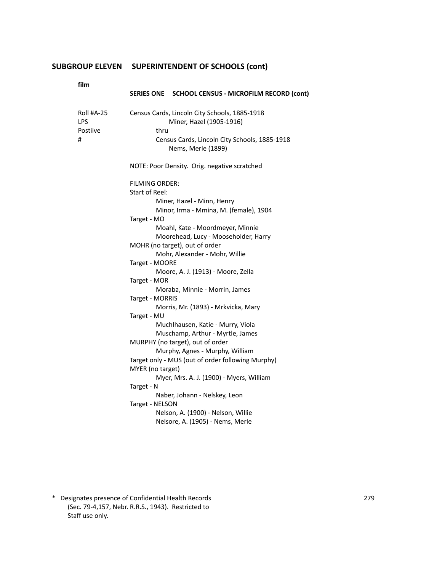| film                               |                                                                                                                                                                                                                                                                                                                                                                                                                                                                                                                                                                                                                                                                                                                                                                                                                                                                                    |
|------------------------------------|------------------------------------------------------------------------------------------------------------------------------------------------------------------------------------------------------------------------------------------------------------------------------------------------------------------------------------------------------------------------------------------------------------------------------------------------------------------------------------------------------------------------------------------------------------------------------------------------------------------------------------------------------------------------------------------------------------------------------------------------------------------------------------------------------------------------------------------------------------------------------------|
|                                    | SERIES ONE SCHOOL CENSUS - MICROFILM RECORD (cont)                                                                                                                                                                                                                                                                                                                                                                                                                                                                                                                                                                                                                                                                                                                                                                                                                                 |
| Roll #A-25<br>LPS<br>Postiive<br># | Census Cards, Lincoln City Schools, 1885-1918<br>Miner, Hazel (1905-1916)<br>thru<br>Census Cards, Lincoln City Schools, 1885-1918<br>Nems, Merle (1899)                                                                                                                                                                                                                                                                                                                                                                                                                                                                                                                                                                                                                                                                                                                           |
|                                    | NOTE: Poor Density. Orig. negative scratched                                                                                                                                                                                                                                                                                                                                                                                                                                                                                                                                                                                                                                                                                                                                                                                                                                       |
|                                    | <b>FILMING ORDER:</b><br>Start of Reel:<br>Miner, Hazel - Minn, Henry<br>Minor, Irma - Mmina, M. (female), 1904<br>Target - MO<br>Moahl, Kate - Moordmeyer, Minnie<br>Moorehead, Lucy - Mooseholder, Harry<br>MOHR (no target), out of order<br>Mohr, Alexander - Mohr, Willie<br>Target - MOORE<br>Moore, A. J. (1913) - Moore, Zella<br>Target - MOR<br>Moraba, Minnie - Morrin, James<br>Target - MORRIS<br>Morris, Mr. (1893) - Mrkvicka, Mary<br>Target - MU<br>Muchlhausen, Katie - Murry, Viola<br>Muschamp, Arthur - Myrtle, James<br>MURPHY (no target), out of order<br>Murphy, Agnes - Murphy, William<br>Target only - MUS (out of order following Murphy)<br>MYER (no target)<br>Myer, Mrs. A. J. (1900) - Myers, William<br>Target - N<br>Naber, Johann - Nelskey, Leon<br>Target - NELSON<br>Nelson, A. (1900) - Nelson, Willie<br>Nelsore, A. (1905) - Nems, Merle |

\* Designates presence of Confidential Health Records 279 (Sec. 79-4,157, Nebr. R.R.S., 1943). Restricted to Staff use only.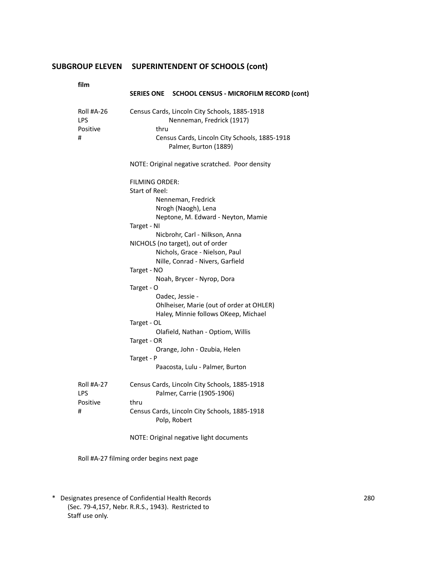| I |
|---|

| film              | SERIES ONE SCHOOL CENSUS - MICROFILM RECORD (cont)                                                    |
|-------------------|-------------------------------------------------------------------------------------------------------|
| Roll #A-26<br>LPS | Census Cards, Lincoln City Schools, 1885-1918<br>Nenneman, Fredrick (1917)                            |
| Positive<br>#     | thru<br>Census Cards, Lincoln City Schools, 1885-1918<br>Palmer, Burton (1889)                        |
|                   | NOTE: Original negative scratched. Poor density                                                       |
|                   | FILMING ORDER:<br><b>Start of Reel:</b>                                                               |
|                   | Nenneman, Fredrick<br>Nrogh (Naogh), Lena                                                             |
|                   | Neptone, M. Edward - Neyton, Mamie<br>Target - NI                                                     |
|                   | Nicbrohr, Carl - Nilkson, Anna<br>NICHOLS (no target), out of order<br>Nichols, Grace - Nielson, Paul |
|                   | Nille, Conrad - Nivers, Garfield<br>Target - NO                                                       |
|                   | Noah, Brycer - Nyrop, Dora<br>Target - O                                                              |
|                   | Oadec, Jessie -<br>Ohlheiser, Marie (out of order at OHLER)<br>Haley, Minnie follows OKeep, Michael   |
|                   | Target - OL<br>Olafield, Nathan - Optiom, Willis                                                      |
|                   | Target - OR<br>Orange, John - Ozubia, Helen                                                           |
|                   | Target - P<br>Paacosta, Lulu - Palmer, Burton                                                         |
| Roll #A-27<br>LPS | Census Cards, Lincoln City Schools, 1885-1918<br>Palmer, Carrie (1905-1906)                           |
| Positive<br>#     | thru<br>Census Cards, Lincoln City Schools, 1885-1918                                                 |
|                   | Polp, Robert<br>NOTE: Original negative light documents                                               |

Roll #A-27 filming order begins next page

\* Designates presence of Confidential Health Records 280 (Sec. 79-4,157, Nebr. R.R.S., 1943). Restricted to Staff use only.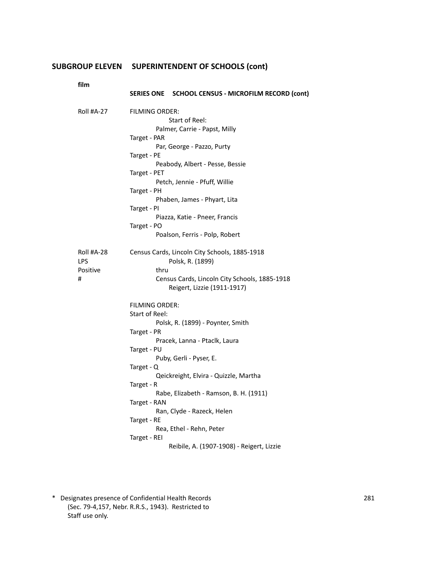|  | SERIES ONE SCHOOL CENSUS - MICROFILM RECORD (cont) |
|--|----------------------------------------------------|
|  |                                                    |

| Roll #A-27        | FILMING ORDER:                                                    |
|-------------------|-------------------------------------------------------------------|
|                   | Start of Reel:                                                    |
|                   | Palmer, Carrie - Papst, Milly                                     |
|                   | Target - PAR                                                      |
|                   | Par, George - Pazzo, Purty                                        |
|                   | Target - PE                                                       |
|                   | Peabody, Albert - Pesse, Bessie                                   |
|                   | Target - PET                                                      |
|                   | Petch, Jennie - Pfuff, Willie                                     |
|                   | Target - PH                                                       |
|                   | Phaben, James - Phyart, Lita                                      |
|                   | Target - PI                                                       |
|                   | Piazza, Katie - Pneer, Francis                                    |
|                   | Target - PO                                                       |
|                   | Poalson, Ferris - Polp, Robert                                    |
| Roll #A-28<br>LPS | Census Cards, Lincoln City Schools, 1885-1918<br>Polsk, R. (1899) |
| Positive          | thru                                                              |
| #                 | Census Cards, Lincoln City Schools, 1885-1918                     |
|                   | Reigert, Lizzie (1911-1917)                                       |
|                   | <b>FILMING ORDER:</b>                                             |
|                   | Start of Reel:                                                    |
|                   | Polsk, R. (1899) - Poynter, Smith                                 |
|                   | Target - PR                                                       |
|                   | Pracek, Lanna - Ptaclk, Laura                                     |
|                   | Target - PU                                                       |
|                   | Puby, Gerli - Pyser, E.                                           |
|                   | Target - Q                                                        |
|                   | Qeickreight, Elvira - Quizzle, Martha                             |
|                   | Target - R                                                        |
|                   | Rabe, Elizabeth - Ramson, B. H. (1911)                            |
|                   | Target - RAN                                                      |
|                   | Ran, Clyde - Razeck, Helen                                        |
|                   | Target - RE                                                       |
|                   | Rea, Ethel - Rehn, Peter                                          |
|                   | Target - REI                                                      |
|                   | Reibile, A. (1907-1908) - Reigert, Lizzie                         |

\* Designates presence of Confidential Health Records 281 (Sec. 79-4,157, Nebr. R.R.S., 1943). Restricted to Staff use only.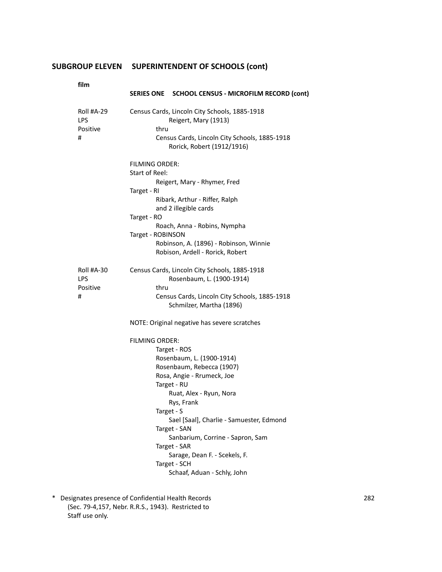**film**

| film              | SERIES ONE SCHOOL CENSUS - MICROFILM RECORD (cont)                                  |
|-------------------|-------------------------------------------------------------------------------------|
| Roll #A-29<br>LPS | Census Cards, Lincoln City Schools, 1885-1918<br>Reigert, Mary (1913)               |
| Positive<br>#     | thru<br>Census Cards, Lincoln City Schools, 1885-1918<br>Rorick, Robert (1912/1916) |
|                   | FILMING ORDER:                                                                      |
|                   | Start of Reel:<br>Reigert, Mary - Rhymer, Fred                                      |
|                   | Target - RI                                                                         |
|                   | Ribark, Arthur - Riffer, Ralph<br>and 2 illegible cards                             |
|                   | Target - RO                                                                         |
|                   | Roach, Anna - Robins, Nympha<br>Target - ROBINSON                                   |
|                   | Robinson, A. (1896) - Robinson, Winnie                                              |
|                   | Robison, Ardell - Rorick, Robert                                                    |
| Roll #A-30        | Census Cards, Lincoln City Schools, 1885-1918                                       |
| LPS<br>Positive   | Rosenbaum, L. (1900-1914)<br>thru                                                   |
| #                 | Census Cards, Lincoln City Schools, 1885-1918<br>Schmilzer, Martha (1896)           |
|                   | NOTE: Original negative has severe scratches                                        |
|                   | FILMING ORDER:                                                                      |
|                   | Target - ROS                                                                        |
|                   | Rosenbaum, L. (1900-1914)                                                           |
|                   | Rosenbaum, Rebecca (1907)<br>Rosa, Angie - Rrumeck, Joe                             |
|                   | Target - RU                                                                         |
|                   | Ruat, Alex - Ryun, Nora                                                             |
|                   | Rys, Frank                                                                          |
|                   | Target - S<br>Sael [Saal], Charlie - Samuester, Edmond                              |
|                   | Target - SAN                                                                        |
|                   | Sanbarium, Corrine - Sapron, Sam                                                    |
|                   | Target - SAR<br>Sarage, Dean F. - Scekels, F.                                       |
|                   | Target - SCH                                                                        |
|                   | Schaaf, Aduan - Schly, John                                                         |

\* Designates presence of Confidential Health Records 282 (Sec. 79-4,157, Nebr. R.R.S., 1943). Restricted to Staff use only.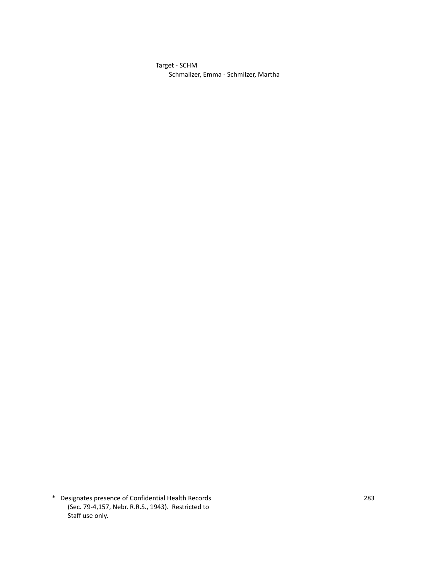Target - SCHM Schmailzer, Emma - Schmilzer, Martha

\* Designates presence of Confidential Health Records 283 (Sec. 79-4,157, Nebr. R.R.S., 1943). Restricted to Staff use only.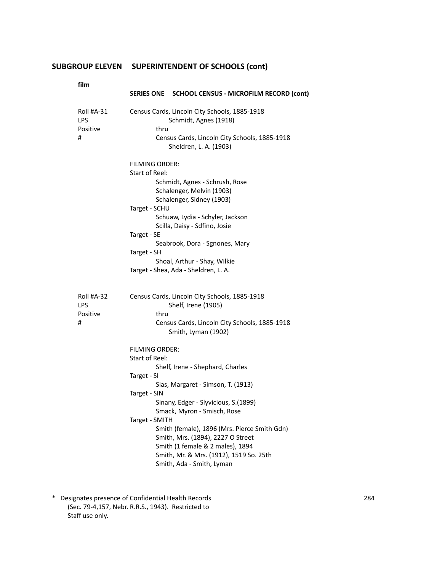**film**

| film                                      | SERIES ONE SCHOOL CENSUS - MICROFILM RECORD (cont)                                                                                                                                                                                                                                                                                                                                                                                  |
|-------------------------------------------|-------------------------------------------------------------------------------------------------------------------------------------------------------------------------------------------------------------------------------------------------------------------------------------------------------------------------------------------------------------------------------------------------------------------------------------|
| Roll #A-31<br>LPS<br>Positive<br>#        | Census Cards, Lincoln City Schools, 1885-1918<br>Schmidt, Agnes (1918)<br>thru<br>Census Cards, Lincoln City Schools, 1885-1918                                                                                                                                                                                                                                                                                                     |
|                                           | Sheldren, L. A. (1903)<br><b>FILMING ORDER:</b><br>Start of Reel:<br>Schmidt, Agnes - Schrush, Rose<br>Schalenger, Melvin (1903)<br>Schalenger, Sidney (1903)<br>Target - SCHU<br>Schuaw, Lydia - Schyler, Jackson<br>Scilla, Daisy - Sdfino, Josie<br>Target - SE<br>Seabrook, Dora - Sgnones, Mary<br>Target - SH<br>Shoal, Arthur - Shay, Wilkie<br>Target - Shea, Ada - Sheldren, L. A.                                         |
| Roll #A-32<br><b>LPS</b><br>Positive<br># | Census Cards, Lincoln City Schools, 1885-1918<br>Shelf, Irene (1905)<br>thru<br>Census Cards, Lincoln City Schools, 1885-1918<br>Smith, Lyman (1902)                                                                                                                                                                                                                                                                                |
|                                           | FILMING ORDER:<br>Start of Reel:<br>Shelf, Irene - Shephard, Charles<br>Target - SI<br>Sias, Margaret - Simson, T. (1913)<br>Target - SIN<br>Sinany, Edger - Slyvicious, S.(1899)<br>Smack, Myron - Smisch, Rose<br>Target - SMITH<br>Smith (female), 1896 (Mrs. Pierce Smith Gdn)<br>Smith, Mrs. (1894), 2227 O Street<br>Smith (1 female & 2 males), 1894<br>Smith, Mr. & Mrs. (1912), 1519 So. 25th<br>Smith, Ada - Smith, Lyman |

\* Designates presence of Confidential Health Records 284 (Sec. 79-4,157, Nebr. R.R.S., 1943). Restricted to Staff use only.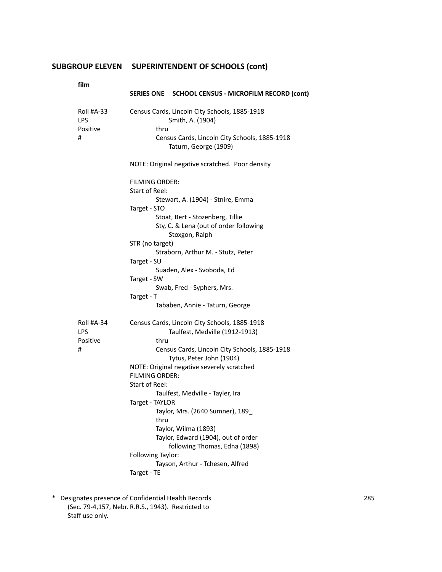**film**

| tilm              | SERIES ONE SCHOOL CENSUS - MICROFILM RECORD (cont)                                           |  |
|-------------------|----------------------------------------------------------------------------------------------|--|
| Roll #A-33<br>LPS | Census Cards, Lincoln City Schools, 1885-1918<br>Smith, A. (1904)                            |  |
| Positive<br>#     | thru<br>Census Cards, Lincoln City Schools, 1885-1918<br>Taturn, George (1909)               |  |
|                   | NOTE: Original negative scratched. Poor density                                              |  |
|                   | <b>FILMING ORDER:</b><br><b>Start of Reel:</b>                                               |  |
|                   | Stewart, A. (1904) - Stnire, Emma<br>Target - STO                                            |  |
|                   | Stoat, Bert - Stozenberg, Tillie<br>Sty, C. & Lena (out of order following<br>Stoxgon, Ralph |  |
|                   | STR (no target)<br>Straborn, Arthur M. - Stutz, Peter<br>Target - SU                         |  |
|                   | Suaden, Alex - Svoboda, Ed<br>Target - SW                                                    |  |
|                   | Swab, Fred - Syphers, Mrs.<br>Target - T                                                     |  |
|                   | Tababen, Annie - Taturn, George                                                              |  |
| Roll #A-34<br>LPS | Census Cards, Lincoln City Schools, 1885-1918<br>Taulfest, Medville (1912-1913)              |  |
| Positive<br>#     | thru<br>Census Cards, Lincoln City Schools, 1885-1918<br>Tytus, Peter John (1904)            |  |
|                   | NOTE: Original negative severely scratched<br><b>FILMING ORDER:</b>                          |  |
|                   | <b>Start of Reel:</b><br>Taulfest, Medville - Tayler, Ira                                    |  |
|                   | Target - TAYLOR                                                                              |  |
|                   | Taylor, Mrs. (2640 Sumner), 189_<br>thru                                                     |  |
|                   | Taylor, Wilma (1893)                                                                         |  |
|                   | Taylor, Edward (1904), out of order<br>following Thomas, Edna (1898)                         |  |
|                   | Following Taylor:<br>Tayson, Arthur - Tchesen, Alfred                                        |  |
|                   | Target - TE                                                                                  |  |

\* Designates presence of Confidential Health Records 285 (Sec. 79-4,157, Nebr. R.R.S., 1943). Restricted to Staff use only.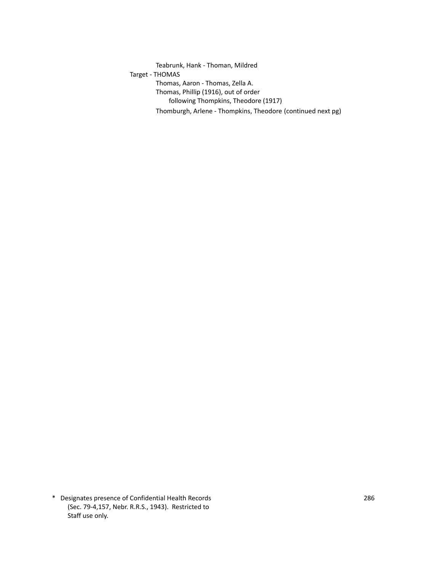Teabrunk, Hank - Thoman, Mildred Target - THOMAS Thomas, Aaron - Thomas, Zella A. Thomas, Phillip (1916), out of order following Thompkins, Theodore (1917) Thomburgh, Arlene - Thompkins, Theodore (continued next pg)

\* Designates presence of Confidential Health Records 286 (Sec. 79-4,157, Nebr. R.R.S., 1943). Restricted to Staff use only.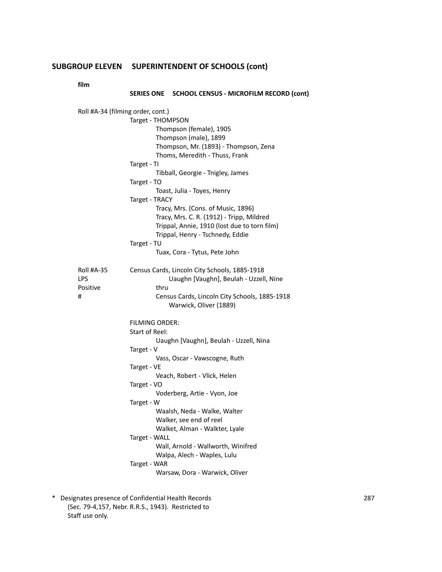**film**

### **SERIES ONE SCHOOL CENSUS - MICROFILM RECORD (cont)**

|            | Roll #A-34 (filming order, cont.)              |
|------------|------------------------------------------------|
|            | Target - THOMPSON                              |
|            | Thompson (female), 1905                        |
|            | Thompson (male), 1899                          |
|            | Thompson, Mr. (1893) - Thompson, Zena          |
|            | Thoms, Meredith - Thuss, Frank                 |
|            | Target - TI                                    |
|            | Tibball, Georgie - Tnigley, James              |
|            | Target - TO                                    |
|            | Toast, Julia - Toyes, Henry                    |
|            | Target - TRACY                                 |
|            | Tracy, Mrs. (Cons. of Music, 1896)             |
|            | Tracy, Mrs. C. R. (1912) - Tripp, Mildred      |
|            | Trippal, Annie, 1910 (lost due to torn film)   |
|            | Trippal, Henry - Tschnedy, Eddie               |
|            | Target - TU                                    |
|            | Tuax, Cora - Tytus, Pete John                  |
|            |                                                |
| Roll #A-35 | Census Cards, Lincoln City Schools, 1885-1918  |
| LPS        | Uaughn [Vaughn], Beulah - Uzzell, Nine         |
| Positive   | thru                                           |
| #          | Census Cards, Lincoln City Schools, 1885-1918  |
|            | Warwick, Oliver (1889)                         |
|            |                                                |
|            | <b>FILMING ORDER:</b>                          |
|            | Start of Reel:                                 |
|            | Uaughn [Vaughn], Beulah - Uzzell, Nina         |
|            | Target - V                                     |
|            | Vass, Oscar - Vawscogne, Ruth                  |
|            |                                                |
|            | Target - VE                                    |
|            | Veach, Robert - Vlick, Helen                   |
|            | Target - VO                                    |
|            | Voderberg, Artie - Vyon, Joe                   |
|            | Target - W                                     |
|            | Waalsh, Neda - Walke, Walter                   |
|            | Walker, see end of reel                        |
|            | Walket, Alman - Walkter, Lyale                 |
|            | Target - WALL                                  |
|            | Wall, Arnold - Wallworth, Winifred             |
|            | Walpa, Alech - Waples, Lulu                    |
|            |                                                |
|            | Target - WAR<br>Warsaw, Dora - Warwick, Oliver |

\* Designates presence of Confidential Health Records 287 (Sec. 79-4,157, Nebr. R.R.S., 1943). Restricted to Staff use only.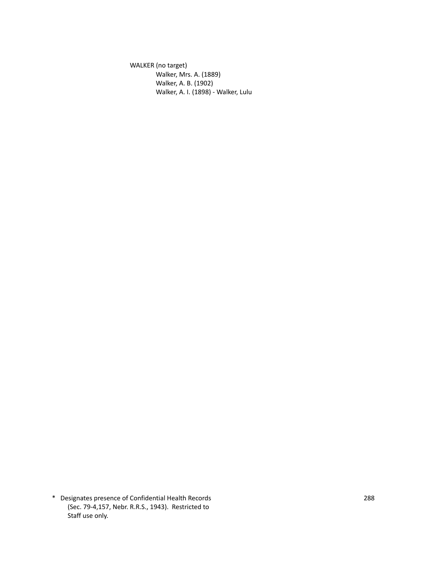WALKER (no target) Walker, Mrs. A. (1889) Walker, A. B. (1902) Walker, A. I. (1898) - Walker, Lulu

\* Designates presence of Confidential Health Records 288 (Sec. 79-4,157, Nebr. R.R.S., 1943). Restricted to Staff use only.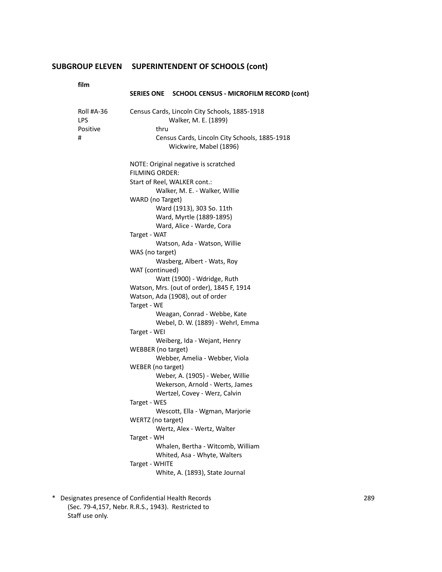**film**

| ,,,,,,                             | SERIES ONE SCHOOL CENSUS - MICROFILM RECORD (cont)                                                                                                                                                                                                                                                                                                                                                                                                                                                                                                                                                                                                                                                                                                                                                                                                                                                             |
|------------------------------------|----------------------------------------------------------------------------------------------------------------------------------------------------------------------------------------------------------------------------------------------------------------------------------------------------------------------------------------------------------------------------------------------------------------------------------------------------------------------------------------------------------------------------------------------------------------------------------------------------------------------------------------------------------------------------------------------------------------------------------------------------------------------------------------------------------------------------------------------------------------------------------------------------------------|
| Roll #A-36<br>LPS<br>Positive<br># | Census Cards, Lincoln City Schools, 1885-1918<br>Walker, M. E. (1899)<br>thru<br>Census Cards, Lincoln City Schools, 1885-1918<br>Wickwire, Mabel (1896)                                                                                                                                                                                                                                                                                                                                                                                                                                                                                                                                                                                                                                                                                                                                                       |
|                                    | NOTE: Original negative is scratched<br><b>FILMING ORDER:</b><br>Start of Reel, WALKER cont.:<br>Walker, M. E. - Walker, Willie<br>WARD (no Target)<br>Ward (1913), 303 So. 11th<br>Ward, Myrtle (1889-1895)<br>Ward, Alice - Warde, Cora<br>Target - WAT<br>Watson, Ada - Watson, Willie<br>WAS (no target)<br>Wasberg, Albert - Wats, Roy<br>WAT (continued)<br>Watt (1900) - Wdridge, Ruth<br>Watson, Mrs. (out of order), 1845 F, 1914<br>Watson, Ada (1908), out of order<br>Target - WE<br>Weagan, Conrad - Webbe, Kate<br>Webel, D. W. (1889) - Wehrl, Emma<br>Target - WEI<br>Weiberg, Ida - Wejant, Henry<br>WEBBER (no target)<br>Webber, Amelia - Webber, Viola<br>WEBER (no target)<br>Weber, A. (1905) - Weber, Willie<br>Wekerson, Arnold - Werts, James<br>Wertzel, Covey - Werz, Calvin<br>Target - WES<br>Wescott, Ella - Wgman, Marjorie<br>WERTZ (no target)<br>Wertz, Alex - Wertz, Walter |
|                                    | Target - WH<br>Whalen, Bertha - Witcomb, William<br>Whited, Asa - Whyte, Walters<br>Target - WHITE<br>White, A. (1893), State Journal                                                                                                                                                                                                                                                                                                                                                                                                                                                                                                                                                                                                                                                                                                                                                                          |

\* Designates presence of Confidential Health Records 289 (Sec. 79-4,157, Nebr. R.R.S., 1943). Restricted to Staff use only.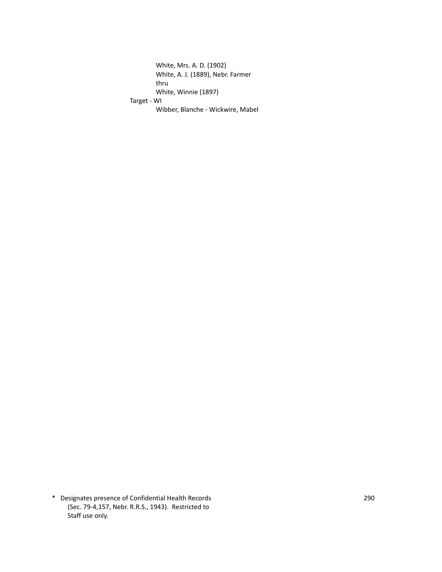White, Mrs. A. D. (1902) White, A. J. (1889), Nebr. Farmer thru White, Winnie (1897) Target - WI Wibber, Blanche - Wickwire, Mabel

\* Designates presence of Confidential Health Records 290 (Sec. 79-4,157, Nebr. R.R.S., 1943). Restricted to Staff use only.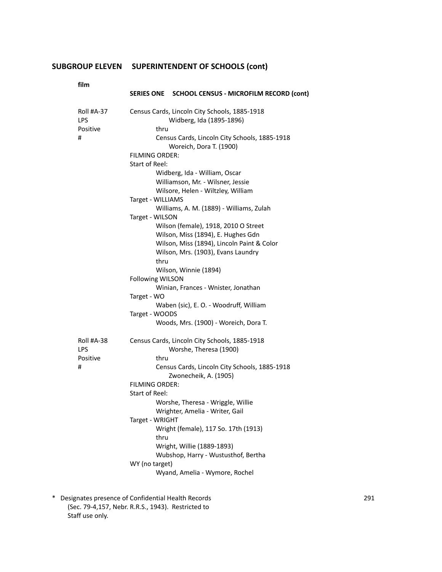**film**

| tilm              | SERIES ONE SCHOOL CENSUS - MICROFILM RECORD (cont)                        |  |  |
|-------------------|---------------------------------------------------------------------------|--|--|
| Roll #A-37<br>LPS | Census Cards, Lincoln City Schools, 1885-1918<br>Widberg, Ida (1895-1896) |  |  |
| Positive          | thru                                                                      |  |  |
| #                 | Census Cards, Lincoln City Schools, 1885-1918<br>Woreich, Dora T. (1900)  |  |  |
|                   | <b>FILMING ORDER:</b>                                                     |  |  |
|                   | Start of Reel:                                                            |  |  |
|                   | Widberg, Ida - William, Oscar                                             |  |  |
|                   | Williamson, Mr. - Wilsner, Jessie                                         |  |  |
|                   | Wilsore, Helen - Wiltzley, William                                        |  |  |
|                   | Target - WILLIAMS                                                         |  |  |
|                   | Williams, A. M. (1889) - Williams, Zulah                                  |  |  |
|                   | Target - WILSON                                                           |  |  |
|                   | Wilson (female), 1918, 2010 O Street                                      |  |  |
|                   | Wilson, Miss (1894), E. Hughes Gdn                                        |  |  |
|                   | Wilson, Miss (1894), Lincoln Paint & Color                                |  |  |
|                   | Wilson, Mrs. (1903), Evans Laundry                                        |  |  |
|                   | thru                                                                      |  |  |
|                   | Wilson, Winnie (1894)                                                     |  |  |
|                   | <b>Following WILSON</b>                                                   |  |  |
|                   | Winian, Frances - Wnister, Jonathan                                       |  |  |
|                   | Target - WO                                                               |  |  |
|                   | Waben (sic), E. O. - Woodruff, William                                    |  |  |
|                   | Target - WOODS                                                            |  |  |
|                   | Woods, Mrs. (1900) - Woreich, Dora T.                                     |  |  |
| Roll #A-38        | Census Cards, Lincoln City Schools, 1885-1918                             |  |  |
| LPS               | Worshe, Theresa (1900)                                                    |  |  |
| Positive          | thru                                                                      |  |  |
| #                 | Census Cards, Lincoln City Schools, 1885-1918<br>Zwonecheik, A. (1905)    |  |  |
|                   | FILMING ORDER:                                                            |  |  |
|                   | Start of Reel:                                                            |  |  |
|                   | Worshe, Theresa - Wriggle, Willie                                         |  |  |
|                   | Wrighter, Amelia - Writer, Gail                                           |  |  |
|                   | Target - WRIGHT                                                           |  |  |
|                   | Wright (female), 117 So. 17th (1913)                                      |  |  |
|                   | thru                                                                      |  |  |
|                   | Wright, Willie (1889-1893)                                                |  |  |
|                   | Wubshop, Harry - Wustusthof, Bertha                                       |  |  |
|                   | WY (no target)                                                            |  |  |
|                   | Wyand, Amelia - Wymore, Rochel                                            |  |  |

\* Designates presence of Confidential Health Records 291 (Sec. 79-4,157, Nebr. R.R.S., 1943). Restricted to Staff use only.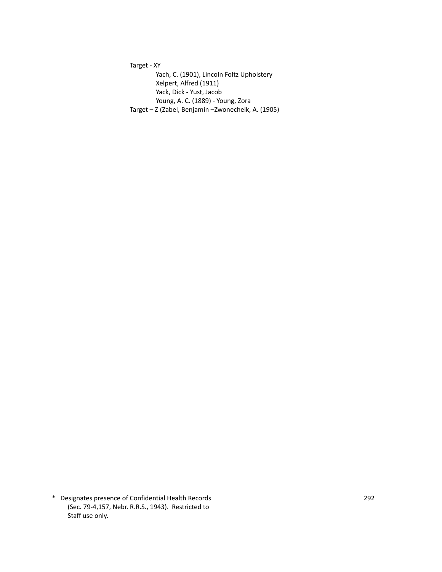Target - XY Yach, C. (1901), Lincoln Foltz Upholstery Xelpert, Alfred (1911) Yack, Dick - Yust, Jacob Young, A. C. (1889) - Young, Zora Target – Z (Zabel, Benjamin –Zwonecheik, A. (1905)

\* Designates presence of Confidential Health Records 292 (Sec. 79-4,157, Nebr. R.R.S., 1943). Restricted to Staff use only.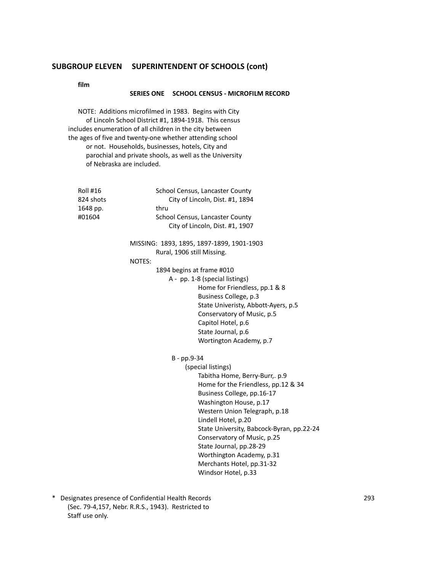**film**

#### **SERIES ONE SCHOOL CENSUS - MICROFILM RECORD**

NOTE: Additions microfilmed in 1983. Begins with City of Lincoln School District #1, 1894-1918. This census includes enumeration of all children in the city between the ages of five and twenty-one whether attending school or not. Households, businesses, hotels, City and parochial and private shools, as well as the University of Nebraska are included.

| Roll #16<br>824 shots<br>1648 pp.<br>#01604 | School Census, Lancaster County<br>City of Lincoln, Dist. #1, 1894<br>thru<br>School Census, Lancaster County<br>City of Lincoln, Dist. #1, 1907 |
|---------------------------------------------|--------------------------------------------------------------------------------------------------------------------------------------------------|
|                                             |                                                                                                                                                  |
|                                             | MISSING: 1893, 1895, 1897-1899, 1901-1903                                                                                                        |
|                                             | Rural, 1906 still Missing.<br>NOTES:                                                                                                             |
|                                             |                                                                                                                                                  |
|                                             | 1894 begins at frame #010<br>A - pp. 1-8 (special listings)                                                                                      |
|                                             | Home for Friendless, pp.1 & 8                                                                                                                    |
|                                             | Business College, p.3                                                                                                                            |
|                                             | State Univeristy, Abbott-Ayers, p.5                                                                                                              |
|                                             | Conservatory of Music, p.5                                                                                                                       |
|                                             | Capitol Hotel, p.6                                                                                                                               |
|                                             | State Journal, p.6                                                                                                                               |
|                                             | Wortington Academy, p.7                                                                                                                          |
|                                             | B - pp.9-34                                                                                                                                      |
|                                             | (special listings)                                                                                                                               |
|                                             | Tabitha Home, Berry-Burr,. p.9                                                                                                                   |
|                                             | Home for the Friendless, pp.12 & 34                                                                                                              |
|                                             | Business College, pp.16-17                                                                                                                       |
|                                             | Washington House, p.17                                                                                                                           |
|                                             | Western Union Telegraph, p.18                                                                                                                    |
|                                             | Lindell Hotel, p.20                                                                                                                              |
|                                             | State University, Babcock-Byran, pp.22-24                                                                                                        |
|                                             | Conservatory of Music, p.25                                                                                                                      |
|                                             | State Journal, pp.28-29                                                                                                                          |
|                                             | Worthington Academy, p.31                                                                                                                        |
|                                             | Merchants Hotel, pp.31-32                                                                                                                        |
|                                             | Windsor Hotel, p.33                                                                                                                              |

\* Designates presence of Confidential Health Records 293 (Sec. 79-4,157, Nebr. R.R.S., 1943). Restricted to Staff use only.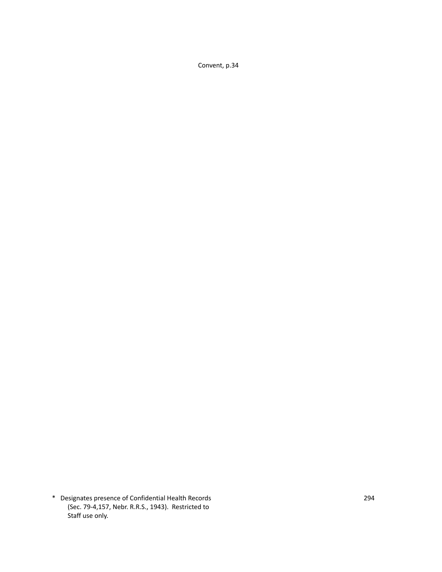Convent, p.34

\* Designates presence of Confidential Health Records 294 (Sec. 79-4,157, Nebr. R.R.S., 1943). Restricted to Staff use only.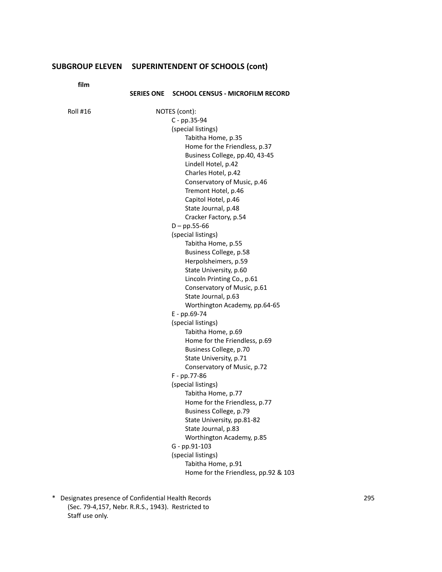**fil** 

| film     |                                             |
|----------|---------------------------------------------|
|          | SERIES ONE SCHOOL CENSUS - MICROFILM RECORD |
| Roll #16 | NOTES (cont):                               |
|          | C - pp.35-94                                |
|          | (special listings)                          |
|          | Tabitha Home, p.35                          |
|          | Home for the Friendless, p.37               |
|          | Business College, pp.40, 43-45              |
|          | Lindell Hotel, p.42                         |
|          | Charles Hotel, p.42                         |
|          | Conservatory of Music, p.46                 |
|          | Tremont Hotel, p.46                         |
|          | Capitol Hotel, p.46                         |
|          | State Journal, p.48                         |
|          | Cracker Factory, p.54                       |
|          | $D - pp.55-66$                              |
|          | (special listings)                          |
|          | Tabitha Home, p.55                          |
|          | Business College, p.58                      |
|          | Herpolsheimers, p.59                        |
|          | State University, p.60                      |
|          | Lincoln Printing Co., p.61                  |
|          | Conservatory of Music, p.61                 |
|          | State Journal, p.63                         |
|          | Worthington Academy, pp.64-65               |
|          | E - pp.69-74                                |
|          | (special listings)                          |
|          | Tabitha Home, p.69                          |
|          | Home for the Friendless, p.69               |
|          | Business College, p.70                      |
|          | State University, p.71                      |
|          | Conservatory of Music, p.72                 |
|          | F - pp.77-86                                |
|          | (special listings)                          |
|          | Tabitha Home, p.77                          |
|          | Home for the Friendless, p.77               |
|          | Business College, p.79                      |
|          | State University, pp.81-82                  |
|          | State Journal, p.83                         |
|          | Worthington Academy, p.85                   |
|          | G - pp.91-103<br>(special listings)         |
|          | Tabitha Home, p.91                          |
|          | Home for the Friendless, pp.92 & 103        |
|          |                                             |

\* Designates presence of Confidential Health Records 295 (Sec. 79-4,157, Nebr. R.R.S., 1943). Restricted to Staff use only.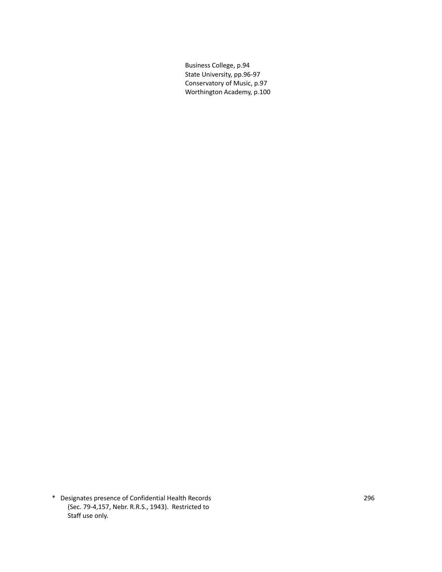Business College, p.94 State University, pp.96-97 Conservatory of Music, p.97 Worthington Academy, p.100

\* Designates presence of Confidential Health Records 296 (Sec. 79-4,157, Nebr. R.R.S., 1943). Restricted to Staff use only.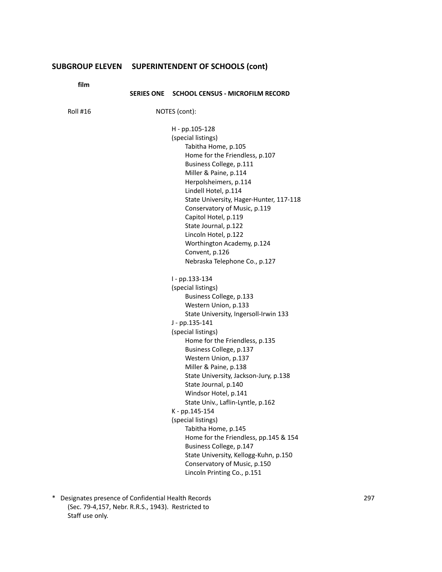| film     |                   |                                                 |
|----------|-------------------|-------------------------------------------------|
|          | <b>SERIES ONE</b> | <b>SCHOOL CENSUS - MICROFILM RECORD</b>         |
| Roll #16 |                   | NOTES (cont):                                   |
|          |                   | H - pp.105-128                                  |
|          |                   | (special listings)                              |
|          |                   | Tabitha Home, p.105                             |
|          |                   | Home for the Friendless, p.107                  |
|          |                   | Business College, p.111                         |
|          |                   | Miller & Paine, p.114                           |
|          |                   | Herpolsheimers, p.114                           |
|          |                   | Lindell Hotel, p.114                            |
|          |                   | State University, Hager-Hunter, 117-118         |
|          |                   | Conservatory of Music, p.119                    |
|          |                   | Capitol Hotel, p.119                            |
|          |                   | State Journal, p.122                            |
|          |                   | Lincoln Hotel, p.122                            |
|          |                   | Worthington Academy, p.124                      |
|          |                   | Convent, p.126<br>Nebraska Telephone Co., p.127 |
|          |                   |                                                 |
|          |                   | I - pp.133-134                                  |
|          |                   | (special listings)                              |
|          |                   | Business College, p.133                         |
|          |                   | Western Union, p.133                            |
|          |                   | State University, Ingersoll-Irwin 133           |
|          |                   | J - pp.135-141                                  |
|          |                   | (special listings)                              |
|          |                   | Home for the Friendless, p.135                  |
|          |                   | Business College, p.137<br>Western Union, p.137 |
|          |                   | Miller & Paine, p.138                           |
|          |                   | State University, Jackson-Jury, p.138           |
|          |                   | State Journal, p.140                            |
|          |                   | Windsor Hotel, p.141                            |
|          |                   | State Univ., Laflin-Lyntle, p.162               |
|          |                   | K - pp.145-154                                  |
|          |                   | (special listings)                              |
|          |                   | Tabitha Home, p.145                             |
|          |                   | Home for the Friendless, pp.145 & 154           |
|          |                   | Business College, p.147                         |
|          |                   | State University, Kellogg-Kuhn, p.150           |
|          |                   | Conservatory of Music, p.150                    |
|          |                   | Lincoln Printing Co., p.151                     |

\* Designates presence of Confidential Health Records 297 (Sec. 79-4,157, Nebr. R.R.S., 1943). Restricted to Staff use only.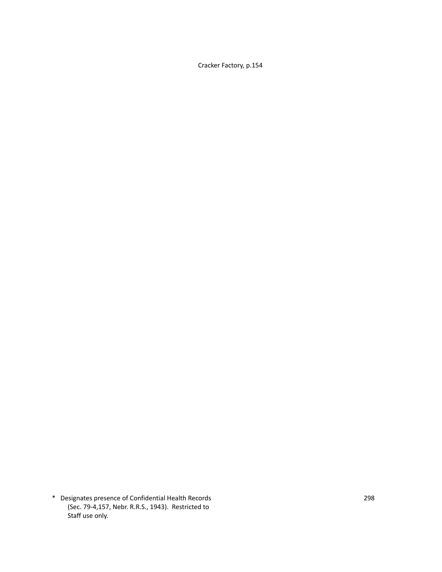Cracker Factory, p.154

\* Designates presence of Confidential Health Records 298 (Sec. 79-4,157, Nebr. R.R.S., 1943). Restricted to Staff use only.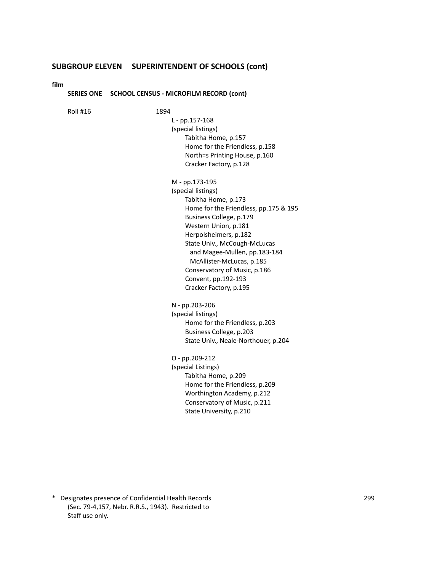**film**

#### **SERIES ONE SCHOOL CENSUS - MICROFILM RECORD (cont)**

Roll #16 1894

L - pp.157-168 (special listings) Tabitha Home, p.157 Home for the Friendless, p.158 North=s Printing House, p.160 Cracker Factory, p.128

M - pp.173-195 (special listings) Tabitha Home, p.173 Home for the Friendless, pp.175 & 195 Business College, p.179 Western Union, p.181 Herpolsheimers, p.182 State Univ., McCough-McLucas and Magee-Mullen, pp.183-184 McAllister-McLucas, p.185 Conservatory of Music, p.186 Convent, pp.192-193 Cracker Factory, p.195

N - pp.203-206 (special listings) Home for the Friendless, p.203 Business College, p.203 State Univ., Neale-Northouer, p.204

O - pp.209-212 (special Listings) Tabitha Home, p.209 Home for the Friendless, p.209 Worthington Academy, p.212 Conservatory of Music, p.211 State University, p.210

\* Designates presence of Confidential Health Records 299 (Sec. 79-4,157, Nebr. R.R.S., 1943). Restricted to Staff use only.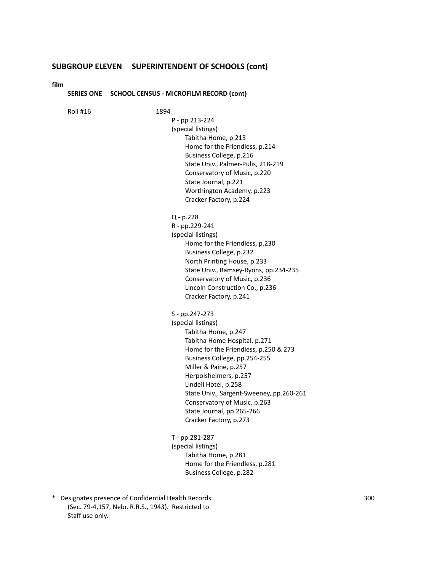**film**

#### **SERIES ONE SCHOOL CENSUS - MICROFILM RECORD (cont)**

Roll #16 1894

| P - pp.213-224                     |
|------------------------------------|
| (special listings)                 |
| Tabitha Home, p.213                |
| Home for the Friendless, p.214     |
| Business College, p.216            |
| State Univ., Palmer-Pulis, 218-219 |
| Conservatory of Music, p.220       |
| State Journal, p.221               |
| Worthington Academy, p.223         |
| Cracker Factory, p.224             |
|                                    |

## Q - p.228

R - pp.229-241 (special listings) Home for the Friendless, p.230 Business College, p.232 North Printing House, p.233 State Univ., Ramsey-Ryons, pp.234-235 Conservatory of Music, p.236 Lincoln Construction Co., p.236 Cracker Factory, p.241

S - pp.247-273

(special listings) Tabitha Home, p.247 Tabitha Home Hospital, p.271 Home for the Friendless, p.250 & 273 Business College, pp.254-255 Miller & Paine, p.257 Herpolsheimers, p.257 Lindell Hotel, p.258 State Univ., Sargent-Sweeney, pp.260-261 Conservatory of Music, p.263 State Journal, pp.265-266 Cracker Factory, p.273

T - pp.281-287 (special listings) Tabitha Home, p.281 Home for the Friendless, p.281 Business College, p.282

\* Designates presence of Confidential Health Records 300 (Sec. 79-4,157, Nebr. R.R.S., 1943). Restricted to Staff use only.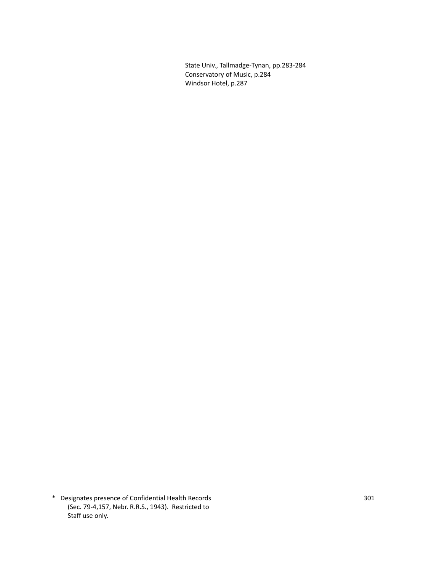State Univ., Tallmadge-Tynan, pp.283-284 Conservatory of Music, p.284 Windsor Hotel, p.287

\* Designates presence of Confidential Health Records 301 (Sec. 79-4,157, Nebr. R.R.S., 1943). Restricted to Staff use only.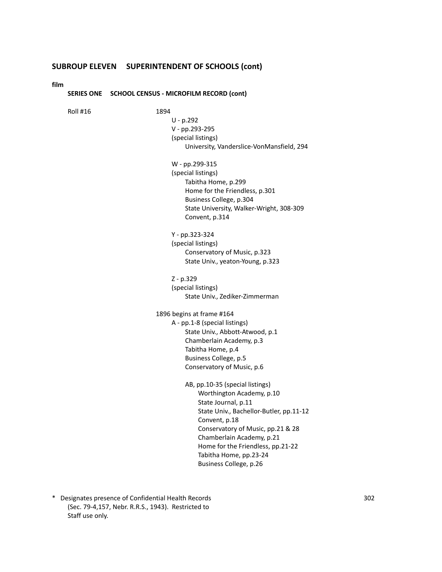**film**

#### **SERIES ONE SCHOOL CENSUS - MICROFILM RECORD (cont)**

Roll #16 1894

U - p.292 V - pp.293-295 (special listings) University, Vanderslice-VonMansfield, 294 W - pp.299-315 (special listings) Tabitha Home, p.299 Home for the Friendless, p.301 Business College, p.304 State University, Walker-Wright, 308-309 Convent, p.314 Y - pp.323-324 (special listings) Conservatory of Music, p.323 State Univ., yeaton-Young, p.323 Z - p.329 (special listings) State Univ., Zediker-Zimmerman 1896 begins at frame #164 A - pp.1-8 (special listings) State Univ., Abbott-Atwood, p.1 Chamberlain Academy, p.3 Tabitha Home, p.4 Business College, p.5 Conservatory of Music, p.6 AB, pp.10-35 (special listings) Worthington Academy, p.10 State Journal, p.11 State Univ., Bachellor-Butler, pp.11-12 Convent, p.18 Conservatory of Music, pp.21 & 28 Chamberlain Academy, p.21 Home for the Friendless, pp.21-22 Tabitha Home, pp.23-24 Business College, p.26

\* Designates presence of Confidential Health Records 302 (Sec. 79-4,157, Nebr. R.R.S., 1943). Restricted to Staff use only.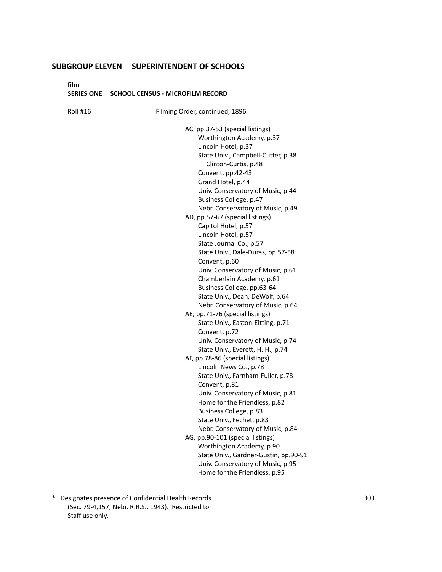**film**

#### **SERIES ONE SCHOOL CENSUS - MICROFILM RECORD**

Roll #16 Filming Order, continued, 1896 AC, pp.37-53 (special listings) Worthington Academy, p.37 Lincoln Hotel, p.37 State Univ., Campbell-Cutter, p.38 Clinton-Curtis, p.48 Convent, pp.42-43 Grand Hotel, p.44 Univ. Conservatory of Music, p.44 Business College, p.47 Nebr. Conservatory of Music, p.49 AD, pp.57-67 (special listings) Capitol Hotel, p.57 Lincoln Hotel, p.57 State Journal Co., p.57 State Univ., Dale-Duras, pp.57-58 Convent, p.60 Univ. Conservatory of Music, p.61 Chamberlain Academy, p.61 Business College, pp.63-64 State Univ., Dean, DeWolf, p.64 Nebr. Conservatory of Music, p.64 AE, pp.71-76 (special listings) State Univ., Easton-Eitting, p.71 Convent, p.72 Univ. Conservatory of Music, p.74 State Univ., Everett, H. H., p.74 AF, pp.78-86 (special listings) Lincoln News Co., p.78 State Univ., Farnham-Fuller, p.78 Convent, p.81 Univ. Conservatory of Music, p.81 Home for the Friendless, p.82 Business College, p.83 State Univ., Fechet, p.83 Nebr. Conservatory of Music, p.84 AG, pp.90-101 (special listings) Worthington Academy, p.90 State Univ., Gardner-Gustin, pp.90-91 Univ. Conservatory of Music, p.95 Home for the Friendless, p.95

\* Designates presence of Confidential Health Records 303 (Sec. 79-4,157, Nebr. R.R.S., 1943). Restricted to Staff use only.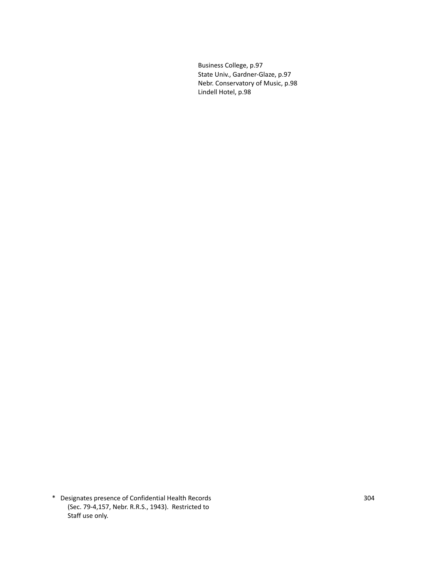Business College, p.97 State Univ., Gardner-Glaze, p.97 Nebr. Conservatory of Music, p.98 Lindell Hotel, p.98

\* Designates presence of Confidential Health Records 304 (Sec. 79-4,157, Nebr. R.R.S., 1943). Restricted to Staff use only.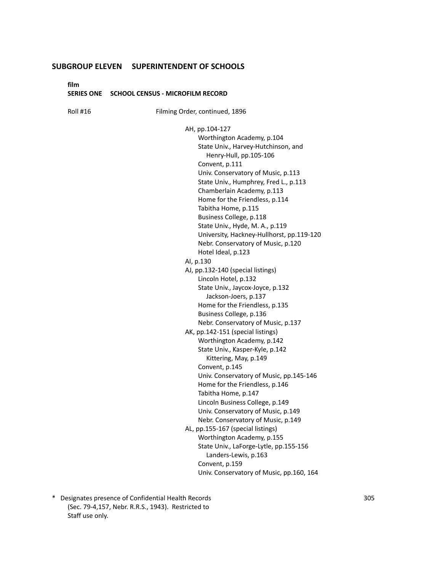**film**

#### **SERIES ONE SCHOOL CENSUS - MICROFILM RECORD**

Roll #16 Filming Order, continued, 1896

AH, pp.104-127

Worthington Academy, p.104 State Univ., Harvey-Hutchinson, and Henry-Hull, pp.105-106 Convent, p.111 Univ. Conservatory of Music, p.113 State Univ., Humphrey, Fred L., p.113 Chamberlain Academy, p.113 Home for the Friendless, p.114 Tabitha Home, p.115 Business College, p.118 State Univ., Hyde, M. A., p.119 University, Hackney-Hullhorst, pp.119-120 Nebr. Conservatory of Music, p.120 Hotel Ideal, p.123 AI, p.130 AJ, pp.132-140 (special listings) Lincoln Hotel, p.132 State Univ., Jaycox-Joyce, p.132 Jackson-Joers, p.137 Home for the Friendless, p.135 Business College, p.136 Nebr. Conservatory of Music, p.137 AK, pp.142-151 (special listings) Worthington Academy, p.142 State Univ., Kasper-Kyle, p.142 Kittering, May, p.149 Convent, p.145 Univ. Conservatory of Music, pp.145-146 Home for the Friendless, p.146 Tabitha Home, p.147 Lincoln Business College, p.149 Univ. Conservatory of Music, p.149 Nebr. Conservatory of Music, p.149 AL, pp.155-167 (special listings) Worthington Academy, p.155 State Univ., LaForge-Lytle, pp.155-156 Landers-Lewis, p.163 Convent, p.159 Univ. Conservatory of Music, pp.160, 164

\* Designates presence of Confidential Health Records 305 (Sec. 79-4,157, Nebr. R.R.S., 1943). Restricted to Staff use only.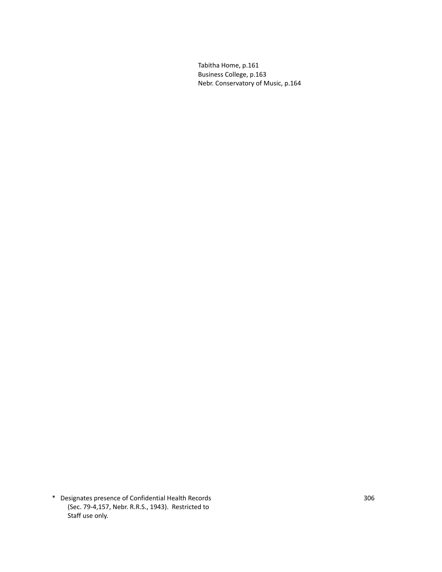Tabitha Home, p.161 Business College, p.163 Nebr. Conservatory of Music, p.164

\* Designates presence of Confidential Health Records 306 (Sec. 79-4,157, Nebr. R.R.S., 1943). Restricted to Staff use only.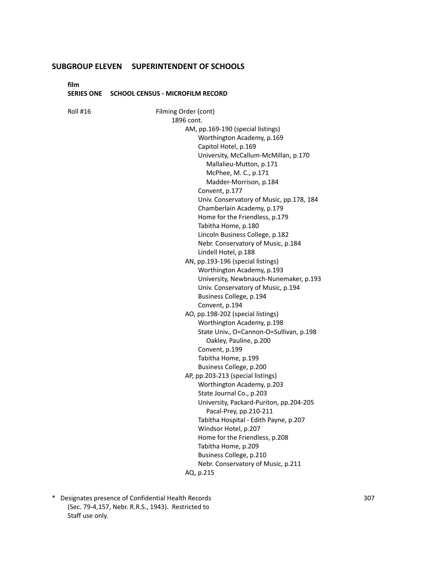**film**

#### **SERIES ONE SCHOOL CENSUS - MICROFILM RECORD**

Roll #16 Filming Order (cont) 1896 cont. AM, pp.169-190 (special listings) Worthington Academy, p.169 Capitol Hotel, p.169 University, McCallum-McMillan, p.170 Mallalieu-Mutton, p.171 McPhee, M. C., p.171 Madder-Morrison, p.184 Convent, p.177 Univ. Conservatory of Music, pp.178, 184 Chamberlain Academy, p.179 Home for the Friendless, p.179 Tabitha Home, p.180 Lincoln Business College, p.182 Nebr. Conservatory of Music, p.184 Lindell Hotel, p.188 AN, pp.193-196 (special listings) Worthington Academy, p.193 University, Newbnauch-Nunemaker, p.193 Univ. Conservatory of Music, p.194 Business College, p.194 Convent, p.194 AO, pp.198-202 (special listings) Worthington Academy, p.198 State Univ., O=Cannon-O=Sullivan, p.198 Oakley, Pauline, p.200 Convent, p.199 Tabitha Home, p.199 Business College, p.200 AP, pp.203-213 (special listings) Worthington Academy, p.203 State Journal Co., p.203 University, Packard-Puriton, pp.204-205 Pacal-Prey, pp.210-211 Tabitha Hospital - Edith Payne, p.207 Windsor Hotel, p.207 Home for the Friendless, p.208 Tabitha Home, p.209 Business College, p.210 Nebr. Conservatory of Music, p.211 AQ, p.215

\* Designates presence of Confidential Health Records 307 (Sec. 79-4,157, Nebr. R.R.S., 1943). Restricted to Staff use only.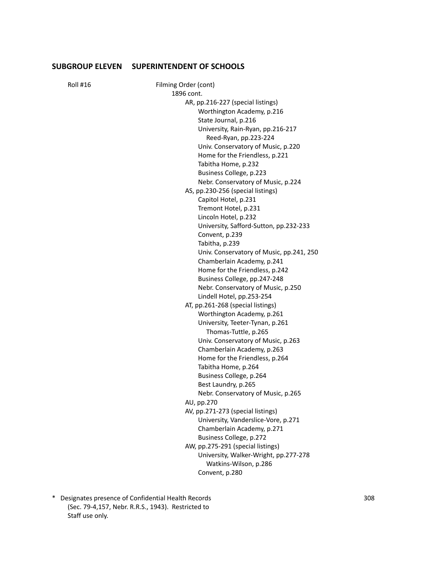Roll #16 Filming Order (cont) 1896 cont. AR, pp.216-227 (special listings) Worthington Academy, p.216 State Journal, p.216 University, Rain-Ryan, pp.216-217 Reed-Ryan, pp.223-224 Univ. Conservatory of Music, p.220 Home for the Friendless, p.221 Tabitha Home, p.232 Business College, p.223 Nebr. Conservatory of Music, p.224 AS, pp.230-256 (special listings) Capitol Hotel, p.231 Tremont Hotel, p.231 Lincoln Hotel, p.232 University, Safford-Sutton, pp.232-233 Convent, p.239 Tabitha, p.239 Univ. Conservatory of Music, pp.241, 250 Chamberlain Academy, p.241 Home for the Friendless, p.242 Business College, pp.247-248 Nebr. Conservatory of Music, p.250 Lindell Hotel, pp.253-254 AT, pp.261-268 (special listings) Worthington Academy, p.261 University, Teeter-Tynan, p.261 Thomas-Tuttle, p.265 Univ. Conservatory of Music, p.263 Chamberlain Academy, p.263 Home for the Friendless, p.264 Tabitha Home, p.264 Business College, p.264 Best Laundry, p.265 Nebr. Conservatory of Music, p.265 AU, pp.270 AV, pp.271-273 (special listings) University, Vanderslice-Vore, p.271 Chamberlain Academy, p.271 Business College, p.272 AW, pp.275-291 (special listings) University, Walker-Wright, pp.277-278 Watkins-Wilson, p.286 Convent, p.280

\* Designates presence of Confidential Health Records 308 (Sec. 79-4,157, Nebr. R.R.S., 1943). Restricted to Staff use only.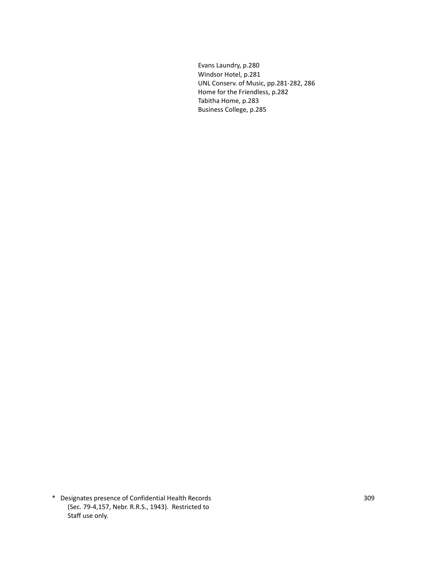Evans Laundry, p.280 Windsor Hotel, p.281 UNL Conserv. of Music, pp.281-282, 286 Home for the Friendless, p.282 Tabitha Home, p.283 Business College, p.285

\* Designates presence of Confidential Health Records 309 (Sec. 79-4,157, Nebr. R.R.S., 1943). Restricted to Staff use only.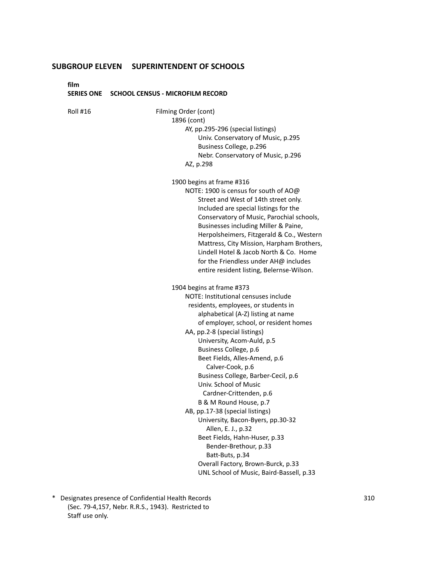**film**

#### **SERIES ONE SCHOOL CENSUS - MICROFILM RECORD**

Roll #16 Filming Order (cont) 1896 (cont) AY, pp.295-296 (special listings) Univ. Conservatory of Music, p.295 Business College, p.296 Nebr. Conservatory of Music, p.296 AZ, p.298 1900 begins at frame #316 NOTE: 1900 is census for south of AO@ Street and West of 14th street only. Included are special listings for the Conservatory of Music, Parochial schools, Businesses including Miller & Paine, Herpolsheimers, Fitzgerald & Co., Western Mattress, City Mission, Harpham Brothers, Lindell Hotel & Jacob North & Co. Home for the Friendless under AH@ includes entire resident listing, Belernse-Wilson. 1904 begins at frame #373 NOTE: Institutional censuses include residents, employees, or students in alphabetical (A-Z) listing at name of employer, school, or resident homes AA, pp.2-8 (special listings) University, Acom-Auld, p.5 Business College, p.6 Beet Fields, Alles-Amend, p.6 Calver-Cook, p.6 Business College, Barber-Cecil, p.6 Univ. School of Music Cardner-Crittenden, p.6 B & M Round House, p.7 AB, pp.17-38 (special listings) University, Bacon-Byers, pp.30-32 Allen, E. J., p.32 Beet Fields, Hahn-Huser, p.33 Bender-Brethour, p.33 Batt-Buts, p.34 Overall Factory, Brown-Burck, p.33 UNL School of Music, Baird-Bassell, p.33

\* Designates presence of Confidential Health Records 310 (Sec. 79-4,157, Nebr. R.R.S., 1943). Restricted to Staff use only.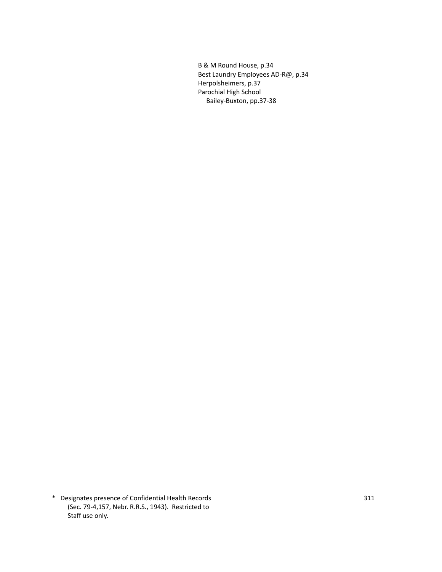B & M Round House, p.34 Best Laundry Employees AD-R@, p.34 Herpolsheimers, p.37 Parochial High School Bailey-Buxton, pp.37-38

\* Designates presence of Confidential Health Records 311 (Sec. 79-4,157, Nebr. R.R.S., 1943). Restricted to Staff use only.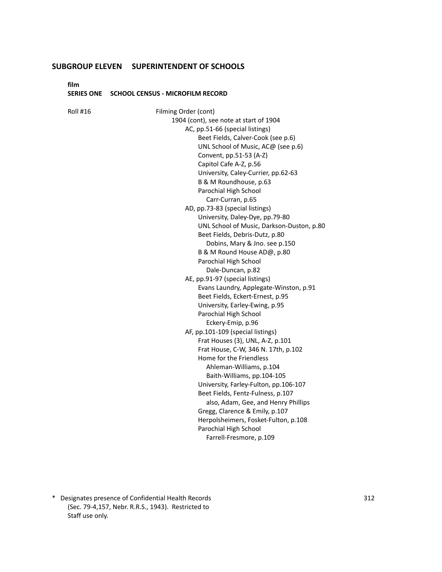**film**

#### **SERIES ONE SCHOOL CENSUS - MICROFILM RECORD**

Roll #16 Filming Order (cont) 1904 (cont), see note at start of 1904 AC, pp.51-66 (special listings) Beet Fields, Calver-Cook (see p.6) UNL School of Music, AC@ (see p.6) Convent, pp.51-53 (A-Z) Capitol Cafe A-Z, p.56 University, Caley-Currier, pp.62-63 B & M Roundhouse, p.63 Parochial High School Carr-Curran, p.65 AD, pp.73-83 (special listings) University, Daley-Dye, pp.79-80 UNL School of Music, Darkson-Duston, p.80 Beet Fields, Debris-Dutz, p.80 Dobins, Mary & Jno. see p.150 B & M Round House AD@, p.80 Parochial High School Dale-Duncan, p.82 AE, pp.91-97 (special listings) Evans Laundry, Applegate-Winston, p.91 Beet Fields, Eckert-Ernest, p.95 University, Earley-Ewing, p.95 Parochial High School Eckery-Emip, p.96 AF, pp.101-109 (special listings) Frat Houses (3), UNL, A-Z, p.101 Frat House, C-W, 346 N. 17th, p.102 Home for the Friendless Ahleman-Williams, p.104 Baith-Williams, pp.104-105 University, Farley-Fulton, pp.106-107 Beet Fields, Fentz-Fulness, p.107 also, Adam, Gee, and Henry Phillips Gregg, Clarence & Emily, p.107 Herpolsheimers, Fosket-Fulton, p.108 Parochial High School Farrell-Fresmore, p.109

\* Designates presence of Confidential Health Records 312 (Sec. 79-4,157, Nebr. R.R.S., 1943). Restricted to Staff use only.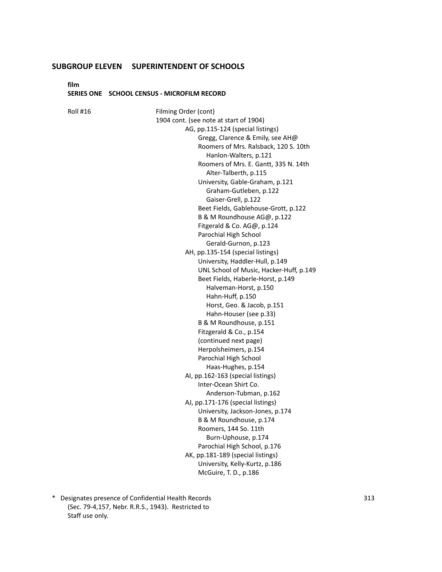**film**

#### **SERIES ONE SCHOOL CENSUS - MICROFILM RECORD**

Roll #16 Filming Order (cont) 1904 cont. (see note at start of 1904) AG, pp.115-124 (special listings) Gregg, Clarence & Emily, see AH@ Roomers of Mrs. Ralsback, 120 S. 10th Hanlon-Walters, p.121 Roomers of Mrs. E. Gantt, 335 N. 14th Alter-Talberth, p.115 University, Gable-Graham, p.121 Graham-Gutleben, p.122 Gaiser-Grell, p.122 Beet Fields, Gablehouse-Grott, p.122 B & M Roundhouse AG@, p.122 Fitgerald & Co. AG@, p.124 Parochial High School Gerald-Gurnon, p.123 AH, pp.135-154 (special listings) University, Haddler-Hull, p.149 UNL School of Music, Hacker-Huff, p.149 Beet Fields, Haberle-Horst, p.149 Halveman-Horst, p.150 Hahn-Huff, p.150 Horst, Geo. & Jacob, p.151 Hahn-Houser (see p.33) B & M Roundhouse, p.151 Fitzgerald & Co., p.154 (continued next page) Herpolsheimers, p.154 Parochial High School Haas-Hughes, p.154 AI, pp.162-163 (special listings) Inter-Ocean Shirt Co. Anderson-Tubman, p.162 AJ, pp.171-176 (special listings) University, Jackson-Jones, p.174 B & M Roundhouse, p.174 Roomers, 144 So. 11th Burn-Uphouse, p.174 Parochial High School, p.176 AK, pp.181-189 (special listings) University, Kelly-Kurtz, p.186 McGuire, T. D., p.186

\* Designates presence of Confidential Health Records 313 (Sec. 79-4,157, Nebr. R.R.S., 1943). Restricted to Staff use only.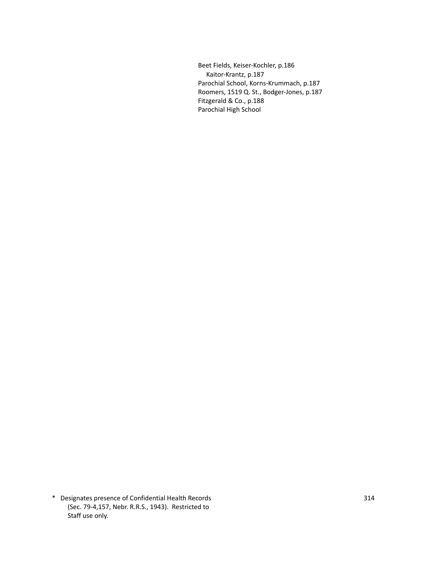Beet Fields, Keiser-Kochler, p.186 Kaitor-Krantz, p.187 Parochial School, Korns-Krummach, p.187 Roomers, 1519 Q. St., Bodger-Jones, p.187 Fitzgerald & Co., p.188 Parochial High School

\* Designates presence of Confidential Health Records 314 (Sec. 79-4,157, Nebr. R.R.S., 1943). Restricted to Staff use only.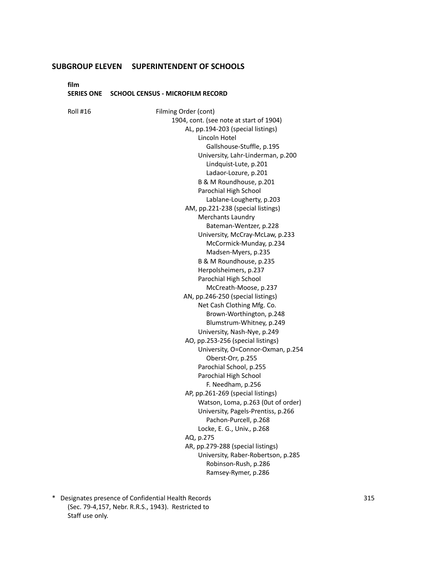**film**

#### **SERIES ONE SCHOOL CENSUS - MICROFILM RECORD**

Roll #16 Filming Order (cont) 1904, cont. (see note at start of 1904) AL, pp.194-203 (special listings) Lincoln Hotel Gallshouse-Stuffle, p.195 University, Lahr-Linderman, p.200 Lindquist-Lute, p.201 Ladaor-Lozure, p.201 B & M Roundhouse, p.201 Parochial High School Lablane-Lougherty, p.203 AM, pp.221-238 (special listings) Merchants Laundry Bateman-Wentzer, p.228 University, McCray-McLaw, p.233 McCormick-Munday, p.234 Madsen-Myers, p.235 B & M Roundhouse, p.235 Herpolsheimers, p.237 Parochial High School McCreath-Moose, p.237 AN, pp.246-250 (special listings) Net Cash Clothing Mfg. Co. Brown-Worthington, p.248 Blumstrum-Whitney, p.249 University, Nash-Nye, p.249 AO, pp.253-256 (special listings) University, O=Connor-Oxman, p.254 Oberst-Orr, p.255 Parochial School, p.255 Parochial High School F. Needham, p.256 AP, pp.261-269 (special listings) Watson, Loma, p.263 (0ut of order) University, Pagels-Prentiss, p.266 Pachon-Purcell, p.268 Locke, E. G., Univ., p.268 AQ, p.275 AR, pp.279-288 (special listings) University, Raber-Robertson, p.285 Robinson-Rush, p.286 Ramsey-Rymer, p.286

\* Designates presence of Confidential Health Records 315 (Sec. 79-4,157, Nebr. R.R.S., 1943). Restricted to Staff use only.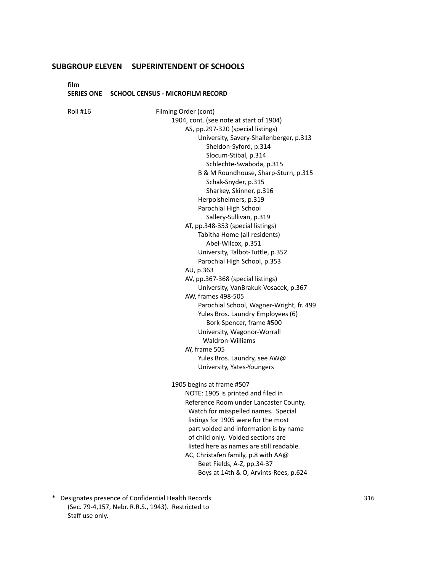**film**

#### **SERIES ONE SCHOOL CENSUS - MICROFILM RECORD**

Roll #16 Filming Order (cont) 1904, cont. (see note at start of 1904) AS, pp.297-320 (special listings) University, Savery-Shallenberger, p.313 Sheldon-Syford, p.314 Slocum-Stibal, p.314 Schlechte-Swaboda, p.315 B & M Roundhouse, Sharp-Sturn, p.315 Schak-Snyder, p.315 Sharkey, Skinner, p.316 Herpolsheimers, p.319 Parochial High School Sallery-Sullivan, p.319 AT, pp.348-353 (special listings) Tabitha Home (all residents) Abel-Wilcox, p.351 University, Talbot-Tuttle, p.352 Parochial High School, p.353 AU, p.363 AV, pp.367-368 (special listings) University, VanBrakuk-Vosacek, p.367 AW, frames 498-505 Parochial School, Wagner-Wright, fr. 499 Yules Bros. Laundry Employees (6) Bork-Spencer, frame #500 University, Wagonor-Worrall Waldron-Williams AY, frame 505 Yules Bros. Laundry, see AW@ University, Yates-Youngers 1905 begins at frame #507 NOTE: 1905 is printed and filed in Reference Room under Lancaster County. Watch for misspelled names. Special listings for 1905 were for the most part voided and information is by name of child only. Voided sections are listed here as names are still readable. AC, Christafen family, p.8 with AA@ Beet Fields, A-Z, pp.34-37 Boys at 14th & O, Arvints-Rees, p.624

\* Designates presence of Confidential Health Records 316 (Sec. 79-4,157, Nebr. R.R.S., 1943). Restricted to Staff use only.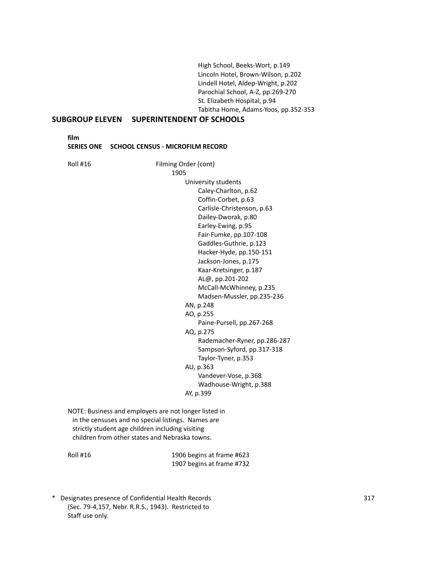High School, Beeks-Wort, p.149 Lincoln Hotel, Brown-Wilson, p.202 Lindell Hotel, Aldep-Wright, p.202 Parochial School, A-Z, pp.269-270 St. Elizabeth Hospital, p.94 Tabitha Home, Adams-Yoos, pp.352-353

## **SUBGROUP ELEVEN SUPERINTENDENT OF SCHOOLS**

**film**

**SERIES ONE SCHOOL CENSUS - MICROFILM RECORD**

Roll #16 Filming Order (cont) 1905 University students Caley-Charlton, p.62 Coffin-Corbet, p.63 Carlisle-Christenson, p.63 Dailey-Dworak, p.80 Earley-Ewing, p.95 Fair-Fumke, pp.107-108 Gaddles-Guthrie, p.123 Hacker-Hyde, pp.150-151 Jackson-Jones, p.175 Kaar-Kretsinger, p.187 AL@, pp.201-202 McCall-McWhinney, p.235 Madsen-Mussler, pp.235-236 AN, p.248 AO, p.255 Paine-Pursell, pp.267-268 AQ, p.275 Rademacher-Ryner, pp.286-287 Sampson-Syford, pp.317-318 Taylor-Tyner, p.353 AU, p.363 Vandever-Vose, p.368 Wadhouse-Wright, p.388 AY, p.399 NOTE: Business and employers are not longer listed in in the censuses and no special listings. Names are strictly student age children including visiting children from other states and Nebraska towns.

Roll #16 1906 begins at frame #623 1907 begins at frame #732

\* Designates presence of Confidential Health Records 317 (Sec. 79-4,157, Nebr. R.R.S., 1943). Restricted to Staff use only.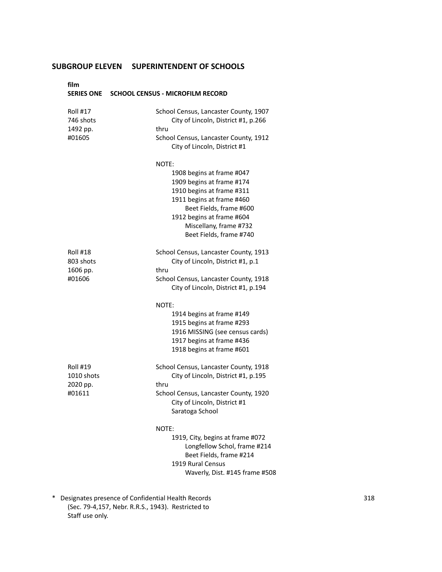| film                                               | SERIES ONE SCHOOL CENSUS - MICROFILM RECORD                                                                                                                                                                                            |
|----------------------------------------------------|----------------------------------------------------------------------------------------------------------------------------------------------------------------------------------------------------------------------------------------|
| <b>Roll #17</b><br>746 shots<br>1492 pp.<br>#01605 | School Census, Lancaster County, 1907<br>City of Lincoln, District #1, p.266<br>thru<br>School Census, Lancaster County, 1912<br>City of Lincoln, District #1                                                                          |
|                                                    | NOTE:<br>1908 begins at frame #047<br>1909 begins at frame #174<br>1910 begins at frame #311<br>1911 begins at frame #460<br>Beet Fields, frame #600<br>1912 begins at frame #604<br>Miscellany, frame #732<br>Beet Fields, frame #740 |
| Roll #18<br>803 shots<br>1606 pp.<br>#01606        | School Census, Lancaster County, 1913<br>City of Lincoln, District #1, p.1<br>thru<br>School Census, Lancaster County, 1918<br>City of Lincoln, District #1, p.194                                                                     |
|                                                    | NOTE:<br>1914 begins at frame #149<br>1915 begins at frame #293<br>1916 MISSING (see census cards)<br>1917 begins at frame #436<br>1918 begins at frame #601                                                                           |
| Roll #19<br>1010 shots<br>2020 pp.<br>#01611       | School Census, Lancaster County, 1918<br>City of Lincoln, District #1, p.195<br>thru<br>School Census, Lancaster County, 1920<br>City of Lincoln, District #1<br>Saratoga School                                                       |
|                                                    | NOTE:<br>1919, City, begins at frame #072<br>Longfellow Schol, frame #214<br>Beet Fields, frame #214<br>1919 Rural Census<br>Waverly, Dist. #145 frame #508                                                                            |

\* Designates presence of Confidential Health Records 318 (Sec. 79-4,157, Nebr. R.R.S., 1943). Restricted to Staff use only.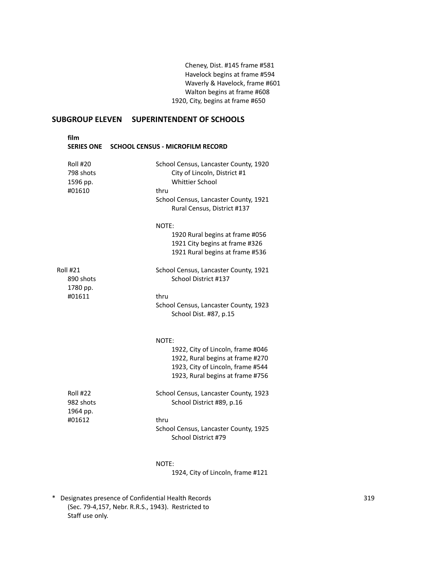Cheney, Dist. #145 frame #581 Havelock begins at frame #594 Waverly & Havelock, frame #601 Walton begins at frame #608 1920, City, begins at frame #650

## **SUBGROUP ELEVEN SUPERINTENDENT OF SCHOOLS**

| film<br><b>SERIES ONE</b>                   | <b>SCHOOL CENSUS - MICROFILM RECORD</b>                                                                                                          |
|---------------------------------------------|--------------------------------------------------------------------------------------------------------------------------------------------------|
| Roll #20<br>798 shots<br>1596 pp.<br>#01610 | School Census, Lancaster County, 1920<br>City of Lincoln, District #1<br><b>Whittier School</b><br>thru<br>School Census, Lancaster County, 1921 |
|                                             | Rural Census, District #137                                                                                                                      |
|                                             | NOTE:<br>1920 Rural begins at frame #056<br>1921 City begins at frame #326<br>1921 Rural begins at frame #536                                    |
| <b>Roll #21</b><br>890 shots<br>1780 pp.    | School Census, Lancaster County, 1921<br>School District #137                                                                                    |
| #01611                                      | thru<br>School Census, Lancaster County, 1923<br>School Dist. #87, p.15                                                                          |
|                                             | NOTE:                                                                                                                                            |
|                                             | 1922, City of Lincoln, frame #046<br>1922, Rural begins at frame #270<br>1923, City of Lincoln, frame #544<br>1923, Rural begins at frame #756   |
| <b>Roll #22</b><br>982 shots                | School Census, Lancaster County, 1923<br>School District #89, p.16                                                                               |
| 1964 pp.<br>#01612                          | thru<br>School Census, Lancaster County, 1925<br>School District #79                                                                             |
|                                             | NOTE:<br>1924, City of Lincoln, frame #121                                                                                                       |

\* Designates presence of Confidential Health Records 319 (Sec. 79-4,157, Nebr. R.R.S., 1943). Restricted to Staff use only.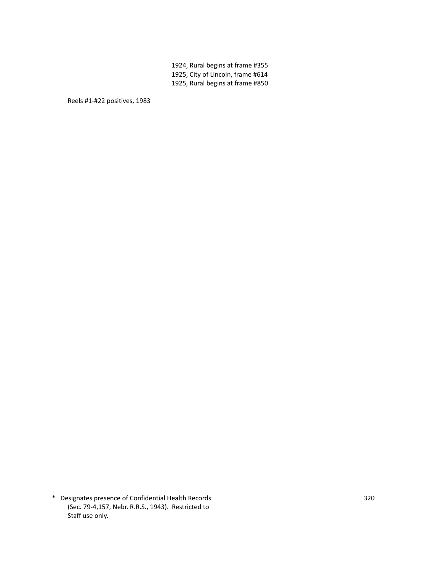1924, Rural begins at frame #355 1925, City of Lincoln, frame #614 1925, Rural begins at frame #850

Reels #1-#22 positives, 1983

\* Designates presence of Confidential Health Records 320 (Sec. 79-4,157, Nebr. R.R.S., 1943). Restricted to Staff use only.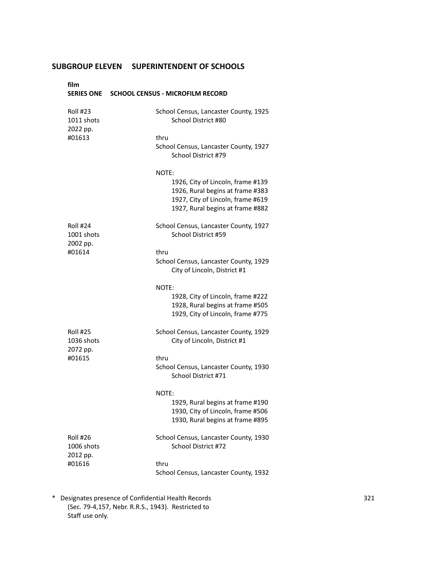| film<br><b>SERIES ONE</b>                    | <b>SCHOOL CENSUS - MICROFILM RECORD</b>                                                                                                                 |
|----------------------------------------------|---------------------------------------------------------------------------------------------------------------------------------------------------------|
| <b>Roll #23</b><br>1011 shots<br>2022 pp.    | School Census, Lancaster County, 1925<br>School District #80                                                                                            |
| #01613                                       | thru<br>School Census, Lancaster County, 1927<br>School District #79                                                                                    |
|                                              | NOTE:<br>1926, City of Lincoln, frame #139<br>1926, Rural begins at frame #383<br>1927, City of Lincoln, frame #619<br>1927, Rural begins at frame #882 |
| Roll #24<br>1001 shots<br>2002 pp.<br>#01614 | School Census, Lancaster County, 1927<br>School District #59                                                                                            |
|                                              | thru<br>School Census, Lancaster County, 1929<br>City of Lincoln, District #1                                                                           |
|                                              | NOTE:<br>1928, City of Lincoln, frame #222<br>1928, Rural begins at frame #505<br>1929, City of Lincoln, frame #775                                     |
| <b>Roll #25</b><br>1036 shots<br>2072 pp.    | School Census, Lancaster County, 1929<br>City of Lincoln, District #1                                                                                   |
| #01615                                       | thru<br>School Census, Lancaster County, 1930<br>School District #71                                                                                    |
|                                              | NOTE:<br>1929, Rural begins at frame #190<br>1930, City of Lincoln, frame #506<br>1930, Rural begins at frame #895                                      |
| <b>Roll #26</b><br>1006 shots<br>2012 pp.    | School Census, Lancaster County, 1930<br>School District #72                                                                                            |
| #01616                                       | thru<br>School Census, Lancaster County, 1932                                                                                                           |

\* Designates presence of Confidential Health Records 321 (Sec. 79-4,157, Nebr. R.R.S., 1943). Restricted to Staff use only.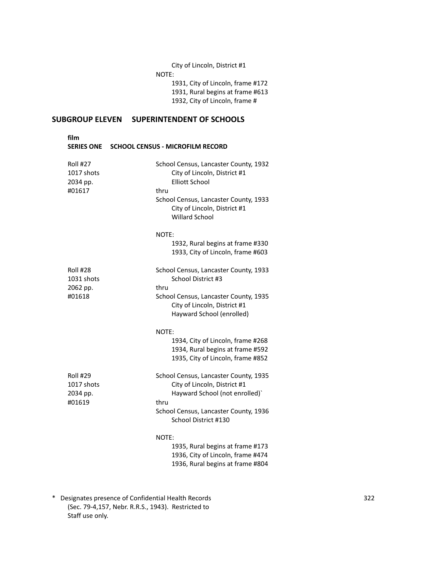City of Lincoln, District #1 NOTE: 1931, City of Lincoln, frame #172 1931, Rural begins at frame #613 1932, City of Lincoln, frame #

## **SUBGROUP ELEVEN SUPERINTENDENT OF SCHOOLS**

| film<br><b>SERIES ONE</b>                           | <b>SCHOOL CENSUS - MICROFILM RECORD</b>                                                                                                                                                                  |
|-----------------------------------------------------|----------------------------------------------------------------------------------------------------------------------------------------------------------------------------------------------------------|
| <b>Roll #27</b><br>1017 shots<br>2034 pp.<br>#01617 | School Census, Lancaster County, 1932<br>City of Lincoln, District #1<br><b>Elliott School</b><br>thru<br>School Census, Lancaster County, 1933<br>City of Lincoln, District #1<br><b>Willard School</b> |
|                                                     | NOTE:<br>1932, Rural begins at frame #330<br>1933, City of Lincoln, frame #603                                                                                                                           |
| <b>Roll #28</b><br>1031 shots<br>2062 pp.<br>#01618 | School Census, Lancaster County, 1933<br>School District #3<br>thru<br>School Census, Lancaster County, 1935<br>City of Lincoln, District #1<br>Hayward School (enrolled)                                |
|                                                     | NOTE:<br>1934, City of Lincoln, frame #268<br>1934, Rural begins at frame #592<br>1935, City of Lincoln, frame #852                                                                                      |
| <b>Roll #29</b><br>1017 shots<br>2034 pp.<br>#01619 | School Census, Lancaster County, 1935<br>City of Lincoln, District #1<br>Hayward School (not enrolled)`<br>thru<br>School Census, Lancaster County, 1936<br>School District #130                         |
|                                                     | NOTE:<br>1935, Rural begins at frame #173<br>1936, City of Lincoln, frame #474<br>1936, Rural begins at frame #804                                                                                       |

\* Designates presence of Confidential Health Records 322 (Sec. 79-4,157, Nebr. R.R.S., 1943). Restricted to Staff use only.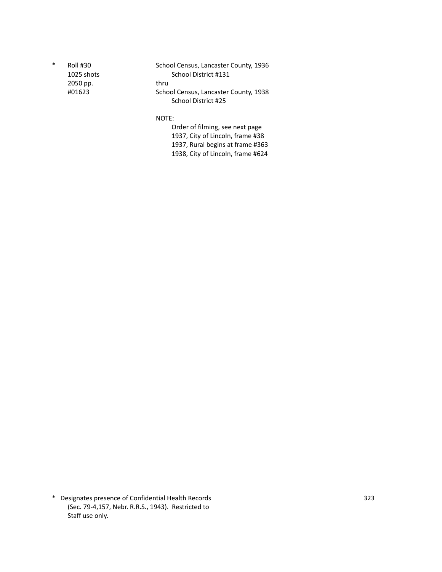2050 pp. thru

\* Roll #30 School Census, Lancaster County, 1936 1025 shots School District #131 #01623 School Census, Lancaster County, 1938 School District #25

NOTE:

Order of filming, see next page 1937, City of Lincoln, frame #38 1937, Rural begins at frame #363 1938, City of Lincoln, frame #624

\* Designates presence of Confidential Health Records 323 (Sec. 79-4,157, Nebr. R.R.S., 1943). Restricted to Staff use only.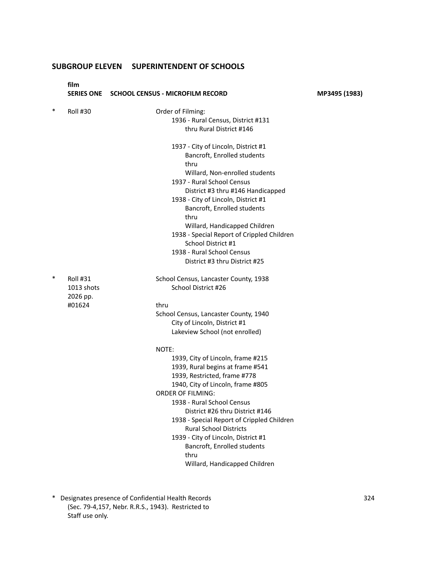|        | film<br><b>SERIES ONE</b>          | <b>SCHOOL CENSUS - MICROFILM RECORD</b>                                                                                                                                                                                                                                                                                                                                                                                                        | MP3495 (1983) |
|--------|------------------------------------|------------------------------------------------------------------------------------------------------------------------------------------------------------------------------------------------------------------------------------------------------------------------------------------------------------------------------------------------------------------------------------------------------------------------------------------------|---------------|
| $\ast$ | <b>Roll #30</b>                    | Order of Filming:<br>1936 - Rural Census, District #131<br>thru Rural District #146                                                                                                                                                                                                                                                                                                                                                            |               |
|        |                                    | 1937 - City of Lincoln, District #1<br>Bancroft, Enrolled students<br>thru<br>Willard, Non-enrolled students<br>1937 - Rural School Census<br>District #3 thru #146 Handicapped<br>1938 - City of Lincoln, District #1<br>Bancroft, Enrolled students<br>thru<br>Willard, Handicapped Children<br>1938 - Special Report of Crippled Children<br>School District #1<br>1938 - Rural School Census                                               |               |
|        |                                    | District #3 thru District #25                                                                                                                                                                                                                                                                                                                                                                                                                  |               |
| $\ast$ | Roll #31<br>1013 shots<br>2026 pp. | School Census, Lancaster County, 1938<br>School District #26                                                                                                                                                                                                                                                                                                                                                                                   |               |
|        | #01624                             | thru<br>School Census, Lancaster County, 1940<br>City of Lincoln, District #1<br>Lakeview School (not enrolled)                                                                                                                                                                                                                                                                                                                                |               |
|        |                                    | NOTE:<br>1939, City of Lincoln, frame #215<br>1939, Rural begins at frame #541<br>1939, Restricted, frame #778<br>1940, City of Lincoln, frame #805<br><b>ORDER OF FILMING:</b><br>1938 - Rural School Census<br>District #26 thru District #146<br>1938 - Special Report of Crippled Children<br><b>Rural School Districts</b><br>1939 - City of Lincoln, District #1<br>Bancroft, Enrolled students<br>thru<br>Willard, Handicapped Children |               |

\* Designates presence of Confidential Health Records 324 (Sec. 79-4,157, Nebr. R.R.S., 1943). Restricted to Staff use only.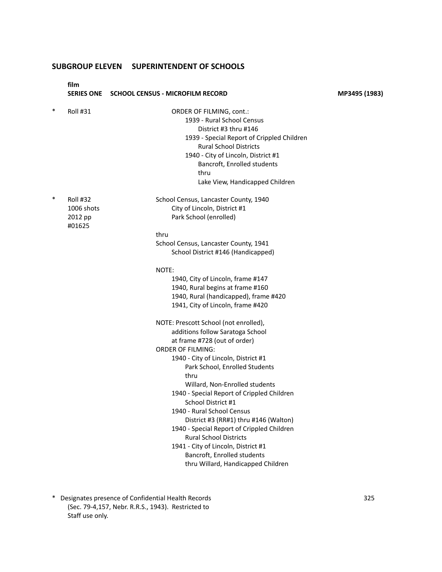**film SERIES ONE SCHOOL CENSUS - MICROFILM RECORD MP3495 (1983)** Roll #31 ORDER OF FILMING, cont.: 1939 - Rural School Census District #3 thru #146 1939 - Special Report of Crippled Children Rural School Districts 1940 - City of Lincoln, District #1 Bancroft, Enrolled students thru Lake View, Handicapped Children Roll #32 School Census, Lancaster County, 1940 1006 shots City of Lincoln, District #1 2012 pp Park School (enrolled) #01625 thru School Census, Lancaster County, 1941 School District #146 (Handicapped) NOTE: 1940, City of Lincoln, frame #147 1940, Rural begins at frame #160 1940, Rural (handicapped), frame #420 1941, City of Lincoln, frame #420 NOTE: Prescott School (not enrolled), additions follow Saratoga School at frame #728 (out of order) ORDER OF FILMING: 1940 - City of Lincoln, District #1 Park School, Enrolled Students thru Willard, Non-Enrolled students 1940 - Special Report of Crippled Children School District #1 1940 - Rural School Census District #3 (RR#1) thru #146 (Walton) 1940 - Special Report of Crippled Children Rural School Districts 1941 - City of Lincoln, District #1 Bancroft, Enrolled students

thru Willard, Handicapped Children

\* Designates presence of Confidential Health Records 325 (Sec. 79-4,157, Nebr. R.R.S., 1943). Restricted to Staff use only.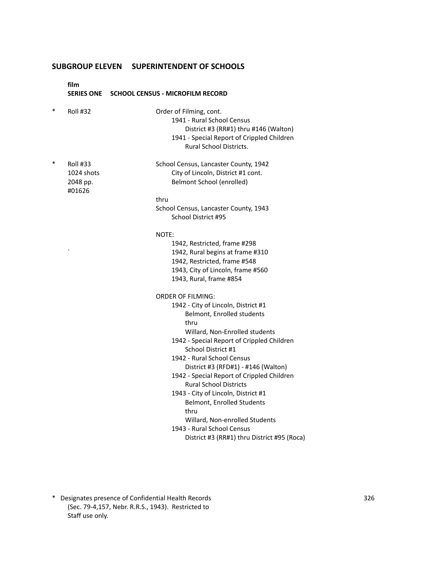**film SERIES ONE SCHOOL CENSUS - MICROFILM RECORD**

- \* Roll #32 Order of Filming, cont. 1941 - Rural School Census District #3 (RR#1) thru #146 (Walton) 1941 - Special Report of Crippled Children Rural School Districts. Roll #33 School Census, Lancaster County, 1942 1024 shots City of Lincoln, District #1 cont. 2048 pp. Belmont School (enrolled) #01626 thru School Census, Lancaster County, 1943 School District #95 NOTE: 1942, Restricted, frame #298 ` 1942, Rural begins at frame #310 1942, Restricted, frame #548 1943, City of Lincoln, frame #560 1943, Rural, frame #854 ORDER OF FILMING: 1942 - City of Lincoln, District #1 Belmont, Enrolled students thru Willard, Non-Enrolled students 1942 - Special Report of Crippled Children School District #1 1942 - Rural School Census District #3 (RFD#1) - #146 (Walton) 1942 - Special Report of Crippled Children Rural School Districts 1943 - City of Lincoln, District #1 Belmont, Enrolled Students thru Willard, Non-enrolled Students 1943 - Rural School Census District #3 (RR#1) thru District #95 (Roca)
- \* Designates presence of Confidential Health Records 326 (Sec. 79-4,157, Nebr. R.R.S., 1943). Restricted to Staff use only.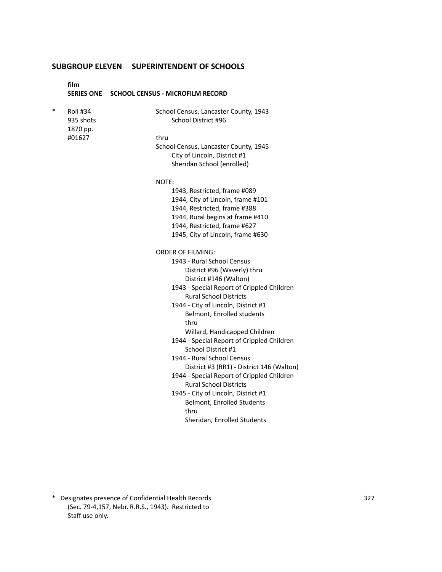|        | film                                     | SERIES ONE SCHOOL CENSUS - MICROFILM RECORD                                 |
|--------|------------------------------------------|-----------------------------------------------------------------------------|
| $\ast$ | <b>Roll #34</b><br>935 shots<br>1870 pp. | School Census, Lancaster County, 1943<br>School District #96                |
|        | #01627                                   | thru                                                                        |
|        |                                          | School Census, Lancaster County, 1945                                       |
|        |                                          | City of Lincoln, District #1                                                |
|        |                                          | Sheridan School (enrolled)                                                  |
|        |                                          | NOTE:                                                                       |
|        |                                          | 1943, Restricted, frame #089                                                |
|        |                                          | 1944, City of Lincoln, frame #101                                           |
|        |                                          | 1944, Restricted, frame #388                                                |
|        |                                          | 1944, Rural begins at frame #410                                            |
|        |                                          | 1944, Restricted, frame #627                                                |
|        |                                          | 1945, City of Lincoln, frame #630                                           |
|        |                                          | <b>ORDER OF FILMING:</b>                                                    |
|        |                                          | 1943 - Rural School Census                                                  |
|        |                                          | District #96 (Waverly) thru                                                 |
|        |                                          | District #146 (Walton)                                                      |
|        |                                          | 1943 - Special Report of Crippled Children                                  |
|        |                                          | <b>Rural School Districts</b>                                               |
|        |                                          | 1944 - City of Lincoln, District #1                                         |
|        |                                          | Belmont, Enrolled students                                                  |
|        |                                          | thru                                                                        |
|        |                                          | Willard, Handicapped Children<br>1944 - Special Report of Crippled Children |
|        |                                          | School District #1                                                          |
|        |                                          | 1944 - Rural School Census                                                  |
|        |                                          | District #3 (RR1) - District 146 (Walton)                                   |
|        |                                          | 1944 - Special Report of Crippled Children                                  |
|        |                                          | <b>Rural School Districts</b>                                               |
|        |                                          | 1945 - City of Lincoln, District #1                                         |
|        |                                          | Belmont, Enrolled Students                                                  |
|        |                                          | thru                                                                        |
|        |                                          | Sheridan, Enrolled Students                                                 |
|        |                                          |                                                                             |

\* Designates presence of Confidential Health Records 327 (Sec. 79-4,157, Nebr. R.R.S., 1943). Restricted to Staff use only.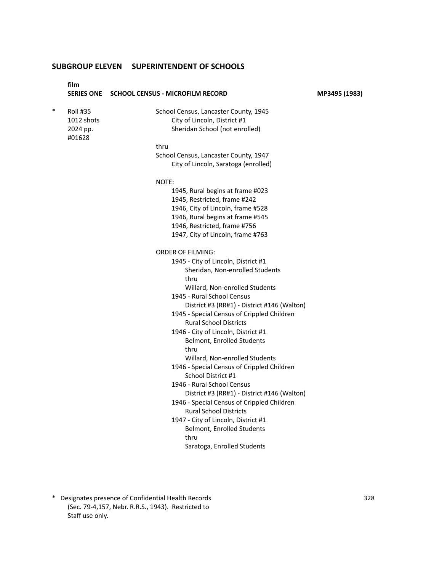|        | film                                      | SERIES ONE SCHOOL CENSUS - MICROFILM RECORD                                                             | MP3495 (1983) |
|--------|-------------------------------------------|---------------------------------------------------------------------------------------------------------|---------------|
| $\ast$ | <b>Roll #35</b><br>1012 shots<br>2024 pp. | School Census, Lancaster County, 1945<br>City of Lincoln, District #1<br>Sheridan School (not enrolled) |               |
|        | #01628                                    |                                                                                                         |               |
|        |                                           | thru                                                                                                    |               |
|        |                                           | School Census, Lancaster County, 1947                                                                   |               |
|        |                                           | City of Lincoln, Saratoga (enrolled)                                                                    |               |
|        |                                           | NOTE:                                                                                                   |               |
|        |                                           | 1945, Rural begins at frame #023                                                                        |               |
|        |                                           | 1945, Restricted, frame #242                                                                            |               |
|        |                                           | 1946, City of Lincoln, frame #528                                                                       |               |
|        |                                           | 1946, Rural begins at frame #545                                                                        |               |
|        |                                           | 1946, Restricted, frame #756                                                                            |               |
|        |                                           | 1947, City of Lincoln, frame #763                                                                       |               |
|        |                                           | <b>ORDER OF FILMING:</b>                                                                                |               |
|        |                                           | 1945 - City of Lincoln, District #1                                                                     |               |
|        |                                           | Sheridan, Non-enrolled Students                                                                         |               |
|        |                                           | thru                                                                                                    |               |
|        |                                           | Willard, Non-enrolled Students                                                                          |               |
|        |                                           | 1945 - Rural School Census                                                                              |               |
|        |                                           | District #3 (RR#1) - District #146 (Walton)                                                             |               |
|        |                                           | 1945 - Special Census of Crippled Children                                                              |               |
|        |                                           | <b>Rural School Districts</b>                                                                           |               |
|        |                                           | 1946 - City of Lincoln, District #1                                                                     |               |
|        |                                           | Belmont, Enrolled Students                                                                              |               |
|        |                                           | thru                                                                                                    |               |
|        |                                           | Willard, Non-enrolled Students                                                                          |               |
|        |                                           | 1946 - Special Census of Crippled Children                                                              |               |
|        |                                           | School District #1                                                                                      |               |
|        |                                           | 1946 - Rural School Census                                                                              |               |
|        |                                           | District #3 (RR#1) - District #146 (Walton)                                                             |               |
|        |                                           | 1946 - Special Census of Crippled Children                                                              |               |
|        |                                           | <b>Rural School Districts</b>                                                                           |               |
|        |                                           | 1947 - City of Lincoln, District #1                                                                     |               |
|        |                                           | Belmont, Enrolled Students                                                                              |               |
|        |                                           | thru                                                                                                    |               |
|        |                                           | Saratoga, Enrolled Students                                                                             |               |

\* Designates presence of Confidential Health Records 328 (Sec. 79-4,157, Nebr. R.R.S., 1943). Restricted to Staff use only.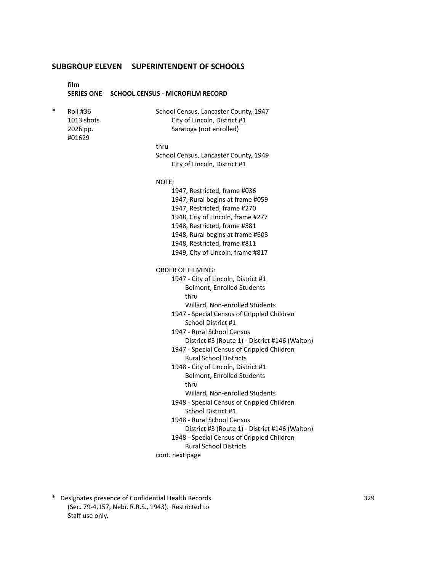**film SERIES ONE SCHOOL CENSUS - MICROFILM RECORD** Roll #36 School Census, Lancaster County, 1947 1013 shots City of Lincoln, District #1 2026 pp. Saratoga (not enrolled) #01629 thru School Census, Lancaster County, 1949 City of Lincoln, District #1 NOTE: 1947, Restricted, frame #036 1947, Rural begins at frame #059 1947, Restricted, frame #270 1948, City of Lincoln, frame #277 1948, Restricted, frame #581 1948, Rural begins at frame #603 1948, Restricted, frame #811 1949, City of Lincoln, frame #817 ORDER OF FILMING: 1947 - City of Lincoln, District #1 Belmont, Enrolled Students thru Willard, Non-enrolled Students 1947 - Special Census of Crippled Children School District #1 1947 - Rural School Census District #3 (Route 1) - District #146 (Walton) 1947 - Special Census of Crippled Children Rural School Districts 1948 - City of Lincoln, District #1 Belmont, Enrolled Students thru Willard, Non-enrolled Students 1948 - Special Census of Crippled Children School District #1 1948 - Rural School Census District #3 (Route 1) - District #146 (Walton) 1948 - Special Census of Crippled Children Rural School Districts cont. next page

\* Designates presence of Confidential Health Records 329 (Sec. 79-4,157, Nebr. R.R.S., 1943). Restricted to Staff use only.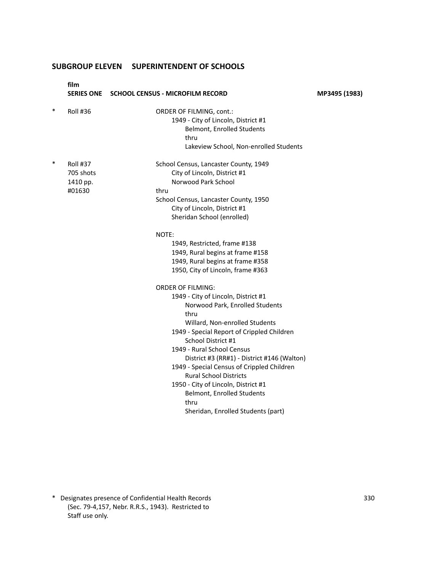|        | film<br><b>SERIES ONE</b> | <b>SCHOOL CENSUS - MICROFILM RECORD</b>     | MP3495 (1983) |
|--------|---------------------------|---------------------------------------------|---------------|
| $\ast$ | <b>Roll #36</b>           | <b>ORDER OF FILMING, cont.:</b>             |               |
|        |                           | 1949 - City of Lincoln, District #1         |               |
|        |                           | <b>Belmont, Enrolled Students</b>           |               |
|        |                           | thru                                        |               |
|        |                           | Lakeview School, Non-enrolled Students      |               |
| $\ast$ | Roll #37                  | School Census, Lancaster County, 1949       |               |
|        | 705 shots                 | City of Lincoln, District #1                |               |
|        | 1410 pp.                  | Norwood Park School                         |               |
|        | #01630                    | thru                                        |               |
|        |                           | School Census, Lancaster County, 1950       |               |
|        |                           | City of Lincoln, District #1                |               |
|        |                           | Sheridan School (enrolled)                  |               |
|        |                           | NOTE:                                       |               |
|        |                           | 1949, Restricted, frame #138                |               |
|        |                           | 1949, Rural begins at frame #158            |               |
|        |                           | 1949, Rural begins at frame #358            |               |
|        |                           | 1950, City of Lincoln, frame #363           |               |
|        |                           | <b>ORDER OF FILMING:</b>                    |               |
|        |                           | 1949 - City of Lincoln, District #1         |               |
|        |                           | Norwood Park, Enrolled Students             |               |
|        |                           | thru                                        |               |
|        |                           | Willard, Non-enrolled Students              |               |
|        |                           | 1949 - Special Report of Crippled Children  |               |
|        |                           | School District #1                          |               |
|        |                           | 1949 - Rural School Census                  |               |
|        |                           | District #3 (RR#1) - District #146 (Walton) |               |
|        |                           | 1949 - Special Census of Crippled Children  |               |
|        |                           | <b>Rural School Districts</b>               |               |
|        |                           | 1950 - City of Lincoln, District #1         |               |
|        |                           | Belmont, Enrolled Students                  |               |
|        |                           | thru                                        |               |
|        |                           | Sheridan, Enrolled Students (part)          |               |

\* Designates presence of Confidential Health Records 330 (Sec. 79-4,157, Nebr. R.R.S., 1943). Restricted to Staff use only.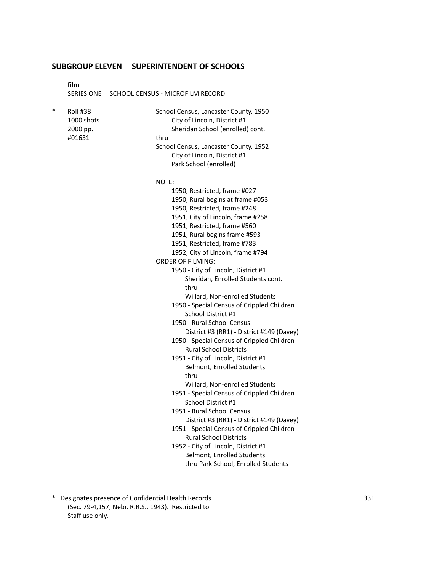**film**

SERIES ONE SCHOOL CENSUS - MICROFILM RECORD

| $\ast$ | <b>Roll #38</b><br>1000 shots<br>2000 pp.<br>#01631 | School Census, Lancaster County, 1950<br>City of Lincoln, District #1<br>Sheridan School (enrolled) cont.<br>thru<br>School Census, Lancaster County, 1952<br>City of Lincoln, District #1<br>Park School (enrolled) |
|--------|-----------------------------------------------------|----------------------------------------------------------------------------------------------------------------------------------------------------------------------------------------------------------------------|
|        |                                                     | NOTE:                                                                                                                                                                                                                |
|        |                                                     | 1950, Restricted, frame #027                                                                                                                                                                                         |
|        |                                                     | 1950, Rural begins at frame #053                                                                                                                                                                                     |
|        |                                                     | 1950, Restricted, frame #248                                                                                                                                                                                         |
|        |                                                     | 1951, City of Lincoln, frame #258                                                                                                                                                                                    |
|        |                                                     | 1951, Restricted, frame #560                                                                                                                                                                                         |
|        |                                                     | 1951, Rural begins frame #593                                                                                                                                                                                        |
|        |                                                     | 1951, Restricted, frame #783                                                                                                                                                                                         |
|        |                                                     | 1952, City of Lincoln, frame #794                                                                                                                                                                                    |
|        |                                                     | <b>ORDER OF FILMING:</b>                                                                                                                                                                                             |
|        |                                                     | 1950 - City of Lincoln, District #1                                                                                                                                                                                  |
|        |                                                     | Sheridan, Enrolled Students cont.                                                                                                                                                                                    |
|        |                                                     | thru                                                                                                                                                                                                                 |
|        |                                                     | Willard, Non-enrolled Students                                                                                                                                                                                       |
|        |                                                     | 1950 - Special Census of Crippled Children<br>School District #1                                                                                                                                                     |
|        |                                                     | 1950 - Rural School Census                                                                                                                                                                                           |
|        |                                                     | District #3 (RR1) - District #149 (Davey)                                                                                                                                                                            |
|        |                                                     | 1950 - Special Census of Crippled Children                                                                                                                                                                           |
|        |                                                     | <b>Rural School Districts</b>                                                                                                                                                                                        |
|        |                                                     | 1951 - City of Lincoln, District #1                                                                                                                                                                                  |
|        |                                                     | <b>Belmont, Enrolled Students</b>                                                                                                                                                                                    |
|        |                                                     | thru                                                                                                                                                                                                                 |
|        |                                                     | Willard, Non-enrolled Students                                                                                                                                                                                       |
|        |                                                     | 1951 - Special Census of Crippled Children                                                                                                                                                                           |
|        |                                                     | School District #1                                                                                                                                                                                                   |
|        |                                                     | 1951 - Rural School Census                                                                                                                                                                                           |
|        |                                                     | District #3 (RR1) - District #149 (Davey)<br>1951 - Special Census of Crippled Children                                                                                                                              |
|        |                                                     | <b>Rural School Districts</b>                                                                                                                                                                                        |
|        |                                                     | 1952 - City of Lincoln, District #1                                                                                                                                                                                  |
|        |                                                     | <b>Belmont, Enrolled Students</b>                                                                                                                                                                                    |
|        |                                                     | thru Park School, Enrolled Students                                                                                                                                                                                  |

\* Designates presence of Confidential Health Records 331 (Sec. 79-4,157, Nebr. R.R.S., 1943). Restricted to Staff use only.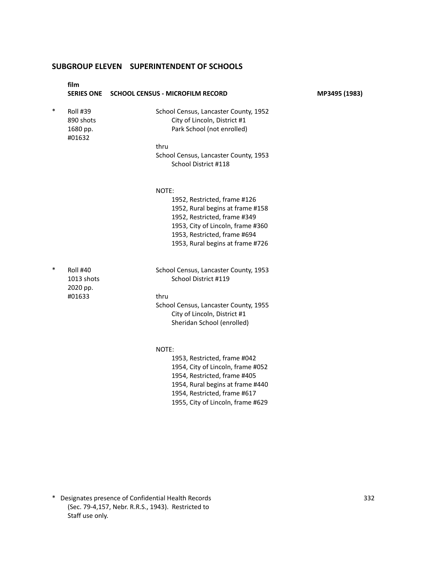|        | film<br><b>SERIES ONE</b>                           | SCHOOL CENSUS - MICROFILM RECORD                                                                                                                                                                                    | MP3495 (1983) |
|--------|-----------------------------------------------------|---------------------------------------------------------------------------------------------------------------------------------------------------------------------------------------------------------------------|---------------|
| $\ast$ | <b>Roll #39</b><br>890 shots<br>1680 pp.<br>#01632  | School Census, Lancaster County, 1952<br>City of Lincoln, District #1<br>Park School (not enrolled)                                                                                                                 |               |
|        |                                                     | thru<br>School Census, Lancaster County, 1953<br>School District #118                                                                                                                                               |               |
|        |                                                     | NOTE:<br>1952, Restricted, frame #126<br>1952, Rural begins at frame #158<br>1952, Restricted, frame #349<br>1953, City of Lincoln, frame #360<br>1953, Restricted, frame #694<br>1953, Rural begins at frame #726  |               |
| $\ast$ | <b>Roll #40</b><br>1013 shots<br>2020 pp.<br>#01633 | School Census, Lancaster County, 1953<br>School District #119<br>thru<br>School Census, Lancaster County, 1955<br>City of Lincoln, District #1<br>Sheridan School (enrolled)                                        |               |
|        |                                                     | NOTE:<br>1953, Restricted, frame #042<br>1954, City of Lincoln, frame #052<br>1954, Restricted, frame #405<br>1954, Rural begins at frame #440<br>1954, Restricted, frame #617<br>1955, City of Lincoln, frame #629 |               |

\* Designates presence of Confidential Health Records 332 (Sec. 79-4,157, Nebr. R.R.S., 1943). Restricted to Staff use only.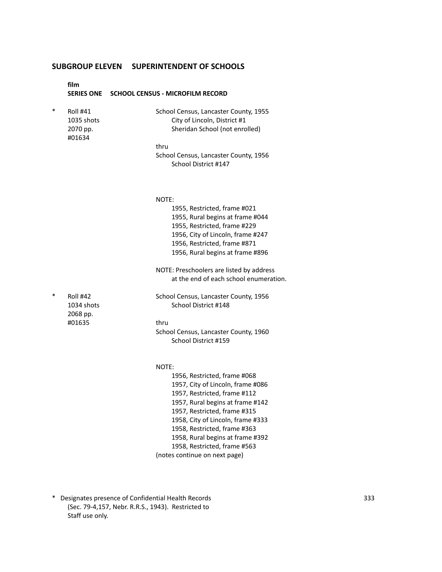|   | film                                                | SERIES ONE SCHOOL CENSUS - MICROFILM RECORD                                                             |
|---|-----------------------------------------------------|---------------------------------------------------------------------------------------------------------|
| * | <b>Roll #41</b><br>1035 shots<br>2070 pp.<br>#01634 | School Census, Lancaster County, 1955<br>City of Lincoln, District #1<br>Sheridan School (not enrolled) |
|   |                                                     | thru                                                                                                    |
|   |                                                     | School Census, Lancaster County, 1956<br>School District #147                                           |
|   |                                                     | NOTE:<br>1955, Restricted, frame #021                                                                   |
|   |                                                     | 1955, Rural begins at frame #044<br>1955, Restricted, frame #229<br>1956, City of Lincoln, frame #247   |
|   |                                                     | 1956, Restricted, frame #871<br>1956, Rural begins at frame #896                                        |
|   |                                                     | NOTE: Preschoolers are listed by address<br>at the end of each school enumeration.                      |
| ∗ | Roll #42<br>1034 shots<br>2068 pp.                  | School Census, Lancaster County, 1956<br>School District #148                                           |
|   | #01635                                              | thru                                                                                                    |
|   |                                                     | School Census, Lancaster County, 1960<br>School District #159                                           |
|   |                                                     | NOTE:                                                                                                   |
|   |                                                     | 1956, Restricted, frame #068<br>1957, City of Lincoln, frame #086<br>1957, Restricted, frame #112       |
|   |                                                     | 1957, Rural begins at frame #142                                                                        |
|   |                                                     | 1957, Restricted, frame #315                                                                            |
|   |                                                     | 1958, City of Lincoln, frame #333                                                                       |
|   |                                                     | 1958, Restricted, frame #363<br>1958, Rural begins at frame #392                                        |
|   |                                                     | 1958, Restricted, frame #563                                                                            |
|   |                                                     | (notes continue on next page)                                                                           |

\* Designates presence of Confidential Health Records 333 (Sec. 79-4,157, Nebr. R.R.S., 1943). Restricted to Staff use only.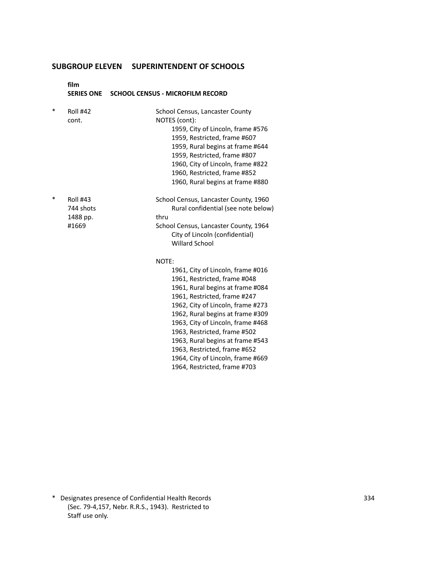**film SERIES ONE SCHOOL CENSUS - MICROFILM RECORD**

| $\ast$ | <b>Roll #42</b><br>cont.                          | School Census, Lancaster County<br>NOTES (cont):<br>1959, City of Lincoln, frame #576<br>1959, Restricted, frame #607<br>1959, Rural begins at frame #644<br>1959, Restricted, frame #807<br>1960, City of Lincoln, frame #822<br>1960, Restricted, frame #852<br>1960, Rural begins at frame #880 |
|--------|---------------------------------------------------|----------------------------------------------------------------------------------------------------------------------------------------------------------------------------------------------------------------------------------------------------------------------------------------------------|
| $\ast$ | <b>Roll #43</b><br>744 shots<br>1488 pp.<br>#1669 | School Census, Lancaster County, 1960<br>Rural confidential (see note below)<br>thru<br>School Census, Lancaster County, 1964<br>City of Lincoln (confidential)<br><b>Willard School</b>                                                                                                           |
|        |                                                   | NOTE:<br>1961, City of Lincoln, frame #016<br>1961, Restricted, frame #048<br>1961, Rural begins at frame #084<br>1961, Restricted, frame #247<br>1962, City of Lincoln, frame #273<br>1962, Rural begins at frame #309<br>1963, City of Lincoln, frame #468                                       |

1963, Restricted, frame #502 1963, Rural begins at frame #543 1963, Restricted, frame #652 1964, City of Lincoln, frame #669 1964, Restricted, frame #703

\* Designates presence of Confidential Health Records 334 (Sec. 79-4,157, Nebr. R.R.S., 1943). Restricted to Staff use only.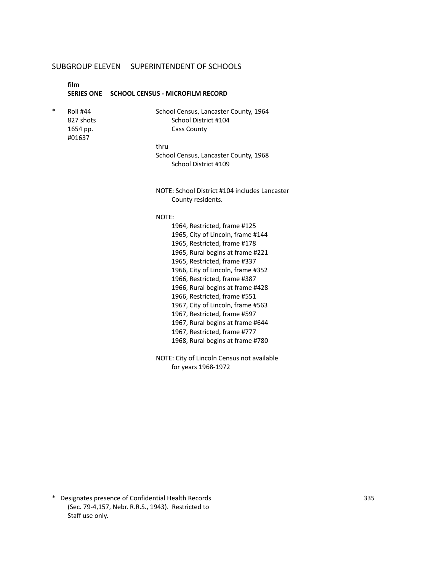**film**

#### **SERIES ONE SCHOOL CENSUS - MICROFILM RECORD**

#01637

Roll #44 School Census, Lancaster County, 1964 827 shots School District #104 1654 pp. Cass County

thru

School Census, Lancaster County, 1968 School District #109

NOTE: School District #104 includes Lancaster County residents.

## NOTE:

1964, Restricted, frame #125 1965, City of Lincoln, frame #144 1965, Restricted, frame #178 1965, Rural begins at frame #221 1965, Restricted, frame #337 1966, City of Lincoln, frame #352 1966, Restricted, frame #387 1966, Rural begins at frame #428 1966, Restricted, frame #551 1967, City of Lincoln, frame #563 1967, Restricted, frame #597 1967, Rural begins at frame #644 1967, Restricted, frame #777 1968, Rural begins at frame #780

NOTE: City of Lincoln Census not available for years 1968-1972

\* Designates presence of Confidential Health Records 335 (Sec. 79-4,157, Nebr. R.R.S., 1943). Restricted to Staff use only.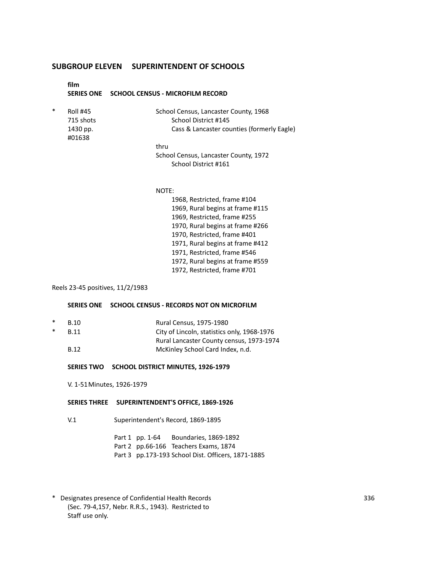# **film SERIES ONE SCHOOL CENSUS - MICROFILM RECORD** Roll #45 School Census, Lancaster County, 1968 715 shots School District #145 1430 pp. Cass & Lancaster counties (formerly Eagle) #01638 thru School Census, Lancaster County, 1972 School District #161

## NOTE:

1968, Restricted, frame #104 1969, Rural begins at frame #115 1969, Restricted, frame #255 1970, Rural begins at frame #266 1970, Restricted, frame #401 1971, Rural begins at frame #412 1971, Restricted, frame #546 1972, Rural begins at frame #559 1972, Restricted, frame #701

## Reels 23-45 positives, 11/2/1983

### **SERIES ONE SCHOOL CENSUS - RECORDS NOT ON MICROFILM**

- B.10 Rural Census, 1975-1980
- B.11 City of Lincoln, statistics only, 1968-1976 Rural Lancaster County census, 1973-1974 B.12 McKinley School Card Index, n.d.

## **SERIES TWO SCHOOL DISTRICT MINUTES, 1926-1979**

V. 1-51Minutes, 1926-1979

#### **SERIES THREE SUPERINTENDENT'S OFFICE, 1869-1926**

V.1 Superintendent's Record, 1869-1895

Part 1 pp. 1-64 Boundaries, 1869-1892 Part 2 pp.66-166 Teachers Exams, 1874 Part 3 pp.173-193 School Dist. Officers, 1871-1885

\* Designates presence of Confidential Health Records 336 (Sec. 79-4,157, Nebr. R.R.S., 1943). Restricted to Staff use only.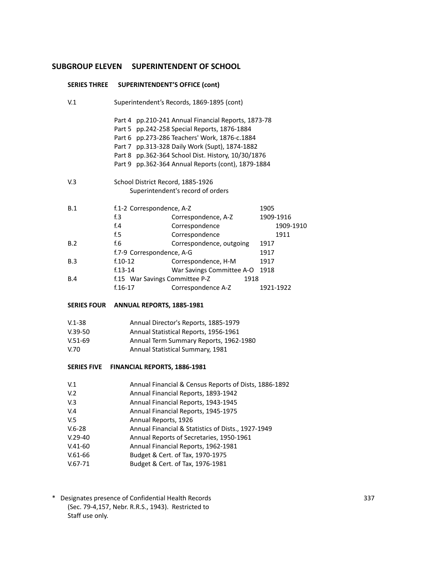|                    | SERIES THREE SUPERINTENDENT'S OFFICE (cont) |                                                     |           |  |
|--------------------|---------------------------------------------|-----------------------------------------------------|-----------|--|
| V <sub>1</sub>     | Superintendent's Records, 1869-1895 (cont)  |                                                     |           |  |
|                    |                                             | Part 4 pp.210-241 Annual Financial Reports, 1873-78 |           |  |
|                    |                                             | Part 5 pp.242-258 Special Reports, 1876-1884        |           |  |
|                    |                                             | Part 6 pp.273-286 Teachers' Work, 1876-c.1884       |           |  |
|                    |                                             | Part 7 pp.313-328 Daily Work (Supt), 1874-1882      |           |  |
|                    |                                             | Part 8 pp.362-364 School Dist. History, 10/30/1876  |           |  |
|                    |                                             | Part 9 pp.362-364 Annual Reports (cont), 1879-1884  |           |  |
| V.3                | School District Record, 1885-1926           |                                                     |           |  |
|                    |                                             | Superintendent's record of orders                   |           |  |
| B.1                | f.1-2 Correspondence, A-Z                   |                                                     | 1905      |  |
|                    | f <sub>1.3</sub>                            | Correspondence, A-Z                                 | 1909-1916 |  |
|                    | f.4                                         | Correspondence                                      | 1909-1910 |  |
|                    | f.5                                         | Correspondence                                      | 1911      |  |
| B.2                | f.6                                         | Correspondence, outgoing                            | 1917      |  |
|                    | f.7-9 Correspondence, A-G                   |                                                     | 1917      |  |
| B.3                | $f.10-12$                                   | Correspondence, H-M                                 | 1917      |  |
|                    | $f.13-14$                                   | War Savings Committee A-O 1918                      |           |  |
| B.4                | f.15 War Savings Committee P-Z              | 1918                                                |           |  |
|                    | $f.16-17$                                   | Correspondence A-Z                                  | 1921-1922 |  |
| <b>SERIES FOUR</b> | ANNUAL REPORTS, 1885-1981                   |                                                     |           |  |
| $V.1 - 38$         |                                             | Annual Director's Reports, 1885-1979                |           |  |
| $V.39-50$          |                                             | Annual Statistical Reports, 1956-1961               |           |  |
| $V.51-69$          | Annual Term Summary Reports, 1962-1980      |                                                     |           |  |
| V.70               | Annual Statistical Summary, 1981            |                                                     |           |  |

## **SERIES FIVE FINANCIAL REPORTS, 1886-1981**

| V <sub>1</sub>  | Annual Financial & Census Reports of Dists, 1886-1892 |
|-----------------|-------------------------------------------------------|
| V <sub>12</sub> | Annual Financial Reports, 1893-1942                   |
| V.3             | Annual Financial Reports, 1943-1945                   |
| V.4             | Annual Financial Reports, 1945-1975                   |
| V.5             | Annual Reports, 1926                                  |
| $V.6 - 28$      | Annual Financial & Statistics of Dists., 1927-1949    |
| $V.29-40$       | Annual Reports of Secretaries, 1950-1961              |
| $V.41-60$       | Annual Financial Reports, 1962-1981                   |
| $V.61-66$       | Budget & Cert. of Tax, 1970-1975                      |
| $V.67 - 71$     | Budget & Cert. of Tax, 1976-1981                      |
|                 |                                                       |

\* Designates presence of Confidential Health Records 337 (Sec. 79-4,157, Nebr. R.R.S., 1943). Restricted to Staff use only.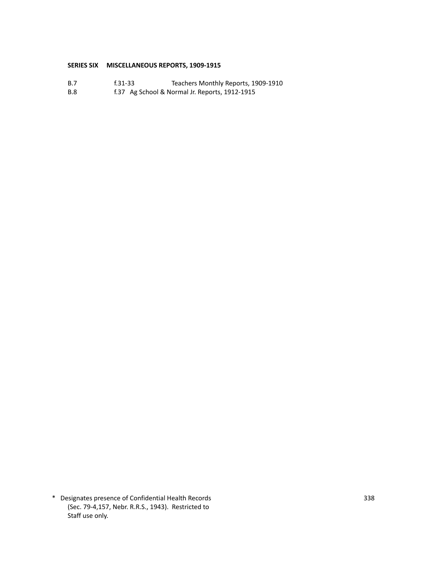## **SERIES SIX MISCELLANEOUS REPORTS, 1909-1915**

- B.7 f.31-33 Teachers Monthly Reports, 1909-1910<br>B.8 f.37 Ag School & Normal Jr. Reports, 1912-1915
- f.37 Ag School & Normal Jr. Reports, 1912-1915

\* Designates presence of Confidential Health Records 338 (Sec. 79-4,157, Nebr. R.R.S., 1943). Restricted to Staff use only.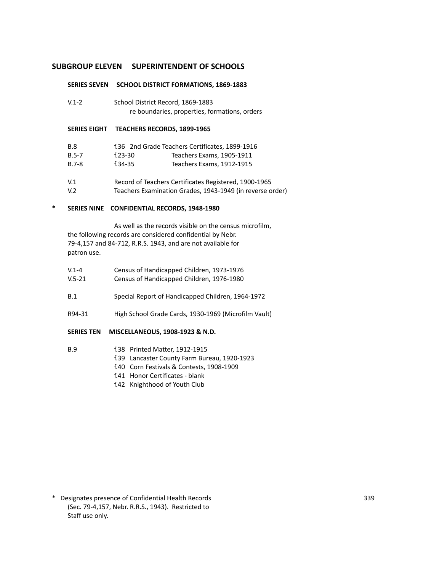#### **SERIES SEVEN SCHOOL DISTRICT FORMATIONS, 1869-1883**

| $V.1 - 2$ | School District Record, 1869-1883             |
|-----------|-----------------------------------------------|
|           | re boundaries, properties, formations, orders |

### **SERIES EIGHT TEACHERS RECORDS, 1899-1965**

| <b>B.8</b>     |             | f.36 2nd Grade Teachers Certificates, 1899-1916       |
|----------------|-------------|-------------------------------------------------------|
| $B.5 - 7$      | $f.23 - 30$ | Teachers Exams, 1905-1911                             |
| $B.7 - 8$      | f.34-35     | Teachers Exams, 1912-1915                             |
| V <sub>1</sub> |             | Record of Teachers Certificates Registered, 1900-1965 |

V.2 Teachers Examination Grades, 1943-1949 (in reverse order)

## **\* SERIES NINE CONFIDENTIAL RECORDS, 1948-1980**

As well as the records visible on the census microfilm, the following records are considered confidential by Nebr. 79-4,157 and 84-712, R.R.S. 1943, and are not available for patron use.

| V.1-4  | Census of Handicapped Children, 1973-1976 |  |
|--------|-------------------------------------------|--|
| V.5-21 | Census of Handicapped Children, 1976-1980 |  |

- B.1 Special Report of Handicapped Children, 1964-1972
- R94-31 High School Grade Cards, 1930-1969 (Microfilm Vault)

#### **SERIES TEN MISCELLANEOUS, 1908-1923 & N.D.**

# B.9 f.38 Printed Matter, 1912-1915

- f.39 Lancaster County Farm Bureau, 1920-1923
	- f.40 Corn Festivals & Contests, 1908-1909
	- f.41 Honor Certificates blank
	- f.42 Knighthood of Youth Club

\* Designates presence of Confidential Health Records 339 (Sec. 79-4,157, Nebr. R.R.S., 1943). Restricted to Staff use only.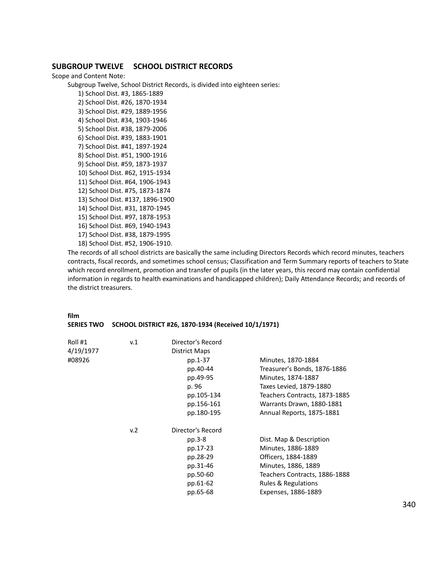## **SUBGROUP TWELVE SCHOOL DISTRICT RECORDS**

Scope and Content Note:

Subgroup Twelve, School District Records, is divided into eighteen series:

1) School Dist. #3, 1865-1889 2) School Dist. #26, 1870-1934 3) School Dist. #29, 1889-1956 4) School Dist. #34, 1903-1946 5) School Dist. #38, 1879-2006 6) School Dist. #39, 1883-1901 7) School Dist. #41, 1897-1924 8) School Dist. #51, 1900-1916 9) School Dist. #59, 1873-1937 10) School Dist. #62, 1915-1934 11) School Dist. #64, 1906-1943 12) School Dist. #75, 1873-1874 13) School Dist. #137, 1896-1900 14) School Dist. #31, 1870-1945 15) School Dist. #97, 1878-1953 16) School Dist. #69, 1940-1943 17) School Dist. #38, 1879-1995 18) School Dist. #52, 1906-1910.

The records of all school districts are basically the same including Directors Records which record minutes, teachers contracts, fiscal records, and sometimes school census; Classification and Term Summary reports of teachers to State which record enrollment, promotion and transfer of pupils (in the later years, this record may contain confidential information in regards to health examinations and handicapped children); Daily Attendance Records; and records of the district treasurers.

#### **film**

#### **SERIES TWO SCHOOL DISTRICT #26, 1870-1934 (Received 10/1/1971)**

| Roll #1   | v.1 | Director's Record |                               |
|-----------|-----|-------------------|-------------------------------|
| 4/19/1977 |     | District Maps     |                               |
| #08926    |     | pp.1-37           | Minutes, 1870-1884            |
|           |     | pp.40-44          | Treasurer's Bonds, 1876-1886  |
|           |     | pp.49-95          | Minutes, 1874-1887            |
|           |     | p. 96             | Taxes Levied, 1879-1880       |
|           |     | pp.105-134        | Teachers Contracts, 1873-1885 |
|           |     | pp.156-161        | Warrants Drawn, 1880-1881     |
|           |     | pp.180-195        | Annual Reports, 1875-1881     |
|           | v.2 | Director's Record |                               |
|           |     | pp.3-8            | Dist. Map & Description       |
|           |     | pp.17-23          | Minutes, 1886-1889            |
|           |     | pp.28-29          | Officers, 1884-1889           |
|           |     | pp.31-46          | Minutes, 1886, 1889           |
|           |     | pp.50-60          | Teachers Contracts, 1886-1888 |
|           |     | pp.61-62          | Rules & Regulations           |
|           |     | pp.65-68          | Expenses, 1886-1889           |
|           |     |                   |                               |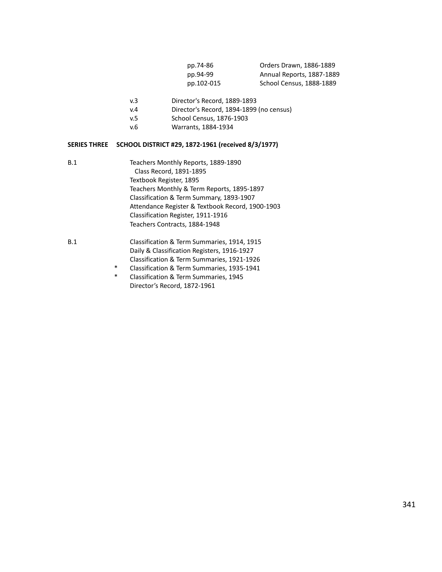| pp.74-86   | Orders Drawn, 1886-1889   |
|------------|---------------------------|
| pp.94-99   | Annual Reports, 1887-1889 |
| pp.102-015 | School Census, 1888-1889  |

- v.3 Director's Record, 1889-1893
- v.4 Director's Record, 1894-1899 (no census)
- v.5 School Census, 1876-1903
- v.6 Warrants, 1884-1934

## **SERIES THREE SCHOOL DISTRICT #29, 1872-1961 (received 8/3/1977)**

- B.1 Teachers Monthly Reports, 1889-1890 Class Record, 1891-1895 Textbook Register, 1895 Teachers Monthly & Term Reports, 1895-1897 Classification & Term Summary, 1893-1907 Attendance Register & Textbook Record, 1900-1903 Classification Register, 1911-1916 Teachers Contracts, 1884-1948 B.1 Classification & Term Summaries, 1914, 1915
	- Daily & Classification Registers, 1916-1927 Classification & Term Summaries, 1921-1926
		- \* Classification & Term Summaries, 1935-1941
		- \* Classification & Term Summaries, 1945 Director's Record, 1872-1961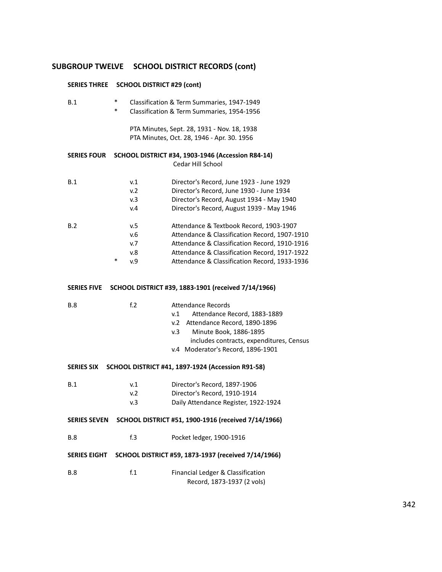# **SUBGROUP TWELVE SCHOOL DISTRICT RECORDS (cont)**

| <b>SERIES THREE</b> |             | <b>SCHOOL DISTRICT #29 (cont)</b> |                                                                                                                                                                                                                                             |
|---------------------|-------------|-----------------------------------|---------------------------------------------------------------------------------------------------------------------------------------------------------------------------------------------------------------------------------------------|
| B.1                 | *<br>$\ast$ |                                   | Classification & Term Summaries, 1947-1949<br>Classification & Term Summaries, 1954-1956                                                                                                                                                    |
|                     |             |                                   | PTA Minutes, Sept. 28, 1931 - Nov. 18, 1938<br>PTA Minutes, Oct. 28, 1946 - Apr. 30. 1956                                                                                                                                                   |
| <b>SERIES FOUR</b>  |             |                                   | <b>SCHOOL DISTRICT #34, 1903-1946 (Accession R84-14)</b><br>Cedar Hill School                                                                                                                                                               |
| B.1                 |             | v.1<br>v.2<br>v.3<br>v.4          | Director's Record, June 1923 - June 1929<br>Director's Record, June 1930 - June 1934<br>Director's Record, August 1934 - May 1940<br>Director's Record, August 1939 - May 1946                                                              |
| B.2                 | $\ast$      | v.5<br>v.6<br>v.7<br>v.8<br>v.9   | Attendance & Textbook Record, 1903-1907<br>Attendance & Classification Record, 1907-1910<br>Attendance & Classification Record, 1910-1916<br>Attendance & Classification Record, 1917-1922<br>Attendance & Classification Record, 1933-1936 |
| <b>SERIES FIVE</b>  |             |                                   | SCHOOL DISTRICT #39, 1883-1901 (received 7/14/1966)                                                                                                                                                                                         |
| <b>B.8</b>          |             | f <sub>1</sub> 2                  | <b>Attendance Records</b><br>v.1<br>Attendance Record, 1883-1889<br>Attendance Record, 1890-1896<br>v.2<br>Minute Book, 1886-1895<br>v.3<br>includes contracts, expenditures, Census<br>v.4 Moderator's Record, 1896-1901                   |
| <b>SERIES SIX</b>   |             |                                   | SCHOOL DISTRICT #41, 1897-1924 (Accession R91-58)                                                                                                                                                                                           |
| B.1                 |             | v.1<br>v.2<br>v.3                 | Director's Record, 1897-1906<br>Director's Record, 1910-1914<br>Daily Attendance Register, 1922-1924                                                                                                                                        |
| <b>SERIES SEVEN</b> |             |                                   | SCHOOL DISTRICT #51, 1900-1916 (received 7/14/1966)                                                                                                                                                                                         |
| <b>B.8</b>          |             | f.3                               | Pocket ledger, 1900-1916                                                                                                                                                                                                                    |
| <b>SERIES EIGHT</b> |             |                                   | SCHOOL DISTRICT #59, 1873-1937 (received 7/14/1966)                                                                                                                                                                                         |
| <b>B.8</b>          |             | f.1                               | Financial Ledger & Classification<br>Record, 1873-1937 (2 vols)                                                                                                                                                                             |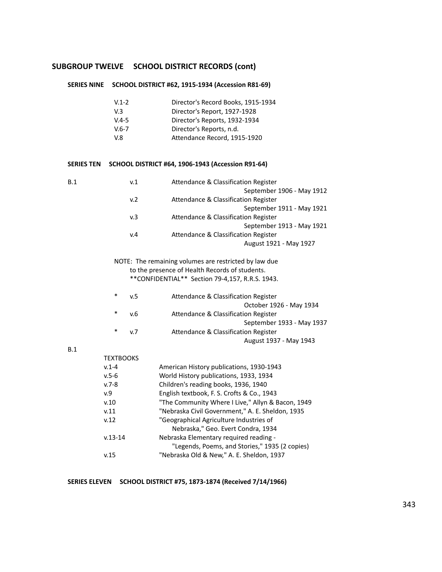## **SUBGROUP TWELVE SCHOOL DISTRICT RECORDS (cont)**

## **SERIES NINE SCHOOL DISTRICT #62, 1915-1934 (Accession R81-69)**

| $V.1 - 2$ | Director's Record Books, 1915-1934 |
|-----------|------------------------------------|
| V.3       | Director's Report, 1927-1928       |
| $V.4 - 5$ | Director's Reports, 1932-1934      |
| $V.6 - 7$ | Director's Reports, n.d.           |
| V 8       | Attendance Record, 1915-1920       |

## **SERIES TEN SCHOOL DISTRICT #64, 1906-1943 (Accession R91-64)**

| B.1 | v.1 | Attendance & Classification Register |
|-----|-----|--------------------------------------|
|     |     | September 1906 - May 1912            |
|     | v.2 | Attendance & Classification Register |
|     |     | September 1911 - May 1921            |
|     | v.3 | Attendance & Classification Register |
|     |     | September 1913 - May 1921            |
|     | v.4 | Attendance & Classification Register |
|     |     | August 1921 - May 1927               |

NOTE: The remaining volumes are restricted by law due to the presence of Health Records of students. \*\*CONFIDENTIAL\*\* Section 79-4,157, R.R.S. 1943.

| $\ast$ | v.5            | Attendance & Classification Register |
|--------|----------------|--------------------------------------|
|        |                | October 1926 - May 1934              |
| $\ast$ | v.6            | Attendance & Classification Register |
|        |                | September 1933 - May 1937            |
| $\ast$ | v <sub>7</sub> | Attendance & Classification Register |
|        |                | August 1937 - May 1943               |

## B.1

| <b>TEXTBOOKS</b> |                                                   |
|------------------|---------------------------------------------------|
| $v.1 - 4$        | American History publications, 1930-1943          |
| $v.5 - 6$        | World History publications, 1933, 1934            |
| $v.7 - 8$        | Children's reading books, 1936, 1940              |
| v.9              | English textbook, F. S. Crofts & Co., 1943        |
| v.10             | "The Community Where I Live," Allyn & Bacon, 1949 |
| v.11             | "Nebraska Civil Government," A. E. Sheldon, 1935  |
| v.12             | "Geographical Agriculture Industries of           |
|                  | Nebraska," Geo. Evert Condra, 1934                |
| $v.13 - 14$      | Nebraska Elementary required reading -            |
|                  | "Legends, Poems, and Stories," 1935 (2 copies)    |
| v.15             | "Nebraska Old & New," A. E. Sheldon, 1937         |
|                  |                                                   |

## **SERIES ELEVEN SCHOOL DISTRICT #75, 1873-1874 (Received 7/14/1966)**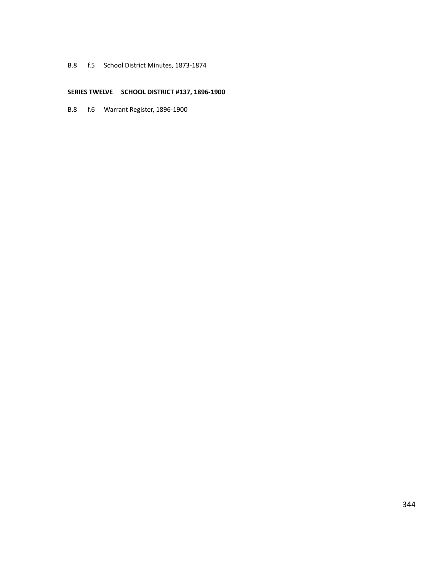## B.8 f.5 School District Minutes, 1873-1874

## **SERIES TWELVE SCHOOL DISTRICT #137, 1896-1900**

B.8 f.6 Warrant Register, 1896-1900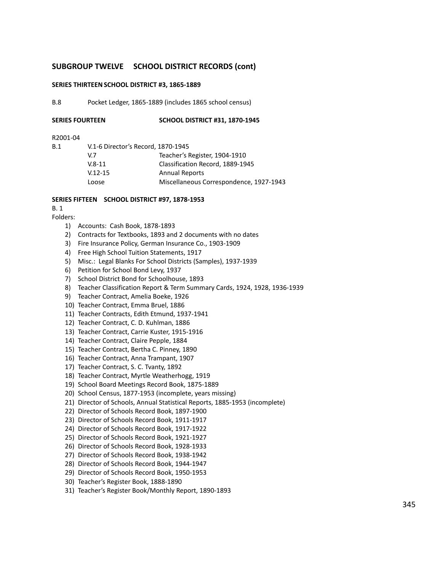## **SUBGROUP TWELVE SCHOOL DISTRICT RECORDS (cont)**

## **SERIES THIRTEENSCHOOL DISTRICT #3, 1865-1889**

B.8 Pocket Ledger, 1865-1889 (includes 1865 school census)

| SERIES FOURTEEN | <b>SCHOOL DISTRICT #31, 1870-1945</b> |
|-----------------|---------------------------------------|
|                 |                                       |

#### R2001-04

B.1 V.1-6 Director's Record, 1870-1945

| Miscellaneous Correspondence, 1927-1943 |
|-----------------------------------------|
|                                         |

#### **SERIES FIFTEEN SCHOOL DISTRICT #97, 1878-1953**

## B. 1

Folders:

- 1) Accounts: Cash Book, 1878-1893
- 2) Contracts for Textbooks, 1893 and 2 documents with no dates
- 3) Fire Insurance Policy, German Insurance Co., 1903-1909
- 4) Free High School Tuition Statements, 1917
- 5) Misc.: Legal Blanks For School Districts (Samples), 1937-1939
- 6) Petition for School Bond Levy, 1937
- 7) School District Bond for Schoolhouse, 1893
- 8) Teacher Classification Report & Term Summary Cards, 1924, 1928, 1936-1939
- 9) Teacher Contract, Amelia Boeke, 1926
- 10) Teacher Contract, Emma Bruel, 1886
- 11) Teacher Contracts, Edith Etmund, 1937-1941
- 12) Teacher Contract, C. D. Kuhlman, 1886
- 13) Teacher Contract, Carrie Kuster, 1915-1916
- 14) Teacher Contract, Claire Pepple, 1884
- 15) Teacher Contract, Bertha C. Pinney, 1890
- 16) Teacher Contract, Anna Trampant, 1907
- 17) Teacher Contract, S. C. Tvanty, 1892
- 18) Teacher Contract, Myrtle Weatherhogg, 1919
- 19) School Board Meetings Record Book, 1875-1889
- 20) School Census, 1877-1953 (incomplete, years missing)
- 21) Director of Schools, Annual Statistical Reports, 1885-1953 (incomplete)
- 22) Director of Schools Record Book, 1897-1900
- 23) Director of Schools Record Book, 1911-1917
- 24) Director of Schools Record Book, 1917-1922
- 25) Director of Schools Record Book, 1921-1927
- 26) Director of Schools Record Book, 1928-1933
- 27) Director of Schools Record Book, 1938-1942
- 28) Director of Schools Record Book, 1944-1947
- 29) Director of Schools Record Book, 1950-1953
- 30) Teacher's Register Book, 1888-1890
- 31) Teacher's Register Book/Monthly Report, 1890-1893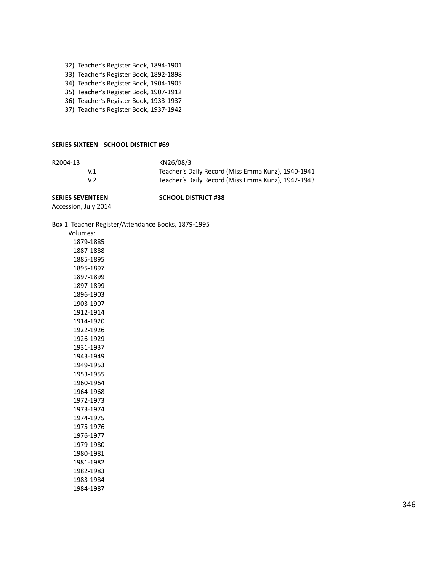- 32) Teacher's Register Book, 1894-1901
- 33) Teacher's Register Book, 1892-1898
- 34) Teacher's Register Book, 1904-1905
- 35) Teacher's Register Book, 1907-1912
- 36) Teacher's Register Book, 1933-1937
- 37) Teacher's Register Book, 1937-1942

#### **SERIES SIXTEEN SCHOOL DISTRICT #69**

| R2004-13 | KN26/08/3                                          |
|----------|----------------------------------------------------|
| V.1      | Teacher's Daily Record (Miss Emma Kunz), 1940-1941 |
| V.2      | Teacher's Daily Record (Miss Emma Kunz), 1942-1943 |

## **SERIES SEVENTEEN SCHOOL DISTRICT #38**

Accession, July 2014

Box 1 Teacher Register/Attendance Books, 1879-1995

| Volumes:  |
|-----------|
| 1879-1885 |
| 1887-1888 |
| 1885-1895 |
| 1895-1897 |
| 1897-1899 |
| 1897-1899 |
| 1896-1903 |
| 1903-1907 |
| 1912-1914 |
| 1914-1920 |
| 1922-1926 |
| 1926-1929 |
| 1931-1937 |
| 1943-1949 |
| 1949-1953 |
| 1953-1955 |
| 1960-1964 |
| 1964-1968 |
| 1972-1973 |
| 1973-1974 |
| 1974-1975 |
| 1975-1976 |
| 1976-1977 |
| 1979-1980 |
| 1980-1981 |
| 1981-1982 |
| 1982-1983 |
| 1983-1984 |
| 1984-1987 |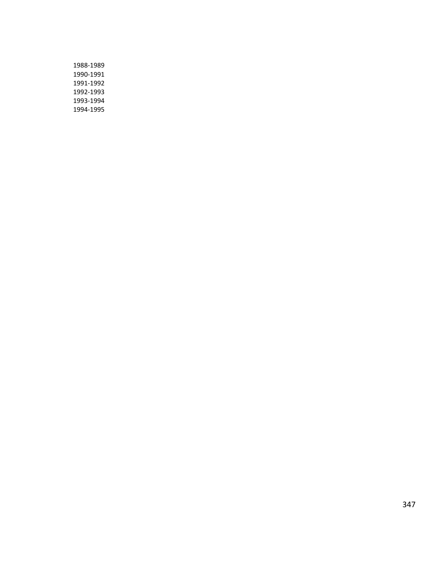| 1988-1989 |
|-----------|
| 1990-1991 |
| 1991-1992 |
| 1992-1993 |
| 1993-1994 |
| 1994-1995 |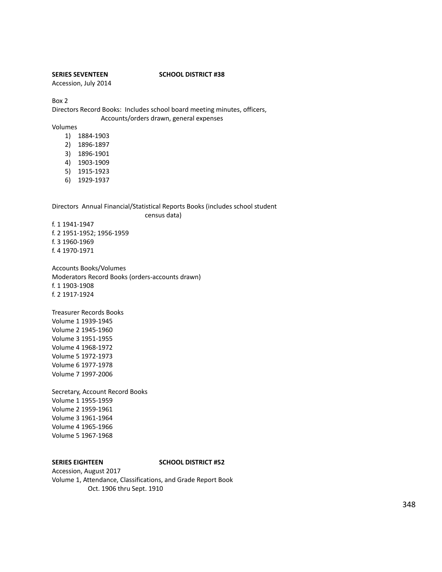## **SERIES SEVENTEEN SCHOOL DISTRICT #38**

Accession, July 2014

Box 2

Directors Record Books: Includes school board meeting minutes, officers, Accounts/orders drawn, general expenses

Volumes

- 1) 1884-1903
- 2) 1896-1897
- 3) 1896-1901
- 4) 1903-1909
- 5) 1915-1923
- 6) 1929-1937

Directors Annual Financial/Statistical Reports Books (includes school student

census data)

f. 1 1941-1947 f. 2 1951-1952; 1956-1959 f. 3 1960-1969 f. 4 1970-1971

Accounts Books/Volumes Moderators Record Books (orders-accounts drawn) f. 1 1903-1908 f. 2 1917-1924

Treasurer Records Books Volume 1 1939-1945 Volume 2 1945-1960 Volume 3 1951-1955 Volume 4 1968-1972 Volume 5 1972-1973 Volume 6 1977-1978 Volume 7 1997-2006

Secretary, Account Record Books Volume 1 1955-1959 Volume 2 1959-1961 Volume 3 1961-1964 Volume 4 1965-1966 Volume 5 1967-1968

#### **SERIES EIGHTEEN SCHOOL DISTRICT #52**

Accession, August 2017 Volume 1, Attendance, Classifications, and Grade Report Book Oct. 1906 thru Sept. 1910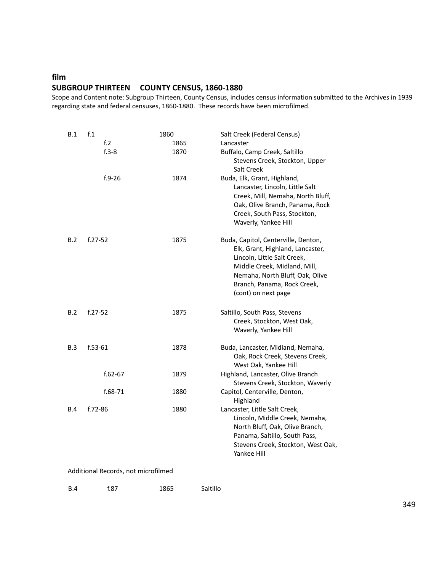# **film SUBGROUP THIRTEEN COUNTY CENSUS, 1860-1880**

Scope and Content note: Subgroup Thirteen, County Census, includes census information submitted to the Archives in 1939 regarding state and federal censuses, 1860-1880. These records have been microfilmed.

| B.1                                 | f <sub>.1</sub>  | 1860 | Salt Creek (Federal Census)         |  |
|-------------------------------------|------------------|------|-------------------------------------|--|
|                                     | f <sub>1</sub> 2 | 1865 | Lancaster                           |  |
|                                     | $f.3-8$          | 1870 | Buffalo, Camp Creek, Saltillo       |  |
|                                     |                  |      | Stevens Creek, Stockton, Upper      |  |
|                                     |                  |      | Salt Creek                          |  |
|                                     | $f.9 - 26$       | 1874 | Buda, Elk, Grant, Highland,         |  |
|                                     |                  |      | Lancaster, Lincoln, Little Salt     |  |
|                                     |                  |      | Creek, Mill, Nemaha, North Bluff,   |  |
|                                     |                  |      | Oak, Olive Branch, Panama, Rock     |  |
|                                     |                  |      | Creek, South Pass, Stockton,        |  |
|                                     |                  |      | Waverly, Yankee Hill                |  |
|                                     |                  |      |                                     |  |
| B.2                                 | $f.27 - 52$      | 1875 | Buda, Capitol, Centerville, Denton, |  |
|                                     |                  |      | Elk, Grant, Highland, Lancaster,    |  |
|                                     |                  |      | Lincoln, Little Salt Creek,         |  |
|                                     |                  |      | Middle Creek, Midland, Mill,        |  |
|                                     |                  |      | Nemaha, North Bluff, Oak, Olive     |  |
|                                     |                  |      | Branch, Panama, Rock Creek,         |  |
|                                     |                  |      | (cont) on next page                 |  |
| B.2                                 | $f.27 - 52$      | 1875 | Saltillo, South Pass, Stevens       |  |
|                                     |                  |      | Creek, Stockton, West Oak,          |  |
|                                     |                  |      | Waverly, Yankee Hill                |  |
|                                     |                  |      |                                     |  |
| B.3                                 | $f.53-61$        | 1878 | Buda, Lancaster, Midland, Nemaha,   |  |
|                                     |                  |      | Oak, Rock Creek, Stevens Creek,     |  |
|                                     |                  |      | West Oak, Yankee Hill               |  |
|                                     | $f.62 - 67$      | 1879 | Highland, Lancaster, Olive Branch   |  |
|                                     |                  |      | Stevens Creek, Stockton, Waverly    |  |
|                                     | f.68-71          | 1880 | Capitol, Centerville, Denton,       |  |
|                                     |                  |      | Highland                            |  |
| B.4                                 | f.72-86          | 1880 | Lancaster, Little Salt Creek,       |  |
|                                     |                  |      | Lincoln, Middle Creek, Nemaha,      |  |
|                                     |                  |      | North Bluff, Oak, Olive Branch,     |  |
|                                     |                  |      | Panama, Saltillo, South Pass,       |  |
|                                     |                  |      | Stevens Creek, Stockton, West Oak,  |  |
|                                     |                  |      | Yankee Hill                         |  |
|                                     |                  |      |                                     |  |
| Additional Records, not microfilmed |                  |      |                                     |  |

| <b>B.4</b> | f.87 | 1865 | Saltillo |
|------------|------|------|----------|
|            |      |      |          |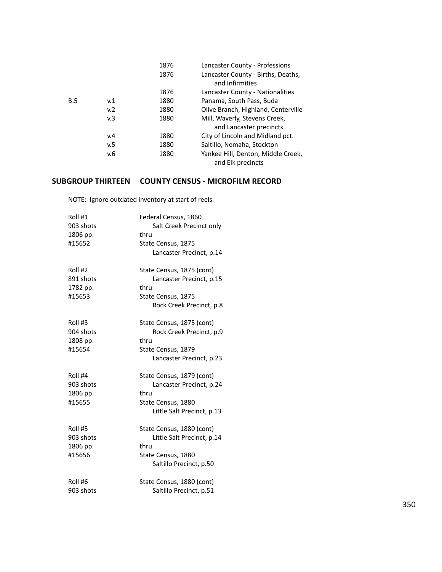|     |     | 1876 | Lancaster County - Professions      |
|-----|-----|------|-------------------------------------|
|     |     | 1876 | Lancaster County - Births, Deaths,  |
|     |     |      | and Infirmities                     |
|     |     | 1876 | Lancaster County - Nationalities    |
| B.5 | v.1 | 1880 | Panama, South Pass, Buda            |
|     | v.2 | 1880 | Olive Branch, Highland, Centerville |
|     | v.3 | 1880 | Mill, Waverly, Stevens Creek,       |
|     |     |      | and Lancaster precincts             |
|     | v.4 | 1880 | City of Lincoln and Midland pct.    |
|     | v.5 | 1880 | Saltillo, Nemaha, Stockton          |
|     | v.6 | 1880 | Yankee Hill, Denton, Middle Creek,  |
|     |     |      | and Elk precincts                   |

# **SUBGROUP THIRTEEN COUNTY CENSUS - MICROFILM RECORD**

NOTE: Ignore outdated inventory at start of reels.

| Roll #1<br>903 shots<br>1806 pp.<br>#15652 | Federal Census, 1860<br>Salt Creek Precinct only<br>thru<br>State Census, 1875<br>Lancaster Precinct, p.14        |
|--------------------------------------------|-------------------------------------------------------------------------------------------------------------------|
| Roll #2<br>891 shots<br>1782 pp.<br>#15653 | State Census, 1875 (cont)<br>Lancaster Precinct, p.15<br>thru<br>State Census, 1875<br>Rock Creek Precinct, p.8   |
| Roll #3<br>904 shots<br>1808 pp.<br>#15654 | State Census, 1875 (cont)<br>Rock Creek Precinct, p.9<br>thru<br>State Census, 1879<br>Lancaster Precinct, p.23   |
| Roll #4<br>903 shots<br>1806 pp.<br>#15655 | State Census, 1879 (cont)<br>Lancaster Precinct, p.24<br>thru<br>State Census, 1880<br>Little Salt Precinct, p.13 |
| Roll #5<br>903 shots<br>1806 pp.<br>#15656 | State Census, 1880 (cont)<br>Little Salt Precinct, p.14<br>thru<br>State Census, 1880<br>Saltillo Precinct, p.50  |
| Roll #6<br>903 shots                       | State Census, 1880 (cont)<br>Saltillo Precinct, p.51                                                              |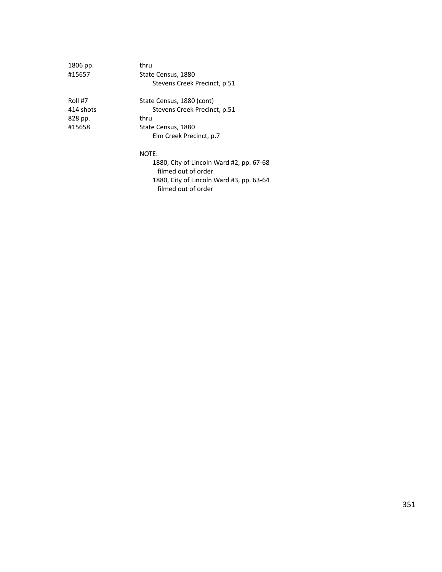| 1806 pp.  | thru                                     |
|-----------|------------------------------------------|
| #15657    | State Census, 1880                       |
|           | Stevens Creek Precinct, p.51             |
| Roll #7   | State Census, 1880 (cont)                |
| 414 shots | Stevens Creek Precinct, p.51             |
| 828 pp.   | thru                                     |
| #15658    | State Census, 1880                       |
|           | Elm Creek Precinct, p.7                  |
|           | NOTE:                                    |
|           | 1880, City of Lincoln Ward #2, pp. 67-68 |
|           | filmed out of order                      |

1880, City of Lincoln Ward #3, pp. 63-64 filmed out of order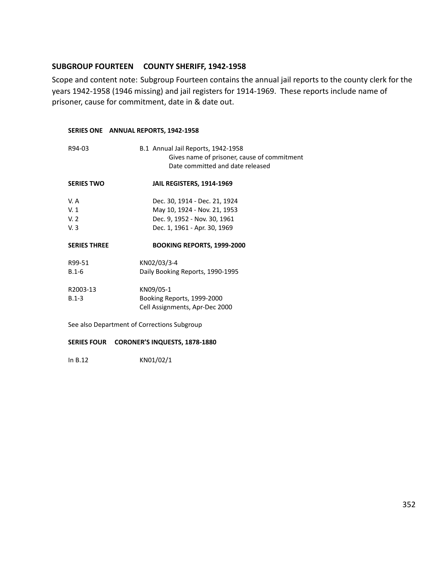## **SUBGROUP FOURTEEN COUNTY SHERIFF, 1942-1958**

Scope and content note: Subgroup Fourteen contains the annual jail reports to the county clerk for the years 1942-1958 (1946 missing) and jail registers for 1914-1969. These reports include name of prisoner, cause for commitment, date in & date out.

## **SERIES ONE ANNUAL REPORTS, 1942-1958**

| R94-03                                      | B.1 Annual Jail Reports, 1942-1958<br>Gives name of prisoner, cause of commitment<br>Date committed and date released |
|---------------------------------------------|-----------------------------------------------------------------------------------------------------------------------|
| <b>SERIES TWO</b>                           | JAIL REGISTERS, 1914-1969                                                                                             |
| V.A                                         | Dec. 30, 1914 - Dec. 21, 1924                                                                                         |
| V.1                                         | May 10, 1924 - Nov. 21, 1953                                                                                          |
| V.2                                         | Dec. 9, 1952 - Nov. 30, 1961                                                                                          |
| V.3                                         | Dec. 1, 1961 - Apr. 30, 1969                                                                                          |
| <b>SERIES THREE</b>                         | <b>BOOKING REPORTS, 1999-2000</b>                                                                                     |
| R99-51                                      | KN02/03/3-4                                                                                                           |
| $B.1-6$                                     | Daily Booking Reports, 1990-1995                                                                                      |
| R2003-13                                    | KN09/05-1                                                                                                             |
| $B.1 - 3$                                   | Booking Reports, 1999-2000                                                                                            |
|                                             | Cell Assignments, Apr-Dec 2000                                                                                        |
| See also Department of Corrections Subgroup |                                                                                                                       |

## **SERIES FOUR CORONER'S INQUESTS, 1878-1880**

In B.12 KN01/02/1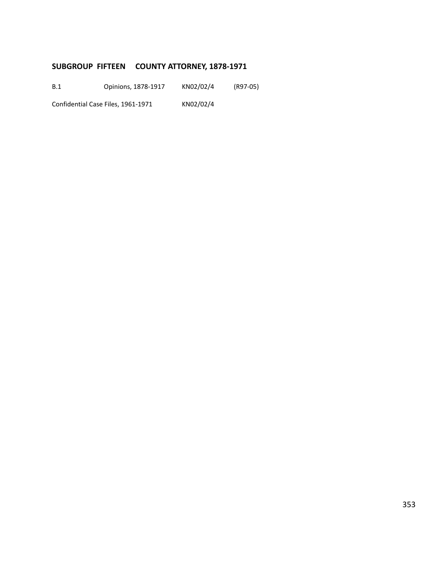# **SUBGROUP FIFTEEN COUNTY ATTORNEY, 1878-1971**

B.1 Opinions, 1878-1917 KN02/02/4 (R97-05)

Confidential Case Files, 1961-1971 KN02/02/4